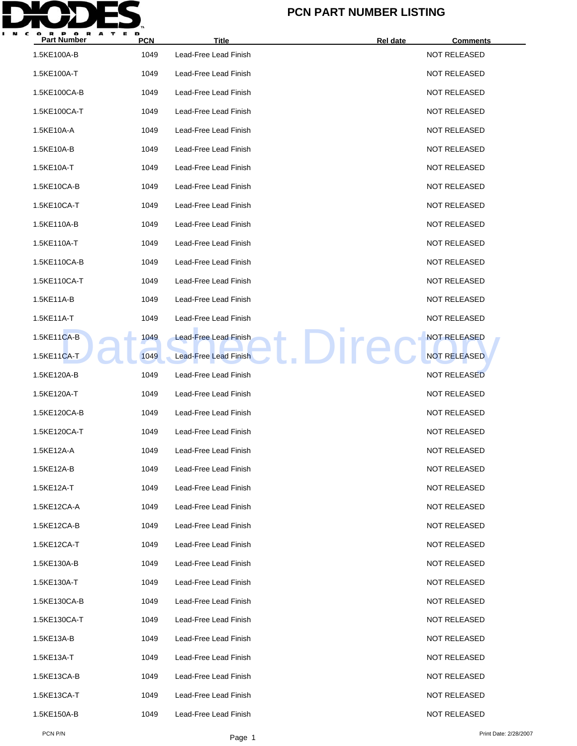

| <b>Part Number</b> | <b>PCN</b> | <b>Title</b>                 | Rel date   | <b>Comments</b>     |
|--------------------|------------|------------------------------|------------|---------------------|
| 1.5KE100A-B        | 1049       | Lead-Free Lead Finish        |            | NOT RELEASED        |
| 1.5KE100A-T        | 1049       | Lead-Free Lead Finish        |            | <b>NOT RELEASED</b> |
| 1.5KE100CA-B       | 1049       | Lead-Free Lead Finish        |            | <b>NOT RELEASED</b> |
| 1.5KE100CA-T       | 1049       | Lead-Free Lead Finish        |            | <b>NOT RELEASED</b> |
| 1.5KE10A-A         | 1049       | Lead-Free Lead Finish        |            | <b>NOT RELEASED</b> |
| 1.5KE10A-B         | 1049       | Lead-Free Lead Finish        |            | <b>NOT RELEASED</b> |
| 1.5KE10A-T         | 1049       | Lead-Free Lead Finish        |            | <b>NOT RELEASED</b> |
| 1.5KE10CA-B        | 1049       | Lead-Free Lead Finish        |            | <b>NOT RELEASED</b> |
| 1.5KE10CA-T        | 1049       | Lead-Free Lead Finish        |            | <b>NOT RELEASED</b> |
| 1.5KE110A-B        | 1049       | Lead-Free Lead Finish        |            | <b>NOT RELEASED</b> |
| 1.5KE110A-T        | 1049       | Lead-Free Lead Finish        |            | <b>NOT RELEASED</b> |
| 1.5KE110CA-B       | 1049       | Lead-Free Lead Finish        |            | <b>NOT RELEASED</b> |
| 1.5KE110CA-T       | 1049       | Lead-Free Lead Finish        |            | <b>NOT RELEASED</b> |
| 1.5KE11A-B         | 1049       | Lead-Free Lead Finish        |            | <b>NOT RELEASED</b> |
| 1.5KE11A-T         | 1049       | Lead-Free Lead Finish        |            | <b>NOT RELEASED</b> |
| 1.5KE11CA-B        | 1049       | Lead-Free Lead Finish        | <b>Ire</b> | <b>NOT RELEASED</b> |
| 1.5KE11CA-T        | 1049       | <b>Lead-Free Lead Finish</b> |            | <b>NOT RELEASED</b> |
| 1.5KE120A-B        | 1049       | Lead-Free Lead Finish        |            | <b>NOT RELEASED</b> |
| 1.5KE120A-T        | 1049       | Lead-Free Lead Finish        |            | <b>NOT RELEASED</b> |
| 1.5KE120CA-B       | 1049       | Lead-Free Lead Finish        |            | <b>NOT RELEASED</b> |
| 1.5KE120CA-T       | 1049       | Lead-Free Lead Finish        |            | <b>NOT RELEASED</b> |
| 1.5KE12A-A         | 1049       | Lead-Free Lead Finish        |            | <b>NOT RELEASED</b> |
| 1.5KE12A-B         | 1049       | Lead-Free Lead Finish        |            | <b>NOT RELEASED</b> |
| 1.5KE12A-T         | 1049       | Lead-Free Lead Finish        |            | <b>NOT RELEASED</b> |
| 1.5KE12CA-A        | 1049       | Lead-Free Lead Finish        |            | <b>NOT RELEASED</b> |
| 1.5KE12CA-B        | 1049       | Lead-Free Lead Finish        |            | <b>NOT RELEASED</b> |
| 1.5KE12CA-T        | 1049       | Lead-Free Lead Finish        |            | <b>NOT RELEASED</b> |
| 1.5KE130A-B        | 1049       | Lead-Free Lead Finish        |            | <b>NOT RELEASED</b> |
| 1.5KE130A-T        | 1049       | Lead-Free Lead Finish        |            | <b>NOT RELEASED</b> |
| 1.5KE130CA-B       | 1049       | Lead-Free Lead Finish        |            | <b>NOT RELEASED</b> |
| 1.5KE130CA-T       | 1049       | Lead-Free Lead Finish        |            | <b>NOT RELEASED</b> |
| 1.5KE13A-B         | 1049       | Lead-Free Lead Finish        |            | <b>NOT RELEASED</b> |
| 1.5KE13A-T         | 1049       | Lead-Free Lead Finish        |            | <b>NOT RELEASED</b> |
| 1.5KE13CA-B        | 1049       | Lead-Free Lead Finish        |            | NOT RELEASED        |
| 1.5KE13CA-T        | 1049       | Lead-Free Lead Finish        |            | <b>NOT RELEASED</b> |
| 1.5KE150A-B        | 1049       | Lead-Free Lead Finish        |            | <b>NOT RELEASED</b> |
|                    |            |                              |            |                     |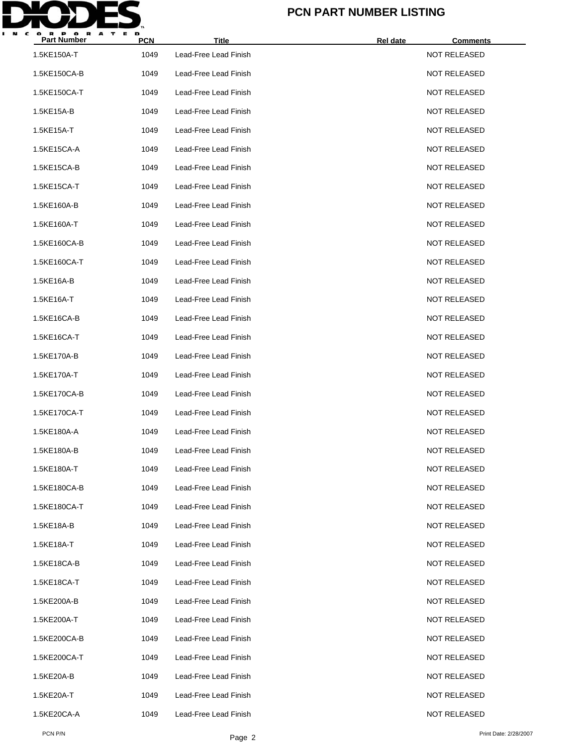

| <b>Part Number</b> | <b>PCN</b> | <b>Title</b>          | Rel date<br><b>Comments</b> |  |
|--------------------|------------|-----------------------|-----------------------------|--|
| 1.5KE150A-T        | 1049       | Lead-Free Lead Finish | <b>NOT RELEASED</b>         |  |
| 1.5KE150CA-B       | 1049       | Lead-Free Lead Finish | <b>NOT RELEASED</b>         |  |
| 1.5KE150CA-T       | 1049       | Lead-Free Lead Finish | <b>NOT RELEASED</b>         |  |
| 1.5KE15A-B         | 1049       | Lead-Free Lead Finish | <b>NOT RELEASED</b>         |  |
| 1.5KE15A-T         | 1049       | Lead-Free Lead Finish | <b>NOT RELEASED</b>         |  |
| 1.5KE15CA-A        | 1049       | Lead-Free Lead Finish | <b>NOT RELEASED</b>         |  |
| 1.5KE15CA-B        | 1049       | Lead-Free Lead Finish | <b>NOT RELEASED</b>         |  |
| 1.5KE15CA-T        | 1049       | Lead-Free Lead Finish | <b>NOT RELEASED</b>         |  |
| 1.5KE160A-B        | 1049       | Lead-Free Lead Finish | <b>NOT RELEASED</b>         |  |
| 1.5KE160A-T        | 1049       | Lead-Free Lead Finish | <b>NOT RELEASED</b>         |  |
| 1.5KE160CA-B       | 1049       | Lead-Free Lead Finish | <b>NOT RELEASED</b>         |  |
| 1.5KE160CA-T       | 1049       | Lead-Free Lead Finish | <b>NOT RELEASED</b>         |  |
| 1.5KE16A-B         | 1049       | Lead-Free Lead Finish | <b>NOT RELEASED</b>         |  |
| 1.5KE16A-T         | 1049       | Lead-Free Lead Finish | <b>NOT RELEASED</b>         |  |
| 1.5KE16CA-B        | 1049       | Lead-Free Lead Finish | <b>NOT RELEASED</b>         |  |
| 1.5KE16CA-T        | 1049       | Lead-Free Lead Finish | <b>NOT RELEASED</b>         |  |
| 1.5KE170A-B        | 1049       | Lead-Free Lead Finish | <b>NOT RELEASED</b>         |  |
| 1.5KE170A-T        | 1049       | Lead-Free Lead Finish | <b>NOT RELEASED</b>         |  |
| 1.5KE170CA-B       | 1049       | Lead-Free Lead Finish | <b>NOT RELEASED</b>         |  |
| 1.5KE170CA-T       | 1049       | Lead-Free Lead Finish | <b>NOT RELEASED</b>         |  |
| 1.5KE180A-A        | 1049       | Lead-Free Lead Finish | <b>NOT RELEASED</b>         |  |
| 1.5KE180A-B        | 1049       | Lead-Free Lead Finish | <b>NOT RELEASED</b>         |  |
| 1.5KE180A-T        | 1049       | Lead-Free Lead Finish | <b>NOT RELEASED</b>         |  |
| 1.5KE180CA-B       | 1049       | Lead-Free Lead Finish | <b>NOT RELEASED</b>         |  |
| 1.5KE180CA-T       | 1049       | Lead-Free Lead Finish | <b>NOT RELEASED</b>         |  |
| 1.5KE18A-B         | 1049       | Lead-Free Lead Finish | <b>NOT RELEASED</b>         |  |
| 1.5KE18A-T         | 1049       | Lead-Free Lead Finish | <b>NOT RELEASED</b>         |  |
| 1.5KE18CA-B        | 1049       | Lead-Free Lead Finish | <b>NOT RELEASED</b>         |  |
| 1.5KE18CA-T        | 1049       | Lead-Free Lead Finish | <b>NOT RELEASED</b>         |  |
| 1.5KE200A-B        | 1049       | Lead-Free Lead Finish | <b>NOT RELEASED</b>         |  |
| 1.5KE200A-T        | 1049       | Lead-Free Lead Finish | <b>NOT RELEASED</b>         |  |
| 1.5KE200CA-B       | 1049       | Lead-Free Lead Finish | <b>NOT RELEASED</b>         |  |
| 1.5KE200CA-T       | 1049       | Lead-Free Lead Finish | <b>NOT RELEASED</b>         |  |
| 1.5KE20A-B         | 1049       | Lead-Free Lead Finish | <b>NOT RELEASED</b>         |  |
| 1.5KE20A-T         | 1049       | Lead-Free Lead Finish | <b>NOT RELEASED</b>         |  |
| 1.5KE20CA-A        | 1049       | Lead-Free Lead Finish | <b>NOT RELEASED</b>         |  |
|                    |            |                       |                             |  |

PCN P/N Print Date: 2/28/2007<br>Page 2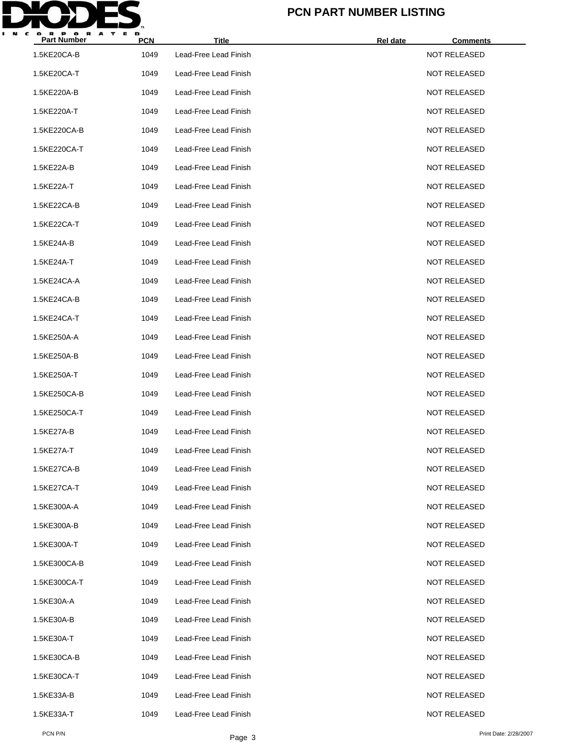

| <b>Part Number</b> | <b>PCN</b> | <b>Title</b>          | <b>Rel date</b> | <b>Comments</b>     |  |
|--------------------|------------|-----------------------|-----------------|---------------------|--|
| 1.5KE20CA-B        | 1049       | Lead-Free Lead Finish |                 | NOT RELEASED        |  |
| 1.5KE20CA-T        | 1049       | Lead-Free Lead Finish |                 | <b>NOT RELEASED</b> |  |
| 1.5KE220A-B        | 1049       | Lead-Free Lead Finish |                 | <b>NOT RELEASED</b> |  |
| 1.5KE220A-T        | 1049       | Lead-Free Lead Finish |                 | <b>NOT RELEASED</b> |  |
| 1.5KE220CA-B       | 1049       | Lead-Free Lead Finish |                 | <b>NOT RELEASED</b> |  |
| 1.5KE220CA-T       | 1049       | Lead-Free Lead Finish |                 | <b>NOT RELEASED</b> |  |
| 1.5KE22A-B         | 1049       | Lead-Free Lead Finish |                 | <b>NOT RELEASED</b> |  |
| 1.5KE22A-T         | 1049       | Lead-Free Lead Finish |                 | <b>NOT RELEASED</b> |  |
| 1.5KE22CA-B        | 1049       | Lead-Free Lead Finish |                 | <b>NOT RELEASED</b> |  |
| 1.5KE22CA-T        | 1049       | Lead-Free Lead Finish |                 | <b>NOT RELEASED</b> |  |
| 1.5KE24A-B         | 1049       | Lead-Free Lead Finish |                 | <b>NOT RELEASED</b> |  |
| 1.5KE24A-T         | 1049       | Lead-Free Lead Finish |                 | <b>NOT RELEASED</b> |  |
| 1.5KE24CA-A        | 1049       | Lead-Free Lead Finish |                 | <b>NOT RELEASED</b> |  |
| 1.5KE24CA-B        | 1049       | Lead-Free Lead Finish |                 | <b>NOT RELEASED</b> |  |
| 1.5KE24CA-T        | 1049       | Lead-Free Lead Finish |                 | <b>NOT RELEASED</b> |  |
| 1.5KE250A-A        | 1049       | Lead-Free Lead Finish |                 | <b>NOT RELEASED</b> |  |
| 1.5KE250A-B        | 1049       | Lead-Free Lead Finish |                 | <b>NOT RELEASED</b> |  |
| 1.5KE250A-T        | 1049       | Lead-Free Lead Finish |                 | <b>NOT RELEASED</b> |  |
| 1.5KE250CA-B       | 1049       | Lead-Free Lead Finish |                 | <b>NOT RELEASED</b> |  |
| 1.5KE250CA-T       | 1049       | Lead-Free Lead Finish |                 | <b>NOT RELEASED</b> |  |
| 1.5KE27A-B         | 1049       | Lead-Free Lead Finish |                 | <b>NOT RELEASED</b> |  |
| 1.5KE27A-T         | 1049       | Lead-Free Lead Finish |                 | <b>NOT RELEASED</b> |  |
| 1.5KE27CA-B        | 1049       | Lead-Free Lead Finish |                 | <b>NOT RELEASED</b> |  |
| 1.5KE27CA-T        | 1049       | Lead-Free Lead Finish |                 | <b>NOT RELEASED</b> |  |
| 1.5KE300A-A        | 1049       | Lead-Free Lead Finish |                 | <b>NOT RELEASED</b> |  |
| 1.5KE300A-B        | 1049       | Lead-Free Lead Finish |                 | NOT RELEASED        |  |
| 1.5KE300A-T        | 1049       | Lead-Free Lead Finish |                 | <b>NOT RELEASED</b> |  |
| 1.5KE300CA-B       | 1049       | Lead-Free Lead Finish |                 | <b>NOT RELEASED</b> |  |
| 1.5KE300CA-T       | 1049       | Lead-Free Lead Finish |                 | NOT RELEASED        |  |
| 1.5KE30A-A         | 1049       | Lead-Free Lead Finish |                 | <b>NOT RELEASED</b> |  |
| 1.5KE30A-B         | 1049       | Lead-Free Lead Finish |                 | <b>NOT RELEASED</b> |  |
| 1.5KE30A-T         | 1049       | Lead-Free Lead Finish |                 | NOT RELEASED        |  |
| 1.5KE30CA-B        | 1049       | Lead-Free Lead Finish |                 | <b>NOT RELEASED</b> |  |
| 1.5KE30CA-T        | 1049       | Lead-Free Lead Finish |                 | NOT RELEASED        |  |
| 1.5KE33A-B         | 1049       | Lead-Free Lead Finish |                 | NOT RELEASED        |  |
| 1.5KE33A-T         | 1049       | Lead-Free Lead Finish |                 | <b>NOT RELEASED</b> |  |
|                    |            |                       |                 |                     |  |

PCN P/N Print Date: 2/28/2007<br>Page 3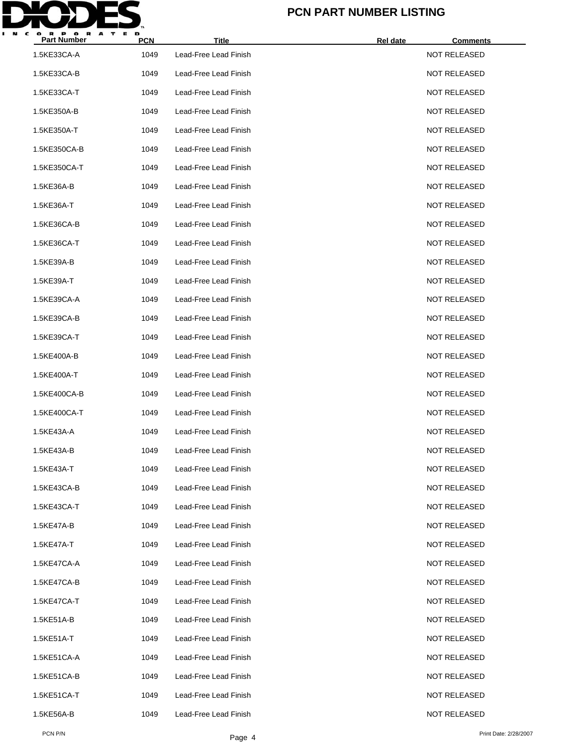

| <b>Part Number</b> | <b>PCN</b> | <b>Title</b>          | <b>Rel date</b> | <b>Comments</b>     |  |
|--------------------|------------|-----------------------|-----------------|---------------------|--|
| 1.5KE33CA-A        | 1049       | Lead-Free Lead Finish |                 | NOT RELEASED        |  |
| 1.5KE33CA-B        | 1049       | Lead-Free Lead Finish |                 | <b>NOT RELEASED</b> |  |
| 1.5KE33CA-T        | 1049       | Lead-Free Lead Finish |                 | <b>NOT RELEASED</b> |  |
| 1.5KE350A-B        | 1049       | Lead-Free Lead Finish |                 | <b>NOT RELEASED</b> |  |
| 1.5KE350A-T        | 1049       | Lead-Free Lead Finish |                 | <b>NOT RELEASED</b> |  |
| 1.5KE350CA-B       | 1049       | Lead-Free Lead Finish |                 | <b>NOT RELEASED</b> |  |
| 1.5KE350CA-T       | 1049       | Lead-Free Lead Finish |                 | <b>NOT RELEASED</b> |  |
| 1.5KE36A-B         | 1049       | Lead-Free Lead Finish |                 | <b>NOT RELEASED</b> |  |
| 1.5KE36A-T         | 1049       | Lead-Free Lead Finish |                 | <b>NOT RELEASED</b> |  |
| 1.5KE36CA-B        | 1049       | Lead-Free Lead Finish |                 | <b>NOT RELEASED</b> |  |
| 1.5KE36CA-T        | 1049       | Lead-Free Lead Finish |                 | <b>NOT RELEASED</b> |  |
| 1.5KE39A-B         | 1049       | Lead-Free Lead Finish |                 | <b>NOT RELEASED</b> |  |
| 1.5KE39A-T         | 1049       | Lead-Free Lead Finish |                 | <b>NOT RELEASED</b> |  |
| 1.5KE39CA-A        | 1049       | Lead-Free Lead Finish |                 | <b>NOT RELEASED</b> |  |
| 1.5KE39CA-B        | 1049       | Lead-Free Lead Finish |                 | <b>NOT RELEASED</b> |  |
| 1.5KE39CA-T        | 1049       | Lead-Free Lead Finish |                 | <b>NOT RELEASED</b> |  |
| 1.5KE400A-B        | 1049       | Lead-Free Lead Finish |                 | <b>NOT RELEASED</b> |  |
| 1.5KE400A-T        | 1049       | Lead-Free Lead Finish |                 | <b>NOT RELEASED</b> |  |
| 1.5KE400CA-B       | 1049       | Lead-Free Lead Finish |                 | <b>NOT RELEASED</b> |  |
| 1.5KE400CA-T       | 1049       | Lead-Free Lead Finish |                 | <b>NOT RELEASED</b> |  |
| 1.5KE43A-A         | 1049       | Lead-Free Lead Finish |                 | <b>NOT RELEASED</b> |  |
| 1.5KE43A-B         | 1049       | Lead-Free Lead Finish |                 | <b>NOT RELEASED</b> |  |
| 1.5KE43A-T         | 1049       | Lead-Free Lead Finish |                 | <b>NOT RELEASED</b> |  |
| 1.5KE43CA-B        | 1049       | Lead-Free Lead Finish |                 | <b>NOT RELEASED</b> |  |
| 1.5KE43CA-T        | 1049       | Lead-Free Lead Finish |                 | <b>NOT RELEASED</b> |  |
| 1.5KE47A-B         | 1049       | Lead-Free Lead Finish |                 | <b>NOT RELEASED</b> |  |
| 1.5KE47A-T         | 1049       | Lead-Free Lead Finish |                 | <b>NOT RELEASED</b> |  |
| 1.5KE47CA-A        | 1049       | Lead-Free Lead Finish |                 | NOT RELEASED        |  |
| 1.5KE47CA-B        | 1049       | Lead-Free Lead Finish |                 | NOT RELEASED        |  |
| 1.5KE47CA-T        | 1049       | Lead-Free Lead Finish |                 | <b>NOT RELEASED</b> |  |
| 1.5KE51A-B         | 1049       | Lead-Free Lead Finish |                 | <b>NOT RELEASED</b> |  |
| 1.5KE51A-T         | 1049       | Lead-Free Lead Finish |                 | NOT RELEASED        |  |
| 1.5KE51CA-A        | 1049       | Lead-Free Lead Finish |                 | <b>NOT RELEASED</b> |  |
| 1.5KE51CA-B        | 1049       | Lead-Free Lead Finish |                 | NOT RELEASED        |  |
| 1.5KE51CA-T        | 1049       | Lead-Free Lead Finish |                 | NOT RELEASED        |  |
| 1.5KE56A-B         | 1049       | Lead-Free Lead Finish |                 | <b>NOT RELEASED</b> |  |
|                    |            |                       |                 |                     |  |

PCN P/N Print Date: 2/28/2007<br>Page 4 Print Date: 2/28/2007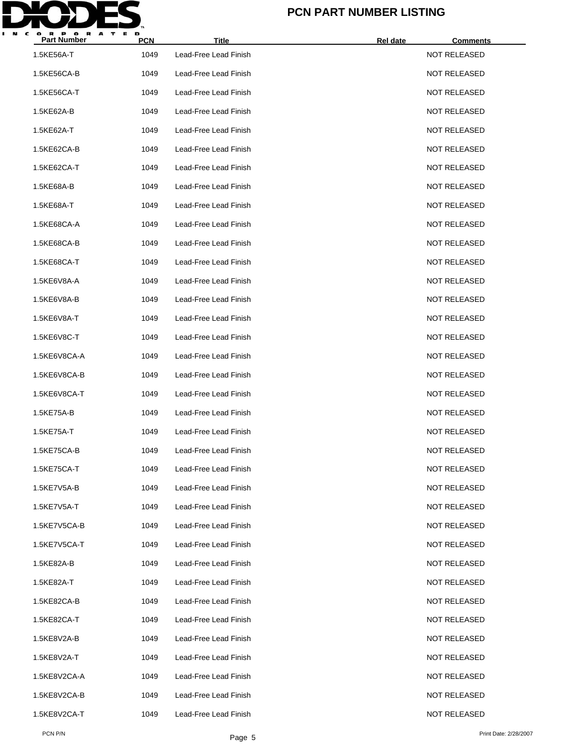

| <b>Part Number</b> | <b>PCN</b> | <b>Title</b>          | <b>Rel date</b> | <b>Comments</b>     |
|--------------------|------------|-----------------------|-----------------|---------------------|
| 1.5KE56A-T         | 1049       | Lead-Free Lead Finish |                 | NOT RELEASED        |
| 1.5KE56CA-B        | 1049       | Lead-Free Lead Finish |                 | <b>NOT RELEASED</b> |
| 1.5KE56CA-T        | 1049       | Lead-Free Lead Finish |                 | <b>NOT RELEASED</b> |
| 1.5KE62A-B         | 1049       | Lead-Free Lead Finish |                 | <b>NOT RELEASED</b> |
| 1.5KE62A-T         | 1049       | Lead-Free Lead Finish |                 | <b>NOT RELEASED</b> |
| 1.5KE62CA-B        | 1049       | Lead-Free Lead Finish |                 | <b>NOT RELEASED</b> |
| 1.5KE62CA-T        | 1049       | Lead-Free Lead Finish |                 | <b>NOT RELEASED</b> |
| 1.5KE68A-B         | 1049       | Lead-Free Lead Finish |                 | <b>NOT RELEASED</b> |
| 1.5KE68A-T         | 1049       | Lead-Free Lead Finish |                 | <b>NOT RELEASED</b> |
| 1.5KE68CA-A        | 1049       | Lead-Free Lead Finish |                 | <b>NOT RELEASED</b> |
| 1.5KE68CA-B        | 1049       | Lead-Free Lead Finish |                 | <b>NOT RELEASED</b> |
| 1.5KE68CA-T        | 1049       | Lead-Free Lead Finish |                 | <b>NOT RELEASED</b> |
| 1.5KE6V8A-A        | 1049       | Lead-Free Lead Finish |                 | <b>NOT RELEASED</b> |
| 1.5KE6V8A-B        | 1049       | Lead-Free Lead Finish |                 | <b>NOT RELEASED</b> |
| 1.5KE6V8A-T        | 1049       | Lead-Free Lead Finish |                 | <b>NOT RELEASED</b> |
| 1.5KE6V8C-T        | 1049       | Lead-Free Lead Finish |                 | <b>NOT RELEASED</b> |
| 1.5KE6V8CA-A       | 1049       | Lead-Free Lead Finish |                 | <b>NOT RELEASED</b> |
| 1.5KE6V8CA-B       | 1049       | Lead-Free Lead Finish |                 | <b>NOT RELEASED</b> |
| 1.5KE6V8CA-T       | 1049       | Lead-Free Lead Finish |                 | <b>NOT RELEASED</b> |
| 1.5KE75A-B         | 1049       | Lead-Free Lead Finish |                 | <b>NOT RELEASED</b> |
| 1.5KE75A-T         | 1049       | Lead-Free Lead Finish |                 | <b>NOT RELEASED</b> |
| 1.5KE75CA-B        | 1049       | Lead-Free Lead Finish |                 | <b>NOT RELEASED</b> |
| 1.5KE75CA-T        | 1049       | Lead-Free Lead Finish |                 | <b>NOT RELEASED</b> |
| 1.5KE7V5A-B        | 1049       | Lead-Free Lead Finish |                 | <b>NOT RELEASED</b> |
| 1.5KE7V5A-T        | 1049       | Lead-Free Lead Finish |                 | <b>NOT RELEASED</b> |
| 1.5KE7V5CA-B       | 1049       | Lead-Free Lead Finish |                 | <b>NOT RELEASED</b> |
| 1.5KE7V5CA-T       | 1049       | Lead-Free Lead Finish |                 | <b>NOT RELEASED</b> |
| 1.5KE82A-B         | 1049       | Lead-Free Lead Finish |                 | <b>NOT RELEASED</b> |
| 1.5KE82A-T         | 1049       | Lead-Free Lead Finish |                 | NOT RELEASED        |
| 1.5KE82CA-B        | 1049       | Lead-Free Lead Finish |                 | <b>NOT RELEASED</b> |
| 1.5KE82CA-T        | 1049       | Lead-Free Lead Finish |                 | <b>NOT RELEASED</b> |
| 1.5KE8V2A-B        | 1049       | Lead-Free Lead Finish |                 | NOT RELEASED        |
| 1.5KE8V2A-T        | 1049       | Lead-Free Lead Finish |                 | <b>NOT RELEASED</b> |
| 1.5KE8V2CA-A       | 1049       | Lead-Free Lead Finish |                 | <b>NOT RELEASED</b> |
| 1.5KE8V2CA-B       | 1049       | Lead-Free Lead Finish |                 | <b>NOT RELEASED</b> |
| 1.5KE8V2CA-T       | 1049       | Lead-Free Lead Finish |                 | <b>NOT RELEASED</b> |
|                    |            |                       |                 |                     |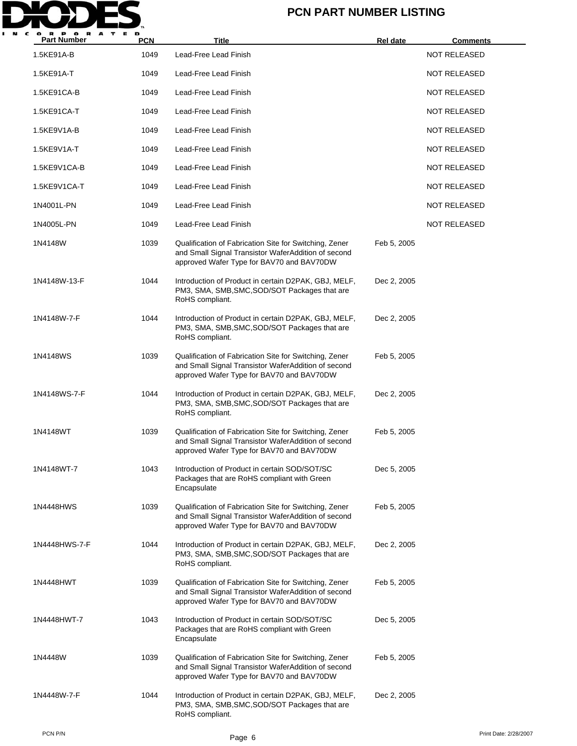

| <b>Part Number</b> | <b>PCN</b> | Title                                                                                                                                                      | Rel date    | <b>Comments</b>     |
|--------------------|------------|------------------------------------------------------------------------------------------------------------------------------------------------------------|-------------|---------------------|
| 1.5KE91A-B         | 1049       | Lead-Free Lead Finish                                                                                                                                      |             | <b>NOT RELEASED</b> |
| 1.5KE91A-T         | 1049       | Lead-Free Lead Finish                                                                                                                                      |             | NOT RELEASED        |
| 1.5KE91CA-B        | 1049       | Lead-Free Lead Finish                                                                                                                                      |             | <b>NOT RELEASED</b> |
| 1.5KE91CA-T        | 1049       | Lead-Free Lead Finish                                                                                                                                      |             | NOT RELEASED        |
| 1.5KE9V1A-B        | 1049       | Lead-Free Lead Finish                                                                                                                                      |             | NOT RELEASED        |
| 1.5KE9V1A-T        | 1049       | Lead-Free Lead Finish                                                                                                                                      |             | NOT RELEASED        |
| 1.5KE9V1CA-B       | 1049       | Lead-Free Lead Finish                                                                                                                                      |             | <b>NOT RELEASED</b> |
| 1.5KE9V1CA-T       | 1049       | Lead-Free Lead Finish                                                                                                                                      |             | NOT RELEASED        |
| 1N4001L-PN         | 1049       | Lead-Free Lead Finish                                                                                                                                      |             | NOT RELEASED        |
| 1N4005L-PN         | 1049       | Lead-Free Lead Finish                                                                                                                                      |             | <b>NOT RELEASED</b> |
| 1N4148W            | 1039       | Qualification of Fabrication Site for Switching, Zener<br>and Small Signal Transistor WaferAddition of second<br>approved Wafer Type for BAV70 and BAV70DW | Feb 5, 2005 |                     |
| 1N4148W-13-F       | 1044       | Introduction of Product in certain D2PAK, GBJ, MELF,<br>PM3, SMA, SMB, SMC, SOD/SOT Packages that are<br>RoHS compliant.                                   | Dec 2, 2005 |                     |
| 1N4148W-7-F        | 1044       | Introduction of Product in certain D2PAK, GBJ, MELF,<br>PM3, SMA, SMB, SMC, SOD/SOT Packages that are<br>RoHS compliant.                                   | Dec 2, 2005 |                     |
| 1N4148WS           | 1039       | Qualification of Fabrication Site for Switching, Zener<br>and Small Signal Transistor WaferAddition of second<br>approved Wafer Type for BAV70 and BAV70DW | Feb 5, 2005 |                     |
| 1N4148WS-7-F       | 1044       | Introduction of Product in certain D2PAK, GBJ, MELF,<br>PM3, SMA, SMB, SMC, SOD/SOT Packages that are<br>RoHS compliant.                                   | Dec 2, 2005 |                     |
| 1N4148WT           | 1039       | Qualification of Fabrication Site for Switching, Zener<br>and Small Signal Transistor WaferAddition of second<br>approved Wafer Type for BAV70 and BAV70DW | Feb 5, 2005 |                     |
| 1N4148WT-7         | 1043       | Introduction of Product in certain SOD/SOT/SC<br>Packages that are RoHS compliant with Green<br>Encapsulate                                                | Dec 5, 2005 |                     |
| 1N4448HWS          | 1039       | Qualification of Fabrication Site for Switching, Zener<br>and Small Signal Transistor WaferAddition of second<br>approved Wafer Type for BAV70 and BAV70DW | Feb 5, 2005 |                     |
| 1N4448HWS-7-F      | 1044       | Introduction of Product in certain D2PAK, GBJ, MELF,<br>PM3, SMA, SMB, SMC, SOD/SOT Packages that are<br>RoHS compliant.                                   | Dec 2, 2005 |                     |
| 1N4448HWT          | 1039       | Qualification of Fabrication Site for Switching, Zener<br>and Small Signal Transistor WaferAddition of second<br>approved Wafer Type for BAV70 and BAV70DW | Feb 5, 2005 |                     |
| 1N4448HWT-7        | 1043       | Introduction of Product in certain SOD/SOT/SC<br>Packages that are RoHS compliant with Green<br>Encapsulate                                                | Dec 5, 2005 |                     |
| 1N4448W            | 1039       | Qualification of Fabrication Site for Switching, Zener<br>and Small Signal Transistor WaferAddition of second<br>approved Wafer Type for BAV70 and BAV70DW | Feb 5, 2005 |                     |
| 1N4448W-7-F        | 1044       | Introduction of Product in certain D2PAK, GBJ, MELF,<br>PM3, SMA, SMB, SMC, SOD/SOT Packages that are<br>RoHS compliant.                                   | Dec 2, 2005 |                     |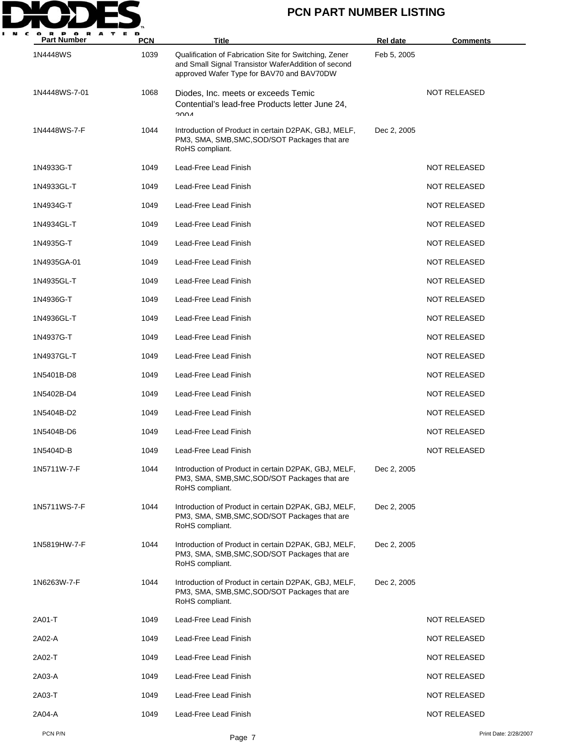

| $\cdot$<br><b>Part Number</b> | <b>PCN</b> | Title                                                                                                                                                      | <b>Rel date</b> | <b>Comments</b>       |
|-------------------------------|------------|------------------------------------------------------------------------------------------------------------------------------------------------------------|-----------------|-----------------------|
| 1N4448WS                      | 1039       | Qualification of Fabrication Site for Switching, Zener<br>and Small Signal Transistor WaferAddition of second<br>approved Wafer Type for BAV70 and BAV70DW | Feb 5, 2005     |                       |
| 1N4448WS-7-01                 | 1068       | Diodes, Inc. meets or exceeds Temic<br>Contential's lead-free Products letter June 24,<br>∧∩∩ר                                                             |                 | <b>NOT RELEASED</b>   |
| 1N4448WS-7-F                  | 1044       | Introduction of Product in certain D2PAK, GBJ, MELF,<br>PM3, SMA, SMB, SMC, SOD/SOT Packages that are<br>RoHS compliant.                                   | Dec 2, 2005     |                       |
| 1N4933G-T                     | 1049       | Lead-Free Lead Finish                                                                                                                                      |                 | <b>NOT RELEASED</b>   |
| 1N4933GL-T                    | 1049       | Lead-Free Lead Finish                                                                                                                                      |                 | <b>NOT RELEASED</b>   |
| 1N4934G-T                     | 1049       | Lead-Free Lead Finish                                                                                                                                      |                 | <b>NOT RELEASED</b>   |
| 1N4934GL-T                    | 1049       | Lead-Free Lead Finish                                                                                                                                      |                 | <b>NOT RELEASED</b>   |
| 1N4935G-T                     | 1049       | Lead-Free Lead Finish                                                                                                                                      |                 | <b>NOT RELEASED</b>   |
| 1N4935GA-01                   | 1049       | Lead-Free Lead Finish                                                                                                                                      |                 | <b>NOT RELEASED</b>   |
| 1N4935GL-T                    | 1049       | Lead-Free Lead Finish                                                                                                                                      |                 | <b>NOT RELEASED</b>   |
| 1N4936G-T                     | 1049       | Lead-Free Lead Finish                                                                                                                                      |                 | <b>NOT RELEASED</b>   |
| 1N4936GL-T                    | 1049       | Lead-Free Lead Finish                                                                                                                                      |                 | <b>NOT RELEASED</b>   |
| 1N4937G-T                     | 1049       | Lead-Free Lead Finish                                                                                                                                      |                 | <b>NOT RELEASED</b>   |
| 1N4937GL-T                    | 1049       | Lead-Free Lead Finish                                                                                                                                      |                 | <b>NOT RELEASED</b>   |
| 1N5401B-D8                    | 1049       | Lead-Free Lead Finish                                                                                                                                      |                 | <b>NOT RELEASED</b>   |
| 1N5402B-D4                    | 1049       | Lead-Free Lead Finish                                                                                                                                      |                 | <b>NOT RELEASED</b>   |
| 1N5404B-D2                    | 1049       | Lead-Free Lead Finish                                                                                                                                      |                 | <b>NOT RELEASED</b>   |
| 1N5404B-D6                    | 1049       | Lead-Free Lead Finish                                                                                                                                      |                 | <b>NOT RELEASED</b>   |
| 1N5404D-B                     | 1049       | Lead-Free Lead Finish                                                                                                                                      |                 | <b>NOT RELEASED</b>   |
| 1N5711W-7-F                   | 1044       | Introduction of Product in certain D2PAK, GBJ, MELF,<br>PM3, SMA, SMB, SMC, SOD/SOT Packages that are<br>RoHS compliant.                                   | Dec 2, 2005     |                       |
| 1N5711WS-7-F                  | 1044       | Introduction of Product in certain D2PAK, GBJ, MELF,<br>PM3, SMA, SMB, SMC, SOD/SOT Packages that are<br>RoHS compliant.                                   | Dec 2, 2005     |                       |
| 1N5819HW-7-F                  | 1044       | Introduction of Product in certain D2PAK, GBJ, MELF,<br>PM3, SMA, SMB, SMC, SOD/SOT Packages that are<br>RoHS compliant.                                   | Dec 2, 2005     |                       |
| 1N6263W-7-F                   | 1044       | Introduction of Product in certain D2PAK, GBJ, MELF,<br>PM3, SMA, SMB, SMC, SOD/SOT Packages that are<br>RoHS compliant.                                   | Dec 2, 2005     |                       |
| 2A01-T                        | 1049       | Lead-Free Lead Finish                                                                                                                                      |                 | <b>NOT RELEASED</b>   |
| 2A02-A                        | 1049       | Lead-Free Lead Finish                                                                                                                                      |                 | NOT RELEASED          |
| 2A02-T                        | 1049       | Lead-Free Lead Finish                                                                                                                                      |                 | <b>NOT RELEASED</b>   |
| 2A03-A                        | 1049       | Lead-Free Lead Finish                                                                                                                                      |                 | <b>NOT RELEASED</b>   |
| 2A03-T                        | 1049       | Lead-Free Lead Finish                                                                                                                                      |                 | NOT RELEASED          |
| 2A04-A                        | 1049       | Lead-Free Lead Finish                                                                                                                                      |                 | <b>NOT RELEASED</b>   |
| PCN P/N                       |            | Page 7                                                                                                                                                     |                 | Print Date: 2/28/2007 |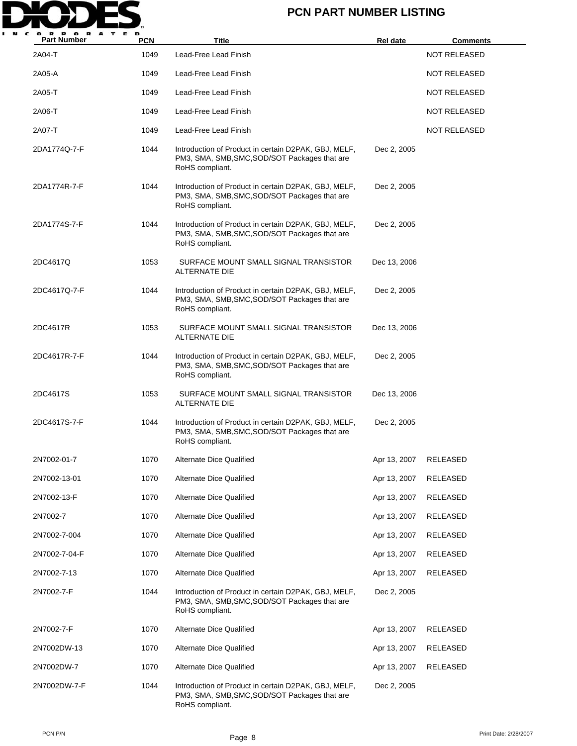

| A<br><b>Part Number</b> | <b>PCN</b> | Title                                                                                                                    | <b>Rel date</b> | <b>Comments</b>     |
|-------------------------|------------|--------------------------------------------------------------------------------------------------------------------------|-----------------|---------------------|
| 2A04-T                  | 1049       | Lead-Free Lead Finish                                                                                                    |                 | <b>NOT RELEASED</b> |
| 2A05-A                  | 1049       | Lead-Free Lead Finish                                                                                                    |                 | NOT RELEASED        |
| 2A05-T                  | 1049       | Lead-Free Lead Finish                                                                                                    |                 | <b>NOT RELEASED</b> |
| 2A06-T                  | 1049       | Lead-Free Lead Finish                                                                                                    |                 | NOT RELEASED        |
| 2A07-T                  | 1049       | Lead-Free Lead Finish                                                                                                    |                 | <b>NOT RELEASED</b> |
| 2DA1774Q-7-F            | 1044       | Introduction of Product in certain D2PAK, GBJ, MELF,<br>PM3, SMA, SMB, SMC, SOD/SOT Packages that are<br>RoHS compliant. | Dec 2, 2005     |                     |
| 2DA1774R-7-F            | 1044       | Introduction of Product in certain D2PAK, GBJ, MELF,<br>PM3, SMA, SMB, SMC, SOD/SOT Packages that are<br>RoHS compliant. | Dec 2, 2005     |                     |
| 2DA1774S-7-F            | 1044       | Introduction of Product in certain D2PAK, GBJ, MELF,<br>PM3, SMA, SMB, SMC, SOD/SOT Packages that are<br>RoHS compliant. | Dec 2, 2005     |                     |
| 2DC4617Q                | 1053       | SURFACE MOUNT SMALL SIGNAL TRANSISTOR<br>ALTERNATE DIE                                                                   | Dec 13, 2006    |                     |
| 2DC4617Q-7-F            | 1044       | Introduction of Product in certain D2PAK, GBJ, MELF,<br>PM3, SMA, SMB, SMC, SOD/SOT Packages that are<br>RoHS compliant. | Dec 2, 2005     |                     |
| 2DC4617R                | 1053       | SURFACE MOUNT SMALL SIGNAL TRANSISTOR<br>ALTERNATE DIE                                                                   | Dec 13, 2006    |                     |
| 2DC4617R-7-F            | 1044       | Introduction of Product in certain D2PAK, GBJ, MELF,<br>PM3, SMA, SMB, SMC, SOD/SOT Packages that are<br>RoHS compliant. | Dec 2, 2005     |                     |
| 2DC4617S                | 1053       | SURFACE MOUNT SMALL SIGNAL TRANSISTOR<br>ALTERNATE DIE                                                                   | Dec 13, 2006    |                     |
| 2DC4617S-7-F            | 1044       | Introduction of Product in certain D2PAK, GBJ, MELF,<br>PM3, SMA, SMB, SMC, SOD/SOT Packages that are<br>RoHS compliant. | Dec 2, 2005     |                     |
| 2N7002-01-7             | 1070       | Alternate Dice Qualified                                                                                                 | Apr 13, 2007    | RELEASED            |
| 2N7002-13-01            | 1070       | Alternate Dice Qualified                                                                                                 | Apr 13, 2007    | <b>RELEASED</b>     |
| 2N7002-13-F             | 1070       | Alternate Dice Qualified                                                                                                 | Apr 13, 2007    | RELEASED            |
| 2N7002-7                | 1070       | <b>Alternate Dice Qualified</b>                                                                                          | Apr 13, 2007    | RELEASED            |
| 2N7002-7-004            | 1070       | Alternate Dice Qualified                                                                                                 | Apr 13, 2007    | RELEASED            |
| 2N7002-7-04-F           | 1070       | Alternate Dice Qualified                                                                                                 | Apr 13, 2007    | RELEASED            |
| 2N7002-7-13             | 1070       | <b>Alternate Dice Qualified</b>                                                                                          | Apr 13, 2007    | RELEASED            |
| 2N7002-7-F              | 1044       | Introduction of Product in certain D2PAK, GBJ, MELF,<br>PM3, SMA, SMB, SMC, SOD/SOT Packages that are<br>RoHS compliant. | Dec 2, 2005     |                     |
| 2N7002-7-F              | 1070       | <b>Alternate Dice Qualified</b>                                                                                          | Apr 13, 2007    | RELEASED            |
| 2N7002DW-13             | 1070       | Alternate Dice Qualified                                                                                                 | Apr 13, 2007    | RELEASED            |
| 2N7002DW-7              | 1070       | Alternate Dice Qualified                                                                                                 | Apr 13, 2007    | <b>RELEASED</b>     |
| 2N7002DW-7-F            | 1044       | Introduction of Product in certain D2PAK, GBJ, MELF,<br>PM3, SMA, SMB, SMC, SOD/SOT Packages that are<br>RoHS compliant. | Dec 2, 2005     |                     |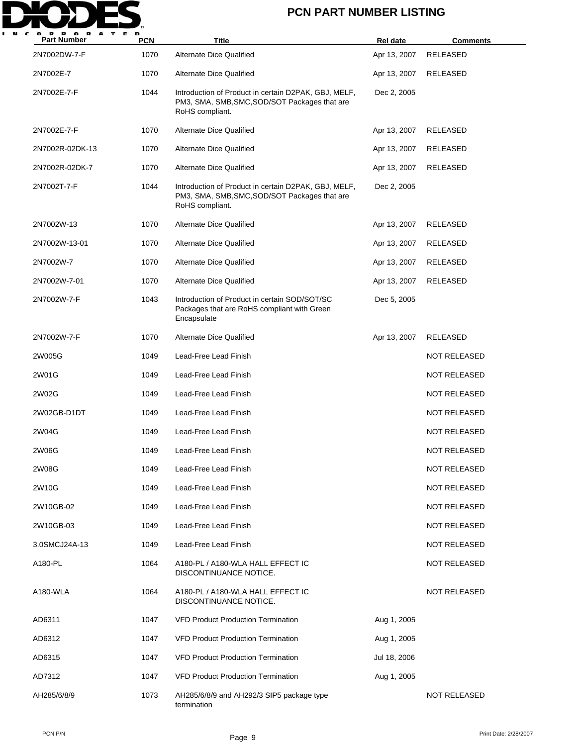

| <b>Part Number</b> | <b>PCN</b> | <b>Title</b>                                                                                                             | Rel date     | <b>Comments</b>     |
|--------------------|------------|--------------------------------------------------------------------------------------------------------------------------|--------------|---------------------|
| 2N7002DW-7-F       | 1070       | <b>Alternate Dice Qualified</b>                                                                                          | Apr 13, 2007 | <b>RELEASED</b>     |
| 2N7002E-7          | 1070       | <b>Alternate Dice Qualified</b>                                                                                          | Apr 13, 2007 | RELEASED            |
| 2N7002E-7-F        | 1044       | Introduction of Product in certain D2PAK, GBJ, MELF,<br>PM3, SMA, SMB, SMC, SOD/SOT Packages that are<br>RoHS compliant. | Dec 2, 2005  |                     |
| 2N7002E-7-F        | 1070       | <b>Alternate Dice Qualified</b>                                                                                          | Apr 13, 2007 | RELEASED            |
| 2N7002R-02DK-13    | 1070       | <b>Alternate Dice Qualified</b>                                                                                          | Apr 13, 2007 | <b>RELEASED</b>     |
| 2N7002R-02DK-7     | 1070       | <b>Alternate Dice Qualified</b>                                                                                          | Apr 13, 2007 | RELEASED            |
| 2N7002T-7-F        | 1044       | Introduction of Product in certain D2PAK, GBJ, MELF,<br>PM3, SMA, SMB, SMC, SOD/SOT Packages that are<br>RoHS compliant. | Dec 2, 2005  |                     |
| 2N7002W-13         | 1070       | <b>Alternate Dice Qualified</b>                                                                                          | Apr 13, 2007 | RELEASED            |
| 2N7002W-13-01      | 1070       | Alternate Dice Qualified                                                                                                 | Apr 13, 2007 | RELEASED            |
| 2N7002W-7          | 1070       | <b>Alternate Dice Qualified</b>                                                                                          | Apr 13, 2007 | <b>RELEASED</b>     |
| 2N7002W-7-01       | 1070       | <b>Alternate Dice Qualified</b>                                                                                          | Apr 13, 2007 | RELEASED            |
| 2N7002W-7-F        | 1043       | Introduction of Product in certain SOD/SOT/SC<br>Packages that are RoHS compliant with Green<br>Encapsulate              | Dec 5, 2005  |                     |
| 2N7002W-7-F        | 1070       | <b>Alternate Dice Qualified</b>                                                                                          | Apr 13, 2007 | RELEASED            |
| 2W005G             | 1049       | Lead-Free Lead Finish                                                                                                    |              | <b>NOT RELEASED</b> |
| 2W01G              | 1049       | Lead-Free Lead Finish                                                                                                    |              | <b>NOT RELEASED</b> |
| 2W02G              | 1049       | Lead-Free Lead Finish                                                                                                    |              | <b>NOT RELEASED</b> |
| 2W02GB-D1DT        | 1049       | Lead-Free Lead Finish                                                                                                    |              | NOT RELEASED        |
| 2W04G              | 1049       | Lead-Free Lead Finish                                                                                                    |              | <b>NOT RELEASED</b> |
| 2W06G              | 1049       | Lead-Free Lead Finish                                                                                                    |              | <b>NOT RELEASED</b> |
| 2W08G              | 1049       | Lead-Free Lead Finish                                                                                                    |              | <b>NOT RELEASED</b> |
| 2W10G              | 1049       | Lead-Free Lead Finish                                                                                                    |              | <b>NOT RELEASED</b> |
| 2W10GB-02          | 1049       | Lead-Free Lead Finish                                                                                                    |              | <b>NOT RELEASED</b> |
| 2W10GB-03          | 1049       | Lead-Free Lead Finish                                                                                                    |              | <b>NOT RELEASED</b> |
| 3.0SMCJ24A-13      | 1049       | Lead-Free Lead Finish                                                                                                    |              | <b>NOT RELEASED</b> |
| A180-PL            | 1064       | A180-PL / A180-WLA HALL EFFECT IC<br>DISCONTINUANCE NOTICE.                                                              |              | <b>NOT RELEASED</b> |
| A180-WLA           | 1064       | A180-PL / A180-WLA HALL EFFECT IC<br>DISCONTINUANCE NOTICE.                                                              |              | <b>NOT RELEASED</b> |
| AD6311             | 1047       | <b>VFD Product Production Termination</b>                                                                                | Aug 1, 2005  |                     |
| AD6312             | 1047       | <b>VFD Product Production Termination</b>                                                                                | Aug 1, 2005  |                     |
| AD6315             | 1047       | <b>VFD Product Production Termination</b>                                                                                | Jul 18, 2006 |                     |
| AD7312             | 1047       | <b>VFD Product Production Termination</b>                                                                                | Aug 1, 2005  |                     |
| AH285/6/8/9        | 1073       | AH285/6/8/9 and AH292/3 SIP5 package type<br>termination                                                                 |              | <b>NOT RELEASED</b> |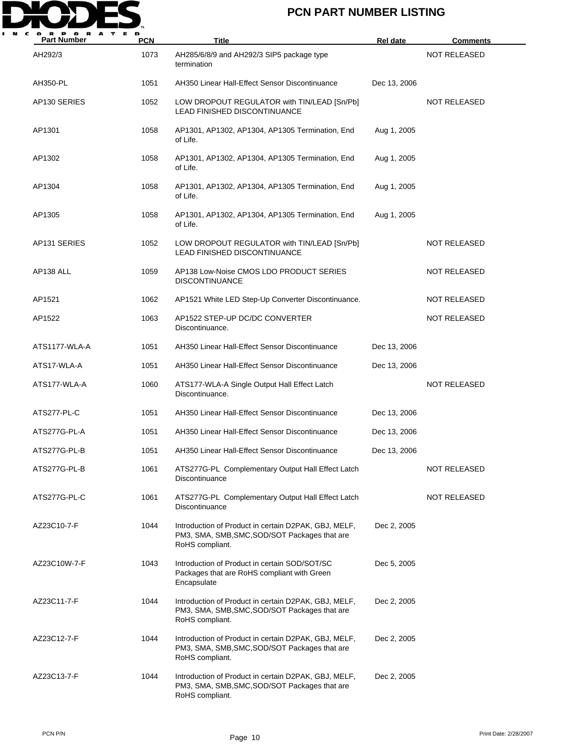

| <b>Part Number</b> | <b>PCN</b> | <b>Title</b>                                                                                                             | Rel date     | <b>Comments</b>     |
|--------------------|------------|--------------------------------------------------------------------------------------------------------------------------|--------------|---------------------|
| AH292/3            | 1073       | AH285/6/8/9 and AH292/3 SIP5 package type<br>termination                                                                 |              | <b>NOT RELEASED</b> |
| AH350-PL           | 1051       | AH350 Linear Hall-Effect Sensor Discontinuance                                                                           | Dec 13, 2006 |                     |
| AP130 SERIES       | 1052       | LOW DROPOUT REGULATOR with TIN/LEAD [Sn/Pb]<br>LEAD FINISHED DISCONTINUANCE                                              |              | <b>NOT RELEASED</b> |
| AP1301             | 1058       | AP1301, AP1302, AP1304, AP1305 Termination, End<br>of Life.                                                              | Aug 1, 2005  |                     |
| AP1302             | 1058       | AP1301, AP1302, AP1304, AP1305 Termination, End<br>of Life.                                                              | Aug 1, 2005  |                     |
| AP1304             | 1058       | AP1301, AP1302, AP1304, AP1305 Termination, End<br>of Life.                                                              | Aug 1, 2005  |                     |
| AP1305             | 1058       | AP1301, AP1302, AP1304, AP1305 Termination, End<br>of Life.                                                              | Aug 1, 2005  |                     |
| AP131 SERIES       | 1052       | LOW DROPOUT REGULATOR with TIN/LEAD [Sn/Pb]<br><b>LEAD FINISHED DISCONTINUANCE</b>                                       |              | <b>NOT RELEASED</b> |
| AP138 ALL          | 1059       | AP138 Low-Noise CMOS LDO PRODUCT SERIES<br><b>DISCONTINUANCE</b>                                                         |              | <b>NOT RELEASED</b> |
| AP1521             | 1062       | AP1521 White LED Step-Up Converter Discontinuance.                                                                       |              | <b>NOT RELEASED</b> |
| AP1522             | 1063       | AP1522 STEP-UP DC/DC CONVERTER<br>Discontinuance.                                                                        |              | <b>NOT RELEASED</b> |
| ATS1177-WLA-A      | 1051       | AH350 Linear Hall-Effect Sensor Discontinuance                                                                           | Dec 13, 2006 |                     |
| ATS17-WLA-A        | 1051       | AH350 Linear Hall-Effect Sensor Discontinuance                                                                           | Dec 13, 2006 |                     |
| ATS177-WLA-A       | 1060       | ATS177-WLA-A Single Output Hall Effect Latch<br>Discontinuance.                                                          |              | <b>NOT RELEASED</b> |
| ATS277-PL-C        | 1051       | AH350 Linear Hall-Effect Sensor Discontinuance                                                                           | Dec 13, 2006 |                     |
| ATS277G-PL-A       | 1051       | AH350 Linear Hall-Effect Sensor Discontinuance                                                                           | Dec 13, 2006 |                     |
| ATS277G-PL-B       | 1051       | AH350 Linear Hall-Effect Sensor Discontinuance                                                                           | Dec 13, 2006 |                     |
| ATS277G-PL-B       | 1061       | ATS277G-PL Complementary Output Hall Effect Latch<br>Discontinuance                                                      |              | NOT RELEASED        |
| ATS277G-PL-C       | 1061       | ATS277G-PL Complementary Output Hall Effect Latch<br>Discontinuance                                                      |              | <b>NOT RELEASED</b> |
| AZ23C10-7-F        | 1044       | Introduction of Product in certain D2PAK, GBJ, MELF,<br>PM3, SMA, SMB, SMC, SOD/SOT Packages that are<br>RoHS compliant. | Dec 2, 2005  |                     |
| AZ23C10W-7-F       | 1043       | Introduction of Product in certain SOD/SOT/SC<br>Packages that are RoHS compliant with Green<br>Encapsulate              | Dec 5, 2005  |                     |
| AZ23C11-7-F        | 1044       | Introduction of Product in certain D2PAK, GBJ, MELF,<br>PM3, SMA, SMB, SMC, SOD/SOT Packages that are<br>RoHS compliant. | Dec 2, 2005  |                     |
| AZ23C12-7-F        | 1044       | Introduction of Product in certain D2PAK, GBJ, MELF,<br>PM3, SMA, SMB, SMC, SOD/SOT Packages that are<br>RoHS compliant. | Dec 2, 2005  |                     |
| AZ23C13-7-F        | 1044       | Introduction of Product in certain D2PAK, GBJ, MELF,<br>PM3, SMA, SMB, SMC, SOD/SOT Packages that are<br>RoHS compliant. | Dec 2, 2005  |                     |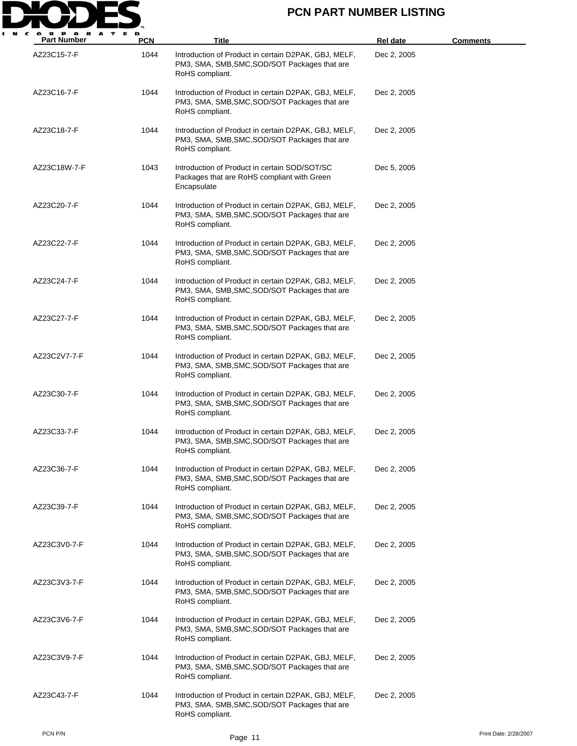

| <b>Part Number</b> | <b>PCN</b> | Title                                                                                                                    | Rel date    | <b>Comments</b>       |
|--------------------|------------|--------------------------------------------------------------------------------------------------------------------------|-------------|-----------------------|
| AZ23C15-7-F        | 1044       | Introduction of Product in certain D2PAK, GBJ, MELF,<br>PM3, SMA, SMB, SMC, SOD/SOT Packages that are<br>RoHS compliant. | Dec 2, 2005 |                       |
| AZ23C16-7-F        | 1044       | Introduction of Product in certain D2PAK, GBJ, MELF,<br>PM3, SMA, SMB, SMC, SOD/SOT Packages that are<br>RoHS compliant. | Dec 2, 2005 |                       |
| AZ23C18-7-F        | 1044       | Introduction of Product in certain D2PAK, GBJ, MELF,<br>PM3, SMA, SMB, SMC, SOD/SOT Packages that are<br>RoHS compliant. | Dec 2, 2005 |                       |
| AZ23C18W-7-F       | 1043       | Introduction of Product in certain SOD/SOT/SC<br>Packages that are RoHS compliant with Green<br>Encapsulate              | Dec 5, 2005 |                       |
| AZ23C20-7-F        | 1044       | Introduction of Product in certain D2PAK, GBJ, MELF,<br>PM3, SMA, SMB, SMC, SOD/SOT Packages that are<br>RoHS compliant. | Dec 2, 2005 |                       |
| AZ23C22-7-F        | 1044       | Introduction of Product in certain D2PAK, GBJ, MELF,<br>PM3, SMA, SMB, SMC, SOD/SOT Packages that are<br>RoHS compliant. | Dec 2, 2005 |                       |
| AZ23C24-7-F        | 1044       | Introduction of Product in certain D2PAK, GBJ, MELF,<br>PM3, SMA, SMB, SMC, SOD/SOT Packages that are<br>RoHS compliant. | Dec 2, 2005 |                       |
| AZ23C27-7-F        | 1044       | Introduction of Product in certain D2PAK, GBJ, MELF,<br>PM3, SMA, SMB, SMC, SOD/SOT Packages that are<br>RoHS compliant. | Dec 2, 2005 |                       |
| AZ23C2V7-7-F       | 1044       | Introduction of Product in certain D2PAK, GBJ, MELF,<br>PM3, SMA, SMB, SMC, SOD/SOT Packages that are<br>RoHS compliant. | Dec 2, 2005 |                       |
| AZ23C30-7-F        | 1044       | Introduction of Product in certain D2PAK, GBJ, MELF,<br>PM3, SMA, SMB, SMC, SOD/SOT Packages that are<br>RoHS compliant. | Dec 2, 2005 |                       |
| AZ23C33-7-F        | 1044       | Introduction of Product in certain D2PAK, GBJ, MELF,<br>PM3, SMA, SMB, SMC, SOD/SOT Packages that are<br>RoHS compliant. | Dec 2, 2005 |                       |
| AZ23C36-7-F        | 1044       | Introduction of Product in certain D2PAK, GBJ, MELF,<br>PM3, SMA, SMB, SMC, SOD/SOT Packages that are<br>RoHS compliant. | Dec 2, 2005 |                       |
| AZ23C39-7-F        | 1044       | Introduction of Product in certain D2PAK, GBJ, MELF,<br>PM3, SMA, SMB, SMC, SOD/SOT Packages that are<br>RoHS compliant. | Dec 2, 2005 |                       |
| AZ23C3V0-7-F       | 1044       | Introduction of Product in certain D2PAK, GBJ, MELF,<br>PM3, SMA, SMB, SMC, SOD/SOT Packages that are<br>RoHS compliant. | Dec 2, 2005 |                       |
| AZ23C3V3-7-F       | 1044       | Introduction of Product in certain D2PAK, GBJ, MELF,<br>PM3, SMA, SMB, SMC, SOD/SOT Packages that are<br>RoHS compliant. | Dec 2, 2005 |                       |
| AZ23C3V6-7-F       | 1044       | Introduction of Product in certain D2PAK, GBJ, MELF,<br>PM3, SMA, SMB, SMC, SOD/SOT Packages that are<br>RoHS compliant. | Dec 2, 2005 |                       |
| AZ23C3V9-7-F       | 1044       | Introduction of Product in certain D2PAK, GBJ, MELF,<br>PM3, SMA, SMB, SMC, SOD/SOT Packages that are<br>RoHS compliant. | Dec 2, 2005 |                       |
| AZ23C43-7-F        | 1044       | Introduction of Product in certain D2PAK, GBJ, MELF,<br>PM3, SMA, SMB, SMC, SOD/SOT Packages that are<br>RoHS compliant. | Dec 2, 2005 |                       |
| PCN P/N            |            | Page 11                                                                                                                  |             | Print Date: 2/28/2007 |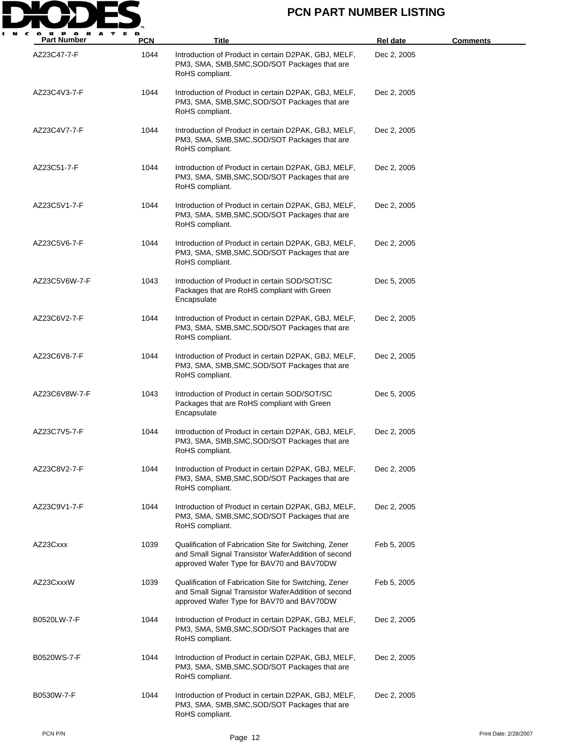

| <b>Part Number</b> | <b>PCN</b> | Title                                                                                                                                                      | <b>Rel date</b> | <b>Comments</b>       |
|--------------------|------------|------------------------------------------------------------------------------------------------------------------------------------------------------------|-----------------|-----------------------|
| AZ23C47-7-F        | 1044       | Introduction of Product in certain D2PAK, GBJ, MELF,<br>PM3, SMA, SMB, SMC, SOD/SOT Packages that are<br>RoHS compliant.                                   | Dec 2, 2005     |                       |
| AZ23C4V3-7-F       | 1044       | Introduction of Product in certain D2PAK, GBJ, MELF,<br>PM3, SMA, SMB, SMC, SOD/SOT Packages that are<br>RoHS compliant.                                   | Dec 2, 2005     |                       |
| AZ23C4V7-7-F       | 1044       | Introduction of Product in certain D2PAK, GBJ, MELF,<br>PM3, SMA, SMB, SMC, SOD/SOT Packages that are<br>RoHS compliant.                                   | Dec 2, 2005     |                       |
| AZ23C51-7-F        | 1044       | Introduction of Product in certain D2PAK, GBJ, MELF,<br>PM3, SMA, SMB, SMC, SOD/SOT Packages that are<br>RoHS compliant.                                   | Dec 2, 2005     |                       |
| AZ23C5V1-7-F       | 1044       | Introduction of Product in certain D2PAK, GBJ, MELF,<br>PM3, SMA, SMB, SMC, SOD/SOT Packages that are<br>RoHS compliant.                                   | Dec 2, 2005     |                       |
| AZ23C5V6-7-F       | 1044       | Introduction of Product in certain D2PAK, GBJ, MELF,<br>PM3, SMA, SMB, SMC, SOD/SOT Packages that are<br>RoHS compliant.                                   | Dec 2, 2005     |                       |
| AZ23C5V6W-7-F      | 1043       | Introduction of Product in certain SOD/SOT/SC<br>Packages that are RoHS compliant with Green<br>Encapsulate                                                | Dec 5, 2005     |                       |
| AZ23C6V2-7-F       | 1044       | Introduction of Product in certain D2PAK, GBJ, MELF,<br>PM3, SMA, SMB, SMC, SOD/SOT Packages that are<br>RoHS compliant.                                   | Dec 2, 2005     |                       |
| AZ23C6V8-7-F       | 1044       | Introduction of Product in certain D2PAK, GBJ, MELF,<br>PM3, SMA, SMB, SMC, SOD/SOT Packages that are<br>RoHS compliant.                                   | Dec 2, 2005     |                       |
| AZ23C6V8W-7-F      | 1043       | Introduction of Product in certain SOD/SOT/SC<br>Packages that are RoHS compliant with Green<br>Encapsulate                                                | Dec 5, 2005     |                       |
| AZ23C7V5-7-F       | 1044       | Introduction of Product in certain D2PAK, GBJ, MELF,<br>PM3, SMA, SMB, SMC, SOD/SOT Packages that are<br>RoHS compliant.                                   | Dec 2, 2005     |                       |
| AZ23C8V2-7-F       | 1044       | Introduction of Product in certain D2PAK, GBJ, MELF,<br>PM3, SMA, SMB, SMC, SOD/SOT Packages that are<br>RoHS compliant.                                   | Dec 2, 2005     |                       |
| AZ23C9V1-7-F       | 1044       | Introduction of Product in certain D2PAK, GBJ, MELF,<br>PM3, SMA, SMB, SMC, SOD/SOT Packages that are<br>RoHS compliant.                                   | Dec 2, 2005     |                       |
| AZ23Cxxx           | 1039       | Qualification of Fabrication Site for Switching, Zener<br>and Small Signal Transistor WaferAddition of second<br>approved Wafer Type for BAV70 and BAV70DW | Feb 5, 2005     |                       |
| AZ23CxxxW          | 1039       | Qualification of Fabrication Site for Switching, Zener<br>and Small Signal Transistor WaferAddition of second<br>approved Wafer Type for BAV70 and BAV70DW | Feb 5, 2005     |                       |
| B0520LW-7-F        | 1044       | Introduction of Product in certain D2PAK, GBJ, MELF,<br>PM3, SMA, SMB, SMC, SOD/SOT Packages that are<br>RoHS compliant.                                   | Dec 2, 2005     |                       |
| B0520WS-7-F        | 1044       | Introduction of Product in certain D2PAK, GBJ, MELF,<br>PM3, SMA, SMB, SMC, SOD/SOT Packages that are<br>RoHS compliant.                                   | Dec 2, 2005     |                       |
| B0530W-7-F         | 1044       | Introduction of Product in certain D2PAK, GBJ, MELF,<br>PM3, SMA, SMB, SMC, SOD/SOT Packages that are<br>RoHS compliant.                                   | Dec 2, 2005     |                       |
| PCN P/N            |            | Page 12                                                                                                                                                    |                 | Print Date: 2/28/2007 |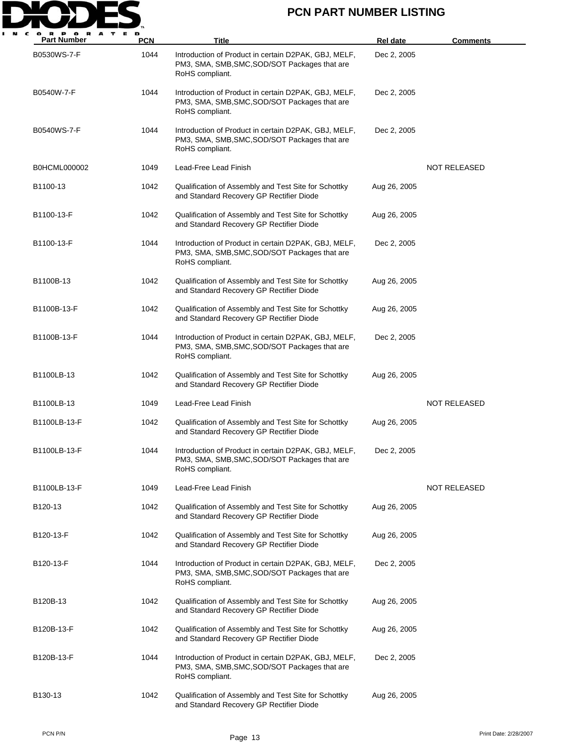

| <b>Part Number</b> | PCN  | <b>Title</b>                                                                                                             | <b>Rel date</b> | <b>Comments</b>     |
|--------------------|------|--------------------------------------------------------------------------------------------------------------------------|-----------------|---------------------|
| B0530WS-7-F        | 1044 | Introduction of Product in certain D2PAK, GBJ, MELF,<br>PM3, SMA, SMB, SMC, SOD/SOT Packages that are<br>RoHS compliant. | Dec 2, 2005     |                     |
| B0540W-7-F         | 1044 | Introduction of Product in certain D2PAK, GBJ, MELF,<br>PM3, SMA, SMB, SMC, SOD/SOT Packages that are<br>RoHS compliant. | Dec 2, 2005     |                     |
| B0540WS-7-F        | 1044 | Introduction of Product in certain D2PAK, GBJ, MELF,<br>PM3, SMA, SMB, SMC, SOD/SOT Packages that are<br>RoHS compliant. | Dec 2, 2005     |                     |
| B0HCML000002       | 1049 | Lead-Free Lead Finish                                                                                                    |                 | <b>NOT RELEASED</b> |
| B1100-13           | 1042 | Qualification of Assembly and Test Site for Schottky<br>and Standard Recovery GP Rectifier Diode                         | Aug 26, 2005    |                     |
| B1100-13-F         | 1042 | Qualification of Assembly and Test Site for Schottky<br>and Standard Recovery GP Rectifier Diode                         | Aug 26, 2005    |                     |
| B1100-13-F         | 1044 | Introduction of Product in certain D2PAK, GBJ, MELF,<br>PM3, SMA, SMB, SMC, SOD/SOT Packages that are<br>RoHS compliant. | Dec 2, 2005     |                     |
| B1100B-13          | 1042 | Qualification of Assembly and Test Site for Schottky<br>and Standard Recovery GP Rectifier Diode                         | Aug 26, 2005    |                     |
| B1100B-13-F        | 1042 | Qualification of Assembly and Test Site for Schottky<br>and Standard Recovery GP Rectifier Diode                         | Aug 26, 2005    |                     |
| B1100B-13-F        | 1044 | Introduction of Product in certain D2PAK, GBJ, MELF,<br>PM3, SMA, SMB, SMC, SOD/SOT Packages that are<br>RoHS compliant. | Dec 2, 2005     |                     |
| B1100LB-13         | 1042 | Qualification of Assembly and Test Site for Schottky<br>and Standard Recovery GP Rectifier Diode                         | Aug 26, 2005    |                     |
| B1100LB-13         | 1049 | Lead-Free Lead Finish                                                                                                    |                 | NOT RELEASED        |
| B1100LB-13-F       | 1042 | Qualification of Assembly and Test Site for Schottky<br>and Standard Recovery GP Rectifier Diode                         | Aug 26, 2005    |                     |
| B1100LB-13-F       | 1044 | Introduction of Product in certain D2PAK, GBJ, MELF,<br>PM3, SMA, SMB, SMC, SOD/SOT Packages that are<br>RoHS compliant. | Dec 2, 2005     |                     |
| B1100LB-13-F       | 1049 | Lead-Free Lead Finish                                                                                                    |                 | <b>NOT RELEASED</b> |
| B120-13            | 1042 | Qualification of Assembly and Test Site for Schottky<br>and Standard Recovery GP Rectifier Diode                         | Aug 26, 2005    |                     |
| B120-13-F          | 1042 | Qualification of Assembly and Test Site for Schottky<br>and Standard Recovery GP Rectifier Diode                         | Aug 26, 2005    |                     |
| B120-13-F          | 1044 | Introduction of Product in certain D2PAK, GBJ, MELF,<br>PM3, SMA, SMB, SMC, SOD/SOT Packages that are<br>RoHS compliant. | Dec 2, 2005     |                     |
| B120B-13           | 1042 | Qualification of Assembly and Test Site for Schottky<br>and Standard Recovery GP Rectifier Diode                         | Aug 26, 2005    |                     |
| B120B-13-F         | 1042 | Qualification of Assembly and Test Site for Schottky<br>and Standard Recovery GP Rectifier Diode                         | Aug 26, 2005    |                     |
| B120B-13-F         | 1044 | Introduction of Product in certain D2PAK, GBJ, MELF,<br>PM3, SMA, SMB, SMC, SOD/SOT Packages that are<br>RoHS compliant. | Dec 2, 2005     |                     |
| B130-13            | 1042 | Qualification of Assembly and Test Site for Schottky<br>and Standard Recovery GP Rectifier Diode                         | Aug 26, 2005    |                     |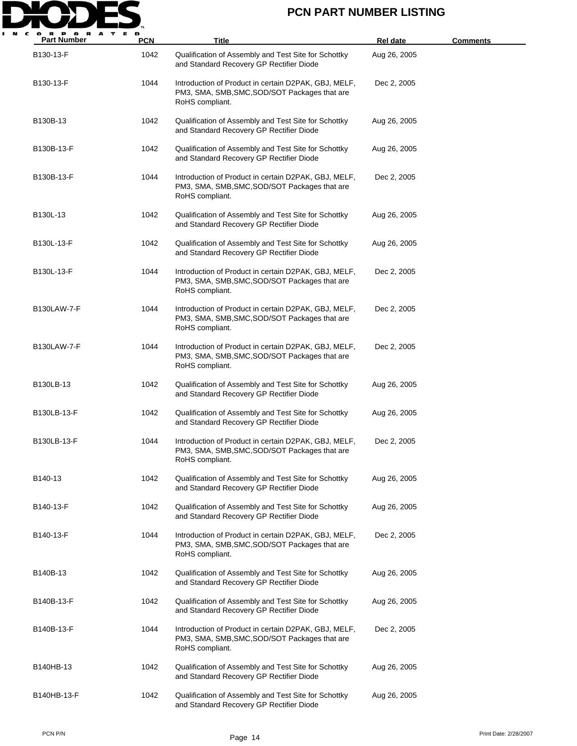

| <b>Part Number</b> | <b>PCN</b> | <b>Title</b>                                                                                                             | <b>Rel date</b> | <u>Comments</u> |
|--------------------|------------|--------------------------------------------------------------------------------------------------------------------------|-----------------|-----------------|
| B130-13-F          | 1042       | Qualification of Assembly and Test Site for Schottky<br>and Standard Recovery GP Rectifier Diode                         | Aug 26, 2005    |                 |
| B130-13-F          | 1044       | Introduction of Product in certain D2PAK, GBJ, MELF,<br>PM3, SMA, SMB, SMC, SOD/SOT Packages that are<br>RoHS compliant. | Dec 2, 2005     |                 |
| B130B-13           | 1042       | Qualification of Assembly and Test Site for Schottky<br>and Standard Recovery GP Rectifier Diode                         | Aug 26, 2005    |                 |
| B130B-13-F         | 1042       | Qualification of Assembly and Test Site for Schottky<br>and Standard Recovery GP Rectifier Diode                         | Aug 26, 2005    |                 |
| B130B-13-F         | 1044       | Introduction of Product in certain D2PAK, GBJ, MELF,<br>PM3, SMA, SMB, SMC, SOD/SOT Packages that are<br>RoHS compliant. | Dec 2, 2005     |                 |
| B130L-13           | 1042       | Qualification of Assembly and Test Site for Schottky<br>and Standard Recovery GP Rectifier Diode                         | Aug 26, 2005    |                 |
| B130L-13-F         | 1042       | Qualification of Assembly and Test Site for Schottky<br>and Standard Recovery GP Rectifier Diode                         | Aug 26, 2005    |                 |
| B130L-13-F         | 1044       | Introduction of Product in certain D2PAK, GBJ, MELF,<br>PM3, SMA, SMB, SMC, SOD/SOT Packages that are<br>RoHS compliant. | Dec 2, 2005     |                 |
| <b>B130LAW-7-F</b> | 1044       | Introduction of Product in certain D2PAK, GBJ, MELF,<br>PM3, SMA, SMB, SMC, SOD/SOT Packages that are<br>RoHS compliant. | Dec 2, 2005     |                 |
| <b>B130LAW-7-F</b> | 1044       | Introduction of Product in certain D2PAK, GBJ, MELF,<br>PM3, SMA, SMB, SMC, SOD/SOT Packages that are<br>RoHS compliant. | Dec 2, 2005     |                 |
| B130LB-13          | 1042       | Qualification of Assembly and Test Site for Schottky<br>and Standard Recovery GP Rectifier Diode                         | Aug 26, 2005    |                 |
| B130LB-13-F        | 1042       | Qualification of Assembly and Test Site for Schottky<br>and Standard Recovery GP Rectifier Diode                         | Aug 26, 2005    |                 |
| B130LB-13-F        | 1044       | Introduction of Product in certain D2PAK, GBJ, MELF,<br>PM3, SMA, SMB, SMC, SOD/SOT Packages that are<br>RoHS compliant. | Dec 2, 2005     |                 |
| B140-13            | 1042       | Qualification of Assembly and Test Site for Schottky<br>and Standard Recovery GP Rectifier Diode                         | Aug 26, 2005    |                 |
| B140-13-F          | 1042       | Qualification of Assembly and Test Site for Schottky<br>and Standard Recovery GP Rectifier Diode                         | Aug 26, 2005    |                 |
| B140-13-F          | 1044       | Introduction of Product in certain D2PAK, GBJ, MELF,<br>PM3, SMA, SMB, SMC, SOD/SOT Packages that are<br>RoHS compliant. | Dec 2, 2005     |                 |
| B140B-13           | 1042       | Qualification of Assembly and Test Site for Schottky<br>and Standard Recovery GP Rectifier Diode                         | Aug 26, 2005    |                 |
| B140B-13-F         | 1042       | Qualification of Assembly and Test Site for Schottky<br>and Standard Recovery GP Rectifier Diode                         | Aug 26, 2005    |                 |
| B140B-13-F         | 1044       | Introduction of Product in certain D2PAK, GBJ, MELF,<br>PM3, SMA, SMB, SMC, SOD/SOT Packages that are<br>RoHS compliant. | Dec 2, 2005     |                 |
| B140HB-13          | 1042       | Qualification of Assembly and Test Site for Schottky<br>and Standard Recovery GP Rectifier Diode                         | Aug 26, 2005    |                 |
| B140HB-13-F        | 1042       | Qualification of Assembly and Test Site for Schottky<br>and Standard Recovery GP Rectifier Diode                         | Aug 26, 2005    |                 |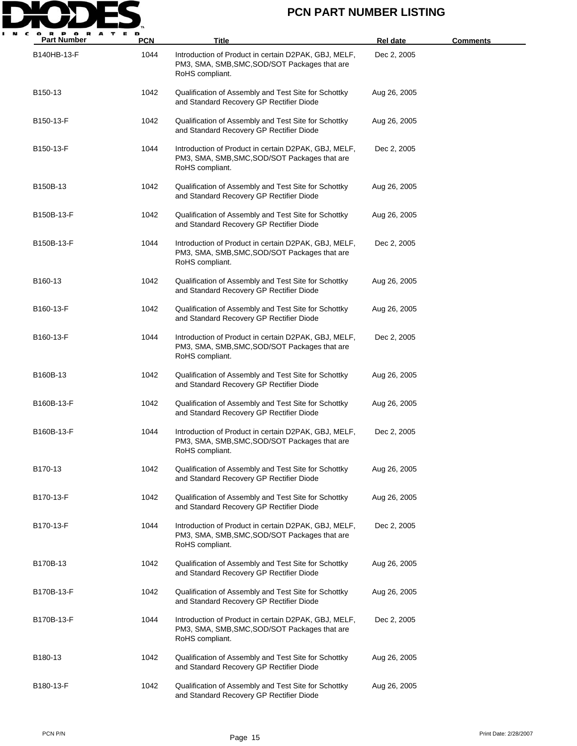

| <b>Part Number</b>   | <b>PCN</b> | Title                                                                                                                    | <b>Rel date</b> | <b>Comments</b> |
|----------------------|------------|--------------------------------------------------------------------------------------------------------------------------|-----------------|-----------------|
| B140HB-13-F          | 1044       | Introduction of Product in certain D2PAK, GBJ, MELF,<br>PM3, SMA, SMB, SMC, SOD/SOT Packages that are<br>RoHS compliant. | Dec 2, 2005     |                 |
| B150-13              | 1042       | Qualification of Assembly and Test Site for Schottky<br>and Standard Recovery GP Rectifier Diode                         | Aug 26, 2005    |                 |
| B150-13-F            | 1042       | Qualification of Assembly and Test Site for Schottky<br>and Standard Recovery GP Rectifier Diode                         | Aug 26, 2005    |                 |
| B150-13-F            | 1044       | Introduction of Product in certain D2PAK, GBJ, MELF,<br>PM3, SMA, SMB, SMC, SOD/SOT Packages that are<br>RoHS compliant. | Dec 2, 2005     |                 |
| B150B-13             | 1042       | Qualification of Assembly and Test Site for Schottky<br>and Standard Recovery GP Rectifier Diode                         | Aug 26, 2005    |                 |
| B150B-13-F           | 1042       | Qualification of Assembly and Test Site for Schottky<br>and Standard Recovery GP Rectifier Diode                         | Aug 26, 2005    |                 |
| B150B-13-F           | 1044       | Introduction of Product in certain D2PAK, GBJ, MELF,<br>PM3, SMA, SMB, SMC, SOD/SOT Packages that are<br>RoHS compliant. | Dec 2, 2005     |                 |
| B <sub>160</sub> -13 | 1042       | Qualification of Assembly and Test Site for Schottky<br>and Standard Recovery GP Rectifier Diode                         | Aug 26, 2005    |                 |
| B160-13-F            | 1042       | Qualification of Assembly and Test Site for Schottky<br>and Standard Recovery GP Rectifier Diode                         | Aug 26, 2005    |                 |
| B160-13-F            | 1044       | Introduction of Product in certain D2PAK, GBJ, MELF,<br>PM3, SMA, SMB, SMC, SOD/SOT Packages that are<br>RoHS compliant. | Dec 2, 2005     |                 |
| B160B-13             | 1042       | Qualification of Assembly and Test Site for Schottky<br>and Standard Recovery GP Rectifier Diode                         | Aug 26, 2005    |                 |
| B160B-13-F           | 1042       | Qualification of Assembly and Test Site for Schottky<br>and Standard Recovery GP Rectifier Diode                         | Aug 26, 2005    |                 |
| B160B-13-F           | 1044       | Introduction of Product in certain D2PAK, GBJ, MELF,<br>PM3, SMA, SMB, SMC, SOD/SOT Packages that are<br>RoHS compliant. | Dec 2, 2005     |                 |
| B170-13              | 1042       | Qualification of Assembly and Test Site for Schottky<br>and Standard Recovery GP Rectifier Diode                         | Aug 26, 2005    |                 |
| B170-13-F            | 1042       | Qualification of Assembly and Test Site for Schottky<br>and Standard Recovery GP Rectifier Diode                         | Aug 26, 2005    |                 |
| B170-13-F            | 1044       | Introduction of Product in certain D2PAK, GBJ, MELF,<br>PM3, SMA, SMB, SMC, SOD/SOT Packages that are<br>RoHS compliant. | Dec 2, 2005     |                 |
| B170B-13             | 1042       | Qualification of Assembly and Test Site for Schottky<br>and Standard Recovery GP Rectifier Diode                         | Aug 26, 2005    |                 |
| B170B-13-F           | 1042       | Qualification of Assembly and Test Site for Schottky<br>and Standard Recovery GP Rectifier Diode                         | Aug 26, 2005    |                 |
| B170B-13-F           | 1044       | Introduction of Product in certain D2PAK, GBJ, MELF,<br>PM3, SMA, SMB, SMC, SOD/SOT Packages that are<br>RoHS compliant. | Dec 2, 2005     |                 |
| B180-13              | 1042       | Qualification of Assembly and Test Site for Schottky<br>and Standard Recovery GP Rectifier Diode                         | Aug 26, 2005    |                 |
| B180-13-F            | 1042       | Qualification of Assembly and Test Site for Schottky<br>and Standard Recovery GP Rectifier Diode                         | Aug 26, 2005    |                 |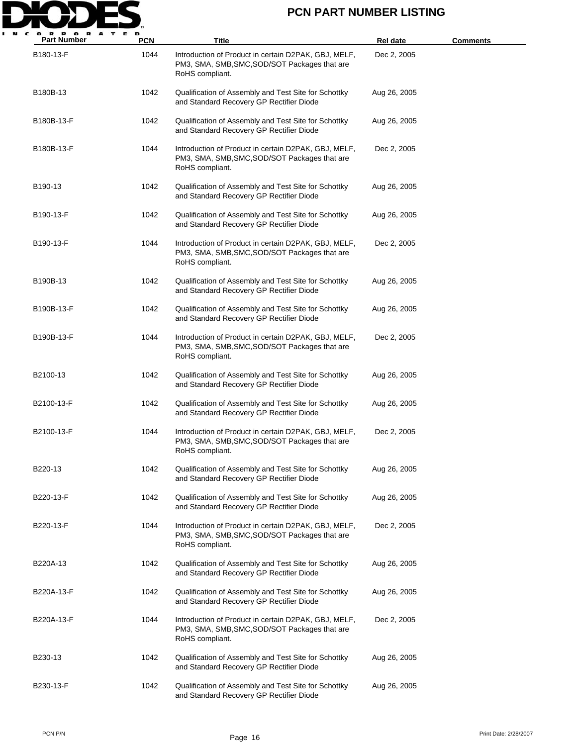

| <b>Part Number</b> | <b>PCN</b> | Title                                                                                                                    | <b>Rel date</b> | <b>Comments</b> |
|--------------------|------------|--------------------------------------------------------------------------------------------------------------------------|-----------------|-----------------|
| B180-13-F          | 1044       | Introduction of Product in certain D2PAK, GBJ, MELF,<br>PM3, SMA, SMB, SMC, SOD/SOT Packages that are<br>RoHS compliant. | Dec 2, 2005     |                 |
| B180B-13           | 1042       | Qualification of Assembly and Test Site for Schottky<br>and Standard Recovery GP Rectifier Diode                         | Aug 26, 2005    |                 |
| B180B-13-F         | 1042       | Qualification of Assembly and Test Site for Schottky<br>and Standard Recovery GP Rectifier Diode                         | Aug 26, 2005    |                 |
| B180B-13-F         | 1044       | Introduction of Product in certain D2PAK, GBJ, MELF,<br>PM3, SMA, SMB, SMC, SOD/SOT Packages that are<br>RoHS compliant. | Dec 2, 2005     |                 |
| B190-13            | 1042       | Qualification of Assembly and Test Site for Schottky<br>and Standard Recovery GP Rectifier Diode                         | Aug 26, 2005    |                 |
| B190-13-F          | 1042       | Qualification of Assembly and Test Site for Schottky<br>and Standard Recovery GP Rectifier Diode                         | Aug 26, 2005    |                 |
| B190-13-F          | 1044       | Introduction of Product in certain D2PAK, GBJ, MELF,<br>PM3, SMA, SMB, SMC, SOD/SOT Packages that are<br>RoHS compliant. | Dec 2, 2005     |                 |
| B190B-13           | 1042       | Qualification of Assembly and Test Site for Schottky<br>and Standard Recovery GP Rectifier Diode                         | Aug 26, 2005    |                 |
| B190B-13-F         | 1042       | Qualification of Assembly and Test Site for Schottky<br>and Standard Recovery GP Rectifier Diode                         | Aug 26, 2005    |                 |
| B190B-13-F         | 1044       | Introduction of Product in certain D2PAK, GBJ, MELF,<br>PM3, SMA, SMB, SMC, SOD/SOT Packages that are<br>RoHS compliant. | Dec 2, 2005     |                 |
| B2100-13           | 1042       | Qualification of Assembly and Test Site for Schottky<br>and Standard Recovery GP Rectifier Diode                         | Aug 26, 2005    |                 |
| B2100-13-F         | 1042       | Qualification of Assembly and Test Site for Schottky<br>and Standard Recovery GP Rectifier Diode                         | Aug 26, 2005    |                 |
| B2100-13-F         | 1044       | Introduction of Product in certain D2PAK, GBJ, MELF,<br>PM3, SMA, SMB, SMC, SOD/SOT Packages that are<br>RoHS compliant. | Dec 2, 2005     |                 |
| B220-13            | 1042       | Qualification of Assembly and Test Site for Schottky<br>and Standard Recovery GP Rectifier Diode                         | Aug 26, 2005    |                 |
| B220-13-F          | 1042       | Qualification of Assembly and Test Site for Schottky<br>and Standard Recovery GP Rectifier Diode                         | Aug 26, 2005    |                 |
| B220-13-F          | 1044       | Introduction of Product in certain D2PAK, GBJ, MELF,<br>PM3, SMA, SMB, SMC, SOD/SOT Packages that are<br>RoHS compliant. | Dec 2, 2005     |                 |
| B220A-13           | 1042       | Qualification of Assembly and Test Site for Schottky<br>and Standard Recovery GP Rectifier Diode                         | Aug 26, 2005    |                 |
| B220A-13-F         | 1042       | Qualification of Assembly and Test Site for Schottky<br>and Standard Recovery GP Rectifier Diode                         | Aug 26, 2005    |                 |
| B220A-13-F         | 1044       | Introduction of Product in certain D2PAK, GBJ, MELF,<br>PM3, SMA, SMB, SMC, SOD/SOT Packages that are<br>RoHS compliant. | Dec 2, 2005     |                 |
| B230-13            | 1042       | Qualification of Assembly and Test Site for Schottky<br>and Standard Recovery GP Rectifier Diode                         | Aug 26, 2005    |                 |
| B230-13-F          | 1042       | Qualification of Assembly and Test Site for Schottky<br>and Standard Recovery GP Rectifier Diode                         | Aug 26, 2005    |                 |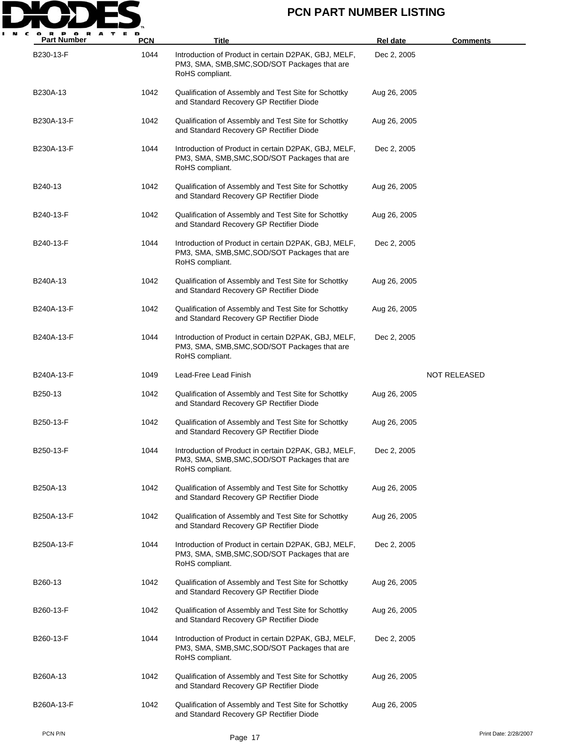

| А<br><b>Part Number</b> | PCN  | Title                                                                                                                    | <b>Rel date</b> | <b>Comments</b>       |
|-------------------------|------|--------------------------------------------------------------------------------------------------------------------------|-----------------|-----------------------|
| B230-13-F               | 1044 | Introduction of Product in certain D2PAK, GBJ, MELF,<br>PM3, SMA, SMB, SMC, SOD/SOT Packages that are<br>RoHS compliant. | Dec 2, 2005     |                       |
| B230A-13                | 1042 | Qualification of Assembly and Test Site for Schottky<br>and Standard Recovery GP Rectifier Diode                         | Aug 26, 2005    |                       |
| B230A-13-F              | 1042 | Qualification of Assembly and Test Site for Schottky<br>and Standard Recovery GP Rectifier Diode                         | Aug 26, 2005    |                       |
| B230A-13-F              | 1044 | Introduction of Product in certain D2PAK, GBJ, MELF,<br>PM3, SMA, SMB, SMC, SOD/SOT Packages that are<br>RoHS compliant. | Dec 2, 2005     |                       |
| B240-13                 | 1042 | Qualification of Assembly and Test Site for Schottky<br>and Standard Recovery GP Rectifier Diode                         | Aug 26, 2005    |                       |
| B240-13-F               | 1042 | Qualification of Assembly and Test Site for Schottky<br>and Standard Recovery GP Rectifier Diode                         | Aug 26, 2005    |                       |
| B240-13-F               | 1044 | Introduction of Product in certain D2PAK, GBJ, MELF,<br>PM3, SMA, SMB, SMC, SOD/SOT Packages that are<br>RoHS compliant. | Dec 2, 2005     |                       |
| B240A-13                | 1042 | Qualification of Assembly and Test Site for Schottky<br>and Standard Recovery GP Rectifier Diode                         | Aug 26, 2005    |                       |
| B240A-13-F              | 1042 | Qualification of Assembly and Test Site for Schottky<br>and Standard Recovery GP Rectifier Diode                         | Aug 26, 2005    |                       |
| B240A-13-F              | 1044 | Introduction of Product in certain D2PAK, GBJ, MELF,<br>PM3, SMA, SMB, SMC, SOD/SOT Packages that are<br>RoHS compliant. | Dec 2, 2005     |                       |
| B240A-13-F              | 1049 | Lead-Free Lead Finish                                                                                                    |                 | <b>NOT RELEASED</b>   |
| B250-13                 | 1042 | Qualification of Assembly and Test Site for Schottky<br>and Standard Recovery GP Rectifier Diode                         | Aug 26, 2005    |                       |
| B250-13-F               | 1042 | Qualification of Assembly and Test Site for Schottky<br>and Standard Recovery GP Rectifier Diode                         | Aug 26, 2005    |                       |
| B250-13-F               | 1044 | Introduction of Product in certain D2PAK, GBJ, MELF,<br>PM3, SMA, SMB, SMC, SOD/SOT Packages that are<br>RoHS compliant. | Dec 2, 2005     |                       |
| B250A-13                | 1042 | Qualification of Assembly and Test Site for Schottky<br>and Standard Recovery GP Rectifier Diode                         | Aug 26, 2005    |                       |
| B250A-13-F              | 1042 | Qualification of Assembly and Test Site for Schottky<br>and Standard Recovery GP Rectifier Diode                         | Aug 26, 2005    |                       |
| B250A-13-F              | 1044 | Introduction of Product in certain D2PAK, GBJ, MELF,<br>PM3, SMA, SMB, SMC, SOD/SOT Packages that are<br>RoHS compliant. | Dec 2, 2005     |                       |
| B260-13                 | 1042 | Qualification of Assembly and Test Site for Schottky<br>and Standard Recovery GP Rectifier Diode                         | Aug 26, 2005    |                       |
| B260-13-F               | 1042 | Qualification of Assembly and Test Site for Schottky<br>and Standard Recovery GP Rectifier Diode                         | Aug 26, 2005    |                       |
| B260-13-F               | 1044 | Introduction of Product in certain D2PAK, GBJ, MELF,<br>PM3, SMA, SMB, SMC, SOD/SOT Packages that are<br>RoHS compliant. | Dec 2, 2005     |                       |
| B260A-13                | 1042 | Qualification of Assembly and Test Site for Schottky<br>and Standard Recovery GP Rectifier Diode                         | Aug 26, 2005    |                       |
| B260A-13-F              | 1042 | Qualification of Assembly and Test Site for Schottky<br>and Standard Recovery GP Rectifier Diode                         | Aug 26, 2005    |                       |
| PCN P/N                 |      | Page 17                                                                                                                  |                 | Print Date: 2/28/2007 |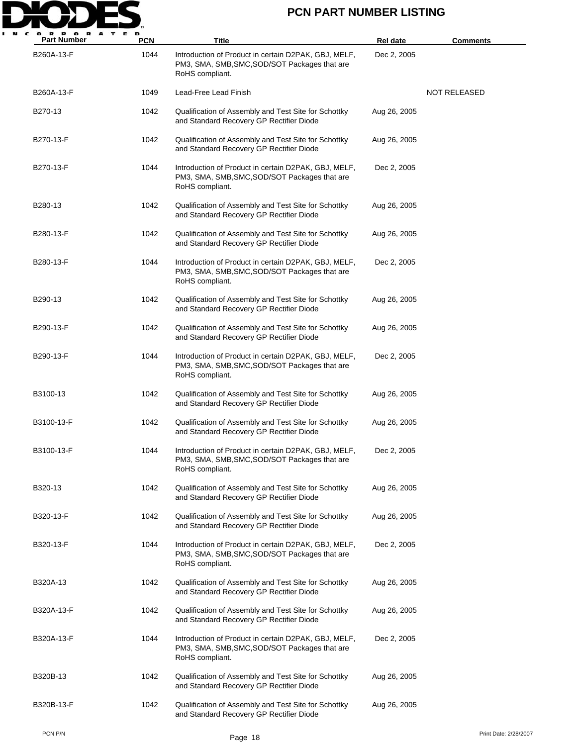

| <b>Part Number</b> | <b>PCN</b> | Title                                                                                                                    | Rel date     | <u>Comments</u>       |
|--------------------|------------|--------------------------------------------------------------------------------------------------------------------------|--------------|-----------------------|
| B260A-13-F         | 1044       | Introduction of Product in certain D2PAK, GBJ, MELF,<br>PM3, SMA, SMB, SMC, SOD/SOT Packages that are<br>RoHS compliant. | Dec 2, 2005  |                       |
| B260A-13-F         | 1049       | Lead-Free Lead Finish                                                                                                    |              | NOT RELEASED          |
| B270-13            | 1042       | Qualification of Assembly and Test Site for Schottky<br>and Standard Recovery GP Rectifier Diode                         | Aug 26, 2005 |                       |
| B270-13-F          | 1042       | Qualification of Assembly and Test Site for Schottky<br>and Standard Recovery GP Rectifier Diode                         | Aug 26, 2005 |                       |
| B270-13-F          | 1044       | Introduction of Product in certain D2PAK, GBJ, MELF,<br>PM3, SMA, SMB, SMC, SOD/SOT Packages that are<br>RoHS compliant. | Dec 2, 2005  |                       |
| B280-13            | 1042       | Qualification of Assembly and Test Site for Schottky<br>and Standard Recovery GP Rectifier Diode                         | Aug 26, 2005 |                       |
| B280-13-F          | 1042       | Qualification of Assembly and Test Site for Schottky<br>and Standard Recovery GP Rectifier Diode                         | Aug 26, 2005 |                       |
| B280-13-F          | 1044       | Introduction of Product in certain D2PAK, GBJ, MELF,<br>PM3, SMA, SMB, SMC, SOD/SOT Packages that are<br>RoHS compliant. | Dec 2, 2005  |                       |
| B290-13            | 1042       | Qualification of Assembly and Test Site for Schottky<br>and Standard Recovery GP Rectifier Diode                         | Aug 26, 2005 |                       |
| B290-13-F          | 1042       | Qualification of Assembly and Test Site for Schottky<br>and Standard Recovery GP Rectifier Diode                         | Aug 26, 2005 |                       |
| B290-13-F          | 1044       | Introduction of Product in certain D2PAK, GBJ, MELF,<br>PM3, SMA, SMB, SMC, SOD/SOT Packages that are<br>RoHS compliant. | Dec 2, 2005  |                       |
| B3100-13           | 1042       | Qualification of Assembly and Test Site for Schottky<br>and Standard Recovery GP Rectifier Diode                         | Aug 26, 2005 |                       |
| B3100-13-F         | 1042       | Qualification of Assembly and Test Site for Schottky<br>and Standard Recovery GP Rectifier Diode                         | Aug 26, 2005 |                       |
| B3100-13-F         | 1044       | Introduction of Product in certain D2PAK, GBJ, MELF,<br>PM3, SMA, SMB, SMC, SOD/SOT Packages that are<br>RoHS compliant. | Dec 2, 2005  |                       |
| B320-13            | 1042       | Qualification of Assembly and Test Site for Schottky<br>and Standard Recovery GP Rectifier Diode                         | Aug 26, 2005 |                       |
| B320-13-F          | 1042       | Qualification of Assembly and Test Site for Schottky<br>and Standard Recovery GP Rectifier Diode                         | Aug 26, 2005 |                       |
| B320-13-F          | 1044       | Introduction of Product in certain D2PAK, GBJ, MELF,<br>PM3, SMA, SMB, SMC, SOD/SOT Packages that are<br>RoHS compliant. | Dec 2, 2005  |                       |
| B320A-13           | 1042       | Qualification of Assembly and Test Site for Schottky<br>and Standard Recovery GP Rectifier Diode                         | Aug 26, 2005 |                       |
| B320A-13-F         | 1042       | Qualification of Assembly and Test Site for Schottky<br>and Standard Recovery GP Rectifier Diode                         | Aug 26, 2005 |                       |
| B320A-13-F         | 1044       | Introduction of Product in certain D2PAK, GBJ, MELF,<br>PM3, SMA, SMB, SMC, SOD/SOT Packages that are<br>RoHS compliant. | Dec 2, 2005  |                       |
| B320B-13           | 1042       | Qualification of Assembly and Test Site for Schottky<br>and Standard Recovery GP Rectifier Diode                         | Aug 26, 2005 |                       |
| B320B-13-F         | 1042       | Qualification of Assembly and Test Site for Schottky<br>and Standard Recovery GP Rectifier Diode                         | Aug 26, 2005 |                       |
| PCN P/N            |            | Page 18                                                                                                                  |              | Print Date: 2/28/2007 |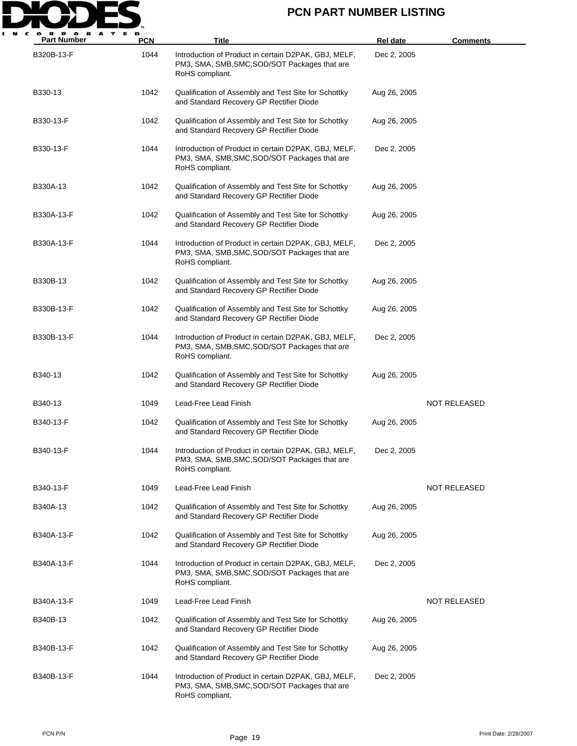

| $\mathbf o$<br><b>Part Number</b> | <b>PCN</b> | Title                                                                                                                    | <b>Rel date</b> | <b>Comments</b>     |
|-----------------------------------|------------|--------------------------------------------------------------------------------------------------------------------------|-----------------|---------------------|
| B320B-13-F                        | 1044       | Introduction of Product in certain D2PAK, GBJ, MELF,<br>PM3, SMA, SMB, SMC, SOD/SOT Packages that are<br>RoHS compliant. | Dec 2, 2005     |                     |
| B330-13                           | 1042       | Qualification of Assembly and Test Site for Schottky<br>and Standard Recovery GP Rectifier Diode                         | Aug 26, 2005    |                     |
| B330-13-F                         | 1042       | Qualification of Assembly and Test Site for Schottky<br>and Standard Recovery GP Rectifier Diode                         | Aug 26, 2005    |                     |
| B330-13-F                         | 1044       | Introduction of Product in certain D2PAK, GBJ, MELF,<br>PM3, SMA, SMB, SMC, SOD/SOT Packages that are<br>RoHS compliant. | Dec 2, 2005     |                     |
| B330A-13                          | 1042       | Qualification of Assembly and Test Site for Schottky<br>and Standard Recovery GP Rectifier Diode                         | Aug 26, 2005    |                     |
| B330A-13-F                        | 1042       | Qualification of Assembly and Test Site for Schottky<br>and Standard Recovery GP Rectifier Diode                         | Aug 26, 2005    |                     |
| B330A-13-F                        | 1044       | Introduction of Product in certain D2PAK, GBJ, MELF,<br>PM3, SMA, SMB, SMC, SOD/SOT Packages that are<br>RoHS compliant. | Dec 2, 2005     |                     |
| B330B-13                          | 1042       | Qualification of Assembly and Test Site for Schottky<br>and Standard Recovery GP Rectifier Diode                         | Aug 26, 2005    |                     |
| B330B-13-F                        | 1042       | Qualification of Assembly and Test Site for Schottky<br>and Standard Recovery GP Rectifier Diode                         | Aug 26, 2005    |                     |
| B330B-13-F                        | 1044       | Introduction of Product in certain D2PAK, GBJ, MELF,<br>PM3, SMA, SMB, SMC, SOD/SOT Packages that are<br>RoHS compliant. | Dec 2, 2005     |                     |
| B340-13                           | 1042       | Qualification of Assembly and Test Site for Schottky<br>and Standard Recovery GP Rectifier Diode                         | Aug 26, 2005    |                     |
| B340-13                           | 1049       | Lead-Free Lead Finish                                                                                                    |                 | NOT RELEASED        |
| B340-13-F                         | 1042       | Qualification of Assembly and Test Site for Schottky<br>and Standard Recovery GP Rectifier Diode                         | Aug 26, 2005    |                     |
| B340-13-F                         | 1044       | Introduction of Product in certain D2PAK, GBJ, MELF,<br>PM3, SMA, SMB, SMC, SOD/SOT Packages that are<br>RoHS compliant. | Dec 2, 2005     |                     |
| B340-13-F                         | 1049       | Lead-Free Lead Finish                                                                                                    |                 | NOT RELEASED        |
| B340A-13                          | 1042       | Qualification of Assembly and Test Site for Schottky<br>and Standard Recovery GP Rectifier Diode                         | Aug 26, 2005    |                     |
| B340A-13-F                        | 1042       | Qualification of Assembly and Test Site for Schottky<br>and Standard Recovery GP Rectifier Diode                         | Aug 26, 2005    |                     |
| B340A-13-F                        | 1044       | Introduction of Product in certain D2PAK, GBJ, MELF,<br>PM3, SMA, SMB, SMC, SOD/SOT Packages that are<br>RoHS compliant. | Dec 2, 2005     |                     |
| B340A-13-F                        | 1049       | Lead-Free Lead Finish                                                                                                    |                 | <b>NOT RELEASED</b> |
| B340B-13                          | 1042       | Qualification of Assembly and Test Site for Schottky<br>and Standard Recovery GP Rectifier Diode                         | Aug 26, 2005    |                     |
| B340B-13-F                        | 1042       | Qualification of Assembly and Test Site for Schottky<br>and Standard Recovery GP Rectifier Diode                         | Aug 26, 2005    |                     |
| B340B-13-F                        | 1044       | Introduction of Product in certain D2PAK, GBJ, MELF,<br>PM3, SMA, SMB, SMC, SOD/SOT Packages that are<br>RoHS compliant. | Dec 2, 2005     |                     |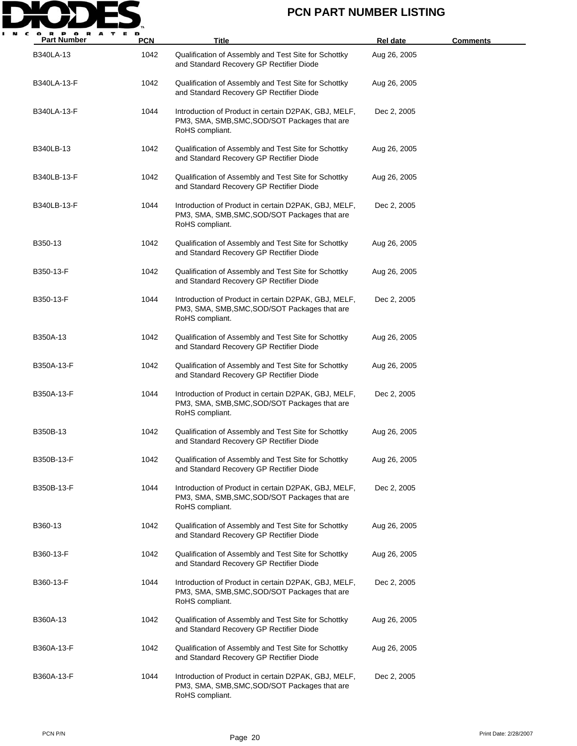

| P OR<br>A<br><b>Part Number</b> | <b>PCN</b> | Title                                                                                                                    | <b>Rel date</b> | <b>Comments</b> |
|---------------------------------|------------|--------------------------------------------------------------------------------------------------------------------------|-----------------|-----------------|
| B340LA-13                       | 1042       | Qualification of Assembly and Test Site for Schottky<br>and Standard Recovery GP Rectifier Diode                         | Aug 26, 2005    |                 |
| B340LA-13-F                     | 1042       | Qualification of Assembly and Test Site for Schottky<br>and Standard Recovery GP Rectifier Diode                         | Aug 26, 2005    |                 |
| B340LA-13-F                     | 1044       | Introduction of Product in certain D2PAK, GBJ, MELF,<br>PM3, SMA, SMB, SMC, SOD/SOT Packages that are<br>RoHS compliant. | Dec 2, 2005     |                 |
| B340LB-13                       | 1042       | Qualification of Assembly and Test Site for Schottky<br>and Standard Recovery GP Rectifier Diode                         | Aug 26, 2005    |                 |
| B340LB-13-F                     | 1042       | Qualification of Assembly and Test Site for Schottky<br>and Standard Recovery GP Rectifier Diode                         | Aug 26, 2005    |                 |
| B340LB-13-F                     | 1044       | Introduction of Product in certain D2PAK, GBJ, MELF,<br>PM3, SMA, SMB, SMC, SOD/SOT Packages that are<br>RoHS compliant. | Dec 2, 2005     |                 |
| B350-13                         | 1042       | Qualification of Assembly and Test Site for Schottky<br>and Standard Recovery GP Rectifier Diode                         | Aug 26, 2005    |                 |
| B350-13-F                       | 1042       | Qualification of Assembly and Test Site for Schottky<br>and Standard Recovery GP Rectifier Diode                         | Aug 26, 2005    |                 |
| B350-13-F                       | 1044       | Introduction of Product in certain D2PAK, GBJ, MELF,<br>PM3, SMA, SMB, SMC, SOD/SOT Packages that are<br>RoHS compliant. | Dec 2, 2005     |                 |
| B350A-13                        | 1042       | Qualification of Assembly and Test Site for Schottky<br>and Standard Recovery GP Rectifier Diode                         | Aug 26, 2005    |                 |
| B350A-13-F                      | 1042       | Qualification of Assembly and Test Site for Schottky<br>and Standard Recovery GP Rectifier Diode                         | Aug 26, 2005    |                 |
| B350A-13-F                      | 1044       | Introduction of Product in certain D2PAK, GBJ, MELF,<br>PM3, SMA, SMB, SMC, SOD/SOT Packages that are<br>RoHS compliant. | Dec 2, 2005     |                 |
| B350B-13                        | 1042       | Qualification of Assembly and Test Site for Schottky<br>and Standard Recovery GP Rectifier Diode                         | Aug 26, 2005    |                 |
| B350B-13-F                      | 1042       | Qualification of Assembly and Test Site for Schottky<br>and Standard Recovery GP Rectifier Diode                         | Aug 26, 2005    |                 |
| B350B-13-F                      | 1044       | Introduction of Product in certain D2PAK, GBJ, MELF,<br>PM3, SMA, SMB, SMC, SOD/SOT Packages that are<br>RoHS compliant. | Dec 2, 2005     |                 |
| B360-13                         | 1042       | Qualification of Assembly and Test Site for Schottky<br>and Standard Recovery GP Rectifier Diode                         | Aug 26, 2005    |                 |
| B360-13-F                       | 1042       | Qualification of Assembly and Test Site for Schottky<br>and Standard Recovery GP Rectifier Diode                         | Aug 26, 2005    |                 |
| B360-13-F                       | 1044       | Introduction of Product in certain D2PAK, GBJ, MELF,<br>PM3, SMA, SMB, SMC, SOD/SOT Packages that are<br>RoHS compliant. | Dec 2, 2005     |                 |
| B360A-13                        | 1042       | Qualification of Assembly and Test Site for Schottky<br>and Standard Recovery GP Rectifier Diode                         | Aug 26, 2005    |                 |
| B360A-13-F                      | 1042       | Qualification of Assembly and Test Site for Schottky<br>and Standard Recovery GP Rectifier Diode                         | Aug 26, 2005    |                 |
| B360A-13-F                      | 1044       | Introduction of Product in certain D2PAK, GBJ, MELF,<br>PM3, SMA, SMB, SMC, SOD/SOT Packages that are<br>RoHS compliant. | Dec 2, 2005     |                 |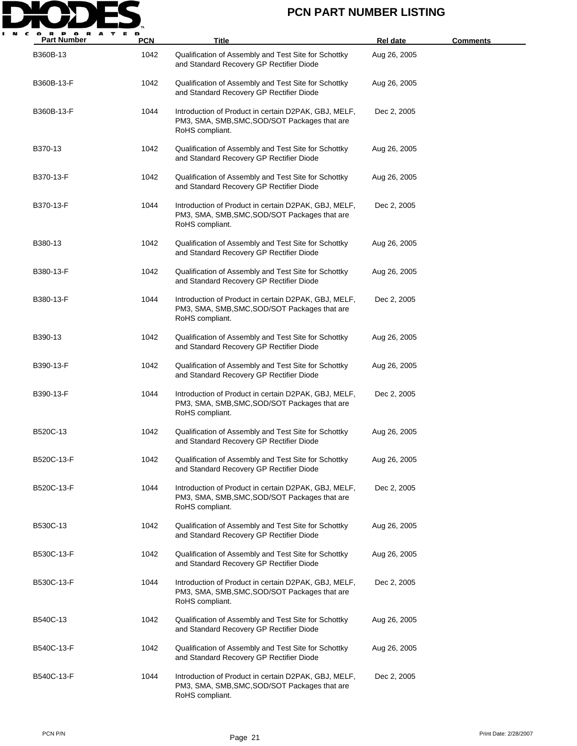

| <b>Part Number</b> | <b>PCN</b> | Title                                                                                                                    | <b>Rel date</b> | <b>Comments</b> |
|--------------------|------------|--------------------------------------------------------------------------------------------------------------------------|-----------------|-----------------|
| B360B-13           | 1042       | Qualification of Assembly and Test Site for Schottky<br>and Standard Recovery GP Rectifier Diode                         | Aug 26, 2005    |                 |
| B360B-13-F         | 1042       | Qualification of Assembly and Test Site for Schottky<br>and Standard Recovery GP Rectifier Diode                         | Aug 26, 2005    |                 |
| B360B-13-F         | 1044       | Introduction of Product in certain D2PAK, GBJ, MELF,<br>PM3, SMA, SMB, SMC, SOD/SOT Packages that are<br>RoHS compliant. | Dec 2, 2005     |                 |
| B370-13            | 1042       | Qualification of Assembly and Test Site for Schottky<br>and Standard Recovery GP Rectifier Diode                         | Aug 26, 2005    |                 |
| B370-13-F          | 1042       | Qualification of Assembly and Test Site for Schottky<br>and Standard Recovery GP Rectifier Diode                         | Aug 26, 2005    |                 |
| B370-13-F          | 1044       | Introduction of Product in certain D2PAK, GBJ, MELF,<br>PM3, SMA, SMB, SMC, SOD/SOT Packages that are<br>RoHS compliant. | Dec 2, 2005     |                 |
| B380-13            | 1042       | Qualification of Assembly and Test Site for Schottky<br>and Standard Recovery GP Rectifier Diode                         | Aug 26, 2005    |                 |
| B380-13-F          | 1042       | Qualification of Assembly and Test Site for Schottky<br>and Standard Recovery GP Rectifier Diode                         | Aug 26, 2005    |                 |
| B380-13-F          | 1044       | Introduction of Product in certain D2PAK, GBJ, MELF,<br>PM3, SMA, SMB, SMC, SOD/SOT Packages that are<br>RoHS compliant. | Dec 2, 2005     |                 |
| B390-13            | 1042       | Qualification of Assembly and Test Site for Schottky<br>and Standard Recovery GP Rectifier Diode                         | Aug 26, 2005    |                 |
| B390-13-F          | 1042       | Qualification of Assembly and Test Site for Schottky<br>and Standard Recovery GP Rectifier Diode                         | Aug 26, 2005    |                 |
| B390-13-F          | 1044       | Introduction of Product in certain D2PAK, GBJ, MELF,<br>PM3, SMA, SMB, SMC, SOD/SOT Packages that are<br>RoHS compliant. | Dec 2, 2005     |                 |
| B520C-13           | 1042       | Qualification of Assembly and Test Site for Schottky<br>and Standard Recovery GP Rectifier Diode                         | Aug 26, 2005    |                 |
| B520C-13-F         | 1042       | Qualification of Assembly and Test Site for Schottky<br>and Standard Recovery GP Rectifier Diode                         | Aug 26, 2005    |                 |
| B520C-13-F         | 1044       | Introduction of Product in certain D2PAK, GBJ, MELF,<br>PM3, SMA, SMB, SMC, SOD/SOT Packages that are<br>RoHS compliant. | Dec 2, 2005     |                 |
| B530C-13           | 1042       | Qualification of Assembly and Test Site for Schottky<br>and Standard Recovery GP Rectifier Diode                         | Aug 26, 2005    |                 |
| B530C-13-F         | 1042       | Qualification of Assembly and Test Site for Schottky<br>and Standard Recovery GP Rectifier Diode                         | Aug 26, 2005    |                 |
| B530C-13-F         | 1044       | Introduction of Product in certain D2PAK, GBJ, MELF,<br>PM3, SMA, SMB, SMC, SOD/SOT Packages that are<br>RoHS compliant. | Dec 2, 2005     |                 |
| B540C-13           | 1042       | Qualification of Assembly and Test Site for Schottky<br>and Standard Recovery GP Rectifier Diode                         | Aug 26, 2005    |                 |
| B540C-13-F         | 1042       | Qualification of Assembly and Test Site for Schottky<br>and Standard Recovery GP Rectifier Diode                         | Aug 26, 2005    |                 |
| B540C-13-F         | 1044       | Introduction of Product in certain D2PAK, GBJ, MELF,<br>PM3, SMA, SMB, SMC, SOD/SOT Packages that are<br>RoHS compliant. | Dec 2, 2005     |                 |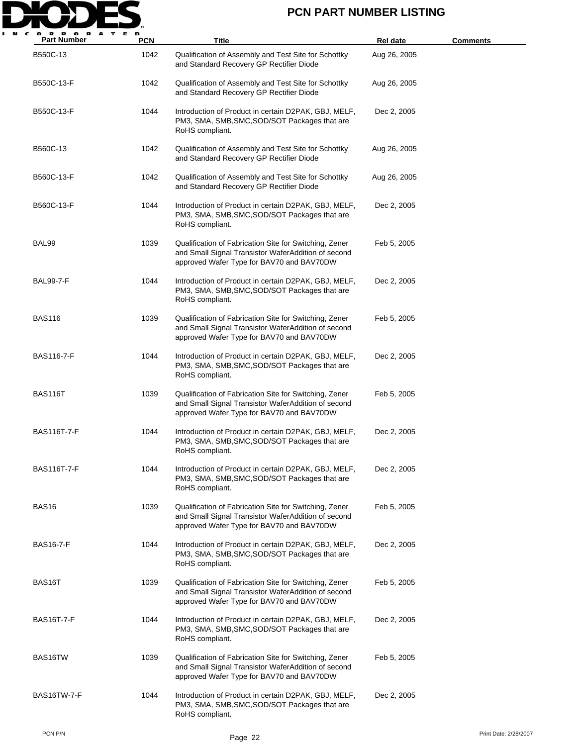

| <b>Part Number</b> | <b>PCN</b> | Title                                                                                                                                                      | <b>Rel date</b> | <b>Comments</b> |
|--------------------|------------|------------------------------------------------------------------------------------------------------------------------------------------------------------|-----------------|-----------------|
| B550C-13           | 1042       | Qualification of Assembly and Test Site for Schottky<br>and Standard Recovery GP Rectifier Diode                                                           | Aug 26, 2005    |                 |
| B550C-13-F         | 1042       | Qualification of Assembly and Test Site for Schottky<br>and Standard Recovery GP Rectifier Diode                                                           | Aug 26, 2005    |                 |
| B550C-13-F         | 1044       | Introduction of Product in certain D2PAK, GBJ, MELF,<br>PM3, SMA, SMB, SMC, SOD/SOT Packages that are<br>RoHS compliant.                                   | Dec 2, 2005     |                 |
| B560C-13           | 1042       | Qualification of Assembly and Test Site for Schottky<br>and Standard Recovery GP Rectifier Diode                                                           | Aug 26, 2005    |                 |
| B560C-13-F         | 1042       | Qualification of Assembly and Test Site for Schottky<br>and Standard Recovery GP Rectifier Diode                                                           | Aug 26, 2005    |                 |
| B560C-13-F         | 1044       | Introduction of Product in certain D2PAK, GBJ, MELF,<br>PM3, SMA, SMB, SMC, SOD/SOT Packages that are<br>RoHS compliant.                                   | Dec 2, 2005     |                 |
| BAL99              | 1039       | Qualification of Fabrication Site for Switching, Zener<br>and Small Signal Transistor WaferAddition of second<br>approved Wafer Type for BAV70 and BAV70DW | Feb 5, 2005     |                 |
| <b>BAL99-7-F</b>   | 1044       | Introduction of Product in certain D2PAK, GBJ, MELF,<br>PM3, SMA, SMB, SMC, SOD/SOT Packages that are<br>RoHS compliant.                                   | Dec 2, 2005     |                 |
| <b>BAS116</b>      | 1039       | Qualification of Fabrication Site for Switching, Zener<br>and Small Signal Transistor WaferAddition of second<br>approved Wafer Type for BAV70 and BAV70DW | Feb 5, 2005     |                 |
| <b>BAS116-7-F</b>  | 1044       | Introduction of Product in certain D2PAK, GBJ, MELF,<br>PM3, SMA, SMB, SMC, SOD/SOT Packages that are<br>RoHS compliant.                                   | Dec 2, 2005     |                 |
| BAS116T            | 1039       | Qualification of Fabrication Site for Switching, Zener<br>and Small Signal Transistor WaferAddition of second<br>approved Wafer Type for BAV70 and BAV70DW | Feb 5, 2005     |                 |
| <b>BAS116T-7-F</b> | 1044       | Introduction of Product in certain D2PAK, GBJ, MELF,<br>PM3, SMA, SMB, SMC, SOD/SOT Packages that are<br>RoHS compliant.                                   | Dec 2, 2005     |                 |
| <b>BAS116T-7-F</b> | 1044       | Introduction of Product in certain D2PAK, GBJ, MELF,<br>PM3, SMA, SMB, SMC, SOD/SOT Packages that are<br>RoHS compliant.                                   | Dec 2, 2005     |                 |
| BAS <sub>16</sub>  | 1039       | Qualification of Fabrication Site for Switching, Zener<br>and Small Signal Transistor WaferAddition of second<br>approved Wafer Type for BAV70 and BAV70DW | Feb 5, 2005     |                 |
| <b>BAS16-7-F</b>   | 1044       | Introduction of Product in certain D2PAK, GBJ, MELF,<br>PM3, SMA, SMB, SMC, SOD/SOT Packages that are<br>RoHS compliant.                                   | Dec 2, 2005     |                 |
| BAS16T             | 1039       | Qualification of Fabrication Site for Switching, Zener<br>and Small Signal Transistor WaferAddition of second<br>approved Wafer Type for BAV70 and BAV70DW | Feb 5, 2005     |                 |
| <b>BAS16T-7-F</b>  | 1044       | Introduction of Product in certain D2PAK, GBJ, MELF,<br>PM3, SMA, SMB, SMC, SOD/SOT Packages that are<br>RoHS compliant.                                   | Dec 2, 2005     |                 |
| BAS16TW            | 1039       | Qualification of Fabrication Site for Switching, Zener<br>and Small Signal Transistor WaferAddition of second<br>approved Wafer Type for BAV70 and BAV70DW | Feb 5, 2005     |                 |
| BAS16TW-7-F        | 1044       | Introduction of Product in certain D2PAK, GBJ, MELF,<br>PM3, SMA, SMB, SMC, SOD/SOT Packages that are<br>RoHS compliant.                                   | Dec 2, 2005     |                 |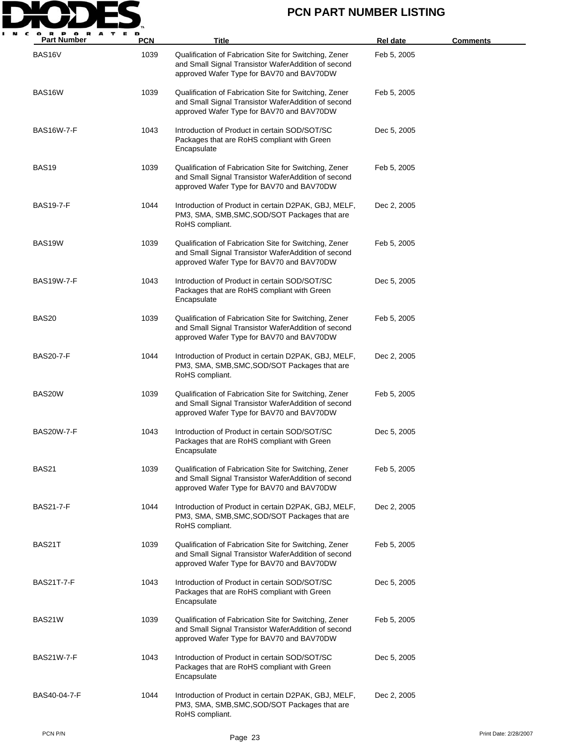

| <b>Part Number</b> | <b>PCN</b> | Title                                                                                                                                                      | <b>Rel date</b> | <b>Comments</b> |
|--------------------|------------|------------------------------------------------------------------------------------------------------------------------------------------------------------|-----------------|-----------------|
| BAS16V             | 1039       | Qualification of Fabrication Site for Switching, Zener<br>and Small Signal Transistor WaferAddition of second<br>approved Wafer Type for BAV70 and BAV70DW | Feb 5, 2005     |                 |
| BAS16W             | 1039       | Qualification of Fabrication Site for Switching, Zener<br>and Small Signal Transistor WaferAddition of second<br>approved Wafer Type for BAV70 and BAV70DW | Feb 5, 2005     |                 |
| <b>BAS16W-7-F</b>  | 1043       | Introduction of Product in certain SOD/SOT/SC<br>Packages that are RoHS compliant with Green<br>Encapsulate                                                | Dec 5, 2005     |                 |
| <b>BAS19</b>       | 1039       | Qualification of Fabrication Site for Switching, Zener<br>and Small Signal Transistor WaferAddition of second<br>approved Wafer Type for BAV70 and BAV70DW | Feb 5, 2005     |                 |
| <b>BAS19-7-F</b>   | 1044       | Introduction of Product in certain D2PAK, GBJ, MELF,<br>PM3, SMA, SMB, SMC, SOD/SOT Packages that are<br>RoHS compliant.                                   | Dec 2, 2005     |                 |
| BAS19W             | 1039       | Qualification of Fabrication Site for Switching, Zener<br>and Small Signal Transistor WaferAddition of second<br>approved Wafer Type for BAV70 and BAV70DW | Feb 5, 2005     |                 |
| <b>BAS19W-7-F</b>  | 1043       | Introduction of Product in certain SOD/SOT/SC<br>Packages that are RoHS compliant with Green<br>Encapsulate                                                | Dec 5, 2005     |                 |
| <b>BAS20</b>       | 1039       | Qualification of Fabrication Site for Switching, Zener<br>and Small Signal Transistor WaferAddition of second<br>approved Wafer Type for BAV70 and BAV70DW | Feb 5, 2005     |                 |
| <b>BAS20-7-F</b>   | 1044       | Introduction of Product in certain D2PAK, GBJ, MELF,<br>PM3, SMA, SMB, SMC, SOD/SOT Packages that are<br>RoHS compliant.                                   | Dec 2, 2005     |                 |
| BAS20W             | 1039       | Qualification of Fabrication Site for Switching, Zener<br>and Small Signal Transistor WaferAddition of second<br>approved Wafer Type for BAV70 and BAV70DW | Feb 5, 2005     |                 |
| BAS20W-7-F         | 1043       | Introduction of Product in certain SOD/SOT/SC<br>Packages that are RoHS compliant with Green<br>Encapsulate                                                | Dec 5, 2005     |                 |
| <b>BAS21</b>       | 1039       | Qualification of Fabrication Site for Switching, Zener<br>and Small Signal Transistor WaferAddition of second<br>approved Wafer Type for BAV70 and BAV70DW | Feb 5, 2005     |                 |
| <b>BAS21-7-F</b>   | 1044       | Introduction of Product in certain D2PAK, GBJ, MELF,<br>PM3, SMA, SMB, SMC, SOD/SOT Packages that are<br>RoHS compliant.                                   | Dec 2, 2005     |                 |
| BAS21T             | 1039       | Qualification of Fabrication Site for Switching, Zener<br>and Small Signal Transistor WaferAddition of second<br>approved Wafer Type for BAV70 and BAV70DW | Feb 5, 2005     |                 |
| <b>BAS21T-7-F</b>  | 1043       | Introduction of Product in certain SOD/SOT/SC<br>Packages that are RoHS compliant with Green<br>Encapsulate                                                | Dec 5, 2005     |                 |
| BAS21W             | 1039       | Qualification of Fabrication Site for Switching, Zener<br>and Small Signal Transistor WaferAddition of second<br>approved Wafer Type for BAV70 and BAV70DW | Feb 5, 2005     |                 |
| <b>BAS21W-7-F</b>  | 1043       | Introduction of Product in certain SOD/SOT/SC<br>Packages that are RoHS compliant with Green<br>Encapsulate                                                | Dec 5, 2005     |                 |
| BAS40-04-7-F       | 1044       | Introduction of Product in certain D2PAK, GBJ, MELF,<br>PM3, SMA, SMB, SMC, SOD/SOT Packages that are<br>RoHS compliant.                                   | Dec 2, 2005     |                 |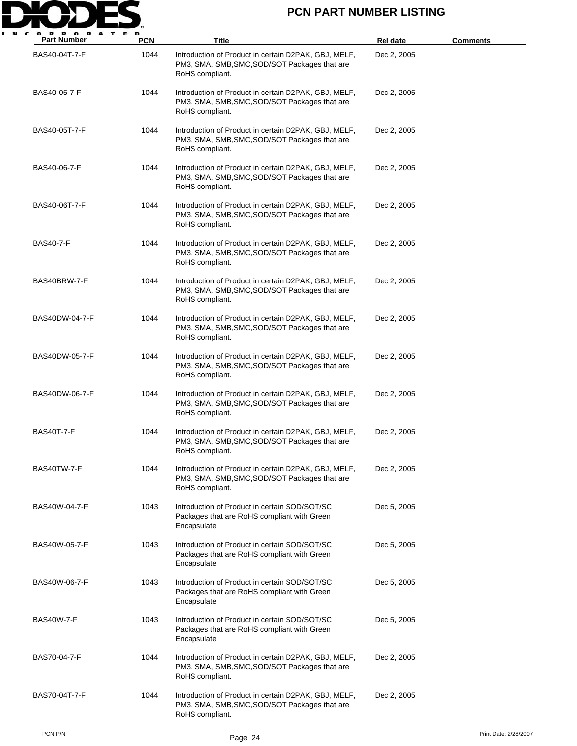

| <b>Part Number</b> | <b>PCN</b> | <b>Title</b>                                                                                                             | Rel date    | <b>Comments</b> |
|--------------------|------------|--------------------------------------------------------------------------------------------------------------------------|-------------|-----------------|
| BAS40-04T-7-F      | 1044       | Introduction of Product in certain D2PAK, GBJ, MELF,<br>PM3, SMA, SMB, SMC, SOD/SOT Packages that are<br>RoHS compliant. | Dec 2, 2005 |                 |
| BAS40-05-7-F       | 1044       | Introduction of Product in certain D2PAK, GBJ, MELF,<br>PM3, SMA, SMB, SMC, SOD/SOT Packages that are<br>RoHS compliant. | Dec 2, 2005 |                 |
| BAS40-05T-7-F      | 1044       | Introduction of Product in certain D2PAK, GBJ, MELF,<br>PM3, SMA, SMB, SMC, SOD/SOT Packages that are<br>RoHS compliant. | Dec 2, 2005 |                 |
| BAS40-06-7-F       | 1044       | Introduction of Product in certain D2PAK, GBJ, MELF,<br>PM3, SMA, SMB, SMC, SOD/SOT Packages that are<br>RoHS compliant. | Dec 2, 2005 |                 |
| BAS40-06T-7-F      | 1044       | Introduction of Product in certain D2PAK, GBJ, MELF,<br>PM3, SMA, SMB, SMC, SOD/SOT Packages that are<br>RoHS compliant. | Dec 2, 2005 |                 |
| <b>BAS40-7-F</b>   | 1044       | Introduction of Product in certain D2PAK, GBJ, MELF,<br>PM3, SMA, SMB, SMC, SOD/SOT Packages that are<br>RoHS compliant. | Dec 2, 2005 |                 |
| BAS40BRW-7-F       | 1044       | Introduction of Product in certain D2PAK, GBJ, MELF,<br>PM3, SMA, SMB, SMC, SOD/SOT Packages that are<br>RoHS compliant. | Dec 2, 2005 |                 |
| BAS40DW-04-7-F     | 1044       | Introduction of Product in certain D2PAK, GBJ, MELF,<br>PM3, SMA, SMB, SMC, SOD/SOT Packages that are<br>RoHS compliant. | Dec 2, 2005 |                 |
| BAS40DW-05-7-F     | 1044       | Introduction of Product in certain D2PAK, GBJ, MELF,<br>PM3, SMA, SMB, SMC, SOD/SOT Packages that are<br>RoHS compliant. | Dec 2, 2005 |                 |
| BAS40DW-06-7-F     | 1044       | Introduction of Product in certain D2PAK, GBJ, MELF,<br>PM3, SMA, SMB, SMC, SOD/SOT Packages that are<br>RoHS compliant. | Dec 2, 2005 |                 |
| <b>BAS40T-7-F</b>  | 1044       | Introduction of Product in certain D2PAK, GBJ, MELF,<br>PM3, SMA, SMB, SMC, SOD/SOT Packages that are<br>RoHS compliant. | Dec 2, 2005 |                 |
| BAS40TW-7-F        | 1044       | Introduction of Product in certain D2PAK, GBJ, MELF,<br>PM3, SMA, SMB, SMC, SOD/SOT Packages that are<br>RoHS compliant. | Dec 2, 2005 |                 |
| BAS40W-04-7-F      | 1043       | Introduction of Product in certain SOD/SOT/SC<br>Packages that are RoHS compliant with Green<br>Encapsulate              | Dec 5, 2005 |                 |
| BAS40W-05-7-F      | 1043       | Introduction of Product in certain SOD/SOT/SC<br>Packages that are RoHS compliant with Green<br>Encapsulate              | Dec 5, 2005 |                 |
| BAS40W-06-7-F      | 1043       | Introduction of Product in certain SOD/SOT/SC<br>Packages that are RoHS compliant with Green<br>Encapsulate              | Dec 5, 2005 |                 |
| <b>BAS40W-7-F</b>  | 1043       | Introduction of Product in certain SOD/SOT/SC<br>Packages that are RoHS compliant with Green<br>Encapsulate              | Dec 5, 2005 |                 |
| BAS70-04-7-F       | 1044       | Introduction of Product in certain D2PAK, GBJ, MELF,<br>PM3, SMA, SMB, SMC, SOD/SOT Packages that are<br>RoHS compliant. | Dec 2, 2005 |                 |
| BAS70-04T-7-F      | 1044       | Introduction of Product in certain D2PAK, GBJ, MELF,<br>PM3, SMA, SMB, SMC, SOD/SOT Packages that are<br>RoHS compliant. | Dec 2, 2005 |                 |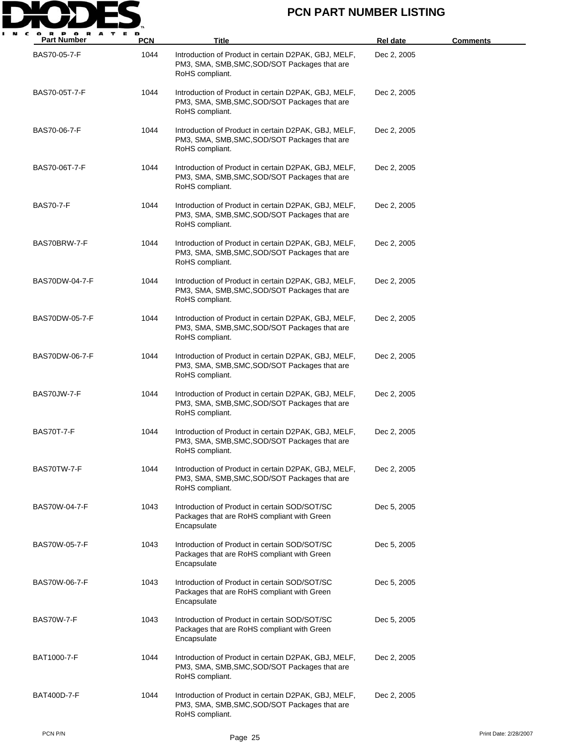

| <b>Part Number</b> | <b>PCN</b> | Title                                                                                                                    | <b>Rel date</b> | <b>Comments</b>       |
|--------------------|------------|--------------------------------------------------------------------------------------------------------------------------|-----------------|-----------------------|
| BAS70-05-7-F       | 1044       | Introduction of Product in certain D2PAK, GBJ, MELF,<br>PM3, SMA, SMB, SMC, SOD/SOT Packages that are<br>RoHS compliant. | Dec 2, 2005     |                       |
| BAS70-05T-7-F      | 1044       | Introduction of Product in certain D2PAK, GBJ, MELF,<br>PM3, SMA, SMB, SMC, SOD/SOT Packages that are<br>RoHS compliant. | Dec 2, 2005     |                       |
| BAS70-06-7-F       | 1044       | Introduction of Product in certain D2PAK, GBJ, MELF,<br>PM3, SMA, SMB, SMC, SOD/SOT Packages that are<br>RoHS compliant. | Dec 2, 2005     |                       |
| BAS70-06T-7-F      | 1044       | Introduction of Product in certain D2PAK, GBJ, MELF,<br>PM3, SMA, SMB, SMC, SOD/SOT Packages that are<br>RoHS compliant. | Dec 2, 2005     |                       |
| <b>BAS70-7-F</b>   | 1044       | Introduction of Product in certain D2PAK, GBJ, MELF,<br>PM3, SMA, SMB, SMC, SOD/SOT Packages that are<br>RoHS compliant. | Dec 2, 2005     |                       |
| BAS70BRW-7-F       | 1044       | Introduction of Product in certain D2PAK, GBJ, MELF,<br>PM3, SMA, SMB, SMC, SOD/SOT Packages that are<br>RoHS compliant. | Dec 2, 2005     |                       |
| BAS70DW-04-7-F     | 1044       | Introduction of Product in certain D2PAK, GBJ, MELF,<br>PM3, SMA, SMB, SMC, SOD/SOT Packages that are<br>RoHS compliant. | Dec 2, 2005     |                       |
| BAS70DW-05-7-F     | 1044       | Introduction of Product in certain D2PAK, GBJ, MELF,<br>PM3, SMA, SMB, SMC, SOD/SOT Packages that are<br>RoHS compliant. | Dec 2, 2005     |                       |
| BAS70DW-06-7-F     | 1044       | Introduction of Product in certain D2PAK, GBJ, MELF,<br>PM3, SMA, SMB, SMC, SOD/SOT Packages that are<br>RoHS compliant. | Dec 2, 2005     |                       |
| BAS70JW-7-F        | 1044       | Introduction of Product in certain D2PAK, GBJ, MELF,<br>PM3, SMA, SMB, SMC, SOD/SOT Packages that are<br>RoHS compliant. | Dec 2, 2005     |                       |
| <b>BAS70T-7-F</b>  | 1044       | Introduction of Product in certain D2PAK, GBJ, MELF,<br>PM3, SMA, SMB, SMC, SOD/SOT Packages that are<br>RoHS compliant. | Dec 2, 2005     |                       |
| BAS70TW-7-F        | 1044       | Introduction of Product in certain D2PAK, GBJ, MELF,<br>PM3, SMA, SMB, SMC, SOD/SOT Packages that are<br>RoHS compliant. | Dec 2, 2005     |                       |
| BAS70W-04-7-F      | 1043       | Introduction of Product in certain SOD/SOT/SC<br>Packages that are RoHS compliant with Green<br>Encapsulate              | Dec 5, 2005     |                       |
| BAS70W-05-7-F      | 1043       | Introduction of Product in certain SOD/SOT/SC<br>Packages that are RoHS compliant with Green<br>Encapsulate              | Dec 5, 2005     |                       |
| BAS70W-06-7-F      | 1043       | Introduction of Product in certain SOD/SOT/SC<br>Packages that are RoHS compliant with Green<br>Encapsulate              | Dec 5, 2005     |                       |
| <b>BAS70W-7-F</b>  | 1043       | Introduction of Product in certain SOD/SOT/SC<br>Packages that are RoHS compliant with Green<br>Encapsulate              | Dec 5, 2005     |                       |
| BAT1000-7-F        | 1044       | Introduction of Product in certain D2PAK, GBJ, MELF,<br>PM3, SMA, SMB, SMC, SOD/SOT Packages that are<br>RoHS compliant. | Dec 2, 2005     |                       |
| <b>BAT400D-7-F</b> | 1044       | Introduction of Product in certain D2PAK, GBJ, MELF,<br>PM3, SMA, SMB, SMC, SOD/SOT Packages that are<br>RoHS compliant. | Dec 2, 2005     |                       |
| PCN P/N            |            | Page 25                                                                                                                  |                 | Print Date: 2/28/2007 |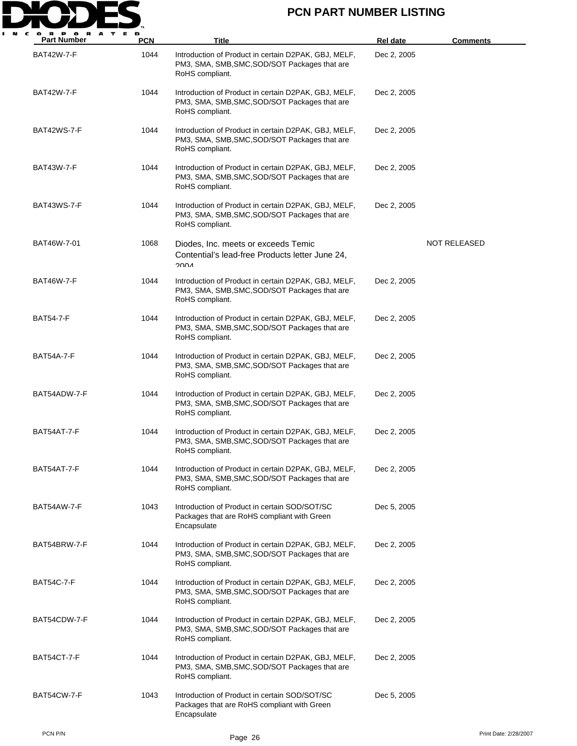

| <b>BAT42W-7-F</b> | 1044 | Introduction of Product in certain D2PAK, GBJ, MELF,                                                                     | Dec 2, 2005 |              |
|-------------------|------|--------------------------------------------------------------------------------------------------------------------------|-------------|--------------|
|                   |      | PM3, SMA, SMB, SMC, SOD/SOT Packages that are<br>RoHS compliant.                                                         |             |              |
| <b>BAT42W-7-F</b> | 1044 | Introduction of Product in certain D2PAK, GBJ, MELF,<br>PM3, SMA, SMB, SMC, SOD/SOT Packages that are<br>RoHS compliant. | Dec 2, 2005 |              |
| BAT42WS-7-F       | 1044 | Introduction of Product in certain D2PAK, GBJ, MELF,<br>PM3, SMA, SMB, SMC, SOD/SOT Packages that are<br>RoHS compliant. | Dec 2, 2005 |              |
| <b>BAT43W-7-F</b> | 1044 | Introduction of Product in certain D2PAK, GBJ, MELF,<br>PM3, SMA, SMB, SMC, SOD/SOT Packages that are<br>RoHS compliant. | Dec 2, 2005 |              |
| BAT43WS-7-F       | 1044 | Introduction of Product in certain D2PAK, GBJ, MELF,<br>PM3, SMA, SMB, SMC, SOD/SOT Packages that are<br>RoHS compliant. | Dec 2, 2005 |              |
| BAT46W-7-01       | 1068 | Diodes, Inc. meets or exceeds Temic<br>Contential's lead-free Products letter June 24,<br>∧∩∩פ                           |             | NOT RELEASED |
| <b>BAT46W-7-F</b> | 1044 | Introduction of Product in certain D2PAK, GBJ, MELF,<br>PM3, SMA, SMB, SMC, SOD/SOT Packages that are<br>RoHS compliant. | Dec 2, 2005 |              |
| <b>BAT54-7-F</b>  | 1044 | Introduction of Product in certain D2PAK, GBJ, MELF,<br>PM3, SMA, SMB, SMC, SOD/SOT Packages that are<br>RoHS compliant. | Dec 2, 2005 |              |
| <b>BAT54A-7-F</b> | 1044 | Introduction of Product in certain D2PAK, GBJ, MELF,<br>PM3, SMA, SMB, SMC, SOD/SOT Packages that are<br>RoHS compliant. | Dec 2, 2005 |              |
| BAT54ADW-7-F      | 1044 | Introduction of Product in certain D2PAK, GBJ, MELF,<br>PM3, SMA, SMB, SMC, SOD/SOT Packages that are<br>RoHS compliant. | Dec 2, 2005 |              |
| BAT54AT-7-F       | 1044 | Introduction of Product in certain D2PAK, GBJ, MELF,<br>PM3, SMA, SMB, SMC, SOD/SOT Packages that are<br>RoHS compliant. | Dec 2, 2005 |              |
| BAT54AT-7-F       | 1044 | Introduction of Product in certain D2PAK, GBJ, MELF,<br>PM3, SMA, SMB, SMC, SOD/SOT Packages that are<br>RoHS compliant. | Dec 2, 2005 |              |
| BAT54AW-7-F       | 1043 | Introduction of Product in certain SOD/SOT/SC<br>Packages that are RoHS compliant with Green<br>Encapsulate              | Dec 5, 2005 |              |
| BAT54BRW-7-F      | 1044 | Introduction of Product in certain D2PAK, GBJ, MELF,<br>PM3, SMA, SMB, SMC, SOD/SOT Packages that are<br>RoHS compliant. | Dec 2, 2005 |              |
| <b>BAT54C-7-F</b> | 1044 | Introduction of Product in certain D2PAK, GBJ, MELF,<br>PM3, SMA, SMB, SMC, SOD/SOT Packages that are<br>RoHS compliant. | Dec 2, 2005 |              |
| BAT54CDW-7-F      | 1044 | Introduction of Product in certain D2PAK, GBJ, MELF,<br>PM3, SMA, SMB, SMC, SOD/SOT Packages that are<br>RoHS compliant. | Dec 2, 2005 |              |
| BAT54CT-7-F       | 1044 | Introduction of Product in certain D2PAK, GBJ, MELF,<br>PM3, SMA, SMB, SMC, SOD/SOT Packages that are<br>RoHS compliant. | Dec 2, 2005 |              |
| BAT54CW-7-F       | 1043 | Introduction of Product in certain SOD/SOT/SC<br>Packages that are RoHS compliant with Green<br>Encapsulate              | Dec 5, 2005 |              |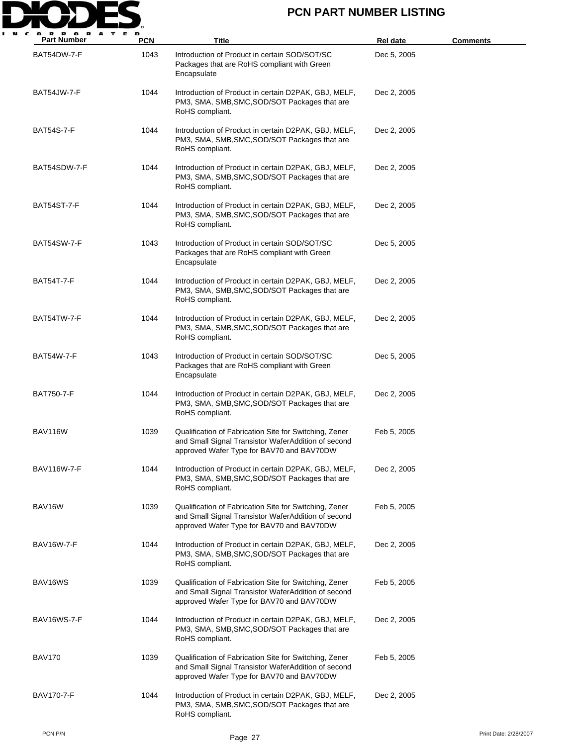

| <b>Part Number</b> | <b>PCN</b> | Title                                                                                                                                                      | Rel date    | <u>Comments</u>       |
|--------------------|------------|------------------------------------------------------------------------------------------------------------------------------------------------------------|-------------|-----------------------|
| BAT54DW-7-F        | 1043       | Introduction of Product in certain SOD/SOT/SC<br>Packages that are RoHS compliant with Green<br>Encapsulate                                                | Dec 5, 2005 |                       |
| BAT54JW-7-F        | 1044       | Introduction of Product in certain D2PAK, GBJ, MELF,<br>PM3, SMA, SMB, SMC, SOD/SOT Packages that are<br>RoHS compliant.                                   | Dec 2, 2005 |                       |
| <b>BAT54S-7-F</b>  | 1044       | Introduction of Product in certain D2PAK, GBJ, MELF,<br>PM3, SMA, SMB, SMC, SOD/SOT Packages that are<br>RoHS compliant.                                   | Dec 2, 2005 |                       |
| BAT54SDW-7-F       | 1044       | Introduction of Product in certain D2PAK, GBJ, MELF,<br>PM3, SMA, SMB, SMC, SOD/SOT Packages that are<br>RoHS compliant.                                   | Dec 2, 2005 |                       |
| BAT54ST-7-F        | 1044       | Introduction of Product in certain D2PAK, GBJ, MELF,<br>PM3, SMA, SMB, SMC, SOD/SOT Packages that are<br>RoHS compliant.                                   | Dec 2, 2005 |                       |
| BAT54SW-7-F        | 1043       | Introduction of Product in certain SOD/SOT/SC<br>Packages that are RoHS compliant with Green<br>Encapsulate                                                | Dec 5, 2005 |                       |
| BAT54T-7-F         | 1044       | Introduction of Product in certain D2PAK, GBJ, MELF,<br>PM3, SMA, SMB, SMC, SOD/SOT Packages that are<br>RoHS compliant.                                   | Dec 2, 2005 |                       |
| BAT54TW-7-F        | 1044       | Introduction of Product in certain D2PAK, GBJ, MELF,<br>PM3, SMA, SMB, SMC, SOD/SOT Packages that are<br>RoHS compliant.                                   | Dec 2, 2005 |                       |
| BAT54W-7-F         | 1043       | Introduction of Product in certain SOD/SOT/SC<br>Packages that are RoHS compliant with Green<br>Encapsulate                                                | Dec 5, 2005 |                       |
| BAT750-7-F         | 1044       | Introduction of Product in certain D2PAK, GBJ, MELF,<br>PM3, SMA, SMB, SMC, SOD/SOT Packages that are<br>RoHS compliant.                                   | Dec 2, 2005 |                       |
| BAV116W            | 1039       | Qualification of Fabrication Site for Switching, Zener<br>and Small Signal Transistor WaferAddition of second<br>approved Wafer Type for BAV70 and BAV70DW | Feb 5, 2005 |                       |
| BAV116W-7-F        | 1044       | Introduction of Product in certain D2PAK, GBJ, MELF,<br>PM3, SMA, SMB, SMC, SOD/SOT Packages that are<br>RoHS compliant.                                   | Dec 2, 2005 |                       |
| BAV16W             | 1039       | Qualification of Fabrication Site for Switching, Zener<br>and Small Signal Transistor WaferAddition of second<br>approved Wafer Type for BAV70 and BAV70DW | Feb 5, 2005 |                       |
| <b>BAV16W-7-F</b>  | 1044       | Introduction of Product in certain D2PAK, GBJ, MELF,<br>PM3, SMA, SMB, SMC, SOD/SOT Packages that are<br>RoHS compliant.                                   | Dec 2, 2005 |                       |
| BAV16WS            | 1039       | Qualification of Fabrication Site for Switching, Zener<br>and Small Signal Transistor WaferAddition of second<br>approved Wafer Type for BAV70 and BAV70DW | Feb 5, 2005 |                       |
| BAV16WS-7-F        | 1044       | Introduction of Product in certain D2PAK, GBJ, MELF,<br>PM3, SMA, SMB, SMC, SOD/SOT Packages that are<br>RoHS compliant.                                   | Dec 2, 2005 |                       |
| BAV170             | 1039       | Qualification of Fabrication Site for Switching, Zener<br>and Small Signal Transistor WaferAddition of second<br>approved Wafer Type for BAV70 and BAV70DW | Feb 5, 2005 |                       |
| BAV170-7-F         | 1044       | Introduction of Product in certain D2PAK, GBJ, MELF,<br>PM3, SMA, SMB, SMC, SOD/SOT Packages that are<br>RoHS compliant.                                   | Dec 2, 2005 |                       |
| PCN P/N            |            | Page 27                                                                                                                                                    |             | Print Date: 2/28/2007 |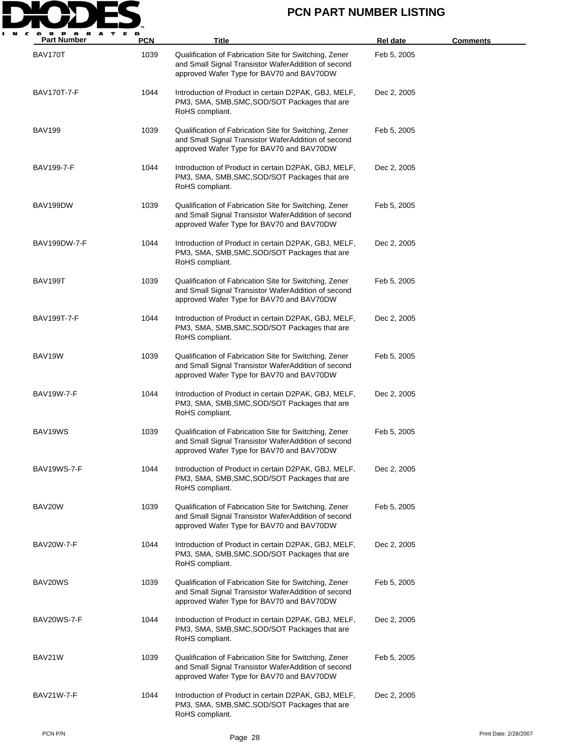

| <b>Part Number</b> | <b>PCN</b> | <b>Title</b>                                                                                                                                               | <b>Rel date</b> | <b>Comments</b>       |
|--------------------|------------|------------------------------------------------------------------------------------------------------------------------------------------------------------|-----------------|-----------------------|
| BAV170T            | 1039       | Qualification of Fabrication Site for Switching, Zener<br>and Small Signal Transistor WaferAddition of second<br>approved Wafer Type for BAV70 and BAV70DW | Feb 5, 2005     |                       |
| BAV170T-7-F        | 1044       | Introduction of Product in certain D2PAK, GBJ, MELF,<br>PM3, SMA, SMB, SMC, SOD/SOT Packages that are<br>RoHS compliant.                                   | Dec 2, 2005     |                       |
| BAV199             | 1039       | Qualification of Fabrication Site for Switching, Zener<br>and Small Signal Transistor WaferAddition of second<br>approved Wafer Type for BAV70 and BAV70DW | Feb 5, 2005     |                       |
| BAV199-7-F         | 1044       | Introduction of Product in certain D2PAK, GBJ, MELF,<br>PM3, SMA, SMB, SMC, SOD/SOT Packages that are<br>RoHS compliant.                                   | Dec 2, 2005     |                       |
| BAV199DW           | 1039       | Qualification of Fabrication Site for Switching, Zener<br>and Small Signal Transistor WaferAddition of second<br>approved Wafer Type for BAV70 and BAV70DW | Feb 5, 2005     |                       |
| BAV199DW-7-F       | 1044       | Introduction of Product in certain D2PAK, GBJ, MELF,<br>PM3, SMA, SMB, SMC, SOD/SOT Packages that are<br>RoHS compliant.                                   | Dec 2, 2005     |                       |
| BAV199T            | 1039       | Qualification of Fabrication Site for Switching, Zener<br>and Small Signal Transistor WaferAddition of second<br>approved Wafer Type for BAV70 and BAV70DW | Feb 5, 2005     |                       |
| BAV199T-7-F        | 1044       | Introduction of Product in certain D2PAK, GBJ, MELF,<br>PM3, SMA, SMB, SMC, SOD/SOT Packages that are<br>RoHS compliant.                                   | Dec 2, 2005     |                       |
| BAV19W             | 1039       | Qualification of Fabrication Site for Switching, Zener<br>and Small Signal Transistor WaferAddition of second<br>approved Wafer Type for BAV70 and BAV70DW | Feb 5, 2005     |                       |
| BAV19W-7-F         | 1044       | Introduction of Product in certain D2PAK, GBJ, MELF,<br>PM3, SMA, SMB, SMC, SOD/SOT Packages that are<br>RoHS compliant.                                   | Dec 2, 2005     |                       |
| BAV19WS            | 1039       | Qualification of Fabrication Site for Switching, Zener<br>and Small Signal Transistor WaferAddition of second<br>approved Wafer Type for BAV70 and BAV70DW | Feb 5, 2005     |                       |
| BAV19WS-7-F        | 1044       | Introduction of Product in certain D2PAK, GBJ, MELF,<br>PM3, SMA, SMB, SMC, SOD/SOT Packages that are<br>RoHS compliant.                                   | Dec 2, 2005     |                       |
| BAV20W             | 1039       | Qualification of Fabrication Site for Switching, Zener<br>and Small Signal Transistor WaferAddition of second<br>approved Wafer Type for BAV70 and BAV70DW | Feb 5, 2005     |                       |
| <b>BAV20W-7-F</b>  | 1044       | Introduction of Product in certain D2PAK, GBJ, MELF,<br>PM3, SMA, SMB, SMC, SOD/SOT Packages that are<br>RoHS compliant.                                   | Dec 2, 2005     |                       |
| BAV20WS            | 1039       | Qualification of Fabrication Site for Switching, Zener<br>and Small Signal Transistor WaferAddition of second<br>approved Wafer Type for BAV70 and BAV70DW | Feb 5, 2005     |                       |
| BAV20WS-7-F        | 1044       | Introduction of Product in certain D2PAK, GBJ, MELF,<br>PM3, SMA, SMB, SMC, SOD/SOT Packages that are<br>RoHS compliant.                                   | Dec 2, 2005     |                       |
| BAV21W             | 1039       | Qualification of Fabrication Site for Switching, Zener<br>and Small Signal Transistor WaferAddition of second<br>approved Wafer Type for BAV70 and BAV70DW | Feb 5, 2005     |                       |
| BAV21W-7-F         | 1044       | Introduction of Product in certain D2PAK, GBJ, MELF,<br>PM3, SMA, SMB, SMC, SOD/SOT Packages that are<br>RoHS compliant.                                   | Dec 2, 2005     |                       |
| PCN P/N            |            | Page 28                                                                                                                                                    |                 | Print Date: 2/28/2007 |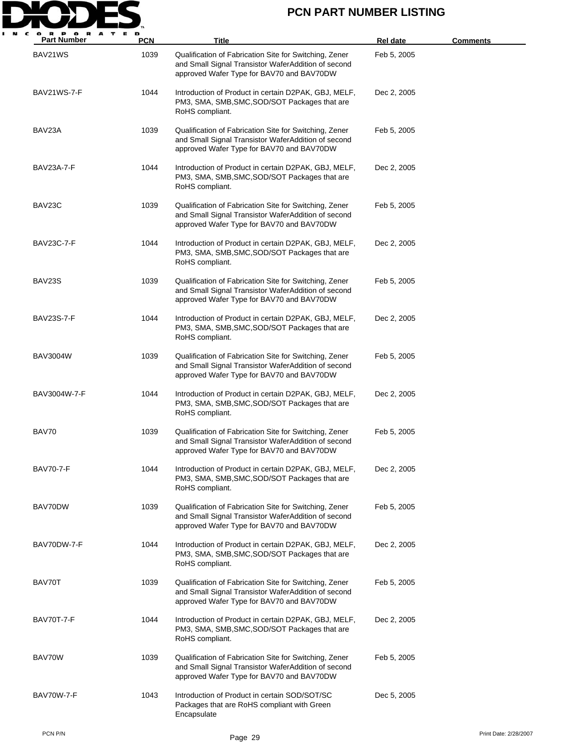

| <b>Part Number</b> | <b>PCN</b> | Title                                                                                                                                                      | <b>Rel date</b> | <u>Comments</u>       |
|--------------------|------------|------------------------------------------------------------------------------------------------------------------------------------------------------------|-----------------|-----------------------|
| BAV21WS            | 1039       | Qualification of Fabrication Site for Switching, Zener<br>and Small Signal Transistor WaferAddition of second<br>approved Wafer Type for BAV70 and BAV70DW | Feb 5, 2005     |                       |
| BAV21WS-7-F        | 1044       | Introduction of Product in certain D2PAK, GBJ, MELF,<br>PM3, SMA, SMB, SMC, SOD/SOT Packages that are<br>RoHS compliant.                                   | Dec 2, 2005     |                       |
| BAV23A             | 1039       | Qualification of Fabrication Site for Switching, Zener<br>and Small Signal Transistor WaferAddition of second<br>approved Wafer Type for BAV70 and BAV70DW | Feb 5, 2005     |                       |
| BAV23A-7-F         | 1044       | Introduction of Product in certain D2PAK, GBJ, MELF,<br>PM3, SMA, SMB, SMC, SOD/SOT Packages that are<br>RoHS compliant.                                   | Dec 2, 2005     |                       |
| BAV23C             | 1039       | Qualification of Fabrication Site for Switching, Zener<br>and Small Signal Transistor WaferAddition of second<br>approved Wafer Type for BAV70 and BAV70DW | Feb 5, 2005     |                       |
| BAV23C-7-F         | 1044       | Introduction of Product in certain D2PAK, GBJ, MELF,<br>PM3, SMA, SMB, SMC, SOD/SOT Packages that are<br>RoHS compliant.                                   | Dec 2, 2005     |                       |
| BAV23S             | 1039       | Qualification of Fabrication Site for Switching, Zener<br>and Small Signal Transistor WaferAddition of second<br>approved Wafer Type for BAV70 and BAV70DW | Feb 5, 2005     |                       |
| BAV23S-7-F         | 1044       | Introduction of Product in certain D2PAK, GBJ, MELF,<br>PM3, SMA, SMB, SMC, SOD/SOT Packages that are<br>RoHS compliant.                                   | Dec 2, 2005     |                       |
| BAV3004W           | 1039       | Qualification of Fabrication Site for Switching, Zener<br>and Small Signal Transistor WaferAddition of second<br>approved Wafer Type for BAV70 and BAV70DW | Feb 5, 2005     |                       |
| BAV3004W-7-F       | 1044       | Introduction of Product in certain D2PAK, GBJ, MELF,<br>PM3, SMA, SMB, SMC, SOD/SOT Packages that are<br>RoHS compliant.                                   | Dec 2, 2005     |                       |
| BAV70              | 1039       | Qualification of Fabrication Site for Switching, Zener<br>and Small Signal Transistor WaferAddition of second<br>approved Wafer Type for BAV70 and BAV70DW | Feb 5, 2005     |                       |
| <b>BAV70-7-F</b>   | 1044       | Introduction of Product in certain D2PAK, GBJ, MELF,<br>PM3, SMA, SMB, SMC, SOD/SOT Packages that are<br>RoHS compliant.                                   | Dec 2, 2005     |                       |
| BAV70DW            | 1039       | Qualification of Fabrication Site for Switching, Zener<br>and Small Signal Transistor WaferAddition of second<br>approved Wafer Type for BAV70 and BAV70DW | Feb 5, 2005     |                       |
| BAV70DW-7-F        | 1044       | Introduction of Product in certain D2PAK, GBJ, MELF,<br>PM3, SMA, SMB, SMC, SOD/SOT Packages that are<br>RoHS compliant.                                   | Dec 2, 2005     |                       |
| BAV70T             | 1039       | Qualification of Fabrication Site for Switching, Zener<br>and Small Signal Transistor WaferAddition of second<br>approved Wafer Type for BAV70 and BAV70DW | Feb 5, 2005     |                       |
| BAV70T-7-F         | 1044       | Introduction of Product in certain D2PAK, GBJ, MELF,<br>PM3, SMA, SMB, SMC, SOD/SOT Packages that are<br>RoHS compliant.                                   | Dec 2, 2005     |                       |
| BAV70W             | 1039       | Qualification of Fabrication Site for Switching, Zener<br>and Small Signal Transistor WaferAddition of second<br>approved Wafer Type for BAV70 and BAV70DW | Feb 5, 2005     |                       |
| <b>BAV70W-7-F</b>  | 1043       | Introduction of Product in certain SOD/SOT/SC<br>Packages that are RoHS compliant with Green<br>Encapsulate                                                | Dec 5, 2005     |                       |
| PCN P/N            |            | Page 29                                                                                                                                                    |                 | Print Date: 2/28/2007 |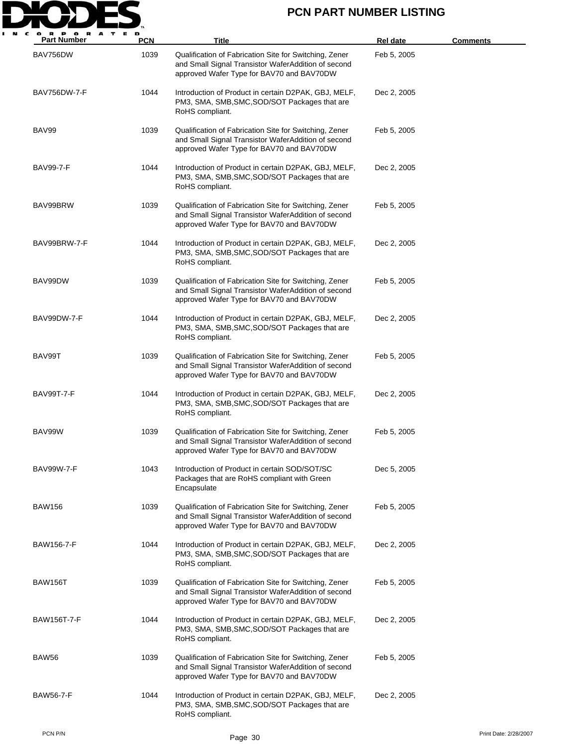

| <b>Part Number</b>  | <b>PCN</b> | <b>Title</b>                                                                                                                                               | <b>Rel date</b> | <u>Comments</u>       |
|---------------------|------------|------------------------------------------------------------------------------------------------------------------------------------------------------------|-----------------|-----------------------|
| BAV756DW            | 1039       | Qualification of Fabrication Site for Switching, Zener<br>and Small Signal Transistor WaferAddition of second<br>approved Wafer Type for BAV70 and BAV70DW | Feb 5, 2005     |                       |
| <b>BAV756DW-7-F</b> | 1044       | Introduction of Product in certain D2PAK, GBJ, MELF,<br>PM3, SMA, SMB, SMC, SOD/SOT Packages that are<br>RoHS compliant.                                   | Dec 2, 2005     |                       |
| BAV99               | 1039       | Qualification of Fabrication Site for Switching, Zener<br>and Small Signal Transistor WaferAddition of second<br>approved Wafer Type for BAV70 and BAV70DW | Feb 5, 2005     |                       |
| <b>BAV99-7-F</b>    | 1044       | Introduction of Product in certain D2PAK, GBJ, MELF,<br>PM3, SMA, SMB, SMC, SOD/SOT Packages that are<br>RoHS compliant.                                   | Dec 2, 2005     |                       |
| BAV99BRW            | 1039       | Qualification of Fabrication Site for Switching, Zener<br>and Small Signal Transistor WaferAddition of second<br>approved Wafer Type for BAV70 and BAV70DW | Feb 5, 2005     |                       |
| BAV99BRW-7-F        | 1044       | Introduction of Product in certain D2PAK, GBJ, MELF,<br>PM3, SMA, SMB, SMC, SOD/SOT Packages that are<br>RoHS compliant.                                   | Dec 2, 2005     |                       |
| BAV99DW             | 1039       | Qualification of Fabrication Site for Switching, Zener<br>and Small Signal Transistor WaferAddition of second<br>approved Wafer Type for BAV70 and BAV70DW | Feb 5, 2005     |                       |
| BAV99DW-7-F         | 1044       | Introduction of Product in certain D2PAK, GBJ, MELF,<br>PM3, SMA, SMB, SMC, SOD/SOT Packages that are<br>RoHS compliant.                                   | Dec 2, 2005     |                       |
| BAV99T              | 1039       | Qualification of Fabrication Site for Switching, Zener<br>and Small Signal Transistor WaferAddition of second<br>approved Wafer Type for BAV70 and BAV70DW | Feb 5, 2005     |                       |
| <b>BAV99T-7-F</b>   | 1044       | Introduction of Product in certain D2PAK, GBJ, MELF,<br>PM3, SMA, SMB, SMC, SOD/SOT Packages that are<br>RoHS compliant.                                   | Dec 2, 2005     |                       |
| BAV99W              | 1039       | Qualification of Fabrication Site for Switching, Zener<br>and Small Signal Transistor WaferAddition of second<br>approved Wafer Type for BAV70 and BAV70DW | Feb 5, 2005     |                       |
| <b>BAV99W-7-F</b>   | 1043       | Introduction of Product in certain SOD/SOT/SC<br>Packages that are RoHS compliant with Green<br>Encapsulate                                                | Dec 5, 2005     |                       |
| <b>BAW156</b>       | 1039       | Qualification of Fabrication Site for Switching, Zener<br>and Small Signal Transistor WaferAddition of second<br>approved Wafer Type for BAV70 and BAV70DW | Feb 5, 2005     |                       |
| BAW156-7-F          | 1044       | Introduction of Product in certain D2PAK, GBJ, MELF,<br>PM3, SMA, SMB, SMC, SOD/SOT Packages that are<br>RoHS compliant.                                   | Dec 2, 2005     |                       |
| BAW156T             | 1039       | Qualification of Fabrication Site for Switching, Zener<br>and Small Signal Transistor WaferAddition of second<br>approved Wafer Type for BAV70 and BAV70DW | Feb 5, 2005     |                       |
| <b>BAW156T-7-F</b>  | 1044       | Introduction of Product in certain D2PAK, GBJ, MELF,<br>PM3, SMA, SMB, SMC, SOD/SOT Packages that are<br>RoHS compliant.                                   | Dec 2, 2005     |                       |
| BAW56               | 1039       | Qualification of Fabrication Site for Switching, Zener<br>and Small Signal Transistor WaferAddition of second<br>approved Wafer Type for BAV70 and BAV70DW | Feb 5, 2005     |                       |
| <b>BAW56-7-F</b>    | 1044       | Introduction of Product in certain D2PAK, GBJ, MELF,<br>PM3, SMA, SMB, SMC, SOD/SOT Packages that are<br>RoHS compliant.                                   | Dec 2, 2005     |                       |
| PCN P/N             |            | Page 30                                                                                                                                                    |                 | Print Date: 2/28/2007 |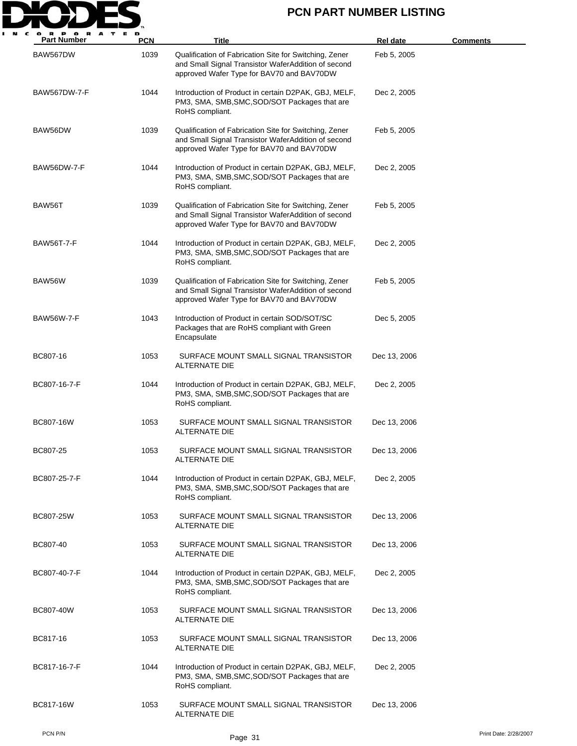

| <b>Part Number</b>  | <b>PCN</b> | Title                                                                                                                                                      | <b>Rel date</b> | <b>Comments</b> |
|---------------------|------------|------------------------------------------------------------------------------------------------------------------------------------------------------------|-----------------|-----------------|
| BAW567DW            | 1039       | Qualification of Fabrication Site for Switching, Zener<br>and Small Signal Transistor WaferAddition of second<br>approved Wafer Type for BAV70 and BAV70DW | Feb 5, 2005     |                 |
| <b>BAW567DW-7-F</b> | 1044       | Introduction of Product in certain D2PAK, GBJ, MELF,<br>PM3, SMA, SMB, SMC, SOD/SOT Packages that are<br>RoHS compliant.                                   | Dec 2, 2005     |                 |
| BAW56DW             | 1039       | Qualification of Fabrication Site for Switching, Zener<br>and Small Signal Transistor WaferAddition of second<br>approved Wafer Type for BAV70 and BAV70DW | Feb 5, 2005     |                 |
| BAW56DW-7-F         | 1044       | Introduction of Product in certain D2PAK, GBJ, MELF,<br>PM3, SMA, SMB, SMC, SOD/SOT Packages that are<br>RoHS compliant.                                   | Dec 2, 2005     |                 |
| BAW56T              | 1039       | Qualification of Fabrication Site for Switching, Zener<br>and Small Signal Transistor WaferAddition of second<br>approved Wafer Type for BAV70 and BAV70DW | Feb 5, 2005     |                 |
| <b>BAW56T-7-F</b>   | 1044       | Introduction of Product in certain D2PAK, GBJ, MELF,<br>PM3, SMA, SMB, SMC, SOD/SOT Packages that are<br>RoHS compliant.                                   | Dec 2, 2005     |                 |
| BAW56W              | 1039       | Qualification of Fabrication Site for Switching, Zener<br>and Small Signal Transistor WaferAddition of second<br>approved Wafer Type for BAV70 and BAV70DW | Feb 5, 2005     |                 |
| <b>BAW56W-7-F</b>   | 1043       | Introduction of Product in certain SOD/SOT/SC<br>Packages that are RoHS compliant with Green<br>Encapsulate                                                | Dec 5, 2005     |                 |
| BC807-16            | 1053       | SURFACE MOUNT SMALL SIGNAL TRANSISTOR<br>ALTERNATE DIE                                                                                                     | Dec 13, 2006    |                 |
| BC807-16-7-F        | 1044       | Introduction of Product in certain D2PAK, GBJ, MELF,<br>PM3, SMA, SMB, SMC, SOD/SOT Packages that are<br>RoHS compliant.                                   | Dec 2, 2005     |                 |
| BC807-16W           | 1053       | SURFACE MOUNT SMALL SIGNAL TRANSISTOR<br>ALTERNATE DIE                                                                                                     | Dec 13, 2006    |                 |
| BC807-25            | 1053       | SURFACE MOUNT SMALL SIGNAL TRANSISTOR<br>ALTERNATE DIE                                                                                                     | Dec 13, 2006    |                 |
| BC807-25-7-F        | 1044       | Introduction of Product in certain D2PAK, GBJ, MELF,<br>PM3, SMA, SMB, SMC, SOD/SOT Packages that are<br>RoHS compliant.                                   | Dec 2, 2005     |                 |
| BC807-25W           | 1053       | SURFACE MOUNT SMALL SIGNAL TRANSISTOR<br>ALTERNATE DIE                                                                                                     | Dec 13, 2006    |                 |
| BC807-40            | 1053       | SURFACE MOUNT SMALL SIGNAL TRANSISTOR<br>ALTERNATE DIE                                                                                                     | Dec 13, 2006    |                 |
| BC807-40-7-F        | 1044       | Introduction of Product in certain D2PAK, GBJ, MELF,<br>PM3, SMA, SMB, SMC, SOD/SOT Packages that are<br>RoHS compliant.                                   | Dec 2, 2005     |                 |
| BC807-40W           | 1053       | SURFACE MOUNT SMALL SIGNAL TRANSISTOR<br>ALTERNATE DIE                                                                                                     | Dec 13, 2006    |                 |
| BC817-16            | 1053       | SURFACE MOUNT SMALL SIGNAL TRANSISTOR<br>ALTERNATE DIE                                                                                                     | Dec 13, 2006    |                 |
| BC817-16-7-F        | 1044       | Introduction of Product in certain D2PAK, GBJ, MELF,<br>PM3, SMA, SMB, SMC, SOD/SOT Packages that are<br>RoHS compliant.                                   | Dec 2, 2005     |                 |
| BC817-16W           | 1053       | SURFACE MOUNT SMALL SIGNAL TRANSISTOR<br>ALTERNATE DIE                                                                                                     | Dec 13, 2006    |                 |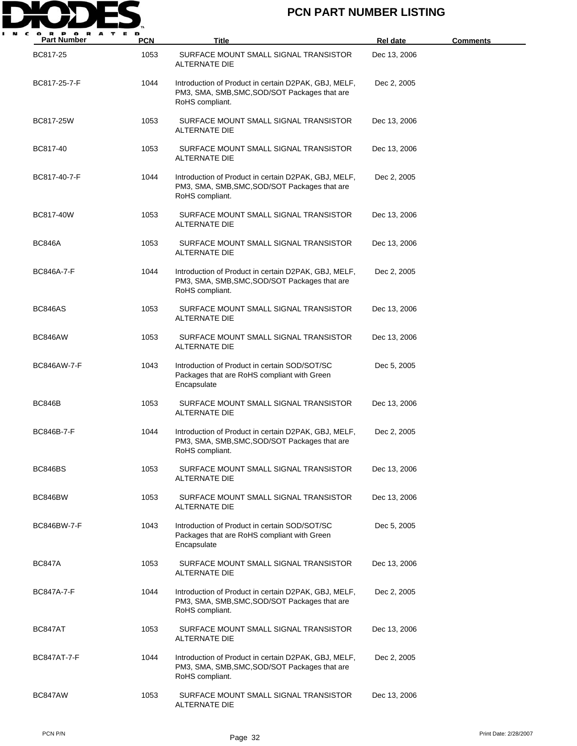

| <b>Part Number</b> | <b>PCN</b> | <b>Title</b>                                                                                                             | <b>Rel date</b> | <b>Comments</b> |
|--------------------|------------|--------------------------------------------------------------------------------------------------------------------------|-----------------|-----------------|
| BC817-25           | 1053       | SURFACE MOUNT SMALL SIGNAL TRANSISTOR<br>ALTERNATE DIE                                                                   | Dec 13, 2006    |                 |
| BC817-25-7-F       | 1044       | Introduction of Product in certain D2PAK, GBJ, MELF,<br>PM3, SMA, SMB, SMC, SOD/SOT Packages that are<br>RoHS compliant. | Dec 2, 2005     |                 |
| BC817-25W          | 1053       | SURFACE MOUNT SMALL SIGNAL TRANSISTOR<br>ALTERNATE DIE                                                                   | Dec 13, 2006    |                 |
| BC817-40           | 1053       | SURFACE MOUNT SMALL SIGNAL TRANSISTOR<br>ALTERNATE DIE                                                                   | Dec 13, 2006    |                 |
| BC817-40-7-F       | 1044       | Introduction of Product in certain D2PAK, GBJ, MELF,<br>PM3, SMA, SMB, SMC, SOD/SOT Packages that are<br>RoHS compliant. | Dec 2, 2005     |                 |
| BC817-40W          | 1053       | SURFACE MOUNT SMALL SIGNAL TRANSISTOR<br>ALTERNATE DIE                                                                   | Dec 13, 2006    |                 |
| <b>BC846A</b>      | 1053       | SURFACE MOUNT SMALL SIGNAL TRANSISTOR<br>ALTERNATE DIE                                                                   | Dec 13, 2006    |                 |
| <b>BC846A-7-F</b>  | 1044       | Introduction of Product in certain D2PAK, GBJ, MELF,<br>PM3, SMA, SMB, SMC, SOD/SOT Packages that are<br>RoHS compliant. | Dec 2, 2005     |                 |
| BC846AS            | 1053       | SURFACE MOUNT SMALL SIGNAL TRANSISTOR<br>ALTERNATE DIE                                                                   | Dec 13, 2006    |                 |
| BC846AW            | 1053       | SURFACE MOUNT SMALL SIGNAL TRANSISTOR<br>ALTERNATE DIE                                                                   | Dec 13, 2006    |                 |
| <b>BC846AW-7-F</b> | 1043       | Introduction of Product in certain SOD/SOT/SC<br>Packages that are RoHS compliant with Green<br>Encapsulate              | Dec 5, 2005     |                 |
| <b>BC846B</b>      | 1053       | SURFACE MOUNT SMALL SIGNAL TRANSISTOR<br>ALTERNATE DIE                                                                   | Dec 13, 2006    |                 |
| <b>BC846B-7-F</b>  | 1044       | Introduction of Product in certain D2PAK, GBJ, MELF,<br>PM3, SMA, SMB, SMC, SOD/SOT Packages that are<br>RoHS compliant. | Dec 2, 2005     |                 |
| BC846BS            | 1053       | SURFACE MOUNT SMALL SIGNAL TRANSISTOR<br>ALTERNATE DIE                                                                   | Dec 13, 2006    |                 |
| BC846BW            | 1053       | SURFACE MOUNT SMALL SIGNAL TRANSISTOR<br>ALTERNATE DIE                                                                   | Dec 13, 2006    |                 |
| BC846BW-7-F        | 1043       | Introduction of Product in certain SOD/SOT/SC<br>Packages that are RoHS compliant with Green<br>Encapsulate              | Dec 5, 2005     |                 |
| <b>BC847A</b>      | 1053       | SURFACE MOUNT SMALL SIGNAL TRANSISTOR<br>ALTERNATE DIE                                                                   | Dec 13, 2006    |                 |
| <b>BC847A-7-F</b>  | 1044       | Introduction of Product in certain D2PAK, GBJ, MELF,<br>PM3, SMA, SMB, SMC, SOD/SOT Packages that are<br>RoHS compliant. | Dec 2, 2005     |                 |
| BC847AT            | 1053       | SURFACE MOUNT SMALL SIGNAL TRANSISTOR<br>ALTERNATE DIE                                                                   | Dec 13, 2006    |                 |
| <b>BC847AT-7-F</b> | 1044       | Introduction of Product in certain D2PAK, GBJ, MELF,<br>PM3, SMA, SMB, SMC, SOD/SOT Packages that are<br>RoHS compliant. | Dec 2, 2005     |                 |
| BC847AW            | 1053       | SURFACE MOUNT SMALL SIGNAL TRANSISTOR<br>ALTERNATE DIE                                                                   | Dec 13, 2006    |                 |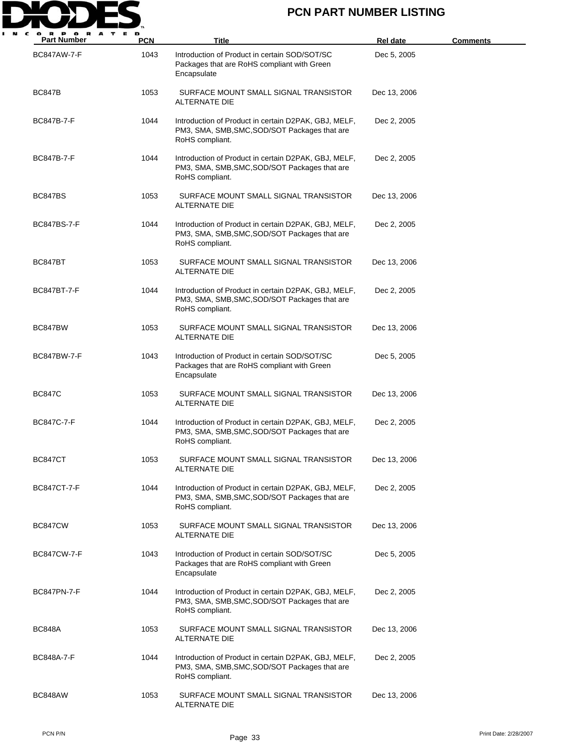

| <b>Part Number</b> | <b>PCN</b> | Title                                                                                                                    | Rel date     | <b>Comments</b> |
|--------------------|------------|--------------------------------------------------------------------------------------------------------------------------|--------------|-----------------|
| BC847AW-7-F        | 1043       | Introduction of Product in certain SOD/SOT/SC<br>Packages that are RoHS compliant with Green<br>Encapsulate              | Dec 5, 2005  |                 |
| <b>BC847B</b>      | 1053       | SURFACE MOUNT SMALL SIGNAL TRANSISTOR<br>ALTERNATE DIE                                                                   | Dec 13, 2006 |                 |
| BC847B-7-F         | 1044       | Introduction of Product in certain D2PAK, GBJ, MELF,<br>PM3, SMA, SMB, SMC, SOD/SOT Packages that are<br>RoHS compliant. | Dec 2, 2005  |                 |
| BC847B-7-F         | 1044       | Introduction of Product in certain D2PAK, GBJ, MELF,<br>PM3, SMA, SMB, SMC, SOD/SOT Packages that are<br>RoHS compliant. | Dec 2, 2005  |                 |
| BC847BS            | 1053       | SURFACE MOUNT SMALL SIGNAL TRANSISTOR<br>ALTERNATE DIE                                                                   | Dec 13, 2006 |                 |
| BC847BS-7-F        | 1044       | Introduction of Product in certain D2PAK, GBJ, MELF,<br>PM3, SMA, SMB, SMC, SOD/SOT Packages that are<br>RoHS compliant. | Dec 2, 2005  |                 |
| BC847BT            | 1053       | SURFACE MOUNT SMALL SIGNAL TRANSISTOR<br>ALTERNATE DIE                                                                   | Dec 13, 2006 |                 |
| BC847BT-7-F        | 1044       | Introduction of Product in certain D2PAK, GBJ, MELF,<br>PM3, SMA, SMB, SMC, SOD/SOT Packages that are<br>RoHS compliant. | Dec 2, 2005  |                 |
| BC847BW            | 1053       | SURFACE MOUNT SMALL SIGNAL TRANSISTOR<br>ALTERNATE DIE                                                                   | Dec 13, 2006 |                 |
| BC847BW-7-F        | 1043       | Introduction of Product in certain SOD/SOT/SC<br>Packages that are RoHS compliant with Green<br>Encapsulate              | Dec 5, 2005  |                 |
| <b>BC847C</b>      | 1053       | SURFACE MOUNT SMALL SIGNAL TRANSISTOR<br>ALTERNATE DIE                                                                   | Dec 13, 2006 |                 |
| BC847C-7-F         | 1044       | Introduction of Product in certain D2PAK, GBJ, MELF,<br>PM3, SMA, SMB, SMC, SOD/SOT Packages that are<br>RoHS compliant. | Dec 2, 2005  |                 |
| BC847CT            | 1053       | SURFACE MOUNT SMALL SIGNAL TRANSISTOR<br>ALTERNATE DIE                                                                   | Dec 13, 2006 |                 |
| BC847CT-7-F        | 1044       | Introduction of Product in certain D2PAK, GBJ, MELF,<br>PM3, SMA, SMB, SMC, SOD/SOT Packages that are<br>RoHS compliant. | Dec 2, 2005  |                 |
| BC847CW            | 1053       | SURFACE MOUNT SMALL SIGNAL TRANSISTOR<br>ALTERNATE DIE                                                                   | Dec 13, 2006 |                 |
| BC847CW-7-F        | 1043       | Introduction of Product in certain SOD/SOT/SC<br>Packages that are RoHS compliant with Green<br>Encapsulate              | Dec 5, 2005  |                 |
| BC847PN-7-F        | 1044       | Introduction of Product in certain D2PAK, GBJ, MELF,<br>PM3, SMA, SMB, SMC, SOD/SOT Packages that are<br>RoHS compliant. | Dec 2, 2005  |                 |
| <b>BC848A</b>      | 1053       | SURFACE MOUNT SMALL SIGNAL TRANSISTOR<br>ALTERNATE DIE                                                                   | Dec 13, 2006 |                 |
| BC848A-7-F         | 1044       | Introduction of Product in certain D2PAK, GBJ, MELF,<br>PM3, SMA, SMB, SMC, SOD/SOT Packages that are<br>RoHS compliant. | Dec 2, 2005  |                 |
| BC848AW            | 1053       | SURFACE MOUNT SMALL SIGNAL TRANSISTOR<br>ALTERNATE DIE                                                                   | Dec 13, 2006 |                 |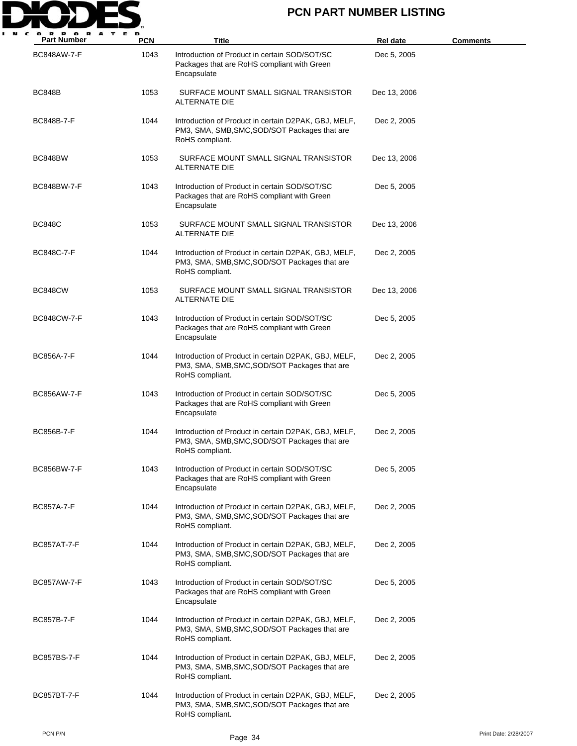

| <b>Part Number</b> | <b>PCN</b> | Title                                                                                                                    | Rel date     | <u>Comments</u>       |
|--------------------|------------|--------------------------------------------------------------------------------------------------------------------------|--------------|-----------------------|
| <b>BC848AW-7-F</b> | 1043       | Introduction of Product in certain SOD/SOT/SC<br>Packages that are RoHS compliant with Green<br>Encapsulate              | Dec 5, 2005  |                       |
| <b>BC848B</b>      | 1053       | SURFACE MOUNT SMALL SIGNAL TRANSISTOR<br>ALTERNATE DIE                                                                   | Dec 13, 2006 |                       |
| BC848B-7-F         | 1044       | Introduction of Product in certain D2PAK, GBJ, MELF,<br>PM3, SMA, SMB, SMC, SOD/SOT Packages that are<br>RoHS compliant. | Dec 2, 2005  |                       |
| BC848BW            | 1053       | SURFACE MOUNT SMALL SIGNAL TRANSISTOR<br>ALTERNATE DIE                                                                   | Dec 13, 2006 |                       |
| BC848BW-7-F        | 1043       | Introduction of Product in certain SOD/SOT/SC<br>Packages that are RoHS compliant with Green<br>Encapsulate              | Dec 5, 2005  |                       |
| <b>BC848C</b>      | 1053       | SURFACE MOUNT SMALL SIGNAL TRANSISTOR<br>ALTERNATE DIE                                                                   | Dec 13, 2006 |                       |
| BC848C-7-F         | 1044       | Introduction of Product in certain D2PAK, GBJ, MELF,<br>PM3, SMA, SMB, SMC, SOD/SOT Packages that are<br>RoHS compliant. | Dec 2, 2005  |                       |
| BC848CW            | 1053       | SURFACE MOUNT SMALL SIGNAL TRANSISTOR<br>ALTERNATE DIE                                                                   | Dec 13, 2006 |                       |
| <b>BC848CW-7-F</b> | 1043       | Introduction of Product in certain SOD/SOT/SC<br>Packages that are RoHS compliant with Green<br>Encapsulate              | Dec 5, 2005  |                       |
| <b>BC856A-7-F</b>  | 1044       | Introduction of Product in certain D2PAK, GBJ, MELF,<br>PM3, SMA, SMB, SMC, SOD/SOT Packages that are<br>RoHS compliant. | Dec 2, 2005  |                       |
| <b>BC856AW-7-F</b> | 1043       | Introduction of Product in certain SOD/SOT/SC<br>Packages that are RoHS compliant with Green<br>Encapsulate              | Dec 5, 2005  |                       |
| <b>BC856B-7-F</b>  | 1044       | Introduction of Product in certain D2PAK, GBJ, MELF,<br>PM3, SMA, SMB, SMC, SOD/SOT Packages that are<br>RoHS compliant. | Dec 2, 2005  |                       |
| BC856BW-7-F        | 1043       | Introduction of Product in certain SOD/SOT/SC<br>Packages that are RoHS compliant with Green<br>Encapsulate              | Dec 5, 2005  |                       |
| <b>BC857A-7-F</b>  | 1044       | Introduction of Product in certain D2PAK, GBJ, MELF,<br>PM3, SMA, SMB, SMC, SOD/SOT Packages that are<br>RoHS compliant. | Dec 2, 2005  |                       |
| <b>BC857AT-7-F</b> | 1044       | Introduction of Product in certain D2PAK, GBJ, MELF,<br>PM3, SMA, SMB, SMC, SOD/SOT Packages that are<br>RoHS compliant. | Dec 2, 2005  |                       |
| <b>BC857AW-7-F</b> | 1043       | Introduction of Product in certain SOD/SOT/SC<br>Packages that are RoHS compliant with Green<br>Encapsulate              | Dec 5, 2005  |                       |
| <b>BC857B-7-F</b>  | 1044       | Introduction of Product in certain D2PAK, GBJ, MELF,<br>PM3, SMA, SMB, SMC, SOD/SOT Packages that are<br>RoHS compliant. | Dec 2, 2005  |                       |
| <b>BC857BS-7-F</b> | 1044       | Introduction of Product in certain D2PAK, GBJ, MELF,<br>PM3, SMA, SMB, SMC, SOD/SOT Packages that are<br>RoHS compliant. | Dec 2, 2005  |                       |
| <b>BC857BT-7-F</b> | 1044       | Introduction of Product in certain D2PAK, GBJ, MELF,<br>PM3, SMA, SMB, SMC, SOD/SOT Packages that are<br>RoHS compliant. | Dec 2, 2005  |                       |
| PCN P/N            |            | Page 34                                                                                                                  |              | Print Date: 2/28/2007 |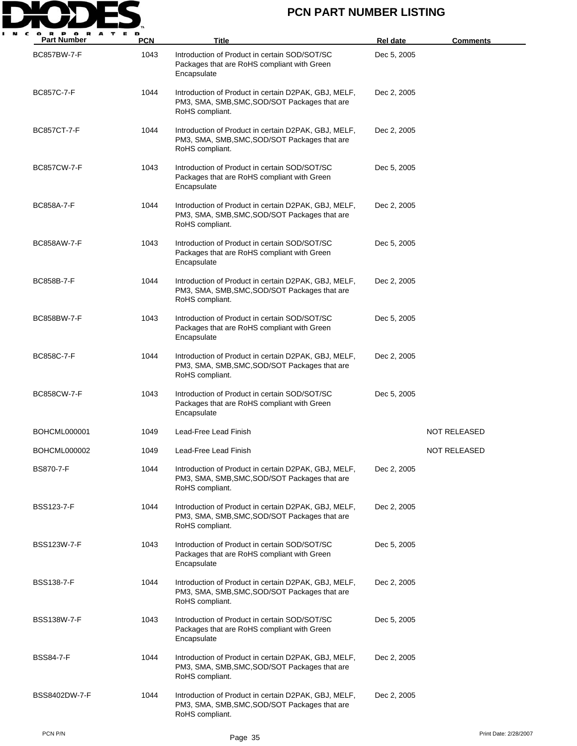

| <b>Part Number</b>  | <b>PCN</b> | Title                                                                                                                    | Rel date    | <b>Comments</b>     |
|---------------------|------------|--------------------------------------------------------------------------------------------------------------------------|-------------|---------------------|
| <b>BC857BW-7-F</b>  | 1043       | Introduction of Product in certain SOD/SOT/SC<br>Packages that are RoHS compliant with Green<br>Encapsulate              | Dec 5, 2005 |                     |
| <b>BC857C-7-F</b>   | 1044       | Introduction of Product in certain D2PAK, GBJ, MELF,<br>PM3, SMA, SMB, SMC, SOD/SOT Packages that are<br>RoHS compliant. | Dec 2, 2005 |                     |
| <b>BC857CT-7-F</b>  | 1044       | Introduction of Product in certain D2PAK, GBJ, MELF,<br>PM3, SMA, SMB, SMC, SOD/SOT Packages that are<br>RoHS compliant. | Dec 2, 2005 |                     |
| <b>BC857CW-7-F</b>  | 1043       | Introduction of Product in certain SOD/SOT/SC<br>Packages that are RoHS compliant with Green<br>Encapsulate              | Dec 5, 2005 |                     |
| <b>BC858A-7-F</b>   | 1044       | Introduction of Product in certain D2PAK, GBJ, MELF,<br>PM3, SMA, SMB, SMC, SOD/SOT Packages that are<br>RoHS compliant. | Dec 2, 2005 |                     |
| <b>BC858AW-7-F</b>  | 1043       | Introduction of Product in certain SOD/SOT/SC<br>Packages that are RoHS compliant with Green<br>Encapsulate              | Dec 5, 2005 |                     |
| BC858B-7-F          | 1044       | Introduction of Product in certain D2PAK, GBJ, MELF,<br>PM3, SMA, SMB, SMC, SOD/SOT Packages that are<br>RoHS compliant. | Dec 2, 2005 |                     |
| BC858BW-7-F         | 1043       | Introduction of Product in certain SOD/SOT/SC<br>Packages that are RoHS compliant with Green<br>Encapsulate              | Dec 5, 2005 |                     |
| <b>BC858C-7-F</b>   | 1044       | Introduction of Product in certain D2PAK, GBJ, MELF,<br>PM3, SMA, SMB, SMC, SOD/SOT Packages that are<br>RoHS compliant. | Dec 2, 2005 |                     |
| <b>BC858CW-7-F</b>  | 1043       | Introduction of Product in certain SOD/SOT/SC<br>Packages that are RoHS compliant with Green<br>Encapsulate              | Dec 5, 2005 |                     |
| <b>BOHCML000001</b> | 1049       | Lead-Free Lead Finish                                                                                                    |             | <b>NOT RELEASED</b> |
| <b>BOHCML000002</b> | 1049       | Lead-Free Lead Finish                                                                                                    |             | NOT RELEASED        |
| <b>BS870-7-F</b>    | 1044       | Introduction of Product in certain D2PAK, GBJ, MELF,<br>PM3, SMA, SMB, SMC, SOD/SOT Packages that are<br>RoHS compliant. | Dec 2, 2005 |                     |
| <b>BSS123-7-F</b>   | 1044       | Introduction of Product in certain D2PAK, GBJ, MELF,<br>PM3, SMA, SMB, SMC, SOD/SOT Packages that are<br>RoHS compliant. | Dec 2, 2005 |                     |
| <b>BSS123W-7-F</b>  | 1043       | Introduction of Product in certain SOD/SOT/SC<br>Packages that are RoHS compliant with Green<br>Encapsulate              | Dec 5, 2005 |                     |
| <b>BSS138-7-F</b>   | 1044       | Introduction of Product in certain D2PAK, GBJ, MELF,<br>PM3, SMA, SMB, SMC, SOD/SOT Packages that are<br>RoHS compliant. | Dec 2, 2005 |                     |
| <b>BSS138W-7-F</b>  | 1043       | Introduction of Product in certain SOD/SOT/SC<br>Packages that are RoHS compliant with Green<br>Encapsulate              | Dec 5, 2005 |                     |
| <b>BSS84-7-F</b>    | 1044       | Introduction of Product in certain D2PAK, GBJ, MELF,<br>PM3, SMA, SMB, SMC, SOD/SOT Packages that are<br>RoHS compliant. | Dec 2, 2005 |                     |
| BSS8402DW-7-F       | 1044       | Introduction of Product in certain D2PAK, GBJ, MELF,<br>PM3, SMA, SMB, SMC, SOD/SOT Packages that are<br>RoHS compliant. | Dec 2, 2005 |                     |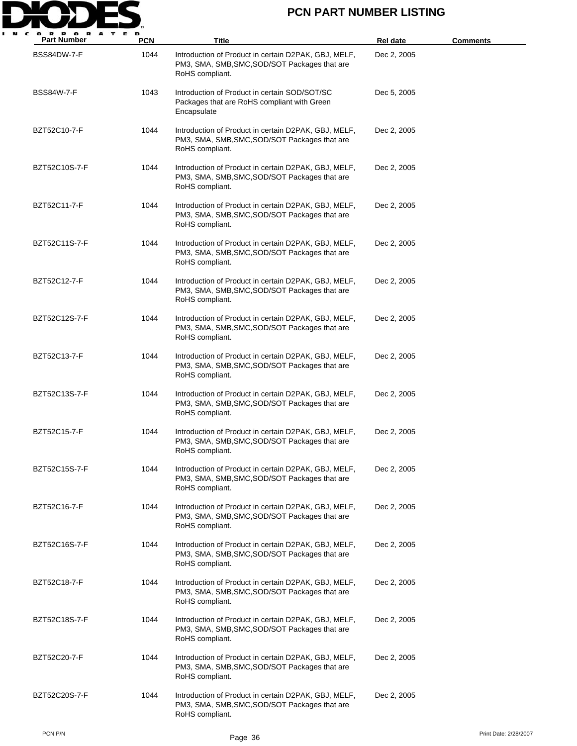

| <b>Part Number</b> | <b>PCN</b> | <b>Title</b>                                                                                                             | <b>Rel date</b> | <u>Comments</u> |
|--------------------|------------|--------------------------------------------------------------------------------------------------------------------------|-----------------|-----------------|
| BSS84DW-7-F        | 1044       | Introduction of Product in certain D2PAK, GBJ, MELF,<br>PM3, SMA, SMB, SMC, SOD/SOT Packages that are<br>RoHS compliant. | Dec 2, 2005     |                 |
| <b>BSS84W-7-F</b>  | 1043       | Introduction of Product in certain SOD/SOT/SC<br>Packages that are RoHS compliant with Green<br>Encapsulate              | Dec 5, 2005     |                 |
| BZT52C10-7-F       | 1044       | Introduction of Product in certain D2PAK, GBJ, MELF,<br>PM3, SMA, SMB, SMC, SOD/SOT Packages that are<br>RoHS compliant. | Dec 2, 2005     |                 |
| BZT52C10S-7-F      | 1044       | Introduction of Product in certain D2PAK, GBJ, MELF,<br>PM3, SMA, SMB, SMC, SOD/SOT Packages that are<br>RoHS compliant. | Dec 2, 2005     |                 |
| BZT52C11-7-F       | 1044       | Introduction of Product in certain D2PAK, GBJ, MELF,<br>PM3, SMA, SMB, SMC, SOD/SOT Packages that are<br>RoHS compliant. | Dec 2, 2005     |                 |
| BZT52C11S-7-F      | 1044       | Introduction of Product in certain D2PAK, GBJ, MELF,<br>PM3, SMA, SMB, SMC, SOD/SOT Packages that are<br>RoHS compliant. | Dec 2, 2005     |                 |
| BZT52C12-7-F       | 1044       | Introduction of Product in certain D2PAK, GBJ, MELF,<br>PM3, SMA, SMB, SMC, SOD/SOT Packages that are<br>RoHS compliant. | Dec 2, 2005     |                 |
| BZT52C12S-7-F      | 1044       | Introduction of Product in certain D2PAK, GBJ, MELF,<br>PM3, SMA, SMB, SMC, SOD/SOT Packages that are<br>RoHS compliant. | Dec 2, 2005     |                 |
| BZT52C13-7-F       | 1044       | Introduction of Product in certain D2PAK, GBJ, MELF,<br>PM3, SMA, SMB, SMC, SOD/SOT Packages that are<br>RoHS compliant. | Dec 2, 2005     |                 |
| BZT52C13S-7-F      | 1044       | Introduction of Product in certain D2PAK, GBJ, MELF,<br>PM3, SMA, SMB, SMC, SOD/SOT Packages that are<br>RoHS compliant. | Dec 2, 2005     |                 |
| BZT52C15-7-F       | 1044       | Introduction of Product in certain D2PAK, GBJ, MELF,<br>PM3, SMA, SMB, SMC, SOD/SOT Packages that are<br>RoHS compliant. | Dec 2, 2005     |                 |
| BZT52C15S-7-F      | 1044       | Introduction of Product in certain D2PAK, GBJ, MELF,<br>PM3, SMA, SMB, SMC, SOD/SOT Packages that are<br>RoHS compliant. | Dec 2, 2005     |                 |
| BZT52C16-7-F       | 1044       | Introduction of Product in certain D2PAK, GBJ, MELF,<br>PM3, SMA, SMB, SMC, SOD/SOT Packages that are<br>RoHS compliant. | Dec 2, 2005     |                 |
| BZT52C16S-7-F      | 1044       | Introduction of Product in certain D2PAK, GBJ, MELF,<br>PM3, SMA, SMB, SMC, SOD/SOT Packages that are<br>RoHS compliant. | Dec 2, 2005     |                 |
| BZT52C18-7-F       | 1044       | Introduction of Product in certain D2PAK, GBJ, MELF,<br>PM3, SMA, SMB, SMC, SOD/SOT Packages that are<br>RoHS compliant. | Dec 2, 2005     |                 |
| BZT52C18S-7-F      | 1044       | Introduction of Product in certain D2PAK, GBJ, MELF,<br>PM3, SMA, SMB, SMC, SOD/SOT Packages that are<br>RoHS compliant. | Dec 2, 2005     |                 |
| BZT52C20-7-F       | 1044       | Introduction of Product in certain D2PAK, GBJ, MELF,<br>PM3, SMA, SMB, SMC, SOD/SOT Packages that are<br>RoHS compliant. | Dec 2, 2005     |                 |
| BZT52C20S-7-F      | 1044       | Introduction of Product in certain D2PAK, GBJ, MELF,<br>PM3, SMA, SMB, SMC, SOD/SOT Packages that are<br>RoHS compliant. | Dec 2, 2005     |                 |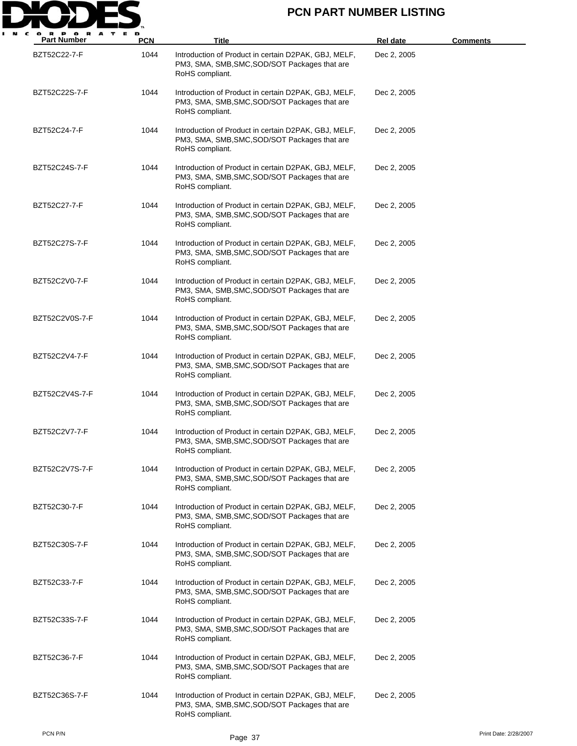

| <b>Part Number</b> | <b>PCN</b> | <b>Title</b>                                                                                                             | <b>Rel date</b> | Comments |
|--------------------|------------|--------------------------------------------------------------------------------------------------------------------------|-----------------|----------|
| BZT52C22-7-F       | 1044       | Introduction of Product in certain D2PAK, GBJ, MELF,<br>PM3, SMA, SMB, SMC, SOD/SOT Packages that are<br>RoHS compliant. | Dec 2, 2005     |          |
| BZT52C22S-7-F      | 1044       | Introduction of Product in certain D2PAK, GBJ, MELF,<br>PM3, SMA, SMB, SMC, SOD/SOT Packages that are<br>RoHS compliant. | Dec 2, 2005     |          |
| BZT52C24-7-F       | 1044       | Introduction of Product in certain D2PAK, GBJ, MELF,<br>PM3, SMA, SMB, SMC, SOD/SOT Packages that are<br>RoHS compliant. | Dec 2, 2005     |          |
| BZT52C24S-7-F      | 1044       | Introduction of Product in certain D2PAK, GBJ, MELF,<br>PM3, SMA, SMB, SMC, SOD/SOT Packages that are<br>RoHS compliant. | Dec 2, 2005     |          |
| BZT52C27-7-F       | 1044       | Introduction of Product in certain D2PAK, GBJ, MELF,<br>PM3, SMA, SMB, SMC, SOD/SOT Packages that are<br>RoHS compliant. | Dec 2, 2005     |          |
| BZT52C27S-7-F      | 1044       | Introduction of Product in certain D2PAK, GBJ, MELF,<br>PM3, SMA, SMB, SMC, SOD/SOT Packages that are<br>RoHS compliant. | Dec 2, 2005     |          |
| BZT52C2V0-7-F      | 1044       | Introduction of Product in certain D2PAK, GBJ, MELF,<br>PM3, SMA, SMB, SMC, SOD/SOT Packages that are<br>RoHS compliant. | Dec 2, 2005     |          |
| BZT52C2V0S-7-F     | 1044       | Introduction of Product in certain D2PAK, GBJ, MELF,<br>PM3, SMA, SMB, SMC, SOD/SOT Packages that are<br>RoHS compliant. | Dec 2, 2005     |          |
| BZT52C2V4-7-F      | 1044       | Introduction of Product in certain D2PAK, GBJ, MELF,<br>PM3, SMA, SMB, SMC, SOD/SOT Packages that are<br>RoHS compliant. | Dec 2, 2005     |          |
| BZT52C2V4S-7-F     | 1044       | Introduction of Product in certain D2PAK, GBJ, MELF,<br>PM3, SMA, SMB, SMC, SOD/SOT Packages that are<br>RoHS compliant. | Dec 2, 2005     |          |
| BZT52C2V7-7-F      | 1044       | Introduction of Product in certain D2PAK, GBJ, MELF,<br>PM3, SMA, SMB, SMC, SOD/SOT Packages that are<br>RoHS compliant. | Dec 2, 2005     |          |
| BZT52C2V7S-7-F     | 1044       | Introduction of Product in certain D2PAK, GBJ, MELF,<br>PM3, SMA, SMB, SMC, SOD/SOT Packages that are<br>RoHS compliant. | Dec 2, 2005     |          |
| BZT52C30-7-F       | 1044       | Introduction of Product in certain D2PAK, GBJ, MELF,<br>PM3, SMA, SMB, SMC, SOD/SOT Packages that are<br>RoHS compliant. | Dec 2, 2005     |          |
| BZT52C30S-7-F      | 1044       | Introduction of Product in certain D2PAK, GBJ, MELF,<br>PM3, SMA, SMB, SMC, SOD/SOT Packages that are<br>RoHS compliant. | Dec 2, 2005     |          |
| BZT52C33-7-F       | 1044       | Introduction of Product in certain D2PAK, GBJ, MELF,<br>PM3, SMA, SMB, SMC, SOD/SOT Packages that are<br>RoHS compliant. | Dec 2, 2005     |          |
| BZT52C33S-7-F      | 1044       | Introduction of Product in certain D2PAK, GBJ, MELF,<br>PM3, SMA, SMB, SMC, SOD/SOT Packages that are<br>RoHS compliant. | Dec 2, 2005     |          |
| BZT52C36-7-F       | 1044       | Introduction of Product in certain D2PAK, GBJ, MELF,<br>PM3, SMA, SMB, SMC, SOD/SOT Packages that are<br>RoHS compliant. | Dec 2, 2005     |          |
| BZT52C36S-7-F      | 1044       | Introduction of Product in certain D2PAK, GBJ, MELF,<br>PM3, SMA, SMB, SMC, SOD/SOT Packages that are<br>RoHS compliant. | Dec 2, 2005     |          |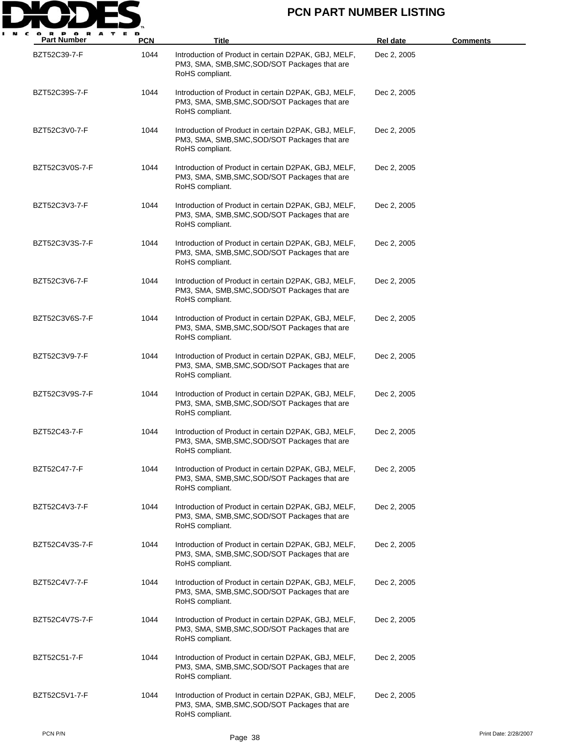

| <b>Part Number</b> | <b>PCN</b> | Title                                                                                                                    | <b>Rel date</b> | <u>Comments</u> |
|--------------------|------------|--------------------------------------------------------------------------------------------------------------------------|-----------------|-----------------|
| BZT52C39-7-F       | 1044       | Introduction of Product in certain D2PAK, GBJ, MELF,<br>PM3, SMA, SMB, SMC, SOD/SOT Packages that are<br>RoHS compliant. | Dec 2, 2005     |                 |
| BZT52C39S-7-F      | 1044       | Introduction of Product in certain D2PAK, GBJ, MELF,<br>PM3, SMA, SMB, SMC, SOD/SOT Packages that are<br>RoHS compliant. | Dec 2, 2005     |                 |
| BZT52C3V0-7-F      | 1044       | Introduction of Product in certain D2PAK, GBJ, MELF,<br>PM3, SMA, SMB, SMC, SOD/SOT Packages that are<br>RoHS compliant. | Dec 2, 2005     |                 |
| BZT52C3V0S-7-F     | 1044       | Introduction of Product in certain D2PAK, GBJ, MELF,<br>PM3, SMA, SMB, SMC, SOD/SOT Packages that are<br>RoHS compliant. | Dec 2, 2005     |                 |
| BZT52C3V3-7-F      | 1044       | Introduction of Product in certain D2PAK, GBJ, MELF,<br>PM3, SMA, SMB, SMC, SOD/SOT Packages that are<br>RoHS compliant. | Dec 2, 2005     |                 |
| BZT52C3V3S-7-F     | 1044       | Introduction of Product in certain D2PAK, GBJ, MELF,<br>PM3, SMA, SMB, SMC, SOD/SOT Packages that are<br>RoHS compliant. | Dec 2, 2005     |                 |
| BZT52C3V6-7-F      | 1044       | Introduction of Product in certain D2PAK, GBJ, MELF,<br>PM3, SMA, SMB, SMC, SOD/SOT Packages that are<br>RoHS compliant. | Dec 2, 2005     |                 |
| BZT52C3V6S-7-F     | 1044       | Introduction of Product in certain D2PAK, GBJ, MELF,<br>PM3, SMA, SMB, SMC, SOD/SOT Packages that are<br>RoHS compliant. | Dec 2, 2005     |                 |
| BZT52C3V9-7-F      | 1044       | Introduction of Product in certain D2PAK, GBJ, MELF,<br>PM3, SMA, SMB, SMC, SOD/SOT Packages that are<br>RoHS compliant. | Dec 2, 2005     |                 |
| BZT52C3V9S-7-F     | 1044       | Introduction of Product in certain D2PAK, GBJ, MELF,<br>PM3, SMA, SMB, SMC, SOD/SOT Packages that are<br>RoHS compliant. | Dec 2, 2005     |                 |
| BZT52C43-7-F       | 1044       | Introduction of Product in certain D2PAK, GBJ, MELF,<br>PM3, SMA, SMB, SMC, SOD/SOT Packages that are<br>RoHS compliant. | Dec 2, 2005     |                 |
| BZT52C47-7-F       | 1044       | Introduction of Product in certain D2PAK, GBJ, MELF,<br>PM3, SMA, SMB, SMC, SOD/SOT Packages that are<br>RoHS compliant. | Dec 2, 2005     |                 |
| BZT52C4V3-7-F      | 1044       | Introduction of Product in certain D2PAK, GBJ, MELF,<br>PM3, SMA, SMB, SMC, SOD/SOT Packages that are<br>RoHS compliant. | Dec 2, 2005     |                 |
| BZT52C4V3S-7-F     | 1044       | Introduction of Product in certain D2PAK, GBJ, MELF,<br>PM3, SMA, SMB, SMC, SOD/SOT Packages that are<br>RoHS compliant. | Dec 2, 2005     |                 |
| BZT52C4V7-7-F      | 1044       | Introduction of Product in certain D2PAK, GBJ, MELF,<br>PM3, SMA, SMB, SMC, SOD/SOT Packages that are<br>RoHS compliant. | Dec 2, 2005     |                 |
| BZT52C4V7S-7-F     | 1044       | Introduction of Product in certain D2PAK, GBJ, MELF,<br>PM3, SMA, SMB, SMC, SOD/SOT Packages that are<br>RoHS compliant. | Dec 2, 2005     |                 |
| BZT52C51-7-F       | 1044       | Introduction of Product in certain D2PAK, GBJ, MELF,<br>PM3, SMA, SMB, SMC, SOD/SOT Packages that are<br>RoHS compliant. | Dec 2, 2005     |                 |
| BZT52C5V1-7-F      | 1044       | Introduction of Product in certain D2PAK, GBJ, MELF,<br>PM3, SMA, SMB, SMC, SOD/SOT Packages that are<br>RoHS compliant. | Dec 2, 2005     |                 |

PCN P/N Print Date: 2/28/2007<br>Page 38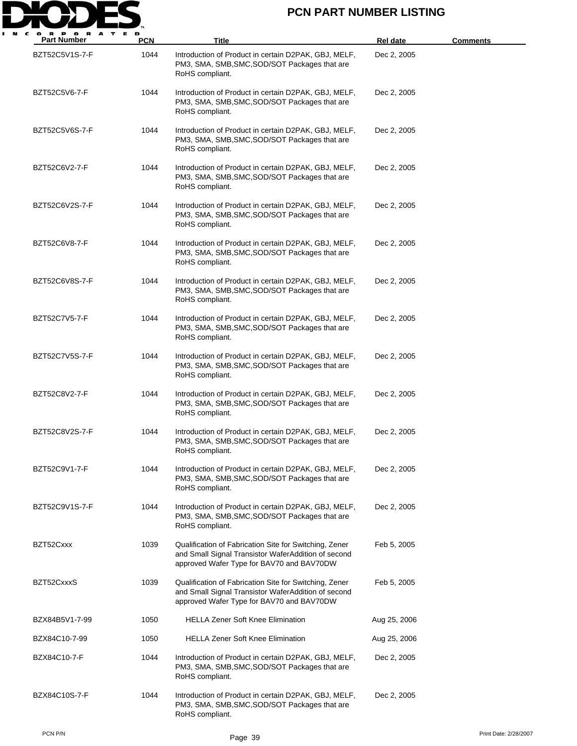

| <b>Part Number</b> | <b>PCN</b> | <b>Title</b>                                                                                                                                               | <b>Rel date</b> | Comments |
|--------------------|------------|------------------------------------------------------------------------------------------------------------------------------------------------------------|-----------------|----------|
| BZT52C5V1S-7-F     | 1044       | Introduction of Product in certain D2PAK, GBJ, MELF,<br>PM3, SMA, SMB, SMC, SOD/SOT Packages that are<br>RoHS compliant.                                   | Dec 2, 2005     |          |
| BZT52C5V6-7-F      | 1044       | Introduction of Product in certain D2PAK, GBJ, MELF,<br>PM3, SMA, SMB, SMC, SOD/SOT Packages that are<br>RoHS compliant.                                   | Dec 2, 2005     |          |
| BZT52C5V6S-7-F     | 1044       | Introduction of Product in certain D2PAK, GBJ, MELF,<br>PM3, SMA, SMB, SMC, SOD/SOT Packages that are<br>RoHS compliant.                                   | Dec 2, 2005     |          |
| BZT52C6V2-7-F      | 1044       | Introduction of Product in certain D2PAK, GBJ, MELF,<br>PM3, SMA, SMB, SMC, SOD/SOT Packages that are<br>RoHS compliant.                                   | Dec 2, 2005     |          |
| BZT52C6V2S-7-F     | 1044       | Introduction of Product in certain D2PAK, GBJ, MELF,<br>PM3, SMA, SMB, SMC, SOD/SOT Packages that are<br>RoHS compliant.                                   | Dec 2, 2005     |          |
| BZT52C6V8-7-F      | 1044       | Introduction of Product in certain D2PAK, GBJ, MELF,<br>PM3, SMA, SMB, SMC, SOD/SOT Packages that are<br>RoHS compliant.                                   | Dec 2, 2005     |          |
| BZT52C6V8S-7-F     | 1044       | Introduction of Product in certain D2PAK, GBJ, MELF,<br>PM3, SMA, SMB, SMC, SOD/SOT Packages that are<br>RoHS compliant.                                   | Dec 2, 2005     |          |
| BZT52C7V5-7-F      | 1044       | Introduction of Product in certain D2PAK, GBJ, MELF,<br>PM3, SMA, SMB, SMC, SOD/SOT Packages that are<br>RoHS compliant.                                   | Dec 2, 2005     |          |
| BZT52C7V5S-7-F     | 1044       | Introduction of Product in certain D2PAK, GBJ, MELF,<br>PM3, SMA, SMB, SMC, SOD/SOT Packages that are<br>RoHS compliant.                                   | Dec 2, 2005     |          |
| BZT52C8V2-7-F      | 1044       | Introduction of Product in certain D2PAK, GBJ, MELF,<br>PM3, SMA, SMB, SMC, SOD/SOT Packages that are<br>RoHS compliant.                                   | Dec 2, 2005     |          |
| BZT52C8V2S-7-F     | 1044       | Introduction of Product in certain D2PAK, GBJ, MELF,<br>PM3, SMA, SMB, SMC, SOD/SOT Packages that are<br>RoHS compliant.                                   | Dec 2, 2005     |          |
| BZT52C9V1-7-F      | 1044       | Introduction of Product in certain D2PAK, GBJ, MELF,<br>PM3, SMA, SMB, SMC, SOD/SOT Packages that are<br>RoHS compliant.                                   | Dec 2, 2005     |          |
| BZT52C9V1S-7-F     | 1044       | Introduction of Product in certain D2PAK, GBJ, MELF,<br>PM3, SMA, SMB, SMC, SOD/SOT Packages that are<br>RoHS compliant.                                   | Dec 2, 2005     |          |
| BZT52Cxxx          | 1039       | Qualification of Fabrication Site for Switching, Zener<br>and Small Signal Transistor WaferAddition of second<br>approved Wafer Type for BAV70 and BAV70DW | Feb 5, 2005     |          |
| BZT52CxxxS         | 1039       | Qualification of Fabrication Site for Switching, Zener<br>and Small Signal Transistor WaferAddition of second<br>approved Wafer Type for BAV70 and BAV70DW | Feb 5, 2005     |          |
| BZX84B5V1-7-99     | 1050       | <b>HELLA Zener Soft Knee Elimination</b>                                                                                                                   | Aug 25, 2006    |          |
| BZX84C10-7-99      | 1050       | <b>HELLA Zener Soft Knee Elimination</b>                                                                                                                   | Aug 25, 2006    |          |
| BZX84C10-7-F       | 1044       | Introduction of Product in certain D2PAK, GBJ, MELF,<br>PM3, SMA, SMB, SMC, SOD/SOT Packages that are<br>RoHS compliant.                                   | Dec 2, 2005     |          |
| BZX84C10S-7-F      | 1044       | Introduction of Product in certain D2PAK, GBJ, MELF,<br>PM3, SMA, SMB, SMC, SOD/SOT Packages that are<br>RoHS compliant.                                   | Dec 2, 2005     |          |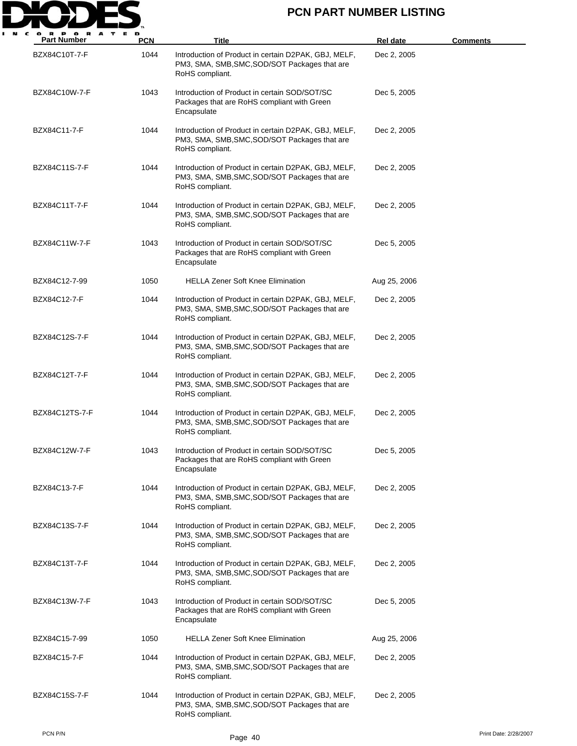

| <b>Part Number</b> | <b>PCN</b> | Title                                                                                                                    | <b>Rel date</b> | <u>Comments</u> |
|--------------------|------------|--------------------------------------------------------------------------------------------------------------------------|-----------------|-----------------|
| BZX84C10T-7-F      | 1044       | Introduction of Product in certain D2PAK, GBJ, MELF,<br>PM3, SMA, SMB, SMC, SOD/SOT Packages that are<br>RoHS compliant. | Dec 2, 2005     |                 |
| BZX84C10W-7-F      | 1043       | Introduction of Product in certain SOD/SOT/SC<br>Packages that are RoHS compliant with Green<br>Encapsulate              | Dec 5, 2005     |                 |
| BZX84C11-7-F       | 1044       | Introduction of Product in certain D2PAK, GBJ, MELF,<br>PM3, SMA, SMB, SMC, SOD/SOT Packages that are<br>RoHS compliant. | Dec 2, 2005     |                 |
| BZX84C11S-7-F      | 1044       | Introduction of Product in certain D2PAK, GBJ, MELF,<br>PM3, SMA, SMB, SMC, SOD/SOT Packages that are<br>RoHS compliant. | Dec 2, 2005     |                 |
| BZX84C11T-7-F      | 1044       | Introduction of Product in certain D2PAK, GBJ, MELF,<br>PM3, SMA, SMB, SMC, SOD/SOT Packages that are<br>RoHS compliant. | Dec 2, 2005     |                 |
| BZX84C11W-7-F      | 1043       | Introduction of Product in certain SOD/SOT/SC<br>Packages that are RoHS compliant with Green<br>Encapsulate              | Dec 5, 2005     |                 |
| BZX84C12-7-99      | 1050       | <b>HELLA Zener Soft Knee Elimination</b>                                                                                 | Aug 25, 2006    |                 |
| BZX84C12-7-F       | 1044       | Introduction of Product in certain D2PAK, GBJ, MELF,<br>PM3, SMA, SMB, SMC, SOD/SOT Packages that are<br>RoHS compliant. | Dec 2, 2005     |                 |
| BZX84C12S-7-F      | 1044       | Introduction of Product in certain D2PAK, GBJ, MELF,<br>PM3, SMA, SMB, SMC, SOD/SOT Packages that are<br>RoHS compliant. | Dec 2, 2005     |                 |
| BZX84C12T-7-F      | 1044       | Introduction of Product in certain D2PAK, GBJ, MELF,<br>PM3, SMA, SMB, SMC, SOD/SOT Packages that are<br>RoHS compliant. | Dec 2, 2005     |                 |
| BZX84C12TS-7-F     | 1044       | Introduction of Product in certain D2PAK, GBJ, MELF,<br>PM3, SMA, SMB, SMC, SOD/SOT Packages that are<br>RoHS compliant. | Dec 2, 2005     |                 |
| BZX84C12W-7-F      | 1043       | Introduction of Product in certain SOD/SOT/SC<br>Packages that are RoHS compliant with Green<br>Encapsulate              | Dec 5, 2005     |                 |
| BZX84C13-7-F       | 1044       | Introduction of Product in certain D2PAK, GBJ, MELF,<br>PM3, SMA, SMB, SMC, SOD/SOT Packages that are<br>RoHS compliant. | Dec 2, 2005     |                 |
| BZX84C13S-7-F      | 1044       | Introduction of Product in certain D2PAK, GBJ, MELF,<br>PM3, SMA, SMB, SMC, SOD/SOT Packages that are<br>RoHS compliant. | Dec 2, 2005     |                 |
| BZX84C13T-7-F      | 1044       | Introduction of Product in certain D2PAK, GBJ, MELF,<br>PM3, SMA, SMB, SMC, SOD/SOT Packages that are<br>RoHS compliant. | Dec 2, 2005     |                 |
| BZX84C13W-7-F      | 1043       | Introduction of Product in certain SOD/SOT/SC<br>Packages that are RoHS compliant with Green<br>Encapsulate              | Dec 5, 2005     |                 |
| BZX84C15-7-99      | 1050       | <b>HELLA Zener Soft Knee Elimination</b>                                                                                 | Aug 25, 2006    |                 |
| BZX84C15-7-F       | 1044       | Introduction of Product in certain D2PAK, GBJ, MELF,<br>PM3, SMA, SMB, SMC, SOD/SOT Packages that are<br>RoHS compliant. | Dec 2, 2005     |                 |
| BZX84C15S-7-F      | 1044       | Introduction of Product in certain D2PAK, GBJ, MELF,<br>PM3, SMA, SMB, SMC, SOD/SOT Packages that are<br>RoHS compliant. | Dec 2, 2005     |                 |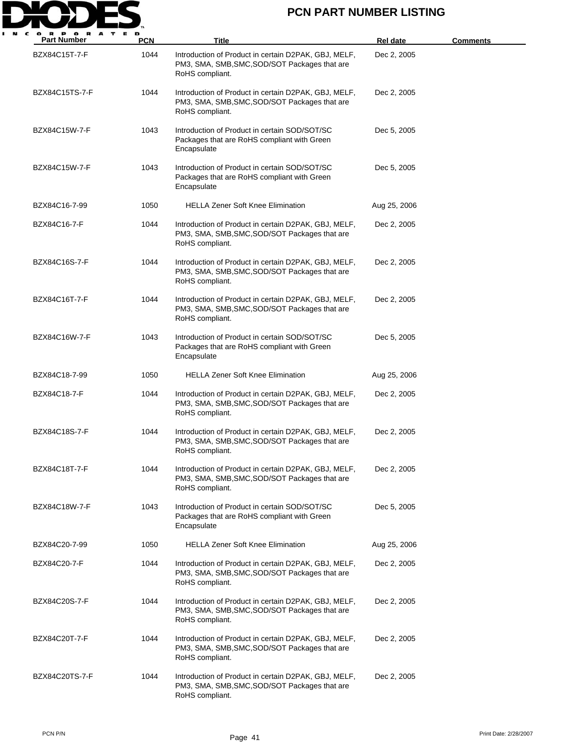

| <b>Part Number</b> | PCN  | <b>Title</b>                                                                                                             | Rel date     | <b>Comments</b> |
|--------------------|------|--------------------------------------------------------------------------------------------------------------------------|--------------|-----------------|
| BZX84C15T-7-F      | 1044 | Introduction of Product in certain D2PAK, GBJ, MELF,<br>PM3, SMA, SMB, SMC, SOD/SOT Packages that are<br>RoHS compliant. | Dec 2, 2005  |                 |
| BZX84C15TS-7-F     | 1044 | Introduction of Product in certain D2PAK, GBJ, MELF,<br>PM3, SMA, SMB, SMC, SOD/SOT Packages that are<br>RoHS compliant. | Dec 2, 2005  |                 |
| BZX84C15W-7-F      | 1043 | Introduction of Product in certain SOD/SOT/SC<br>Packages that are RoHS compliant with Green<br>Encapsulate              | Dec 5, 2005  |                 |
| BZX84C15W-7-F      | 1043 | Introduction of Product in certain SOD/SOT/SC<br>Packages that are RoHS compliant with Green<br>Encapsulate              | Dec 5, 2005  |                 |
| BZX84C16-7-99      | 1050 | <b>HELLA Zener Soft Knee Elimination</b>                                                                                 | Aug 25, 2006 |                 |
| BZX84C16-7-F       | 1044 | Introduction of Product in certain D2PAK, GBJ, MELF,<br>PM3, SMA, SMB, SMC, SOD/SOT Packages that are<br>RoHS compliant. | Dec 2, 2005  |                 |
| BZX84C16S-7-F      | 1044 | Introduction of Product in certain D2PAK, GBJ, MELF,<br>PM3, SMA, SMB, SMC, SOD/SOT Packages that are<br>RoHS compliant. | Dec 2, 2005  |                 |
| BZX84C16T-7-F      | 1044 | Introduction of Product in certain D2PAK, GBJ, MELF,<br>PM3, SMA, SMB, SMC, SOD/SOT Packages that are<br>RoHS compliant. | Dec 2, 2005  |                 |
| BZX84C16W-7-F      | 1043 | Introduction of Product in certain SOD/SOT/SC<br>Packages that are RoHS compliant with Green<br>Encapsulate              | Dec 5, 2005  |                 |
| BZX84C18-7-99      | 1050 | <b>HELLA Zener Soft Knee Elimination</b>                                                                                 | Aug 25, 2006 |                 |
| BZX84C18-7-F       | 1044 | Introduction of Product in certain D2PAK, GBJ, MELF,<br>PM3, SMA, SMB, SMC, SOD/SOT Packages that are<br>RoHS compliant. | Dec 2, 2005  |                 |
| BZX84C18S-7-F      | 1044 | Introduction of Product in certain D2PAK, GBJ, MELF,<br>PM3, SMA, SMB, SMC, SOD/SOT Packages that are<br>RoHS compliant. | Dec 2, 2005  |                 |
| BZX84C18T-7-F      | 1044 | Introduction of Product in certain D2PAK, GBJ, MELF,<br>PM3, SMA, SMB, SMC, SOD/SOT Packages that are<br>RoHS compliant. | Dec 2, 2005  |                 |
| BZX84C18W-7-F      | 1043 | Introduction of Product in certain SOD/SOT/SC<br>Packages that are RoHS compliant with Green<br>Encapsulate              | Dec 5, 2005  |                 |
| BZX84C20-7-99      | 1050 | <b>HELLA Zener Soft Knee Elimination</b>                                                                                 | Aug 25, 2006 |                 |
| BZX84C20-7-F       | 1044 | Introduction of Product in certain D2PAK, GBJ, MELF,<br>PM3, SMA, SMB, SMC, SOD/SOT Packages that are<br>RoHS compliant. | Dec 2, 2005  |                 |
| BZX84C20S-7-F      | 1044 | Introduction of Product in certain D2PAK, GBJ, MELF,<br>PM3, SMA, SMB, SMC, SOD/SOT Packages that are<br>RoHS compliant. | Dec 2, 2005  |                 |
| BZX84C20T-7-F      | 1044 | Introduction of Product in certain D2PAK, GBJ, MELF,<br>PM3, SMA, SMB, SMC, SOD/SOT Packages that are<br>RoHS compliant. | Dec 2, 2005  |                 |
| BZX84C20TS-7-F     | 1044 | Introduction of Product in certain D2PAK, GBJ, MELF,<br>PM3, SMA, SMB, SMC, SOD/SOT Packages that are<br>RoHS compliant. | Dec 2, 2005  |                 |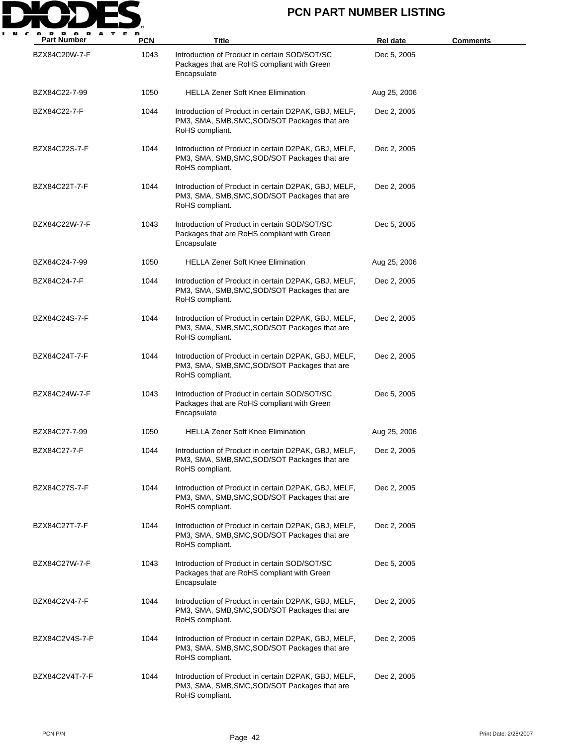

| <b>Part Number</b> | <b>PCN</b> | Title                                                                                                                    | <b>Rel date</b> | <u>Comments</u> |
|--------------------|------------|--------------------------------------------------------------------------------------------------------------------------|-----------------|-----------------|
| BZX84C20W-7-F      | 1043       | Introduction of Product in certain SOD/SOT/SC<br>Packages that are RoHS compliant with Green<br>Encapsulate              | Dec 5, 2005     |                 |
| BZX84C22-7-99      | 1050       | <b>HELLA Zener Soft Knee Elimination</b>                                                                                 | Aug 25, 2006    |                 |
| BZX84C22-7-F       | 1044       | Introduction of Product in certain D2PAK, GBJ, MELF,<br>PM3, SMA, SMB, SMC, SOD/SOT Packages that are<br>RoHS compliant. | Dec 2, 2005     |                 |
| BZX84C22S-7-F      | 1044       | Introduction of Product in certain D2PAK, GBJ, MELF,<br>PM3, SMA, SMB, SMC, SOD/SOT Packages that are<br>RoHS compliant. | Dec 2, 2005     |                 |
| BZX84C22T-7-F      | 1044       | Introduction of Product in certain D2PAK, GBJ, MELF,<br>PM3, SMA, SMB, SMC, SOD/SOT Packages that are<br>RoHS compliant. | Dec 2, 2005     |                 |
| BZX84C22W-7-F      | 1043       | Introduction of Product in certain SOD/SOT/SC<br>Packages that are RoHS compliant with Green<br>Encapsulate              | Dec 5, 2005     |                 |
| BZX84C24-7-99      | 1050       | <b>HELLA Zener Soft Knee Elimination</b>                                                                                 | Aug 25, 2006    |                 |
| BZX84C24-7-F       | 1044       | Introduction of Product in certain D2PAK, GBJ, MELF,<br>PM3, SMA, SMB, SMC, SOD/SOT Packages that are<br>RoHS compliant. | Dec 2, 2005     |                 |
| BZX84C24S-7-F      | 1044       | Introduction of Product in certain D2PAK, GBJ, MELF,<br>PM3, SMA, SMB, SMC, SOD/SOT Packages that are<br>RoHS compliant. | Dec 2, 2005     |                 |
| BZX84C24T-7-F      | 1044       | Introduction of Product in certain D2PAK, GBJ, MELF,<br>PM3, SMA, SMB, SMC, SOD/SOT Packages that are<br>RoHS compliant. | Dec 2, 2005     |                 |
| BZX84C24W-7-F      | 1043       | Introduction of Product in certain SOD/SOT/SC<br>Packages that are RoHS compliant with Green<br>Encapsulate              | Dec 5, 2005     |                 |
| BZX84C27-7-99      | 1050       | <b>HELLA Zener Soft Knee Elimination</b>                                                                                 | Aug 25, 2006    |                 |
| BZX84C27-7-F       | 1044       | Introduction of Product in certain D2PAK, GBJ, MELF,<br>PM3, SMA, SMB, SMC, SOD/SOT Packages that are<br>RoHS compliant. | Dec 2, 2005     |                 |
| BZX84C27S-7-F      | 1044       | Introduction of Product in certain D2PAK, GBJ, MELF,<br>PM3, SMA, SMB, SMC, SOD/SOT Packages that are<br>RoHS compliant. | Dec 2, 2005     |                 |
| BZX84C27T-7-F      | 1044       | Introduction of Product in certain D2PAK, GBJ, MELF,<br>PM3, SMA, SMB, SMC, SOD/SOT Packages that are<br>RoHS compliant. | Dec 2, 2005     |                 |
| BZX84C27W-7-F      | 1043       | Introduction of Product in certain SOD/SOT/SC<br>Packages that are RoHS compliant with Green<br>Encapsulate              | Dec 5, 2005     |                 |
| BZX84C2V4-7-F      | 1044       | Introduction of Product in certain D2PAK, GBJ, MELF,<br>PM3, SMA, SMB, SMC, SOD/SOT Packages that are<br>RoHS compliant. | Dec 2, 2005     |                 |
| BZX84C2V4S-7-F     | 1044       | Introduction of Product in certain D2PAK, GBJ, MELF,<br>PM3, SMA, SMB, SMC, SOD/SOT Packages that are<br>RoHS compliant. | Dec 2, 2005     |                 |
| BZX84C2V4T-7-F     | 1044       | Introduction of Product in certain D2PAK, GBJ, MELF,<br>PM3, SMA, SMB, SMC, SOD/SOT Packages that are<br>RoHS compliant. | Dec 2, 2005     |                 |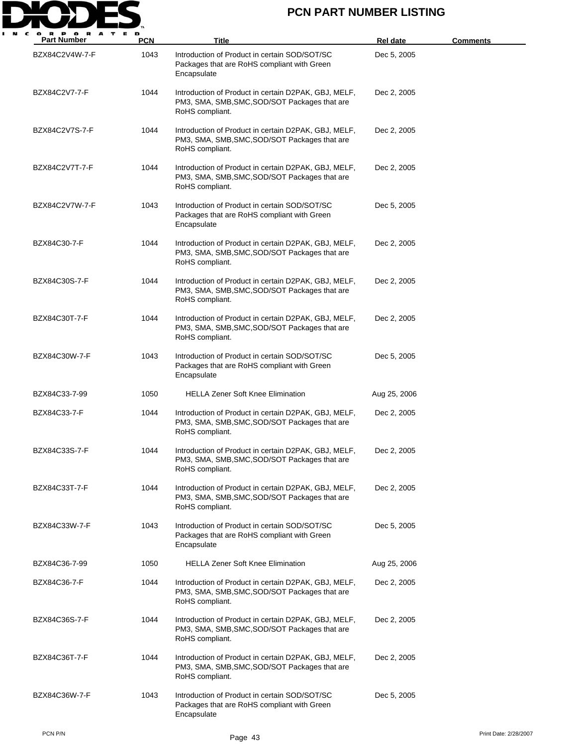

| <b>Part Number</b> | <b>PCN</b> | <b>Title</b>                                                                                                             | <b>Rel date</b> | <u>Comments</u> |
|--------------------|------------|--------------------------------------------------------------------------------------------------------------------------|-----------------|-----------------|
| BZX84C2V4W-7-F     | 1043       | Introduction of Product in certain SOD/SOT/SC<br>Packages that are RoHS compliant with Green<br>Encapsulate              | Dec 5, 2005     |                 |
| BZX84C2V7-7-F      | 1044       | Introduction of Product in certain D2PAK, GBJ, MELF,<br>PM3, SMA, SMB, SMC, SOD/SOT Packages that are<br>RoHS compliant. | Dec 2, 2005     |                 |
| BZX84C2V7S-7-F     | 1044       | Introduction of Product in certain D2PAK, GBJ, MELF,<br>PM3, SMA, SMB, SMC, SOD/SOT Packages that are<br>RoHS compliant. | Dec 2, 2005     |                 |
| BZX84C2V7T-7-F     | 1044       | Introduction of Product in certain D2PAK, GBJ, MELF,<br>PM3, SMA, SMB, SMC, SOD/SOT Packages that are<br>RoHS compliant. | Dec 2, 2005     |                 |
| BZX84C2V7W-7-F     | 1043       | Introduction of Product in certain SOD/SOT/SC<br>Packages that are RoHS compliant with Green<br>Encapsulate              | Dec 5, 2005     |                 |
| BZX84C30-7-F       | 1044       | Introduction of Product in certain D2PAK, GBJ, MELF,<br>PM3, SMA, SMB, SMC, SOD/SOT Packages that are<br>RoHS compliant. | Dec 2, 2005     |                 |
| BZX84C30S-7-F      | 1044       | Introduction of Product in certain D2PAK, GBJ, MELF,<br>PM3, SMA, SMB, SMC, SOD/SOT Packages that are<br>RoHS compliant. | Dec 2, 2005     |                 |
| BZX84C30T-7-F      | 1044       | Introduction of Product in certain D2PAK, GBJ, MELF,<br>PM3, SMA, SMB, SMC, SOD/SOT Packages that are<br>RoHS compliant. | Dec 2, 2005     |                 |
| BZX84C30W-7-F      | 1043       | Introduction of Product in certain SOD/SOT/SC<br>Packages that are RoHS compliant with Green<br>Encapsulate              | Dec 5, 2005     |                 |
| BZX84C33-7-99      | 1050       | <b>HELLA Zener Soft Knee Elimination</b>                                                                                 | Aug 25, 2006    |                 |
| BZX84C33-7-F       | 1044       | Introduction of Product in certain D2PAK, GBJ, MELF,<br>PM3, SMA, SMB, SMC, SOD/SOT Packages that are<br>RoHS compliant. | Dec 2, 2005     |                 |
| BZX84C33S-7-F      | 1044       | Introduction of Product in certain D2PAK, GBJ, MELF,<br>PM3, SMA, SMB, SMC, SOD/SOT Packages that are<br>RoHS compliant. | Dec 2, 2005     |                 |
| BZX84C33T-7-F      | 1044       | Introduction of Product in certain D2PAK, GBJ, MELF,<br>PM3, SMA, SMB, SMC, SOD/SOT Packages that are<br>RoHS compliant. | Dec 2, 2005     |                 |
| BZX84C33W-7-F      | 1043       | Introduction of Product in certain SOD/SOT/SC<br>Packages that are RoHS compliant with Green<br>Encapsulate              | Dec 5, 2005     |                 |
| BZX84C36-7-99      | 1050       | <b>HELLA Zener Soft Knee Elimination</b>                                                                                 | Aug 25, 2006    |                 |
| BZX84C36-7-F       | 1044       | Introduction of Product in certain D2PAK, GBJ, MELF,<br>PM3, SMA, SMB, SMC, SOD/SOT Packages that are<br>RoHS compliant. | Dec 2, 2005     |                 |
| BZX84C36S-7-F      | 1044       | Introduction of Product in certain D2PAK, GBJ, MELF,<br>PM3, SMA, SMB, SMC, SOD/SOT Packages that are<br>RoHS compliant. | Dec 2, 2005     |                 |
| BZX84C36T-7-F      | 1044       | Introduction of Product in certain D2PAK, GBJ, MELF,<br>PM3, SMA, SMB, SMC, SOD/SOT Packages that are<br>RoHS compliant. | Dec 2, 2005     |                 |
| BZX84C36W-7-F      | 1043       | Introduction of Product in certain SOD/SOT/SC<br>Packages that are RoHS compliant with Green<br>Encapsulate              | Dec 5, 2005     |                 |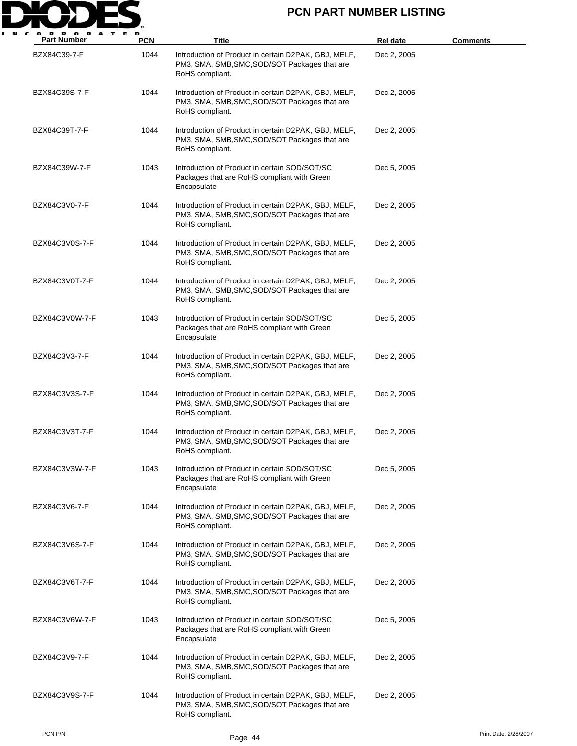

| <b>Part Number</b> | <b>PCN</b> | <b>Title</b>                                                                                                             | Rel date    | <u>Comments</u> |
|--------------------|------------|--------------------------------------------------------------------------------------------------------------------------|-------------|-----------------|
| BZX84C39-7-F       | 1044       | Introduction of Product in certain D2PAK, GBJ, MELF,<br>PM3, SMA, SMB, SMC, SOD/SOT Packages that are<br>RoHS compliant. | Dec 2, 2005 |                 |
| BZX84C39S-7-F      | 1044       | Introduction of Product in certain D2PAK, GBJ, MELF,<br>PM3, SMA, SMB, SMC, SOD/SOT Packages that are<br>RoHS compliant. | Dec 2, 2005 |                 |
| BZX84C39T-7-F      | 1044       | Introduction of Product in certain D2PAK, GBJ, MELF,<br>PM3, SMA, SMB, SMC, SOD/SOT Packages that are<br>RoHS compliant. | Dec 2, 2005 |                 |
| BZX84C39W-7-F      | 1043       | Introduction of Product in certain SOD/SOT/SC<br>Packages that are RoHS compliant with Green<br>Encapsulate              | Dec 5, 2005 |                 |
| BZX84C3V0-7-F      | 1044       | Introduction of Product in certain D2PAK, GBJ, MELF,<br>PM3, SMA, SMB, SMC, SOD/SOT Packages that are<br>RoHS compliant. | Dec 2, 2005 |                 |
| BZX84C3V0S-7-F     | 1044       | Introduction of Product in certain D2PAK, GBJ, MELF,<br>PM3, SMA, SMB, SMC, SOD/SOT Packages that are<br>RoHS compliant. | Dec 2, 2005 |                 |
| BZX84C3V0T-7-F     | 1044       | Introduction of Product in certain D2PAK, GBJ, MELF,<br>PM3, SMA, SMB, SMC, SOD/SOT Packages that are<br>RoHS compliant. | Dec 2, 2005 |                 |
| BZX84C3V0W-7-F     | 1043       | Introduction of Product in certain SOD/SOT/SC<br>Packages that are RoHS compliant with Green<br>Encapsulate              | Dec 5, 2005 |                 |
| BZX84C3V3-7-F      | 1044       | Introduction of Product in certain D2PAK, GBJ, MELF,<br>PM3, SMA, SMB, SMC, SOD/SOT Packages that are<br>RoHS compliant. | Dec 2, 2005 |                 |
| BZX84C3V3S-7-F     | 1044       | Introduction of Product in certain D2PAK, GBJ, MELF,<br>PM3, SMA, SMB, SMC, SOD/SOT Packages that are<br>RoHS compliant. | Dec 2, 2005 |                 |
| BZX84C3V3T-7-F     | 1044       | Introduction of Product in certain D2PAK, GBJ, MELF,<br>PM3, SMA, SMB, SMC, SOD/SOT Packages that are<br>RoHS compliant. | Dec 2, 2005 |                 |
| BZX84C3V3W-7-F     | 1043       | Introduction of Product in certain SOD/SOT/SC<br>Packages that are RoHS compliant with Green<br>Encapsulate              | Dec 5, 2005 |                 |
| BZX84C3V6-7-F      | 1044       | Introduction of Product in certain D2PAK, GBJ, MELF,<br>PM3, SMA, SMB, SMC, SOD/SOT Packages that are<br>RoHS compliant. | Dec 2, 2005 |                 |
| BZX84C3V6S-7-F     | 1044       | Introduction of Product in certain D2PAK, GBJ, MELF,<br>PM3, SMA, SMB, SMC, SOD/SOT Packages that are<br>RoHS compliant. | Dec 2, 2005 |                 |
| BZX84C3V6T-7-F     | 1044       | Introduction of Product in certain D2PAK, GBJ, MELF,<br>PM3, SMA, SMB, SMC, SOD/SOT Packages that are<br>RoHS compliant. | Dec 2, 2005 |                 |
| BZX84C3V6W-7-F     | 1043       | Introduction of Product in certain SOD/SOT/SC<br>Packages that are RoHS compliant with Green<br>Encapsulate              | Dec 5, 2005 |                 |
| BZX84C3V9-7-F      | 1044       | Introduction of Product in certain D2PAK, GBJ, MELF,<br>PM3, SMA, SMB, SMC, SOD/SOT Packages that are<br>RoHS compliant. | Dec 2, 2005 |                 |
| BZX84C3V9S-7-F     | 1044       | Introduction of Product in certain D2PAK, GBJ, MELF,<br>PM3, SMA, SMB, SMC, SOD/SOT Packages that are<br>RoHS compliant. | Dec 2, 2005 |                 |

PCN P/N Print Date: 2/28/2007<br>Page 44 Print Date: 2/28/2007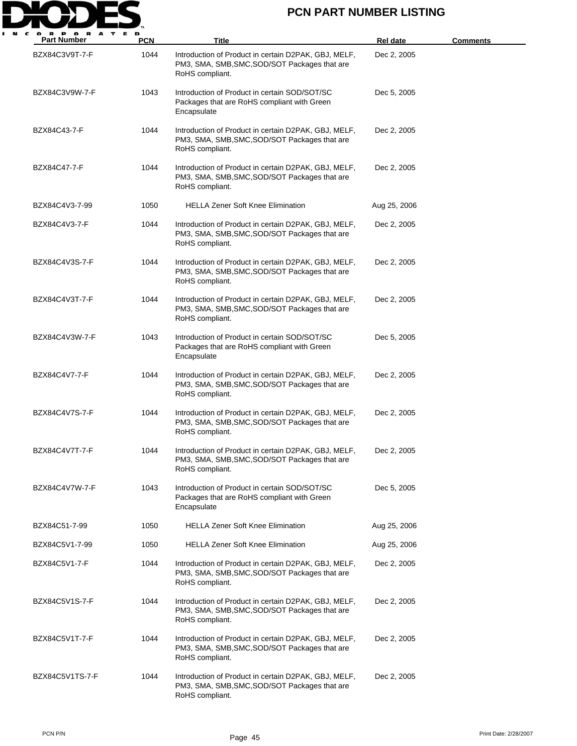

| <b>Part Number</b> | PCN  | <b>Title</b>                                                                                                             | <b>Rel date</b> | <b>Comments</b> |
|--------------------|------|--------------------------------------------------------------------------------------------------------------------------|-----------------|-----------------|
| BZX84C3V9T-7-F     | 1044 | Introduction of Product in certain D2PAK, GBJ, MELF,<br>PM3, SMA, SMB, SMC, SOD/SOT Packages that are<br>RoHS compliant. | Dec 2, 2005     |                 |
| BZX84C3V9W-7-F     | 1043 | Introduction of Product in certain SOD/SOT/SC<br>Packages that are RoHS compliant with Green<br>Encapsulate              | Dec 5, 2005     |                 |
| BZX84C43-7-F       | 1044 | Introduction of Product in certain D2PAK, GBJ, MELF,<br>PM3, SMA, SMB, SMC, SOD/SOT Packages that are<br>RoHS compliant. | Dec 2, 2005     |                 |
| BZX84C47-7-F       | 1044 | Introduction of Product in certain D2PAK, GBJ, MELF,<br>PM3, SMA, SMB, SMC, SOD/SOT Packages that are<br>RoHS compliant. | Dec 2, 2005     |                 |
| BZX84C4V3-7-99     | 1050 | <b>HELLA Zener Soft Knee Elimination</b>                                                                                 | Aug 25, 2006    |                 |
| BZX84C4V3-7-F      | 1044 | Introduction of Product in certain D2PAK, GBJ, MELF,<br>PM3, SMA, SMB, SMC, SOD/SOT Packages that are<br>RoHS compliant. | Dec 2, 2005     |                 |
| BZX84C4V3S-7-F     | 1044 | Introduction of Product in certain D2PAK, GBJ, MELF,<br>PM3, SMA, SMB, SMC, SOD/SOT Packages that are<br>RoHS compliant. | Dec 2, 2005     |                 |
| BZX84C4V3T-7-F     | 1044 | Introduction of Product in certain D2PAK, GBJ, MELF,<br>PM3, SMA, SMB, SMC, SOD/SOT Packages that are<br>RoHS compliant. | Dec 2, 2005     |                 |
| BZX84C4V3W-7-F     | 1043 | Introduction of Product in certain SOD/SOT/SC<br>Packages that are RoHS compliant with Green<br>Encapsulate              | Dec 5, 2005     |                 |
| BZX84C4V7-7-F      | 1044 | Introduction of Product in certain D2PAK, GBJ, MELF,<br>PM3, SMA, SMB, SMC, SOD/SOT Packages that are<br>RoHS compliant. | Dec 2, 2005     |                 |
| BZX84C4V7S-7-F     | 1044 | Introduction of Product in certain D2PAK, GBJ, MELF,<br>PM3, SMA, SMB, SMC, SOD/SOT Packages that are<br>RoHS compliant. | Dec 2, 2005     |                 |
| BZX84C4V7T-7-F     | 1044 | Introduction of Product in certain D2PAK, GBJ, MELF,<br>PM3, SMA, SMB, SMC, SOD/SOT Packages that are<br>RoHS compliant. | Dec 2, 2005     |                 |
| BZX84C4V7W-7-F     | 1043 | Introduction of Product in certain SOD/SOT/SC<br>Packages that are RoHS compliant with Green<br>Encapsulate              | Dec 5, 2005     |                 |
| BZX84C51-7-99      | 1050 | <b>HELLA Zener Soft Knee Elimination</b>                                                                                 | Aug 25, 2006    |                 |
| BZX84C5V1-7-99     | 1050 | <b>HELLA Zener Soft Knee Elimination</b>                                                                                 | Aug 25, 2006    |                 |
| BZX84C5V1-7-F      | 1044 | Introduction of Product in certain D2PAK, GBJ, MELF,<br>PM3, SMA, SMB, SMC, SOD/SOT Packages that are<br>RoHS compliant. | Dec 2, 2005     |                 |
| BZX84C5V1S-7-F     | 1044 | Introduction of Product in certain D2PAK, GBJ, MELF,<br>PM3, SMA, SMB, SMC, SOD/SOT Packages that are<br>RoHS compliant. | Dec 2, 2005     |                 |
| BZX84C5V1T-7-F     | 1044 | Introduction of Product in certain D2PAK, GBJ, MELF,<br>PM3, SMA, SMB, SMC, SOD/SOT Packages that are<br>RoHS compliant. | Dec 2, 2005     |                 |
| BZX84C5V1TS-7-F    | 1044 | Introduction of Product in certain D2PAK, GBJ, MELF,<br>PM3, SMA, SMB, SMC, SOD/SOT Packages that are<br>RoHS compliant. | Dec 2, 2005     |                 |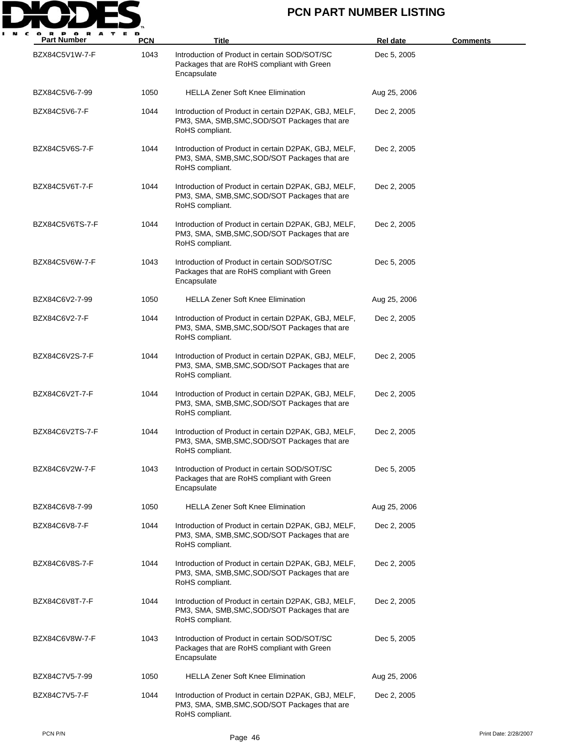

| <b>Part Number</b> | <b>PCN</b> | Title                                                                                                                    | <b>Rel date</b> | <b>Comments</b> |
|--------------------|------------|--------------------------------------------------------------------------------------------------------------------------|-----------------|-----------------|
| BZX84C5V1W-7-F     | 1043       | Introduction of Product in certain SOD/SOT/SC<br>Packages that are RoHS compliant with Green<br>Encapsulate              | Dec 5, 2005     |                 |
| BZX84C5V6-7-99     | 1050       | <b>HELLA Zener Soft Knee Elimination</b>                                                                                 | Aug 25, 2006    |                 |
| BZX84C5V6-7-F      | 1044       | Introduction of Product in certain D2PAK, GBJ, MELF,<br>PM3, SMA, SMB, SMC, SOD/SOT Packages that are<br>RoHS compliant. | Dec 2, 2005     |                 |
| BZX84C5V6S-7-F     | 1044       | Introduction of Product in certain D2PAK, GBJ, MELF,<br>PM3, SMA, SMB, SMC, SOD/SOT Packages that are<br>RoHS compliant. | Dec 2, 2005     |                 |
| BZX84C5V6T-7-F     | 1044       | Introduction of Product in certain D2PAK, GBJ, MELF,<br>PM3, SMA, SMB, SMC, SOD/SOT Packages that are<br>RoHS compliant. | Dec 2, 2005     |                 |
| BZX84C5V6TS-7-F    | 1044       | Introduction of Product in certain D2PAK, GBJ, MELF,<br>PM3, SMA, SMB, SMC, SOD/SOT Packages that are<br>RoHS compliant. | Dec 2, 2005     |                 |
| BZX84C5V6W-7-F     | 1043       | Introduction of Product in certain SOD/SOT/SC<br>Packages that are RoHS compliant with Green<br>Encapsulate              | Dec 5, 2005     |                 |
| BZX84C6V2-7-99     | 1050       | <b>HELLA Zener Soft Knee Elimination</b>                                                                                 | Aug 25, 2006    |                 |
| BZX84C6V2-7-F      | 1044       | Introduction of Product in certain D2PAK, GBJ, MELF,<br>PM3, SMA, SMB, SMC, SOD/SOT Packages that are<br>RoHS compliant. | Dec 2, 2005     |                 |
| BZX84C6V2S-7-F     | 1044       | Introduction of Product in certain D2PAK, GBJ, MELF,<br>PM3, SMA, SMB, SMC, SOD/SOT Packages that are<br>RoHS compliant. | Dec 2, 2005     |                 |
| BZX84C6V2T-7-F     | 1044       | Introduction of Product in certain D2PAK, GBJ, MELF,<br>PM3, SMA, SMB, SMC, SOD/SOT Packages that are<br>RoHS compliant. | Dec 2, 2005     |                 |
| BZX84C6V2TS-7-F    | 1044       | Introduction of Product in certain D2PAK, GBJ, MELF,<br>PM3, SMA, SMB, SMC, SOD/SOT Packages that are<br>RoHS compliant. | Dec 2, 2005     |                 |
| BZX84C6V2W-7-F     | 1043       | Introduction of Product in certain SOD/SOT/SC<br>Packages that are RoHS compliant with Green<br>Encapsulate              | Dec 5, 2005     |                 |
| BZX84C6V8-7-99     | 1050       | <b>HELLA Zener Soft Knee Elimination</b>                                                                                 | Aug 25, 2006    |                 |
| BZX84C6V8-7-F      | 1044       | Introduction of Product in certain D2PAK, GBJ, MELF,<br>PM3, SMA, SMB, SMC, SOD/SOT Packages that are<br>RoHS compliant. | Dec 2, 2005     |                 |
| BZX84C6V8S-7-F     | 1044       | Introduction of Product in certain D2PAK, GBJ, MELF,<br>PM3, SMA, SMB, SMC, SOD/SOT Packages that are<br>RoHS compliant. | Dec 2, 2005     |                 |
| BZX84C6V8T-7-F     | 1044       | Introduction of Product in certain D2PAK, GBJ, MELF,<br>PM3, SMA, SMB, SMC, SOD/SOT Packages that are<br>RoHS compliant. | Dec 2, 2005     |                 |
| BZX84C6V8W-7-F     | 1043       | Introduction of Product in certain SOD/SOT/SC<br>Packages that are RoHS compliant with Green<br>Encapsulate              | Dec 5, 2005     |                 |
| BZX84C7V5-7-99     | 1050       | <b>HELLA Zener Soft Knee Elimination</b>                                                                                 | Aug 25, 2006    |                 |
| BZX84C7V5-7-F      | 1044       | Introduction of Product in certain D2PAK, GBJ, MELF,<br>PM3, SMA, SMB, SMC, SOD/SOT Packages that are<br>RoHS compliant. | Dec 2, 2005     |                 |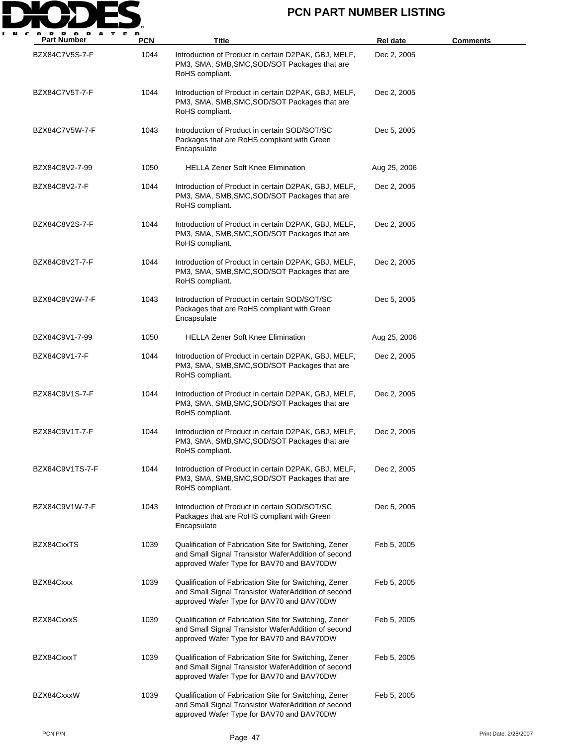

| <b>Part Number</b> | <b>PCN</b> | <b>Title</b>                                                                                                                                               | Rel date     | <b>Comments</b>       |
|--------------------|------------|------------------------------------------------------------------------------------------------------------------------------------------------------------|--------------|-----------------------|
| BZX84C7V5S-7-F     | 1044       | Introduction of Product in certain D2PAK, GBJ, MELF,<br>PM3, SMA, SMB, SMC, SOD/SOT Packages that are<br>RoHS compliant.                                   | Dec 2, 2005  |                       |
| BZX84C7V5T-7-F     | 1044       | Introduction of Product in certain D2PAK, GBJ, MELF,<br>PM3, SMA, SMB, SMC, SOD/SOT Packages that are<br>RoHS compliant.                                   | Dec 2, 2005  |                       |
| BZX84C7V5W-7-F     | 1043       | Introduction of Product in certain SOD/SOT/SC<br>Packages that are RoHS compliant with Green<br>Encapsulate                                                | Dec 5, 2005  |                       |
| BZX84C8V2-7-99     | 1050       | <b>HELLA Zener Soft Knee Elimination</b>                                                                                                                   | Aug 25, 2006 |                       |
| BZX84C8V2-7-F      | 1044       | Introduction of Product in certain D2PAK, GBJ, MELF,<br>PM3, SMA, SMB, SMC, SOD/SOT Packages that are<br>RoHS compliant.                                   | Dec 2, 2005  |                       |
| BZX84C8V2S-7-F     | 1044       | Introduction of Product in certain D2PAK, GBJ, MELF,<br>PM3, SMA, SMB, SMC, SOD/SOT Packages that are<br>RoHS compliant.                                   | Dec 2, 2005  |                       |
| BZX84C8V2T-7-F     | 1044       | Introduction of Product in certain D2PAK, GBJ, MELF,<br>PM3, SMA, SMB, SMC, SOD/SOT Packages that are<br>RoHS compliant.                                   | Dec 2, 2005  |                       |
| BZX84C8V2W-7-F     | 1043       | Introduction of Product in certain SOD/SOT/SC<br>Packages that are RoHS compliant with Green<br>Encapsulate                                                | Dec 5, 2005  |                       |
| BZX84C9V1-7-99     | 1050       | <b>HELLA Zener Soft Knee Elimination</b>                                                                                                                   | Aug 25, 2006 |                       |
| BZX84C9V1-7-F      | 1044       | Introduction of Product in certain D2PAK, GBJ, MELF,<br>PM3, SMA, SMB, SMC, SOD/SOT Packages that are<br>RoHS compliant.                                   | Dec 2, 2005  |                       |
| BZX84C9V1S-7-F     | 1044       | Introduction of Product in certain D2PAK, GBJ, MELF,<br>PM3, SMA, SMB, SMC, SOD/SOT Packages that are<br>RoHS compliant.                                   | Dec 2, 2005  |                       |
| BZX84C9V1T-7-F     | 1044       | Introduction of Product in certain D2PAK, GBJ, MELF,<br>PM3, SMA, SMB, SMC, SOD/SOT Packages that are<br>RoHS compliant.                                   | Dec 2, 2005  |                       |
| BZX84C9V1TS-7-F    | 1044       | Introduction of Product in certain D2PAK, GBJ, MELF,<br>PM3, SMA, SMB, SMC, SOD/SOT Packages that are<br>RoHS compliant.                                   | Dec 2, 2005  |                       |
| BZX84C9V1W-7-F     | 1043       | Introduction of Product in certain SOD/SOT/SC<br>Packages that are RoHS compliant with Green<br>Encapsulate                                                | Dec 5, 2005  |                       |
| BZX84CxxTS         | 1039       | Qualification of Fabrication Site for Switching, Zener<br>and Small Signal Transistor WaferAddition of second<br>approved Wafer Type for BAV70 and BAV70DW | Feb 5, 2005  |                       |
| BZX84Cxxx          | 1039       | Qualification of Fabrication Site for Switching, Zener<br>and Small Signal Transistor WaferAddition of second<br>approved Wafer Type for BAV70 and BAV70DW | Feb 5, 2005  |                       |
| BZX84CxxxS         | 1039       | Qualification of Fabrication Site for Switching, Zener<br>and Small Signal Transistor WaferAddition of second<br>approved Wafer Type for BAV70 and BAV70DW | Feb 5, 2005  |                       |
| BZX84CxxxT         | 1039       | Qualification of Fabrication Site for Switching, Zener<br>and Small Signal Transistor WaferAddition of second<br>approved Wafer Type for BAV70 and BAV70DW | Feb 5, 2005  |                       |
| BZX84CxxxW         | 1039       | Qualification of Fabrication Site for Switching, Zener<br>and Small Signal Transistor WaferAddition of second<br>approved Wafer Type for BAV70 and BAV70DW | Feb 5, 2005  |                       |
| PCN P/N            |            | Page 47                                                                                                                                                    |              | Print Date: 2/28/2007 |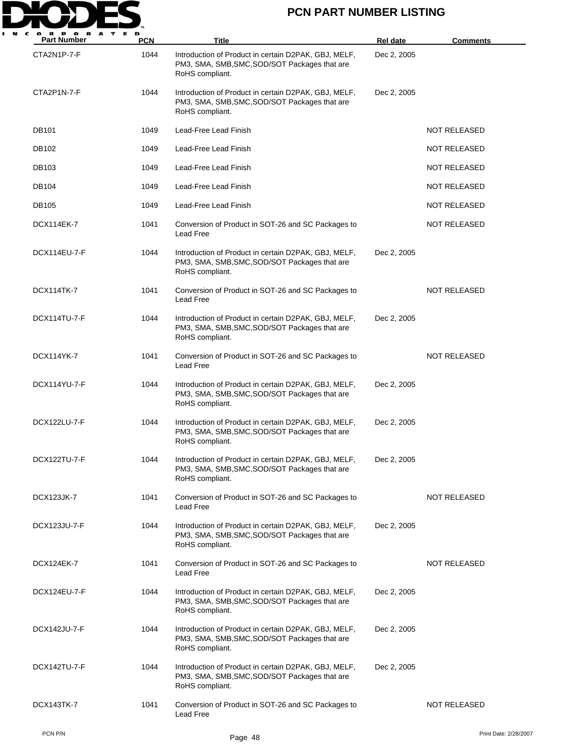

| . .<br>A<br><b>Part Number</b> | <b>PCN</b> | Title                                                                                                                    | <b>Rel date</b> | <b>Comments</b>       |
|--------------------------------|------------|--------------------------------------------------------------------------------------------------------------------------|-----------------|-----------------------|
| CTA2N1P-7-F                    | 1044       | Introduction of Product in certain D2PAK, GBJ, MELF,<br>PM3, SMA, SMB, SMC, SOD/SOT Packages that are<br>RoHS compliant. | Dec 2, 2005     |                       |
| CTA2P1N-7-F                    | 1044       | Introduction of Product in certain D2PAK, GBJ, MELF,<br>PM3, SMA, SMB, SMC, SOD/SOT Packages that are<br>RoHS compliant. | Dec 2, 2005     |                       |
| <b>DB101</b>                   | 1049       | Lead-Free Lead Finish                                                                                                    |                 | <b>NOT RELEASED</b>   |
| DB102                          | 1049       | Lead-Free Lead Finish                                                                                                    |                 | <b>NOT RELEASED</b>   |
| DB103                          | 1049       | Lead-Free Lead Finish                                                                                                    |                 | NOT RELEASED          |
| DB104                          | 1049       | Lead-Free Lead Finish                                                                                                    |                 | <b>NOT RELEASED</b>   |
| <b>DB105</b>                   | 1049       | Lead-Free Lead Finish                                                                                                    |                 | <b>NOT RELEASED</b>   |
| DCX114EK-7                     | 1041       | Conversion of Product in SOT-26 and SC Packages to<br>Lead Free                                                          |                 | NOT RELEASED          |
| DCX114EU-7-F                   | 1044       | Introduction of Product in certain D2PAK, GBJ, MELF,<br>PM3, SMA, SMB, SMC, SOD/SOT Packages that are<br>RoHS compliant. | Dec 2, 2005     |                       |
| <b>DCX114TK-7</b>              | 1041       | Conversion of Product in SOT-26 and SC Packages to<br>Lead Free                                                          |                 | <b>NOT RELEASED</b>   |
| DCX114TU-7-F                   | 1044       | Introduction of Product in certain D2PAK, GBJ, MELF,<br>PM3, SMA, SMB, SMC, SOD/SOT Packages that are<br>RoHS compliant. | Dec 2, 2005     |                       |
| DCX114YK-7                     | 1041       | Conversion of Product in SOT-26 and SC Packages to<br>Lead Free                                                          |                 | NOT RELEASED          |
| DCX114YU-7-F                   | 1044       | Introduction of Product in certain D2PAK, GBJ, MELF,<br>PM3, SMA, SMB, SMC, SOD/SOT Packages that are<br>RoHS compliant. | Dec 2, 2005     |                       |
| DCX122LU-7-F                   | 1044       | Introduction of Product in certain D2PAK, GBJ, MELF,<br>PM3, SMA, SMB, SMC, SOD/SOT Packages that are<br>RoHS compliant. | Dec 2, 2005     |                       |
| DCX122TU-7-F                   | 1044       | Introduction of Product in certain D2PAK, GBJ, MELF,<br>PM3, SMA, SMB, SMC, SOD/SOT Packages that are<br>RoHS compliant. | Dec 2, 2005     |                       |
| <b>DCX123JK-7</b>              | 1041       | Conversion of Product in SOT-26 and SC Packages to<br>Lead Free                                                          |                 | NOT RELEASED          |
| DCX123JU-7-F                   | 1044       | Introduction of Product in certain D2PAK, GBJ, MELF,<br>PM3, SMA, SMB, SMC, SOD/SOT Packages that are<br>RoHS compliant. | Dec 2, 2005     |                       |
| DCX124EK-7                     | 1041       | Conversion of Product in SOT-26 and SC Packages to<br>Lead Free                                                          |                 | NOT RELEASED          |
| DCX124EU-7-F                   | 1044       | Introduction of Product in certain D2PAK, GBJ, MELF,<br>PM3, SMA, SMB, SMC, SOD/SOT Packages that are<br>RoHS compliant. | Dec 2, 2005     |                       |
| DCX142JU-7-F                   | 1044       | Introduction of Product in certain D2PAK, GBJ, MELF,<br>PM3, SMA, SMB, SMC, SOD/SOT Packages that are<br>RoHS compliant. | Dec 2, 2005     |                       |
| DCX142TU-7-F                   | 1044       | Introduction of Product in certain D2PAK, GBJ, MELF,<br>PM3, SMA, SMB, SMC, SOD/SOT Packages that are<br>RoHS compliant. | Dec 2, 2005     |                       |
| DCX143TK-7                     | 1041       | Conversion of Product in SOT-26 and SC Packages to<br>Lead Free                                                          |                 | NOT RELEASED          |
| PCN P/N                        |            | Page 48                                                                                                                  |                 | Print Date: 2/28/2007 |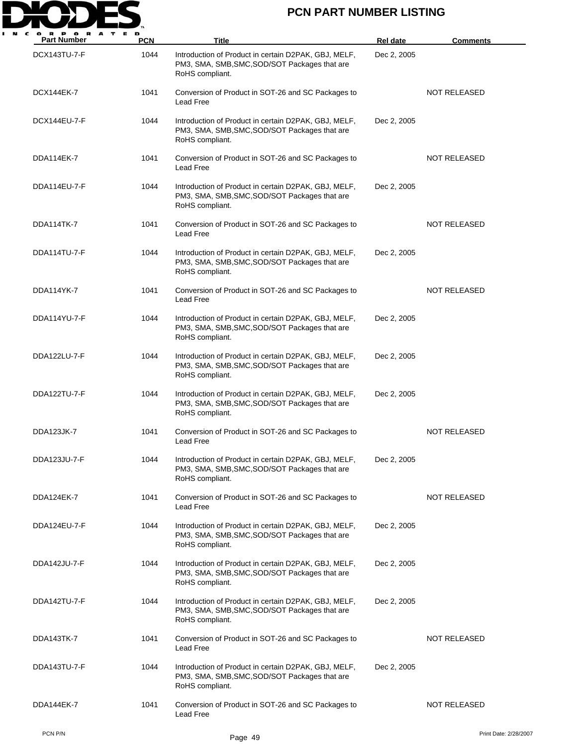

| o ĸ<br>A<br><b>Part Number</b> | <b>PCN</b> | Title                                                                                                                    | <b>Rel date</b> | <b>Comments</b>       |
|--------------------------------|------------|--------------------------------------------------------------------------------------------------------------------------|-----------------|-----------------------|
| DCX143TU-7-F                   | 1044       | Introduction of Product in certain D2PAK, GBJ, MELF,<br>PM3, SMA, SMB, SMC, SOD/SOT Packages that are<br>RoHS compliant. | Dec 2, 2005     |                       |
| <b>DCX144EK-7</b>              | 1041       | Conversion of Product in SOT-26 and SC Packages to<br>Lead Free                                                          |                 | <b>NOT RELEASED</b>   |
| DCX144EU-7-F                   | 1044       | Introduction of Product in certain D2PAK, GBJ, MELF,<br>PM3, SMA, SMB, SMC, SOD/SOT Packages that are<br>RoHS compliant. | Dec 2, 2005     |                       |
| DDA114EK-7                     | 1041       | Conversion of Product in SOT-26 and SC Packages to<br>Lead Free                                                          |                 | NOT RELEASED          |
| DDA114EU-7-F                   | 1044       | Introduction of Product in certain D2PAK, GBJ, MELF,<br>PM3, SMA, SMB, SMC, SOD/SOT Packages that are<br>RoHS compliant. | Dec 2, 2005     |                       |
| DDA114TK-7                     | 1041       | Conversion of Product in SOT-26 and SC Packages to<br>Lead Free                                                          |                 | NOT RELEASED          |
| DDA114TU-7-F                   | 1044       | Introduction of Product in certain D2PAK, GBJ, MELF,<br>PM3, SMA, SMB, SMC, SOD/SOT Packages that are<br>RoHS compliant. | Dec 2, 2005     |                       |
| DDA114YK-7                     | 1041       | Conversion of Product in SOT-26 and SC Packages to<br>Lead Free                                                          |                 | <b>NOT RELEASED</b>   |
| DDA114YU-7-F                   | 1044       | Introduction of Product in certain D2PAK, GBJ, MELF,<br>PM3, SMA, SMB, SMC, SOD/SOT Packages that are<br>RoHS compliant. | Dec 2, 2005     |                       |
| DDA122LU-7-F                   | 1044       | Introduction of Product in certain D2PAK, GBJ, MELF,<br>PM3, SMA, SMB, SMC, SOD/SOT Packages that are<br>RoHS compliant. | Dec 2, 2005     |                       |
| DDA122TU-7-F                   | 1044       | Introduction of Product in certain D2PAK, GBJ, MELF,<br>PM3, SMA, SMB, SMC, SOD/SOT Packages that are<br>RoHS compliant. | Dec 2, 2005     |                       |
| <b>DDA123JK-7</b>              | 1041       | Conversion of Product in SOT-26 and SC Packages to<br>Lead Free                                                          |                 | <b>NOT RELEASED</b>   |
| DDA123JU-7-F                   | 1044       | Introduction of Product in certain D2PAK, GBJ, MELF,<br>PM3, SMA, SMB, SMC, SOD/SOT Packages that are<br>RoHS compliant. | Dec 2, 2005     |                       |
| DDA124EK-7                     | 1041       | Conversion of Product in SOT-26 and SC Packages to<br>Lead Free                                                          |                 | NOT RELEASED          |
| DDA124EU-7-F                   | 1044       | Introduction of Product in certain D2PAK, GBJ, MELF,<br>PM3, SMA, SMB, SMC, SOD/SOT Packages that are<br>RoHS compliant. | Dec 2, 2005     |                       |
| DDA142JU-7-F                   | 1044       | Introduction of Product in certain D2PAK, GBJ, MELF,<br>PM3, SMA, SMB, SMC, SOD/SOT Packages that are<br>RoHS compliant. | Dec 2, 2005     |                       |
| DDA142TU-7-F                   | 1044       | Introduction of Product in certain D2PAK, GBJ, MELF,<br>PM3, SMA, SMB, SMC, SOD/SOT Packages that are<br>RoHS compliant. | Dec 2, 2005     |                       |
| DDA143TK-7                     | 1041       | Conversion of Product in SOT-26 and SC Packages to<br>Lead Free                                                          |                 | NOT RELEASED          |
| DDA143TU-7-F                   | 1044       | Introduction of Product in certain D2PAK, GBJ, MELF,<br>PM3, SMA, SMB, SMC, SOD/SOT Packages that are<br>RoHS compliant. | Dec 2, 2005     |                       |
| DDA144EK-7                     | 1041       | Conversion of Product in SOT-26 and SC Packages to<br>Lead Free                                                          |                 | NOT RELEASED          |
| PCN P/N                        |            | Page 49                                                                                                                  |                 | Print Date: 2/28/2007 |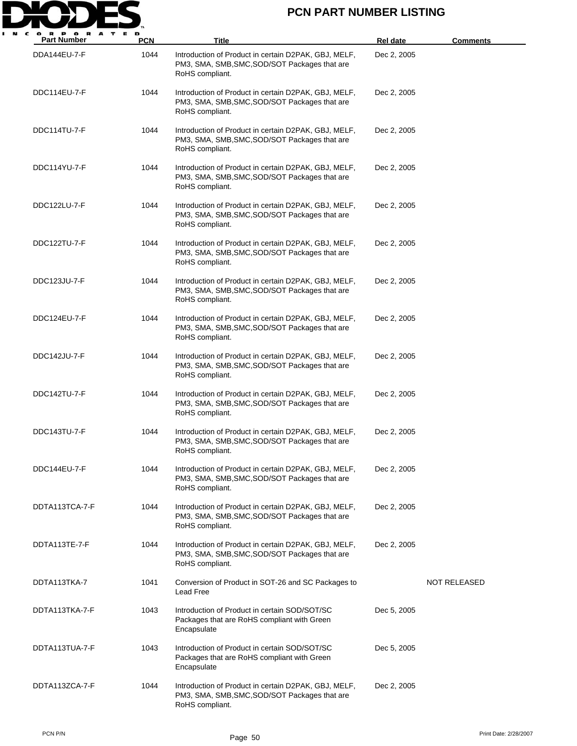

| <b>Part Number</b> | <b>PCN</b> | Title                                                                                                                    | Rel date    | <b>Comments</b> |
|--------------------|------------|--------------------------------------------------------------------------------------------------------------------------|-------------|-----------------|
| DDA144EU-7-F       | 1044       | Introduction of Product in certain D2PAK, GBJ, MELF,<br>PM3, SMA, SMB, SMC, SOD/SOT Packages that are<br>RoHS compliant. | Dec 2, 2005 |                 |
| DDC114EU-7-F       | 1044       | Introduction of Product in certain D2PAK, GBJ, MELF,<br>PM3, SMA, SMB, SMC, SOD/SOT Packages that are<br>RoHS compliant. | Dec 2, 2005 |                 |
| DDC114TU-7-F       | 1044       | Introduction of Product in certain D2PAK, GBJ, MELF,<br>PM3, SMA, SMB, SMC, SOD/SOT Packages that are<br>RoHS compliant. | Dec 2, 2005 |                 |
| DDC114YU-7-F       | 1044       | Introduction of Product in certain D2PAK, GBJ, MELF,<br>PM3, SMA, SMB, SMC, SOD/SOT Packages that are<br>RoHS compliant. | Dec 2, 2005 |                 |
| DDC122LU-7-F       | 1044       | Introduction of Product in certain D2PAK, GBJ, MELF,<br>PM3, SMA, SMB, SMC, SOD/SOT Packages that are<br>RoHS compliant. | Dec 2, 2005 |                 |
| DDC122TU-7-F       | 1044       | Introduction of Product in certain D2PAK, GBJ, MELF,<br>PM3, SMA, SMB, SMC, SOD/SOT Packages that are<br>RoHS compliant. | Dec 2, 2005 |                 |
| DDC123JU-7-F       | 1044       | Introduction of Product in certain D2PAK, GBJ, MELF,<br>PM3, SMA, SMB, SMC, SOD/SOT Packages that are<br>RoHS compliant. | Dec 2, 2005 |                 |
| DDC124EU-7-F       | 1044       | Introduction of Product in certain D2PAK, GBJ, MELF,<br>PM3, SMA, SMB, SMC, SOD/SOT Packages that are<br>RoHS compliant. | Dec 2, 2005 |                 |
| DDC142JU-7-F       | 1044       | Introduction of Product in certain D2PAK, GBJ, MELF,<br>PM3, SMA, SMB, SMC, SOD/SOT Packages that are<br>RoHS compliant. | Dec 2, 2005 |                 |
| DDC142TU-7-F       | 1044       | Introduction of Product in certain D2PAK, GBJ, MELF,<br>PM3, SMA, SMB, SMC, SOD/SOT Packages that are<br>RoHS compliant. | Dec 2, 2005 |                 |
| DDC143TU-7-F       | 1044       | Introduction of Product in certain D2PAK, GBJ, MELF,<br>PM3, SMA, SMB, SMC, SOD/SOT Packages that are<br>RoHS compliant. | Dec 2, 2005 |                 |
| DDC144EU-7-F       | 1044       | Introduction of Product in certain D2PAK, GBJ, MELF,<br>PM3, SMA, SMB, SMC, SOD/SOT Packages that are<br>RoHS compliant. | Dec 2, 2005 |                 |
| DDTA113TCA-7-F     | 1044       | Introduction of Product in certain D2PAK, GBJ, MELF,<br>PM3, SMA, SMB, SMC, SOD/SOT Packages that are<br>RoHS compliant. | Dec 2, 2005 |                 |
| DDTA113TE-7-F      | 1044       | Introduction of Product in certain D2PAK, GBJ, MELF,<br>PM3, SMA, SMB, SMC, SOD/SOT Packages that are<br>RoHS compliant. | Dec 2, 2005 |                 |
| DDTA113TKA-7       | 1041       | Conversion of Product in SOT-26 and SC Packages to<br>Lead Free                                                          |             | NOT RELEASED    |
| DDTA113TKA-7-F     | 1043       | Introduction of Product in certain SOD/SOT/SC<br>Packages that are RoHS compliant with Green<br>Encapsulate              | Dec 5, 2005 |                 |
| DDTA113TUA-7-F     | 1043       | Introduction of Product in certain SOD/SOT/SC<br>Packages that are RoHS compliant with Green<br>Encapsulate              | Dec 5, 2005 |                 |
| DDTA113ZCA-7-F     | 1044       | Introduction of Product in certain D2PAK, GBJ, MELF,<br>PM3, SMA, SMB, SMC, SOD/SOT Packages that are<br>RoHS compliant. | Dec 2, 2005 |                 |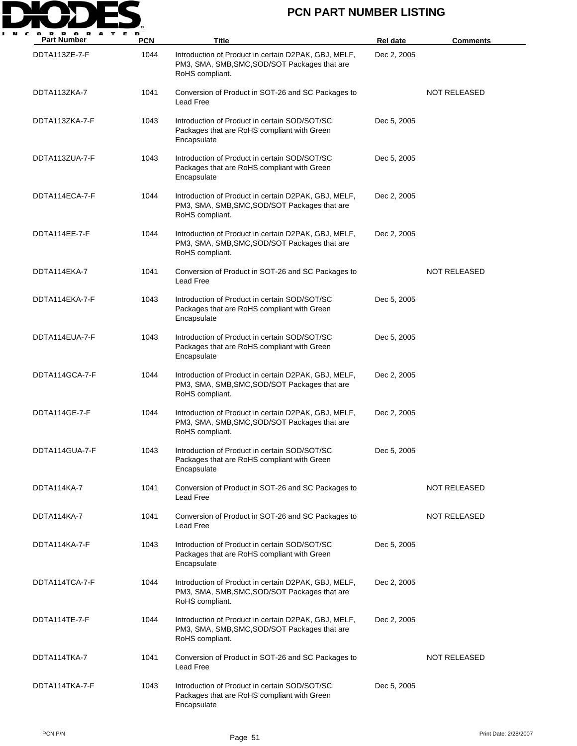

| о в<br>A<br><b>Part Number</b> | <b>PCN</b> | Title                                                                                                                    | <b>Rel date</b> | <b>Comments</b>     |
|--------------------------------|------------|--------------------------------------------------------------------------------------------------------------------------|-----------------|---------------------|
| DDTA113ZE-7-F                  | 1044       | Introduction of Product in certain D2PAK, GBJ, MELF,<br>PM3, SMA, SMB, SMC, SOD/SOT Packages that are<br>RoHS compliant. | Dec 2, 2005     |                     |
| DDTA113ZKA-7                   | 1041       | Conversion of Product in SOT-26 and SC Packages to<br>Lead Free                                                          |                 | <b>NOT RELEASED</b> |
| DDTA113ZKA-7-F                 | 1043       | Introduction of Product in certain SOD/SOT/SC<br>Packages that are RoHS compliant with Green<br>Encapsulate              | Dec 5, 2005     |                     |
| DDTA113ZUA-7-F                 | 1043       | Introduction of Product in certain SOD/SOT/SC<br>Packages that are RoHS compliant with Green<br>Encapsulate              | Dec 5, 2005     |                     |
| DDTA114ECA-7-F                 | 1044       | Introduction of Product in certain D2PAK, GBJ, MELF,<br>PM3, SMA, SMB, SMC, SOD/SOT Packages that are<br>RoHS compliant. | Dec 2, 2005     |                     |
| DDTA114EE-7-F                  | 1044       | Introduction of Product in certain D2PAK, GBJ, MELF,<br>PM3, SMA, SMB, SMC, SOD/SOT Packages that are<br>RoHS compliant. | Dec 2, 2005     |                     |
| DDTA114EKA-7                   | 1041       | Conversion of Product in SOT-26 and SC Packages to<br>Lead Free                                                          |                 | <b>NOT RELEASED</b> |
| DDTA114EKA-7-F                 | 1043       | Introduction of Product in certain SOD/SOT/SC<br>Packages that are RoHS compliant with Green<br>Encapsulate              | Dec 5, 2005     |                     |
| DDTA114EUA-7-F                 | 1043       | Introduction of Product in certain SOD/SOT/SC<br>Packages that are RoHS compliant with Green<br>Encapsulate              | Dec 5, 2005     |                     |
| DDTA114GCA-7-F                 | 1044       | Introduction of Product in certain D2PAK, GBJ, MELF,<br>PM3, SMA, SMB, SMC, SOD/SOT Packages that are<br>RoHS compliant. | Dec 2, 2005     |                     |
| DDTA114GE-7-F                  | 1044       | Introduction of Product in certain D2PAK, GBJ, MELF,<br>PM3, SMA, SMB, SMC, SOD/SOT Packages that are<br>RoHS compliant. | Dec 2, 2005     |                     |
| DDTA114GUA-7-F                 | 1043       | Introduction of Product in certain SOD/SOT/SC<br>Packages that are RoHS compliant with Green<br>Encapsulate              | Dec 5, 2005     |                     |
| DDTA114KA-7                    | 1041       | Conversion of Product in SOT-26 and SC Packages to<br>Lead Free                                                          |                 | NOT RELEASED        |
| DDTA114KA-7                    | 1041       | Conversion of Product in SOT-26 and SC Packages to<br>Lead Free                                                          |                 | <b>NOT RELEASED</b> |
| DDTA114KA-7-F                  | 1043       | Introduction of Product in certain SOD/SOT/SC<br>Packages that are RoHS compliant with Green<br>Encapsulate              | Dec 5, 2005     |                     |
| DDTA114TCA-7-F                 | 1044       | Introduction of Product in certain D2PAK, GBJ, MELF,<br>PM3, SMA, SMB, SMC, SOD/SOT Packages that are<br>RoHS compliant. | Dec 2, 2005     |                     |
| DDTA114TE-7-F                  | 1044       | Introduction of Product in certain D2PAK, GBJ, MELF,<br>PM3, SMA, SMB, SMC, SOD/SOT Packages that are<br>RoHS compliant. | Dec 2, 2005     |                     |
| DDTA114TKA-7                   | 1041       | Conversion of Product in SOT-26 and SC Packages to<br>Lead Free                                                          |                 | <b>NOT RELEASED</b> |
| DDTA114TKA-7-F                 | 1043       | Introduction of Product in certain SOD/SOT/SC<br>Packages that are RoHS compliant with Green<br>Encapsulate              | Dec 5, 2005     |                     |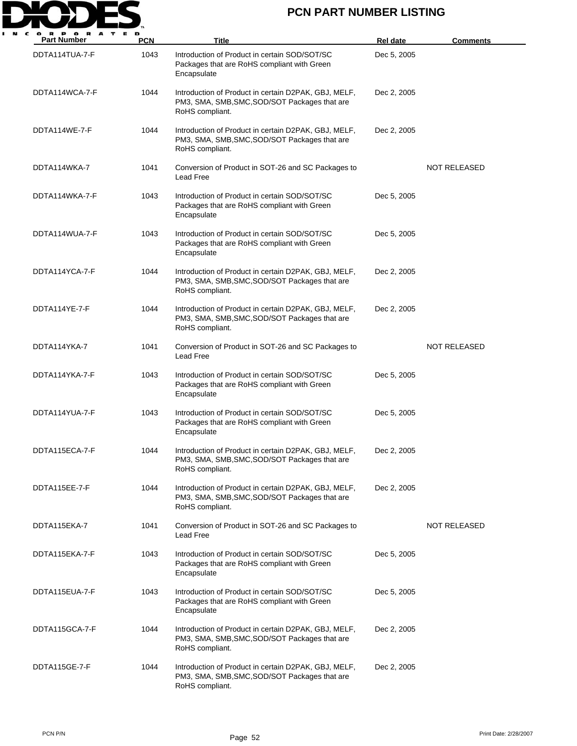

| <b>Part Number</b> | <b>PCN</b> | Title                                                                                                                    | <b>Rel date</b> | <b>Comments</b>     |
|--------------------|------------|--------------------------------------------------------------------------------------------------------------------------|-----------------|---------------------|
| DDTA114TUA-7-F     | 1043       | Introduction of Product in certain SOD/SOT/SC<br>Packages that are RoHS compliant with Green<br>Encapsulate              | Dec 5, 2005     |                     |
| DDTA114WCA-7-F     | 1044       | Introduction of Product in certain D2PAK, GBJ, MELF,<br>PM3, SMA, SMB, SMC, SOD/SOT Packages that are<br>RoHS compliant. | Dec 2, 2005     |                     |
| DDTA114WE-7-F      | 1044       | Introduction of Product in certain D2PAK, GBJ, MELF,<br>PM3, SMA, SMB, SMC, SOD/SOT Packages that are<br>RoHS compliant. | Dec 2, 2005     |                     |
| DDTA114WKA-7       | 1041       | Conversion of Product in SOT-26 and SC Packages to<br>Lead Free                                                          |                 | <b>NOT RELEASED</b> |
| DDTA114WKA-7-F     | 1043       | Introduction of Product in certain SOD/SOT/SC<br>Packages that are RoHS compliant with Green<br>Encapsulate              | Dec 5, 2005     |                     |
| DDTA114WUA-7-F     | 1043       | Introduction of Product in certain SOD/SOT/SC<br>Packages that are RoHS compliant with Green<br>Encapsulate              | Dec 5, 2005     |                     |
| DDTA114YCA-7-F     | 1044       | Introduction of Product in certain D2PAK, GBJ, MELF,<br>PM3, SMA, SMB, SMC, SOD/SOT Packages that are<br>RoHS compliant. | Dec 2, 2005     |                     |
| DDTA114YE-7-F      | 1044       | Introduction of Product in certain D2PAK, GBJ, MELF,<br>PM3, SMA, SMB, SMC, SOD/SOT Packages that are<br>RoHS compliant. | Dec 2, 2005     |                     |
| DDTA114YKA-7       | 1041       | Conversion of Product in SOT-26 and SC Packages to<br>Lead Free                                                          |                 | <b>NOT RELEASED</b> |
| DDTA114YKA-7-F     | 1043       | Introduction of Product in certain SOD/SOT/SC<br>Packages that are RoHS compliant with Green<br>Encapsulate              | Dec 5, 2005     |                     |
| DDTA114YUA-7-F     | 1043       | Introduction of Product in certain SOD/SOT/SC<br>Packages that are RoHS compliant with Green<br>Encapsulate              | Dec 5, 2005     |                     |
| DDTA115ECA-7-F     | 1044       | Introduction of Product in certain D2PAK, GBJ, MELF,<br>PM3, SMA, SMB, SMC, SOD/SOT Packages that are<br>RoHS compliant. | Dec 2, 2005     |                     |
| DDTA115EE-7-F      | 1044       | Introduction of Product in certain D2PAK, GBJ, MELF,<br>PM3, SMA, SMB, SMC, SOD/SOT Packages that are<br>RoHS compliant. | Dec 2, 2005     |                     |
| DDTA115EKA-7       | 1041       | Conversion of Product in SOT-26 and SC Packages to<br>Lead Free                                                          |                 | NOT RELEASED        |
| DDTA115EKA-7-F     | 1043       | Introduction of Product in certain SOD/SOT/SC<br>Packages that are RoHS compliant with Green<br>Encapsulate              | Dec 5, 2005     |                     |
| DDTA115EUA-7-F     | 1043       | Introduction of Product in certain SOD/SOT/SC<br>Packages that are RoHS compliant with Green<br>Encapsulate              | Dec 5, 2005     |                     |
| DDTA115GCA-7-F     | 1044       | Introduction of Product in certain D2PAK, GBJ, MELF,<br>PM3, SMA, SMB, SMC, SOD/SOT Packages that are<br>RoHS compliant. | Dec 2, 2005     |                     |
| DDTA115GE-7-F      | 1044       | Introduction of Product in certain D2PAK, GBJ, MELF,<br>PM3, SMA, SMB, SMC, SOD/SOT Packages that are<br>RoHS compliant. | Dec 2, 2005     |                     |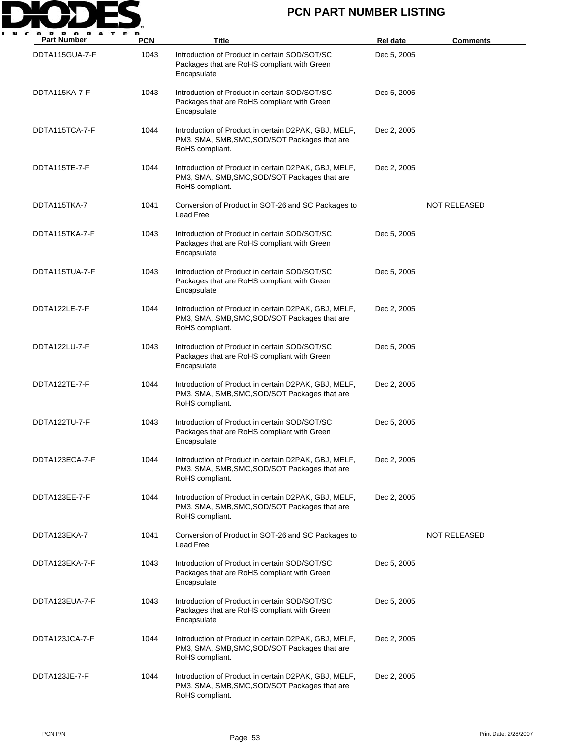

| <b>Part Number</b> | <b>PCN</b> | Title                                                                                                                    | <b>Rel date</b> | <b>Comments</b>     |
|--------------------|------------|--------------------------------------------------------------------------------------------------------------------------|-----------------|---------------------|
| DDTA115GUA-7-F     | 1043       | Introduction of Product in certain SOD/SOT/SC<br>Packages that are RoHS compliant with Green<br>Encapsulate              | Dec 5, 2005     |                     |
| DDTA115KA-7-F      | 1043       | Introduction of Product in certain SOD/SOT/SC<br>Packages that are RoHS compliant with Green<br>Encapsulate              | Dec 5, 2005     |                     |
| DDTA115TCA-7-F     | 1044       | Introduction of Product in certain D2PAK, GBJ, MELF,<br>PM3, SMA, SMB, SMC, SOD/SOT Packages that are<br>RoHS compliant. | Dec 2, 2005     |                     |
| DDTA115TE-7-F      | 1044       | Introduction of Product in certain D2PAK, GBJ, MELF,<br>PM3, SMA, SMB, SMC, SOD/SOT Packages that are<br>RoHS compliant. | Dec 2, 2005     |                     |
| DDTA115TKA-7       | 1041       | Conversion of Product in SOT-26 and SC Packages to<br>Lead Free                                                          |                 | <b>NOT RELEASED</b> |
| DDTA115TKA-7-F     | 1043       | Introduction of Product in certain SOD/SOT/SC<br>Packages that are RoHS compliant with Green<br>Encapsulate              | Dec 5, 2005     |                     |
| DDTA115TUA-7-F     | 1043       | Introduction of Product in certain SOD/SOT/SC<br>Packages that are RoHS compliant with Green<br>Encapsulate              | Dec 5, 2005     |                     |
| DDTA122LE-7-F      | 1044       | Introduction of Product in certain D2PAK, GBJ, MELF,<br>PM3, SMA, SMB, SMC, SOD/SOT Packages that are<br>RoHS compliant. | Dec 2, 2005     |                     |
| DDTA122LU-7-F      | 1043       | Introduction of Product in certain SOD/SOT/SC<br>Packages that are RoHS compliant with Green<br>Encapsulate              | Dec 5, 2005     |                     |
| DDTA122TE-7-F      | 1044       | Introduction of Product in certain D2PAK, GBJ, MELF,<br>PM3, SMA, SMB, SMC, SOD/SOT Packages that are<br>RoHS compliant. | Dec 2, 2005     |                     |
| DDTA122TU-7-F      | 1043       | Introduction of Product in certain SOD/SOT/SC<br>Packages that are RoHS compliant with Green<br>Encapsulate              | Dec 5, 2005     |                     |
| DDTA123ECA-7-F     | 1044       | Introduction of Product in certain D2PAK, GBJ, MELF,<br>PM3, SMA, SMB, SMC, SOD/SOT Packages that are<br>RoHS compliant. | Dec 2, 2005     |                     |
| DDTA123EE-7-F      | 1044       | Introduction of Product in certain D2PAK, GBJ, MELF,<br>PM3, SMA, SMB, SMC, SOD/SOT Packages that are<br>RoHS compliant. | Dec 2, 2005     |                     |
| DDTA123EKA-7       | 1041       | Conversion of Product in SOT-26 and SC Packages to<br>Lead Free                                                          |                 | NOT RELEASED        |
| DDTA123EKA-7-F     | 1043       | Introduction of Product in certain SOD/SOT/SC<br>Packages that are RoHS compliant with Green<br>Encapsulate              | Dec 5, 2005     |                     |
| DDTA123EUA-7-F     | 1043       | Introduction of Product in certain SOD/SOT/SC<br>Packages that are RoHS compliant with Green<br>Encapsulate              | Dec 5, 2005     |                     |
| DDTA123JCA-7-F     | 1044       | Introduction of Product in certain D2PAK, GBJ, MELF,<br>PM3, SMA, SMB, SMC, SOD/SOT Packages that are<br>RoHS compliant. | Dec 2, 2005     |                     |
| DDTA123JE-7-F      | 1044       | Introduction of Product in certain D2PAK, GBJ, MELF,<br>PM3, SMA, SMB, SMC, SOD/SOT Packages that are<br>RoHS compliant. | Dec 2, 2005     |                     |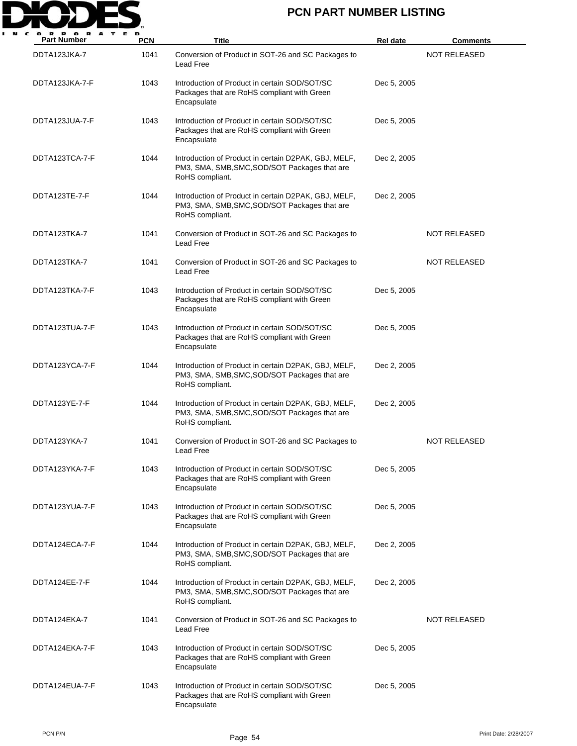

| <b>Part Number</b> | <b>PCN</b> | <b>Title</b>                                                                                                             | <b>Rel date</b> | <b>Comments</b>     |
|--------------------|------------|--------------------------------------------------------------------------------------------------------------------------|-----------------|---------------------|
| DDTA123JKA-7       | 1041       | Conversion of Product in SOT-26 and SC Packages to<br><b>Lead Free</b>                                                   |                 | <b>NOT RELEASED</b> |
| DDTA123JKA-7-F     | 1043       | Introduction of Product in certain SOD/SOT/SC<br>Packages that are RoHS compliant with Green<br>Encapsulate              | Dec 5, 2005     |                     |
| DDTA123JUA-7-F     | 1043       | Introduction of Product in certain SOD/SOT/SC<br>Packages that are RoHS compliant with Green<br>Encapsulate              | Dec 5, 2005     |                     |
| DDTA123TCA-7-F     | 1044       | Introduction of Product in certain D2PAK, GBJ, MELF,<br>PM3, SMA, SMB, SMC, SOD/SOT Packages that are<br>RoHS compliant. | Dec 2, 2005     |                     |
| DDTA123TE-7-F      | 1044       | Introduction of Product in certain D2PAK, GBJ, MELF,<br>PM3, SMA, SMB, SMC, SOD/SOT Packages that are<br>RoHS compliant. | Dec 2, 2005     |                     |
| DDTA123TKA-7       | 1041       | Conversion of Product in SOT-26 and SC Packages to<br><b>Lead Free</b>                                                   |                 | <b>NOT RELEASED</b> |
| DDTA123TKA-7       | 1041       | Conversion of Product in SOT-26 and SC Packages to<br>Lead Free                                                          |                 | NOT RELEASED        |
| DDTA123TKA-7-F     | 1043       | Introduction of Product in certain SOD/SOT/SC<br>Packages that are RoHS compliant with Green<br>Encapsulate              | Dec 5, 2005     |                     |
| DDTA123TUA-7-F     | 1043       | Introduction of Product in certain SOD/SOT/SC<br>Packages that are RoHS compliant with Green<br>Encapsulate              | Dec 5, 2005     |                     |
| DDTA123YCA-7-F     | 1044       | Introduction of Product in certain D2PAK, GBJ, MELF,<br>PM3, SMA, SMB, SMC, SOD/SOT Packages that are<br>RoHS compliant. | Dec 2, 2005     |                     |
| DDTA123YE-7-F      | 1044       | Introduction of Product in certain D2PAK, GBJ, MELF,<br>PM3, SMA, SMB, SMC, SOD/SOT Packages that are<br>RoHS compliant. | Dec 2, 2005     |                     |
| DDTA123YKA-7       | 1041       | Conversion of Product in SOT-26 and SC Packages to<br>Lead Free                                                          |                 | <b>NOT RELEASED</b> |
| DDTA123YKA-7-F     | 1043       | Introduction of Product in certain SOD/SOT/SC<br>Packages that are RoHS compliant with Green<br>Encapsulate              | Dec 5, 2005     |                     |
| DDTA123YUA-7-F     | 1043       | Introduction of Product in certain SOD/SOT/SC<br>Packages that are RoHS compliant with Green<br>Encapsulate              | Dec 5, 2005     |                     |
| DDTA124ECA-7-F     | 1044       | Introduction of Product in certain D2PAK, GBJ, MELF,<br>PM3, SMA, SMB, SMC, SOD/SOT Packages that are<br>RoHS compliant. | Dec 2, 2005     |                     |
| DDTA124EE-7-F      | 1044       | Introduction of Product in certain D2PAK, GBJ, MELF,<br>PM3, SMA, SMB, SMC, SOD/SOT Packages that are<br>RoHS compliant. | Dec 2, 2005     |                     |
| DDTA124EKA-7       | 1041       | Conversion of Product in SOT-26 and SC Packages to<br>Lead Free                                                          |                 | NOT RELEASED        |
| DDTA124EKA-7-F     | 1043       | Introduction of Product in certain SOD/SOT/SC<br>Packages that are RoHS compliant with Green<br>Encapsulate              | Dec 5, 2005     |                     |
| DDTA124EUA-7-F     | 1043       | Introduction of Product in certain SOD/SOT/SC<br>Packages that are RoHS compliant with Green<br>Encapsulate              | Dec 5, 2005     |                     |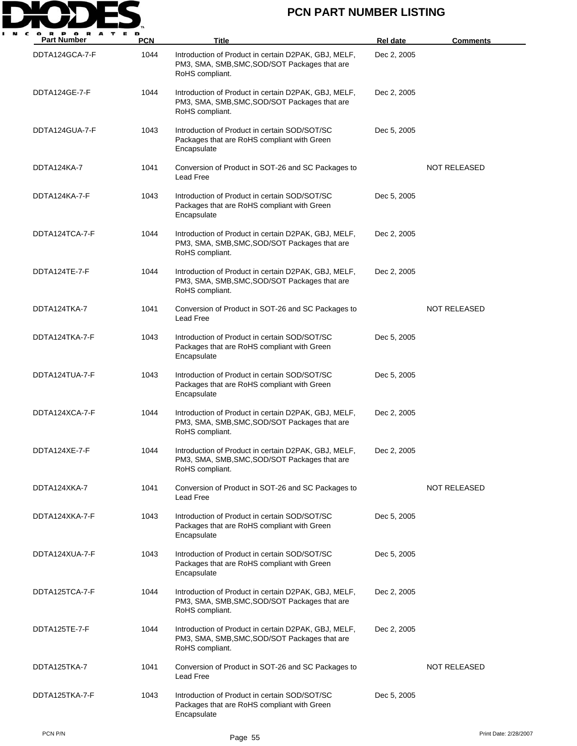

| <b>Part Number</b> | <b>PCN</b> | Title                                                                                                                    | Rel date    | <b>Comments</b>     |
|--------------------|------------|--------------------------------------------------------------------------------------------------------------------------|-------------|---------------------|
| DDTA124GCA-7-F     | 1044       | Introduction of Product in certain D2PAK, GBJ, MELF,<br>PM3, SMA, SMB, SMC, SOD/SOT Packages that are<br>RoHS compliant. | Dec 2, 2005 |                     |
| DDTA124GE-7-F      | 1044       | Introduction of Product in certain D2PAK, GBJ, MELF,<br>PM3, SMA, SMB, SMC, SOD/SOT Packages that are<br>RoHS compliant. | Dec 2, 2005 |                     |
| DDTA124GUA-7-F     | 1043       | Introduction of Product in certain SOD/SOT/SC<br>Packages that are RoHS compliant with Green<br>Encapsulate              | Dec 5, 2005 |                     |
| DDTA124KA-7        | 1041       | Conversion of Product in SOT-26 and SC Packages to<br>Lead Free                                                          |             | <b>NOT RELEASED</b> |
| DDTA124KA-7-F      | 1043       | Introduction of Product in certain SOD/SOT/SC<br>Packages that are RoHS compliant with Green<br>Encapsulate              | Dec 5, 2005 |                     |
| DDTA124TCA-7-F     | 1044       | Introduction of Product in certain D2PAK, GBJ, MELF,<br>PM3, SMA, SMB, SMC, SOD/SOT Packages that are<br>RoHS compliant. | Dec 2, 2005 |                     |
| DDTA124TE-7-F      | 1044       | Introduction of Product in certain D2PAK, GBJ, MELF,<br>PM3, SMA, SMB, SMC, SOD/SOT Packages that are<br>RoHS compliant. | Dec 2, 2005 |                     |
| DDTA124TKA-7       | 1041       | Conversion of Product in SOT-26 and SC Packages to<br>Lead Free                                                          |             | <b>NOT RELEASED</b> |
| DDTA124TKA-7-F     | 1043       | Introduction of Product in certain SOD/SOT/SC<br>Packages that are RoHS compliant with Green<br>Encapsulate              | Dec 5, 2005 |                     |
| DDTA124TUA-7-F     | 1043       | Introduction of Product in certain SOD/SOT/SC<br>Packages that are RoHS compliant with Green<br>Encapsulate              | Dec 5, 2005 |                     |
| DDTA124XCA-7-F     | 1044       | Introduction of Product in certain D2PAK, GBJ, MELF,<br>PM3, SMA, SMB, SMC, SOD/SOT Packages that are<br>RoHS compliant. | Dec 2, 2005 |                     |
| DDTA124XE-7-F      | 1044       | Introduction of Product in certain D2PAK, GBJ, MELF,<br>PM3, SMA, SMB, SMC, SOD/SOT Packages that are<br>RoHS compliant. | Dec 2, 2005 |                     |
| DDTA124XKA-7       | 1041       | Conversion of Product in SOT-26 and SC Packages to<br>Lead Free                                                          |             | NOT RELEASED        |
| DDTA124XKA-7-F     | 1043       | Introduction of Product in certain SOD/SOT/SC<br>Packages that are RoHS compliant with Green<br>Encapsulate              | Dec 5, 2005 |                     |
| DDTA124XUA-7-F     | 1043       | Introduction of Product in certain SOD/SOT/SC<br>Packages that are RoHS compliant with Green<br>Encapsulate              | Dec 5, 2005 |                     |
| DDTA125TCA-7-F     | 1044       | Introduction of Product in certain D2PAK, GBJ, MELF,<br>PM3, SMA, SMB, SMC, SOD/SOT Packages that are<br>RoHS compliant. | Dec 2, 2005 |                     |
| DDTA125TE-7-F      | 1044       | Introduction of Product in certain D2PAK, GBJ, MELF,<br>PM3, SMA, SMB, SMC, SOD/SOT Packages that are<br>RoHS compliant. | Dec 2, 2005 |                     |
| DDTA125TKA-7       | 1041       | Conversion of Product in SOT-26 and SC Packages to<br>Lead Free                                                          |             | <b>NOT RELEASED</b> |
| DDTA125TKA-7-F     | 1043       | Introduction of Product in certain SOD/SOT/SC<br>Packages that are RoHS compliant with Green<br>Encapsulate              | Dec 5, 2005 |                     |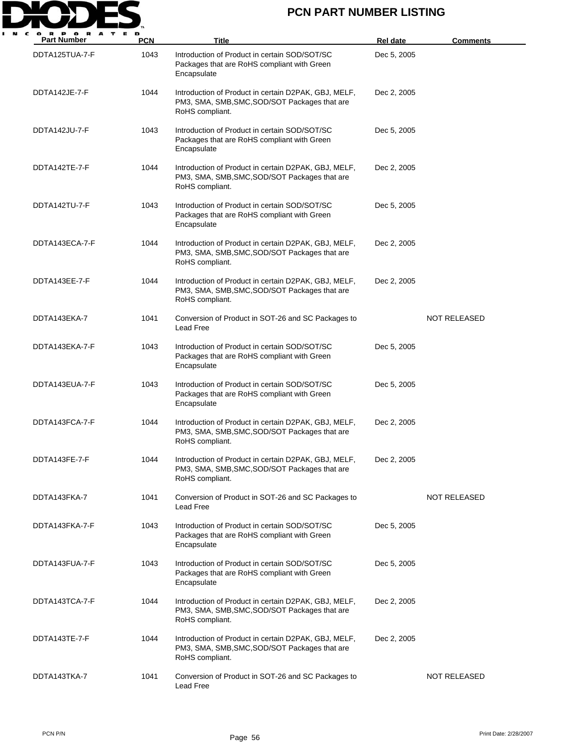

| <b>Part Number</b> | <b>PCN</b> | <b>Title</b>                                                                                                             | Rel date    | <b>Comments</b>     |
|--------------------|------------|--------------------------------------------------------------------------------------------------------------------------|-------------|---------------------|
| DDTA125TUA-7-F     | 1043       | Introduction of Product in certain SOD/SOT/SC<br>Packages that are RoHS compliant with Green<br>Encapsulate              | Dec 5, 2005 |                     |
| DDTA142JE-7-F      | 1044       | Introduction of Product in certain D2PAK, GBJ, MELF,<br>PM3, SMA, SMB, SMC, SOD/SOT Packages that are<br>RoHS compliant. | Dec 2, 2005 |                     |
| DDTA142JU-7-F      | 1043       | Introduction of Product in certain SOD/SOT/SC<br>Packages that are RoHS compliant with Green<br>Encapsulate              | Dec 5, 2005 |                     |
| DDTA142TE-7-F      | 1044       | Introduction of Product in certain D2PAK, GBJ, MELF,<br>PM3, SMA, SMB, SMC, SOD/SOT Packages that are<br>RoHS compliant. | Dec 2, 2005 |                     |
| DDTA142TU-7-F      | 1043       | Introduction of Product in certain SOD/SOT/SC<br>Packages that are RoHS compliant with Green<br>Encapsulate              | Dec 5, 2005 |                     |
| DDTA143ECA-7-F     | 1044       | Introduction of Product in certain D2PAK, GBJ, MELF,<br>PM3, SMA, SMB, SMC, SOD/SOT Packages that are<br>RoHS compliant. | Dec 2, 2005 |                     |
| DDTA143EE-7-F      | 1044       | Introduction of Product in certain D2PAK, GBJ, MELF,<br>PM3, SMA, SMB, SMC, SOD/SOT Packages that are<br>RoHS compliant. | Dec 2, 2005 |                     |
| DDTA143EKA-7       | 1041       | Conversion of Product in SOT-26 and SC Packages to<br>Lead Free                                                          |             | <b>NOT RELEASED</b> |
| DDTA143EKA-7-F     | 1043       | Introduction of Product in certain SOD/SOT/SC<br>Packages that are RoHS compliant with Green<br>Encapsulate              | Dec 5, 2005 |                     |
| DDTA143EUA-7-F     | 1043       | Introduction of Product in certain SOD/SOT/SC<br>Packages that are RoHS compliant with Green<br>Encapsulate              | Dec 5, 2005 |                     |
| DDTA143FCA-7-F     | 1044       | Introduction of Product in certain D2PAK, GBJ, MELF,<br>PM3, SMA, SMB, SMC, SOD/SOT Packages that are<br>RoHS compliant. | Dec 2, 2005 |                     |
| DDTA143FE-7-F      | 1044       | Introduction of Product in certain D2PAK, GBJ, MELF,<br>PM3, SMA, SMB, SMC, SOD/SOT Packages that are<br>RoHS compliant. | Dec 2, 2005 |                     |
| DDTA143FKA-7       | 1041       | Conversion of Product in SOT-26 and SC Packages to<br>Lead Free                                                          |             | <b>NOT RELEASED</b> |
| DDTA143FKA-7-F     | 1043       | Introduction of Product in certain SOD/SOT/SC<br>Packages that are RoHS compliant with Green<br>Encapsulate              | Dec 5, 2005 |                     |
| DDTA143FUA-7-F     | 1043       | Introduction of Product in certain SOD/SOT/SC<br>Packages that are RoHS compliant with Green<br>Encapsulate              | Dec 5, 2005 |                     |
| DDTA143TCA-7-F     | 1044       | Introduction of Product in certain D2PAK, GBJ, MELF,<br>PM3, SMA, SMB, SMC, SOD/SOT Packages that are<br>RoHS compliant. | Dec 2, 2005 |                     |
| DDTA143TE-7-F      | 1044       | Introduction of Product in certain D2PAK, GBJ, MELF,<br>PM3, SMA, SMB, SMC, SOD/SOT Packages that are<br>RoHS compliant. | Dec 2, 2005 |                     |
| DDTA143TKA-7       | 1041       | Conversion of Product in SOT-26 and SC Packages to<br>Lead Free                                                          |             | <b>NOT RELEASED</b> |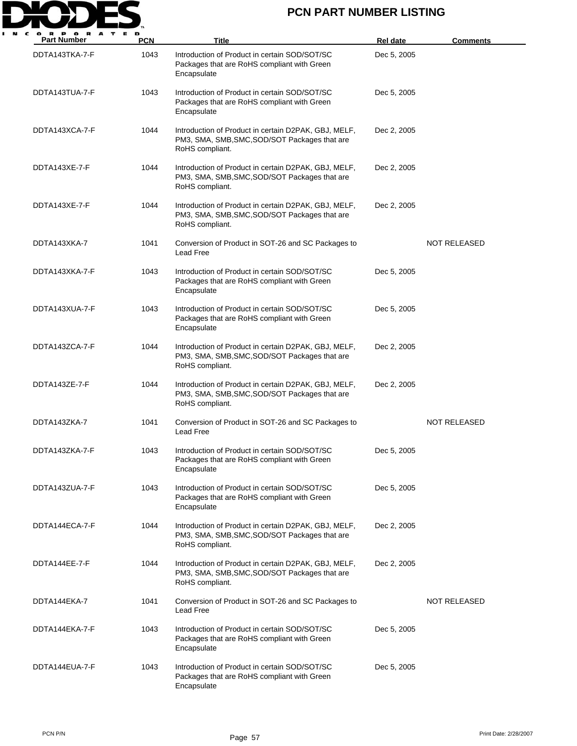

| <b>Part Number</b> | <b>PCN</b> | Title                                                                                                                    | <b>Rel date</b> | <u>Comments</u>     |
|--------------------|------------|--------------------------------------------------------------------------------------------------------------------------|-----------------|---------------------|
| DDTA143TKA-7-F     | 1043       | Introduction of Product in certain SOD/SOT/SC<br>Packages that are RoHS compliant with Green<br>Encapsulate              | Dec 5, 2005     |                     |
| DDTA143TUA-7-F     | 1043       | Introduction of Product in certain SOD/SOT/SC<br>Packages that are RoHS compliant with Green<br>Encapsulate              | Dec 5, 2005     |                     |
| DDTA143XCA-7-F     | 1044       | Introduction of Product in certain D2PAK, GBJ, MELF,<br>PM3, SMA, SMB, SMC, SOD/SOT Packages that are<br>RoHS compliant. | Dec 2, 2005     |                     |
| DDTA143XE-7-F      | 1044       | Introduction of Product in certain D2PAK, GBJ, MELF,<br>PM3, SMA, SMB, SMC, SOD/SOT Packages that are<br>RoHS compliant. | Dec 2, 2005     |                     |
| DDTA143XE-7-F      | 1044       | Introduction of Product in certain D2PAK, GBJ, MELF,<br>PM3, SMA, SMB, SMC, SOD/SOT Packages that are<br>RoHS compliant. | Dec 2, 2005     |                     |
| DDTA143XKA-7       | 1041       | Conversion of Product in SOT-26 and SC Packages to<br>Lead Free                                                          |                 | <b>NOT RELEASED</b> |
| DDTA143XKA-7-F     | 1043       | Introduction of Product in certain SOD/SOT/SC<br>Packages that are RoHS compliant with Green<br>Encapsulate              | Dec 5, 2005     |                     |
| DDTA143XUA-7-F     | 1043       | Introduction of Product in certain SOD/SOT/SC<br>Packages that are RoHS compliant with Green<br>Encapsulate              | Dec 5, 2005     |                     |
| DDTA143ZCA-7-F     | 1044       | Introduction of Product in certain D2PAK, GBJ, MELF,<br>PM3, SMA, SMB, SMC, SOD/SOT Packages that are<br>RoHS compliant. | Dec 2, 2005     |                     |
| DDTA143ZE-7-F      | 1044       | Introduction of Product in certain D2PAK, GBJ, MELF,<br>PM3, SMA, SMB, SMC, SOD/SOT Packages that are<br>RoHS compliant. | Dec 2, 2005     |                     |
| DDTA143ZKA-7       | 1041       | Conversion of Product in SOT-26 and SC Packages to<br>Lead Free                                                          |                 | <b>NOT RELEASED</b> |
| DDTA143ZKA-7-F     | 1043       | Introduction of Product in certain SOD/SOT/SC<br>Packages that are RoHS compliant with Green<br>Encapsulate              | Dec 5, 2005     |                     |
| DDTA143ZUA-7-F     | 1043       | Introduction of Product in certain SOD/SOT/SC<br>Packages that are RoHS compliant with Green<br>Encapsulate              | Dec 5, 2005     |                     |
| DDTA144ECA-7-F     | 1044       | Introduction of Product in certain D2PAK, GBJ, MELF,<br>PM3, SMA, SMB, SMC, SOD/SOT Packages that are<br>RoHS compliant. | Dec 2, 2005     |                     |
| DDTA144EE-7-F      | 1044       | Introduction of Product in certain D2PAK, GBJ, MELF,<br>PM3, SMA, SMB, SMC, SOD/SOT Packages that are<br>RoHS compliant. | Dec 2, 2005     |                     |
| DDTA144EKA-7       | 1041       | Conversion of Product in SOT-26 and SC Packages to<br>Lead Free                                                          |                 | NOT RELEASED        |
| DDTA144EKA-7-F     | 1043       | Introduction of Product in certain SOD/SOT/SC<br>Packages that are RoHS compliant with Green<br>Encapsulate              | Dec 5, 2005     |                     |
| DDTA144EUA-7-F     | 1043       | Introduction of Product in certain SOD/SOT/SC<br>Packages that are RoHS compliant with Green<br>Encapsulate              | Dec 5, 2005     |                     |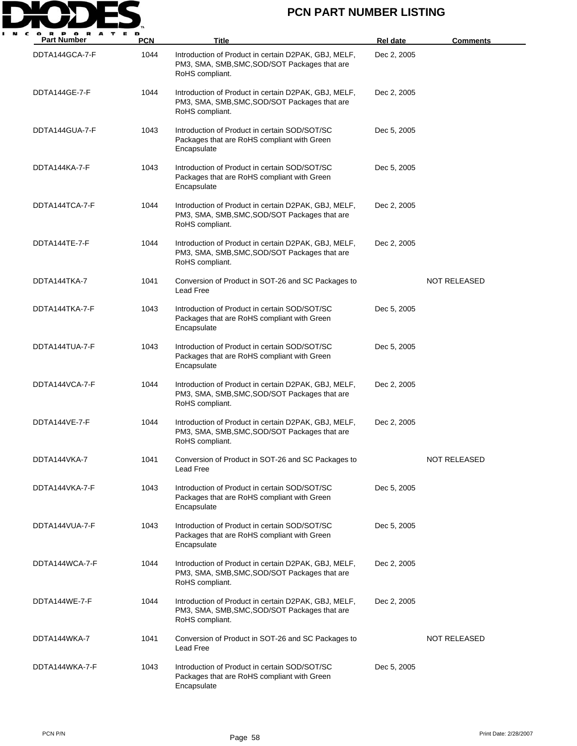

| $\mathbf o$<br>A<br><b>Part Number</b> | <b>PCN</b> | Title                                                                                                                    | <b>Rel date</b> | <b>Comments</b>     |
|----------------------------------------|------------|--------------------------------------------------------------------------------------------------------------------------|-----------------|---------------------|
| DDTA144GCA-7-F                         | 1044       | Introduction of Product in certain D2PAK, GBJ, MELF,<br>PM3, SMA, SMB, SMC, SOD/SOT Packages that are<br>RoHS compliant. | Dec 2, 2005     |                     |
| DDTA144GE-7-F                          | 1044       | Introduction of Product in certain D2PAK, GBJ, MELF,<br>PM3, SMA, SMB, SMC, SOD/SOT Packages that are<br>RoHS compliant. | Dec 2, 2005     |                     |
| DDTA144GUA-7-F                         | 1043       | Introduction of Product in certain SOD/SOT/SC<br>Packages that are RoHS compliant with Green<br>Encapsulate              | Dec 5, 2005     |                     |
| DDTA144KA-7-F                          | 1043       | Introduction of Product in certain SOD/SOT/SC<br>Packages that are RoHS compliant with Green<br>Encapsulate              | Dec 5, 2005     |                     |
| DDTA144TCA-7-F                         | 1044       | Introduction of Product in certain D2PAK, GBJ, MELF,<br>PM3, SMA, SMB, SMC, SOD/SOT Packages that are<br>RoHS compliant. | Dec 2, 2005     |                     |
| DDTA144TE-7-F                          | 1044       | Introduction of Product in certain D2PAK, GBJ, MELF,<br>PM3, SMA, SMB, SMC, SOD/SOT Packages that are<br>RoHS compliant. | Dec 2, 2005     |                     |
| DDTA144TKA-7                           | 1041       | Conversion of Product in SOT-26 and SC Packages to<br>Lead Free                                                          |                 | NOT RELEASED        |
| DDTA144TKA-7-F                         | 1043       | Introduction of Product in certain SOD/SOT/SC<br>Packages that are RoHS compliant with Green<br>Encapsulate              | Dec 5, 2005     |                     |
| DDTA144TUA-7-F                         | 1043       | Introduction of Product in certain SOD/SOT/SC<br>Packages that are RoHS compliant with Green<br>Encapsulate              | Dec 5, 2005     |                     |
| DDTA144VCA-7-F                         | 1044       | Introduction of Product in certain D2PAK, GBJ, MELF,<br>PM3, SMA, SMB, SMC, SOD/SOT Packages that are<br>RoHS compliant. | Dec 2, 2005     |                     |
| DDTA144VE-7-F                          | 1044       | Introduction of Product in certain D2PAK, GBJ, MELF,<br>PM3, SMA, SMB, SMC, SOD/SOT Packages that are<br>RoHS compliant. | Dec 2, 2005     |                     |
| DDTA144VKA-7                           | 1041       | Conversion of Product in SOT-26 and SC Packages to<br>Lead Free                                                          |                 | <b>NOT RELEASED</b> |
| DDTA144VKA-7-F                         | 1043       | Introduction of Product in certain SOD/SOT/SC<br>Packages that are RoHS compliant with Green<br>Encapsulate              | Dec 5, 2005     |                     |
| DDTA144VUA-7-F                         | 1043       | Introduction of Product in certain SOD/SOT/SC<br>Packages that are RoHS compliant with Green<br>Encapsulate              | Dec 5, 2005     |                     |
| DDTA144WCA-7-F                         | 1044       | Introduction of Product in certain D2PAK, GBJ, MELF,<br>PM3, SMA, SMB, SMC, SOD/SOT Packages that are<br>RoHS compliant. | Dec 2, 2005     |                     |
| DDTA144WE-7-F                          | 1044       | Introduction of Product in certain D2PAK, GBJ, MELF,<br>PM3, SMA, SMB, SMC, SOD/SOT Packages that are<br>RoHS compliant. | Dec 2, 2005     |                     |
| DDTA144WKA-7                           | 1041       | Conversion of Product in SOT-26 and SC Packages to<br>Lead Free                                                          |                 | NOT RELEASED        |
| DDTA144WKA-7-F                         | 1043       | Introduction of Product in certain SOD/SOT/SC<br>Packages that are RoHS compliant with Green<br>Encapsulate              | Dec 5, 2005     |                     |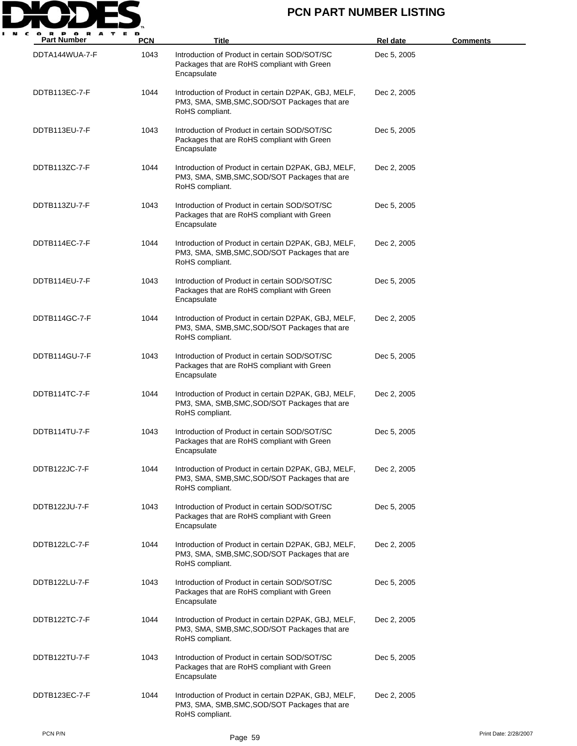

| <b>Part Number</b> | <b>PCN</b> | Title                                                                                                                    | Rel date    | <u>Comments</u> |
|--------------------|------------|--------------------------------------------------------------------------------------------------------------------------|-------------|-----------------|
| DDTA144WUA-7-F     | 1043       | Introduction of Product in certain SOD/SOT/SC<br>Packages that are RoHS compliant with Green<br>Encapsulate              | Dec 5, 2005 |                 |
| DDTB113EC-7-F      | 1044       | Introduction of Product in certain D2PAK, GBJ, MELF,<br>PM3, SMA, SMB, SMC, SOD/SOT Packages that are<br>RoHS compliant. | Dec 2, 2005 |                 |
| DDTB113EU-7-F      | 1043       | Introduction of Product in certain SOD/SOT/SC<br>Packages that are RoHS compliant with Green<br>Encapsulate              | Dec 5, 2005 |                 |
| DDTB113ZC-7-F      | 1044       | Introduction of Product in certain D2PAK, GBJ, MELF,<br>PM3, SMA, SMB, SMC, SOD/SOT Packages that are<br>RoHS compliant. | Dec 2, 2005 |                 |
| DDTB113ZU-7-F      | 1043       | Introduction of Product in certain SOD/SOT/SC<br>Packages that are RoHS compliant with Green<br>Encapsulate              | Dec 5, 2005 |                 |
| DDTB114EC-7-F      | 1044       | Introduction of Product in certain D2PAK, GBJ, MELF,<br>PM3, SMA, SMB, SMC, SOD/SOT Packages that are<br>RoHS compliant. | Dec 2, 2005 |                 |
| DDTB114EU-7-F      | 1043       | Introduction of Product in certain SOD/SOT/SC<br>Packages that are RoHS compliant with Green<br>Encapsulate              | Dec 5, 2005 |                 |
| DDTB114GC-7-F      | 1044       | Introduction of Product in certain D2PAK, GBJ, MELF,<br>PM3, SMA, SMB, SMC, SOD/SOT Packages that are<br>RoHS compliant. | Dec 2, 2005 |                 |
| DDTB114GU-7-F      | 1043       | Introduction of Product in certain SOD/SOT/SC<br>Packages that are RoHS compliant with Green<br>Encapsulate              | Dec 5, 2005 |                 |
| DDTB114TC-7-F      | 1044       | Introduction of Product in certain D2PAK, GBJ, MELF,<br>PM3, SMA, SMB, SMC, SOD/SOT Packages that are<br>RoHS compliant. | Dec 2, 2005 |                 |
| DDTB114TU-7-F      | 1043       | Introduction of Product in certain SOD/SOT/SC<br>Packages that are RoHS compliant with Green<br>Encapsulate              | Dec 5, 2005 |                 |
| DDTB122JC-7-F      | 1044       | Introduction of Product in certain D2PAK, GBJ, MELF,<br>PM3, SMA, SMB, SMC, SOD/SOT Packages that are<br>RoHS compliant. | Dec 2, 2005 |                 |
| DDTB122JU-7-F      | 1043       | Introduction of Product in certain SOD/SOT/SC<br>Packages that are RoHS compliant with Green<br>Encapsulate              | Dec 5, 2005 |                 |
| DDTB122LC-7-F      | 1044       | Introduction of Product in certain D2PAK, GBJ, MELF,<br>PM3, SMA, SMB, SMC, SOD/SOT Packages that are<br>RoHS compliant. | Dec 2, 2005 |                 |
| DDTB122LU-7-F      | 1043       | Introduction of Product in certain SOD/SOT/SC<br>Packages that are RoHS compliant with Green<br>Encapsulate              | Dec 5, 2005 |                 |
| DDTB122TC-7-F      | 1044       | Introduction of Product in certain D2PAK, GBJ, MELF,<br>PM3, SMA, SMB, SMC, SOD/SOT Packages that are<br>RoHS compliant. | Dec 2, 2005 |                 |
| DDTB122TU-7-F      | 1043       | Introduction of Product in certain SOD/SOT/SC<br>Packages that are RoHS compliant with Green<br>Encapsulate              | Dec 5, 2005 |                 |
| DDTB123EC-7-F      | 1044       | Introduction of Product in certain D2PAK, GBJ, MELF,<br>PM3, SMA, SMB, SMC, SOD/SOT Packages that are<br>RoHS compliant. | Dec 2, 2005 |                 |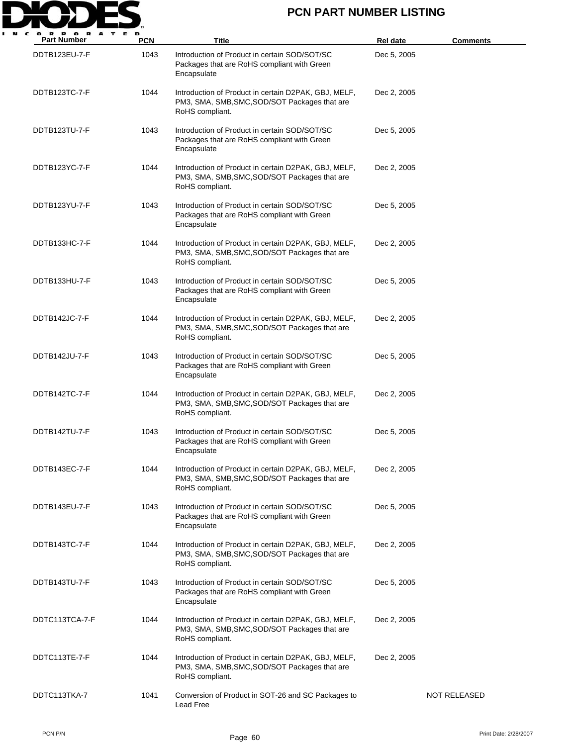

| <b>Part Number</b> | <b>PCN</b> | <b>Title</b>                                                                                                             | <b>Rel date</b> | <u>Comments</u> |
|--------------------|------------|--------------------------------------------------------------------------------------------------------------------------|-----------------|-----------------|
| DDTB123EU-7-F      | 1043       | Introduction of Product in certain SOD/SOT/SC<br>Packages that are RoHS compliant with Green<br>Encapsulate              | Dec 5, 2005     |                 |
| DDTB123TC-7-F      | 1044       | Introduction of Product in certain D2PAK, GBJ, MELF,<br>PM3, SMA, SMB, SMC, SOD/SOT Packages that are<br>RoHS compliant. | Dec 2, 2005     |                 |
| DDTB123TU-7-F      | 1043       | Introduction of Product in certain SOD/SOT/SC<br>Packages that are RoHS compliant with Green<br>Encapsulate              | Dec 5, 2005     |                 |
| DDTB123YC-7-F      | 1044       | Introduction of Product in certain D2PAK, GBJ, MELF,<br>PM3, SMA, SMB, SMC, SOD/SOT Packages that are<br>RoHS compliant. | Dec 2, 2005     |                 |
| DDTB123YU-7-F      | 1043       | Introduction of Product in certain SOD/SOT/SC<br>Packages that are RoHS compliant with Green<br>Encapsulate              | Dec 5, 2005     |                 |
| DDTB133HC-7-F      | 1044       | Introduction of Product in certain D2PAK, GBJ, MELF,<br>PM3, SMA, SMB, SMC, SOD/SOT Packages that are<br>RoHS compliant. | Dec 2, 2005     |                 |
| DDTB133HU-7-F      | 1043       | Introduction of Product in certain SOD/SOT/SC<br>Packages that are RoHS compliant with Green<br>Encapsulate              | Dec 5, 2005     |                 |
| DDTB142JC-7-F      | 1044       | Introduction of Product in certain D2PAK, GBJ, MELF,<br>PM3, SMA, SMB, SMC, SOD/SOT Packages that are<br>RoHS compliant. | Dec 2, 2005     |                 |
| DDTB142JU-7-F      | 1043       | Introduction of Product in certain SOD/SOT/SC<br>Packages that are RoHS compliant with Green<br>Encapsulate              | Dec 5, 2005     |                 |
| DDTB142TC-7-F      | 1044       | Introduction of Product in certain D2PAK, GBJ, MELF,<br>PM3, SMA, SMB, SMC, SOD/SOT Packages that are<br>RoHS compliant. | Dec 2, 2005     |                 |
| DDTB142TU-7-F      | 1043       | Introduction of Product in certain SOD/SOT/SC<br>Packages that are RoHS compliant with Green<br>Encapsulate              | Dec 5, 2005     |                 |
| DDTB143EC-7-F      | 1044       | Introduction of Product in certain D2PAK, GBJ, MELF,<br>PM3, SMA, SMB, SMC, SOD/SOT Packages that are<br>RoHS compliant. | Dec 2, 2005     |                 |
| DDTB143EU-7-F      | 1043       | Introduction of Product in certain SOD/SOT/SC<br>Packages that are RoHS compliant with Green<br>Encapsulate              | Dec 5, 2005     |                 |
| DDTB143TC-7-F      | 1044       | Introduction of Product in certain D2PAK, GBJ, MELF,<br>PM3, SMA, SMB, SMC, SOD/SOT Packages that are<br>RoHS compliant. | Dec 2, 2005     |                 |
| DDTB143TU-7-F      | 1043       | Introduction of Product in certain SOD/SOT/SC<br>Packages that are RoHS compliant with Green<br>Encapsulate              | Dec 5, 2005     |                 |
| DDTC113TCA-7-F     | 1044       | Introduction of Product in certain D2PAK, GBJ, MELF,<br>PM3, SMA, SMB, SMC, SOD/SOT Packages that are<br>RoHS compliant. | Dec 2, 2005     |                 |
| DDTC113TE-7-F      | 1044       | Introduction of Product in certain D2PAK, GBJ, MELF,<br>PM3, SMA, SMB, SMC, SOD/SOT Packages that are<br>RoHS compliant. | Dec 2, 2005     |                 |
| DDTC113TKA-7       | 1041       | Conversion of Product in SOT-26 and SC Packages to<br>Lead Free                                                          |                 | NOT RELEASED    |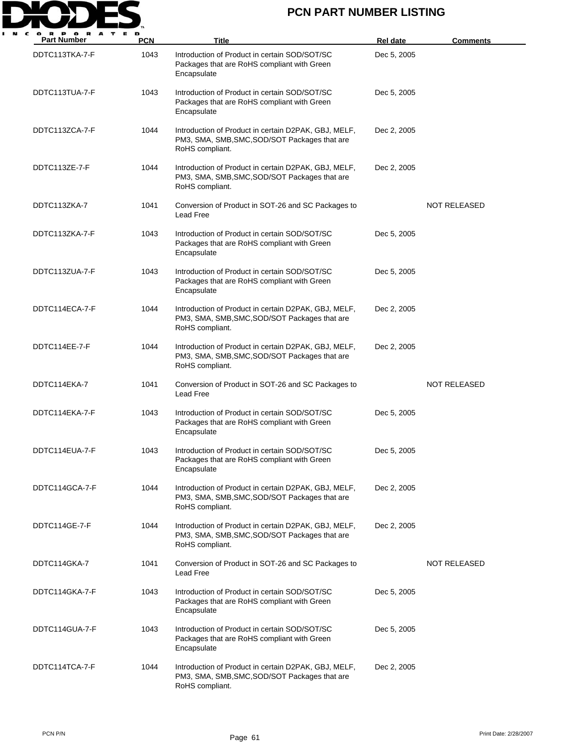

| <b>Part Number</b> | <b>PCN</b> | Title                                                                                                                    | <b>Rel date</b> | <b>Comments</b>     |
|--------------------|------------|--------------------------------------------------------------------------------------------------------------------------|-----------------|---------------------|
| DDTC113TKA-7-F     | 1043       | Introduction of Product in certain SOD/SOT/SC<br>Packages that are RoHS compliant with Green<br>Encapsulate              | Dec 5, 2005     |                     |
| DDTC113TUA-7-F     | 1043       | Introduction of Product in certain SOD/SOT/SC<br>Packages that are RoHS compliant with Green<br>Encapsulate              | Dec 5, 2005     |                     |
| DDTC113ZCA-7-F     | 1044       | Introduction of Product in certain D2PAK, GBJ, MELF,<br>PM3, SMA, SMB, SMC, SOD/SOT Packages that are<br>RoHS compliant. | Dec 2, 2005     |                     |
| DDTC113ZE-7-F      | 1044       | Introduction of Product in certain D2PAK, GBJ, MELF,<br>PM3, SMA, SMB, SMC, SOD/SOT Packages that are<br>RoHS compliant. | Dec 2, 2005     |                     |
| DDTC113ZKA-7       | 1041       | Conversion of Product in SOT-26 and SC Packages to<br>Lead Free                                                          |                 | NOT RELEASED        |
| DDTC113ZKA-7-F     | 1043       | Introduction of Product in certain SOD/SOT/SC<br>Packages that are RoHS compliant with Green<br>Encapsulate              | Dec 5, 2005     |                     |
| DDTC113ZUA-7-F     | 1043       | Introduction of Product in certain SOD/SOT/SC<br>Packages that are RoHS compliant with Green<br>Encapsulate              | Dec 5, 2005     |                     |
| DDTC114ECA-7-F     | 1044       | Introduction of Product in certain D2PAK, GBJ, MELF,<br>PM3, SMA, SMB, SMC, SOD/SOT Packages that are<br>RoHS compliant. | Dec 2, 2005     |                     |
| DDTC114EE-7-F      | 1044       | Introduction of Product in certain D2PAK, GBJ, MELF,<br>PM3, SMA, SMB, SMC, SOD/SOT Packages that are<br>RoHS compliant. | Dec 2, 2005     |                     |
| DDTC114EKA-7       | 1041       | Conversion of Product in SOT-26 and SC Packages to<br>Lead Free                                                          |                 | NOT RELEASED        |
| DDTC114EKA-7-F     | 1043       | Introduction of Product in certain SOD/SOT/SC<br>Packages that are RoHS compliant with Green<br>Encapsulate              | Dec 5, 2005     |                     |
| DDTC114EUA-7-F     | 1043       | Introduction of Product in certain SOD/SOT/SC<br>Packages that are RoHS compliant with Green<br>Encapsulate              | Dec 5, 2005     |                     |
| DDTC114GCA-7-F     | 1044       | Introduction of Product in certain D2PAK, GBJ, MELF,<br>PM3, SMA, SMB, SMC, SOD/SOT Packages that are<br>RoHS compliant. | Dec 2, 2005     |                     |
| DDTC114GE-7-F      | 1044       | Introduction of Product in certain D2PAK, GBJ, MELF,<br>PM3, SMA, SMB, SMC, SOD/SOT Packages that are<br>RoHS compliant. | Dec 2, 2005     |                     |
| DDTC114GKA-7       | 1041       | Conversion of Product in SOT-26 and SC Packages to<br>Lead Free                                                          |                 | <b>NOT RELEASED</b> |
| DDTC114GKA-7-F     | 1043       | Introduction of Product in certain SOD/SOT/SC<br>Packages that are RoHS compliant with Green<br>Encapsulate              | Dec 5, 2005     |                     |
| DDTC114GUA-7-F     | 1043       | Introduction of Product in certain SOD/SOT/SC<br>Packages that are RoHS compliant with Green<br>Encapsulate              | Dec 5, 2005     |                     |
| DDTC114TCA-7-F     | 1044       | Introduction of Product in certain D2PAK, GBJ, MELF,<br>PM3, SMA, SMB, SMC, SOD/SOT Packages that are<br>RoHS compliant. | Dec 2, 2005     |                     |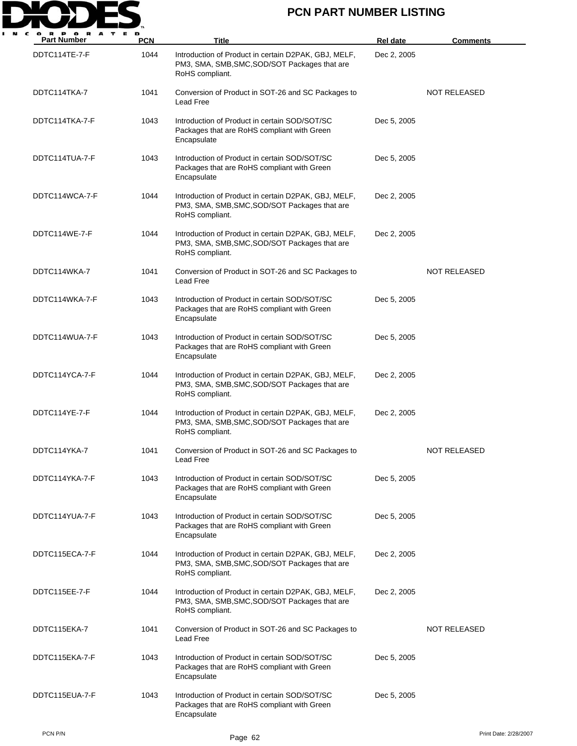

| <b>Part Number</b> | <b>PCN</b> | Title                                                                                                                    | <b>Rel date</b> | <b>Comments</b>     |
|--------------------|------------|--------------------------------------------------------------------------------------------------------------------------|-----------------|---------------------|
| DDTC114TE-7-F      | 1044       | Introduction of Product in certain D2PAK, GBJ, MELF,<br>PM3, SMA, SMB, SMC, SOD/SOT Packages that are<br>RoHS compliant. | Dec 2, 2005     |                     |
| DDTC114TKA-7       | 1041       | Conversion of Product in SOT-26 and SC Packages to<br>Lead Free                                                          |                 | <b>NOT RELEASED</b> |
| DDTC114TKA-7-F     | 1043       | Introduction of Product in certain SOD/SOT/SC<br>Packages that are RoHS compliant with Green<br>Encapsulate              | Dec 5, 2005     |                     |
| DDTC114TUA-7-F     | 1043       | Introduction of Product in certain SOD/SOT/SC<br>Packages that are RoHS compliant with Green<br>Encapsulate              | Dec 5, 2005     |                     |
| DDTC114WCA-7-F     | 1044       | Introduction of Product in certain D2PAK, GBJ, MELF,<br>PM3, SMA, SMB, SMC, SOD/SOT Packages that are<br>RoHS compliant. | Dec 2, 2005     |                     |
| DDTC114WE-7-F      | 1044       | Introduction of Product in certain D2PAK, GBJ, MELF,<br>PM3, SMA, SMB, SMC, SOD/SOT Packages that are<br>RoHS compliant. | Dec 2, 2005     |                     |
| DDTC114WKA-7       | 1041       | Conversion of Product in SOT-26 and SC Packages to<br>Lead Free                                                          |                 | <b>NOT RELEASED</b> |
| DDTC114WKA-7-F     | 1043       | Introduction of Product in certain SOD/SOT/SC<br>Packages that are RoHS compliant with Green<br>Encapsulate              | Dec 5, 2005     |                     |
| DDTC114WUA-7-F     | 1043       | Introduction of Product in certain SOD/SOT/SC<br>Packages that are RoHS compliant with Green<br>Encapsulate              | Dec 5, 2005     |                     |
| DDTC114YCA-7-F     | 1044       | Introduction of Product in certain D2PAK, GBJ, MELF,<br>PM3, SMA, SMB, SMC, SOD/SOT Packages that are<br>RoHS compliant. | Dec 2, 2005     |                     |
| DDTC114YE-7-F      | 1044       | Introduction of Product in certain D2PAK, GBJ, MELF,<br>PM3, SMA, SMB, SMC, SOD/SOT Packages that are<br>RoHS compliant. | Dec 2, 2005     |                     |
| DDTC114YKA-7       | 1041       | Conversion of Product in SOT-26 and SC Packages to<br>Lead Free                                                          |                 | <b>NOT RELEASED</b> |
| DDTC114YKA-7-F     | 1043       | Introduction of Product in certain SOD/SOT/SC<br>Packages that are RoHS compliant with Green<br>Encapsulate              | Dec 5, 2005     |                     |
| DDTC114YUA-7-F     | 1043       | Introduction of Product in certain SOD/SOT/SC<br>Packages that are RoHS compliant with Green<br>Encapsulate              | Dec 5, 2005     |                     |
| DDTC115ECA-7-F     | 1044       | Introduction of Product in certain D2PAK, GBJ, MELF,<br>PM3, SMA, SMB, SMC, SOD/SOT Packages that are<br>RoHS compliant. | Dec 2, 2005     |                     |
| DDTC115EE-7-F      | 1044       | Introduction of Product in certain D2PAK, GBJ, MELF,<br>PM3, SMA, SMB, SMC, SOD/SOT Packages that are<br>RoHS compliant. | Dec 2, 2005     |                     |
| DDTC115EKA-7       | 1041       | Conversion of Product in SOT-26 and SC Packages to<br>Lead Free                                                          |                 | <b>NOT RELEASED</b> |
| DDTC115EKA-7-F     | 1043       | Introduction of Product in certain SOD/SOT/SC<br>Packages that are RoHS compliant with Green<br>Encapsulate              | Dec 5, 2005     |                     |
| DDTC115EUA-7-F     | 1043       | Introduction of Product in certain SOD/SOT/SC<br>Packages that are RoHS compliant with Green<br>Encapsulate              | Dec 5, 2005     |                     |

PCN P/N Print Date: 2/28/2007 Page 62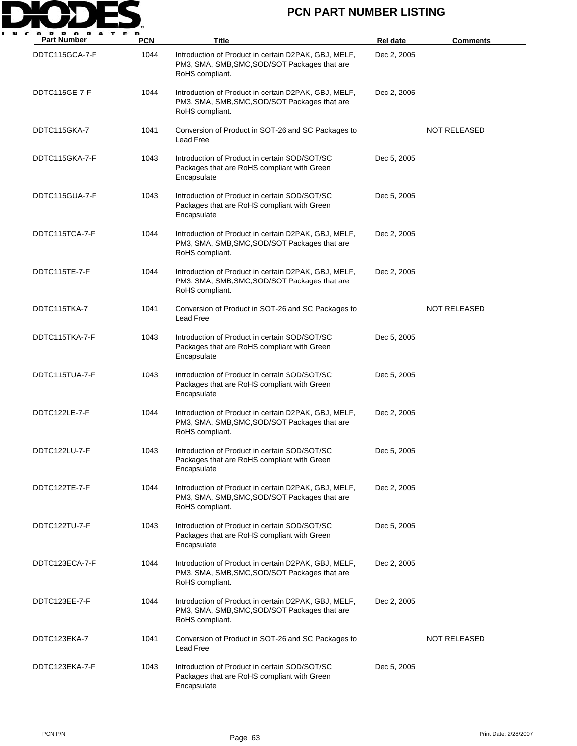

| <b>Part Number</b> | <b>PCN</b> | Title                                                                                                                    | <b>Rel date</b> | <b>Comments</b>     |
|--------------------|------------|--------------------------------------------------------------------------------------------------------------------------|-----------------|---------------------|
| DDTC115GCA-7-F     | 1044       | Introduction of Product in certain D2PAK, GBJ, MELF,<br>PM3, SMA, SMB, SMC, SOD/SOT Packages that are<br>RoHS compliant. | Dec 2, 2005     |                     |
| DDTC115GE-7-F      | 1044       | Introduction of Product in certain D2PAK, GBJ, MELF,<br>PM3, SMA, SMB, SMC, SOD/SOT Packages that are<br>RoHS compliant. | Dec 2, 2005     |                     |
| DDTC115GKA-7       | 1041       | Conversion of Product in SOT-26 and SC Packages to<br>Lead Free                                                          |                 | <b>NOT RELEASED</b> |
| DDTC115GKA-7-F     | 1043       | Introduction of Product in certain SOD/SOT/SC<br>Packages that are RoHS compliant with Green<br>Encapsulate              | Dec 5, 2005     |                     |
| DDTC115GUA-7-F     | 1043       | Introduction of Product in certain SOD/SOT/SC<br>Packages that are RoHS compliant with Green<br>Encapsulate              | Dec 5, 2005     |                     |
| DDTC115TCA-7-F     | 1044       | Introduction of Product in certain D2PAK, GBJ, MELF,<br>PM3, SMA, SMB, SMC, SOD/SOT Packages that are<br>RoHS compliant. | Dec 2, 2005     |                     |
| DDTC115TE-7-F      | 1044       | Introduction of Product in certain D2PAK, GBJ, MELF,<br>PM3, SMA, SMB, SMC, SOD/SOT Packages that are<br>RoHS compliant. | Dec 2, 2005     |                     |
| DDTC115TKA-7       | 1041       | Conversion of Product in SOT-26 and SC Packages to<br>Lead Free                                                          |                 | <b>NOT RELEASED</b> |
| DDTC115TKA-7-F     | 1043       | Introduction of Product in certain SOD/SOT/SC<br>Packages that are RoHS compliant with Green<br>Encapsulate              | Dec 5, 2005     |                     |
| DDTC115TUA-7-F     | 1043       | Introduction of Product in certain SOD/SOT/SC<br>Packages that are RoHS compliant with Green<br>Encapsulate              | Dec 5, 2005     |                     |
| DDTC122LE-7-F      | 1044       | Introduction of Product in certain D2PAK, GBJ, MELF,<br>PM3, SMA, SMB, SMC, SOD/SOT Packages that are<br>RoHS compliant. | Dec 2, 2005     |                     |
| DDTC122LU-7-F      | 1043       | Introduction of Product in certain SOD/SOT/SC<br>Packages that are RoHS compliant with Green<br>Encapsulate              | Dec 5, 2005     |                     |
| DDTC122TE-7-F      | 1044       | Introduction of Product in certain D2PAK, GBJ, MELF,<br>PM3, SMA, SMB, SMC, SOD/SOT Packages that are<br>RoHS compliant. | Dec 2, 2005     |                     |
| DDTC122TU-7-F      | 1043       | Introduction of Product in certain SOD/SOT/SC<br>Packages that are RoHS compliant with Green<br>Encapsulate              | Dec 5, 2005     |                     |
| DDTC123ECA-7-F     | 1044       | Introduction of Product in certain D2PAK, GBJ, MELF,<br>PM3, SMA, SMB, SMC, SOD/SOT Packages that are<br>RoHS compliant. | Dec 2, 2005     |                     |
| DDTC123EE-7-F      | 1044       | Introduction of Product in certain D2PAK, GBJ, MELF,<br>PM3, SMA, SMB, SMC, SOD/SOT Packages that are<br>RoHS compliant. | Dec 2, 2005     |                     |
| DDTC123EKA-7       | 1041       | Conversion of Product in SOT-26 and SC Packages to<br>Lead Free                                                          |                 | <b>NOT RELEASED</b> |
| DDTC123EKA-7-F     | 1043       | Introduction of Product in certain SOD/SOT/SC<br>Packages that are RoHS compliant with Green<br>Encapsulate              | Dec 5, 2005     |                     |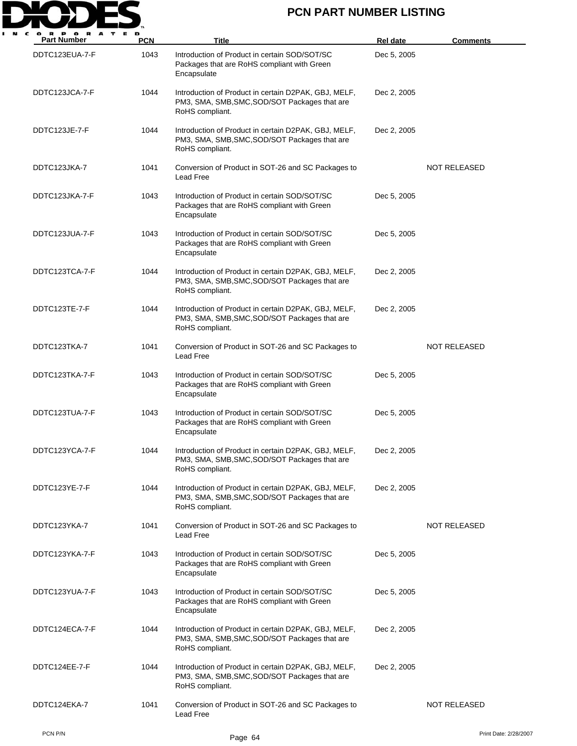

| <b>Part Number</b> | <b>PCN</b> | Title                                                                                                                    | <b>Rel date</b> | <b>Comments</b>       |
|--------------------|------------|--------------------------------------------------------------------------------------------------------------------------|-----------------|-----------------------|
| DDTC123EUA-7-F     | 1043       | Introduction of Product in certain SOD/SOT/SC<br>Packages that are RoHS compliant with Green<br>Encapsulate              | Dec 5, 2005     |                       |
| DDTC123JCA-7-F     | 1044       | Introduction of Product in certain D2PAK, GBJ, MELF,<br>PM3, SMA, SMB, SMC, SOD/SOT Packages that are<br>RoHS compliant. | Dec 2, 2005     |                       |
| DDTC123JE-7-F      | 1044       | Introduction of Product in certain D2PAK, GBJ, MELF,<br>PM3, SMA, SMB, SMC, SOD/SOT Packages that are<br>RoHS compliant. | Dec 2, 2005     |                       |
| DDTC123JKA-7       | 1041       | Conversion of Product in SOT-26 and SC Packages to<br>Lead Free                                                          |                 | NOT RELEASED          |
| DDTC123JKA-7-F     | 1043       | Introduction of Product in certain SOD/SOT/SC<br>Packages that are RoHS compliant with Green<br>Encapsulate              | Dec 5, 2005     |                       |
| DDTC123JUA-7-F     | 1043       | Introduction of Product in certain SOD/SOT/SC<br>Packages that are RoHS compliant with Green<br>Encapsulate              | Dec 5, 2005     |                       |
| DDTC123TCA-7-F     | 1044       | Introduction of Product in certain D2PAK, GBJ, MELF,<br>PM3, SMA, SMB, SMC, SOD/SOT Packages that are<br>RoHS compliant. | Dec 2, 2005     |                       |
| DDTC123TE-7-F      | 1044       | Introduction of Product in certain D2PAK, GBJ, MELF,<br>PM3, SMA, SMB, SMC, SOD/SOT Packages that are<br>RoHS compliant. | Dec 2, 2005     |                       |
| DDTC123TKA-7       | 1041       | Conversion of Product in SOT-26 and SC Packages to<br>Lead Free                                                          |                 | NOT RELEASED          |
| DDTC123TKA-7-F     | 1043       | Introduction of Product in certain SOD/SOT/SC<br>Packages that are RoHS compliant with Green<br>Encapsulate              | Dec 5, 2005     |                       |
| DDTC123TUA-7-F     | 1043       | Introduction of Product in certain SOD/SOT/SC<br>Packages that are RoHS compliant with Green<br>Encapsulate              | Dec 5, 2005     |                       |
| DDTC123YCA-7-F     | 1044       | Introduction of Product in certain D2PAK, GBJ, MELF,<br>PM3, SMA, SMB, SMC, SOD/SOT Packages that are<br>RoHS compliant. | Dec 2, 2005     |                       |
| DDTC123YE-7-F      | 1044       | Introduction of Product in certain D2PAK, GBJ, MELF,<br>PM3, SMA, SMB, SMC, SOD/SOT Packages that are<br>RoHS compliant. | Dec 2, 2005     |                       |
| DDTC123YKA-7       | 1041       | Conversion of Product in SOT-26 and SC Packages to<br>Lead Free                                                          |                 | NOT RELEASED          |
| DDTC123YKA-7-F     | 1043       | Introduction of Product in certain SOD/SOT/SC<br>Packages that are RoHS compliant with Green<br>Encapsulate              | Dec 5, 2005     |                       |
| DDTC123YUA-7-F     | 1043       | Introduction of Product in certain SOD/SOT/SC<br>Packages that are RoHS compliant with Green<br>Encapsulate              | Dec 5, 2005     |                       |
| DDTC124ECA-7-F     | 1044       | Introduction of Product in certain D2PAK, GBJ, MELF,<br>PM3, SMA, SMB, SMC, SOD/SOT Packages that are<br>RoHS compliant. | Dec 2, 2005     |                       |
| DDTC124EE-7-F      | 1044       | Introduction of Product in certain D2PAK, GBJ, MELF,<br>PM3, SMA, SMB, SMC, SOD/SOT Packages that are<br>RoHS compliant. | Dec 2, 2005     |                       |
| DDTC124EKA-7       | 1041       | Conversion of Product in SOT-26 and SC Packages to<br>Lead Free                                                          |                 | <b>NOT RELEASED</b>   |
| PCN P/N            |            | Page 64                                                                                                                  |                 | Print Date: 2/28/2007 |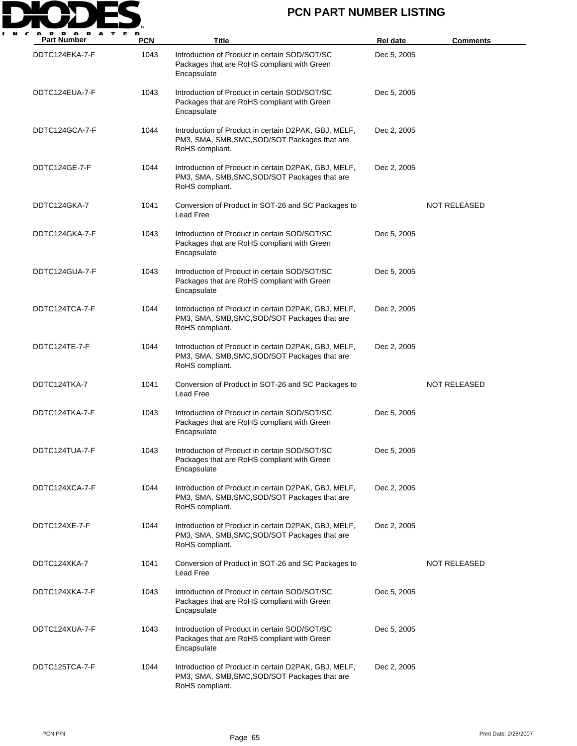

| <b>Part Number</b> | <b>PCN</b> | <b>Title</b>                                                                                                             | <b>Rel date</b> | <b>Comments</b>     |
|--------------------|------------|--------------------------------------------------------------------------------------------------------------------------|-----------------|---------------------|
| DDTC124EKA-7-F     | 1043       | Introduction of Product in certain SOD/SOT/SC<br>Packages that are RoHS compliant with Green<br>Encapsulate              | Dec 5, 2005     |                     |
| DDTC124EUA-7-F     | 1043       | Introduction of Product in certain SOD/SOT/SC<br>Packages that are RoHS compliant with Green<br>Encapsulate              | Dec 5, 2005     |                     |
| DDTC124GCA-7-F     | 1044       | Introduction of Product in certain D2PAK, GBJ, MELF,<br>PM3, SMA, SMB, SMC, SOD/SOT Packages that are<br>RoHS compliant. | Dec 2, 2005     |                     |
| DDTC124GE-7-F      | 1044       | Introduction of Product in certain D2PAK, GBJ, MELF,<br>PM3, SMA, SMB, SMC, SOD/SOT Packages that are<br>RoHS compliant. | Dec 2, 2005     |                     |
| DDTC124GKA-7       | 1041       | Conversion of Product in SOT-26 and SC Packages to<br>Lead Free                                                          |                 | NOT RELEASED        |
| DDTC124GKA-7-F     | 1043       | Introduction of Product in certain SOD/SOT/SC<br>Packages that are RoHS compliant with Green<br>Encapsulate              | Dec 5, 2005     |                     |
| DDTC124GUA-7-F     | 1043       | Introduction of Product in certain SOD/SOT/SC<br>Packages that are RoHS compliant with Green<br>Encapsulate              | Dec 5, 2005     |                     |
| DDTC124TCA-7-F     | 1044       | Introduction of Product in certain D2PAK, GBJ, MELF,<br>PM3, SMA, SMB, SMC, SOD/SOT Packages that are<br>RoHS compliant. | Dec 2, 2005     |                     |
| DDTC124TE-7-F      | 1044       | Introduction of Product in certain D2PAK, GBJ, MELF,<br>PM3, SMA, SMB, SMC, SOD/SOT Packages that are<br>RoHS compliant. | Dec 2, 2005     |                     |
| DDTC124TKA-7       | 1041       | Conversion of Product in SOT-26 and SC Packages to<br>Lead Free                                                          |                 | NOT RELEASED        |
| DDTC124TKA-7-F     | 1043       | Introduction of Product in certain SOD/SOT/SC<br>Packages that are RoHS compliant with Green<br>Encapsulate              | Dec 5, 2005     |                     |
| DDTC124TUA-7-F     | 1043       | Introduction of Product in certain SOD/SOT/SC<br>Packages that are RoHS compliant with Green<br>Encapsulate              | Dec 5, 2005     |                     |
| DDTC124XCA-7-F     | 1044       | Introduction of Product in certain D2PAK, GBJ, MELF,<br>PM3, SMA, SMB, SMC, SOD/SOT Packages that are<br>RoHS compliant. | Dec 2, 2005     |                     |
| DDTC124XE-7-F      | 1044       | Introduction of Product in certain D2PAK, GBJ, MELF,<br>PM3, SMA, SMB, SMC, SOD/SOT Packages that are<br>RoHS compliant. | Dec 2, 2005     |                     |
| DDTC124XKA-7       | 1041       | Conversion of Product in SOT-26 and SC Packages to<br>Lead Free                                                          |                 | <b>NOT RELEASED</b> |
| DDTC124XKA-7-F     | 1043       | Introduction of Product in certain SOD/SOT/SC<br>Packages that are RoHS compliant with Green<br>Encapsulate              | Dec 5, 2005     |                     |
| DDTC124XUA-7-F     | 1043       | Introduction of Product in certain SOD/SOT/SC<br>Packages that are RoHS compliant with Green<br>Encapsulate              | Dec 5, 2005     |                     |
| DDTC125TCA-7-F     | 1044       | Introduction of Product in certain D2PAK, GBJ, MELF,<br>PM3, SMA, SMB, SMC, SOD/SOT Packages that are<br>RoHS compliant. | Dec 2, 2005     |                     |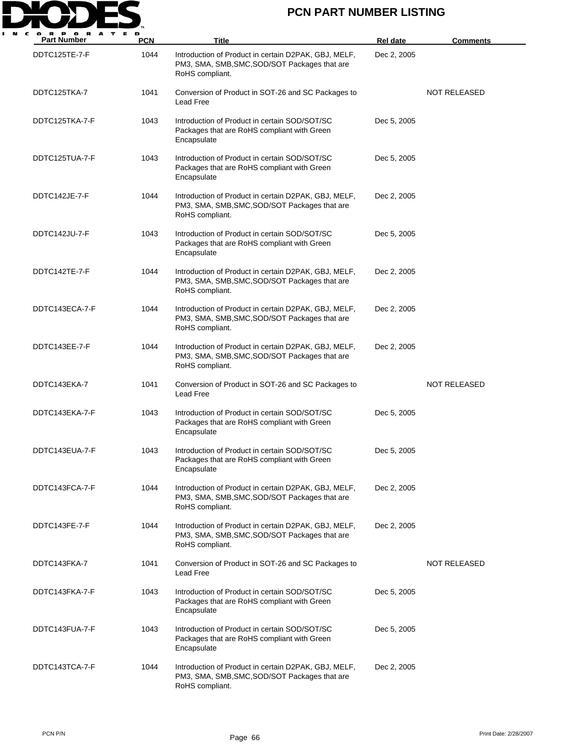

| <b>Part Number</b> | <b>PCN</b> | Title                                                                                                                    | <b>Rel date</b> | <b>Comments</b> |
|--------------------|------------|--------------------------------------------------------------------------------------------------------------------------|-----------------|-----------------|
| DDTC125TE-7-F      | 1044       | Introduction of Product in certain D2PAK, GBJ, MELF,<br>PM3, SMA, SMB, SMC, SOD/SOT Packages that are<br>RoHS compliant. | Dec 2, 2005     |                 |
| DDTC125TKA-7       | 1041       | Conversion of Product in SOT-26 and SC Packages to<br><b>Lead Free</b>                                                   |                 | NOT RELEASED    |
| DDTC125TKA-7-F     | 1043       | Introduction of Product in certain SOD/SOT/SC<br>Packages that are RoHS compliant with Green<br>Encapsulate              | Dec 5, 2005     |                 |
| DDTC125TUA-7-F     | 1043       | Introduction of Product in certain SOD/SOT/SC<br>Packages that are RoHS compliant with Green<br>Encapsulate              | Dec 5, 2005     |                 |
| DDTC142JE-7-F      | 1044       | Introduction of Product in certain D2PAK, GBJ, MELF,<br>PM3, SMA, SMB, SMC, SOD/SOT Packages that are<br>RoHS compliant. | Dec 2, 2005     |                 |
| DDTC142JU-7-F      | 1043       | Introduction of Product in certain SOD/SOT/SC<br>Packages that are RoHS compliant with Green<br>Encapsulate              | Dec 5, 2005     |                 |
| DDTC142TE-7-F      | 1044       | Introduction of Product in certain D2PAK, GBJ, MELF,<br>PM3, SMA, SMB, SMC, SOD/SOT Packages that are<br>RoHS compliant. | Dec 2, 2005     |                 |
| DDTC143ECA-7-F     | 1044       | Introduction of Product in certain D2PAK, GBJ, MELF,<br>PM3, SMA, SMB, SMC, SOD/SOT Packages that are<br>RoHS compliant. | Dec 2, 2005     |                 |
| DDTC143EE-7-F      | 1044       | Introduction of Product in certain D2PAK, GBJ, MELF,<br>PM3, SMA, SMB, SMC, SOD/SOT Packages that are<br>RoHS compliant. | Dec 2, 2005     |                 |
| DDTC143EKA-7       | 1041       | Conversion of Product in SOT-26 and SC Packages to<br>Lead Free                                                          |                 | NOT RELEASED    |
| DDTC143EKA-7-F     | 1043       | Introduction of Product in certain SOD/SOT/SC<br>Packages that are RoHS compliant with Green<br>Encapsulate              | Dec 5, 2005     |                 |
| DDTC143EUA-7-F     | 1043       | Introduction of Product in certain SOD/SOT/SC<br>Packages that are RoHS compliant with Green<br>Encapsulate              | Dec 5, 2005     |                 |
| DDTC143FCA-7-F     | 1044       | Introduction of Product in certain D2PAK, GBJ, MELF,<br>PM3, SMA, SMB, SMC, SOD/SOT Packages that are<br>RoHS compliant. | Dec 2, 2005     |                 |
| DDTC143FE-7-F      | 1044       | Introduction of Product in certain D2PAK, GBJ, MELF,<br>PM3, SMA, SMB, SMC, SOD/SOT Packages that are<br>RoHS compliant. | Dec 2, 2005     |                 |
| DDTC143FKA-7       | 1041       | Conversion of Product in SOT-26 and SC Packages to<br>Lead Free                                                          |                 | NOT RELEASED    |
| DDTC143FKA-7-F     | 1043       | Introduction of Product in certain SOD/SOT/SC<br>Packages that are RoHS compliant with Green<br>Encapsulate              | Dec 5, 2005     |                 |
| DDTC143FUA-7-F     | 1043       | Introduction of Product in certain SOD/SOT/SC<br>Packages that are RoHS compliant with Green<br>Encapsulate              | Dec 5, 2005     |                 |
| DDTC143TCA-7-F     | 1044       | Introduction of Product in certain D2PAK, GBJ, MELF,<br>PM3, SMA, SMB, SMC, SOD/SOT Packages that are<br>RoHS compliant. | Dec 2, 2005     |                 |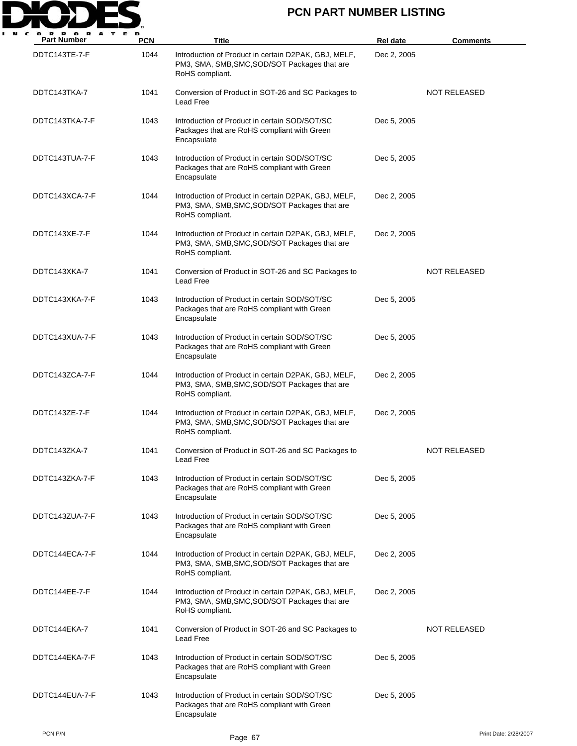

| <b>Part Number</b> | <b>PCN</b> | Title                                                                                                                    | <b>Rel date</b> | <b>Comments</b>     |
|--------------------|------------|--------------------------------------------------------------------------------------------------------------------------|-----------------|---------------------|
| DDTC143TE-7-F      | 1044       | Introduction of Product in certain D2PAK, GBJ, MELF,<br>PM3, SMA, SMB, SMC, SOD/SOT Packages that are<br>RoHS compliant. | Dec 2, 2005     |                     |
| DDTC143TKA-7       | 1041       | Conversion of Product in SOT-26 and SC Packages to<br>Lead Free                                                          |                 | <b>NOT RELEASED</b> |
| DDTC143TKA-7-F     | 1043       | Introduction of Product in certain SOD/SOT/SC<br>Packages that are RoHS compliant with Green<br>Encapsulate              | Dec 5, 2005     |                     |
| DDTC143TUA-7-F     | 1043       | Introduction of Product in certain SOD/SOT/SC<br>Packages that are RoHS compliant with Green<br>Encapsulate              | Dec 5, 2005     |                     |
| DDTC143XCA-7-F     | 1044       | Introduction of Product in certain D2PAK, GBJ, MELF,<br>PM3, SMA, SMB, SMC, SOD/SOT Packages that are<br>RoHS compliant. | Dec 2, 2005     |                     |
| DDTC143XE-7-F      | 1044       | Introduction of Product in certain D2PAK, GBJ, MELF,<br>PM3, SMA, SMB, SMC, SOD/SOT Packages that are<br>RoHS compliant. | Dec 2, 2005     |                     |
| DDTC143XKA-7       | 1041       | Conversion of Product in SOT-26 and SC Packages to<br>Lead Free                                                          |                 | <b>NOT RELEASED</b> |
| DDTC143XKA-7-F     | 1043       | Introduction of Product in certain SOD/SOT/SC<br>Packages that are RoHS compliant with Green<br>Encapsulate              | Dec 5, 2005     |                     |
| DDTC143XUA-7-F     | 1043       | Introduction of Product in certain SOD/SOT/SC<br>Packages that are RoHS compliant with Green<br>Encapsulate              | Dec 5, 2005     |                     |
| DDTC143ZCA-7-F     | 1044       | Introduction of Product in certain D2PAK, GBJ, MELF,<br>PM3, SMA, SMB, SMC, SOD/SOT Packages that are<br>RoHS compliant. | Dec 2, 2005     |                     |
| DDTC143ZE-7-F      | 1044       | Introduction of Product in certain D2PAK, GBJ, MELF,<br>PM3, SMA, SMB, SMC, SOD/SOT Packages that are<br>RoHS compliant. | Dec 2, 2005     |                     |
| DDTC143ZKA-7       | 1041       | Conversion of Product in SOT-26 and SC Packages to<br>Lead Free                                                          |                 | NOT RELEASED        |
| DDTC143ZKA-7-F     | 1043       | Introduction of Product in certain SOD/SOT/SC<br>Packages that are RoHS compliant with Green<br>Encapsulate              | Dec 5, 2005     |                     |
| DDTC143ZUA-7-F     | 1043       | Introduction of Product in certain SOD/SOT/SC<br>Packages that are RoHS compliant with Green<br>Encapsulate              | Dec 5, 2005     |                     |
| DDTC144ECA-7-F     | 1044       | Introduction of Product in certain D2PAK, GBJ, MELF,<br>PM3, SMA, SMB, SMC, SOD/SOT Packages that are<br>RoHS compliant. | Dec 2, 2005     |                     |
| DDTC144EE-7-F      | 1044       | Introduction of Product in certain D2PAK, GBJ, MELF,<br>PM3, SMA, SMB, SMC, SOD/SOT Packages that are<br>RoHS compliant. | Dec 2, 2005     |                     |
| DDTC144EKA-7       | 1041       | Conversion of Product in SOT-26 and SC Packages to<br>Lead Free                                                          |                 | <b>NOT RELEASED</b> |
| DDTC144EKA-7-F     | 1043       | Introduction of Product in certain SOD/SOT/SC<br>Packages that are RoHS compliant with Green<br>Encapsulate              | Dec 5, 2005     |                     |
| DDTC144EUA-7-F     | 1043       | Introduction of Product in certain SOD/SOT/SC<br>Packages that are RoHS compliant with Green<br>Encapsulate              | Dec 5, 2005     |                     |

PCN P/N Print Date: 2/28/2007 Page 67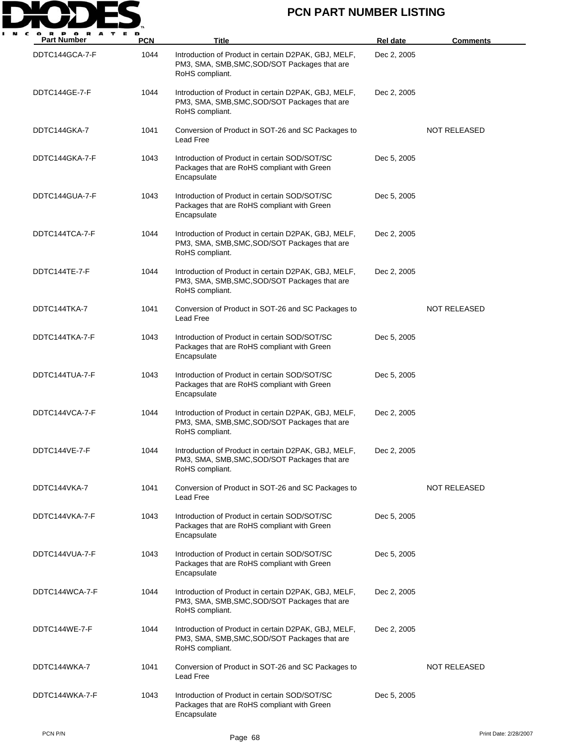

| <b>Part Number</b> | <b>PCN</b> | Title                                                                                                                    | <b>Rel date</b> | <b>Comments</b>     |
|--------------------|------------|--------------------------------------------------------------------------------------------------------------------------|-----------------|---------------------|
| DDTC144GCA-7-F     | 1044       | Introduction of Product in certain D2PAK, GBJ, MELF,<br>PM3, SMA, SMB, SMC, SOD/SOT Packages that are<br>RoHS compliant. | Dec 2, 2005     |                     |
| DDTC144GE-7-F      | 1044       | Introduction of Product in certain D2PAK, GBJ, MELF,<br>PM3, SMA, SMB, SMC, SOD/SOT Packages that are<br>RoHS compliant. | Dec 2, 2005     |                     |
| DDTC144GKA-7       | 1041       | Conversion of Product in SOT-26 and SC Packages to<br>Lead Free                                                          |                 | <b>NOT RELEASED</b> |
| DDTC144GKA-7-F     | 1043       | Introduction of Product in certain SOD/SOT/SC<br>Packages that are RoHS compliant with Green<br>Encapsulate              | Dec 5, 2005     |                     |
| DDTC144GUA-7-F     | 1043       | Introduction of Product in certain SOD/SOT/SC<br>Packages that are RoHS compliant with Green<br>Encapsulate              | Dec 5, 2005     |                     |
| DDTC144TCA-7-F     | 1044       | Introduction of Product in certain D2PAK, GBJ, MELF,<br>PM3, SMA, SMB, SMC, SOD/SOT Packages that are<br>RoHS compliant. | Dec 2, 2005     |                     |
| DDTC144TE-7-F      | 1044       | Introduction of Product in certain D2PAK, GBJ, MELF,<br>PM3, SMA, SMB, SMC, SOD/SOT Packages that are<br>RoHS compliant. | Dec 2, 2005     |                     |
| DDTC144TKA-7       | 1041       | Conversion of Product in SOT-26 and SC Packages to<br>Lead Free                                                          |                 | <b>NOT RELEASED</b> |
| DDTC144TKA-7-F     | 1043       | Introduction of Product in certain SOD/SOT/SC<br>Packages that are RoHS compliant with Green<br>Encapsulate              | Dec 5, 2005     |                     |
| DDTC144TUA-7-F     | 1043       | Introduction of Product in certain SOD/SOT/SC<br>Packages that are RoHS compliant with Green<br>Encapsulate              | Dec 5, 2005     |                     |
| DDTC144VCA-7-F     | 1044       | Introduction of Product in certain D2PAK, GBJ, MELF,<br>PM3, SMA, SMB, SMC, SOD/SOT Packages that are<br>RoHS compliant. | Dec 2, 2005     |                     |
| DDTC144VE-7-F      | 1044       | Introduction of Product in certain D2PAK, GBJ, MELF,<br>PM3, SMA, SMB, SMC, SOD/SOT Packages that are<br>RoHS compliant. | Dec 2, 2005     |                     |
| DDTC144VKA-7       | 1041       | Conversion of Product in SOT-26 and SC Packages to<br>Lead Free                                                          |                 | NOT RELEASED        |
| DDTC144VKA-7-F     | 1043       | Introduction of Product in certain SOD/SOT/SC<br>Packages that are RoHS compliant with Green<br>Encapsulate              | Dec 5, 2005     |                     |
| DDTC144VUA-7-F     | 1043       | Introduction of Product in certain SOD/SOT/SC<br>Packages that are RoHS compliant with Green<br>Encapsulate              | Dec 5, 2005     |                     |
| DDTC144WCA-7-F     | 1044       | Introduction of Product in certain D2PAK, GBJ, MELF,<br>PM3, SMA, SMB, SMC, SOD/SOT Packages that are<br>RoHS compliant. | Dec 2, 2005     |                     |
| DDTC144WE-7-F      | 1044       | Introduction of Product in certain D2PAK, GBJ, MELF,<br>PM3, SMA, SMB, SMC, SOD/SOT Packages that are<br>RoHS compliant. | Dec 2, 2005     |                     |
| DDTC144WKA-7       | 1041       | Conversion of Product in SOT-26 and SC Packages to<br>Lead Free                                                          |                 | <b>NOT RELEASED</b> |
| DDTC144WKA-7-F     | 1043       | Introduction of Product in certain SOD/SOT/SC<br>Packages that are RoHS compliant with Green<br>Encapsulate              | Dec 5, 2005     |                     |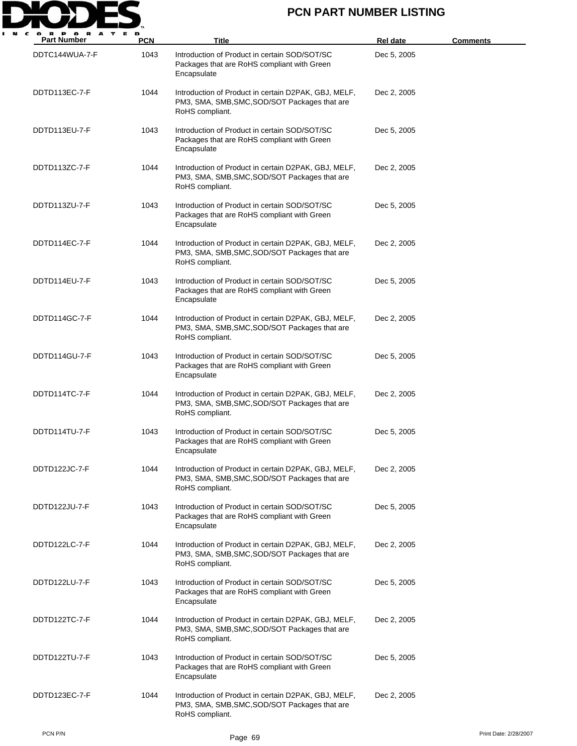

| <b>Part Number</b> | <b>PCN</b> | Title                                                                                                                    | Rel date    | <b>Comments</b> |
|--------------------|------------|--------------------------------------------------------------------------------------------------------------------------|-------------|-----------------|
| DDTC144WUA-7-F     | 1043       | Introduction of Product in certain SOD/SOT/SC<br>Packages that are RoHS compliant with Green<br>Encapsulate              | Dec 5, 2005 |                 |
| DDTD113EC-7-F      | 1044       | Introduction of Product in certain D2PAK, GBJ, MELF,<br>PM3, SMA, SMB, SMC, SOD/SOT Packages that are<br>RoHS compliant. | Dec 2, 2005 |                 |
| DDTD113EU-7-F      | 1043       | Introduction of Product in certain SOD/SOT/SC<br>Packages that are RoHS compliant with Green<br>Encapsulate              | Dec 5, 2005 |                 |
| DDTD113ZC-7-F      | 1044       | Introduction of Product in certain D2PAK, GBJ, MELF,<br>PM3, SMA, SMB, SMC, SOD/SOT Packages that are<br>RoHS compliant. | Dec 2, 2005 |                 |
| DDTD113ZU-7-F      | 1043       | Introduction of Product in certain SOD/SOT/SC<br>Packages that are RoHS compliant with Green<br>Encapsulate              | Dec 5, 2005 |                 |
| DDTD114EC-7-F      | 1044       | Introduction of Product in certain D2PAK, GBJ, MELF,<br>PM3, SMA, SMB, SMC, SOD/SOT Packages that are<br>RoHS compliant. | Dec 2, 2005 |                 |
| DDTD114EU-7-F      | 1043       | Introduction of Product in certain SOD/SOT/SC<br>Packages that are RoHS compliant with Green<br>Encapsulate              | Dec 5, 2005 |                 |
| DDTD114GC-7-F      | 1044       | Introduction of Product in certain D2PAK, GBJ, MELF,<br>PM3, SMA, SMB, SMC, SOD/SOT Packages that are<br>RoHS compliant. | Dec 2, 2005 |                 |
| DDTD114GU-7-F      | 1043       | Introduction of Product in certain SOD/SOT/SC<br>Packages that are RoHS compliant with Green<br>Encapsulate              | Dec 5, 2005 |                 |
| DDTD114TC-7-F      | 1044       | Introduction of Product in certain D2PAK, GBJ, MELF,<br>PM3, SMA, SMB, SMC, SOD/SOT Packages that are<br>RoHS compliant. | Dec 2, 2005 |                 |
| DDTD114TU-7-F      | 1043       | Introduction of Product in certain SOD/SOT/SC<br>Packages that are RoHS compliant with Green<br>Encapsulate              | Dec 5, 2005 |                 |
| DDTD122JC-7-F      | 1044       | Introduction of Product in certain D2PAK, GBJ, MELF,<br>PM3, SMA, SMB, SMC, SOD/SOT Packages that are<br>RoHS compliant. | Dec 2, 2005 |                 |
| DDTD122JU-7-F      | 1043       | Introduction of Product in certain SOD/SOT/SC<br>Packages that are RoHS compliant with Green<br>Encapsulate              | Dec 5, 2005 |                 |
| DDTD122LC-7-F      | 1044       | Introduction of Product in certain D2PAK, GBJ, MELF,<br>PM3, SMA, SMB, SMC, SOD/SOT Packages that are<br>RoHS compliant. | Dec 2, 2005 |                 |
| DDTD122LU-7-F      | 1043       | Introduction of Product in certain SOD/SOT/SC<br>Packages that are RoHS compliant with Green<br>Encapsulate              | Dec 5, 2005 |                 |
| DDTD122TC-7-F      | 1044       | Introduction of Product in certain D2PAK, GBJ, MELF,<br>PM3, SMA, SMB, SMC, SOD/SOT Packages that are<br>RoHS compliant. | Dec 2, 2005 |                 |
| DDTD122TU-7-F      | 1043       | Introduction of Product in certain SOD/SOT/SC<br>Packages that are RoHS compliant with Green<br>Encapsulate              | Dec 5, 2005 |                 |
| DDTD123EC-7-F      | 1044       | Introduction of Product in certain D2PAK, GBJ, MELF,<br>PM3, SMA, SMB, SMC, SOD/SOT Packages that are<br>RoHS compliant. | Dec 2, 2005 |                 |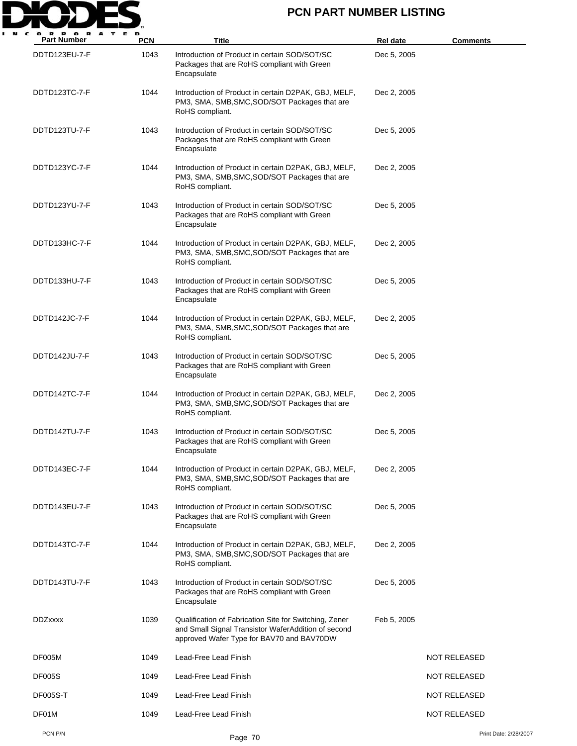

| <b>Part Number</b> | <b>PCN</b> | Title                                                                                                                                                      | Rel date    | <b>Comments</b>       |
|--------------------|------------|------------------------------------------------------------------------------------------------------------------------------------------------------------|-------------|-----------------------|
| DDTD123EU-7-F      | 1043       | Introduction of Product in certain SOD/SOT/SC<br>Packages that are RoHS compliant with Green<br>Encapsulate                                                | Dec 5, 2005 |                       |
| DDTD123TC-7-F      | 1044       | Introduction of Product in certain D2PAK, GBJ, MELF,<br>PM3, SMA, SMB, SMC, SOD/SOT Packages that are<br>RoHS compliant.                                   | Dec 2, 2005 |                       |
| DDTD123TU-7-F      | 1043       | Introduction of Product in certain SOD/SOT/SC<br>Packages that are RoHS compliant with Green<br>Encapsulate                                                | Dec 5, 2005 |                       |
| DDTD123YC-7-F      | 1044       | Introduction of Product in certain D2PAK, GBJ, MELF,<br>PM3, SMA, SMB, SMC, SOD/SOT Packages that are<br>RoHS compliant.                                   | Dec 2, 2005 |                       |
| DDTD123YU-7-F      | 1043       | Introduction of Product in certain SOD/SOT/SC<br>Packages that are RoHS compliant with Green<br>Encapsulate                                                | Dec 5, 2005 |                       |
| DDTD133HC-7-F      | 1044       | Introduction of Product in certain D2PAK, GBJ, MELF,<br>PM3, SMA, SMB, SMC, SOD/SOT Packages that are<br>RoHS compliant.                                   | Dec 2, 2005 |                       |
| DDTD133HU-7-F      | 1043       | Introduction of Product in certain SOD/SOT/SC<br>Packages that are RoHS compliant with Green<br>Encapsulate                                                | Dec 5, 2005 |                       |
| DDTD142JC-7-F      | 1044       | Introduction of Product in certain D2PAK, GBJ, MELF,<br>PM3, SMA, SMB, SMC, SOD/SOT Packages that are<br>RoHS compliant.                                   | Dec 2, 2005 |                       |
| DDTD142JU-7-F      | 1043       | Introduction of Product in certain SOD/SOT/SC<br>Packages that are RoHS compliant with Green<br>Encapsulate                                                | Dec 5, 2005 |                       |
| DDTD142TC-7-F      | 1044       | Introduction of Product in certain D2PAK, GBJ, MELF,<br>PM3, SMA, SMB, SMC, SOD/SOT Packages that are<br>RoHS compliant.                                   | Dec 2, 2005 |                       |
| DDTD142TU-7-F      | 1043       | Introduction of Product in certain SOD/SOT/SC<br>Packages that are RoHS compliant with Green<br>Encapsulate                                                | Dec 5, 2005 |                       |
| DDTD143EC-7-F      | 1044       | Introduction of Product in certain D2PAK, GBJ, MELF,<br>PM3, SMA, SMB, SMC, SOD/SOT Packages that are<br>RoHS compliant.                                   | Dec 2, 2005 |                       |
| DDTD143EU-7-F      | 1043       | Introduction of Product in certain SOD/SOT/SC<br>Packages that are RoHS compliant with Green<br>Encapsulate                                                | Dec 5, 2005 |                       |
| DDTD143TC-7-F      | 1044       | Introduction of Product in certain D2PAK, GBJ, MELF,<br>PM3, SMA, SMB, SMC, SOD/SOT Packages that are<br>RoHS compliant.                                   | Dec 2, 2005 |                       |
| DDTD143TU-7-F      | 1043       | Introduction of Product in certain SOD/SOT/SC<br>Packages that are RoHS compliant with Green<br>Encapsulate                                                | Dec 5, 2005 |                       |
| <b>DDZxxxx</b>     | 1039       | Qualification of Fabrication Site for Switching, Zener<br>and Small Signal Transistor WaferAddition of second<br>approved Wafer Type for BAV70 and BAV70DW | Feb 5, 2005 |                       |
| DF005M             | 1049       | Lead-Free Lead Finish                                                                                                                                      |             | <b>NOT RELEASED</b>   |
| <b>DF005S</b>      | 1049       | Lead-Free Lead Finish                                                                                                                                      |             | <b>NOT RELEASED</b>   |
| <b>DF005S-T</b>    | 1049       | Lead-Free Lead Finish                                                                                                                                      |             | NOT RELEASED          |
| DF01M              | 1049       | Lead-Free Lead Finish                                                                                                                                      |             | <b>NOT RELEASED</b>   |
| PCN P/N            |            | Page 70                                                                                                                                                    |             | Print Date: 2/28/2007 |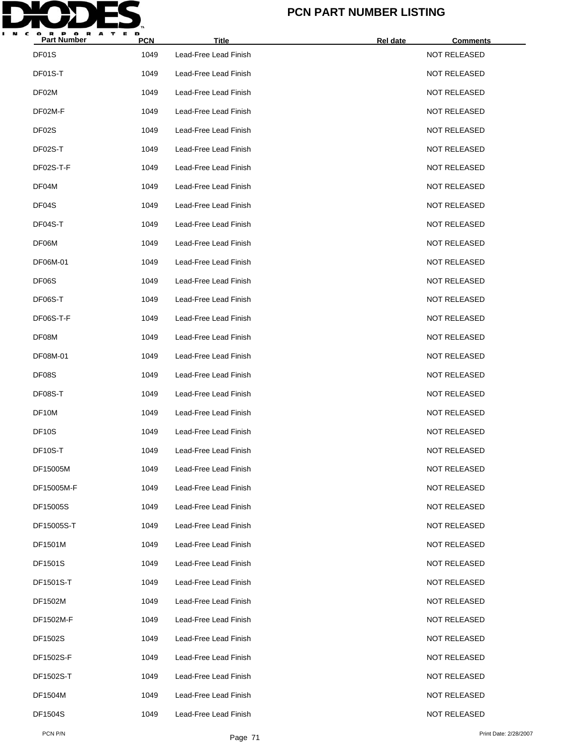

| <b>Part Number</b> | <b>PCN</b> | <b>Title</b>          | <b>Rel date</b> | <b>Comments</b>     |  |
|--------------------|------------|-----------------------|-----------------|---------------------|--|
| DF01S              | 1049       | Lead-Free Lead Finish |                 | NOT RELEASED        |  |
| DF01S-T            | 1049       | Lead-Free Lead Finish |                 | <b>NOT RELEASED</b> |  |
| DF02M              | 1049       | Lead-Free Lead Finish |                 | <b>NOT RELEASED</b> |  |
| DF02M-F            | 1049       | Lead-Free Lead Finish |                 | <b>NOT RELEASED</b> |  |
| DF02S              | 1049       | Lead-Free Lead Finish |                 | <b>NOT RELEASED</b> |  |
| DF02S-T            | 1049       | Lead-Free Lead Finish |                 | <b>NOT RELEASED</b> |  |
| DF02S-T-F          | 1049       | Lead-Free Lead Finish |                 | <b>NOT RELEASED</b> |  |
| DF04M              | 1049       | Lead-Free Lead Finish |                 | <b>NOT RELEASED</b> |  |
| DF04S              | 1049       | Lead-Free Lead Finish |                 | <b>NOT RELEASED</b> |  |
| DF04S-T            | 1049       | Lead-Free Lead Finish |                 | <b>NOT RELEASED</b> |  |
| DF06M              | 1049       | Lead-Free Lead Finish |                 | <b>NOT RELEASED</b> |  |
| DF06M-01           | 1049       | Lead-Free Lead Finish |                 | <b>NOT RELEASED</b> |  |
| DF06S              | 1049       | Lead-Free Lead Finish |                 | <b>NOT RELEASED</b> |  |
| DF06S-T            | 1049       | Lead-Free Lead Finish |                 | <b>NOT RELEASED</b> |  |
| DF06S-T-F          | 1049       | Lead-Free Lead Finish |                 | <b>NOT RELEASED</b> |  |
| DF08M              | 1049       | Lead-Free Lead Finish |                 | <b>NOT RELEASED</b> |  |
| DF08M-01           | 1049       | Lead-Free Lead Finish |                 | <b>NOT RELEASED</b> |  |
| DF08S              | 1049       | Lead-Free Lead Finish |                 | <b>NOT RELEASED</b> |  |
| DF08S-T            | 1049       | Lead-Free Lead Finish |                 | <b>NOT RELEASED</b> |  |
| DF10M              | 1049       | Lead-Free Lead Finish |                 | <b>NOT RELEASED</b> |  |
| <b>DF10S</b>       | 1049       | Lead-Free Lead Finish |                 | <b>NOT RELEASED</b> |  |
| DF10S-T            | 1049       | Lead-Free Lead Finish |                 | <b>NOT RELEASED</b> |  |
| DF15005M           | 1049       | Lead-Free Lead Finish |                 | <b>NOT RELEASED</b> |  |
| DF15005M-F         | 1049       | Lead-Free Lead Finish |                 | <b>NOT RELEASED</b> |  |
| DF15005S           | 1049       | Lead-Free Lead Finish |                 | <b>NOT RELEASED</b> |  |
| DF15005S-T         | 1049       | Lead-Free Lead Finish |                 | <b>NOT RELEASED</b> |  |
| DF1501M            | 1049       | Lead-Free Lead Finish |                 | <b>NOT RELEASED</b> |  |
| DF1501S            | 1049       | Lead-Free Lead Finish |                 | <b>NOT RELEASED</b> |  |
| DF1501S-T          | 1049       | Lead-Free Lead Finish |                 | NOT RELEASED        |  |
| DF1502M            | 1049       | Lead-Free Lead Finish |                 | <b>NOT RELEASED</b> |  |
| DF1502M-F          | 1049       | Lead-Free Lead Finish |                 | <b>NOT RELEASED</b> |  |
| DF1502S            | 1049       | Lead-Free Lead Finish |                 | NOT RELEASED        |  |
| DF1502S-F          | 1049       | Lead-Free Lead Finish |                 | <b>NOT RELEASED</b> |  |
| DF1502S-T          | 1049       | Lead-Free Lead Finish |                 | <b>NOT RELEASED</b> |  |
| DF1504M            | 1049       | Lead-Free Lead Finish |                 | NOT RELEASED        |  |
| DF1504S            | 1049       | Lead-Free Lead Finish |                 | <b>NOT RELEASED</b> |  |
|                    |            |                       |                 |                     |  |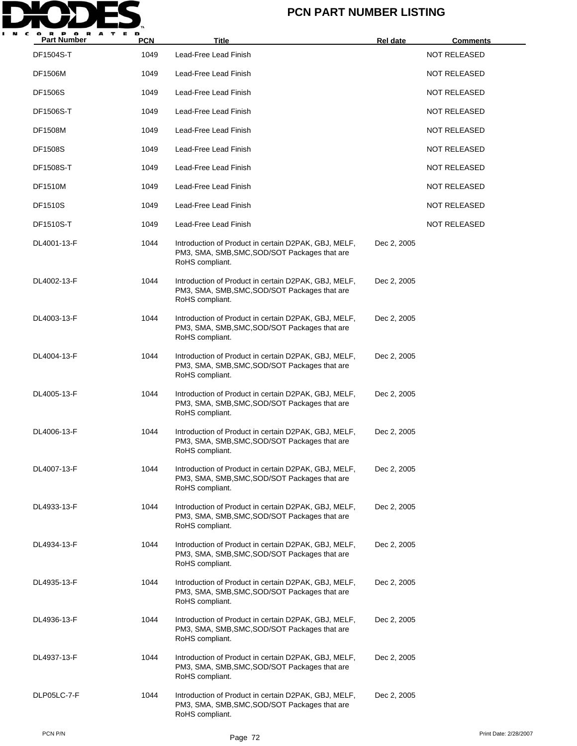

| <b>Part Number</b> | <b>PCN</b> | Title                                                                                                                    | Rel date    | <b>Comments</b>     |
|--------------------|------------|--------------------------------------------------------------------------------------------------------------------------|-------------|---------------------|
| DF1504S-T          | 1049       | Lead-Free Lead Finish                                                                                                    |             | <b>NOT RELEASED</b> |
| <b>DF1506M</b>     | 1049       | Lead-Free Lead Finish                                                                                                    |             | NOT RELEASED        |
| <b>DF1506S</b>     | 1049       | Lead-Free Lead Finish                                                                                                    |             | NOT RELEASED        |
| DF1506S-T          | 1049       | Lead-Free Lead Finish                                                                                                    |             | NOT RELEASED        |
| <b>DF1508M</b>     | 1049       | Lead-Free Lead Finish                                                                                                    |             | <b>NOT RELEASED</b> |
| <b>DF1508S</b>     | 1049       | Lead-Free Lead Finish                                                                                                    |             | <b>NOT RELEASED</b> |
| DF1508S-T          | 1049       | Lead-Free Lead Finish                                                                                                    |             | <b>NOT RELEASED</b> |
| <b>DF1510M</b>     | 1049       | Lead-Free Lead Finish                                                                                                    |             | NOT RELEASED        |
| <b>DF1510S</b>     | 1049       | Lead-Free Lead Finish                                                                                                    |             | NOT RELEASED        |
| DF1510S-T          | 1049       | Lead-Free Lead Finish                                                                                                    |             | NOT RELEASED        |
| DL4001-13-F        | 1044       | Introduction of Product in certain D2PAK, GBJ, MELF,<br>PM3, SMA, SMB, SMC, SOD/SOT Packages that are<br>RoHS compliant. | Dec 2, 2005 |                     |
| DL4002-13-F        | 1044       | Introduction of Product in certain D2PAK, GBJ, MELF,<br>PM3, SMA, SMB, SMC, SOD/SOT Packages that are<br>RoHS compliant. | Dec 2, 2005 |                     |
| DL4003-13-F        | 1044       | Introduction of Product in certain D2PAK, GBJ, MELF,<br>PM3, SMA, SMB, SMC, SOD/SOT Packages that are<br>RoHS compliant. | Dec 2, 2005 |                     |
| DL4004-13-F        | 1044       | Introduction of Product in certain D2PAK, GBJ, MELF,<br>PM3, SMA, SMB, SMC, SOD/SOT Packages that are<br>RoHS compliant. | Dec 2, 2005 |                     |
| DL4005-13-F        | 1044       | Introduction of Product in certain D2PAK, GBJ, MELF,<br>PM3, SMA, SMB, SMC, SOD/SOT Packages that are<br>RoHS compliant. | Dec 2, 2005 |                     |
| DL4006-13-F        | 1044       | Introduction of Product in certain D2PAK, GBJ, MELF,<br>PM3, SMA, SMB, SMC, SOD/SOT Packages that are<br>RoHS compliant. | Dec 2, 2005 |                     |
| DL4007-13-F        | 1044       | Introduction of Product in certain D2PAK, GBJ, MELF,<br>PM3, SMA, SMB, SMC, SOD/SOT Packages that are<br>RoHS compliant. | Dec 2, 2005 |                     |
| DL4933-13-F        | 1044       | Introduction of Product in certain D2PAK, GBJ, MELF,<br>PM3, SMA, SMB, SMC, SOD/SOT Packages that are<br>RoHS compliant. | Dec 2, 2005 |                     |
| DL4934-13-F        | 1044       | Introduction of Product in certain D2PAK, GBJ, MELF,<br>PM3, SMA, SMB, SMC, SOD/SOT Packages that are<br>RoHS compliant. | Dec 2, 2005 |                     |
| DL4935-13-F        | 1044       | Introduction of Product in certain D2PAK, GBJ, MELF,<br>PM3, SMA, SMB, SMC, SOD/SOT Packages that are<br>RoHS compliant. | Dec 2, 2005 |                     |
| DL4936-13-F        | 1044       | Introduction of Product in certain D2PAK, GBJ, MELF,<br>PM3, SMA, SMB, SMC, SOD/SOT Packages that are<br>RoHS compliant. | Dec 2, 2005 |                     |
| DL4937-13-F        | 1044       | Introduction of Product in certain D2PAK, GBJ, MELF,<br>PM3, SMA, SMB, SMC, SOD/SOT Packages that are<br>RoHS compliant. | Dec 2, 2005 |                     |
| DLP05LC-7-F        | 1044       | Introduction of Product in certain D2PAK, GBJ, MELF,<br>PM3, SMA, SMB, SMC, SOD/SOT Packages that are<br>RoHS compliant. | Dec 2, 2005 |                     |
|                    |            |                                                                                                                          |             |                     |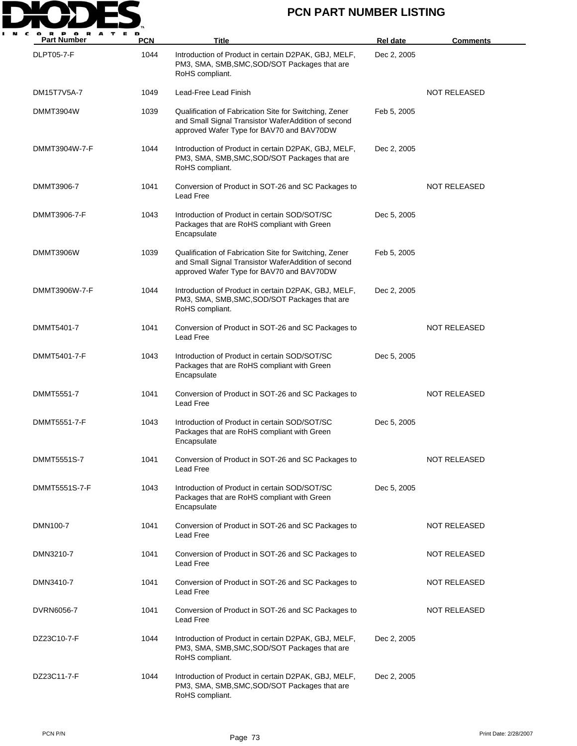

| <b>PORA</b><br>T<br><b>E</b><br><b>Part Number</b> | D<br><b>PCN</b> | Title                                                                                                                                                      | <b>Rel date</b> | <b>Comments</b>     |
|----------------------------------------------------|-----------------|------------------------------------------------------------------------------------------------------------------------------------------------------------|-----------------|---------------------|
| <b>DLPT05-7-F</b>                                  | 1044            | Introduction of Product in certain D2PAK, GBJ, MELF,<br>PM3, SMA, SMB, SMC, SOD/SOT Packages that are<br>RoHS compliant.                                   | Dec 2, 2005     |                     |
| DM15T7V5A-7                                        | 1049            | Lead-Free Lead Finish                                                                                                                                      |                 | <b>NOT RELEASED</b> |
| DMMT3904W                                          | 1039            | Qualification of Fabrication Site for Switching, Zener<br>and Small Signal Transistor WaferAddition of second<br>approved Wafer Type for BAV70 and BAV70DW | Feb 5, 2005     |                     |
| DMMT3904W-7-F                                      | 1044            | Introduction of Product in certain D2PAK, GBJ, MELF,<br>PM3, SMA, SMB, SMC, SOD/SOT Packages that are<br>RoHS compliant.                                   | Dec 2, 2005     |                     |
| DMMT3906-7                                         | 1041            | Conversion of Product in SOT-26 and SC Packages to<br>Lead Free                                                                                            |                 | NOT RELEASED        |
| DMMT3906-7-F                                       | 1043            | Introduction of Product in certain SOD/SOT/SC<br>Packages that are RoHS compliant with Green<br>Encapsulate                                                | Dec 5, 2005     |                     |
| DMMT3906W                                          | 1039            | Qualification of Fabrication Site for Switching, Zener<br>and Small Signal Transistor WaferAddition of second<br>approved Wafer Type for BAV70 and BAV70DW | Feb 5, 2005     |                     |
| DMMT3906W-7-F                                      | 1044            | Introduction of Product in certain D2PAK, GBJ, MELF,<br>PM3, SMA, SMB, SMC, SOD/SOT Packages that are<br>RoHS compliant.                                   | Dec 2, 2005     |                     |
| DMMT5401-7                                         | 1041            | Conversion of Product in SOT-26 and SC Packages to<br>Lead Free                                                                                            |                 | <b>NOT RELEASED</b> |
| DMMT5401-7-F                                       | 1043            | Introduction of Product in certain SOD/SOT/SC<br>Packages that are RoHS compliant with Green<br>Encapsulate                                                | Dec 5, 2005     |                     |
| DMMT5551-7                                         | 1041            | Conversion of Product in SOT-26 and SC Packages to<br>Lead Free                                                                                            |                 | <b>NOT RELEASED</b> |
| DMMT5551-7-F                                       | 1043            | Introduction of Product in certain SOD/SOT/SC<br>Packages that are RoHS compliant with Green<br>Encapsulate                                                | Dec 5, 2005     |                     |
| DMMT5551S-7                                        | 1041            | Conversion of Product in SOT-26 and SC Packages to<br>Lead Free                                                                                            |                 | <b>NOT RELEASED</b> |
| DMMT5551S-7-F                                      | 1043            | Introduction of Product in certain SOD/SOT/SC<br>Packages that are RoHS compliant with Green<br>Encapsulate                                                | Dec 5, 2005     |                     |
| DMN100-7                                           | 1041            | Conversion of Product in SOT-26 and SC Packages to<br>Lead Free                                                                                            |                 | NOT RELEASED        |
| DMN3210-7                                          | 1041            | Conversion of Product in SOT-26 and SC Packages to<br>Lead Free                                                                                            |                 | NOT RELEASED        |
| DMN3410-7                                          | 1041            | Conversion of Product in SOT-26 and SC Packages to<br>Lead Free                                                                                            |                 | NOT RELEASED        |
| DVRN6056-7                                         | 1041            | Conversion of Product in SOT-26 and SC Packages to<br>Lead Free                                                                                            |                 | NOT RELEASED        |
| DZ23C10-7-F                                        | 1044            | Introduction of Product in certain D2PAK, GBJ, MELF,<br>PM3, SMA, SMB, SMC, SOD/SOT Packages that are<br>RoHS compliant.                                   | Dec 2, 2005     |                     |
| DZ23C11-7-F                                        | 1044            | Introduction of Product in certain D2PAK, GBJ, MELF,<br>PM3, SMA, SMB, SMC, SOD/SOT Packages that are<br>RoHS compliant.                                   | Dec 2, 2005     |                     |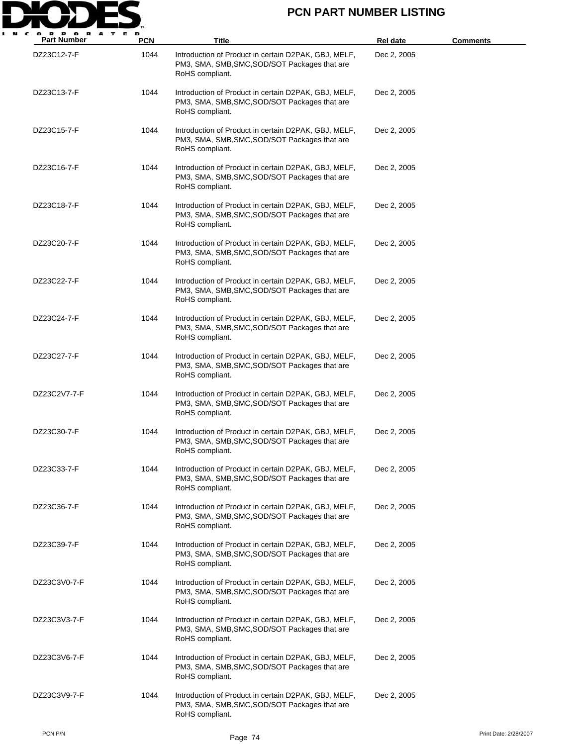

| <b>Part Number</b> | <b>PCN</b> | <b>Title</b>                                                                                                             | <b>Rel date</b> | <u>Comments</u> |
|--------------------|------------|--------------------------------------------------------------------------------------------------------------------------|-----------------|-----------------|
| DZ23C12-7-F        | 1044       | Introduction of Product in certain D2PAK, GBJ, MELF,<br>PM3, SMA, SMB, SMC, SOD/SOT Packages that are<br>RoHS compliant. | Dec 2, 2005     |                 |
| DZ23C13-7-F        | 1044       | Introduction of Product in certain D2PAK, GBJ, MELF,<br>PM3, SMA, SMB, SMC, SOD/SOT Packages that are<br>RoHS compliant. | Dec 2, 2005     |                 |
| DZ23C15-7-F        | 1044       | Introduction of Product in certain D2PAK, GBJ, MELF,<br>PM3, SMA, SMB, SMC, SOD/SOT Packages that are<br>RoHS compliant. | Dec 2, 2005     |                 |
| DZ23C16-7-F        | 1044       | Introduction of Product in certain D2PAK, GBJ, MELF,<br>PM3, SMA, SMB, SMC, SOD/SOT Packages that are<br>RoHS compliant. | Dec 2, 2005     |                 |
| DZ23C18-7-F        | 1044       | Introduction of Product in certain D2PAK, GBJ, MELF,<br>PM3, SMA, SMB, SMC, SOD/SOT Packages that are<br>RoHS compliant. | Dec 2, 2005     |                 |
| DZ23C20-7-F        | 1044       | Introduction of Product in certain D2PAK, GBJ, MELF,<br>PM3, SMA, SMB, SMC, SOD/SOT Packages that are<br>RoHS compliant. | Dec 2, 2005     |                 |
| DZ23C22-7-F        | 1044       | Introduction of Product in certain D2PAK, GBJ, MELF,<br>PM3, SMA, SMB, SMC, SOD/SOT Packages that are<br>RoHS compliant. | Dec 2, 2005     |                 |
| DZ23C24-7-F        | 1044       | Introduction of Product in certain D2PAK, GBJ, MELF,<br>PM3, SMA, SMB, SMC, SOD/SOT Packages that are<br>RoHS compliant. | Dec 2, 2005     |                 |
| DZ23C27-7-F        | 1044       | Introduction of Product in certain D2PAK, GBJ, MELF,<br>PM3, SMA, SMB, SMC, SOD/SOT Packages that are<br>RoHS compliant. | Dec 2, 2005     |                 |
| DZ23C2V7-7-F       | 1044       | Introduction of Product in certain D2PAK, GBJ, MELF,<br>PM3, SMA, SMB, SMC, SOD/SOT Packages that are<br>RoHS compliant. | Dec 2, 2005     |                 |
| DZ23C30-7-F        | 1044       | Introduction of Product in certain D2PAK, GBJ, MELF,<br>PM3, SMA, SMB, SMC, SOD/SOT Packages that are<br>RoHS compliant. | Dec 2, 2005     |                 |
| DZ23C33-7-F        | 1044       | Introduction of Product in certain D2PAK, GBJ, MELF,<br>PM3, SMA, SMB, SMC, SOD/SOT Packages that are<br>RoHS compliant. | Dec 2, 2005     |                 |
| DZ23C36-7-F        | 1044       | Introduction of Product in certain D2PAK, GBJ, MELF,<br>PM3, SMA, SMB, SMC, SOD/SOT Packages that are<br>RoHS compliant. | Dec 2, 2005     |                 |
| DZ23C39-7-F        | 1044       | Introduction of Product in certain D2PAK, GBJ, MELF,<br>PM3, SMA, SMB, SMC, SOD/SOT Packages that are<br>RoHS compliant. | Dec 2, 2005     |                 |
| DZ23C3V0-7-F       | 1044       | Introduction of Product in certain D2PAK, GBJ, MELF,<br>PM3, SMA, SMB, SMC, SOD/SOT Packages that are<br>RoHS compliant. | Dec 2, 2005     |                 |
| DZ23C3V3-7-F       | 1044       | Introduction of Product in certain D2PAK, GBJ, MELF,<br>PM3, SMA, SMB, SMC, SOD/SOT Packages that are<br>RoHS compliant. | Dec 2, 2005     |                 |
| DZ23C3V6-7-F       | 1044       | Introduction of Product in certain D2PAK, GBJ, MELF,<br>PM3, SMA, SMB, SMC, SOD/SOT Packages that are<br>RoHS compliant. | Dec 2, 2005     |                 |
| DZ23C3V9-7-F       | 1044       | Introduction of Product in certain D2PAK, GBJ, MELF,<br>PM3, SMA, SMB, SMC, SOD/SOT Packages that are<br>RoHS compliant. | Dec 2, 2005     |                 |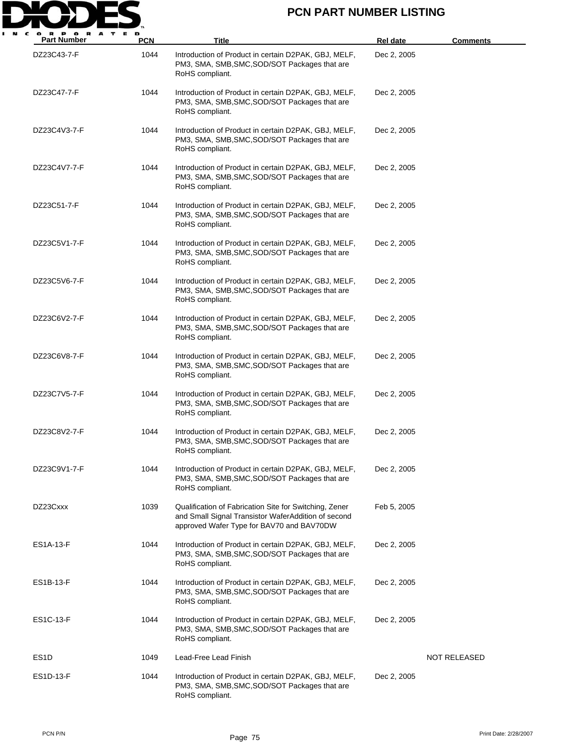

| $\mathbf u$<br><b>Part Number</b> | PCN  | Title                                                                                                                                                      | Rel date    | <b>Comments</b> |
|-----------------------------------|------|------------------------------------------------------------------------------------------------------------------------------------------------------------|-------------|-----------------|
| DZ23C43-7-F                       | 1044 | Introduction of Product in certain D2PAK, GBJ, MELF,<br>PM3, SMA, SMB, SMC, SOD/SOT Packages that are<br>RoHS compliant.                                   | Dec 2, 2005 |                 |
| DZ23C47-7-F                       | 1044 | Introduction of Product in certain D2PAK, GBJ, MELF,<br>PM3, SMA, SMB, SMC, SOD/SOT Packages that are<br>RoHS compliant.                                   | Dec 2, 2005 |                 |
| DZ23C4V3-7-F                      | 1044 | Introduction of Product in certain D2PAK, GBJ, MELF,<br>PM3, SMA, SMB, SMC, SOD/SOT Packages that are<br>RoHS compliant.                                   | Dec 2, 2005 |                 |
| DZ23C4V7-7-F                      | 1044 | Introduction of Product in certain D2PAK, GBJ, MELF,<br>PM3, SMA, SMB, SMC, SOD/SOT Packages that are<br>RoHS compliant.                                   | Dec 2, 2005 |                 |
| DZ23C51-7-F                       | 1044 | Introduction of Product in certain D2PAK, GBJ, MELF,<br>PM3, SMA, SMB, SMC, SOD/SOT Packages that are<br>RoHS compliant.                                   | Dec 2, 2005 |                 |
| DZ23C5V1-7-F                      | 1044 | Introduction of Product in certain D2PAK, GBJ, MELF,<br>PM3, SMA, SMB, SMC, SOD/SOT Packages that are<br>RoHS compliant.                                   | Dec 2, 2005 |                 |
| DZ23C5V6-7-F                      | 1044 | Introduction of Product in certain D2PAK, GBJ, MELF,<br>PM3, SMA, SMB, SMC, SOD/SOT Packages that are<br>RoHS compliant.                                   | Dec 2, 2005 |                 |
| DZ23C6V2-7-F                      | 1044 | Introduction of Product in certain D2PAK, GBJ, MELF,<br>PM3, SMA, SMB, SMC, SOD/SOT Packages that are<br>RoHS compliant.                                   | Dec 2, 2005 |                 |
| DZ23C6V8-7-F                      | 1044 | Introduction of Product in certain D2PAK, GBJ, MELF,<br>PM3, SMA, SMB, SMC, SOD/SOT Packages that are<br>RoHS compliant.                                   | Dec 2, 2005 |                 |
| DZ23C7V5-7-F                      | 1044 | Introduction of Product in certain D2PAK, GBJ, MELF,<br>PM3, SMA, SMB, SMC, SOD/SOT Packages that are<br>RoHS compliant.                                   | Dec 2, 2005 |                 |
| DZ23C8V2-7-F                      | 1044 | Introduction of Product in certain D2PAK, GBJ, MELF,<br>PM3, SMA, SMB, SMC, SOD/SOT Packages that are<br>RoHS compliant.                                   | Dec 2, 2005 |                 |
| DZ23C9V1-7-F                      | 1044 | Introduction of Product in certain D2PAK, GBJ, MELF,<br>PM3, SMA, SMB, SMC, SOD/SOT Packages that are<br>RoHS compliant.                                   | Dec 2, 2005 |                 |
| DZ23Cxxx                          | 1039 | Qualification of Fabrication Site for Switching, Zener<br>and Small Signal Transistor WaferAddition of second<br>approved Wafer Type for BAV70 and BAV70DW | Feb 5, 2005 |                 |
| ES1A-13-F                         | 1044 | Introduction of Product in certain D2PAK, GBJ, MELF,<br>PM3, SMA, SMB, SMC, SOD/SOT Packages that are<br>RoHS compliant.                                   | Dec 2, 2005 |                 |
| ES1B-13-F                         | 1044 | Introduction of Product in certain D2PAK, GBJ, MELF,<br>PM3, SMA, SMB, SMC, SOD/SOT Packages that are<br>RoHS compliant.                                   | Dec 2, 2005 |                 |
| <b>ES1C-13-F</b>                  | 1044 | Introduction of Product in certain D2PAK, GBJ, MELF,<br>PM3, SMA, SMB, SMC, SOD/SOT Packages that are<br>RoHS compliant.                                   | Dec 2, 2005 |                 |
| ES <sub>1</sub> D                 | 1049 | Lead-Free Lead Finish                                                                                                                                      |             | NOT RELEASED    |
| ES1D-13-F                         | 1044 | Introduction of Product in certain D2PAK, GBJ, MELF,<br>PM3, SMA, SMB, SMC, SOD/SOT Packages that are<br>RoHS compliant.                                   | Dec 2, 2005 |                 |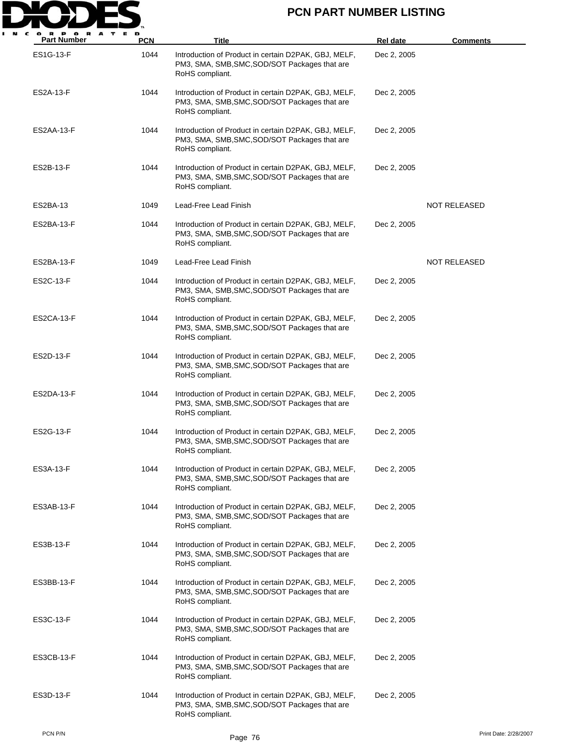

| $\mathbf v$<br><b>Part Number</b> | <b>PCN</b> | Title                                                                                                                    | <b>Rel date</b> | <b>Comments</b>       |
|-----------------------------------|------------|--------------------------------------------------------------------------------------------------------------------------|-----------------|-----------------------|
| <b>ES1G-13-F</b>                  | 1044       | Introduction of Product in certain D2PAK, GBJ, MELF,<br>PM3, SMA, SMB, SMC, SOD/SOT Packages that are<br>RoHS compliant. | Dec 2, 2005     |                       |
| ES2A-13-F                         | 1044       | Introduction of Product in certain D2PAK, GBJ, MELF,<br>PM3, SMA, SMB, SMC, SOD/SOT Packages that are<br>RoHS compliant. | Dec 2, 2005     |                       |
| ES2AA-13-F                        | 1044       | Introduction of Product in certain D2PAK, GBJ, MELF,<br>PM3, SMA, SMB, SMC, SOD/SOT Packages that are<br>RoHS compliant. | Dec 2, 2005     |                       |
| ES2B-13-F                         | 1044       | Introduction of Product in certain D2PAK, GBJ, MELF,<br>PM3, SMA, SMB, SMC, SOD/SOT Packages that are<br>RoHS compliant. | Dec 2, 2005     |                       |
| ES2BA-13                          | 1049       | Lead-Free Lead Finish                                                                                                    |                 | NOT RELEASED          |
| ES2BA-13-F                        | 1044       | Introduction of Product in certain D2PAK, GBJ, MELF,<br>PM3, SMA, SMB, SMC, SOD/SOT Packages that are<br>RoHS compliant. | Dec 2, 2005     |                       |
| ES2BA-13-F                        | 1049       | Lead-Free Lead Finish                                                                                                    |                 | NOT RELEASED          |
| ES2C-13-F                         | 1044       | Introduction of Product in certain D2PAK, GBJ, MELF,<br>PM3, SMA, SMB, SMC, SOD/SOT Packages that are<br>RoHS compliant. | Dec 2, 2005     |                       |
| ES2CA-13-F                        | 1044       | Introduction of Product in certain D2PAK, GBJ, MELF,<br>PM3, SMA, SMB, SMC, SOD/SOT Packages that are<br>RoHS compliant. | Dec 2, 2005     |                       |
| ES2D-13-F                         | 1044       | Introduction of Product in certain D2PAK, GBJ, MELF,<br>PM3, SMA, SMB, SMC, SOD/SOT Packages that are<br>RoHS compliant. | Dec 2, 2005     |                       |
| ES2DA-13-F                        | 1044       | Introduction of Product in certain D2PAK, GBJ, MELF,<br>PM3, SMA, SMB, SMC, SOD/SOT Packages that are<br>RoHS compliant. | Dec 2, 2005     |                       |
| ES2G-13-F                         | 1044       | Introduction of Product in certain D2PAK, GBJ, MELF,<br>PM3, SMA, SMB, SMC, SOD/SOT Packages that are<br>RoHS compliant. | Dec 2, 2005     |                       |
| ES3A-13-F                         | 1044       | Introduction of Product in certain D2PAK, GBJ, MELF,<br>PM3, SMA, SMB, SMC, SOD/SOT Packages that are<br>RoHS compliant. | Dec 2, 2005     |                       |
| ES3AB-13-F                        | 1044       | Introduction of Product in certain D2PAK, GBJ, MELF,<br>PM3, SMA, SMB, SMC, SOD/SOT Packages that are<br>RoHS compliant. | Dec 2, 2005     |                       |
| ES3B-13-F                         | 1044       | Introduction of Product in certain D2PAK, GBJ, MELF,<br>PM3, SMA, SMB, SMC, SOD/SOT Packages that are<br>RoHS compliant. | Dec 2, 2005     |                       |
| ES3BB-13-F                        | 1044       | Introduction of Product in certain D2PAK, GBJ, MELF,<br>PM3, SMA, SMB, SMC, SOD/SOT Packages that are<br>RoHS compliant. | Dec 2, 2005     |                       |
| ES3C-13-F                         | 1044       | Introduction of Product in certain D2PAK, GBJ, MELF,<br>PM3, SMA, SMB, SMC, SOD/SOT Packages that are<br>RoHS compliant. | Dec 2, 2005     |                       |
| ES3CB-13-F                        | 1044       | Introduction of Product in certain D2PAK, GBJ, MELF,<br>PM3, SMA, SMB, SMC, SOD/SOT Packages that are<br>RoHS compliant. | Dec 2, 2005     |                       |
| ES3D-13-F                         | 1044       | Introduction of Product in certain D2PAK, GBJ, MELF,<br>PM3, SMA, SMB, SMC, SOD/SOT Packages that are<br>RoHS compliant. | Dec 2, 2005     |                       |
| PCN P/N                           |            | Page 76                                                                                                                  |                 | Print Date: 2/28/2007 |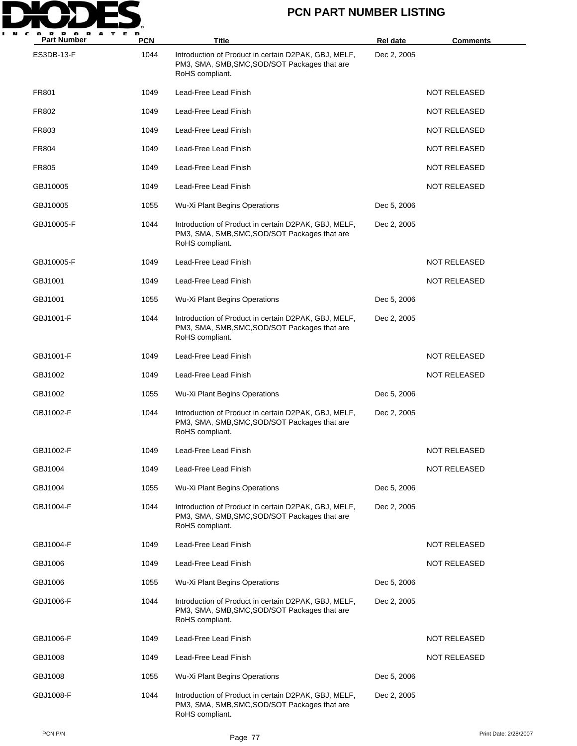

| P OR<br>A<br>т<br>в.<br><b>Part Number</b> | <b>PCN</b> | Title                                                                                                                    | Rel date    | <b>Comments</b>     |
|--------------------------------------------|------------|--------------------------------------------------------------------------------------------------------------------------|-------------|---------------------|
| ES3DB-13-F                                 | 1044       | Introduction of Product in certain D2PAK, GBJ, MELF,<br>PM3, SMA, SMB, SMC, SOD/SOT Packages that are<br>RoHS compliant. | Dec 2, 2005 |                     |
| FR801                                      | 1049       | Lead-Free Lead Finish                                                                                                    |             | <b>NOT RELEASED</b> |
| FR802                                      | 1049       | Lead-Free Lead Finish                                                                                                    |             | <b>NOT RELEASED</b> |
| FR803                                      | 1049       | Lead-Free Lead Finish                                                                                                    |             | <b>NOT RELEASED</b> |
| FR804                                      | 1049       | Lead-Free Lead Finish                                                                                                    |             | <b>NOT RELEASED</b> |
| <b>FR805</b>                               | 1049       | Lead-Free Lead Finish                                                                                                    |             | <b>NOT RELEASED</b> |
| GBJ10005                                   | 1049       | Lead-Free Lead Finish                                                                                                    |             | <b>NOT RELEASED</b> |
| GBJ10005                                   | 1055       | Wu-Xi Plant Begins Operations                                                                                            | Dec 5, 2006 |                     |
| GBJ10005-F                                 | 1044       | Introduction of Product in certain D2PAK, GBJ, MELF,<br>PM3, SMA, SMB, SMC, SOD/SOT Packages that are<br>RoHS compliant. | Dec 2, 2005 |                     |
| GBJ10005-F                                 | 1049       | Lead-Free Lead Finish                                                                                                    |             | <b>NOT RELEASED</b> |
| GBJ1001                                    | 1049       | Lead-Free Lead Finish                                                                                                    |             | <b>NOT RELEASED</b> |
| GBJ1001                                    | 1055       | Wu-Xi Plant Begins Operations                                                                                            | Dec 5, 2006 |                     |
| GBJ1001-F                                  | 1044       | Introduction of Product in certain D2PAK, GBJ, MELF,<br>PM3, SMA, SMB, SMC, SOD/SOT Packages that are<br>RoHS compliant. | Dec 2, 2005 |                     |
| GBJ1001-F                                  | 1049       | Lead-Free Lead Finish                                                                                                    |             | <b>NOT RELEASED</b> |
| GBJ1002                                    | 1049       | Lead-Free Lead Finish                                                                                                    |             | <b>NOT RELEASED</b> |
| GBJ1002                                    | 1055       | Wu-Xi Plant Begins Operations                                                                                            | Dec 5, 2006 |                     |
| GBJ1002-F                                  | 1044       | Introduction of Product in certain D2PAK, GBJ, MELF,<br>PM3, SMA, SMB, SMC, SOD/SOT Packages that are<br>RoHS compliant. | Dec 2, 2005 |                     |
| GBJ1002-F                                  | 1049       | Lead-Free Lead Finish                                                                                                    |             | <b>NOT RELEASED</b> |
| GBJ1004                                    | 1049       | Lead-Free Lead Finish                                                                                                    |             | <b>NOT RELEASED</b> |
| GBJ1004                                    | 1055       | Wu-Xi Plant Begins Operations                                                                                            | Dec 5, 2006 |                     |
| GBJ1004-F                                  | 1044       | Introduction of Product in certain D2PAK, GBJ, MELF,<br>PM3, SMA, SMB, SMC, SOD/SOT Packages that are<br>RoHS compliant. | Dec 2, 2005 |                     |
| GBJ1004-F                                  | 1049       | Lead-Free Lead Finish                                                                                                    |             | NOT RELEASED        |
| GBJ1006                                    | 1049       | Lead-Free Lead Finish                                                                                                    |             | <b>NOT RELEASED</b> |
| GBJ1006                                    | 1055       | Wu-Xi Plant Begins Operations                                                                                            | Dec 5, 2006 |                     |
| GBJ1006-F                                  | 1044       | Introduction of Product in certain D2PAK, GBJ, MELF,<br>PM3, SMA, SMB, SMC, SOD/SOT Packages that are<br>RoHS compliant. | Dec 2, 2005 |                     |
| GBJ1006-F                                  | 1049       | Lead-Free Lead Finish                                                                                                    |             | <b>NOT RELEASED</b> |
| GBJ1008                                    | 1049       | Lead-Free Lead Finish                                                                                                    |             | <b>NOT RELEASED</b> |
| GBJ1008                                    | 1055       | Wu-Xi Plant Begins Operations                                                                                            | Dec 5, 2006 |                     |
| GBJ1008-F                                  | 1044       | Introduction of Product in certain D2PAK, GBJ, MELF,<br>PM3, SMA, SMB, SMC, SOD/SOT Packages that are<br>RoHS compliant. | Dec 2, 2005 |                     |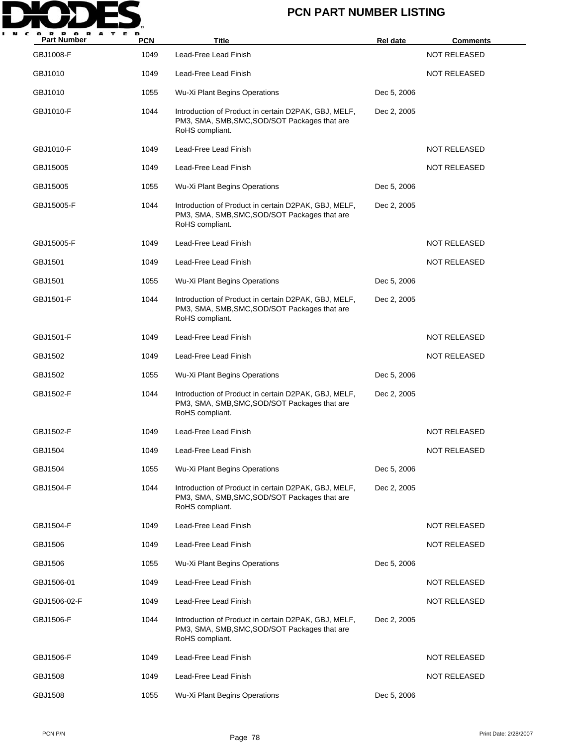

| <b>Part Number</b> | <b>PCN</b> | <b>Title</b>                                                                                                             | <b>Rel date</b> | <b>Comments</b>     |
|--------------------|------------|--------------------------------------------------------------------------------------------------------------------------|-----------------|---------------------|
| GBJ1008-F          | 1049       | Lead-Free Lead Finish                                                                                                    |                 | <b>NOT RELEASED</b> |
| GBJ1010            | 1049       | Lead-Free Lead Finish                                                                                                    |                 | <b>NOT RELEASED</b> |
| GBJ1010            | 1055       | Wu-Xi Plant Begins Operations                                                                                            | Dec 5, 2006     |                     |
| GBJ1010-F          | 1044       | Introduction of Product in certain D2PAK, GBJ, MELF,<br>PM3, SMA, SMB, SMC, SOD/SOT Packages that are<br>RoHS compliant. | Dec 2, 2005     |                     |
| GBJ1010-F          | 1049       | Lead-Free Lead Finish                                                                                                    |                 | <b>NOT RELEASED</b> |
| GBJ15005           | 1049       | Lead-Free Lead Finish                                                                                                    |                 | <b>NOT RELEASED</b> |
| GBJ15005           | 1055       | Wu-Xi Plant Begins Operations                                                                                            | Dec 5, 2006     |                     |
| GBJ15005-F         | 1044       | Introduction of Product in certain D2PAK, GBJ, MELF,<br>PM3, SMA, SMB, SMC, SOD/SOT Packages that are<br>RoHS compliant. | Dec 2, 2005     |                     |
| GBJ15005-F         | 1049       | Lead-Free Lead Finish                                                                                                    |                 | <b>NOT RELEASED</b> |
| GBJ1501            | 1049       | Lead-Free Lead Finish                                                                                                    |                 | <b>NOT RELEASED</b> |
| GBJ1501            | 1055       | Wu-Xi Plant Begins Operations                                                                                            | Dec 5, 2006     |                     |
| GBJ1501-F          | 1044       | Introduction of Product in certain D2PAK, GBJ, MELF,<br>PM3, SMA, SMB, SMC, SOD/SOT Packages that are<br>RoHS compliant. | Dec 2, 2005     |                     |
| GBJ1501-F          | 1049       | Lead-Free Lead Finish                                                                                                    |                 | <b>NOT RELEASED</b> |
| GBJ1502            | 1049       | Lead-Free Lead Finish                                                                                                    |                 | <b>NOT RELEASED</b> |
| GBJ1502            | 1055       | Wu-Xi Plant Begins Operations                                                                                            | Dec 5, 2006     |                     |
| GBJ1502-F          | 1044       | Introduction of Product in certain D2PAK, GBJ, MELF,<br>PM3, SMA, SMB, SMC, SOD/SOT Packages that are<br>RoHS compliant. | Dec 2, 2005     |                     |
| GBJ1502-F          | 1049       | Lead-Free Lead Finish                                                                                                    |                 | <b>NOT RELEASED</b> |
| GBJ1504            | 1049       | Lead-Free Lead Finish                                                                                                    |                 | <b>NOT RELEASED</b> |
| GBJ1504            | 1055       | Wu-Xi Plant Begins Operations                                                                                            | Dec 5, 2006     |                     |
| GBJ1504-F          | 1044       | Introduction of Product in certain D2PAK, GBJ, MELF,<br>PM3, SMA, SMB, SMC, SOD/SOT Packages that are<br>RoHS compliant. | Dec 2, 2005     |                     |
| GBJ1504-F          | 1049       | Lead-Free Lead Finish                                                                                                    |                 | <b>NOT RELEASED</b> |
| GBJ1506            | 1049       | Lead-Free Lead Finish                                                                                                    |                 | NOT RELEASED        |
| GBJ1506            | 1055       | Wu-Xi Plant Begins Operations                                                                                            | Dec 5, 2006     |                     |
| GBJ1506-01         | 1049       | Lead-Free Lead Finish                                                                                                    |                 | <b>NOT RELEASED</b> |
| GBJ1506-02-F       | 1049       | Lead-Free Lead Finish                                                                                                    |                 | NOT RELEASED        |
| GBJ1506-F          | 1044       | Introduction of Product in certain D2PAK, GBJ, MELF,<br>PM3, SMA, SMB, SMC, SOD/SOT Packages that are<br>RoHS compliant. | Dec 2, 2005     |                     |
| GBJ1506-F          | 1049       | Lead-Free Lead Finish                                                                                                    |                 | NOT RELEASED        |
| GBJ1508            | 1049       | Lead-Free Lead Finish                                                                                                    |                 | NOT RELEASED        |
| GBJ1508            | 1055       | Wu-Xi Plant Begins Operations                                                                                            | Dec 5, 2006     |                     |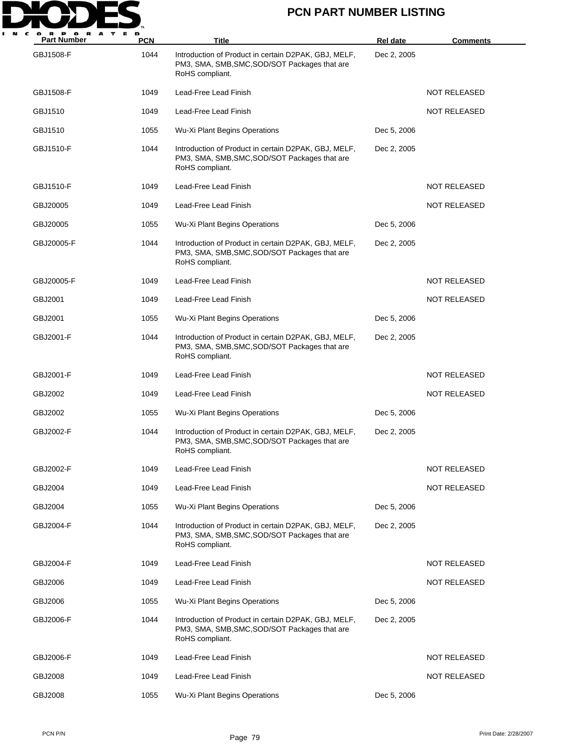

| <b>Part Number</b> | <b>PCN</b> | Title                                                                                                                    | <b>Rel date</b> | <b>Comments</b>     |
|--------------------|------------|--------------------------------------------------------------------------------------------------------------------------|-----------------|---------------------|
| GBJ1508-F          | 1044       | Introduction of Product in certain D2PAK, GBJ, MELF,<br>PM3, SMA, SMB, SMC, SOD/SOT Packages that are<br>RoHS compliant. | Dec 2, 2005     |                     |
| GBJ1508-F          | 1049       | Lead-Free Lead Finish                                                                                                    |                 | NOT RELEASED        |
| GBJ1510            | 1049       | Lead-Free Lead Finish                                                                                                    |                 | <b>NOT RELEASED</b> |
| GBJ1510            | 1055       | Wu-Xi Plant Begins Operations                                                                                            | Dec 5, 2006     |                     |
| GBJ1510-F          | 1044       | Introduction of Product in certain D2PAK, GBJ, MELF,<br>PM3, SMA, SMB, SMC, SOD/SOT Packages that are<br>RoHS compliant. | Dec 2, 2005     |                     |
| GBJ1510-F          | 1049       | Lead-Free Lead Finish                                                                                                    |                 | NOT RELEASED        |
| GBJ20005           | 1049       | Lead-Free Lead Finish                                                                                                    |                 | <b>NOT RELEASED</b> |
| GBJ20005           | 1055       | Wu-Xi Plant Begins Operations                                                                                            | Dec 5, 2006     |                     |
| GBJ20005-F         | 1044       | Introduction of Product in certain D2PAK, GBJ, MELF,<br>PM3, SMA, SMB, SMC, SOD/SOT Packages that are<br>RoHS compliant. | Dec 2, 2005     |                     |
| GBJ20005-F         | 1049       | Lead-Free Lead Finish                                                                                                    |                 | <b>NOT RELEASED</b> |
| GBJ2001            | 1049       | Lead-Free Lead Finish                                                                                                    |                 | NOT RELEASED        |
| GBJ2001            | 1055       | Wu-Xi Plant Begins Operations                                                                                            | Dec 5, 2006     |                     |
| GBJ2001-F          | 1044       | Introduction of Product in certain D2PAK, GBJ, MELF,<br>PM3, SMA, SMB, SMC, SOD/SOT Packages that are<br>RoHS compliant. | Dec 2, 2005     |                     |
| GBJ2001-F          | 1049       | Lead-Free Lead Finish                                                                                                    |                 | <b>NOT RELEASED</b> |
| GBJ2002            | 1049       | Lead-Free Lead Finish                                                                                                    |                 | <b>NOT RELEASED</b> |
| GBJ2002            | 1055       | Wu-Xi Plant Begins Operations                                                                                            | Dec 5, 2006     |                     |
| GBJ2002-F          | 1044       | Introduction of Product in certain D2PAK, GBJ, MELF,<br>PM3, SMA, SMB, SMC, SOD/SOT Packages that are<br>RoHS compliant. | Dec 2, 2005     |                     |
| GBJ2002-F          | 1049       | Lead-Free Lead Finish                                                                                                    |                 | NOT RELEASED        |
| GBJ2004            | 1049       | Lead-Free Lead Finish                                                                                                    |                 | NOT RELEASED        |
| GBJ2004            | 1055       | Wu-Xi Plant Begins Operations                                                                                            | Dec 5, 2006     |                     |
| GBJ2004-F          | 1044       | Introduction of Product in certain D2PAK, GBJ, MELF,<br>PM3, SMA, SMB, SMC, SOD/SOT Packages that are<br>RoHS compliant. | Dec 2, 2005     |                     |
| GBJ2004-F          | 1049       | Lead-Free Lead Finish                                                                                                    |                 | <b>NOT RELEASED</b> |
| GBJ2006            | 1049       | Lead-Free Lead Finish                                                                                                    |                 | NOT RELEASED        |
| GBJ2006            | 1055       | Wu-Xi Plant Begins Operations                                                                                            | Dec 5, 2006     |                     |
| GBJ2006-F          | 1044       | Introduction of Product in certain D2PAK, GBJ, MELF,<br>PM3, SMA, SMB, SMC, SOD/SOT Packages that are<br>RoHS compliant. | Dec 2, 2005     |                     |
| GBJ2006-F          | 1049       | Lead-Free Lead Finish                                                                                                    |                 | NOT RELEASED        |
| GBJ2008            | 1049       | Lead-Free Lead Finish                                                                                                    |                 | <b>NOT RELEASED</b> |
| GBJ2008            | 1055       | Wu-Xi Plant Begins Operations                                                                                            | Dec 5, 2006     |                     |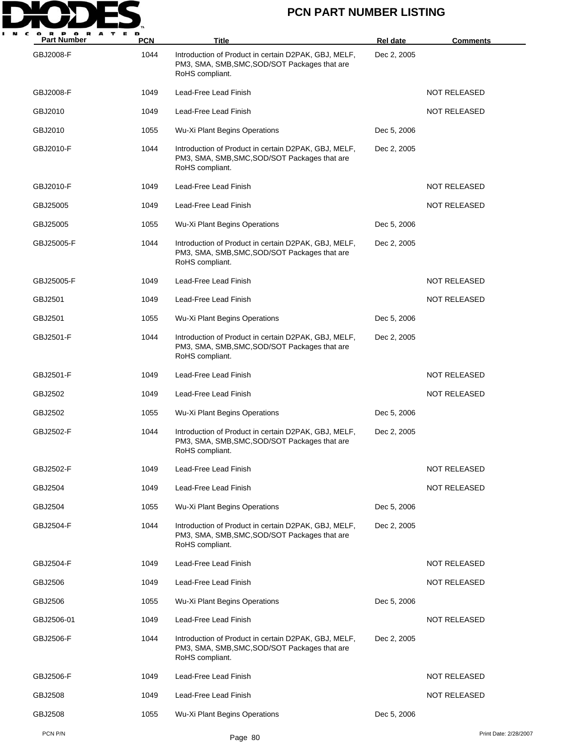

| P O<br>A<br><b>Part Number</b> | <b>PCN</b> | Title                                                                                                                    | <b>Rel date</b> | <b>Comments</b>       |
|--------------------------------|------------|--------------------------------------------------------------------------------------------------------------------------|-----------------|-----------------------|
| GBJ2008-F                      | 1044       | Introduction of Product in certain D2PAK, GBJ, MELF,<br>PM3, SMA, SMB, SMC, SOD/SOT Packages that are<br>RoHS compliant. | Dec 2, 2005     |                       |
| GBJ2008-F                      | 1049       | Lead-Free Lead Finish                                                                                                    |                 | <b>NOT RELEASED</b>   |
| GBJ2010                        | 1049       | Lead-Free Lead Finish                                                                                                    |                 | NOT RELEASED          |
| GBJ2010                        | 1055       | Wu-Xi Plant Begins Operations                                                                                            | Dec 5, 2006     |                       |
| GBJ2010-F                      | 1044       | Introduction of Product in certain D2PAK, GBJ, MELF,<br>PM3, SMA, SMB, SMC, SOD/SOT Packages that are<br>RoHS compliant. | Dec 2, 2005     |                       |
| GBJ2010-F                      | 1049       | Lead-Free Lead Finish                                                                                                    |                 | NOT RELEASED          |
| GBJ25005                       | 1049       | Lead-Free Lead Finish                                                                                                    |                 | <b>NOT RELEASED</b>   |
| GBJ25005                       | 1055       | Wu-Xi Plant Begins Operations                                                                                            | Dec 5, 2006     |                       |
| GBJ25005-F                     | 1044       | Introduction of Product in certain D2PAK, GBJ, MELF,<br>PM3, SMA, SMB, SMC, SOD/SOT Packages that are<br>RoHS compliant. | Dec 2, 2005     |                       |
| GBJ25005-F                     | 1049       | Lead-Free Lead Finish                                                                                                    |                 | <b>NOT RELEASED</b>   |
| GBJ2501                        | 1049       | Lead-Free Lead Finish                                                                                                    |                 | NOT RELEASED          |
| GBJ2501                        | 1055       | Wu-Xi Plant Begins Operations                                                                                            | Dec 5, 2006     |                       |
| GBJ2501-F                      | 1044       | Introduction of Product in certain D2PAK, GBJ, MELF,<br>PM3, SMA, SMB, SMC, SOD/SOT Packages that are<br>RoHS compliant. | Dec 2, 2005     |                       |
| GBJ2501-F                      | 1049       | Lead-Free Lead Finish                                                                                                    |                 | NOT RELEASED          |
| GBJ2502                        | 1049       | Lead-Free Lead Finish                                                                                                    |                 | NOT RELEASED          |
| GBJ2502                        | 1055       | Wu-Xi Plant Begins Operations                                                                                            | Dec 5, 2006     |                       |
| GBJ2502-F                      | 1044       | Introduction of Product in certain D2PAK, GBJ, MELF,<br>PM3, SMA, SMB, SMC, SOD/SOT Packages that are<br>RoHS compliant. | Dec 2, 2005     |                       |
| GBJ2502-F                      | 1049       | Lead-Free Lead Finish                                                                                                    |                 | NOT RELEASED          |
| GBJ2504                        | 1049       | Lead-Free Lead Finish                                                                                                    |                 | <b>NOT RELEASED</b>   |
| GBJ2504                        | 1055       | Wu-Xi Plant Begins Operations                                                                                            | Dec 5, 2006     |                       |
| GBJ2504-F                      | 1044       | Introduction of Product in certain D2PAK, GBJ, MELF,<br>PM3, SMA, SMB, SMC, SOD/SOT Packages that are<br>RoHS compliant. | Dec 2, 2005     |                       |
| GBJ2504-F                      | 1049       | Lead-Free Lead Finish                                                                                                    |                 | <b>NOT RELEASED</b>   |
| GBJ2506                        | 1049       | Lead-Free Lead Finish                                                                                                    |                 | <b>NOT RELEASED</b>   |
| GBJ2506                        | 1055       | Wu-Xi Plant Begins Operations                                                                                            | Dec 5, 2006     |                       |
| GBJ2506-01                     | 1049       | Lead-Free Lead Finish                                                                                                    |                 | NOT RELEASED          |
| GBJ2506-F                      | 1044       | Introduction of Product in certain D2PAK, GBJ, MELF,<br>PM3, SMA, SMB, SMC, SOD/SOT Packages that are<br>RoHS compliant. | Dec 2, 2005     |                       |
| GBJ2506-F                      | 1049       | Lead-Free Lead Finish                                                                                                    |                 | NOT RELEASED          |
| GBJ2508                        | 1049       | Lead-Free Lead Finish                                                                                                    |                 | <b>NOT RELEASED</b>   |
| GBJ2508                        | 1055       | Wu-Xi Plant Begins Operations                                                                                            | Dec 5, 2006     |                       |
| PCN P/N                        |            | Page 80                                                                                                                  |                 | Print Date: 2/28/2007 |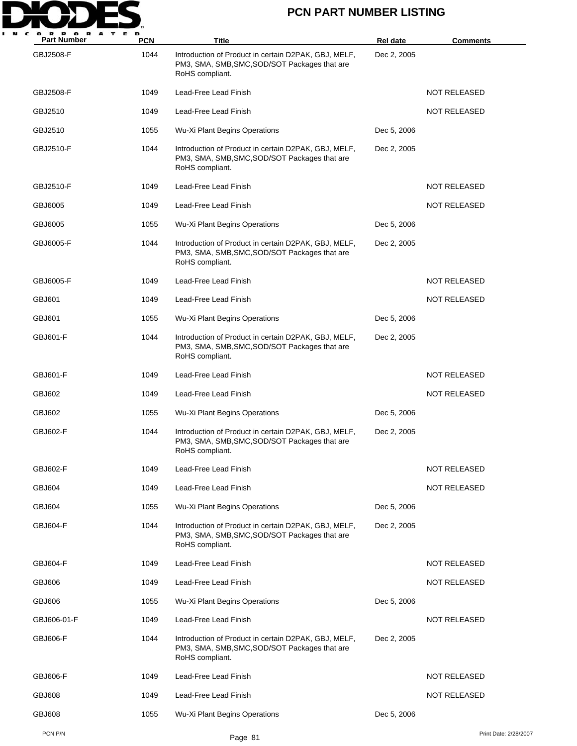

| A<br><b>Part Number</b> | <b>PCN</b> | Title                                                                                                                    | <b>Rel date</b> | <b>Comments</b>       |
|-------------------------|------------|--------------------------------------------------------------------------------------------------------------------------|-----------------|-----------------------|
| GBJ2508-F               | 1044       | Introduction of Product in certain D2PAK, GBJ, MELF,<br>PM3, SMA, SMB, SMC, SOD/SOT Packages that are<br>RoHS compliant. | Dec 2, 2005     |                       |
| GBJ2508-F               | 1049       | Lead-Free Lead Finish                                                                                                    |                 | <b>NOT RELEASED</b>   |
| GBJ2510                 | 1049       | Lead-Free Lead Finish                                                                                                    |                 | NOT RELEASED          |
| GBJ2510                 | 1055       | Wu-Xi Plant Begins Operations                                                                                            | Dec 5, 2006     |                       |
| GBJ2510-F               | 1044       | Introduction of Product in certain D2PAK, GBJ, MELF,<br>PM3, SMA, SMB, SMC, SOD/SOT Packages that are<br>RoHS compliant. | Dec 2, 2005     |                       |
| GBJ2510-F               | 1049       | Lead-Free Lead Finish                                                                                                    |                 | NOT RELEASED          |
| GBJ6005                 | 1049       | Lead-Free Lead Finish                                                                                                    |                 | <b>NOT RELEASED</b>   |
| GBJ6005                 | 1055       | Wu-Xi Plant Begins Operations                                                                                            | Dec 5, 2006     |                       |
| GBJ6005-F               | 1044       | Introduction of Product in certain D2PAK, GBJ, MELF,<br>PM3, SMA, SMB, SMC, SOD/SOT Packages that are<br>RoHS compliant. | Dec 2, 2005     |                       |
| GBJ6005-F               | 1049       | Lead-Free Lead Finish                                                                                                    |                 | <b>NOT RELEASED</b>   |
| GBJ601                  | 1049       | Lead-Free Lead Finish                                                                                                    |                 | <b>NOT RELEASED</b>   |
| GBJ601                  | 1055       | Wu-Xi Plant Begins Operations                                                                                            | Dec 5, 2006     |                       |
| GBJ601-F                | 1044       | Introduction of Product in certain D2PAK, GBJ, MELF,<br>PM3, SMA, SMB, SMC, SOD/SOT Packages that are<br>RoHS compliant. | Dec 2, 2005     |                       |
| GBJ601-F                | 1049       | Lead-Free Lead Finish                                                                                                    |                 | <b>NOT RELEASED</b>   |
| GBJ602                  | 1049       | Lead-Free Lead Finish                                                                                                    |                 | NOT RELEASED          |
| GBJ602                  | 1055       | Wu-Xi Plant Begins Operations                                                                                            | Dec 5, 2006     |                       |
| <b>GBJ602-F</b>         | 1044       | Introduction of Product in certain D2PAK, GBJ, MELF,<br>PM3, SMA, SMB, SMC, SOD/SOT Packages that are<br>RoHS compliant. | Dec 2, 2005     |                       |
| GBJ602-F                | 1049       | Lead-Free Lead Finish                                                                                                    |                 | <b>NOT RELEASED</b>   |
| <b>GBJ604</b>           | 1049       | Lead-Free Lead Finish                                                                                                    |                 | <b>NOT RELEASED</b>   |
| GBJ604                  | 1055       | Wu-Xi Plant Begins Operations                                                                                            | Dec 5, 2006     |                       |
| GBJ604-F                | 1044       | Introduction of Product in certain D2PAK, GBJ, MELF,<br>PM3, SMA, SMB, SMC, SOD/SOT Packages that are<br>RoHS compliant. | Dec 2, 2005     |                       |
| GBJ604-F                | 1049       | Lead-Free Lead Finish                                                                                                    |                 | <b>NOT RELEASED</b>   |
| <b>GBJ606</b>           | 1049       | Lead-Free Lead Finish                                                                                                    |                 | <b>NOT RELEASED</b>   |
| <b>GBJ606</b>           | 1055       | Wu-Xi Plant Begins Operations                                                                                            | Dec 5, 2006     |                       |
| GBJ606-01-F             | 1049       | Lead-Free Lead Finish                                                                                                    |                 | <b>NOT RELEASED</b>   |
| <b>GBJ606-F</b>         | 1044       | Introduction of Product in certain D2PAK, GBJ, MELF,<br>PM3, SMA, SMB, SMC, SOD/SOT Packages that are<br>RoHS compliant. | Dec 2, 2005     |                       |
| GBJ606-F                | 1049       | Lead-Free Lead Finish                                                                                                    |                 | NOT RELEASED          |
| <b>GBJ608</b>           | 1049       | Lead-Free Lead Finish                                                                                                    |                 | <b>NOT RELEASED</b>   |
| <b>GBJ608</b>           | 1055       | Wu-Xi Plant Begins Operations                                                                                            | Dec 5, 2006     |                       |
| PCN P/N                 |            | Page 81                                                                                                                  |                 | Print Date: 2/28/2007 |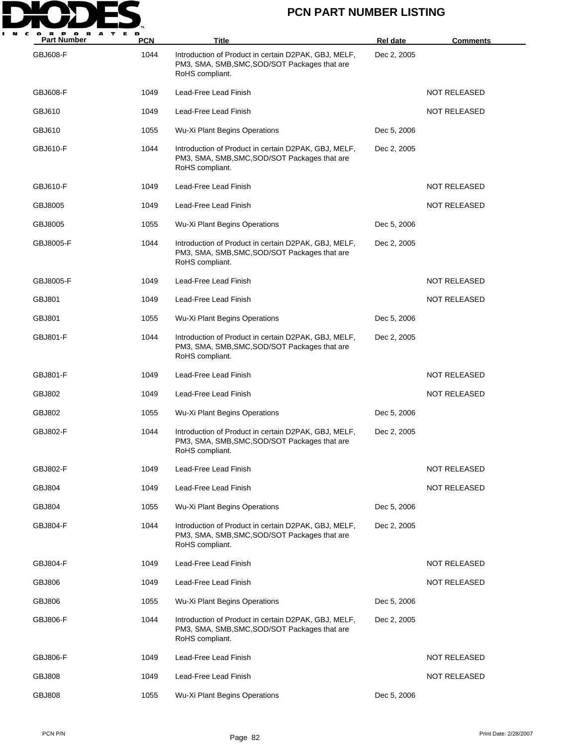

| <b>Part Number</b> | <b>PCN</b> | Title                                                                                                                    | <b>Rel date</b> | <b>Comments</b>     |
|--------------------|------------|--------------------------------------------------------------------------------------------------------------------------|-----------------|---------------------|
| GBJ608-F           | 1044       | Introduction of Product in certain D2PAK, GBJ, MELF,<br>PM3, SMA, SMB, SMC, SOD/SOT Packages that are<br>RoHS compliant. | Dec 2, 2005     |                     |
| <b>GBJ608-F</b>    | 1049       | Lead-Free Lead Finish                                                                                                    |                 | <b>NOT RELEASED</b> |
| GBJ610             | 1049       | Lead-Free Lead Finish                                                                                                    |                 | NOT RELEASED        |
| GBJ610             | 1055       | Wu-Xi Plant Begins Operations                                                                                            | Dec 5, 2006     |                     |
| GBJ610-F           | 1044       | Introduction of Product in certain D2PAK, GBJ, MELF,<br>PM3, SMA, SMB, SMC, SOD/SOT Packages that are<br>RoHS compliant. | Dec 2, 2005     |                     |
| GBJ610-F           | 1049       | Lead-Free Lead Finish                                                                                                    |                 | NOT RELEASED        |
| GBJ8005            | 1049       | Lead-Free Lead Finish                                                                                                    |                 | NOT RELEASED        |
| GBJ8005            | 1055       | Wu-Xi Plant Begins Operations                                                                                            | Dec 5, 2006     |                     |
| GBJ8005-F          | 1044       | Introduction of Product in certain D2PAK, GBJ, MELF,<br>PM3, SMA, SMB, SMC, SOD/SOT Packages that are<br>RoHS compliant. | Dec 2, 2005     |                     |
| GBJ8005-F          | 1049       | Lead-Free Lead Finish                                                                                                    |                 | <b>NOT RELEASED</b> |
| GBJ801             | 1049       | Lead-Free Lead Finish                                                                                                    |                 | NOT RELEASED        |
| GBJ801             | 1055       | Wu-Xi Plant Begins Operations                                                                                            | Dec 5, 2006     |                     |
| GBJ801-F           | 1044       | Introduction of Product in certain D2PAK, GBJ, MELF,<br>PM3, SMA, SMB, SMC, SOD/SOT Packages that are<br>RoHS compliant. | Dec 2, 2005     |                     |
| <b>GBJ801-F</b>    | 1049       | Lead-Free Lead Finish                                                                                                    |                 | NOT RELEASED        |
| GBJ802             | 1049       | Lead-Free Lead Finish                                                                                                    |                 | NOT RELEASED        |
| GBJ802             | 1055       | <b>Wu-Xi Plant Begins Operations</b>                                                                                     | Dec 5, 2006     |                     |
| GBJ802-F           | 1044       | Introduction of Product in certain D2PAK, GBJ, MELF,<br>PM3, SMA, SMB, SMC, SOD/SOT Packages that are<br>RoHS compliant. | Dec 2, 2005     |                     |
| GBJ802-F           | 1049       | Lead-Free Lead Finish                                                                                                    |                 | NOT RELEASED        |
| <b>GBJ804</b>      | 1049       | Lead-Free Lead Finish                                                                                                    |                 | NOT RELEASED        |
| <b>GBJ804</b>      | 1055       | Wu-Xi Plant Begins Operations                                                                                            | Dec 5, 2006     |                     |
| <b>GBJ804-F</b>    | 1044       | Introduction of Product in certain D2PAK, GBJ, MELF,<br>PM3, SMA, SMB, SMC, SOD/SOT Packages that are<br>RoHS compliant. | Dec 2, 2005     |                     |
| GBJ804-F           | 1049       | Lead-Free Lead Finish                                                                                                    |                 | <b>NOT RELEASED</b> |
| GBJ806             | 1049       | Lead-Free Lead Finish                                                                                                    |                 | NOT RELEASED        |
| GBJ806             | 1055       | Wu-Xi Plant Begins Operations                                                                                            | Dec 5, 2006     |                     |
| <b>GBJ806-F</b>    | 1044       | Introduction of Product in certain D2PAK, GBJ, MELF,<br>PM3, SMA, SMB, SMC, SOD/SOT Packages that are<br>RoHS compliant. | Dec 2, 2005     |                     |
| GBJ806-F           | 1049       | Lead-Free Lead Finish                                                                                                    |                 | NOT RELEASED        |
| <b>GBJ808</b>      | 1049       | Lead-Free Lead Finish                                                                                                    |                 | NOT RELEASED        |
| <b>GBJ808</b>      | 1055       | Wu-Xi Plant Begins Operations                                                                                            | Dec 5, 2006     |                     |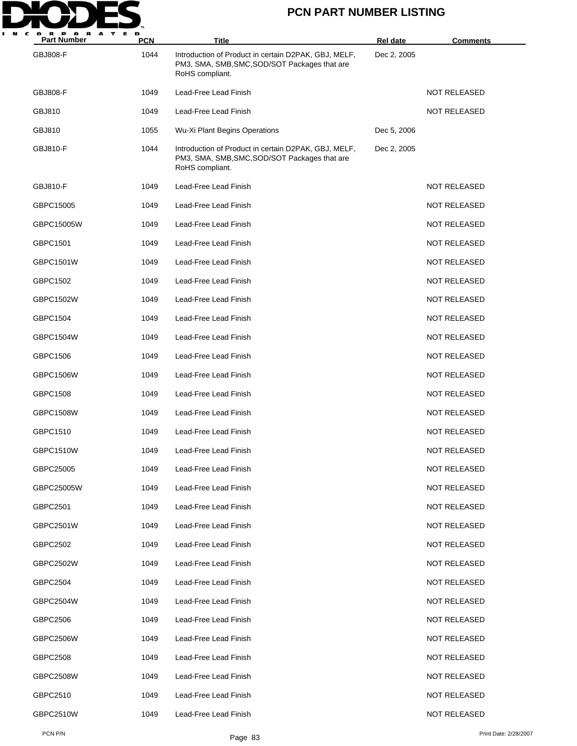

| <b>Part Number</b> | <b>PCN</b> | Title                                                                                                                    | <b>Rel date</b> | <b>Comments</b>     |
|--------------------|------------|--------------------------------------------------------------------------------------------------------------------------|-----------------|---------------------|
| <b>GBJ808-F</b>    | 1044       | Introduction of Product in certain D2PAK, GBJ, MELF,<br>PM3, SMA, SMB, SMC, SOD/SOT Packages that are<br>RoHS compliant. | Dec 2, 2005     |                     |
| GBJ808-F           | 1049       | Lead-Free Lead Finish                                                                                                    |                 | <b>NOT RELEASED</b> |
| GBJ810             | 1049       | Lead-Free Lead Finish                                                                                                    |                 | <b>NOT RELEASED</b> |
| GBJ810             | 1055       | Wu-Xi Plant Begins Operations                                                                                            | Dec 5, 2006     |                     |
| <b>GBJ810-F</b>    | 1044       | Introduction of Product in certain D2PAK, GBJ, MELF,<br>PM3, SMA, SMB, SMC, SOD/SOT Packages that are<br>RoHS compliant. | Dec 2, 2005     |                     |
| <b>GBJ810-F</b>    | 1049       | Lead-Free Lead Finish                                                                                                    |                 | <b>NOT RELEASED</b> |
| GBPC15005          | 1049       | Lead-Free Lead Finish                                                                                                    |                 | <b>NOT RELEASED</b> |
| GBPC15005W         | 1049       | Lead-Free Lead Finish                                                                                                    |                 | <b>NOT RELEASED</b> |
| GBPC1501           | 1049       | Lead-Free Lead Finish                                                                                                    |                 | <b>NOT RELEASED</b> |
| GBPC1501W          | 1049       | Lead-Free Lead Finish                                                                                                    |                 | <b>NOT RELEASED</b> |
| GBPC1502           | 1049       | Lead-Free Lead Finish                                                                                                    |                 | <b>NOT RELEASED</b> |
| GBPC1502W          | 1049       | Lead-Free Lead Finish                                                                                                    |                 | <b>NOT RELEASED</b> |
| GBPC1504           | 1049       | Lead-Free Lead Finish                                                                                                    |                 | <b>NOT RELEASED</b> |
| GBPC1504W          | 1049       | Lead-Free Lead Finish                                                                                                    |                 | <b>NOT RELEASED</b> |
| GBPC1506           | 1049       | Lead-Free Lead Finish                                                                                                    |                 | NOT RELEASED        |
| GBPC1506W          | 1049       | Lead-Free Lead Finish                                                                                                    |                 | <b>NOT RELEASED</b> |
| GBPC1508           | 1049       | Lead-Free Lead Finish                                                                                                    |                 | <b>NOT RELEASED</b> |
| <b>GBPC1508W</b>   | 1049       | Lead-Free Lead Finish                                                                                                    |                 | NOT RELEASED        |
| GBPC1510           | 1049       | Lead-Free Lead Finish                                                                                                    |                 | <b>NOT RELEASED</b> |
| GBPC1510W          | 1049       | Lead-Free Lead Finish                                                                                                    |                 | <b>NOT RELEASED</b> |
| GBPC25005          | 1049       | Lead-Free Lead Finish                                                                                                    |                 | <b>NOT RELEASED</b> |
| GBPC25005W         | 1049       | Lead-Free Lead Finish                                                                                                    |                 | <b>NOT RELEASED</b> |
| GBPC2501           | 1049       | Lead-Free Lead Finish                                                                                                    |                 | <b>NOT RELEASED</b> |
| GBPC2501W          | 1049       | Lead-Free Lead Finish                                                                                                    |                 | NOT RELEASED        |
| GBPC2502           | 1049       | Lead-Free Lead Finish                                                                                                    |                 | <b>NOT RELEASED</b> |
| GBPC2502W          | 1049       | Lead-Free Lead Finish                                                                                                    |                 | NOT RELEASED        |
| GBPC2504           | 1049       | Lead-Free Lead Finish                                                                                                    |                 | <b>NOT RELEASED</b> |
| GBPC2504W          | 1049       | Lead-Free Lead Finish                                                                                                    |                 | <b>NOT RELEASED</b> |
| GBPC2506           | 1049       | Lead-Free Lead Finish                                                                                                    |                 | NOT RELEASED        |
| GBPC2506W          | 1049       | Lead-Free Lead Finish                                                                                                    |                 | NOT RELEASED        |
| GBPC2508           | 1049       | Lead-Free Lead Finish                                                                                                    |                 | <b>NOT RELEASED</b> |
| GBPC2508W          | 1049       | Lead-Free Lead Finish                                                                                                    |                 | NOT RELEASED        |
| GBPC2510           | 1049       | Lead-Free Lead Finish                                                                                                    |                 | NOT RELEASED        |
| <b>GBPC2510W</b>   | 1049       | Lead-Free Lead Finish                                                                                                    |                 | <b>NOT RELEASED</b> |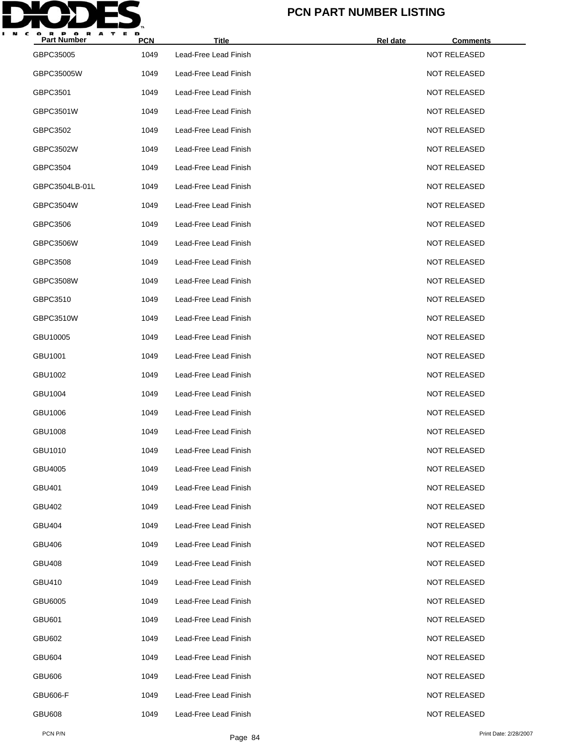

| <b>Part Number</b> | <b>PCN</b> | <b>Title</b>          | Rel date<br><b>Comments</b> |  |
|--------------------|------------|-----------------------|-----------------------------|--|
| GBPC35005          | 1049       | Lead-Free Lead Finish | <b>NOT RELEASED</b>         |  |
| GBPC35005W         | 1049       | Lead-Free Lead Finish | <b>NOT RELEASED</b>         |  |
| GBPC3501           | 1049       | Lead-Free Lead Finish | <b>NOT RELEASED</b>         |  |
| GBPC3501W          | 1049       | Lead-Free Lead Finish | <b>NOT RELEASED</b>         |  |
| GBPC3502           | 1049       | Lead-Free Lead Finish | <b>NOT RELEASED</b>         |  |
| GBPC3502W          | 1049       | Lead-Free Lead Finish | <b>NOT RELEASED</b>         |  |
| GBPC3504           | 1049       | Lead-Free Lead Finish | <b>NOT RELEASED</b>         |  |
| GBPC3504LB-01L     | 1049       | Lead-Free Lead Finish | <b>NOT RELEASED</b>         |  |
| GBPC3504W          | 1049       | Lead-Free Lead Finish | <b>NOT RELEASED</b>         |  |
| GBPC3506           | 1049       | Lead-Free Lead Finish | <b>NOT RELEASED</b>         |  |
| GBPC3506W          | 1049       | Lead-Free Lead Finish | <b>NOT RELEASED</b>         |  |
| GBPC3508           | 1049       | Lead-Free Lead Finish | <b>NOT RELEASED</b>         |  |
| GBPC3508W          | 1049       | Lead-Free Lead Finish | <b>NOT RELEASED</b>         |  |
| GBPC3510           | 1049       | Lead-Free Lead Finish | <b>NOT RELEASED</b>         |  |
| GBPC3510W          | 1049       | Lead-Free Lead Finish | <b>NOT RELEASED</b>         |  |
| GBU10005           | 1049       | Lead-Free Lead Finish | <b>NOT RELEASED</b>         |  |
| GBU1001            | 1049       | Lead-Free Lead Finish | <b>NOT RELEASED</b>         |  |
| GBU1002            | 1049       | Lead-Free Lead Finish | <b>NOT RELEASED</b>         |  |
| GBU1004            | 1049       | Lead-Free Lead Finish | <b>NOT RELEASED</b>         |  |
| GBU1006            | 1049       | Lead-Free Lead Finish | <b>NOT RELEASED</b>         |  |
| GBU1008            | 1049       | Lead-Free Lead Finish | <b>NOT RELEASED</b>         |  |
| GBU1010            | 1049       | Lead-Free Lead Finish | <b>NOT RELEASED</b>         |  |
| GBU4005            | 1049       | Lead-Free Lead Finish | <b>NOT RELEASED</b>         |  |
| GBU401             | 1049       | Lead-Free Lead Finish | <b>NOT RELEASED</b>         |  |
| GBU402             | 1049       | Lead-Free Lead Finish | <b>NOT RELEASED</b>         |  |
| GBU404             | 1049       | Lead-Free Lead Finish | <b>NOT RELEASED</b>         |  |
| GBU406             | 1049       | Lead-Free Lead Finish | <b>NOT RELEASED</b>         |  |
| <b>GBU408</b>      | 1049       | Lead-Free Lead Finish | <b>NOT RELEASED</b>         |  |
| GBU410             | 1049       | Lead-Free Lead Finish | <b>NOT RELEASED</b>         |  |
| GBU6005            | 1049       | Lead-Free Lead Finish | <b>NOT RELEASED</b>         |  |
| <b>GBU601</b>      | 1049       | Lead-Free Lead Finish | <b>NOT RELEASED</b>         |  |
| <b>GBU602</b>      | 1049       | Lead-Free Lead Finish | <b>NOT RELEASED</b>         |  |
| <b>GBU604</b>      | 1049       | Lead-Free Lead Finish | <b>NOT RELEASED</b>         |  |
| <b>GBU606</b>      | 1049       | Lead-Free Lead Finish | <b>NOT RELEASED</b>         |  |
| <b>GBU606-F</b>    | 1049       | Lead-Free Lead Finish | <b>NOT RELEASED</b>         |  |
| <b>GBU608</b>      | 1049       | Lead-Free Lead Finish | <b>NOT RELEASED</b>         |  |
|                    |            |                       |                             |  |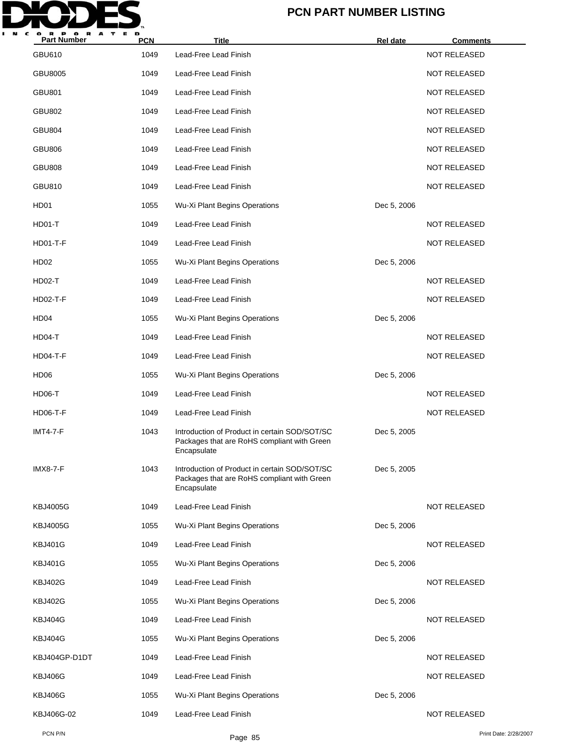

| <b>Part Number</b> | <b>PCN</b> | <b>Title</b>                                                                                                | Rel date    | <u>Comments</u>       |
|--------------------|------------|-------------------------------------------------------------------------------------------------------------|-------------|-----------------------|
| <b>GBU610</b>      | 1049       | Lead-Free Lead Finish                                                                                       |             | <b>NOT RELEASED</b>   |
| <b>GBU8005</b>     | 1049       | Lead-Free Lead Finish                                                                                       |             | <b>NOT RELEASED</b>   |
| <b>GBU801</b>      | 1049       | Lead-Free Lead Finish                                                                                       |             | <b>NOT RELEASED</b>   |
| <b>GBU802</b>      | 1049       | Lead-Free Lead Finish                                                                                       |             | <b>NOT RELEASED</b>   |
| <b>GBU804</b>      | 1049       | Lead-Free Lead Finish                                                                                       |             | <b>NOT RELEASED</b>   |
| <b>GBU806</b>      | 1049       | Lead-Free Lead Finish                                                                                       |             | NOT RELEASED          |
| <b>GBU808</b>      | 1049       | Lead-Free Lead Finish                                                                                       |             | <b>NOT RELEASED</b>   |
| GBU810             | 1049       | Lead-Free Lead Finish                                                                                       |             | <b>NOT RELEASED</b>   |
| HD01               | 1055       | Wu-Xi Plant Begins Operations                                                                               | Dec 5, 2006 |                       |
| HD01-T             | 1049       | Lead-Free Lead Finish                                                                                       |             | <b>NOT RELEASED</b>   |
| <b>HD01-T-F</b>    | 1049       | Lead-Free Lead Finish                                                                                       |             | <b>NOT RELEASED</b>   |
| <b>HD02</b>        | 1055       | Wu-Xi Plant Begins Operations                                                                               | Dec 5, 2006 |                       |
| HD02-T             | 1049       | Lead-Free Lead Finish                                                                                       |             | <b>NOT RELEASED</b>   |
| $HD02-T-F$         | 1049       | Lead-Free Lead Finish                                                                                       |             | <b>NOT RELEASED</b>   |
| HD <sub>04</sub>   | 1055       | Wu-Xi Plant Begins Operations                                                                               | Dec 5, 2006 |                       |
| HD04-T             | 1049       | Lead-Free Lead Finish                                                                                       |             | NOT RELEASED          |
| HD04-T-F           | 1049       | Lead-Free Lead Finish                                                                                       |             | <b>NOT RELEASED</b>   |
| HD <sub>06</sub>   | 1055       | Wu-Xi Plant Begins Operations                                                                               | Dec 5, 2006 |                       |
| HD06-T             | 1049       | Lead-Free Lead Finish                                                                                       |             | <b>NOT RELEASED</b>   |
| <b>HD06-T-F</b>    | 1049       | Lead-Free Lead Finish                                                                                       |             | <b>NOT RELEASED</b>   |
| <b>IMT4-7-F</b>    | 1043       | Introduction of Product in certain SOD/SOT/SC<br>Packages that are RoHS compliant with Green<br>Encapsulate | Dec 5, 2005 |                       |
| <b>IMX8-7-F</b>    | 1043       | Introduction of Product in certain SOD/SOT/SC<br>Packages that are RoHS compliant with Green<br>Encapsulate | Dec 5, 2005 |                       |
| <b>KBJ4005G</b>    | 1049       | Lead-Free Lead Finish                                                                                       |             | <b>NOT RELEASED</b>   |
| <b>KBJ4005G</b>    | 1055       | Wu-Xi Plant Begins Operations                                                                               | Dec 5, 2006 |                       |
| <b>KBJ401G</b>     | 1049       | Lead-Free Lead Finish                                                                                       |             | <b>NOT RELEASED</b>   |
| <b>KBJ401G</b>     | 1055       | Wu-Xi Plant Begins Operations                                                                               | Dec 5, 2006 |                       |
| <b>KBJ402G</b>     | 1049       | Lead-Free Lead Finish                                                                                       |             | <b>NOT RELEASED</b>   |
| <b>KBJ402G</b>     | 1055       | Wu-Xi Plant Begins Operations                                                                               | Dec 5, 2006 |                       |
| KBJ404G            | 1049       | Lead-Free Lead Finish                                                                                       |             | <b>NOT RELEASED</b>   |
| KBJ404G            | 1055       | Wu-Xi Plant Begins Operations                                                                               | Dec 5, 2006 |                       |
| KBJ404GP-D1DT      | 1049       | Lead-Free Lead Finish                                                                                       |             | <b>NOT RELEASED</b>   |
| KBJ406G            | 1049       | Lead-Free Lead Finish                                                                                       |             | <b>NOT RELEASED</b>   |
| KBJ406G            | 1055       | Wu-Xi Plant Begins Operations                                                                               | Dec 5, 2006 |                       |
| KBJ406G-02         | 1049       | Lead-Free Lead Finish                                                                                       |             | <b>NOT RELEASED</b>   |
| PCN P/N            |            | Page 85                                                                                                     |             | Print Date: 2/28/2007 |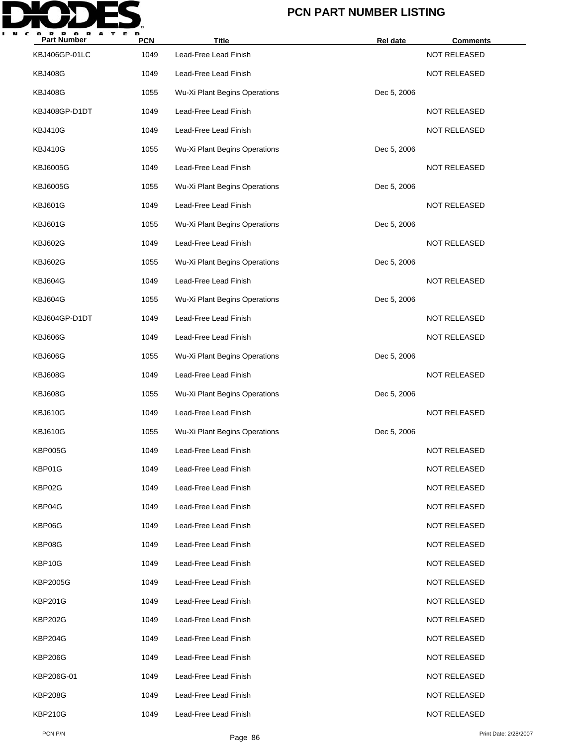

| <b>Part Number</b> | <b>PCN</b> | Title                         | Rel date    | <b>Comments</b>       |
|--------------------|------------|-------------------------------|-------------|-----------------------|
| KBJ406GP-01LC      | 1049       | Lead-Free Lead Finish         |             | NOT RELEASED          |
| <b>KBJ408G</b>     | 1049       | Lead-Free Lead Finish         |             | NOT RELEASED          |
| <b>KBJ408G</b>     | 1055       | Wu-Xi Plant Begins Operations | Dec 5, 2006 |                       |
| KBJ408GP-D1DT      | 1049       | Lead-Free Lead Finish         |             | NOT RELEASED          |
| <b>KBJ410G</b>     | 1049       | Lead-Free Lead Finish         |             | NOT RELEASED          |
| <b>KBJ410G</b>     | 1055       | Wu-Xi Plant Begins Operations | Dec 5, 2006 |                       |
| <b>KBJ6005G</b>    | 1049       | Lead-Free Lead Finish         |             | NOT RELEASED          |
| <b>KBJ6005G</b>    | 1055       | Wu-Xi Plant Begins Operations | Dec 5, 2006 |                       |
| <b>KBJ601G</b>     | 1049       | Lead-Free Lead Finish         |             | NOT RELEASED          |
| <b>KBJ601G</b>     | 1055       | Wu-Xi Plant Begins Operations | Dec 5, 2006 |                       |
| <b>KBJ602G</b>     | 1049       | Lead-Free Lead Finish         |             | NOT RELEASED          |
| <b>KBJ602G</b>     | 1055       | Wu-Xi Plant Begins Operations | Dec 5, 2006 |                       |
| KBJ604G            | 1049       | Lead-Free Lead Finish         |             | NOT RELEASED          |
| KBJ604G            | 1055       | Wu-Xi Plant Begins Operations | Dec 5, 2006 |                       |
| KBJ604GP-D1DT      | 1049       | Lead-Free Lead Finish         |             | NOT RELEASED          |
| KBJ606G            | 1049       | Lead-Free Lead Finish         |             | <b>NOT RELEASED</b>   |
| KBJ606G            | 1055       | Wu-Xi Plant Begins Operations | Dec 5, 2006 |                       |
| <b>KBJ608G</b>     | 1049       | Lead-Free Lead Finish         |             | NOT RELEASED          |
| <b>KBJ608G</b>     | 1055       | Wu-Xi Plant Begins Operations | Dec 5, 2006 |                       |
| <b>KBJ610G</b>     | 1049       | Lead-Free Lead Finish         |             | NOT RELEASED          |
| <b>KBJ610G</b>     | 1055       | Wu-Xi Plant Begins Operations | Dec 5, 2006 |                       |
| <b>KBP005G</b>     | 1049       | Lead-Free Lead Finish         |             | <b>NOT RELEASED</b>   |
| KBP01G             | 1049       | Lead-Free Lead Finish         |             | <b>NOT RELEASED</b>   |
| KBP02G             | 1049       | Lead-Free Lead Finish         |             | <b>NOT RELEASED</b>   |
| KBP04G             | 1049       | Lead-Free Lead Finish         |             | <b>NOT RELEASED</b>   |
| KBP06G             | 1049       | Lead-Free Lead Finish         |             | <b>NOT RELEASED</b>   |
| KBP08G             | 1049       | Lead-Free Lead Finish         |             | <b>NOT RELEASED</b>   |
| KBP10G             | 1049       | Lead-Free Lead Finish         |             | <b>NOT RELEASED</b>   |
| KBP2005G           | 1049       | Lead-Free Lead Finish         |             | NOT RELEASED          |
| <b>KBP201G</b>     | 1049       | Lead-Free Lead Finish         |             | <b>NOT RELEASED</b>   |
| <b>KBP202G</b>     | 1049       | Lead-Free Lead Finish         |             | <b>NOT RELEASED</b>   |
| <b>KBP204G</b>     | 1049       | Lead-Free Lead Finish         |             | NOT RELEASED          |
| <b>KBP206G</b>     | 1049       | Lead-Free Lead Finish         |             | <b>NOT RELEASED</b>   |
| KBP206G-01         | 1049       | Lead-Free Lead Finish         |             | NOT RELEASED          |
| <b>KBP208G</b>     | 1049       | Lead-Free Lead Finish         |             | NOT RELEASED          |
| <b>KBP210G</b>     | 1049       | Lead-Free Lead Finish         |             | <b>NOT RELEASED</b>   |
| PCN P/N            |            | Page 86                       |             | Print Date: 2/28/2007 |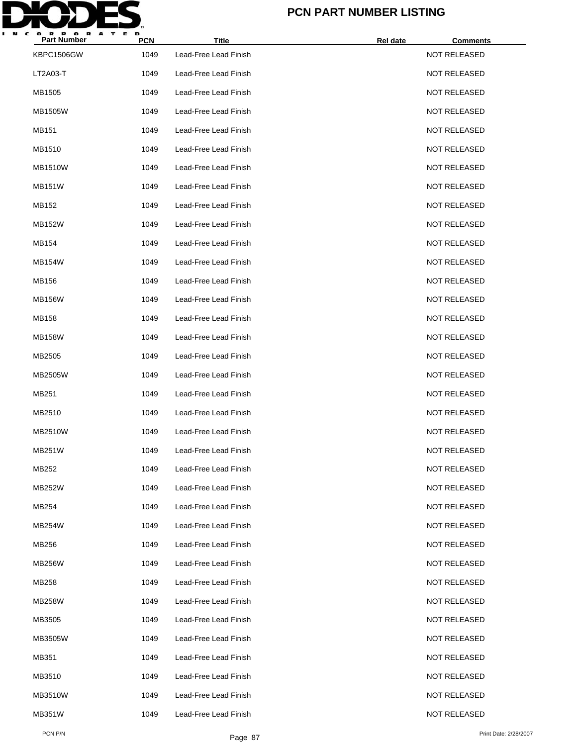

| <b>Part Number</b> | <b>PCN</b> | <b>Title</b>          | Rel date | <b>Comments</b>     |
|--------------------|------------|-----------------------|----------|---------------------|
| KBPC1506GW         | 1049       | Lead-Free Lead Finish |          | <b>NOT RELEASED</b> |
| LT2A03-T           | 1049       | Lead-Free Lead Finish |          | <b>NOT RELEASED</b> |
| MB1505             | 1049       | Lead-Free Lead Finish |          | <b>NOT RELEASED</b> |
| <b>MB1505W</b>     | 1049       | Lead-Free Lead Finish |          | <b>NOT RELEASED</b> |
| MB151              | 1049       | Lead-Free Lead Finish |          | <b>NOT RELEASED</b> |
| MB1510             | 1049       | Lead-Free Lead Finish |          | <b>NOT RELEASED</b> |
| <b>MB1510W</b>     | 1049       | Lead-Free Lead Finish |          | <b>NOT RELEASED</b> |
| <b>MB151W</b>      | 1049       | Lead-Free Lead Finish |          | <b>NOT RELEASED</b> |
| MB152              | 1049       | Lead-Free Lead Finish |          | <b>NOT RELEASED</b> |
| MB152W             | 1049       | Lead-Free Lead Finish |          | <b>NOT RELEASED</b> |
| MB154              | 1049       | Lead-Free Lead Finish |          | <b>NOT RELEASED</b> |
| <b>MB154W</b>      | 1049       | Lead-Free Lead Finish |          | <b>NOT RELEASED</b> |
| MB156              | 1049       | Lead-Free Lead Finish |          | <b>NOT RELEASED</b> |
| <b>MB156W</b>      | 1049       | Lead-Free Lead Finish |          | <b>NOT RELEASED</b> |
| MB158              | 1049       | Lead-Free Lead Finish |          | <b>NOT RELEASED</b> |
| <b>MB158W</b>      | 1049       | Lead-Free Lead Finish |          | <b>NOT RELEASED</b> |
| MB2505             | 1049       | Lead-Free Lead Finish |          | <b>NOT RELEASED</b> |
| MB2505W            | 1049       | Lead-Free Lead Finish |          | <b>NOT RELEASED</b> |
| MB251              | 1049       | Lead-Free Lead Finish |          | <b>NOT RELEASED</b> |
| MB2510             | 1049       | Lead-Free Lead Finish |          | <b>NOT RELEASED</b> |
| MB2510W            | 1049       | Lead-Free Lead Finish |          | <b>NOT RELEASED</b> |
| MB251W             | 1049       | Lead-Free Lead Finish |          | <b>NOT RELEASED</b> |
| MB252              | 1049       | Lead-Free Lead Finish |          | <b>NOT RELEASED</b> |
| <b>MB252W</b>      | 1049       | Lead-Free Lead Finish |          | <b>NOT RELEASED</b> |
| MB254              | 1049       | Lead-Free Lead Finish |          | <b>NOT RELEASED</b> |
| MB254W             | 1049       | Lead-Free Lead Finish |          | <b>NOT RELEASED</b> |
| MB256              | 1049       | Lead-Free Lead Finish |          | <b>NOT RELEASED</b> |
| MB256W             | 1049       | Lead-Free Lead Finish |          | <b>NOT RELEASED</b> |
| MB258              | 1049       | Lead-Free Lead Finish |          | <b>NOT RELEASED</b> |
| <b>MB258W</b>      | 1049       | Lead-Free Lead Finish |          | <b>NOT RELEASED</b> |
| MB3505             | 1049       | Lead-Free Lead Finish |          | <b>NOT RELEASED</b> |
| MB3505W            | 1049       | Lead-Free Lead Finish |          | <b>NOT RELEASED</b> |
| MB351              | 1049       | Lead-Free Lead Finish |          | <b>NOT RELEASED</b> |
| MB3510             | 1049       | Lead-Free Lead Finish |          | <b>NOT RELEASED</b> |
| MB3510W            | 1049       | Lead-Free Lead Finish |          | <b>NOT RELEASED</b> |
| <b>MB351W</b>      | 1049       | Lead-Free Lead Finish |          | <b>NOT RELEASED</b> |
|                    |            |                       |          |                     |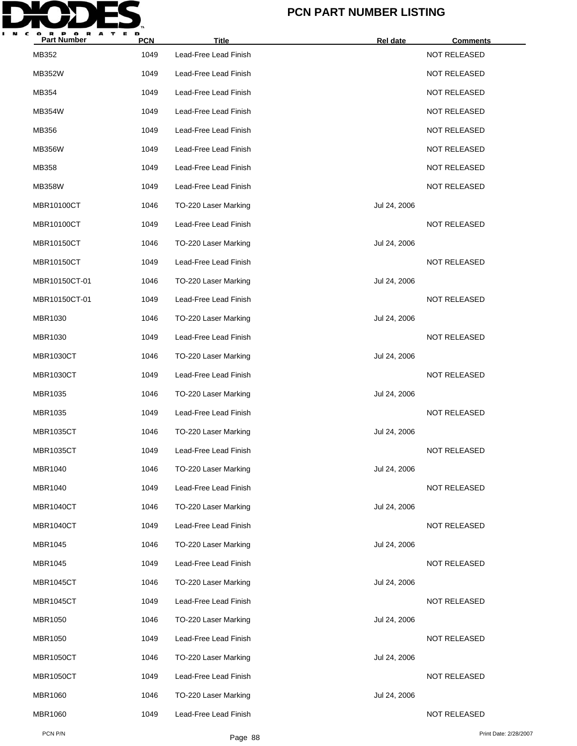

| <b>Part Number</b> | <b>PCN</b> | <b>Title</b>          | Rel date     | <b>Comments</b>     |
|--------------------|------------|-----------------------|--------------|---------------------|
| MB352              | 1049       | Lead-Free Lead Finish |              | NOT RELEASED        |
| <b>MB352W</b>      | 1049       | Lead-Free Lead Finish |              | <b>NOT RELEASED</b> |
| MB354              | 1049       | Lead-Free Lead Finish |              | <b>NOT RELEASED</b> |
| MB354W             | 1049       | Lead-Free Lead Finish |              | <b>NOT RELEASED</b> |
| MB356              | 1049       | Lead-Free Lead Finish |              | <b>NOT RELEASED</b> |
| <b>MB356W</b>      | 1049       | Lead-Free Lead Finish |              | <b>NOT RELEASED</b> |
| MB358              | 1049       | Lead-Free Lead Finish |              | <b>NOT RELEASED</b> |
| <b>MB358W</b>      | 1049       | Lead-Free Lead Finish |              | <b>NOT RELEASED</b> |
| MBR10100CT         | 1046       | TO-220 Laser Marking  | Jul 24, 2006 |                     |
| MBR10100CT         | 1049       | Lead-Free Lead Finish |              | <b>NOT RELEASED</b> |
| <b>MBR10150CT</b>  | 1046       | TO-220 Laser Marking  | Jul 24, 2006 |                     |
| <b>MBR10150CT</b>  | 1049       | Lead-Free Lead Finish |              | <b>NOT RELEASED</b> |
| MBR10150CT-01      | 1046       | TO-220 Laser Marking  | Jul 24, 2006 |                     |
| MBR10150CT-01      | 1049       | Lead-Free Lead Finish |              | <b>NOT RELEASED</b> |
| MBR1030            | 1046       | TO-220 Laser Marking  | Jul 24, 2006 |                     |
| MBR1030            | 1049       | Lead-Free Lead Finish |              | <b>NOT RELEASED</b> |
| <b>MBR1030CT</b>   | 1046       | TO-220 Laser Marking  | Jul 24, 2006 |                     |
| <b>MBR1030CT</b>   | 1049       | Lead-Free Lead Finish |              | <b>NOT RELEASED</b> |
| MBR1035            | 1046       | TO-220 Laser Marking  | Jul 24, 2006 |                     |
| MBR1035            | 1049       | Lead-Free Lead Finish |              | <b>NOT RELEASED</b> |
| <b>MBR1035CT</b>   | 1046       | TO-220 Laser Marking  | Jul 24, 2006 |                     |
| <b>MBR1035CT</b>   | 1049       | Lead-Free Lead Finish |              | <b>NOT RELEASED</b> |
| MBR1040            | 1046       | TO-220 Laser Marking  | Jul 24, 2006 |                     |
| MBR1040            | 1049       | Lead-Free Lead Finish |              | NOT RELEASED        |
| <b>MBR1040CT</b>   | 1046       | TO-220 Laser Marking  | Jul 24, 2006 |                     |
| <b>MBR1040CT</b>   | 1049       | Lead-Free Lead Finish |              | NOT RELEASED        |
| MBR1045            | 1046       | TO-220 Laser Marking  | Jul 24, 2006 |                     |
| MBR1045            | 1049       | Lead-Free Lead Finish |              | <b>NOT RELEASED</b> |
| <b>MBR1045CT</b>   | 1046       | TO-220 Laser Marking  | Jul 24, 2006 |                     |
| <b>MBR1045CT</b>   | 1049       | Lead-Free Lead Finish |              | NOT RELEASED        |
| MBR1050            | 1046       | TO-220 Laser Marking  | Jul 24, 2006 |                     |
| <b>MBR1050</b>     | 1049       | Lead-Free Lead Finish |              | NOT RELEASED        |
| <b>MBR1050CT</b>   | 1046       | TO-220 Laser Marking  | Jul 24, 2006 |                     |
| <b>MBR1050CT</b>   | 1049       | Lead-Free Lead Finish |              | NOT RELEASED        |
| MBR1060            | 1046       | TO-220 Laser Marking  | Jul 24, 2006 |                     |
| <b>MBR1060</b>     | 1049       | Lead-Free Lead Finish |              | NOT RELEASED        |
|                    |            |                       |              |                     |

PCN P/N Print Date: 2/28/2007<br>Page 88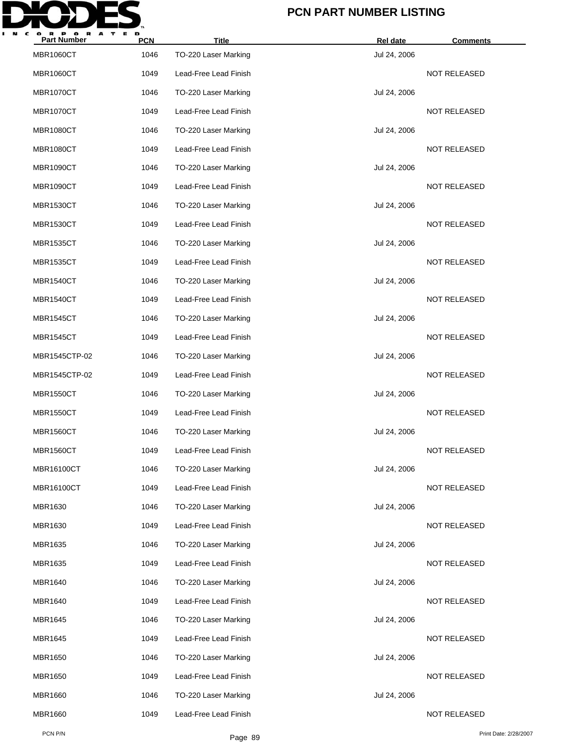

| <b>Part Number</b> | <b>PCN</b> | <b>Title</b>          | Rel date     | <b>Comments</b>     |
|--------------------|------------|-----------------------|--------------|---------------------|
| <b>MBR1060CT</b>   | 1046       | TO-220 Laser Marking  | Jul 24, 2006 |                     |
| <b>MBR1060CT</b>   | 1049       | Lead-Free Lead Finish |              | <b>NOT RELEASED</b> |
| <b>MBR1070CT</b>   | 1046       | TO-220 Laser Marking  | Jul 24, 2006 |                     |
| <b>MBR1070CT</b>   | 1049       | Lead-Free Lead Finish |              | <b>NOT RELEASED</b> |
| <b>MBR1080CT</b>   | 1046       | TO-220 Laser Marking  | Jul 24, 2006 |                     |
| <b>MBR1080CT</b>   | 1049       | Lead-Free Lead Finish |              | <b>NOT RELEASED</b> |
| <b>MBR1090CT</b>   | 1046       | TO-220 Laser Marking  | Jul 24, 2006 |                     |
| <b>MBR1090CT</b>   | 1049       | Lead-Free Lead Finish |              | <b>NOT RELEASED</b> |
| <b>MBR1530CT</b>   | 1046       | TO-220 Laser Marking  | Jul 24, 2006 |                     |
| <b>MBR1530CT</b>   | 1049       | Lead-Free Lead Finish |              | <b>NOT RELEASED</b> |
| <b>MBR1535CT</b>   | 1046       | TO-220 Laser Marking  | Jul 24, 2006 |                     |
| <b>MBR1535CT</b>   | 1049       | Lead-Free Lead Finish |              | <b>NOT RELEASED</b> |
| <b>MBR1540CT</b>   | 1046       | TO-220 Laser Marking  | Jul 24, 2006 |                     |
| <b>MBR1540CT</b>   | 1049       | Lead-Free Lead Finish |              | <b>NOT RELEASED</b> |
| <b>MBR1545CT</b>   | 1046       | TO-220 Laser Marking  | Jul 24, 2006 |                     |
| <b>MBR1545CT</b>   | 1049       | Lead-Free Lead Finish |              | <b>NOT RELEASED</b> |
| MBR1545CTP-02      | 1046       | TO-220 Laser Marking  | Jul 24, 2006 |                     |
| MBR1545CTP-02      | 1049       | Lead-Free Lead Finish |              | <b>NOT RELEASED</b> |
| <b>MBR1550CT</b>   | 1046       | TO-220 Laser Marking  | Jul 24, 2006 |                     |
| <b>MBR1550CT</b>   | 1049       | Lead-Free Lead Finish |              | <b>NOT RELEASED</b> |
| <b>MBR1560CT</b>   | 1046       | TO-220 Laser Marking  | Jul 24, 2006 |                     |
| <b>MBR1560CT</b>   | 1049       | Lead-Free Lead Finish |              | <b>NOT RELEASED</b> |
| MBR16100CT         | 1046       | TO-220 Laser Marking  | Jul 24, 2006 |                     |
| MBR16100CT         | 1049       | Lead-Free Lead Finish |              | NOT RELEASED        |
| MBR1630            | 1046       | TO-220 Laser Marking  | Jul 24, 2006 |                     |
| MBR1630            | 1049       | Lead-Free Lead Finish |              | NOT RELEASED        |
| MBR1635            | 1046       | TO-220 Laser Marking  | Jul 24, 2006 |                     |
| MBR1635            | 1049       | Lead-Free Lead Finish |              | NOT RELEASED        |
| MBR1640            | 1046       | TO-220 Laser Marking  | Jul 24, 2006 |                     |
| MBR1640            | 1049       | Lead-Free Lead Finish |              | NOT RELEASED        |
| MBR1645            | 1046       | TO-220 Laser Marking  | Jul 24, 2006 |                     |
| MBR1645            | 1049       | Lead-Free Lead Finish |              | NOT RELEASED        |
| MBR1650            | 1046       | TO-220 Laser Marking  | Jul 24, 2006 |                     |
| MBR1650            | 1049       | Lead-Free Lead Finish |              | NOT RELEASED        |
| MBR1660            | 1046       | TO-220 Laser Marking  | Jul 24, 2006 |                     |
| <b>MBR1660</b>     | 1049       | Lead-Free Lead Finish |              | <b>NOT RELEASED</b> |
|                    |            |                       |              |                     |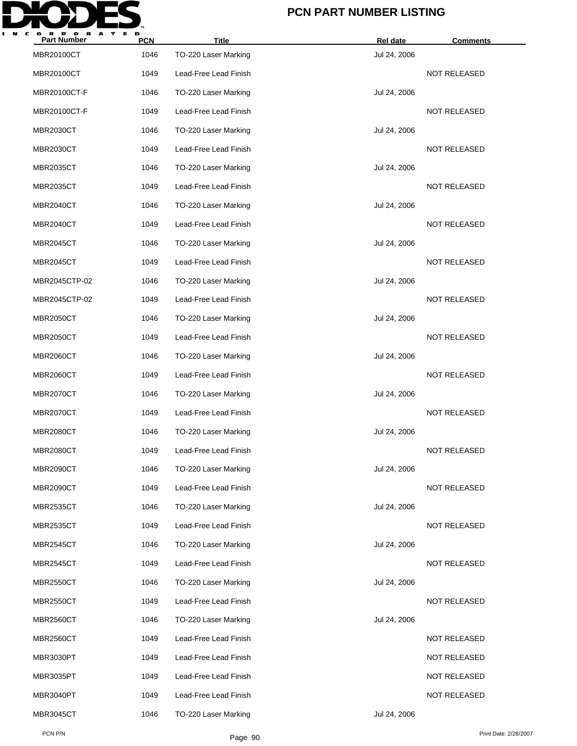

| <b>Part Number</b> | <b>PCN</b> | <b>Title</b>          | <b>Rel date</b> | <b>Comments</b>     |
|--------------------|------------|-----------------------|-----------------|---------------------|
| MBR20100CT         | 1046       | TO-220 Laser Marking  | Jul 24, 2006    |                     |
| MBR20100CT         | 1049       | Lead-Free Lead Finish |                 | <b>NOT RELEASED</b> |
| MBR20100CT-F       | 1046       | TO-220 Laser Marking  | Jul 24, 2006    |                     |
| MBR20100CT-F       | 1049       | Lead-Free Lead Finish |                 | <b>NOT RELEASED</b> |
| <b>MBR2030CT</b>   | 1046       | TO-220 Laser Marking  | Jul 24, 2006    |                     |
| <b>MBR2030CT</b>   | 1049       | Lead-Free Lead Finish |                 | <b>NOT RELEASED</b> |
| <b>MBR2035CT</b>   | 1046       | TO-220 Laser Marking  | Jul 24, 2006    |                     |
| <b>MBR2035CT</b>   | 1049       | Lead-Free Lead Finish |                 | <b>NOT RELEASED</b> |
| <b>MBR2040CT</b>   | 1046       | TO-220 Laser Marking  | Jul 24, 2006    |                     |
| <b>MBR2040CT</b>   | 1049       | Lead-Free Lead Finish |                 | <b>NOT RELEASED</b> |
| <b>MBR2045CT</b>   | 1046       | TO-220 Laser Marking  | Jul 24, 2006    |                     |
| <b>MBR2045CT</b>   | 1049       | Lead-Free Lead Finish |                 | <b>NOT RELEASED</b> |
| MBR2045CTP-02      | 1046       | TO-220 Laser Marking  | Jul 24, 2006    |                     |
| MBR2045CTP-02      | 1049       | Lead-Free Lead Finish |                 | <b>NOT RELEASED</b> |
| <b>MBR2050CT</b>   | 1046       | TO-220 Laser Marking  | Jul 24, 2006    |                     |
| <b>MBR2050CT</b>   | 1049       | Lead-Free Lead Finish |                 | <b>NOT RELEASED</b> |
| <b>MBR2060CT</b>   | 1046       | TO-220 Laser Marking  | Jul 24, 2006    |                     |
| <b>MBR2060CT</b>   | 1049       | Lead-Free Lead Finish |                 | NOT RELEASED        |
| <b>MBR2070CT</b>   | 1046       | TO-220 Laser Marking  | Jul 24, 2006    |                     |
| <b>MBR2070CT</b>   | 1049       | Lead-Free Lead Finish |                 | <b>NOT RELEASED</b> |
| <b>MBR2080CT</b>   | 1046       | TO-220 Laser Marking  | Jul 24, 2006    |                     |
| <b>MBR2080CT</b>   | 1049       | Lead-Free Lead Finish |                 | <b>NOT RELEASED</b> |
| <b>MBR2090CT</b>   | 1046       | TO-220 Laser Marking  | Jul 24, 2006    |                     |
| <b>MBR2090CT</b>   | 1049       | Lead-Free Lead Finish |                 | NOT RELEASED        |
| <b>MBR2535CT</b>   | 1046       | TO-220 Laser Marking  | Jul 24, 2006    |                     |
| <b>MBR2535CT</b>   | 1049       | Lead-Free Lead Finish |                 | <b>NOT RELEASED</b> |
| <b>MBR2545CT</b>   | 1046       | TO-220 Laser Marking  | Jul 24, 2006    |                     |
| MBR2545CT          | 1049       | Lead-Free Lead Finish |                 | <b>NOT RELEASED</b> |
| <b>MBR2550CT</b>   | 1046       | TO-220 Laser Marking  | Jul 24, 2006    |                     |
| <b>MBR2550CT</b>   | 1049       | Lead-Free Lead Finish |                 | <b>NOT RELEASED</b> |
| <b>MBR2560CT</b>   | 1046       | TO-220 Laser Marking  | Jul 24, 2006    |                     |
| <b>MBR2560CT</b>   | 1049       | Lead-Free Lead Finish |                 | NOT RELEASED        |
| MBR3030PT          | 1049       | Lead-Free Lead Finish |                 | NOT RELEASED        |
| MBR3035PT          | 1049       | Lead-Free Lead Finish |                 | <b>NOT RELEASED</b> |
| MBR3040PT          | 1049       | Lead-Free Lead Finish |                 | NOT RELEASED        |
| <b>MBR3045CT</b>   | 1046       | TO-220 Laser Marking  | Jul 24, 2006    |                     |
|                    |            |                       |                 |                     |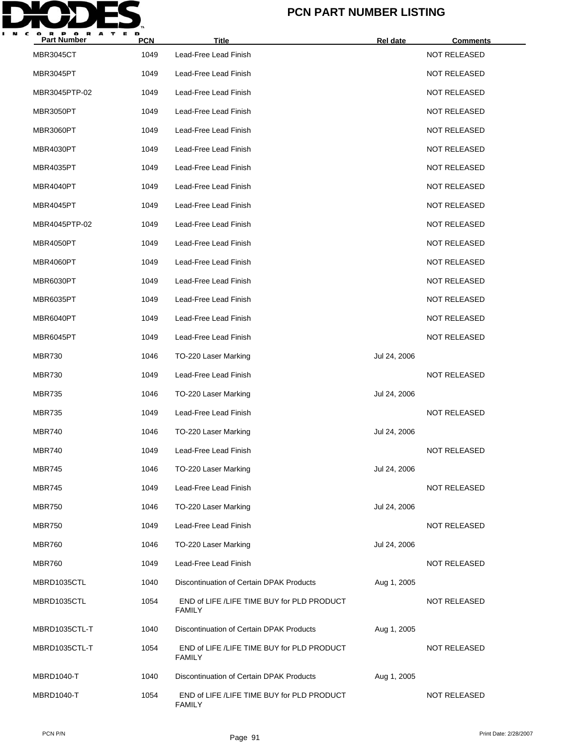

| <b>Part Number</b> | <b>PCN</b> | <b>Title</b>                                                | Rel date     | <b>Comments</b>     |
|--------------------|------------|-------------------------------------------------------------|--------------|---------------------|
| <b>MBR3045CT</b>   | 1049       | Lead-Free Lead Finish                                       |              | NOT RELEASED        |
| MBR3045PT          | 1049       | Lead-Free Lead Finish                                       |              | <b>NOT RELEASED</b> |
| MBR3045PTP-02      | 1049       | Lead-Free Lead Finish                                       |              | <b>NOT RELEASED</b> |
| MBR3050PT          | 1049       | Lead-Free Lead Finish                                       |              | <b>NOT RELEASED</b> |
| MBR3060PT          | 1049       | Lead-Free Lead Finish                                       |              | <b>NOT RELEASED</b> |
| MBR4030PT          | 1049       | Lead-Free Lead Finish                                       |              | <b>NOT RELEASED</b> |
| <b>MBR4035PT</b>   | 1049       | Lead-Free Lead Finish                                       |              | <b>NOT RELEASED</b> |
| MBR4040PT          | 1049       | Lead-Free Lead Finish                                       |              | <b>NOT RELEASED</b> |
| MBR4045PT          | 1049       | Lead-Free Lead Finish                                       |              | <b>NOT RELEASED</b> |
| MBR4045PTP-02      | 1049       | Lead-Free Lead Finish                                       |              | <b>NOT RELEASED</b> |
| MBR4050PT          | 1049       | Lead-Free Lead Finish                                       |              | <b>NOT RELEASED</b> |
| MBR4060PT          | 1049       | Lead-Free Lead Finish                                       |              | <b>NOT RELEASED</b> |
| MBR6030PT          | 1049       | Lead-Free Lead Finish                                       |              | <b>NOT RELEASED</b> |
| MBR6035PT          | 1049       | Lead-Free Lead Finish                                       |              | <b>NOT RELEASED</b> |
| MBR6040PT          | 1049       | Lead-Free Lead Finish                                       |              | <b>NOT RELEASED</b> |
| MBR6045PT          | 1049       | Lead-Free Lead Finish                                       |              | <b>NOT RELEASED</b> |
| <b>MBR730</b>      | 1046       | TO-220 Laser Marking                                        | Jul 24, 2006 |                     |
| <b>MBR730</b>      | 1049       | Lead-Free Lead Finish                                       |              | <b>NOT RELEASED</b> |
| <b>MBR735</b>      | 1046       | TO-220 Laser Marking                                        | Jul 24, 2006 |                     |
| <b>MBR735</b>      | 1049       | Lead-Free Lead Finish                                       |              | <b>NOT RELEASED</b> |
| <b>MBR740</b>      | 1046       | TO-220 Laser Marking                                        | Jul 24, 2006 |                     |
| <b>MBR740</b>      | 1049       | Lead-Free Lead Finish                                       |              | <b>NOT RELEASED</b> |
| <b>MBR745</b>      | 1046       | TO-220 Laser Marking                                        | Jul 24, 2006 |                     |
| <b>MBR745</b>      | 1049       | Lead-Free Lead Finish                                       |              | NOT RELEASED        |
| <b>MBR750</b>      | 1046       | TO-220 Laser Marking                                        | Jul 24, 2006 |                     |
| <b>MBR750</b>      | 1049       | Lead-Free Lead Finish                                       |              | <b>NOT RELEASED</b> |
| <b>MBR760</b>      | 1046       | TO-220 Laser Marking                                        | Jul 24, 2006 |                     |
| <b>MBR760</b>      | 1049       | Lead-Free Lead Finish                                       |              | NOT RELEASED        |
| MBRD1035CTL        | 1040       | Discontinuation of Certain DPAK Products                    | Aug 1, 2005  |                     |
| MBRD1035CTL        | 1054       | END of LIFE /LIFE TIME BUY for PLD PRODUCT<br><b>FAMILY</b> |              | NOT RELEASED        |
| MBRD1035CTL-T      | 1040       | Discontinuation of Certain DPAK Products                    | Aug 1, 2005  |                     |
| MBRD1035CTL-T      | 1054       | END of LIFE /LIFE TIME BUY for PLD PRODUCT<br><b>FAMILY</b> |              | NOT RELEASED        |
| MBRD1040-T         | 1040       | Discontinuation of Certain DPAK Products                    | Aug 1, 2005  |                     |
| <b>MBRD1040-T</b>  | 1054       | END of LIFE /LIFE TIME BUY for PLD PRODUCT<br><b>FAMILY</b> |              | NOT RELEASED        |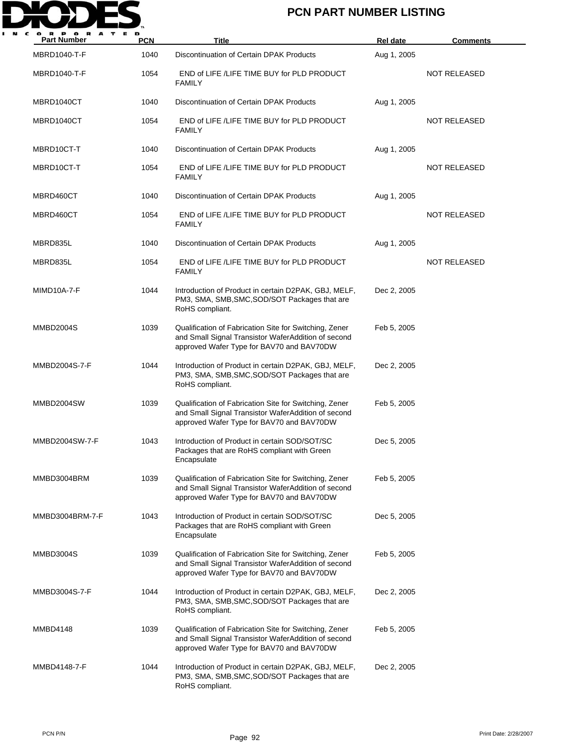

| <b>Part Number</b> | <b>PCN</b> | Title                                                                                                                                                      | <b>Rel date</b> | <b>Comments</b>     |
|--------------------|------------|------------------------------------------------------------------------------------------------------------------------------------------------------------|-----------------|---------------------|
| MBRD1040-T-F       | 1040       | Discontinuation of Certain DPAK Products                                                                                                                   | Aug 1, 2005     |                     |
| MBRD1040-T-F       | 1054       | END of LIFE /LIFE TIME BUY for PLD PRODUCT<br><b>FAMILY</b>                                                                                                |                 | <b>NOT RELEASED</b> |
| MBRD1040CT         | 1040       | Discontinuation of Certain DPAK Products                                                                                                                   | Aug 1, 2005     |                     |
| MBRD1040CT         | 1054       | END of LIFE /LIFE TIME BUY for PLD PRODUCT<br><b>FAMILY</b>                                                                                                |                 | <b>NOT RELEASED</b> |
| MBRD10CT-T         | 1040       | Discontinuation of Certain DPAK Products                                                                                                                   | Aug 1, 2005     |                     |
| MBRD10CT-T         | 1054       | END of LIFE /LIFE TIME BUY for PLD PRODUCT<br><b>FAMILY</b>                                                                                                |                 | <b>NOT RELEASED</b> |
| MBRD460CT          | 1040       | Discontinuation of Certain DPAK Products                                                                                                                   | Aug 1, 2005     |                     |
| MBRD460CT          | 1054       | END of LIFE /LIFE TIME BUY for PLD PRODUCT<br><b>FAMILY</b>                                                                                                |                 | NOT RELEASED        |
| MBRD835L           | 1040       | Discontinuation of Certain DPAK Products                                                                                                                   | Aug 1, 2005     |                     |
| MBRD835L           | 1054       | END of LIFE /LIFE TIME BUY for PLD PRODUCT<br><b>FAMILY</b>                                                                                                |                 | <b>NOT RELEASED</b> |
| MIMD10A-7-F        | 1044       | Introduction of Product in certain D2PAK, GBJ, MELF,<br>PM3, SMA, SMB, SMC, SOD/SOT Packages that are<br>RoHS compliant.                                   | Dec 2, 2005     |                     |
| MMBD2004S          | 1039       | Qualification of Fabrication Site for Switching, Zener<br>and Small Signal Transistor WaferAddition of second<br>approved Wafer Type for BAV70 and BAV70DW | Feb 5, 2005     |                     |
| MMBD2004S-7-F      | 1044       | Introduction of Product in certain D2PAK, GBJ, MELF,<br>PM3, SMA, SMB, SMC, SOD/SOT Packages that are<br>RoHS compliant.                                   | Dec 2, 2005     |                     |
| MMBD2004SW         | 1039       | Qualification of Fabrication Site for Switching, Zener<br>and Small Signal Transistor WaferAddition of second<br>approved Wafer Type for BAV70 and BAV70DW | Feb 5, 2005     |                     |
| MMBD2004SW-7-F     | 1043       | Introduction of Product in certain SOD/SOT/SC<br>Packages that are RoHS compliant with Green<br>Encapsulate                                                | Dec 5, 2005     |                     |
| MMBD3004BRM        | 1039       | Qualification of Fabrication Site for Switching, Zener<br>and Small Signal Transistor WaferAddition of second<br>approved Wafer Type for BAV70 and BAV70DW | Feb 5, 2005     |                     |
| MMBD3004BRM-7-F    | 1043       | Introduction of Product in certain SOD/SOT/SC<br>Packages that are RoHS compliant with Green<br>Encapsulate                                                | Dec 5, 2005     |                     |
| MMBD3004S          | 1039       | Qualification of Fabrication Site for Switching, Zener<br>and Small Signal Transistor WaferAddition of second<br>approved Wafer Type for BAV70 and BAV70DW | Feb 5, 2005     |                     |
| MMBD3004S-7-F      | 1044       | Introduction of Product in certain D2PAK, GBJ, MELF,<br>PM3, SMA, SMB, SMC, SOD/SOT Packages that are<br>RoHS compliant.                                   | Dec 2, 2005     |                     |
| MMBD4148           | 1039       | Qualification of Fabrication Site for Switching, Zener<br>and Small Signal Transistor WaferAddition of second<br>approved Wafer Type for BAV70 and BAV70DW | Feb 5, 2005     |                     |
| MMBD4148-7-F       | 1044       | Introduction of Product in certain D2PAK, GBJ, MELF,<br>PM3, SMA, SMB, SMC, SOD/SOT Packages that are<br>RoHS compliant.                                   | Dec 2, 2005     |                     |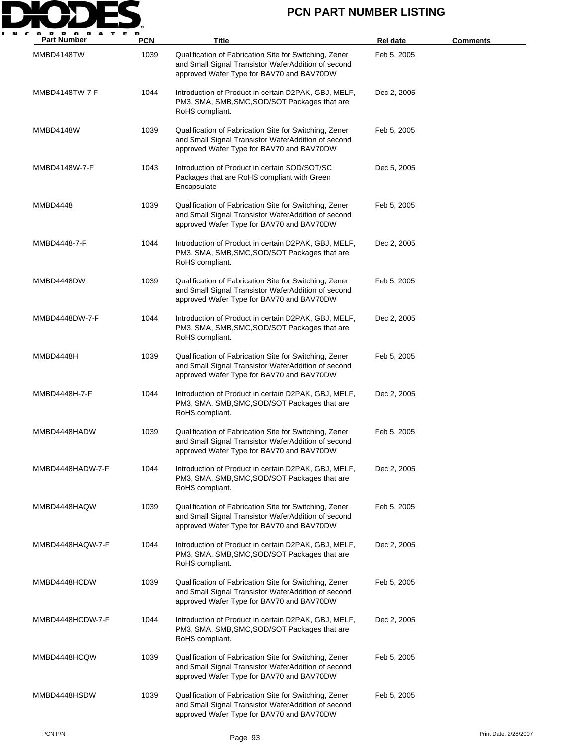

| <b>Part Number</b> | <b>PCN</b> | <b>Title</b>                                                                                                                                               | Rel date    | Comments |
|--------------------|------------|------------------------------------------------------------------------------------------------------------------------------------------------------------|-------------|----------|
| MMBD4148TW         | 1039       | Qualification of Fabrication Site for Switching, Zener<br>and Small Signal Transistor WaferAddition of second<br>approved Wafer Type for BAV70 and BAV70DW | Feb 5, 2005 |          |
| MMBD4148TW-7-F     | 1044       | Introduction of Product in certain D2PAK, GBJ, MELF,<br>PM3, SMA, SMB, SMC, SOD/SOT Packages that are<br>RoHS compliant.                                   | Dec 2, 2005 |          |
| MMBD4148W          | 1039       | Qualification of Fabrication Site for Switching, Zener<br>and Small Signal Transistor WaferAddition of second<br>approved Wafer Type for BAV70 and BAV70DW | Feb 5, 2005 |          |
| MMBD4148W-7-F      | 1043       | Introduction of Product in certain SOD/SOT/SC<br>Packages that are RoHS compliant with Green<br>Encapsulate                                                | Dec 5, 2005 |          |
| MMBD4448           | 1039       | Qualification of Fabrication Site for Switching, Zener<br>and Small Signal Transistor WaferAddition of second<br>approved Wafer Type for BAV70 and BAV70DW | Feb 5, 2005 |          |
| MMBD4448-7-F       | 1044       | Introduction of Product in certain D2PAK, GBJ, MELF,<br>PM3, SMA, SMB, SMC, SOD/SOT Packages that are<br>RoHS compliant.                                   | Dec 2, 2005 |          |
| MMBD4448DW         | 1039       | Qualification of Fabrication Site for Switching, Zener<br>and Small Signal Transistor WaferAddition of second<br>approved Wafer Type for BAV70 and BAV70DW | Feb 5, 2005 |          |
| MMBD4448DW-7-F     | 1044       | Introduction of Product in certain D2PAK, GBJ, MELF,<br>PM3, SMA, SMB, SMC, SOD/SOT Packages that are<br>RoHS compliant.                                   | Dec 2, 2005 |          |
| MMBD4448H          | 1039       | Qualification of Fabrication Site for Switching, Zener<br>and Small Signal Transistor WaferAddition of second<br>approved Wafer Type for BAV70 and BAV70DW | Feb 5, 2005 |          |
| MMBD4448H-7-F      | 1044       | Introduction of Product in certain D2PAK, GBJ, MELF,<br>PM3, SMA, SMB, SMC, SOD/SOT Packages that are<br>RoHS compliant.                                   | Dec 2, 2005 |          |
| MMBD4448HADW       | 1039       | Qualification of Fabrication Site for Switching, Zener<br>and Small Signal Transistor WaferAddition of second<br>approved Wafer Type for BAV70 and BAV70DW | Feb 5, 2005 |          |
| MMBD4448HADW-7-F   | 1044       | Introduction of Product in certain D2PAK, GBJ, MELF,<br>PM3, SMA, SMB, SMC, SOD/SOT Packages that are<br>RoHS compliant.                                   | Dec 2, 2005 |          |
| MMBD4448HAQW       | 1039       | Qualification of Fabrication Site for Switching, Zener<br>and Small Signal Transistor WaferAddition of second<br>approved Wafer Type for BAV70 and BAV70DW | Feb 5, 2005 |          |
| MMBD4448HAQW-7-F   | 1044       | Introduction of Product in certain D2PAK, GBJ, MELF,<br>PM3, SMA, SMB, SMC, SOD/SOT Packages that are<br>RoHS compliant.                                   | Dec 2, 2005 |          |
| MMBD4448HCDW       | 1039       | Qualification of Fabrication Site for Switching, Zener<br>and Small Signal Transistor WaferAddition of second<br>approved Wafer Type for BAV70 and BAV70DW | Feb 5, 2005 |          |
| MMBD4448HCDW-7-F   | 1044       | Introduction of Product in certain D2PAK, GBJ, MELF,<br>PM3, SMA, SMB, SMC, SOD/SOT Packages that are<br>RoHS compliant.                                   | Dec 2, 2005 |          |
| MMBD4448HCQW       | 1039       | Qualification of Fabrication Site for Switching, Zener<br>and Small Signal Transistor WaferAddition of second<br>approved Wafer Type for BAV70 and BAV70DW | Feb 5, 2005 |          |
| MMBD4448HSDW       | 1039       | Qualification of Fabrication Site for Switching, Zener<br>and Small Signal Transistor WaferAddition of second<br>approved Wafer Type for BAV70 and BAV70DW | Feb 5, 2005 |          |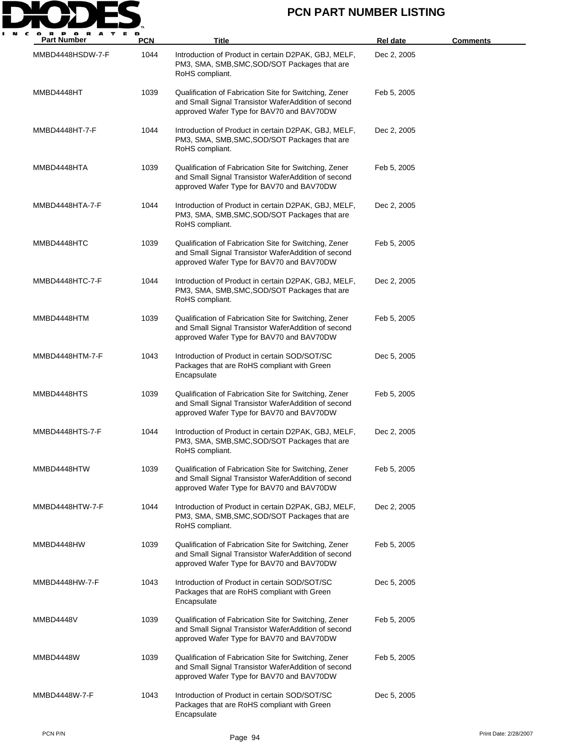

| <b>Part Number</b> | <b>PCN</b> | Title                                                                                                                                                      | Rel date    | <b>Comments</b> |
|--------------------|------------|------------------------------------------------------------------------------------------------------------------------------------------------------------|-------------|-----------------|
| MMBD4448HSDW-7-F   | 1044       | Introduction of Product in certain D2PAK, GBJ, MELF,<br>PM3, SMA, SMB, SMC, SOD/SOT Packages that are<br>RoHS compliant.                                   | Dec 2, 2005 |                 |
| MMBD4448HT         | 1039       | Qualification of Fabrication Site for Switching, Zener<br>and Small Signal Transistor WaferAddition of second<br>approved Wafer Type for BAV70 and BAV70DW | Feb 5, 2005 |                 |
| MMBD4448HT-7-F     | 1044       | Introduction of Product in certain D2PAK, GBJ, MELF,<br>PM3, SMA, SMB, SMC, SOD/SOT Packages that are<br>RoHS compliant.                                   | Dec 2, 2005 |                 |
| MMBD4448HTA        | 1039       | Qualification of Fabrication Site for Switching, Zener<br>and Small Signal Transistor WaferAddition of second<br>approved Wafer Type for BAV70 and BAV70DW | Feb 5, 2005 |                 |
| MMBD4448HTA-7-F    | 1044       | Introduction of Product in certain D2PAK, GBJ, MELF,<br>PM3, SMA, SMB, SMC, SOD/SOT Packages that are<br>RoHS compliant.                                   | Dec 2, 2005 |                 |
| MMBD4448HTC        | 1039       | Qualification of Fabrication Site for Switching, Zener<br>and Small Signal Transistor WaferAddition of second<br>approved Wafer Type for BAV70 and BAV70DW | Feb 5, 2005 |                 |
| MMBD4448HTC-7-F    | 1044       | Introduction of Product in certain D2PAK, GBJ, MELF,<br>PM3, SMA, SMB, SMC, SOD/SOT Packages that are<br>RoHS compliant.                                   | Dec 2, 2005 |                 |
| MMBD4448HTM        | 1039       | Qualification of Fabrication Site for Switching, Zener<br>and Small Signal Transistor WaferAddition of second<br>approved Wafer Type for BAV70 and BAV70DW | Feb 5, 2005 |                 |
| MMBD4448HTM-7-F    | 1043       | Introduction of Product in certain SOD/SOT/SC<br>Packages that are RoHS compliant with Green<br>Encapsulate                                                | Dec 5, 2005 |                 |
| MMBD4448HTS        | 1039       | Qualification of Fabrication Site for Switching, Zener<br>and Small Signal Transistor WaferAddition of second<br>approved Wafer Type for BAV70 and BAV70DW | Feb 5, 2005 |                 |
| MMBD4448HTS-7-F    | 1044       | Introduction of Product in certain D2PAK, GBJ, MELF,<br>PM3, SMA, SMB, SMC, SOD/SOT Packages that are<br>RoHS compliant.                                   | Dec 2, 2005 |                 |
| MMBD4448HTW        | 1039       | Qualification of Fabrication Site for Switching, Zener<br>and Small Signal Transistor WaferAddition of second<br>approved Wafer Type for BAV70 and BAV70DW | Feb 5, 2005 |                 |
| MMBD4448HTW-7-F    | 1044       | Introduction of Product in certain D2PAK, GBJ, MELF,<br>PM3, SMA, SMB, SMC, SOD/SOT Packages that are<br>RoHS compliant.                                   | Dec 2, 2005 |                 |
| MMBD4448HW         | 1039       | Qualification of Fabrication Site for Switching, Zener<br>and Small Signal Transistor WaferAddition of second<br>approved Wafer Type for BAV70 and BAV70DW | Feb 5, 2005 |                 |
| MMBD4448HW-7-F     | 1043       | Introduction of Product in certain SOD/SOT/SC<br>Packages that are RoHS compliant with Green<br>Encapsulate                                                | Dec 5, 2005 |                 |
| MMBD4448V          | 1039       | Qualification of Fabrication Site for Switching, Zener<br>and Small Signal Transistor WaferAddition of second<br>approved Wafer Type for BAV70 and BAV70DW | Feb 5, 2005 |                 |
| MMBD4448W          | 1039       | Qualification of Fabrication Site for Switching, Zener<br>and Small Signal Transistor WaferAddition of second<br>approved Wafer Type for BAV70 and BAV70DW | Feb 5, 2005 |                 |
| MMBD4448W-7-F      | 1043       | Introduction of Product in certain SOD/SOT/SC<br>Packages that are RoHS compliant with Green<br>Encapsulate                                                | Dec 5, 2005 |                 |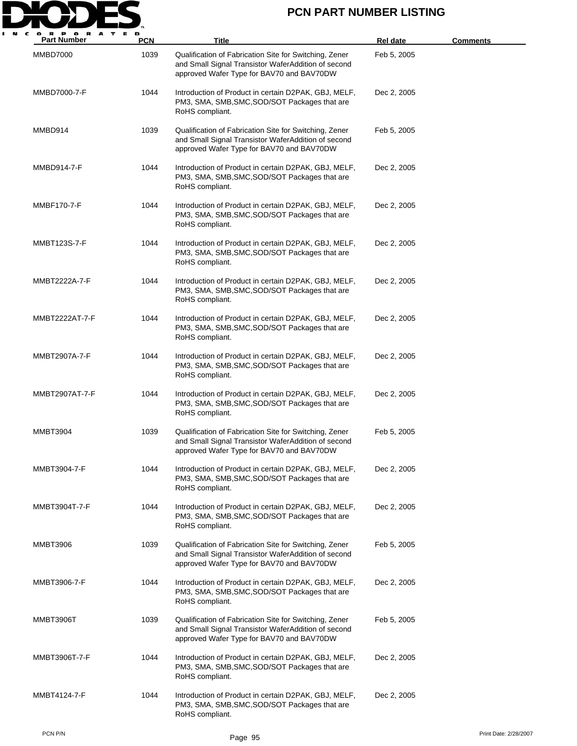

| <b>Part Number</b> | <b>PCN</b> | Title                                                                                                                                                      | <b>Rel date</b> | <u>Comments</u> |
|--------------------|------------|------------------------------------------------------------------------------------------------------------------------------------------------------------|-----------------|-----------------|
| <b>MMBD7000</b>    | 1039       | Qualification of Fabrication Site for Switching, Zener<br>and Small Signal Transistor WaferAddition of second<br>approved Wafer Type for BAV70 and BAV70DW | Feb 5, 2005     |                 |
| MMBD7000-7-F       | 1044       | Introduction of Product in certain D2PAK, GBJ, MELF,<br>PM3, SMA, SMB, SMC, SOD/SOT Packages that are<br>RoHS compliant.                                   | Dec 2, 2005     |                 |
| MMBD914            | 1039       | Qualification of Fabrication Site for Switching, Zener<br>and Small Signal Transistor WaferAddition of second<br>approved Wafer Type for BAV70 and BAV70DW | Feb 5, 2005     |                 |
| MMBD914-7-F        | 1044       | Introduction of Product in certain D2PAK, GBJ, MELF,<br>PM3, SMA, SMB, SMC, SOD/SOT Packages that are<br>RoHS compliant.                                   | Dec 2, 2005     |                 |
| MMBF170-7-F        | 1044       | Introduction of Product in certain D2PAK, GBJ, MELF,<br>PM3, SMA, SMB, SMC, SOD/SOT Packages that are<br>RoHS compliant.                                   | Dec 2, 2005     |                 |
| MMBT123S-7-F       | 1044       | Introduction of Product in certain D2PAK, GBJ, MELF,<br>PM3, SMA, SMB, SMC, SOD/SOT Packages that are<br>RoHS compliant.                                   | Dec 2, 2005     |                 |
| MMBT2222A-7-F      | 1044       | Introduction of Product in certain D2PAK, GBJ, MELF,<br>PM3, SMA, SMB, SMC, SOD/SOT Packages that are<br>RoHS compliant.                                   | Dec 2, 2005     |                 |
| MMBT2222AT-7-F     | 1044       | Introduction of Product in certain D2PAK, GBJ, MELF,<br>PM3, SMA, SMB, SMC, SOD/SOT Packages that are<br>RoHS compliant.                                   | Dec 2, 2005     |                 |
| MMBT2907A-7-F      | 1044       | Introduction of Product in certain D2PAK, GBJ, MELF,<br>PM3, SMA, SMB, SMC, SOD/SOT Packages that are<br>RoHS compliant.                                   | Dec 2, 2005     |                 |
| MMBT2907AT-7-F     | 1044       | Introduction of Product in certain D2PAK, GBJ, MELF,<br>PM3, SMA, SMB, SMC, SOD/SOT Packages that are<br>RoHS compliant.                                   | Dec 2, 2005     |                 |
| <b>MMBT3904</b>    | 1039       | Qualification of Fabrication Site for Switching, Zener<br>and Small Signal Transistor WaferAddition of second<br>approved Wafer Type for BAV70 and BAV70DW | Feb 5, 2005     |                 |
| MMBT3904-7-F       | 1044       | Introduction of Product in certain D2PAK, GBJ, MELF,<br>PM3, SMA, SMB, SMC, SOD/SOT Packages that are<br>RoHS compliant.                                   | Dec 2, 2005     |                 |
| MMBT3904T-7-F      | 1044       | Introduction of Product in certain D2PAK, GBJ, MELF,<br>PM3, SMA, SMB, SMC, SOD/SOT Packages that are<br>RoHS compliant.                                   | Dec 2, 2005     |                 |
| MMBT3906           | 1039       | Qualification of Fabrication Site for Switching, Zener<br>and Small Signal Transistor WaferAddition of second<br>approved Wafer Type for BAV70 and BAV70DW | Feb 5, 2005     |                 |
| MMBT3906-7-F       | 1044       | Introduction of Product in certain D2PAK, GBJ, MELF,<br>PM3, SMA, SMB, SMC, SOD/SOT Packages that are<br>RoHS compliant.                                   | Dec 2, 2005     |                 |
| MMBT3906T          | 1039       | Qualification of Fabrication Site for Switching, Zener<br>and Small Signal Transistor WaferAddition of second<br>approved Wafer Type for BAV70 and BAV70DW | Feb 5, 2005     |                 |
| MMBT3906T-7-F      | 1044       | Introduction of Product in certain D2PAK, GBJ, MELF,<br>PM3, SMA, SMB, SMC, SOD/SOT Packages that are<br>RoHS compliant.                                   | Dec 2, 2005     |                 |
| MMBT4124-7-F       | 1044       | Introduction of Product in certain D2PAK, GBJ, MELF,<br>PM3, SMA, SMB, SMC, SOD/SOT Packages that are<br>RoHS compliant.                                   | Dec 2, 2005     |                 |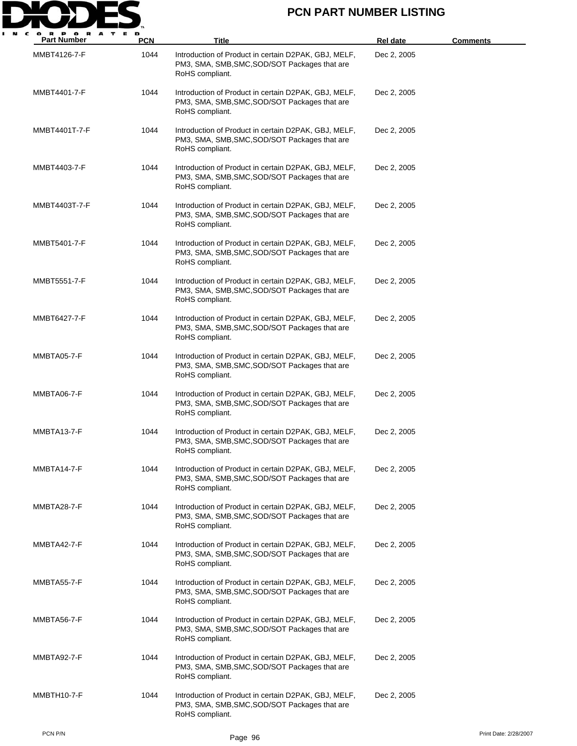

| <b>Part Number</b> | <b>PCN</b> | Title                                                                                                                    | <b>Rel date</b> | <b>Comments</b>       |
|--------------------|------------|--------------------------------------------------------------------------------------------------------------------------|-----------------|-----------------------|
| MMBT4126-7-F       | 1044       | Introduction of Product in certain D2PAK, GBJ, MELF,<br>PM3, SMA, SMB, SMC, SOD/SOT Packages that are<br>RoHS compliant. | Dec 2, 2005     |                       |
| MMBT4401-7-F       | 1044       | Introduction of Product in certain D2PAK, GBJ, MELF,<br>PM3, SMA, SMB, SMC, SOD/SOT Packages that are<br>RoHS compliant. | Dec 2, 2005     |                       |
| MMBT4401T-7-F      | 1044       | Introduction of Product in certain D2PAK, GBJ, MELF,<br>PM3, SMA, SMB, SMC, SOD/SOT Packages that are<br>RoHS compliant. | Dec 2, 2005     |                       |
| MMBT4403-7-F       | 1044       | Introduction of Product in certain D2PAK, GBJ, MELF,<br>PM3, SMA, SMB, SMC, SOD/SOT Packages that are<br>RoHS compliant. | Dec 2, 2005     |                       |
| MMBT4403T-7-F      | 1044       | Introduction of Product in certain D2PAK, GBJ, MELF,<br>PM3, SMA, SMB, SMC, SOD/SOT Packages that are<br>RoHS compliant. | Dec 2, 2005     |                       |
| MMBT5401-7-F       | 1044       | Introduction of Product in certain D2PAK, GBJ, MELF,<br>PM3, SMA, SMB, SMC, SOD/SOT Packages that are<br>RoHS compliant. | Dec 2, 2005     |                       |
| MMBT5551-7-F       | 1044       | Introduction of Product in certain D2PAK, GBJ, MELF,<br>PM3, SMA, SMB, SMC, SOD/SOT Packages that are<br>RoHS compliant. | Dec 2, 2005     |                       |
| MMBT6427-7-F       | 1044       | Introduction of Product in certain D2PAK, GBJ, MELF,<br>PM3, SMA, SMB, SMC, SOD/SOT Packages that are<br>RoHS compliant. | Dec 2, 2005     |                       |
| MMBTA05-7-F        | 1044       | Introduction of Product in certain D2PAK, GBJ, MELF,<br>PM3, SMA, SMB, SMC, SOD/SOT Packages that are<br>RoHS compliant. | Dec 2, 2005     |                       |
| MMBTA06-7-F        | 1044       | Introduction of Product in certain D2PAK, GBJ, MELF,<br>PM3, SMA, SMB, SMC, SOD/SOT Packages that are<br>RoHS compliant. | Dec 2, 2005     |                       |
| MMBTA13-7-F        | 1044       | Introduction of Product in certain D2PAK, GBJ, MELF,<br>PM3, SMA, SMB, SMC, SOD/SOT Packages that are<br>RoHS compliant. | Dec 2, 2005     |                       |
| MMBTA14-7-F        | 1044       | Introduction of Product in certain D2PAK, GBJ, MELF,<br>PM3, SMA, SMB, SMC, SOD/SOT Packages that are<br>RoHS compliant. | Dec 2, 2005     |                       |
| MMBTA28-7-F        | 1044       | Introduction of Product in certain D2PAK, GBJ, MELF,<br>PM3, SMA, SMB, SMC, SOD/SOT Packages that are<br>RoHS compliant. | Dec 2, 2005     |                       |
| MMBTA42-7-F        | 1044       | Introduction of Product in certain D2PAK, GBJ, MELF,<br>PM3, SMA, SMB, SMC, SOD/SOT Packages that are<br>RoHS compliant. | Dec 2, 2005     |                       |
| MMBTA55-7-F        | 1044       | Introduction of Product in certain D2PAK, GBJ, MELF,<br>PM3, SMA, SMB, SMC, SOD/SOT Packages that are<br>RoHS compliant. | Dec 2, 2005     |                       |
| MMBTA56-7-F        | 1044       | Introduction of Product in certain D2PAK, GBJ, MELF,<br>PM3, SMA, SMB, SMC, SOD/SOT Packages that are<br>RoHS compliant. | Dec 2, 2005     |                       |
| MMBTA92-7-F        | 1044       | Introduction of Product in certain D2PAK, GBJ, MELF,<br>PM3, SMA, SMB, SMC, SOD/SOT Packages that are<br>RoHS compliant. | Dec 2, 2005     |                       |
| MMBTH10-7-F        | 1044       | Introduction of Product in certain D2PAK, GBJ, MELF,<br>PM3, SMA, SMB, SMC, SOD/SOT Packages that are<br>RoHS compliant. | Dec 2, 2005     |                       |
| PCN P/N            |            | Page 96                                                                                                                  |                 | Print Date: 2/28/2007 |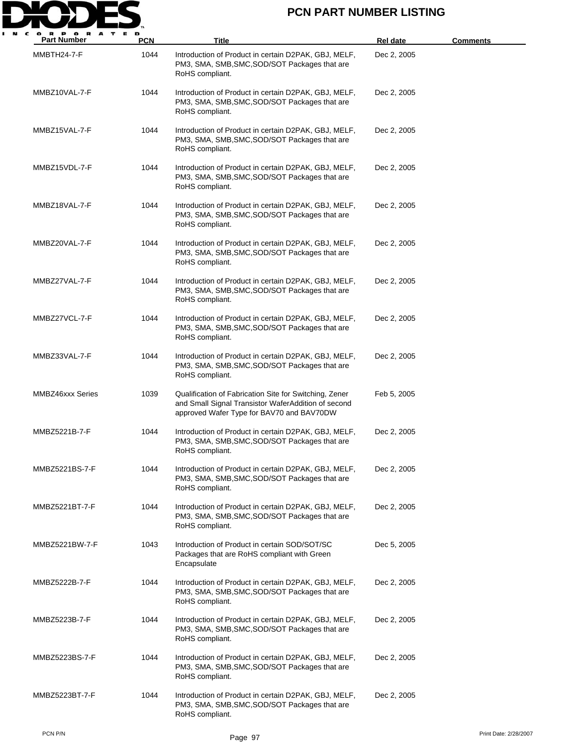

| <b>Part Number</b>      | <b>PCN</b> | Title                                                                                                                                                      | <b>Rel date</b> | Comments |
|-------------------------|------------|------------------------------------------------------------------------------------------------------------------------------------------------------------|-----------------|----------|
| MMBTH24-7-F             | 1044       | Introduction of Product in certain D2PAK, GBJ, MELF,<br>PM3, SMA, SMB, SMC, SOD/SOT Packages that are<br>RoHS compliant.                                   | Dec 2, 2005     |          |
| MMBZ10VAL-7-F           | 1044       | Introduction of Product in certain D2PAK, GBJ, MELF,<br>PM3, SMA, SMB, SMC, SOD/SOT Packages that are<br>RoHS compliant.                                   | Dec 2, 2005     |          |
| MMBZ15VAL-7-F           | 1044       | Introduction of Product in certain D2PAK, GBJ, MELF,<br>PM3, SMA, SMB, SMC, SOD/SOT Packages that are<br>RoHS compliant.                                   | Dec 2, 2005     |          |
| MMBZ15VDL-7-F           | 1044       | Introduction of Product in certain D2PAK, GBJ, MELF,<br>PM3, SMA, SMB, SMC, SOD/SOT Packages that are<br>RoHS compliant.                                   | Dec 2, 2005     |          |
| MMBZ18VAL-7-F           | 1044       | Introduction of Product in certain D2PAK, GBJ, MELF,<br>PM3, SMA, SMB, SMC, SOD/SOT Packages that are<br>RoHS compliant.                                   | Dec 2, 2005     |          |
| MMBZ20VAL-7-F           | 1044       | Introduction of Product in certain D2PAK, GBJ, MELF,<br>PM3, SMA, SMB, SMC, SOD/SOT Packages that are<br>RoHS compliant.                                   | Dec 2, 2005     |          |
| MMBZ27VAL-7-F           | 1044       | Introduction of Product in certain D2PAK, GBJ, MELF,<br>PM3, SMA, SMB, SMC, SOD/SOT Packages that are<br>RoHS compliant.                                   | Dec 2, 2005     |          |
| MMBZ27VCL-7-F           | 1044       | Introduction of Product in certain D2PAK, GBJ, MELF,<br>PM3, SMA, SMB, SMC, SOD/SOT Packages that are<br>RoHS compliant.                                   | Dec 2, 2005     |          |
| MMBZ33VAL-7-F           | 1044       | Introduction of Product in certain D2PAK, GBJ, MELF,<br>PM3, SMA, SMB, SMC, SOD/SOT Packages that are<br>RoHS compliant.                                   | Dec 2, 2005     |          |
| <b>MMBZ46xxx Series</b> | 1039       | Qualification of Fabrication Site for Switching, Zener<br>and Small Signal Transistor WaferAddition of second<br>approved Wafer Type for BAV70 and BAV70DW | Feb 5, 2005     |          |
| MMBZ5221B-7-F           | 1044       | Introduction of Product in certain D2PAK, GBJ, MELF,<br>PM3, SMA, SMB, SMC, SOD/SOT Packages that are<br>RoHS compliant.                                   | Dec 2, 2005     |          |
| MMBZ5221BS-7-F          | 1044       | Introduction of Product in certain D2PAK, GBJ, MELF,<br>PM3, SMA, SMB, SMC, SOD/SOT Packages that are<br>RoHS compliant.                                   | Dec 2, 2005     |          |
| MMBZ5221BT-7-F          | 1044       | Introduction of Product in certain D2PAK, GBJ, MELF,<br>PM3, SMA, SMB, SMC, SOD/SOT Packages that are<br>RoHS compliant.                                   | Dec 2, 2005     |          |
| MMBZ5221BW-7-F          | 1043       | Introduction of Product in certain SOD/SOT/SC<br>Packages that are RoHS compliant with Green<br>Encapsulate                                                | Dec 5, 2005     |          |
| MMBZ5222B-7-F           | 1044       | Introduction of Product in certain D2PAK, GBJ, MELF,<br>PM3, SMA, SMB, SMC, SOD/SOT Packages that are<br>RoHS compliant.                                   | Dec 2, 2005     |          |
| MMBZ5223B-7-F           | 1044       | Introduction of Product in certain D2PAK, GBJ, MELF,<br>PM3, SMA, SMB, SMC, SOD/SOT Packages that are<br>RoHS compliant.                                   | Dec 2, 2005     |          |
| MMBZ5223BS-7-F          | 1044       | Introduction of Product in certain D2PAK, GBJ, MELF,<br>PM3, SMA, SMB, SMC, SOD/SOT Packages that are<br>RoHS compliant.                                   | Dec 2, 2005     |          |
| MMBZ5223BT-7-F          | 1044       | Introduction of Product in certain D2PAK, GBJ, MELF,<br>PM3, SMA, SMB, SMC, SOD/SOT Packages that are<br>RoHS compliant.                                   | Dec 2, 2005     |          |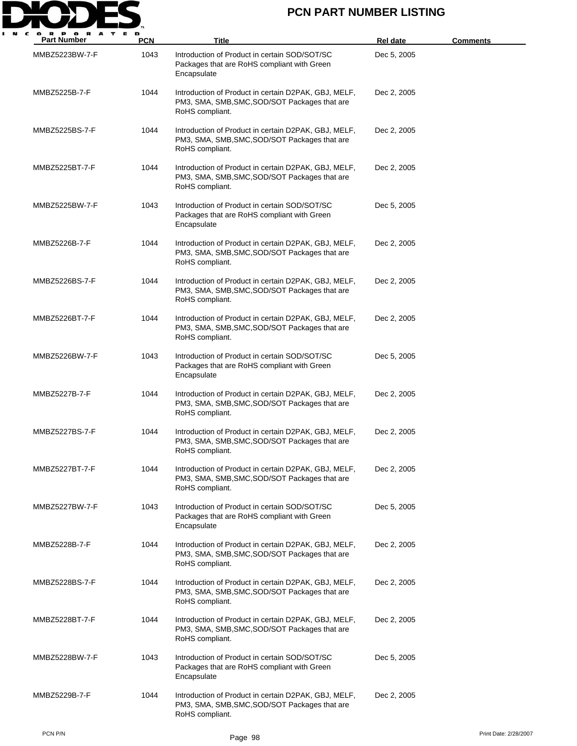

| <b>Part Number</b> | PCN  | Title                                                                                                                    | Rel date    | <b>Comments</b> |
|--------------------|------|--------------------------------------------------------------------------------------------------------------------------|-------------|-----------------|
| MMBZ5223BW-7-F     | 1043 | Introduction of Product in certain SOD/SOT/SC<br>Packages that are RoHS compliant with Green<br>Encapsulate              | Dec 5, 2005 |                 |
| MMBZ5225B-7-F      | 1044 | Introduction of Product in certain D2PAK, GBJ, MELF,<br>PM3, SMA, SMB, SMC, SOD/SOT Packages that are<br>RoHS compliant. | Dec 2, 2005 |                 |
| MMBZ5225BS-7-F     | 1044 | Introduction of Product in certain D2PAK, GBJ, MELF,<br>PM3, SMA, SMB, SMC, SOD/SOT Packages that are<br>RoHS compliant. | Dec 2, 2005 |                 |
| MMBZ5225BT-7-F     | 1044 | Introduction of Product in certain D2PAK, GBJ, MELF,<br>PM3, SMA, SMB, SMC, SOD/SOT Packages that are<br>RoHS compliant. | Dec 2, 2005 |                 |
| MMBZ5225BW-7-F     | 1043 | Introduction of Product in certain SOD/SOT/SC<br>Packages that are RoHS compliant with Green<br>Encapsulate              | Dec 5, 2005 |                 |
| MMBZ5226B-7-F      | 1044 | Introduction of Product in certain D2PAK, GBJ, MELF,<br>PM3, SMA, SMB, SMC, SOD/SOT Packages that are<br>RoHS compliant. | Dec 2, 2005 |                 |
| MMBZ5226BS-7-F     | 1044 | Introduction of Product in certain D2PAK, GBJ, MELF,<br>PM3, SMA, SMB, SMC, SOD/SOT Packages that are<br>RoHS compliant. | Dec 2, 2005 |                 |
| MMBZ5226BT-7-F     | 1044 | Introduction of Product in certain D2PAK, GBJ, MELF,<br>PM3, SMA, SMB, SMC, SOD/SOT Packages that are<br>RoHS compliant. | Dec 2, 2005 |                 |
| MMBZ5226BW-7-F     | 1043 | Introduction of Product in certain SOD/SOT/SC<br>Packages that are RoHS compliant with Green<br>Encapsulate              | Dec 5, 2005 |                 |
| MMBZ5227B-7-F      | 1044 | Introduction of Product in certain D2PAK, GBJ, MELF,<br>PM3, SMA, SMB, SMC, SOD/SOT Packages that are<br>RoHS compliant. | Dec 2, 2005 |                 |
| MMBZ5227BS-7-F     | 1044 | Introduction of Product in certain D2PAK, GBJ, MELF,<br>PM3, SMA, SMB, SMC, SOD/SOT Packages that are<br>RoHS compliant. | Dec 2, 2005 |                 |
| MMBZ5227BT-7-F     | 1044 | Introduction of Product in certain D2PAK, GBJ, MELF,<br>PM3, SMA, SMB, SMC, SOD/SOT Packages that are<br>RoHS compliant. | Dec 2, 2005 |                 |
| MMBZ5227BW-7-F     | 1043 | Introduction of Product in certain SOD/SOT/SC<br>Packages that are RoHS compliant with Green<br>Encapsulate              | Dec 5, 2005 |                 |
| MMBZ5228B-7-F      | 1044 | Introduction of Product in certain D2PAK, GBJ, MELF,<br>PM3, SMA, SMB, SMC, SOD/SOT Packages that are<br>RoHS compliant. | Dec 2, 2005 |                 |
| MMBZ5228BS-7-F     | 1044 | Introduction of Product in certain D2PAK, GBJ, MELF,<br>PM3, SMA, SMB, SMC, SOD/SOT Packages that are<br>RoHS compliant. | Dec 2, 2005 |                 |
| MMBZ5228BT-7-F     | 1044 | Introduction of Product in certain D2PAK, GBJ, MELF,<br>PM3, SMA, SMB, SMC, SOD/SOT Packages that are<br>RoHS compliant. | Dec 2, 2005 |                 |
| MMBZ5228BW-7-F     | 1043 | Introduction of Product in certain SOD/SOT/SC<br>Packages that are RoHS compliant with Green<br>Encapsulate              | Dec 5, 2005 |                 |
| MMBZ5229B-7-F      | 1044 | Introduction of Product in certain D2PAK, GBJ, MELF,<br>PM3, SMA, SMB, SMC, SOD/SOT Packages that are<br>RoHS compliant. | Dec 2, 2005 |                 |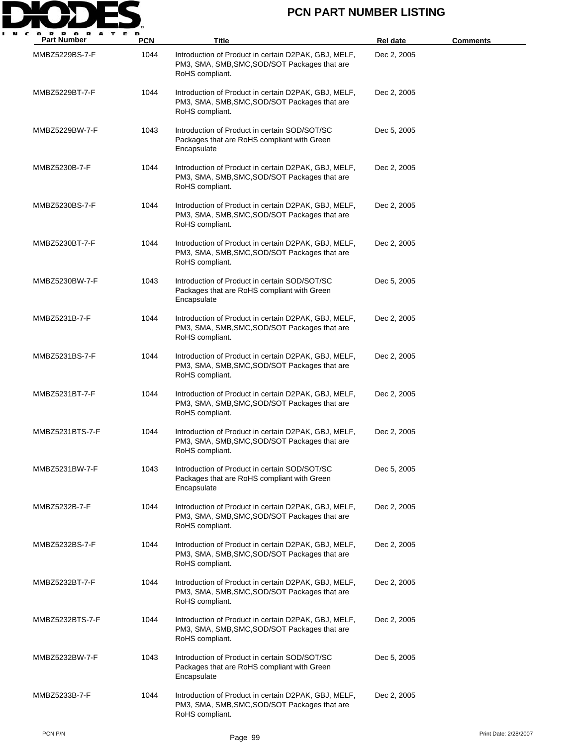

| <b>Part Number</b> | <b>PCN</b> | <b>Title</b>                                                                                                             | <b>Rel date</b> | <u>Comments</u> |
|--------------------|------------|--------------------------------------------------------------------------------------------------------------------------|-----------------|-----------------|
| MMBZ5229BS-7-F     | 1044       | Introduction of Product in certain D2PAK, GBJ, MELF,<br>PM3, SMA, SMB, SMC, SOD/SOT Packages that are<br>RoHS compliant. | Dec 2, 2005     |                 |
| MMBZ5229BT-7-F     | 1044       | Introduction of Product in certain D2PAK, GBJ, MELF,<br>PM3, SMA, SMB, SMC, SOD/SOT Packages that are<br>RoHS compliant. | Dec 2, 2005     |                 |
| MMBZ5229BW-7-F     | 1043       | Introduction of Product in certain SOD/SOT/SC<br>Packages that are RoHS compliant with Green<br>Encapsulate              | Dec 5, 2005     |                 |
| MMBZ5230B-7-F      | 1044       | Introduction of Product in certain D2PAK, GBJ, MELF,<br>PM3, SMA, SMB, SMC, SOD/SOT Packages that are<br>RoHS compliant. | Dec 2, 2005     |                 |
| MMBZ5230BS-7-F     | 1044       | Introduction of Product in certain D2PAK, GBJ, MELF,<br>PM3, SMA, SMB, SMC, SOD/SOT Packages that are<br>RoHS compliant. | Dec 2, 2005     |                 |
| MMBZ5230BT-7-F     | 1044       | Introduction of Product in certain D2PAK, GBJ, MELF,<br>PM3, SMA, SMB, SMC, SOD/SOT Packages that are<br>RoHS compliant. | Dec 2, 2005     |                 |
| MMBZ5230BW-7-F     | 1043       | Introduction of Product in certain SOD/SOT/SC<br>Packages that are RoHS compliant with Green<br>Encapsulate              | Dec 5, 2005     |                 |
| MMBZ5231B-7-F      | 1044       | Introduction of Product in certain D2PAK, GBJ, MELF,<br>PM3, SMA, SMB, SMC, SOD/SOT Packages that are<br>RoHS compliant. | Dec 2, 2005     |                 |
| MMBZ5231BS-7-F     | 1044       | Introduction of Product in certain D2PAK, GBJ, MELF,<br>PM3, SMA, SMB, SMC, SOD/SOT Packages that are<br>RoHS compliant. | Dec 2, 2005     |                 |
| MMBZ5231BT-7-F     | 1044       | Introduction of Product in certain D2PAK, GBJ, MELF,<br>PM3, SMA, SMB, SMC, SOD/SOT Packages that are<br>RoHS compliant. | Dec 2, 2005     |                 |
| MMBZ5231BTS-7-F    | 1044       | Introduction of Product in certain D2PAK, GBJ, MELF,<br>PM3, SMA, SMB, SMC, SOD/SOT Packages that are<br>RoHS compliant. | Dec 2, 2005     |                 |
| MMBZ5231BW-7-F     | 1043       | Introduction of Product in certain SOD/SOT/SC<br>Packages that are RoHS compliant with Green<br>Encapsulate              | Dec 5, 2005     |                 |
| MMBZ5232B-7-F      | 1044       | Introduction of Product in certain D2PAK, GBJ, MELF,<br>PM3, SMA, SMB, SMC, SOD/SOT Packages that are<br>RoHS compliant. | Dec 2, 2005     |                 |
| MMBZ5232BS-7-F     | 1044       | Introduction of Product in certain D2PAK, GBJ, MELF,<br>PM3, SMA, SMB, SMC, SOD/SOT Packages that are<br>RoHS compliant. | Dec 2, 2005     |                 |
| MMBZ5232BT-7-F     | 1044       | Introduction of Product in certain D2PAK, GBJ, MELF,<br>PM3, SMA, SMB, SMC, SOD/SOT Packages that are<br>RoHS compliant. | Dec 2, 2005     |                 |
| MMBZ5232BTS-7-F    | 1044       | Introduction of Product in certain D2PAK, GBJ, MELF,<br>PM3, SMA, SMB, SMC, SOD/SOT Packages that are<br>RoHS compliant. | Dec 2, 2005     |                 |
| MMBZ5232BW-7-F     | 1043       | Introduction of Product in certain SOD/SOT/SC<br>Packages that are RoHS compliant with Green<br>Encapsulate              | Dec 5, 2005     |                 |
| MMBZ5233B-7-F      | 1044       | Introduction of Product in certain D2PAK, GBJ, MELF,<br>PM3, SMA, SMB, SMC, SOD/SOT Packages that are<br>RoHS compliant. | Dec 2, 2005     |                 |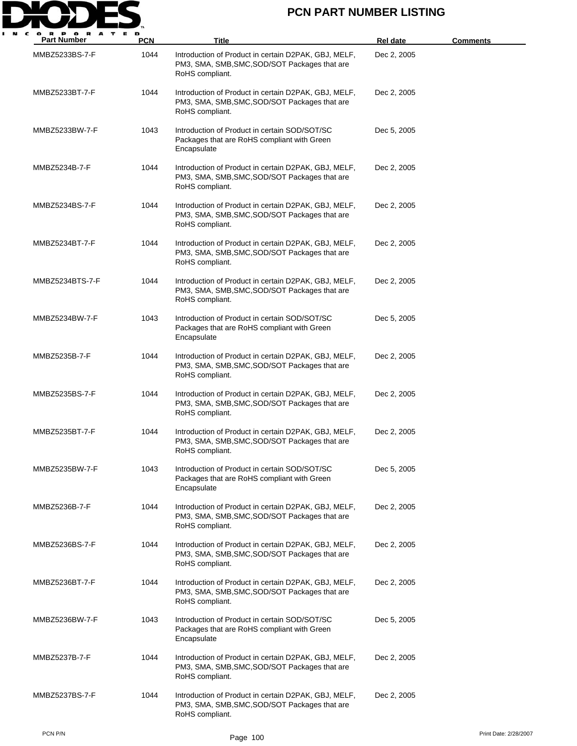

| <b>Part Number</b> | <b>PCN</b> | Title                                                                                                                    | <b>Rel date</b> | <b>Comments</b> |
|--------------------|------------|--------------------------------------------------------------------------------------------------------------------------|-----------------|-----------------|
| MMBZ5233BS-7-F     | 1044       | Introduction of Product in certain D2PAK, GBJ, MELF,<br>PM3, SMA, SMB, SMC, SOD/SOT Packages that are<br>RoHS compliant. | Dec 2, 2005     |                 |
| MMBZ5233BT-7-F     | 1044       | Introduction of Product in certain D2PAK, GBJ, MELF,<br>PM3, SMA, SMB, SMC, SOD/SOT Packages that are<br>RoHS compliant. | Dec 2, 2005     |                 |
| MMBZ5233BW-7-F     | 1043       | Introduction of Product in certain SOD/SOT/SC<br>Packages that are RoHS compliant with Green<br>Encapsulate              | Dec 5, 2005     |                 |
| MMBZ5234B-7-F      | 1044       | Introduction of Product in certain D2PAK, GBJ, MELF,<br>PM3, SMA, SMB, SMC, SOD/SOT Packages that are<br>RoHS compliant. | Dec 2, 2005     |                 |
| MMBZ5234BS-7-F     | 1044       | Introduction of Product in certain D2PAK, GBJ, MELF,<br>PM3, SMA, SMB, SMC, SOD/SOT Packages that are<br>RoHS compliant. | Dec 2, 2005     |                 |
| MMBZ5234BT-7-F     | 1044       | Introduction of Product in certain D2PAK, GBJ, MELF,<br>PM3, SMA, SMB, SMC, SOD/SOT Packages that are<br>RoHS compliant. | Dec 2, 2005     |                 |
| MMBZ5234BTS-7-F    | 1044       | Introduction of Product in certain D2PAK, GBJ, MELF,<br>PM3, SMA, SMB, SMC, SOD/SOT Packages that are<br>RoHS compliant. | Dec 2, 2005     |                 |
| MMBZ5234BW-7-F     | 1043       | Introduction of Product in certain SOD/SOT/SC<br>Packages that are RoHS compliant with Green<br>Encapsulate              | Dec 5, 2005     |                 |
| MMBZ5235B-7-F      | 1044       | Introduction of Product in certain D2PAK, GBJ, MELF,<br>PM3, SMA, SMB, SMC, SOD/SOT Packages that are<br>RoHS compliant. | Dec 2, 2005     |                 |
| MMBZ5235BS-7-F     | 1044       | Introduction of Product in certain D2PAK, GBJ, MELF,<br>PM3, SMA, SMB, SMC, SOD/SOT Packages that are<br>RoHS compliant. | Dec 2, 2005     |                 |
| MMBZ5235BT-7-F     | 1044       | Introduction of Product in certain D2PAK, GBJ, MELF,<br>PM3, SMA, SMB, SMC, SOD/SOT Packages that are<br>RoHS compliant. | Dec 2, 2005     |                 |
| MMBZ5235BW-7-F     | 1043       | Introduction of Product in certain SOD/SOT/SC<br>Packages that are RoHS compliant with Green<br>Encapsulate              | Dec 5, 2005     |                 |
| MMBZ5236B-7-F      | 1044       | Introduction of Product in certain D2PAK, GBJ, MELF,<br>PM3, SMA, SMB, SMC, SOD/SOT Packages that are<br>RoHS compliant. | Dec 2, 2005     |                 |
| MMBZ5236BS-7-F     | 1044       | Introduction of Product in certain D2PAK, GBJ, MELF,<br>PM3, SMA, SMB, SMC, SOD/SOT Packages that are<br>RoHS compliant. | Dec 2, 2005     |                 |
| MMBZ5236BT-7-F     | 1044       | Introduction of Product in certain D2PAK, GBJ, MELF,<br>PM3, SMA, SMB, SMC, SOD/SOT Packages that are<br>RoHS compliant. | Dec 2, 2005     |                 |
| MMBZ5236BW-7-F     | 1043       | Introduction of Product in certain SOD/SOT/SC<br>Packages that are RoHS compliant with Green<br>Encapsulate              | Dec 5, 2005     |                 |
| MMBZ5237B-7-F      | 1044       | Introduction of Product in certain D2PAK, GBJ, MELF,<br>PM3, SMA, SMB, SMC, SOD/SOT Packages that are<br>RoHS compliant. | Dec 2, 2005     |                 |
| MMBZ5237BS-7-F     | 1044       | Introduction of Product in certain D2PAK, GBJ, MELF,<br>PM3, SMA, SMB, SMC, SOD/SOT Packages that are<br>RoHS compliant. | Dec 2, 2005     |                 |

PCN P/N Print Date: 2/28/2007<br>Page 100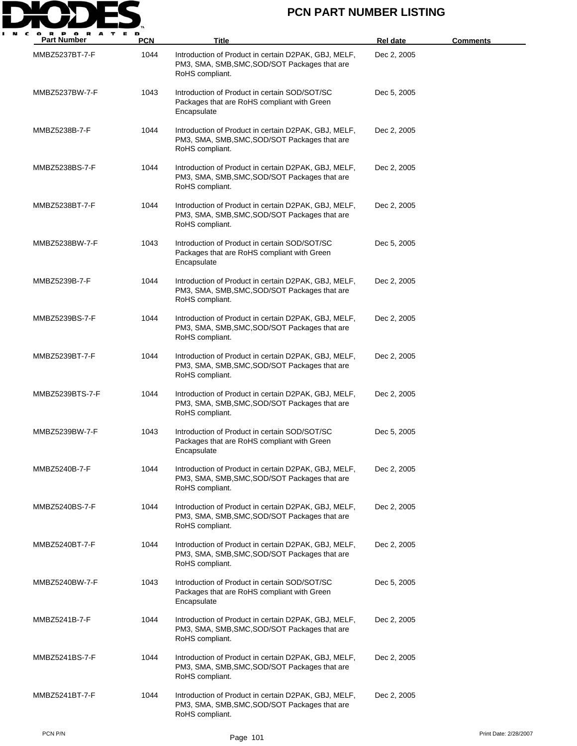

| <b>Part Number</b> | <b>PCN</b> | Title                                                                                                                    | <b>Rel date</b> | <b>Comments</b> |
|--------------------|------------|--------------------------------------------------------------------------------------------------------------------------|-----------------|-----------------|
| MMBZ5237BT-7-F     | 1044       | Introduction of Product in certain D2PAK, GBJ, MELF,<br>PM3, SMA, SMB, SMC, SOD/SOT Packages that are<br>RoHS compliant. | Dec 2, 2005     |                 |
| MMBZ5237BW-7-F     | 1043       | Introduction of Product in certain SOD/SOT/SC<br>Packages that are RoHS compliant with Green<br>Encapsulate              | Dec 5, 2005     |                 |
| MMBZ5238B-7-F      | 1044       | Introduction of Product in certain D2PAK, GBJ, MELF,<br>PM3, SMA, SMB, SMC, SOD/SOT Packages that are<br>RoHS compliant. | Dec 2, 2005     |                 |
| MMBZ5238BS-7-F     | 1044       | Introduction of Product in certain D2PAK, GBJ, MELF,<br>PM3, SMA, SMB, SMC, SOD/SOT Packages that are<br>RoHS compliant. | Dec 2, 2005     |                 |
| MMBZ5238BT-7-F     | 1044       | Introduction of Product in certain D2PAK, GBJ, MELF,<br>PM3, SMA, SMB, SMC, SOD/SOT Packages that are<br>RoHS compliant. | Dec 2, 2005     |                 |
| MMBZ5238BW-7-F     | 1043       | Introduction of Product in certain SOD/SOT/SC<br>Packages that are RoHS compliant with Green<br>Encapsulate              | Dec 5, 2005     |                 |
| MMBZ5239B-7-F      | 1044       | Introduction of Product in certain D2PAK, GBJ, MELF,<br>PM3, SMA, SMB, SMC, SOD/SOT Packages that are<br>RoHS compliant. | Dec 2, 2005     |                 |
| MMBZ5239BS-7-F     | 1044       | Introduction of Product in certain D2PAK, GBJ, MELF,<br>PM3, SMA, SMB, SMC, SOD/SOT Packages that are<br>RoHS compliant. | Dec 2, 2005     |                 |
| MMBZ5239BT-7-F     | 1044       | Introduction of Product in certain D2PAK, GBJ, MELF,<br>PM3, SMA, SMB, SMC, SOD/SOT Packages that are<br>RoHS compliant. | Dec 2, 2005     |                 |
| MMBZ5239BTS-7-F    | 1044       | Introduction of Product in certain D2PAK, GBJ, MELF,<br>PM3, SMA, SMB, SMC, SOD/SOT Packages that are<br>RoHS compliant. | Dec 2, 2005     |                 |
| MMBZ5239BW-7-F     | 1043       | Introduction of Product in certain SOD/SOT/SC<br>Packages that are RoHS compliant with Green<br>Encapsulate              | Dec 5, 2005     |                 |
| MMBZ5240B-7-F      | 1044       | Introduction of Product in certain D2PAK, GBJ, MELF,<br>PM3, SMA, SMB, SMC, SOD/SOT Packages that are<br>RoHS compliant. | Dec 2, 2005     |                 |
| MMBZ5240BS-7-F     | 1044       | Introduction of Product in certain D2PAK, GBJ, MELF,<br>PM3, SMA, SMB, SMC, SOD/SOT Packages that are<br>RoHS compliant. | Dec 2, 2005     |                 |
| MMBZ5240BT-7-F     | 1044       | Introduction of Product in certain D2PAK, GBJ, MELF,<br>PM3, SMA, SMB, SMC, SOD/SOT Packages that are<br>RoHS compliant. | Dec 2, 2005     |                 |
| MMBZ5240BW-7-F     | 1043       | Introduction of Product in certain SOD/SOT/SC<br>Packages that are RoHS compliant with Green<br>Encapsulate              | Dec 5, 2005     |                 |
| MMBZ5241B-7-F      | 1044       | Introduction of Product in certain D2PAK, GBJ, MELF,<br>PM3, SMA, SMB, SMC, SOD/SOT Packages that are<br>RoHS compliant. | Dec 2, 2005     |                 |
| MMBZ5241BS-7-F     | 1044       | Introduction of Product in certain D2PAK, GBJ, MELF,<br>PM3, SMA, SMB, SMC, SOD/SOT Packages that are<br>RoHS compliant. | Dec 2, 2005     |                 |
| MMBZ5241BT-7-F     | 1044       | Introduction of Product in certain D2PAK, GBJ, MELF,<br>PM3, SMA, SMB, SMC, SOD/SOT Packages that are<br>RoHS compliant. | Dec 2, 2005     |                 |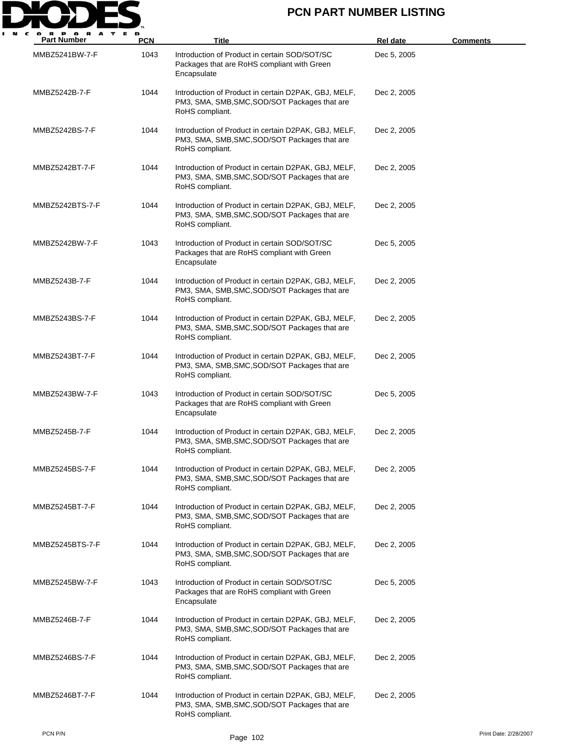

| <b>Part Number</b> | <b>PCN</b> | <b>Title</b>                                                                                                             | <b>Rel date</b> | <b>Comments</b> |
|--------------------|------------|--------------------------------------------------------------------------------------------------------------------------|-----------------|-----------------|
| MMBZ5241BW-7-F     | 1043       | Introduction of Product in certain SOD/SOT/SC<br>Packages that are RoHS compliant with Green<br>Encapsulate              | Dec 5, 2005     |                 |
| MMBZ5242B-7-F      | 1044       | Introduction of Product in certain D2PAK, GBJ, MELF,<br>PM3, SMA, SMB, SMC, SOD/SOT Packages that are<br>RoHS compliant. | Dec 2, 2005     |                 |
| MMBZ5242BS-7-F     | 1044       | Introduction of Product in certain D2PAK, GBJ, MELF,<br>PM3, SMA, SMB, SMC, SOD/SOT Packages that are<br>RoHS compliant. | Dec 2, 2005     |                 |
| MMBZ5242BT-7-F     | 1044       | Introduction of Product in certain D2PAK, GBJ, MELF,<br>PM3, SMA, SMB, SMC, SOD/SOT Packages that are<br>RoHS compliant. | Dec 2, 2005     |                 |
| MMBZ5242BTS-7-F    | 1044       | Introduction of Product in certain D2PAK, GBJ, MELF,<br>PM3, SMA, SMB, SMC, SOD/SOT Packages that are<br>RoHS compliant. | Dec 2, 2005     |                 |
| MMBZ5242BW-7-F     | 1043       | Introduction of Product in certain SOD/SOT/SC<br>Packages that are RoHS compliant with Green<br>Encapsulate              | Dec 5, 2005     |                 |
| MMBZ5243B-7-F      | 1044       | Introduction of Product in certain D2PAK, GBJ, MELF,<br>PM3, SMA, SMB, SMC, SOD/SOT Packages that are<br>RoHS compliant. | Dec 2, 2005     |                 |
| MMBZ5243BS-7-F     | 1044       | Introduction of Product in certain D2PAK, GBJ, MELF,<br>PM3, SMA, SMB, SMC, SOD/SOT Packages that are<br>RoHS compliant. | Dec 2, 2005     |                 |
| MMBZ5243BT-7-F     | 1044       | Introduction of Product in certain D2PAK, GBJ, MELF,<br>PM3, SMA, SMB, SMC, SOD/SOT Packages that are<br>RoHS compliant. | Dec 2, 2005     |                 |
| MMBZ5243BW-7-F     | 1043       | Introduction of Product in certain SOD/SOT/SC<br>Packages that are RoHS compliant with Green<br>Encapsulate              | Dec 5, 2005     |                 |
| MMBZ5245B-7-F      | 1044       | Introduction of Product in certain D2PAK, GBJ, MELF,<br>PM3, SMA, SMB, SMC, SOD/SOT Packages that are<br>RoHS compliant. | Dec 2, 2005     |                 |
| MMBZ5245BS-7-F     | 1044       | Introduction of Product in certain D2PAK, GBJ, MELF,<br>PM3, SMA, SMB, SMC, SOD/SOT Packages that are<br>RoHS compliant. | Dec 2, 2005     |                 |
| MMBZ5245BT-7-F     | 1044       | Introduction of Product in certain D2PAK, GBJ, MELF,<br>PM3, SMA, SMB, SMC, SOD/SOT Packages that are<br>RoHS compliant. | Dec 2, 2005     |                 |
| MMBZ5245BTS-7-F    | 1044       | Introduction of Product in certain D2PAK, GBJ, MELF,<br>PM3, SMA, SMB, SMC, SOD/SOT Packages that are<br>RoHS compliant. | Dec 2, 2005     |                 |
| MMBZ5245BW-7-F     | 1043       | Introduction of Product in certain SOD/SOT/SC<br>Packages that are RoHS compliant with Green<br>Encapsulate              | Dec 5, 2005     |                 |
| MMBZ5246B-7-F      | 1044       | Introduction of Product in certain D2PAK, GBJ, MELF,<br>PM3, SMA, SMB, SMC, SOD/SOT Packages that are<br>RoHS compliant. | Dec 2, 2005     |                 |
| MMBZ5246BS-7-F     | 1044       | Introduction of Product in certain D2PAK, GBJ, MELF,<br>PM3, SMA, SMB, SMC, SOD/SOT Packages that are<br>RoHS compliant. | Dec 2, 2005     |                 |
| MMBZ5246BT-7-F     | 1044       | Introduction of Product in certain D2PAK, GBJ, MELF,<br>PM3, SMA, SMB, SMC, SOD/SOT Packages that are<br>RoHS compliant. | Dec 2, 2005     |                 |

PCN P/N Print Date: 2/28/2007<br>Page 102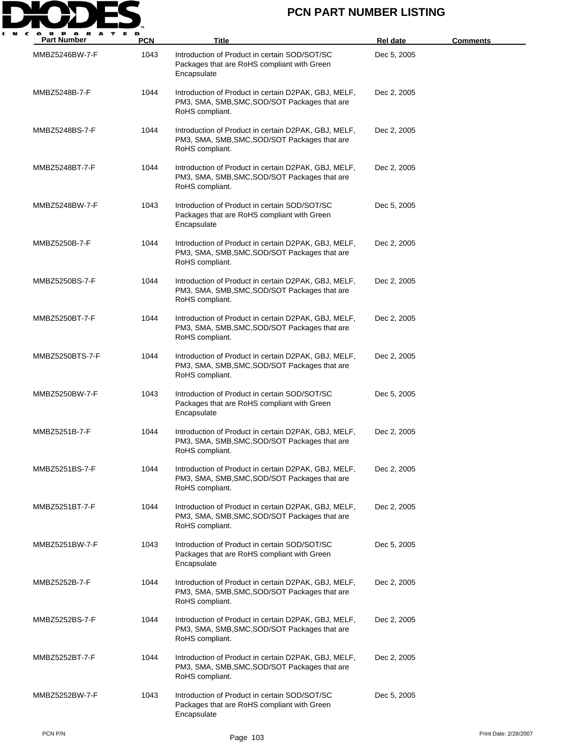

| <b>Part Number</b> | <b>PCN</b> | <b>Title</b>                                                                                                             | <b>Rel date</b> | <u>Comments</u> |
|--------------------|------------|--------------------------------------------------------------------------------------------------------------------------|-----------------|-----------------|
| MMBZ5246BW-7-F     | 1043       | Introduction of Product in certain SOD/SOT/SC<br>Packages that are RoHS compliant with Green<br>Encapsulate              | Dec 5, 2005     |                 |
| MMBZ5248B-7-F      | 1044       | Introduction of Product in certain D2PAK, GBJ, MELF,<br>PM3, SMA, SMB, SMC, SOD/SOT Packages that are<br>RoHS compliant. | Dec 2, 2005     |                 |
| MMBZ5248BS-7-F     | 1044       | Introduction of Product in certain D2PAK, GBJ, MELF,<br>PM3, SMA, SMB, SMC, SOD/SOT Packages that are<br>RoHS compliant. | Dec 2, 2005     |                 |
| MMBZ5248BT-7-F     | 1044       | Introduction of Product in certain D2PAK, GBJ, MELF,<br>PM3, SMA, SMB, SMC, SOD/SOT Packages that are<br>RoHS compliant. | Dec 2, 2005     |                 |
| MMBZ5248BW-7-F     | 1043       | Introduction of Product in certain SOD/SOT/SC<br>Packages that are RoHS compliant with Green<br>Encapsulate              | Dec 5, 2005     |                 |
| MMBZ5250B-7-F      | 1044       | Introduction of Product in certain D2PAK, GBJ, MELF,<br>PM3, SMA, SMB, SMC, SOD/SOT Packages that are<br>RoHS compliant. | Dec 2, 2005     |                 |
| MMBZ5250BS-7-F     | 1044       | Introduction of Product in certain D2PAK, GBJ, MELF,<br>PM3, SMA, SMB, SMC, SOD/SOT Packages that are<br>RoHS compliant. | Dec 2, 2005     |                 |
| MMBZ5250BT-7-F     | 1044       | Introduction of Product in certain D2PAK, GBJ, MELF,<br>PM3, SMA, SMB, SMC, SOD/SOT Packages that are<br>RoHS compliant. | Dec 2, 2005     |                 |
| MMBZ5250BTS-7-F    | 1044       | Introduction of Product in certain D2PAK, GBJ, MELF,<br>PM3, SMA, SMB, SMC, SOD/SOT Packages that are<br>RoHS compliant. | Dec 2, 2005     |                 |
| MMBZ5250BW-7-F     | 1043       | Introduction of Product in certain SOD/SOT/SC<br>Packages that are RoHS compliant with Green<br>Encapsulate              | Dec 5, 2005     |                 |
| MMBZ5251B-7-F      | 1044       | Introduction of Product in certain D2PAK, GBJ, MELF,<br>PM3, SMA, SMB, SMC, SOD/SOT Packages that are<br>RoHS compliant. | Dec 2, 2005     |                 |
| MMBZ5251BS-7-F     | 1044       | Introduction of Product in certain D2PAK, GBJ, MELF,<br>PM3, SMA, SMB, SMC, SOD/SOT Packages that are<br>RoHS compliant. | Dec 2, 2005     |                 |
| MMBZ5251BT-7-F     | 1044       | Introduction of Product in certain D2PAK, GBJ, MELF,<br>PM3, SMA, SMB, SMC, SOD/SOT Packages that are<br>RoHS compliant. | Dec 2, 2005     |                 |
| MMBZ5251BW-7-F     | 1043       | Introduction of Product in certain SOD/SOT/SC<br>Packages that are RoHS compliant with Green<br>Encapsulate              | Dec 5, 2005     |                 |
| MMBZ5252B-7-F      | 1044       | Introduction of Product in certain D2PAK, GBJ, MELF,<br>PM3, SMA, SMB, SMC, SOD/SOT Packages that are<br>RoHS compliant. | Dec 2, 2005     |                 |
| MMBZ5252BS-7-F     | 1044       | Introduction of Product in certain D2PAK, GBJ, MELF,<br>PM3, SMA, SMB, SMC, SOD/SOT Packages that are<br>RoHS compliant. | Dec 2, 2005     |                 |
| MMBZ5252BT-7-F     | 1044       | Introduction of Product in certain D2PAK, GBJ, MELF,<br>PM3, SMA, SMB, SMC, SOD/SOT Packages that are<br>RoHS compliant. | Dec 2, 2005     |                 |
| MMBZ5252BW-7-F     | 1043       | Introduction of Product in certain SOD/SOT/SC<br>Packages that are RoHS compliant with Green<br>Encapsulate              | Dec 5, 2005     |                 |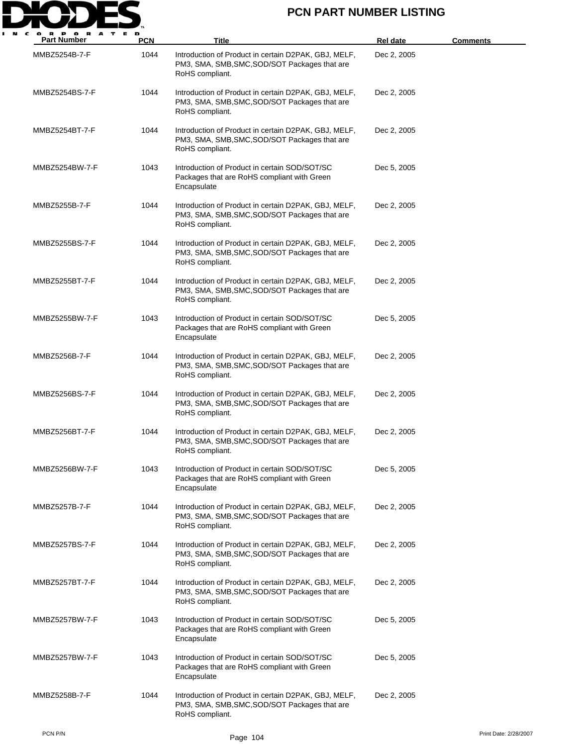

| <b>Part Number</b> | <b>PCN</b> | Title                                                                                                                    | Rel date    | <u>Comments</u> |
|--------------------|------------|--------------------------------------------------------------------------------------------------------------------------|-------------|-----------------|
| MMBZ5254B-7-F      | 1044       | Introduction of Product in certain D2PAK, GBJ, MELF,<br>PM3, SMA, SMB, SMC, SOD/SOT Packages that are<br>RoHS compliant. | Dec 2, 2005 |                 |
| MMBZ5254BS-7-F     | 1044       | Introduction of Product in certain D2PAK, GBJ, MELF,<br>PM3, SMA, SMB, SMC, SOD/SOT Packages that are<br>RoHS compliant. | Dec 2, 2005 |                 |
| MMBZ5254BT-7-F     | 1044       | Introduction of Product in certain D2PAK, GBJ, MELF,<br>PM3, SMA, SMB, SMC, SOD/SOT Packages that are<br>RoHS compliant. | Dec 2, 2005 |                 |
| MMBZ5254BW-7-F     | 1043       | Introduction of Product in certain SOD/SOT/SC<br>Packages that are RoHS compliant with Green<br>Encapsulate              | Dec 5, 2005 |                 |
| MMBZ5255B-7-F      | 1044       | Introduction of Product in certain D2PAK, GBJ, MELF,<br>PM3, SMA, SMB, SMC, SOD/SOT Packages that are<br>RoHS compliant. | Dec 2, 2005 |                 |
| MMBZ5255BS-7-F     | 1044       | Introduction of Product in certain D2PAK, GBJ, MELF,<br>PM3, SMA, SMB, SMC, SOD/SOT Packages that are<br>RoHS compliant. | Dec 2, 2005 |                 |
| MMBZ5255BT-7-F     | 1044       | Introduction of Product in certain D2PAK, GBJ, MELF,<br>PM3, SMA, SMB, SMC, SOD/SOT Packages that are<br>RoHS compliant. | Dec 2, 2005 |                 |
| MMBZ5255BW-7-F     | 1043       | Introduction of Product in certain SOD/SOT/SC<br>Packages that are RoHS compliant with Green<br>Encapsulate              | Dec 5, 2005 |                 |
| MMBZ5256B-7-F      | 1044       | Introduction of Product in certain D2PAK, GBJ, MELF,<br>PM3, SMA, SMB, SMC, SOD/SOT Packages that are<br>RoHS compliant. | Dec 2, 2005 |                 |
| MMBZ5256BS-7-F     | 1044       | Introduction of Product in certain D2PAK, GBJ, MELF,<br>PM3, SMA, SMB, SMC, SOD/SOT Packages that are<br>RoHS compliant. | Dec 2, 2005 |                 |
| MMBZ5256BT-7-F     | 1044       | Introduction of Product in certain D2PAK, GBJ, MELF,<br>PM3, SMA, SMB, SMC, SOD/SOT Packages that are<br>RoHS compliant. | Dec 2, 2005 |                 |
| MMBZ5256BW-7-F     | 1043       | Introduction of Product in certain SOD/SOT/SC<br>Packages that are RoHS compliant with Green<br>Encapsulate              | Dec 5, 2005 |                 |
| MMBZ5257B-7-F      | 1044       | Introduction of Product in certain D2PAK, GBJ, MELF,<br>PM3, SMA, SMB, SMC, SOD/SOT Packages that are<br>RoHS compliant. | Dec 2, 2005 |                 |
| MMBZ5257BS-7-F     | 1044       | Introduction of Product in certain D2PAK, GBJ, MELF,<br>PM3, SMA, SMB, SMC, SOD/SOT Packages that are<br>RoHS compliant. | Dec 2, 2005 |                 |
| MMBZ5257BT-7-F     | 1044       | Introduction of Product in certain D2PAK, GBJ, MELF,<br>PM3, SMA, SMB, SMC, SOD/SOT Packages that are<br>RoHS compliant. | Dec 2, 2005 |                 |
| MMBZ5257BW-7-F     | 1043       | Introduction of Product in certain SOD/SOT/SC<br>Packages that are RoHS compliant with Green<br>Encapsulate              | Dec 5, 2005 |                 |
| MMBZ5257BW-7-F     | 1043       | Introduction of Product in certain SOD/SOT/SC<br>Packages that are RoHS compliant with Green<br>Encapsulate              | Dec 5, 2005 |                 |
| MMBZ5258B-7-F      | 1044       | Introduction of Product in certain D2PAK, GBJ, MELF,<br>PM3, SMA, SMB, SMC, SOD/SOT Packages that are<br>RoHS compliant. | Dec 2, 2005 |                 |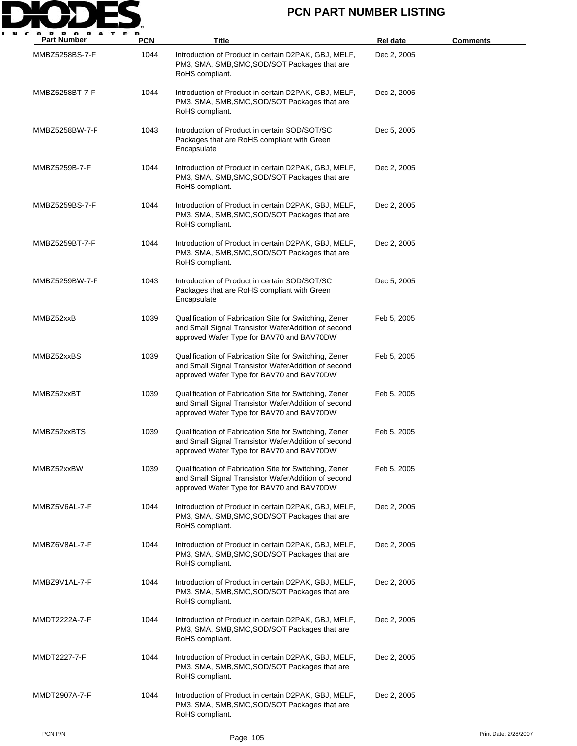

| <b>Part Number</b> | <b>PCN</b> | Title                                                                                                                                                      | <b>Rel date</b> | <b>Comments</b>       |
|--------------------|------------|------------------------------------------------------------------------------------------------------------------------------------------------------------|-----------------|-----------------------|
| MMBZ5258BS-7-F     | 1044       | Introduction of Product in certain D2PAK, GBJ, MELF,<br>PM3, SMA, SMB, SMC, SOD/SOT Packages that are<br>RoHS compliant.                                   | Dec 2, 2005     |                       |
| MMBZ5258BT-7-F     | 1044       | Introduction of Product in certain D2PAK, GBJ, MELF,<br>PM3, SMA, SMB, SMC, SOD/SOT Packages that are<br>RoHS compliant.                                   | Dec 2, 2005     |                       |
| MMBZ5258BW-7-F     | 1043       | Introduction of Product in certain SOD/SOT/SC<br>Packages that are RoHS compliant with Green<br>Encapsulate                                                | Dec 5, 2005     |                       |
| MMBZ5259B-7-F      | 1044       | Introduction of Product in certain D2PAK, GBJ, MELF,<br>PM3, SMA, SMB, SMC, SOD/SOT Packages that are<br>RoHS compliant.                                   | Dec 2, 2005     |                       |
| MMBZ5259BS-7-F     | 1044       | Introduction of Product in certain D2PAK, GBJ, MELF,<br>PM3, SMA, SMB, SMC, SOD/SOT Packages that are<br>RoHS compliant.                                   | Dec 2, 2005     |                       |
| MMBZ5259BT-7-F     | 1044       | Introduction of Product in certain D2PAK, GBJ, MELF,<br>PM3, SMA, SMB, SMC, SOD/SOT Packages that are<br>RoHS compliant.                                   | Dec 2, 2005     |                       |
| MMBZ5259BW-7-F     | 1043       | Introduction of Product in certain SOD/SOT/SC<br>Packages that are RoHS compliant with Green<br>Encapsulate                                                | Dec 5, 2005     |                       |
| MMBZ52xxB          | 1039       | Qualification of Fabrication Site for Switching, Zener<br>and Small Signal Transistor WaferAddition of second<br>approved Wafer Type for BAV70 and BAV70DW | Feb 5, 2005     |                       |
| MMBZ52xxBS         | 1039       | Qualification of Fabrication Site for Switching, Zener<br>and Small Signal Transistor WaferAddition of second<br>approved Wafer Type for BAV70 and BAV70DW | Feb 5, 2005     |                       |
| MMBZ52xxBT         | 1039       | Qualification of Fabrication Site for Switching, Zener<br>and Small Signal Transistor WaferAddition of second<br>approved Wafer Type for BAV70 and BAV70DW | Feb 5, 2005     |                       |
| MMBZ52xxBTS        | 1039       | Qualification of Fabrication Site for Switching, Zener<br>and Small Signal Transistor WaferAddition of second<br>approved Wafer Type for BAV70 and BAV70DW | Feb 5, 2005     |                       |
| MMBZ52xxBW         | 1039       | Qualification of Fabrication Site for Switching, Zener<br>and Small Signal Transistor WaferAddition of second<br>approved Wafer Type for BAV70 and BAV70DW | Feb 5, 2005     |                       |
| MMBZ5V6AL-7-F      | 1044       | Introduction of Product in certain D2PAK, GBJ, MELF,<br>PM3, SMA, SMB, SMC, SOD/SOT Packages that are<br>RoHS compliant.                                   | Dec 2, 2005     |                       |
| MMBZ6V8AL-7-F      | 1044       | Introduction of Product in certain D2PAK, GBJ, MELF,<br>PM3, SMA, SMB, SMC, SOD/SOT Packages that are<br>RoHS compliant.                                   | Dec 2, 2005     |                       |
| MMBZ9V1AL-7-F      | 1044       | Introduction of Product in certain D2PAK, GBJ, MELF,<br>PM3, SMA, SMB, SMC, SOD/SOT Packages that are<br>RoHS compliant.                                   | Dec 2, 2005     |                       |
| MMDT2222A-7-F      | 1044       | Introduction of Product in certain D2PAK, GBJ, MELF,<br>PM3, SMA, SMB, SMC, SOD/SOT Packages that are<br>RoHS compliant.                                   | Dec 2, 2005     |                       |
| MMDT2227-7-F       | 1044       | Introduction of Product in certain D2PAK, GBJ, MELF,<br>PM3, SMA, SMB, SMC, SOD/SOT Packages that are<br>RoHS compliant.                                   | Dec 2, 2005     |                       |
| MMDT2907A-7-F      | 1044       | Introduction of Product in certain D2PAK, GBJ, MELF,<br>PM3, SMA, SMB, SMC, SOD/SOT Packages that are<br>RoHS compliant.                                   | Dec 2, 2005     |                       |
| PCN P/N            |            | Page 105                                                                                                                                                   |                 | Print Date: 2/28/2007 |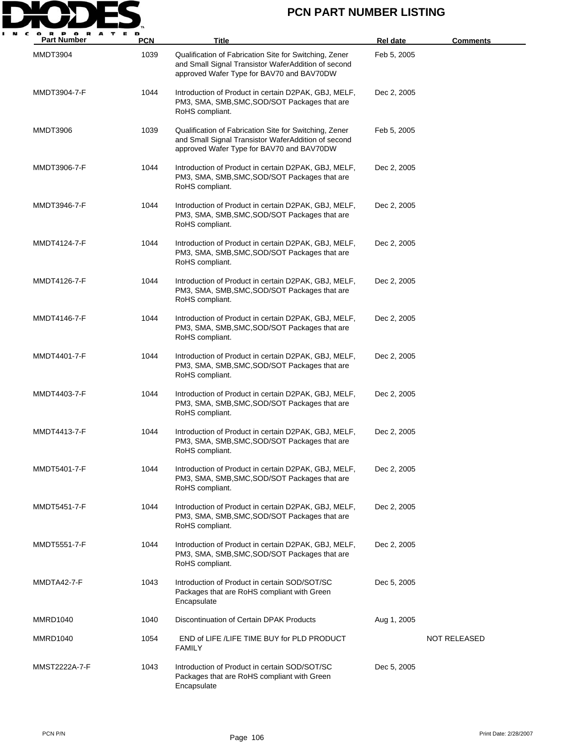

| P O R<br>A<br><b>Part Number</b> | PCN  | Title                                                                                                                                                      | <b>Rel date</b> | <b>Comments</b> |
|----------------------------------|------|------------------------------------------------------------------------------------------------------------------------------------------------------------|-----------------|-----------------|
| MMDT3904                         | 1039 | Qualification of Fabrication Site for Switching, Zener<br>and Small Signal Transistor WaferAddition of second<br>approved Wafer Type for BAV70 and BAV70DW | Feb 5, 2005     |                 |
| MMDT3904-7-F                     | 1044 | Introduction of Product in certain D2PAK, GBJ, MELF,<br>PM3, SMA, SMB, SMC, SOD/SOT Packages that are<br>RoHS compliant.                                   | Dec 2, 2005     |                 |
| MMDT3906                         | 1039 | Qualification of Fabrication Site for Switching, Zener<br>and Small Signal Transistor WaferAddition of second<br>approved Wafer Type for BAV70 and BAV70DW | Feb 5, 2005     |                 |
| MMDT3906-7-F                     | 1044 | Introduction of Product in certain D2PAK, GBJ, MELF,<br>PM3, SMA, SMB, SMC, SOD/SOT Packages that are<br>RoHS compliant.                                   | Dec 2, 2005     |                 |
| MMDT3946-7-F                     | 1044 | Introduction of Product in certain D2PAK, GBJ, MELF,<br>PM3, SMA, SMB, SMC, SOD/SOT Packages that are<br>RoHS compliant.                                   | Dec 2, 2005     |                 |
| MMDT4124-7-F                     | 1044 | Introduction of Product in certain D2PAK, GBJ, MELF,<br>PM3, SMA, SMB, SMC, SOD/SOT Packages that are<br>RoHS compliant.                                   | Dec 2, 2005     |                 |
| MMDT4126-7-F                     | 1044 | Introduction of Product in certain D2PAK, GBJ, MELF,<br>PM3, SMA, SMB, SMC, SOD/SOT Packages that are<br>RoHS compliant.                                   | Dec 2, 2005     |                 |
| MMDT4146-7-F                     | 1044 | Introduction of Product in certain D2PAK, GBJ, MELF,<br>PM3, SMA, SMB, SMC, SOD/SOT Packages that are<br>RoHS compliant.                                   | Dec 2, 2005     |                 |
| MMDT4401-7-F                     | 1044 | Introduction of Product in certain D2PAK, GBJ, MELF,<br>PM3, SMA, SMB, SMC, SOD/SOT Packages that are<br>RoHS compliant.                                   | Dec 2, 2005     |                 |
| MMDT4403-7-F                     | 1044 | Introduction of Product in certain D2PAK, GBJ, MELF,<br>PM3, SMA, SMB, SMC, SOD/SOT Packages that are<br>RoHS compliant.                                   | Dec 2, 2005     |                 |
| MMDT4413-7-F                     | 1044 | Introduction of Product in certain D2PAK, GBJ, MELF,<br>PM3, SMA, SMB, SMC, SOD/SOT Packages that are<br>RoHS compliant.                                   | Dec 2, 2005     |                 |
| MMDT5401-7-F                     | 1044 | Introduction of Product in certain D2PAK, GBJ, MELF,<br>PM3, SMA, SMB, SMC, SOD/SOT Packages that are<br>RoHS compliant.                                   | Dec 2, 2005     |                 |
| MMDT5451-7-F                     | 1044 | Introduction of Product in certain D2PAK, GBJ, MELF,<br>PM3, SMA, SMB, SMC, SOD/SOT Packages that are<br>RoHS compliant.                                   | Dec 2, 2005     |                 |
| MMDT5551-7-F                     | 1044 | Introduction of Product in certain D2PAK, GBJ, MELF,<br>PM3, SMA, SMB, SMC, SOD/SOT Packages that are<br>RoHS compliant.                                   | Dec 2, 2005     |                 |
| MMDTA42-7-F                      | 1043 | Introduction of Product in certain SOD/SOT/SC<br>Packages that are RoHS compliant with Green<br>Encapsulate                                                | Dec 5, 2005     |                 |
| MMRD1040                         | 1040 | Discontinuation of Certain DPAK Products                                                                                                                   | Aug 1, 2005     |                 |
| MMRD1040                         | 1054 | END of LIFE /LIFE TIME BUY for PLD PRODUCT<br><b>FAMILY</b>                                                                                                |                 | NOT RELEASED    |
| MMST2222A-7-F                    | 1043 | Introduction of Product in certain SOD/SOT/SC<br>Packages that are RoHS compliant with Green<br>Encapsulate                                                | Dec 5, 2005     |                 |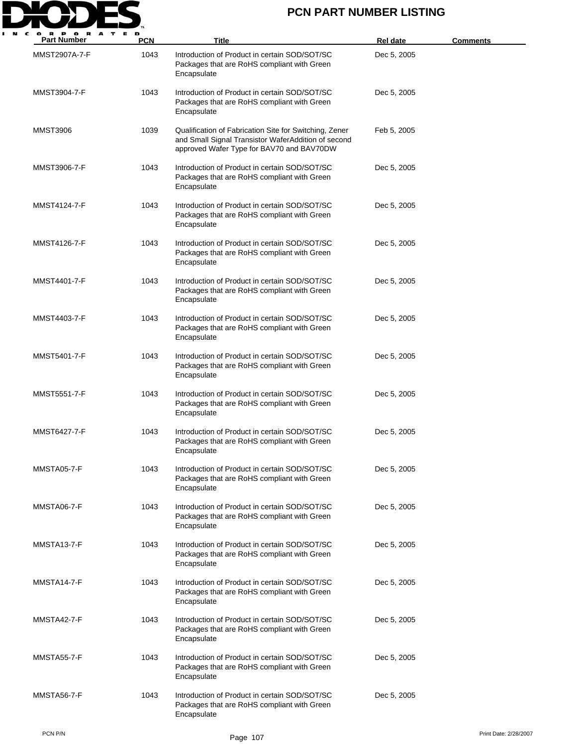

| <b>Part Number</b> | <b>PCN</b> | Title                                                                                                                                                      | Rel date    | <b>Comments</b>       |
|--------------------|------------|------------------------------------------------------------------------------------------------------------------------------------------------------------|-------------|-----------------------|
| MMST2907A-7-F      | 1043       | Introduction of Product in certain SOD/SOT/SC<br>Packages that are RoHS compliant with Green<br>Encapsulate                                                | Dec 5, 2005 |                       |
| MMST3904-7-F       | 1043       | Introduction of Product in certain SOD/SOT/SC<br>Packages that are RoHS compliant with Green<br>Encapsulate                                                | Dec 5, 2005 |                       |
| <b>MMST3906</b>    | 1039       | Qualification of Fabrication Site for Switching, Zener<br>and Small Signal Transistor WaferAddition of second<br>approved Wafer Type for BAV70 and BAV70DW | Feb 5, 2005 |                       |
| MMST3906-7-F       | 1043       | Introduction of Product in certain SOD/SOT/SC<br>Packages that are RoHS compliant with Green<br>Encapsulate                                                | Dec 5, 2005 |                       |
| MMST4124-7-F       | 1043       | Introduction of Product in certain SOD/SOT/SC<br>Packages that are RoHS compliant with Green<br>Encapsulate                                                | Dec 5, 2005 |                       |
| MMST4126-7-F       | 1043       | Introduction of Product in certain SOD/SOT/SC<br>Packages that are RoHS compliant with Green<br>Encapsulate                                                | Dec 5, 2005 |                       |
| MMST4401-7-F       | 1043       | Introduction of Product in certain SOD/SOT/SC<br>Packages that are RoHS compliant with Green<br>Encapsulate                                                | Dec 5, 2005 |                       |
| MMST4403-7-F       | 1043       | Introduction of Product in certain SOD/SOT/SC<br>Packages that are RoHS compliant with Green<br>Encapsulate                                                | Dec 5, 2005 |                       |
| MMST5401-7-F       | 1043       | Introduction of Product in certain SOD/SOT/SC<br>Packages that are RoHS compliant with Green<br>Encapsulate                                                | Dec 5, 2005 |                       |
| MMST5551-7-F       | 1043       | Introduction of Product in certain SOD/SOT/SC<br>Packages that are RoHS compliant with Green<br>Encapsulate                                                | Dec 5, 2005 |                       |
| MMST6427-7-F       | 1043       | Introduction of Product in certain SOD/SOT/SC<br>Packages that are RoHS compliant with Green<br>Encapsulate                                                | Dec 5, 2005 |                       |
| MMSTA05-7-F        | 1043       | Introduction of Product in certain SOD/SOT/SC<br>Packages that are RoHS compliant with Green<br>Encapsulate                                                | Dec 5, 2005 |                       |
| MMSTA06-7-F        | 1043       | Introduction of Product in certain SOD/SOT/SC<br>Packages that are RoHS compliant with Green<br>Encapsulate                                                | Dec 5, 2005 |                       |
| MMSTA13-7-F        | 1043       | Introduction of Product in certain SOD/SOT/SC<br>Packages that are RoHS compliant with Green<br>Encapsulate                                                | Dec 5, 2005 |                       |
| MMSTA14-7-F        | 1043       | Introduction of Product in certain SOD/SOT/SC<br>Packages that are RoHS compliant with Green<br>Encapsulate                                                | Dec 5, 2005 |                       |
| MMSTA42-7-F        | 1043       | Introduction of Product in certain SOD/SOT/SC<br>Packages that are RoHS compliant with Green<br>Encapsulate                                                | Dec 5, 2005 |                       |
| MMSTA55-7-F        | 1043       | Introduction of Product in certain SOD/SOT/SC<br>Packages that are RoHS compliant with Green<br>Encapsulate                                                | Dec 5, 2005 |                       |
| MMSTA56-7-F        | 1043       | Introduction of Product in certain SOD/SOT/SC<br>Packages that are RoHS compliant with Green<br>Encapsulate                                                | Dec 5, 2005 |                       |
| PCN P/N            |            | Page 107                                                                                                                                                   |             | Print Date: 2/28/2007 |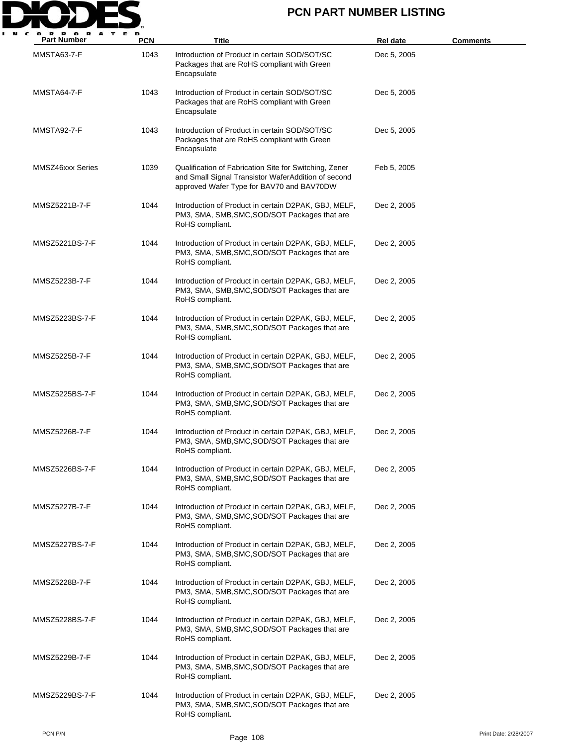

| <b>Part Number</b> | <b>PCN</b> | <b>Title</b>                                                                                                                                               | <b>Rel date</b> | <b>Comments</b> |
|--------------------|------------|------------------------------------------------------------------------------------------------------------------------------------------------------------|-----------------|-----------------|
| MMSTA63-7-F        | 1043       | Introduction of Product in certain SOD/SOT/SC<br>Packages that are RoHS compliant with Green<br>Encapsulate                                                | Dec 5, 2005     |                 |
| MMSTA64-7-F        | 1043       | Introduction of Product in certain SOD/SOT/SC<br>Packages that are RoHS compliant with Green<br>Encapsulate                                                | Dec 5, 2005     |                 |
| MMSTA92-7-F        | 1043       | Introduction of Product in certain SOD/SOT/SC<br>Packages that are RoHS compliant with Green<br>Encapsulate                                                | Dec 5, 2005     |                 |
| MMSZ46xxx Series   | 1039       | Qualification of Fabrication Site for Switching, Zener<br>and Small Signal Transistor WaferAddition of second<br>approved Wafer Type for BAV70 and BAV70DW | Feb 5, 2005     |                 |
| MMSZ5221B-7-F      | 1044       | Introduction of Product in certain D2PAK, GBJ, MELF,<br>PM3, SMA, SMB, SMC, SOD/SOT Packages that are<br>RoHS compliant.                                   | Dec 2, 2005     |                 |
| MMSZ5221BS-7-F     | 1044       | Introduction of Product in certain D2PAK, GBJ, MELF,<br>PM3, SMA, SMB, SMC, SOD/SOT Packages that are<br>RoHS compliant.                                   | Dec 2, 2005     |                 |
| MMSZ5223B-7-F      | 1044       | Introduction of Product in certain D2PAK, GBJ, MELF,<br>PM3, SMA, SMB, SMC, SOD/SOT Packages that are<br>RoHS compliant.                                   | Dec 2, 2005     |                 |
| MMSZ5223BS-7-F     | 1044       | Introduction of Product in certain D2PAK, GBJ, MELF,<br>PM3, SMA, SMB, SMC, SOD/SOT Packages that are<br>RoHS compliant.                                   | Dec 2, 2005     |                 |
| MMSZ5225B-7-F      | 1044       | Introduction of Product in certain D2PAK, GBJ, MELF,<br>PM3, SMA, SMB, SMC, SOD/SOT Packages that are<br>RoHS compliant.                                   | Dec 2, 2005     |                 |
| MMSZ5225BS-7-F     | 1044       | Introduction of Product in certain D2PAK, GBJ, MELF,<br>PM3, SMA, SMB, SMC, SOD/SOT Packages that are<br>RoHS compliant.                                   | Dec 2, 2005     |                 |
| MMSZ5226B-7-F      | 1044       | Introduction of Product in certain D2PAK, GBJ, MELF,<br>PM3, SMA, SMB, SMC, SOD/SOT Packages that are<br>RoHS compliant.                                   | Dec 2, 2005     |                 |
| MMSZ5226BS-7-F     | 1044       | Introduction of Product in certain D2PAK, GBJ, MELF,<br>PM3, SMA, SMB, SMC, SOD/SOT Packages that are<br>RoHS compliant.                                   | Dec 2, 2005     |                 |
| MMSZ5227B-7-F      | 1044       | Introduction of Product in certain D2PAK, GBJ, MELF,<br>PM3, SMA, SMB, SMC, SOD/SOT Packages that are<br>RoHS compliant.                                   | Dec 2, 2005     |                 |
| MMSZ5227BS-7-F     | 1044       | Introduction of Product in certain D2PAK, GBJ, MELF,<br>PM3, SMA, SMB, SMC, SOD/SOT Packages that are<br>RoHS compliant.                                   | Dec 2, 2005     |                 |
| MMSZ5228B-7-F      | 1044       | Introduction of Product in certain D2PAK, GBJ, MELF,<br>PM3, SMA, SMB, SMC, SOD/SOT Packages that are<br>RoHS compliant.                                   | Dec 2, 2005     |                 |
| MMSZ5228BS-7-F     | 1044       | Introduction of Product in certain D2PAK, GBJ, MELF,<br>PM3, SMA, SMB, SMC, SOD/SOT Packages that are<br>RoHS compliant.                                   | Dec 2, 2005     |                 |
| MMSZ5229B-7-F      | 1044       | Introduction of Product in certain D2PAK, GBJ, MELF,<br>PM3, SMA, SMB, SMC, SOD/SOT Packages that are<br>RoHS compliant.                                   | Dec 2, 2005     |                 |
| MMSZ5229BS-7-F     | 1044       | Introduction of Product in certain D2PAK, GBJ, MELF,<br>PM3, SMA, SMB, SMC, SOD/SOT Packages that are<br>RoHS compliant.                                   | Dec 2, 2005     |                 |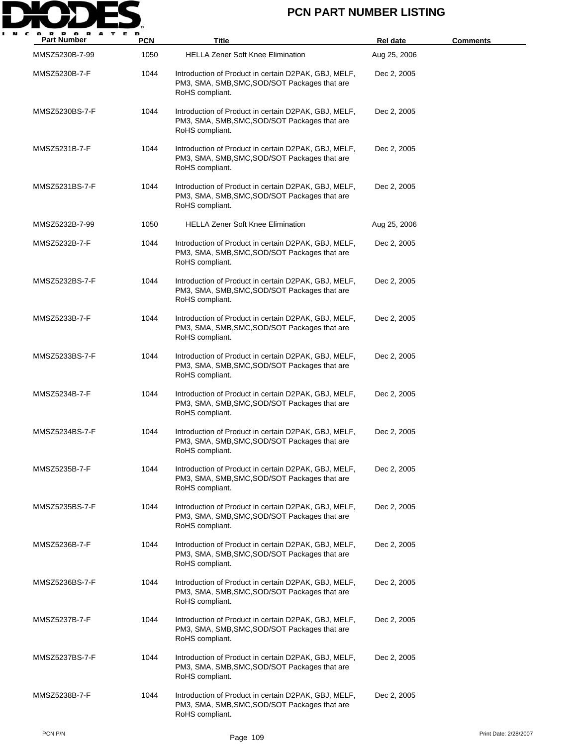

| Part Number    | <b>PCN</b> | Title                                                                                                                    | Rel date     | <b>Comments</b>       |
|----------------|------------|--------------------------------------------------------------------------------------------------------------------------|--------------|-----------------------|
| MMSZ5230B-7-99 | 1050       | <b>HELLA Zener Soft Knee Elimination</b>                                                                                 | Aug 25, 2006 |                       |
| MMSZ5230B-7-F  | 1044       | Introduction of Product in certain D2PAK, GBJ, MELF,<br>PM3, SMA, SMB, SMC, SOD/SOT Packages that are<br>RoHS compliant. | Dec 2, 2005  |                       |
| MMSZ5230BS-7-F | 1044       | Introduction of Product in certain D2PAK, GBJ, MELF,<br>PM3, SMA, SMB, SMC, SOD/SOT Packages that are<br>RoHS compliant. | Dec 2, 2005  |                       |
| MMSZ5231B-7-F  | 1044       | Introduction of Product in certain D2PAK, GBJ, MELF,<br>PM3, SMA, SMB, SMC, SOD/SOT Packages that are<br>RoHS compliant. | Dec 2, 2005  |                       |
| MMSZ5231BS-7-F | 1044       | Introduction of Product in certain D2PAK, GBJ, MELF,<br>PM3, SMA, SMB, SMC, SOD/SOT Packages that are<br>RoHS compliant. | Dec 2, 2005  |                       |
| MMSZ5232B-7-99 | 1050       | <b>HELLA Zener Soft Knee Elimination</b>                                                                                 | Aug 25, 2006 |                       |
| MMSZ5232B-7-F  | 1044       | Introduction of Product in certain D2PAK, GBJ, MELF,<br>PM3, SMA, SMB, SMC, SOD/SOT Packages that are<br>RoHS compliant. | Dec 2, 2005  |                       |
| MMSZ5232BS-7-F | 1044       | Introduction of Product in certain D2PAK, GBJ, MELF,<br>PM3, SMA, SMB, SMC, SOD/SOT Packages that are<br>RoHS compliant. | Dec 2, 2005  |                       |
| MMSZ5233B-7-F  | 1044       | Introduction of Product in certain D2PAK, GBJ, MELF,<br>PM3, SMA, SMB, SMC, SOD/SOT Packages that are<br>RoHS compliant. | Dec 2, 2005  |                       |
| MMSZ5233BS-7-F | 1044       | Introduction of Product in certain D2PAK, GBJ, MELF,<br>PM3, SMA, SMB, SMC, SOD/SOT Packages that are<br>RoHS compliant. | Dec 2, 2005  |                       |
| MMSZ5234B-7-F  | 1044       | Introduction of Product in certain D2PAK, GBJ, MELF,<br>PM3, SMA, SMB, SMC, SOD/SOT Packages that are<br>RoHS compliant. | Dec 2, 2005  |                       |
| MMSZ5234BS-7-F | 1044       | Introduction of Product in certain D2PAK, GBJ, MELF,<br>PM3, SMA, SMB, SMC, SOD/SOT Packages that are<br>RoHS compliant. | Dec 2, 2005  |                       |
| MMSZ5235B-7-F  | 1044       | Introduction of Product in certain D2PAK, GBJ, MELF,<br>PM3, SMA, SMB, SMC, SOD/SOT Packages that are<br>RoHS compliant. | Dec 2, 2005  |                       |
| MMSZ5235BS-7-F | 1044       | Introduction of Product in certain D2PAK, GBJ, MELF,<br>PM3, SMA, SMB, SMC, SOD/SOT Packages that are<br>RoHS compliant. | Dec 2, 2005  |                       |
| MMSZ5236B-7-F  | 1044       | Introduction of Product in certain D2PAK, GBJ, MELF,<br>PM3, SMA, SMB, SMC, SOD/SOT Packages that are<br>RoHS compliant. | Dec 2, 2005  |                       |
| MMSZ5236BS-7-F | 1044       | Introduction of Product in certain D2PAK, GBJ, MELF,<br>PM3, SMA, SMB, SMC, SOD/SOT Packages that are<br>RoHS compliant. | Dec 2, 2005  |                       |
| MMSZ5237B-7-F  | 1044       | Introduction of Product in certain D2PAK, GBJ, MELF,<br>PM3, SMA, SMB, SMC, SOD/SOT Packages that are<br>RoHS compliant. | Dec 2, 2005  |                       |
| MMSZ5237BS-7-F | 1044       | Introduction of Product in certain D2PAK, GBJ, MELF,<br>PM3, SMA, SMB, SMC, SOD/SOT Packages that are<br>RoHS compliant. | Dec 2, 2005  |                       |
| MMSZ5238B-7-F  | 1044       | Introduction of Product in certain D2PAK, GBJ, MELF,<br>PM3, SMA, SMB, SMC, SOD/SOT Packages that are<br>RoHS compliant. | Dec 2, 2005  |                       |
| PCN P/N        |            | Page 109                                                                                                                 |              | Print Date: 2/28/2007 |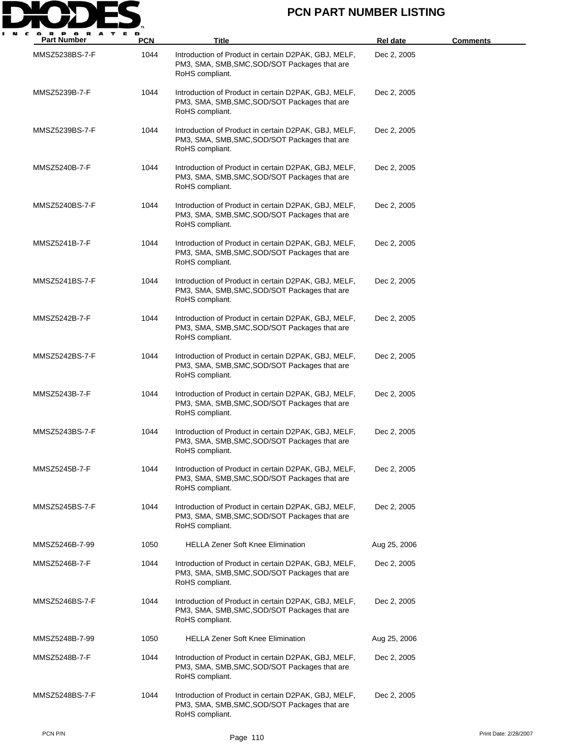

| <b>Part Number</b> | <b>PCN</b> | Title                                                                                                                    | <b>Rel date</b> | <b>Comments</b> |
|--------------------|------------|--------------------------------------------------------------------------------------------------------------------------|-----------------|-----------------|
| MMSZ5238BS-7-F     | 1044       | Introduction of Product in certain D2PAK, GBJ, MELF,<br>PM3, SMA, SMB, SMC, SOD/SOT Packages that are<br>RoHS compliant. | Dec 2, 2005     |                 |
| MMSZ5239B-7-F      | 1044       | Introduction of Product in certain D2PAK, GBJ, MELF,<br>PM3, SMA, SMB, SMC, SOD/SOT Packages that are<br>RoHS compliant. | Dec 2, 2005     |                 |
| MMSZ5239BS-7-F     | 1044       | Introduction of Product in certain D2PAK, GBJ, MELF,<br>PM3, SMA, SMB, SMC, SOD/SOT Packages that are<br>RoHS compliant. | Dec 2, 2005     |                 |
| MMSZ5240B-7-F      | 1044       | Introduction of Product in certain D2PAK, GBJ, MELF,<br>PM3, SMA, SMB, SMC, SOD/SOT Packages that are<br>RoHS compliant. | Dec 2, 2005     |                 |
| MMSZ5240BS-7-F     | 1044       | Introduction of Product in certain D2PAK, GBJ, MELF,<br>PM3, SMA, SMB, SMC, SOD/SOT Packages that are<br>RoHS compliant. | Dec 2, 2005     |                 |
| MMSZ5241B-7-F      | 1044       | Introduction of Product in certain D2PAK, GBJ, MELF,<br>PM3, SMA, SMB, SMC, SOD/SOT Packages that are<br>RoHS compliant. | Dec 2, 2005     |                 |
| MMSZ5241BS-7-F     | 1044       | Introduction of Product in certain D2PAK, GBJ, MELF,<br>PM3, SMA, SMB, SMC, SOD/SOT Packages that are<br>RoHS compliant. | Dec 2, 2005     |                 |
| MMSZ5242B-7-F      | 1044       | Introduction of Product in certain D2PAK, GBJ, MELF,<br>PM3, SMA, SMB, SMC, SOD/SOT Packages that are<br>RoHS compliant. | Dec 2, 2005     |                 |
| MMSZ5242BS-7-F     | 1044       | Introduction of Product in certain D2PAK, GBJ, MELF,<br>PM3, SMA, SMB, SMC, SOD/SOT Packages that are<br>RoHS compliant. | Dec 2, 2005     |                 |
| MMSZ5243B-7-F      | 1044       | Introduction of Product in certain D2PAK, GBJ, MELF,<br>PM3, SMA, SMB, SMC, SOD/SOT Packages that are<br>RoHS compliant. | Dec 2, 2005     |                 |
| MMSZ5243BS-7-F     | 1044       | Introduction of Product in certain D2PAK, GBJ, MELF,<br>PM3, SMA, SMB, SMC, SOD/SOT Packages that are<br>RoHS compliant. | Dec 2, 2005     |                 |
| MMSZ5245B-7-F      | 1044       | Introduction of Product in certain D2PAK, GBJ, MELF,<br>PM3, SMA, SMB, SMC, SOD/SOT Packages that are<br>RoHS compliant. | Dec 2, 2005     |                 |
| MMSZ5245BS-7-F     | 1044       | Introduction of Product in certain D2PAK, GBJ, MELF,<br>PM3, SMA, SMB, SMC, SOD/SOT Packages that are<br>RoHS compliant. | Dec 2, 2005     |                 |
| MMSZ5246B-7-99     | 1050       | <b>HELLA Zener Soft Knee Elimination</b>                                                                                 | Aug 25, 2006    |                 |
| MMSZ5246B-7-F      | 1044       | Introduction of Product in certain D2PAK, GBJ, MELF,<br>PM3, SMA, SMB, SMC, SOD/SOT Packages that are<br>RoHS compliant. | Dec 2, 2005     |                 |
| MMSZ5246BS-7-F     | 1044       | Introduction of Product in certain D2PAK, GBJ, MELF,<br>PM3, SMA, SMB, SMC, SOD/SOT Packages that are<br>RoHS compliant. | Dec 2, 2005     |                 |
| MMSZ5248B-7-99     | 1050       | <b>HELLA Zener Soft Knee Elimination</b>                                                                                 | Aug 25, 2006    |                 |
| MMSZ5248B-7-F      | 1044       | Introduction of Product in certain D2PAK, GBJ, MELF,<br>PM3, SMA, SMB, SMC, SOD/SOT Packages that are<br>RoHS compliant. | Dec 2, 2005     |                 |
| MMSZ5248BS-7-F     | 1044       | Introduction of Product in certain D2PAK, GBJ, MELF,<br>PM3, SMA, SMB, SMC, SOD/SOT Packages that are<br>RoHS compliant. | Dec 2, 2005     |                 |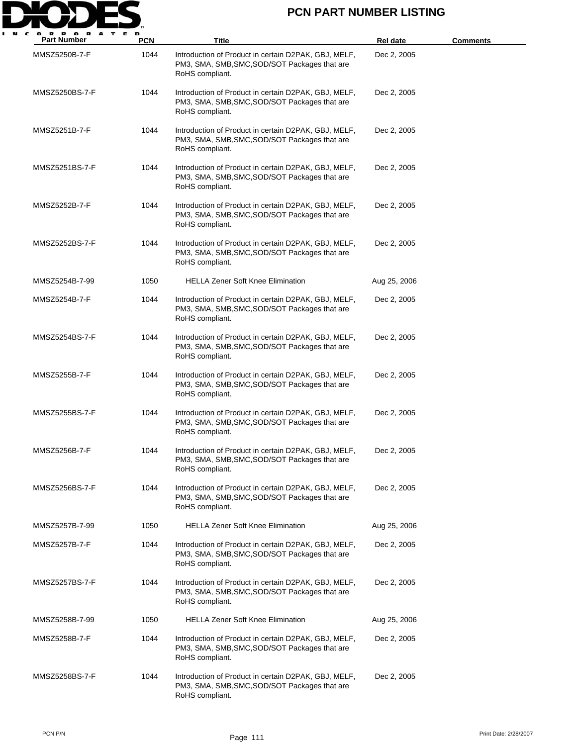

| <b>Part Number</b> | <b>PCN</b> | <b>Title</b>                                                                                                             | <b>Rel date</b> | Comments |
|--------------------|------------|--------------------------------------------------------------------------------------------------------------------------|-----------------|----------|
| MMSZ5250B-7-F      | 1044       | Introduction of Product in certain D2PAK, GBJ, MELF,<br>PM3, SMA, SMB, SMC, SOD/SOT Packages that are<br>RoHS compliant. | Dec 2, 2005     |          |
| MMSZ5250BS-7-F     | 1044       | Introduction of Product in certain D2PAK, GBJ, MELF,<br>PM3, SMA, SMB, SMC, SOD/SOT Packages that are<br>RoHS compliant. | Dec 2, 2005     |          |
| MMSZ5251B-7-F      | 1044       | Introduction of Product in certain D2PAK, GBJ, MELF,<br>PM3, SMA, SMB, SMC, SOD/SOT Packages that are<br>RoHS compliant. | Dec 2, 2005     |          |
| MMSZ5251BS-7-F     | 1044       | Introduction of Product in certain D2PAK, GBJ, MELF,<br>PM3, SMA, SMB, SMC, SOD/SOT Packages that are<br>RoHS compliant. | Dec 2, 2005     |          |
| MMSZ5252B-7-F      | 1044       | Introduction of Product in certain D2PAK, GBJ, MELF,<br>PM3, SMA, SMB, SMC, SOD/SOT Packages that are<br>RoHS compliant. | Dec 2, 2005     |          |
| MMSZ5252BS-7-F     | 1044       | Introduction of Product in certain D2PAK, GBJ, MELF,<br>PM3, SMA, SMB, SMC, SOD/SOT Packages that are<br>RoHS compliant. | Dec 2, 2005     |          |
| MMSZ5254B-7-99     | 1050       | <b>HELLA Zener Soft Knee Elimination</b>                                                                                 | Aug 25, 2006    |          |
| MMSZ5254B-7-F      | 1044       | Introduction of Product in certain D2PAK, GBJ, MELF,<br>PM3, SMA, SMB, SMC, SOD/SOT Packages that are<br>RoHS compliant. | Dec 2, 2005     |          |
| MMSZ5254BS-7-F     | 1044       | Introduction of Product in certain D2PAK, GBJ, MELF,<br>PM3, SMA, SMB, SMC, SOD/SOT Packages that are<br>RoHS compliant. | Dec 2, 2005     |          |
| MMSZ5255B-7-F      | 1044       | Introduction of Product in certain D2PAK, GBJ, MELF,<br>PM3, SMA, SMB, SMC, SOD/SOT Packages that are<br>RoHS compliant. | Dec 2, 2005     |          |
| MMSZ5255BS-7-F     | 1044       | Introduction of Product in certain D2PAK, GBJ, MELF,<br>PM3, SMA, SMB, SMC, SOD/SOT Packages that are<br>RoHS compliant. | Dec 2, 2005     |          |
| MMSZ5256B-7-F      | 1044       | Introduction of Product in certain D2PAK, GBJ, MELF,<br>PM3, SMA, SMB, SMC, SOD/SOT Packages that are<br>RoHS compliant. | Dec 2, 2005     |          |
| MMSZ5256BS-7-F     | 1044       | Introduction of Product in certain D2PAK, GBJ, MELF,<br>PM3, SMA, SMB, SMC, SOD/SOT Packages that are<br>RoHS compliant. | Dec 2, 2005     |          |
| MMSZ5257B-7-99     | 1050       | <b>HELLA Zener Soft Knee Elimination</b>                                                                                 | Aug 25, 2006    |          |
| MMSZ5257B-7-F      | 1044       | Introduction of Product in certain D2PAK, GBJ, MELF,<br>PM3, SMA, SMB, SMC, SOD/SOT Packages that are<br>RoHS compliant. | Dec 2, 2005     |          |
| MMSZ5257BS-7-F     | 1044       | Introduction of Product in certain D2PAK, GBJ, MELF,<br>PM3, SMA, SMB, SMC, SOD/SOT Packages that are<br>RoHS compliant. | Dec 2, 2005     |          |
| MMSZ5258B-7-99     | 1050       | <b>HELLA Zener Soft Knee Elimination</b>                                                                                 | Aug 25, 2006    |          |
| MMSZ5258B-7-F      | 1044       | Introduction of Product in certain D2PAK, GBJ, MELF,<br>PM3, SMA, SMB, SMC, SOD/SOT Packages that are<br>RoHS compliant. | Dec 2, 2005     |          |
| MMSZ5258BS-7-F     | 1044       | Introduction of Product in certain D2PAK, GBJ, MELF,<br>PM3, SMA, SMB, SMC, SOD/SOT Packages that are<br>RoHS compliant. | Dec 2, 2005     |          |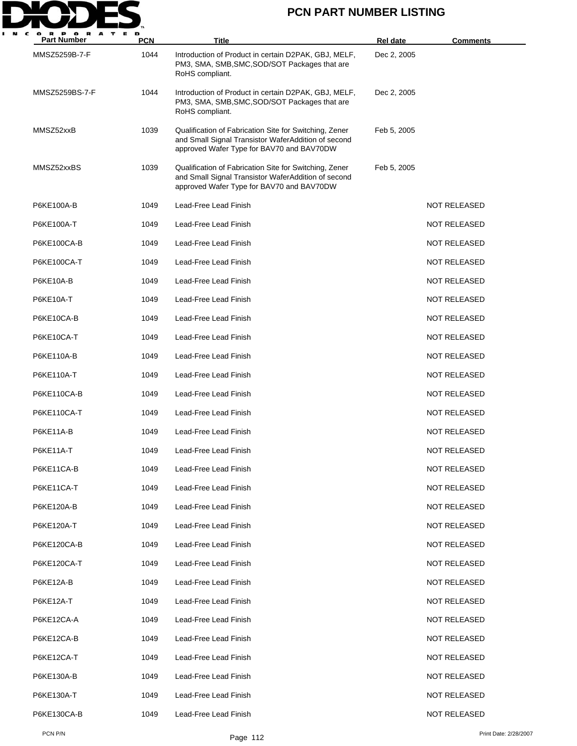

| <b>Part Number</b> | <b>PCN</b> | <b>Title</b>                                                                                                                                               | Rel date    | <b>Comments</b>     |
|--------------------|------------|------------------------------------------------------------------------------------------------------------------------------------------------------------|-------------|---------------------|
| MMSZ5259B-7-F      | 1044       | Introduction of Product in certain D2PAK, GBJ, MELF,<br>PM3, SMA, SMB, SMC, SOD/SOT Packages that are<br>RoHS compliant.                                   | Dec 2, 2005 |                     |
| MMSZ5259BS-7-F     | 1044       | Introduction of Product in certain D2PAK, GBJ, MELF,<br>PM3, SMA, SMB, SMC, SOD/SOT Packages that are<br>RoHS compliant.                                   | Dec 2, 2005 |                     |
| MMSZ52xxB          | 1039       | Qualification of Fabrication Site for Switching, Zener<br>and Small Signal Transistor WaferAddition of second<br>approved Wafer Type for BAV70 and BAV70DW | Feb 5, 2005 |                     |
| MMSZ52xxBS         | 1039       | Qualification of Fabrication Site for Switching, Zener<br>and Small Signal Transistor WaferAddition of second<br>approved Wafer Type for BAV70 and BAV70DW | Feb 5, 2005 |                     |
| P6KE100A-B         | 1049       | Lead-Free Lead Finish                                                                                                                                      |             | <b>NOT RELEASED</b> |
| P6KE100A-T         | 1049       | Lead-Free Lead Finish                                                                                                                                      |             | <b>NOT RELEASED</b> |
| P6KE100CA-B        | 1049       | Lead-Free Lead Finish                                                                                                                                      |             | <b>NOT RELEASED</b> |
| P6KE100CA-T        | 1049       | Lead-Free Lead Finish                                                                                                                                      |             | <b>NOT RELEASED</b> |
| <b>P6KE10A-B</b>   | 1049       | Lead-Free Lead Finish                                                                                                                                      |             | <b>NOT RELEASED</b> |
| <b>P6KE10A-T</b>   | 1049       | Lead-Free Lead Finish                                                                                                                                      |             | <b>NOT RELEASED</b> |
| P6KE10CA-B         | 1049       | Lead-Free Lead Finish                                                                                                                                      |             | <b>NOT RELEASED</b> |
| P6KE10CA-T         | 1049       | Lead-Free Lead Finish                                                                                                                                      |             | <b>NOT RELEASED</b> |
| P6KE110A-B         | 1049       | Lead-Free Lead Finish                                                                                                                                      |             | <b>NOT RELEASED</b> |
| P6KE110A-T         | 1049       | Lead-Free Lead Finish                                                                                                                                      |             | <b>NOT RELEASED</b> |
| P6KE110CA-B        | 1049       | Lead-Free Lead Finish                                                                                                                                      |             | <b>NOT RELEASED</b> |
| P6KE110CA-T        | 1049       | Lead-Free Lead Finish                                                                                                                                      |             | <b>NOT RELEASED</b> |
| P6KE11A-B          | 1049       | Lead-Free Lead Finish                                                                                                                                      |             | <b>NOT RELEASED</b> |
| P6KE11A-T          | 1049       | Lead-Free Lead Finish                                                                                                                                      |             | <b>NOT RELEASED</b> |
| P6KE11CA-B         | 1049       | Lead-Free Lead Finish                                                                                                                                      |             | <b>NOT RELEASED</b> |
| P6KE11CA-T         | 1049       | Lead-Free Lead Finish                                                                                                                                      |             | <b>NOT RELEASED</b> |
| P6KE120A-B         | 1049       | Lead-Free Lead Finish                                                                                                                                      |             | <b>NOT RELEASED</b> |
| P6KE120A-T         | 1049       | Lead-Free Lead Finish                                                                                                                                      |             | <b>NOT RELEASED</b> |
| P6KE120CA-B        | 1049       | Lead-Free Lead Finish                                                                                                                                      |             | <b>NOT RELEASED</b> |
| P6KE120CA-T        | 1049       | Lead-Free Lead Finish                                                                                                                                      |             | <b>NOT RELEASED</b> |
| P6KE12A-B          | 1049       | Lead-Free Lead Finish                                                                                                                                      |             | <b>NOT RELEASED</b> |
| P6KE12A-T          | 1049       | Lead-Free Lead Finish                                                                                                                                      |             | NOT RELEASED        |
| P6KE12CA-A         | 1049       | Lead-Free Lead Finish                                                                                                                                      |             | <b>NOT RELEASED</b> |
| P6KE12CA-B         | 1049       | Lead-Free Lead Finish                                                                                                                                      |             | <b>NOT RELEASED</b> |
| P6KE12CA-T         | 1049       | Lead-Free Lead Finish                                                                                                                                      |             | NOT RELEASED        |
| P6KE130A-B         | 1049       | Lead-Free Lead Finish                                                                                                                                      |             | <b>NOT RELEASED</b> |
| P6KE130A-T         | 1049       | Lead-Free Lead Finish                                                                                                                                      |             | <b>NOT RELEASED</b> |
| P6KE130CA-B        | 1049       | Lead-Free Lead Finish                                                                                                                                      |             | <b>NOT RELEASED</b> |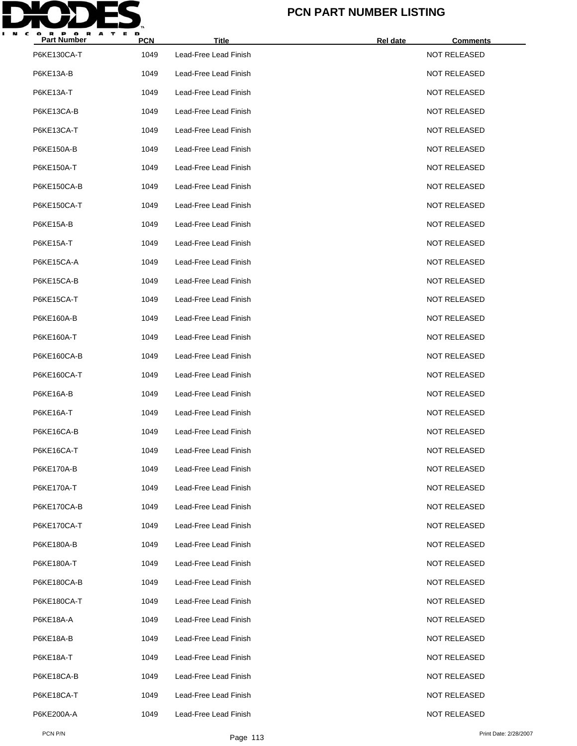

| <b>Part Number</b> | <b>PCN</b> | <b>Title</b>          | Rel date | <b>Comments</b>     |
|--------------------|------------|-----------------------|----------|---------------------|
| P6KE130CA-T        | 1049       | Lead-Free Lead Finish |          | NOT RELEASED        |
| P6KE13A-B          | 1049       | Lead-Free Lead Finish |          | <b>NOT RELEASED</b> |
| <b>P6KE13A-T</b>   | 1049       | Lead-Free Lead Finish |          | <b>NOT RELEASED</b> |
| P6KE13CA-B         | 1049       | Lead-Free Lead Finish |          | <b>NOT RELEASED</b> |
| P6KE13CA-T         | 1049       | Lead-Free Lead Finish |          | <b>NOT RELEASED</b> |
| P6KE150A-B         | 1049       | Lead-Free Lead Finish |          | <b>NOT RELEASED</b> |
| P6KE150A-T         | 1049       | Lead-Free Lead Finish |          | <b>NOT RELEASED</b> |
| P6KE150CA-B        | 1049       | Lead-Free Lead Finish |          | <b>NOT RELEASED</b> |
| P6KE150CA-T        | 1049       | Lead-Free Lead Finish |          | <b>NOT RELEASED</b> |
| P6KE15A-B          | 1049       | Lead-Free Lead Finish |          | <b>NOT RELEASED</b> |
| <b>P6KE15A-T</b>   | 1049       | Lead-Free Lead Finish |          | <b>NOT RELEASED</b> |
| P6KE15CA-A         | 1049       | Lead-Free Lead Finish |          | <b>NOT RELEASED</b> |
| P6KE15CA-B         | 1049       | Lead-Free Lead Finish |          | <b>NOT RELEASED</b> |
| P6KE15CA-T         | 1049       | Lead-Free Lead Finish |          | <b>NOT RELEASED</b> |
| P6KE160A-B         | 1049       | Lead-Free Lead Finish |          | <b>NOT RELEASED</b> |
| P6KE160A-T         | 1049       | Lead-Free Lead Finish |          | <b>NOT RELEASED</b> |
| P6KE160CA-B        | 1049       | Lead-Free Lead Finish |          | <b>NOT RELEASED</b> |
| P6KE160CA-T        | 1049       | Lead-Free Lead Finish |          | <b>NOT RELEASED</b> |
| <b>P6KE16A-B</b>   | 1049       | Lead-Free Lead Finish |          | <b>NOT RELEASED</b> |
| P6KE16A-T          | 1049       | Lead-Free Lead Finish |          | <b>NOT RELEASED</b> |
| P6KE16CA-B         | 1049       | Lead-Free Lead Finish |          | <b>NOT RELEASED</b> |
| P6KE16CA-T         | 1049       | Lead-Free Lead Finish |          | <b>NOT RELEASED</b> |
| P6KE170A-B         | 1049       | Lead-Free Lead Finish |          | <b>NOT RELEASED</b> |
| P6KE170A-T         | 1049       | Lead-Free Lead Finish |          | <b>NOT RELEASED</b> |
| P6KE170CA-B        | 1049       | Lead-Free Lead Finish |          | <b>NOT RELEASED</b> |
| P6KE170CA-T        | 1049       | Lead-Free Lead Finish |          | <b>NOT RELEASED</b> |
| P6KE180A-B         | 1049       | Lead-Free Lead Finish |          | <b>NOT RELEASED</b> |
| P6KE180A-T         | 1049       | Lead-Free Lead Finish |          | <b>NOT RELEASED</b> |
| P6KE180CA-B        | 1049       | Lead-Free Lead Finish |          | <b>NOT RELEASED</b> |
| P6KE180CA-T        | 1049       | Lead-Free Lead Finish |          | <b>NOT RELEASED</b> |
| P6KE18A-A          | 1049       | Lead-Free Lead Finish |          | <b>NOT RELEASED</b> |
| P6KE18A-B          | 1049       | Lead-Free Lead Finish |          | <b>NOT RELEASED</b> |
| P6KE18A-T          | 1049       | Lead-Free Lead Finish |          | <b>NOT RELEASED</b> |
| P6KE18CA-B         | 1049       | Lead-Free Lead Finish |          | <b>NOT RELEASED</b> |
| P6KE18CA-T         | 1049       | Lead-Free Lead Finish |          | <b>NOT RELEASED</b> |
| P6KE200A-A         | 1049       | Lead-Free Lead Finish |          | <b>NOT RELEASED</b> |
|                    |            |                       |          |                     |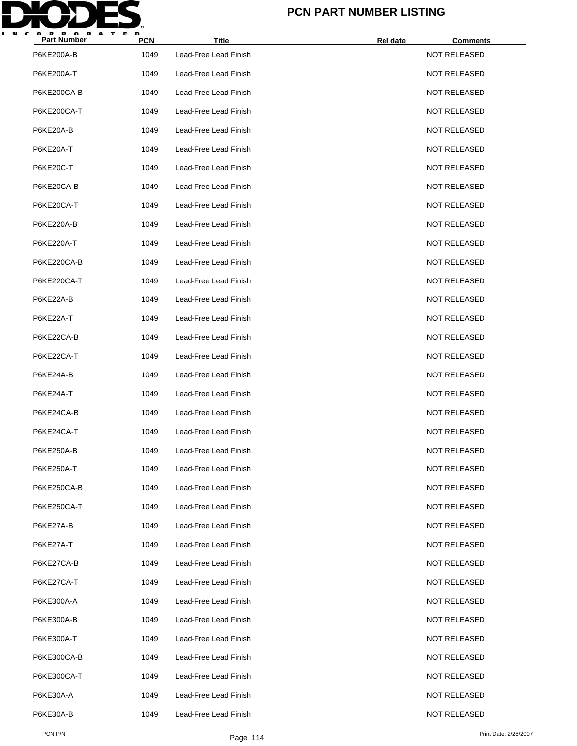

| <b>Part Number</b> | <b>PCN</b> | <b>Title</b>          | Rel date | <b>Comments</b>     |
|--------------------|------------|-----------------------|----------|---------------------|
| P6KE200A-B         | 1049       | Lead-Free Lead Finish |          | <b>NOT RELEASED</b> |
| P6KE200A-T         | 1049       | Lead-Free Lead Finish |          | <b>NOT RELEASED</b> |
| P6KE200CA-B        | 1049       | Lead-Free Lead Finish |          | <b>NOT RELEASED</b> |
| P6KE200CA-T        | 1049       | Lead-Free Lead Finish |          | <b>NOT RELEASED</b> |
| P6KE20A-B          | 1049       | Lead-Free Lead Finish |          | <b>NOT RELEASED</b> |
| P6KE20A-T          | 1049       | Lead-Free Lead Finish |          | <b>NOT RELEASED</b> |
| P6KE20C-T          | 1049       | Lead-Free Lead Finish |          | <b>NOT RELEASED</b> |
| P6KE20CA-B         | 1049       | Lead-Free Lead Finish |          | <b>NOT RELEASED</b> |
| P6KE20CA-T         | 1049       | Lead-Free Lead Finish |          | <b>NOT RELEASED</b> |
| P6KE220A-B         | 1049       | Lead-Free Lead Finish |          | <b>NOT RELEASED</b> |
| P6KE220A-T         | 1049       | Lead-Free Lead Finish |          | <b>NOT RELEASED</b> |
| P6KE220CA-B        | 1049       | Lead-Free Lead Finish |          | <b>NOT RELEASED</b> |
| P6KE220CA-T        | 1049       | Lead-Free Lead Finish |          | <b>NOT RELEASED</b> |
| P6KE22A-B          | 1049       | Lead-Free Lead Finish |          | <b>NOT RELEASED</b> |
| P6KE22A-T          | 1049       | Lead-Free Lead Finish |          | <b>NOT RELEASED</b> |
| P6KE22CA-B         | 1049       | Lead-Free Lead Finish |          | <b>NOT RELEASED</b> |
| P6KE22CA-T         | 1049       | Lead-Free Lead Finish |          | <b>NOT RELEASED</b> |
| P6KE24A-B          | 1049       | Lead-Free Lead Finish |          | <b>NOT RELEASED</b> |
| P6KE24A-T          | 1049       | Lead-Free Lead Finish |          | <b>NOT RELEASED</b> |
| P6KE24CA-B         | 1049       | Lead-Free Lead Finish |          | <b>NOT RELEASED</b> |
| P6KE24CA-T         | 1049       | Lead-Free Lead Finish |          | <b>NOT RELEASED</b> |
| P6KE250A-B         | 1049       | Lead-Free Lead Finish |          | <b>NOT RELEASED</b> |
| P6KE250A-T         | 1049       | Lead-Free Lead Finish |          | <b>NOT RELEASED</b> |
| P6KE250CA-B        | 1049       | Lead-Free Lead Finish |          | <b>NOT RELEASED</b> |
| P6KE250CA-T        | 1049       | Lead-Free Lead Finish |          | <b>NOT RELEASED</b> |
| P6KE27A-B          | 1049       | Lead-Free Lead Finish |          | <b>NOT RELEASED</b> |
| P6KE27A-T          | 1049       | Lead-Free Lead Finish |          | <b>NOT RELEASED</b> |
| P6KE27CA-B         | 1049       | Lead-Free Lead Finish |          | <b>NOT RELEASED</b> |
| P6KE27CA-T         | 1049       | Lead-Free Lead Finish |          | NOT RELEASED        |
| P6KE300A-A         | 1049       | Lead-Free Lead Finish |          | <b>NOT RELEASED</b> |
| P6KE300A-B         | 1049       | Lead-Free Lead Finish |          | <b>NOT RELEASED</b> |
| P6KE300A-T         | 1049       | Lead-Free Lead Finish |          | NOT RELEASED        |
| P6KE300CA-B        | 1049       | Lead-Free Lead Finish |          | <b>NOT RELEASED</b> |
| P6KE300CA-T        | 1049       | Lead-Free Lead Finish |          | <b>NOT RELEASED</b> |
| P6KE30A-A          | 1049       | Lead-Free Lead Finish |          | <b>NOT RELEASED</b> |
| P6KE30A-B          | 1049       | Lead-Free Lead Finish |          | <b>NOT RELEASED</b> |
|                    |            |                       |          |                     |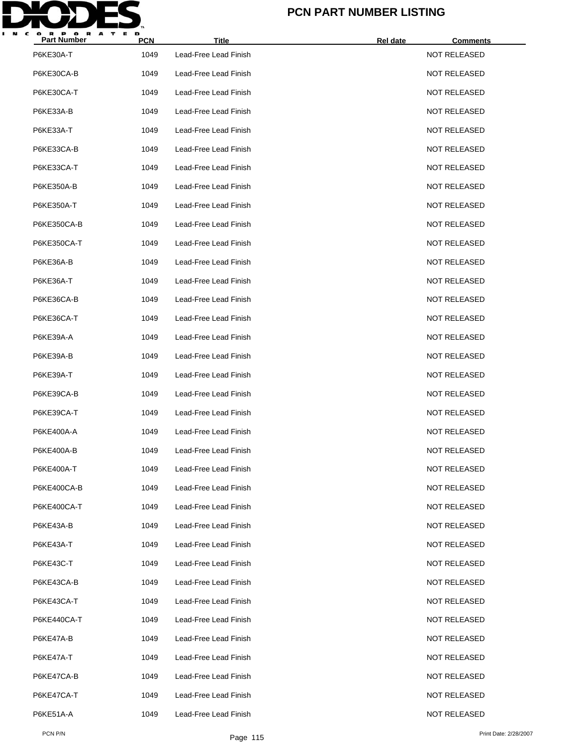

| <b>Part Number</b> | <b>PCN</b> | <b>Title</b>          | Rel date<br><b>Comments</b> |  |
|--------------------|------------|-----------------------|-----------------------------|--|
| P6KE30A-T          | 1049       | Lead-Free Lead Finish | <b>NOT RELEASED</b>         |  |
| P6KE30CA-B         | 1049       | Lead-Free Lead Finish | <b>NOT RELEASED</b>         |  |
| P6KE30CA-T         | 1049       | Lead-Free Lead Finish | <b>NOT RELEASED</b>         |  |
| P6KE33A-B          | 1049       | Lead-Free Lead Finish | <b>NOT RELEASED</b>         |  |
| P6KE33A-T          | 1049       | Lead-Free Lead Finish | <b>NOT RELEASED</b>         |  |
| P6KE33CA-B         | 1049       | Lead-Free Lead Finish | <b>NOT RELEASED</b>         |  |
| P6KE33CA-T         | 1049       | Lead-Free Lead Finish | <b>NOT RELEASED</b>         |  |
| P6KE350A-B         | 1049       | Lead-Free Lead Finish | <b>NOT RELEASED</b>         |  |
| P6KE350A-T         | 1049       | Lead-Free Lead Finish | <b>NOT RELEASED</b>         |  |
| P6KE350CA-B        | 1049       | Lead-Free Lead Finish | <b>NOT RELEASED</b>         |  |
| P6KE350CA-T        | 1049       | Lead-Free Lead Finish | <b>NOT RELEASED</b>         |  |
| P6KE36A-B          | 1049       | Lead-Free Lead Finish | <b>NOT RELEASED</b>         |  |
| P6KE36A-T          | 1049       | Lead-Free Lead Finish | <b>NOT RELEASED</b>         |  |
| P6KE36CA-B         | 1049       | Lead-Free Lead Finish | <b>NOT RELEASED</b>         |  |
| P6KE36CA-T         | 1049       | Lead-Free Lead Finish | <b>NOT RELEASED</b>         |  |
| P6KE39A-A          | 1049       | Lead-Free Lead Finish | <b>NOT RELEASED</b>         |  |
| P6KE39A-B          | 1049       | Lead-Free Lead Finish | <b>NOT RELEASED</b>         |  |
| P6KE39A-T          | 1049       | Lead-Free Lead Finish | <b>NOT RELEASED</b>         |  |
| P6KE39CA-B         | 1049       | Lead-Free Lead Finish | <b>NOT RELEASED</b>         |  |
| P6KE39CA-T         | 1049       | Lead-Free Lead Finish | NOT RELEASED                |  |
| P6KE400A-A         | 1049       | Lead-Free Lead Finish | <b>NOT RELEASED</b>         |  |
| P6KE400A-B         | 1049       | Lead-Free Lead Finish | <b>NOT RELEASED</b>         |  |
| P6KE400A-T         | 1049       | Lead-Free Lead Finish | <b>NOT RELEASED</b>         |  |
| P6KE400CA-B        | 1049       | Lead-Free Lead Finish | <b>NOT RELEASED</b>         |  |
| P6KE400CA-T        | 1049       | Lead-Free Lead Finish | <b>NOT RELEASED</b>         |  |
| P6KE43A-B          | 1049       | Lead-Free Lead Finish | <b>NOT RELEASED</b>         |  |
| P6KE43A-T          | 1049       | Lead-Free Lead Finish | <b>NOT RELEASED</b>         |  |
| <b>P6KE43C-T</b>   | 1049       | Lead-Free Lead Finish | <b>NOT RELEASED</b>         |  |
| P6KE43CA-B         | 1049       | Lead-Free Lead Finish | NOT RELEASED                |  |
| P6KE43CA-T         | 1049       | Lead-Free Lead Finish | <b>NOT RELEASED</b>         |  |
| P6KE440CA-T        | 1049       | Lead-Free Lead Finish | NOT RELEASED                |  |
| P6KE47A-B          | 1049       | Lead-Free Lead Finish | NOT RELEASED                |  |
| P6KE47A-T          | 1049       | Lead-Free Lead Finish | <b>NOT RELEASED</b>         |  |
| P6KE47CA-B         | 1049       | Lead-Free Lead Finish | NOT RELEASED                |  |
| P6KE47CA-T         | 1049       | Lead-Free Lead Finish | NOT RELEASED                |  |
| P6KE51A-A          | 1049       | Lead-Free Lead Finish | <b>NOT RELEASED</b>         |  |
|                    |            |                       |                             |  |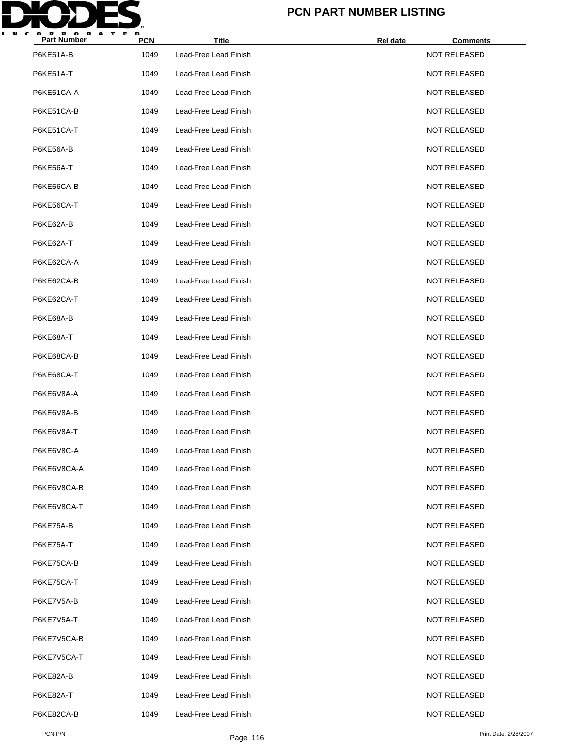

| <b>Part Number</b> | <b>PCN</b> | <b>Title</b>          | Rel date<br><b>Comments</b> |  |
|--------------------|------------|-----------------------|-----------------------------|--|
| P6KE51A-B          | 1049       | Lead-Free Lead Finish | <b>NOT RELEASED</b>         |  |
| P6KE51A-T          | 1049       | Lead-Free Lead Finish | <b>NOT RELEASED</b>         |  |
| P6KE51CA-A         | 1049       | Lead-Free Lead Finish | <b>NOT RELEASED</b>         |  |
| P6KE51CA-B         | 1049       | Lead-Free Lead Finish | <b>NOT RELEASED</b>         |  |
| P6KE51CA-T         | 1049       | Lead-Free Lead Finish | <b>NOT RELEASED</b>         |  |
| <b>P6KE56A-B</b>   | 1049       | Lead-Free Lead Finish | <b>NOT RELEASED</b>         |  |
| P6KE56A-T          | 1049       | Lead-Free Lead Finish | <b>NOT RELEASED</b>         |  |
| P6KE56CA-B         | 1049       | Lead-Free Lead Finish | <b>NOT RELEASED</b>         |  |
| P6KE56CA-T         | 1049       | Lead-Free Lead Finish | <b>NOT RELEASED</b>         |  |
| P6KE62A-B          | 1049       | Lead-Free Lead Finish | <b>NOT RELEASED</b>         |  |
| P6KE62A-T          | 1049       | Lead-Free Lead Finish | <b>NOT RELEASED</b>         |  |
| P6KE62CA-A         | 1049       | Lead-Free Lead Finish | <b>NOT RELEASED</b>         |  |
| P6KE62CA-B         | 1049       | Lead-Free Lead Finish | <b>NOT RELEASED</b>         |  |
| P6KE62CA-T         | 1049       | Lead-Free Lead Finish | <b>NOT RELEASED</b>         |  |
| P6KE68A-B          | 1049       | Lead-Free Lead Finish | <b>NOT RELEASED</b>         |  |
| P6KE68A-T          | 1049       | Lead-Free Lead Finish | <b>NOT RELEASED</b>         |  |
| P6KE68CA-B         | 1049       | Lead-Free Lead Finish | <b>NOT RELEASED</b>         |  |
| P6KE68CA-T         | 1049       | Lead-Free Lead Finish | <b>NOT RELEASED</b>         |  |
| P6KE6V8A-A         | 1049       | Lead-Free Lead Finish | <b>NOT RELEASED</b>         |  |
| P6KE6V8A-B         | 1049       | Lead-Free Lead Finish | <b>NOT RELEASED</b>         |  |
| P6KE6V8A-T         | 1049       | Lead-Free Lead Finish | <b>NOT RELEASED</b>         |  |
| P6KE6V8C-A         | 1049       | Lead-Free Lead Finish | <b>NOT RELEASED</b>         |  |
| P6KE6V8CA-A        | 1049       | Lead-Free Lead Finish | <b>NOT RELEASED</b>         |  |
| P6KE6V8CA-B        | 1049       | Lead-Free Lead Finish | <b>NOT RELEASED</b>         |  |
| P6KE6V8CA-T        | 1049       | Lead-Free Lead Finish | <b>NOT RELEASED</b>         |  |
| P6KE75A-B          | 1049       | Lead-Free Lead Finish | <b>NOT RELEASED</b>         |  |
| P6KE75A-T          | 1049       | Lead-Free Lead Finish | <b>NOT RELEASED</b>         |  |
| P6KE75CA-B         | 1049       | Lead-Free Lead Finish | <b>NOT RELEASED</b>         |  |
| P6KE75CA-T         | 1049       | Lead-Free Lead Finish | NOT RELEASED                |  |
| P6KE7V5A-B         | 1049       | Lead-Free Lead Finish | <b>NOT RELEASED</b>         |  |
| P6KE7V5A-T         | 1049       | Lead-Free Lead Finish | <b>NOT RELEASED</b>         |  |
| P6KE7V5CA-B        | 1049       | Lead-Free Lead Finish | NOT RELEASED                |  |
| P6KE7V5CA-T        | 1049       | Lead-Free Lead Finish | <b>NOT RELEASED</b>         |  |
| P6KE82A-B          | 1049       | Lead-Free Lead Finish | <b>NOT RELEASED</b>         |  |
| P6KE82A-T          | 1049       | Lead-Free Lead Finish | NOT RELEASED                |  |
| P6KE82CA-B         | 1049       | Lead-Free Lead Finish | <b>NOT RELEASED</b>         |  |
|                    |            |                       |                             |  |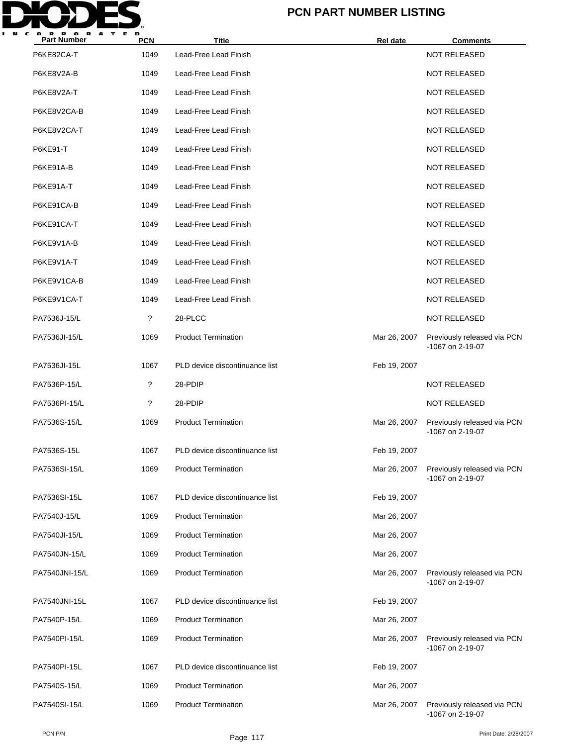

| <b>Part Number</b> | <b>PCN</b> | <b>Title</b>                   | Rel date     | <b>Comments</b>                                 |
|--------------------|------------|--------------------------------|--------------|-------------------------------------------------|
| P6KE82CA-T         | 1049       | Lead-Free Lead Finish          |              | <b>NOT RELEASED</b>                             |
| P6KE8V2A-B         | 1049       | Lead-Free Lead Finish          |              | <b>NOT RELEASED</b>                             |
| P6KE8V2A-T         | 1049       | Lead-Free Lead Finish          |              | <b>NOT RELEASED</b>                             |
| P6KE8V2CA-B        | 1049       | Lead-Free Lead Finish          |              | <b>NOT RELEASED</b>                             |
| P6KE8V2CA-T        | 1049       | Lead-Free Lead Finish          |              | <b>NOT RELEASED</b>                             |
| P6KE91-T           | 1049       | Lead-Free Lead Finish          |              | <b>NOT RELEASED</b>                             |
| P6KE91A-B          | 1049       | Lead-Free Lead Finish          |              | <b>NOT RELEASED</b>                             |
| P6KE91A-T          | 1049       | Lead-Free Lead Finish          |              | <b>NOT RELEASED</b>                             |
| P6KE91CA-B         | 1049       | Lead-Free Lead Finish          |              | <b>NOT RELEASED</b>                             |
| P6KE91CA-T         | 1049       | Lead-Free Lead Finish          |              | <b>NOT RELEASED</b>                             |
| P6KE9V1A-B         | 1049       | Lead-Free Lead Finish          |              | <b>NOT RELEASED</b>                             |
| P6KE9V1A-T         | 1049       | Lead-Free Lead Finish          |              | <b>NOT RELEASED</b>                             |
| P6KE9V1CA-B        | 1049       | Lead-Free Lead Finish          |              | <b>NOT RELEASED</b>                             |
| P6KE9V1CA-T        | 1049       | Lead-Free Lead Finish          |              | <b>NOT RELEASED</b>                             |
| PA7536J-15/L       | ?          | 28-PLCC                        |              | <b>NOT RELEASED</b>                             |
| PA7536JI-15/L      | 1069       | <b>Product Termination</b>     | Mar 26, 2007 | Previously released via PCN<br>-1067 on 2-19-07 |
| PA7536JI-15L       | 1067       | PLD device discontinuance list | Feb 19, 2007 |                                                 |
| PA7536P-15/L       | ?          | 28-PDIP                        |              | <b>NOT RELEASED</b>                             |
| PA7536PI-15/L      | ?          | 28-PDIP                        |              | <b>NOT RELEASED</b>                             |
| PA7536S-15/L       | 1069       | <b>Product Termination</b>     | Mar 26, 2007 | Previously released via PCN<br>-1067 on 2-19-07 |
| PA7536S-15L        | 1067       | PLD device discontinuance list | Feb 19, 2007 |                                                 |
| PA7536SI-15/L      | 1069       | <b>Product Termination</b>     | Mar 26, 2007 | Previously released via PCN<br>-1067 on 2-19-07 |
| PA7536SI-15L       | 1067       | PLD device discontinuance list | Feb 19, 2007 |                                                 |
| PA7540J-15/L       | 1069       | <b>Product Termination</b>     | Mar 26, 2007 |                                                 |
| PA7540JI-15/L      | 1069       | <b>Product Termination</b>     | Mar 26, 2007 |                                                 |
| PA7540JN-15/L      | 1069       | <b>Product Termination</b>     | Mar 26, 2007 |                                                 |
| PA7540JNI-15/L     | 1069       | <b>Product Termination</b>     | Mar 26, 2007 | Previously released via PCN<br>-1067 on 2-19-07 |
| PA7540JNI-15L      | 1067       | PLD device discontinuance list | Feb 19, 2007 |                                                 |
| PA7540P-15/L       | 1069       | <b>Product Termination</b>     | Mar 26, 2007 |                                                 |
| PA7540PI-15/L      | 1069       | <b>Product Termination</b>     | Mar 26, 2007 | Previously released via PCN<br>-1067 on 2-19-07 |
| PA7540PI-15L       | 1067       | PLD device discontinuance list | Feb 19, 2007 |                                                 |
| PA7540S-15/L       | 1069       | <b>Product Termination</b>     | Mar 26, 2007 |                                                 |
| PA7540SI-15/L      | 1069       | <b>Product Termination</b>     | Mar 26, 2007 | Previously released via PCN<br>-1067 on 2-19-07 |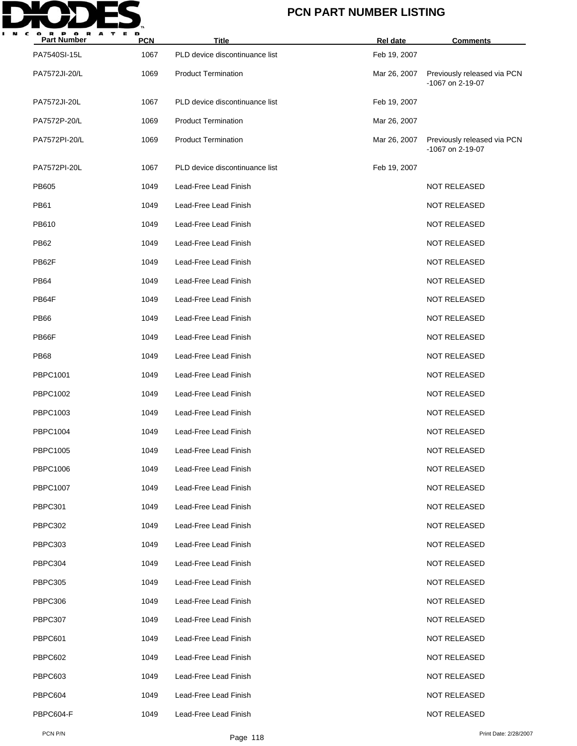

| <b>Part Number</b> | <b>PCN</b> | <b>Title</b>                   | Rel date     | <b>Comments</b>                                 |
|--------------------|------------|--------------------------------|--------------|-------------------------------------------------|
| PA7540SI-15L       | 1067       | PLD device discontinuance list | Feb 19, 2007 |                                                 |
| PA7572JI-20/L      | 1069       | <b>Product Termination</b>     | Mar 26, 2007 | Previously released via PCN<br>-1067 on 2-19-07 |
| PA7572JI-20L       | 1067       | PLD device discontinuance list | Feb 19, 2007 |                                                 |
| PA7572P-20/L       | 1069       | <b>Product Termination</b>     | Mar 26, 2007 |                                                 |
| PA7572PI-20/L      | 1069       | <b>Product Termination</b>     | Mar 26, 2007 | Previously released via PCN<br>-1067 on 2-19-07 |
| PA7572PI-20L       | 1067       | PLD device discontinuance list | Feb 19, 2007 |                                                 |
| PB605              | 1049       | Lead-Free Lead Finish          |              | <b>NOT RELEASED</b>                             |
| <b>PB61</b>        | 1049       | Lead-Free Lead Finish          |              | <b>NOT RELEASED</b>                             |
| PB610              | 1049       | Lead-Free Lead Finish          |              | <b>NOT RELEASED</b>                             |
| <b>PB62</b>        | 1049       | Lead-Free Lead Finish          |              | <b>NOT RELEASED</b>                             |
| PB62F              | 1049       | Lead-Free Lead Finish          |              | <b>NOT RELEASED</b>                             |
| <b>PB64</b>        | 1049       | Lead-Free Lead Finish          |              | <b>NOT RELEASED</b>                             |
| PB64F              | 1049       | Lead-Free Lead Finish          |              | <b>NOT RELEASED</b>                             |
| <b>PB66</b>        | 1049       | Lead-Free Lead Finish          |              | <b>NOT RELEASED</b>                             |
| PB66F              | 1049       | Lead-Free Lead Finish          |              | <b>NOT RELEASED</b>                             |
| <b>PB68</b>        | 1049       | Lead-Free Lead Finish          |              | <b>NOT RELEASED</b>                             |
| PBPC1001           | 1049       | Lead-Free Lead Finish          |              | <b>NOT RELEASED</b>                             |
| PBPC1002           | 1049       | Lead-Free Lead Finish          |              | <b>NOT RELEASED</b>                             |
| PBPC1003           | 1049       | Lead-Free Lead Finish          |              | <b>NOT RELEASED</b>                             |
| <b>PBPC1004</b>    | 1049       | Lead-Free Lead Finish          |              | <b>NOT RELEASED</b>                             |
| <b>PBPC1005</b>    | 1049       | Lead-Free Lead Finish          |              | <b>NOT RELEASED</b>                             |
| PBPC1006           | 1049       | Lead-Free Lead Finish          |              | <b>NOT RELEASED</b>                             |
| <b>PBPC1007</b>    | 1049       | Lead-Free Lead Finish          |              | <b>NOT RELEASED</b>                             |
| <b>PBPC301</b>     | 1049       | Lead-Free Lead Finish          |              | <b>NOT RELEASED</b>                             |
| PBPC302            | 1049       | Lead-Free Lead Finish          |              | <b>NOT RELEASED</b>                             |
| PBPC303            | 1049       | Lead-Free Lead Finish          |              | <b>NOT RELEASED</b>                             |
| PBPC304            | 1049       | Lead-Free Lead Finish          |              | <b>NOT RELEASED</b>                             |
| PBPC305            | 1049       | Lead-Free Lead Finish          |              | <b>NOT RELEASED</b>                             |
| PBPC306            | 1049       | Lead-Free Lead Finish          |              | <b>NOT RELEASED</b>                             |
| PBPC307            | 1049       | Lead-Free Lead Finish          |              | <b>NOT RELEASED</b>                             |
| <b>PBPC601</b>     | 1049       | Lead-Free Lead Finish          |              | <b>NOT RELEASED</b>                             |
| <b>PBPC602</b>     | 1049       | Lead-Free Lead Finish          |              | <b>NOT RELEASED</b>                             |
| <b>PBPC603</b>     | 1049       | Lead-Free Lead Finish          |              | <b>NOT RELEASED</b>                             |
| PBPC604            | 1049       | Lead-Free Lead Finish          |              | <b>NOT RELEASED</b>                             |
| PBPC604-F          | 1049       | Lead-Free Lead Finish          |              | <b>NOT RELEASED</b>                             |
|                    |            |                                |              |                                                 |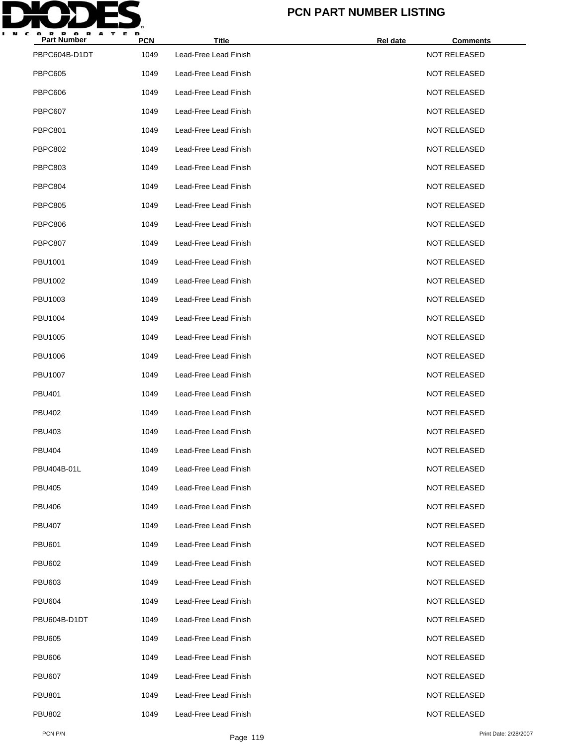

| <b>Part Number</b> | <b>PCN</b> | <b>Title</b>          | <b>Rel date</b> | <b>Comments</b>     |
|--------------------|------------|-----------------------|-----------------|---------------------|
| PBPC604B-D1DT      | 1049       | Lead-Free Lead Finish |                 | <b>NOT RELEASED</b> |
| <b>PBPC605</b>     | 1049       | Lead-Free Lead Finish |                 | <b>NOT RELEASED</b> |
| PBPC606            | 1049       | Lead-Free Lead Finish |                 | <b>NOT RELEASED</b> |
| PBPC607            | 1049       | Lead-Free Lead Finish |                 | <b>NOT RELEASED</b> |
| PBPC801            | 1049       | Lead-Free Lead Finish |                 | <b>NOT RELEASED</b> |
| PBPC802            | 1049       | Lead-Free Lead Finish |                 | <b>NOT RELEASED</b> |
| PBPC803            | 1049       | Lead-Free Lead Finish |                 | <b>NOT RELEASED</b> |
| PBPC804            | 1049       | Lead-Free Lead Finish |                 | <b>NOT RELEASED</b> |
| PBPC805            | 1049       | Lead-Free Lead Finish |                 | <b>NOT RELEASED</b> |
| PBPC806            | 1049       | Lead-Free Lead Finish |                 | <b>NOT RELEASED</b> |
| PBPC807            | 1049       | Lead-Free Lead Finish |                 | <b>NOT RELEASED</b> |
| <b>PBU1001</b>     | 1049       | Lead-Free Lead Finish |                 | <b>NOT RELEASED</b> |
| PBU1002            | 1049       | Lead-Free Lead Finish |                 | <b>NOT RELEASED</b> |
| PBU1003            | 1049       | Lead-Free Lead Finish |                 | <b>NOT RELEASED</b> |
| <b>PBU1004</b>     | 1049       | Lead-Free Lead Finish |                 | <b>NOT RELEASED</b> |
| PBU1005            | 1049       | Lead-Free Lead Finish |                 | <b>NOT RELEASED</b> |
| PBU1006            | 1049       | Lead-Free Lead Finish |                 | <b>NOT RELEASED</b> |
| <b>PBU1007</b>     | 1049       | Lead-Free Lead Finish |                 | <b>NOT RELEASED</b> |
| PBU401             | 1049       | Lead-Free Lead Finish |                 | <b>NOT RELEASED</b> |
| <b>PBU402</b>      | 1049       | Lead-Free Lead Finish |                 | <b>NOT RELEASED</b> |
| <b>PBU403</b>      | 1049       | Lead-Free Lead Finish |                 | <b>NOT RELEASED</b> |
| <b>PBU404</b>      | 1049       | Lead-Free Lead Finish |                 | <b>NOT RELEASED</b> |
| PBU404B-01L        | 1049       | Lead-Free Lead Finish |                 | <b>NOT RELEASED</b> |
| <b>PBU405</b>      | 1049       | Lead-Free Lead Finish |                 | <b>NOT RELEASED</b> |
| <b>PBU406</b>      | 1049       | Lead-Free Lead Finish |                 | <b>NOT RELEASED</b> |
| <b>PBU407</b>      | 1049       | Lead-Free Lead Finish |                 | <b>NOT RELEASED</b> |
| <b>PBU601</b>      | 1049       | Lead-Free Lead Finish |                 | <b>NOT RELEASED</b> |
| <b>PBU602</b>      | 1049       | Lead-Free Lead Finish |                 | <b>NOT RELEASED</b> |
| <b>PBU603</b>      | 1049       | Lead-Free Lead Finish |                 | <b>NOT RELEASED</b> |
| <b>PBU604</b>      | 1049       | Lead-Free Lead Finish |                 | <b>NOT RELEASED</b> |
| PBU604B-D1DT       | 1049       | Lead-Free Lead Finish |                 | <b>NOT RELEASED</b> |
| <b>PBU605</b>      | 1049       | Lead-Free Lead Finish |                 | <b>NOT RELEASED</b> |
| <b>PBU606</b>      | 1049       | Lead-Free Lead Finish |                 | <b>NOT RELEASED</b> |
| <b>PBU607</b>      | 1049       | Lead-Free Lead Finish |                 | <b>NOT RELEASED</b> |
| <b>PBU801</b>      | 1049       | Lead-Free Lead Finish |                 | <b>NOT RELEASED</b> |
| <b>PBU802</b>      | 1049       | Lead-Free Lead Finish |                 | <b>NOT RELEASED</b> |
|                    |            |                       |                 |                     |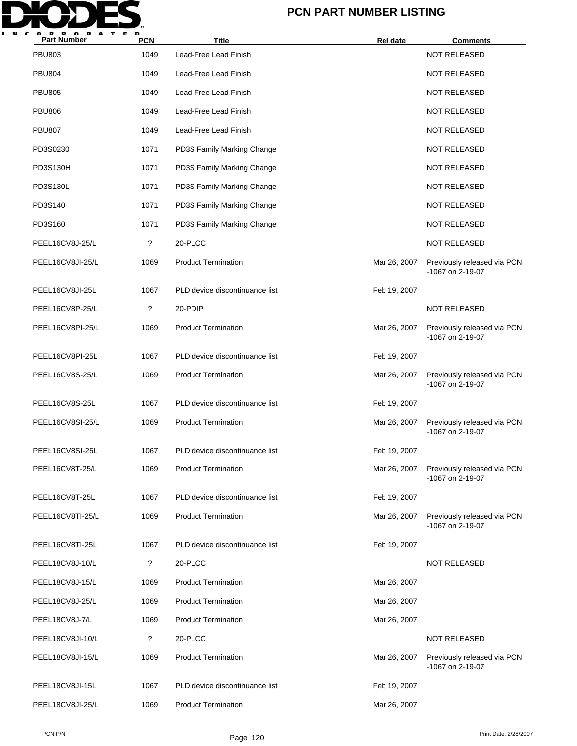

| <b>Part Number</b> | <b>PCN</b>  | <b>Title</b>                   | <b>Rel</b> date | <b>Comments</b>                                 |
|--------------------|-------------|--------------------------------|-----------------|-------------------------------------------------|
| <b>PBU803</b>      | 1049        | Lead-Free Lead Finish          |                 | <b>NOT RELEASED</b>                             |
| <b>PBU804</b>      | 1049        | Lead-Free Lead Finish          |                 | <b>NOT RELEASED</b>                             |
| <b>PBU805</b>      | 1049        | Lead-Free Lead Finish          |                 | <b>NOT RELEASED</b>                             |
| <b>PBU806</b>      | 1049        | Lead-Free Lead Finish          |                 | <b>NOT RELEASED</b>                             |
| <b>PBU807</b>      | 1049        | Lead-Free Lead Finish          |                 | <b>NOT RELEASED</b>                             |
| PD3S0230           | 1071        | PD3S Family Marking Change     |                 | <b>NOT RELEASED</b>                             |
| <b>PD3S130H</b>    | 1071        | PD3S Family Marking Change     |                 | <b>NOT RELEASED</b>                             |
| PD3S130L           | 1071        | PD3S Family Marking Change     |                 | <b>NOT RELEASED</b>                             |
| PD3S140            | 1071        | PD3S Family Marking Change     |                 | <b>NOT RELEASED</b>                             |
| PD3S160            | 1071        | PD3S Family Marking Change     |                 | <b>NOT RELEASED</b>                             |
| PEEL16CV8J-25/L    | $\tilde{?}$ | 20-PLCC                        |                 | <b>NOT RELEASED</b>                             |
| PEEL16CV8JI-25/L   | 1069        | <b>Product Termination</b>     | Mar 26, 2007    | Previously released via PCN<br>-1067 on 2-19-07 |
| PEEL16CV8JI-25L    | 1067        | PLD device discontinuance list | Feb 19, 2007    |                                                 |
| PEEL16CV8P-25/L    | ?           | 20-PDIP                        |                 | <b>NOT RELEASED</b>                             |
| PEEL16CV8PI-25/L   | 1069        | <b>Product Termination</b>     | Mar 26, 2007    | Previously released via PCN<br>-1067 on 2-19-07 |
| PEEL16CV8PI-25L    | 1067        | PLD device discontinuance list | Feb 19, 2007    |                                                 |
| PEEL16CV8S-25/L    | 1069        | <b>Product Termination</b>     | Mar 26, 2007    | Previously released via PCN<br>-1067 on 2-19-07 |
| PEEL16CV8S-25L     | 1067        | PLD device discontinuance list | Feb 19, 2007    |                                                 |
| PEEL16CV8SI-25/L   | 1069        | <b>Product Termination</b>     | Mar 26, 2007    | Previously released via PCN<br>-1067 on 2-19-07 |
| PEEL16CV8SI-25L    | 1067        | PLD device discontinuance list | Feb 19, 2007    |                                                 |
| PEEL16CV8T-25/L    | 1069        | <b>Product Termination</b>     | Mar 26, 2007    | Previously released via PCN<br>-1067 on 2-19-07 |
| PEEL16CV8T-25L     | 1067        | PLD device discontinuance list | Feb 19, 2007    |                                                 |
| PEEL16CV8TI-25/L   | 1069        | <b>Product Termination</b>     | Mar 26, 2007    | Previously released via PCN<br>-1067 on 2-19-07 |
| PEEL16CV8TI-25L    | 1067        | PLD device discontinuance list | Feb 19, 2007    |                                                 |
| PEEL18CV8J-10/L    | ?           | 20-PLCC                        |                 | <b>NOT RELEASED</b>                             |
| PEEL18CV8J-15/L    | 1069        | <b>Product Termination</b>     | Mar 26, 2007    |                                                 |
| PEEL18CV8J-25/L    | 1069        | <b>Product Termination</b>     | Mar 26, 2007    |                                                 |
| PEEL18CV8J-7/L     | 1069        | <b>Product Termination</b>     | Mar 26, 2007    |                                                 |
| PEEL18CV8JI-10/L   | ?           | 20-PLCC                        |                 | <b>NOT RELEASED</b>                             |
| PEEL18CV8JI-15/L   | 1069        | <b>Product Termination</b>     | Mar 26, 2007    | Previously released via PCN<br>-1067 on 2-19-07 |
| PEEL18CV8JI-15L    | 1067        | PLD device discontinuance list | Feb 19, 2007    |                                                 |
| PEEL18CV8JI-25/L   | 1069        | <b>Product Termination</b>     | Mar 26, 2007    |                                                 |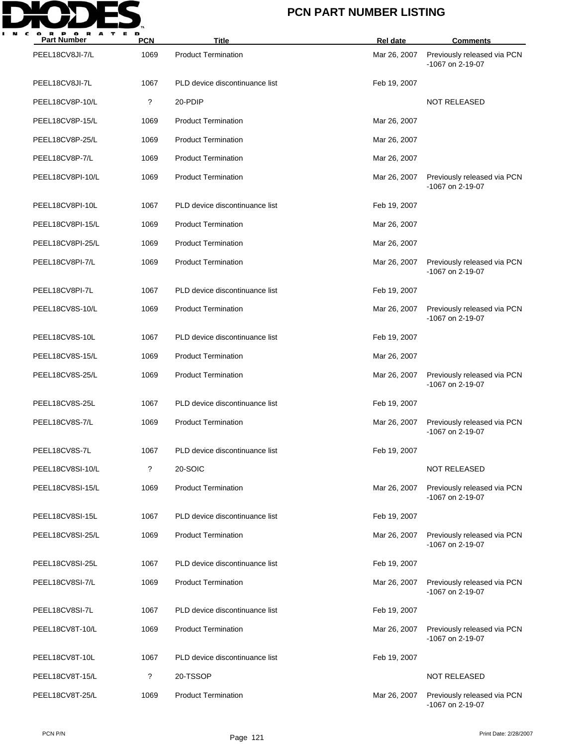

| <b>Part Number</b> | <b>PCN</b> | <b>Title</b>                   | <b>Rel date</b> | <b>Comments</b>                                 |
|--------------------|------------|--------------------------------|-----------------|-------------------------------------------------|
| PEEL18CV8JI-7/L    | 1069       | <b>Product Termination</b>     | Mar 26, 2007    | Previously released via PCN<br>-1067 on 2-19-07 |
| PEEL18CV8JI-7L     | 1067       | PLD device discontinuance list | Feb 19, 2007    |                                                 |
| PEEL18CV8P-10/L    | ?          | 20-PDIP                        |                 | <b>NOT RELEASED</b>                             |
| PEEL18CV8P-15/L    | 1069       | <b>Product Termination</b>     | Mar 26, 2007    |                                                 |
| PEEL18CV8P-25/L    | 1069       | <b>Product Termination</b>     | Mar 26, 2007    |                                                 |
| PEEL18CV8P-7/L     | 1069       | <b>Product Termination</b>     | Mar 26, 2007    |                                                 |
| PEEL18CV8PI-10/L   | 1069       | <b>Product Termination</b>     | Mar 26, 2007    | Previously released via PCN<br>-1067 on 2-19-07 |
| PEEL18CV8PI-10L    | 1067       | PLD device discontinuance list | Feb 19, 2007    |                                                 |
| PEEL18CV8PI-15/L   | 1069       | <b>Product Termination</b>     | Mar 26, 2007    |                                                 |
| PEEL18CV8PI-25/L   | 1069       | <b>Product Termination</b>     | Mar 26, 2007    |                                                 |
| PEEL18CV8PI-7/L    | 1069       | <b>Product Termination</b>     | Mar 26, 2007    | Previously released via PCN<br>-1067 on 2-19-07 |
| PEEL18CV8PI-7L     | 1067       | PLD device discontinuance list | Feb 19, 2007    |                                                 |
| PEEL18CV8S-10/L    | 1069       | <b>Product Termination</b>     | Mar 26, 2007    | Previously released via PCN<br>-1067 on 2-19-07 |
| PEEL18CV8S-10L     | 1067       | PLD device discontinuance list | Feb 19, 2007    |                                                 |
| PEEL18CV8S-15/L    | 1069       | <b>Product Termination</b>     | Mar 26, 2007    |                                                 |
| PEEL18CV8S-25/L    | 1069       | <b>Product Termination</b>     | Mar 26, 2007    | Previously released via PCN<br>-1067 on 2-19-07 |
| PEEL18CV8S-25L     | 1067       | PLD device discontinuance list | Feb 19, 2007    |                                                 |
| PEEL18CV8S-7/L     | 1069       | <b>Product Termination</b>     | Mar 26, 2007    | Previously released via PCN<br>-1067 on 2-19-07 |
| PEEL18CV8S-7L      | 1067       | PLD device discontinuance list | Feb 19, 2007    |                                                 |
| PEEL18CV8SI-10/L   | ?          | 20-SOIC                        |                 | <b>NOT RELEASED</b>                             |
| PEEL18CV8SI-15/L   | 1069       | <b>Product Termination</b>     | Mar 26, 2007    | Previously released via PCN<br>-1067 on 2-19-07 |
| PEEL18CV8SI-15L    | 1067       | PLD device discontinuance list | Feb 19, 2007    |                                                 |
| PEEL18CV8SI-25/L   | 1069       | <b>Product Termination</b>     | Mar 26, 2007    | Previously released via PCN<br>-1067 on 2-19-07 |
| PEEL18CV8SI-25L    | 1067       | PLD device discontinuance list | Feb 19, 2007    |                                                 |
| PEEL18CV8SI-7/L    | 1069       | <b>Product Termination</b>     | Mar 26, 2007    | Previously released via PCN<br>-1067 on 2-19-07 |
| PEEL18CV8SI-7L     | 1067       | PLD device discontinuance list | Feb 19, 2007    |                                                 |
| PEEL18CV8T-10/L    | 1069       | <b>Product Termination</b>     | Mar 26, 2007    | Previously released via PCN<br>-1067 on 2-19-07 |
| PEEL18CV8T-10L     | 1067       | PLD device discontinuance list | Feb 19, 2007    |                                                 |
| PEEL18CV8T-15/L    | ?          | 20-TSSOP                       |                 | <b>NOT RELEASED</b>                             |
| PEEL18CV8T-25/L    | 1069       | <b>Product Termination</b>     | Mar 26, 2007    | Previously released via PCN<br>-1067 on 2-19-07 |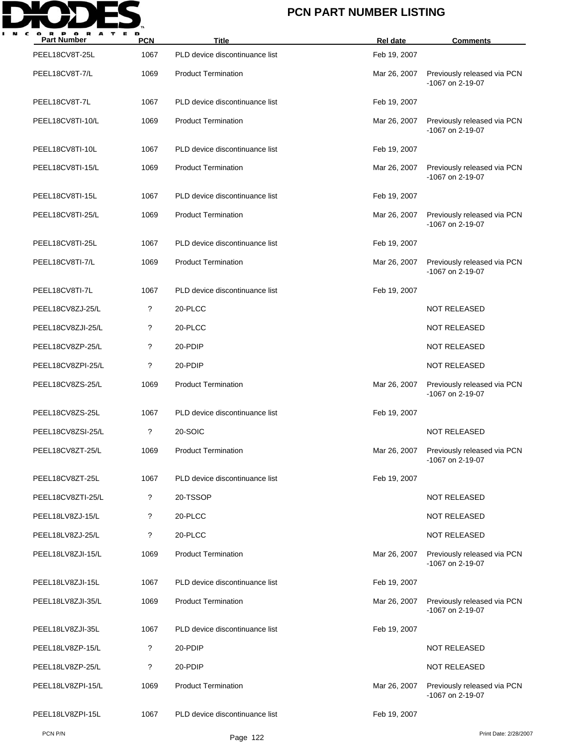

| <b>Part Number</b> | <b>PCN</b> | <b>Title</b>                   | <b>Rel date</b> | <b>Comments</b>                                 |
|--------------------|------------|--------------------------------|-----------------|-------------------------------------------------|
| PEEL18CV8T-25L     | 1067       | PLD device discontinuance list | Feb 19, 2007    |                                                 |
| PEEL18CV8T-7/L     | 1069       | <b>Product Termination</b>     | Mar 26, 2007    | Previously released via PCN<br>-1067 on 2-19-07 |
| PEEL18CV8T-7L      | 1067       | PLD device discontinuance list | Feb 19, 2007    |                                                 |
| PEEL18CV8TI-10/L   | 1069       | <b>Product Termination</b>     | Mar 26, 2007    | Previously released via PCN<br>-1067 on 2-19-07 |
| PEEL18CV8TI-10L    | 1067       | PLD device discontinuance list | Feb 19, 2007    |                                                 |
| PEEL18CV8TI-15/L   | 1069       | <b>Product Termination</b>     | Mar 26, 2007    | Previously released via PCN<br>-1067 on 2-19-07 |
| PEEL18CV8TI-15L    | 1067       | PLD device discontinuance list | Feb 19, 2007    |                                                 |
| PEEL18CV8TI-25/L   | 1069       | <b>Product Termination</b>     | Mar 26, 2007    | Previously released via PCN<br>-1067 on 2-19-07 |
| PEEL18CV8TI-25L    | 1067       | PLD device discontinuance list | Feb 19, 2007    |                                                 |
| PEEL18CV8TI-7/L    | 1069       | <b>Product Termination</b>     | Mar 26, 2007    | Previously released via PCN<br>-1067 on 2-19-07 |
| PEEL18CV8TI-7L     | 1067       | PLD device discontinuance list | Feb 19, 2007    |                                                 |
| PEEL18CV8ZJ-25/L   | ?          | 20-PLCC                        |                 | <b>NOT RELEASED</b>                             |
| PEEL18CV8ZJI-25/L  | ?          | 20-PLCC                        |                 | <b>NOT RELEASED</b>                             |
| PEEL18CV8ZP-25/L   | ?          | 20-PDIP                        |                 | <b>NOT RELEASED</b>                             |
| PEEL18CV8ZPI-25/L  | ?          | 20-PDIP                        |                 | <b>NOT RELEASED</b>                             |
| PEEL18CV8ZS-25/L   | 1069       | <b>Product Termination</b>     | Mar 26, 2007    | Previously released via PCN<br>-1067 on 2-19-07 |
| PEEL18CV8ZS-25L    | 1067       | PLD device discontinuance list | Feb 19, 2007    |                                                 |
| PEEL18CV8ZSI-25/L  | ?          | 20-SOIC                        |                 | <b>NOT RELEASED</b>                             |
| PEEL18CV8ZT-25/L   | 1069       | <b>Product Termination</b>     | Mar 26, 2007    | Previously released via PCN<br>-1067 on 2-19-07 |
| PEEL18CV8ZT-25L    | 1067       | PLD device discontinuance list | Feb 19, 2007    |                                                 |
| PEEL18CV8ZTI-25/L  | ?          | 20-TSSOP                       |                 | <b>NOT RELEASED</b>                             |
| PEEL18LV8ZJ-15/L   | ?          | 20-PLCC                        |                 | <b>NOT RELEASED</b>                             |
| PEEL18LV8ZJ-25/L   | ?          | 20-PLCC                        |                 | <b>NOT RELEASED</b>                             |
| PEEL18LV8ZJI-15/L  | 1069       | <b>Product Termination</b>     | Mar 26, 2007    | Previously released via PCN<br>-1067 on 2-19-07 |
| PEEL18LV8ZJI-15L   | 1067       | PLD device discontinuance list | Feb 19, 2007    |                                                 |
| PEEL18LV8ZJI-35/L  | 1069       | <b>Product Termination</b>     | Mar 26, 2007    | Previously released via PCN<br>-1067 on 2-19-07 |
| PEEL18LV8ZJI-35L   | 1067       | PLD device discontinuance list | Feb 19, 2007    |                                                 |
| PEEL18LV8ZP-15/L   | ?          | 20-PDIP                        |                 | <b>NOT RELEASED</b>                             |
| PEEL18LV8ZP-25/L   | ?          | 20-PDIP                        |                 | <b>NOT RELEASED</b>                             |
| PEEL18LV8ZPI-15/L  | 1069       | <b>Product Termination</b>     | Mar 26, 2007    | Previously released via PCN<br>-1067 on 2-19-07 |
| PEEL18LV8ZPI-15L   | 1067       | PLD device discontinuance list | Feb 19, 2007    |                                                 |
| PCN P/N            |            | Page 122                       |                 | Print Date: 2/28/2007                           |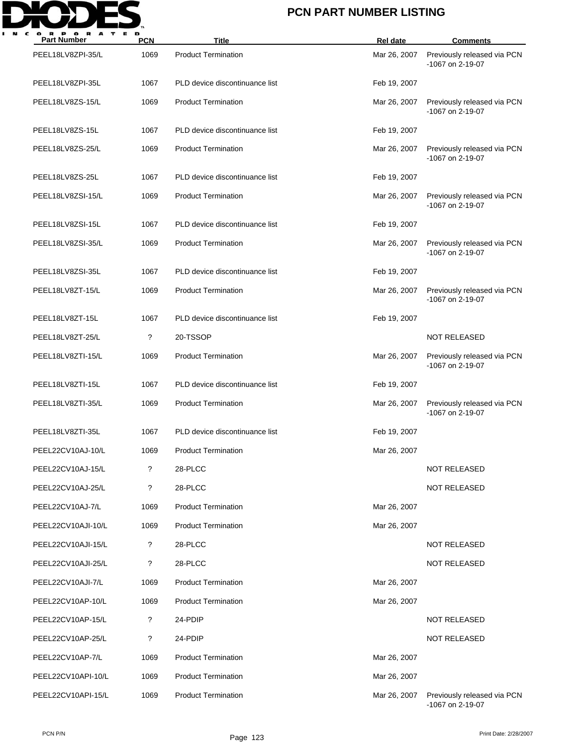

| <b>Part Number</b> | <b>PCN</b> | <b>Title</b>                   | <b>Rel date</b> | <b>Comments</b>                                 |
|--------------------|------------|--------------------------------|-----------------|-------------------------------------------------|
| PEEL18LV8ZPI-35/L  | 1069       | <b>Product Termination</b>     | Mar 26, 2007    | Previously released via PCN<br>-1067 on 2-19-07 |
| PEEL18LV8ZPI-35L   | 1067       | PLD device discontinuance list | Feb 19, 2007    |                                                 |
| PEEL18LV8ZS-15/L   | 1069       | <b>Product Termination</b>     | Mar 26, 2007    | Previously released via PCN<br>-1067 on 2-19-07 |
| PEEL18LV8ZS-15L    | 1067       | PLD device discontinuance list | Feb 19, 2007    |                                                 |
| PEEL18LV8ZS-25/L   | 1069       | <b>Product Termination</b>     | Mar 26, 2007    | Previously released via PCN<br>-1067 on 2-19-07 |
| PEEL18LV8ZS-25L    | 1067       | PLD device discontinuance list | Feb 19, 2007    |                                                 |
| PEEL18LV8ZSI-15/L  | 1069       | <b>Product Termination</b>     | Mar 26, 2007    | Previously released via PCN<br>-1067 on 2-19-07 |
| PEEL18LV8ZSI-15L   | 1067       | PLD device discontinuance list | Feb 19, 2007    |                                                 |
| PEEL18LV8ZSI-35/L  | 1069       | <b>Product Termination</b>     | Mar 26, 2007    | Previously released via PCN<br>-1067 on 2-19-07 |
| PEEL18LV8ZSI-35L   | 1067       | PLD device discontinuance list | Feb 19, 2007    |                                                 |
| PEEL18LV8ZT-15/L   | 1069       | <b>Product Termination</b>     | Mar 26, 2007    | Previously released via PCN<br>-1067 on 2-19-07 |
| PEEL18LV8ZT-15L    | 1067       | PLD device discontinuance list | Feb 19, 2007    |                                                 |
| PEEL18LV8ZT-25/L   | ?          | 20-TSSOP                       |                 | <b>NOT RELEASED</b>                             |
| PEEL18LV8ZTI-15/L  | 1069       | <b>Product Termination</b>     | Mar 26, 2007    | Previously released via PCN<br>-1067 on 2-19-07 |
| PEEL18LV8ZTI-15L   | 1067       | PLD device discontinuance list | Feb 19, 2007    |                                                 |
| PEEL18LV8ZTI-35/L  | 1069       | <b>Product Termination</b>     | Mar 26, 2007    | Previously released via PCN<br>-1067 on 2-19-07 |
| PEEL18LV8ZTI-35L   | 1067       | PLD device discontinuance list | Feb 19, 2007    |                                                 |
| PEEL22CV10AJ-10/L  | 1069       | <b>Product Termination</b>     | Mar 26, 2007    |                                                 |
| PEEL22CV10AJ-15/L  | ?          | 28-PLCC                        |                 | <b>NOT RELEASED</b>                             |
| PEEL22CV10AJ-25/L  | ?          | 28-PLCC                        |                 | <b>NOT RELEASED</b>                             |
| PEEL22CV10AJ-7/L   | 1069       | <b>Product Termination</b>     | Mar 26, 2007    |                                                 |
| PEEL22CV10AJI-10/L | 1069       | <b>Product Termination</b>     | Mar 26, 2007    |                                                 |
| PEEL22CV10AJI-15/L | ?          | 28-PLCC                        |                 | <b>NOT RELEASED</b>                             |
| PEEL22CV10AJI-25/L | ?          | 28-PLCC                        |                 | <b>NOT RELEASED</b>                             |
| PEEL22CV10AJI-7/L  | 1069       | <b>Product Termination</b>     | Mar 26, 2007    |                                                 |
| PEEL22CV10AP-10/L  | 1069       | <b>Product Termination</b>     | Mar 26, 2007    |                                                 |
| PEEL22CV10AP-15/L  | ?          | 24-PDIP                        |                 | <b>NOT RELEASED</b>                             |
| PEEL22CV10AP-25/L  | ?          | 24-PDIP                        |                 | <b>NOT RELEASED</b>                             |
| PEEL22CV10AP-7/L   | 1069       | <b>Product Termination</b>     | Mar 26, 2007    |                                                 |
| PEEL22CV10API-10/L | 1069       | <b>Product Termination</b>     | Mar 26, 2007    |                                                 |
| PEEL22CV10API-15/L | 1069       | <b>Product Termination</b>     | Mar 26, 2007    | Previously released via PCN<br>-1067 on 2-19-07 |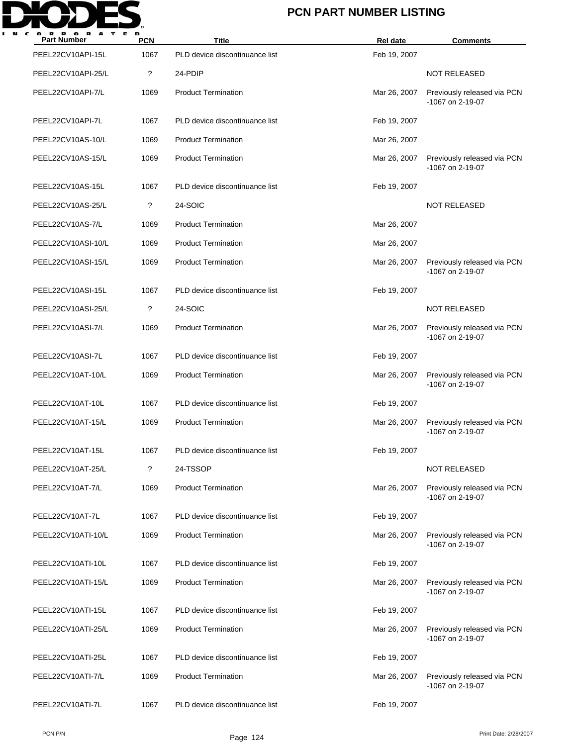

| <b>Part Number</b> | <b>PCN</b> | <b>Title</b>                   | Rel date     | <b>Comments</b>                                 |
|--------------------|------------|--------------------------------|--------------|-------------------------------------------------|
| PEEL22CV10API-15L  | 1067       | PLD device discontinuance list | Feb 19, 2007 |                                                 |
| PEEL22CV10API-25/L | ?          | 24-PDIP                        |              | <b>NOT RELEASED</b>                             |
| PEEL22CV10API-7/L  | 1069       | <b>Product Termination</b>     | Mar 26, 2007 | Previously released via PCN<br>-1067 on 2-19-07 |
| PEEL22CV10API-7L   | 1067       | PLD device discontinuance list | Feb 19, 2007 |                                                 |
| PEEL22CV10AS-10/L  | 1069       | <b>Product Termination</b>     | Mar 26, 2007 |                                                 |
| PEEL22CV10AS-15/L  | 1069       | <b>Product Termination</b>     | Mar 26, 2007 | Previously released via PCN<br>-1067 on 2-19-07 |
| PEEL22CV10AS-15L   | 1067       | PLD device discontinuance list | Feb 19, 2007 |                                                 |
| PEEL22CV10AS-25/L  | ?          | 24-SOIC                        |              | <b>NOT RELEASED</b>                             |
| PEEL22CV10AS-7/L   | 1069       | <b>Product Termination</b>     | Mar 26, 2007 |                                                 |
| PEEL22CV10ASI-10/L | 1069       | <b>Product Termination</b>     | Mar 26, 2007 |                                                 |
| PEEL22CV10ASI-15/L | 1069       | <b>Product Termination</b>     | Mar 26, 2007 | Previously released via PCN<br>-1067 on 2-19-07 |
| PEEL22CV10ASI-15L  | 1067       | PLD device discontinuance list | Feb 19, 2007 |                                                 |
| PEEL22CV10ASI-25/L | ?          | 24-SOIC                        |              | <b>NOT RELEASED</b>                             |
| PEEL22CV10ASI-7/L  | 1069       | <b>Product Termination</b>     | Mar 26, 2007 | Previously released via PCN<br>-1067 on 2-19-07 |
| PEEL22CV10ASI-7L   | 1067       | PLD device discontinuance list | Feb 19, 2007 |                                                 |
| PEEL22CV10AT-10/L  | 1069       | <b>Product Termination</b>     | Mar 26, 2007 | Previously released via PCN<br>-1067 on 2-19-07 |
| PEEL22CV10AT-10L   | 1067       | PLD device discontinuance list | Feb 19, 2007 |                                                 |
| PEEL22CV10AT-15/L  | 1069       | <b>Product Termination</b>     | Mar 26, 2007 | Previously released via PCN<br>-1067 on 2-19-07 |
| PEEL22CV10AT-15L   | 1067       | PLD device discontinuance list | Feb 19, 2007 |                                                 |
| PEEL22CV10AT-25/L  | ?          | 24-TSSOP                       |              | <b>NOT RELEASED</b>                             |
| PEEL22CV10AT-7/L   | 1069       | <b>Product Termination</b>     | Mar 26, 2007 | Previously released via PCN<br>-1067 on 2-19-07 |
| PEEL22CV10AT-7L    | 1067       | PLD device discontinuance list | Feb 19, 2007 |                                                 |
| PEEL22CV10ATI-10/L | 1069       | <b>Product Termination</b>     | Mar 26, 2007 | Previously released via PCN<br>-1067 on 2-19-07 |
| PEEL22CV10ATI-10L  | 1067       | PLD device discontinuance list | Feb 19, 2007 |                                                 |
| PEEL22CV10ATI-15/L | 1069       | <b>Product Termination</b>     | Mar 26, 2007 | Previously released via PCN<br>-1067 on 2-19-07 |
| PEEL22CV10ATI-15L  | 1067       | PLD device discontinuance list | Feb 19, 2007 |                                                 |
| PEEL22CV10ATI-25/L | 1069       | <b>Product Termination</b>     | Mar 26, 2007 | Previously released via PCN<br>-1067 on 2-19-07 |
| PEEL22CV10ATI-25L  | 1067       | PLD device discontinuance list | Feb 19, 2007 |                                                 |
| PEEL22CV10ATI-7/L  | 1069       | <b>Product Termination</b>     | Mar 26, 2007 | Previously released via PCN<br>-1067 on 2-19-07 |
| PEEL22CV10ATI-7L   | 1067       | PLD device discontinuance list | Feb 19, 2007 |                                                 |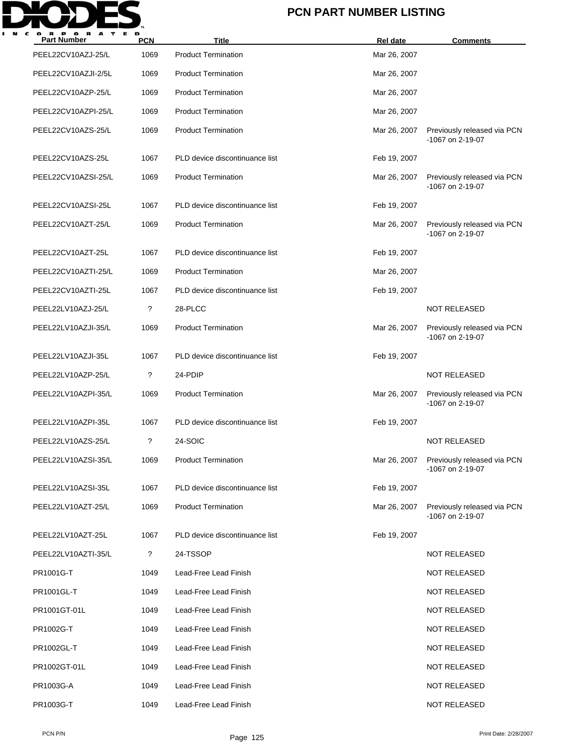

| <b>Part Number</b>  | <b>PCN</b> | Title                          | Rel date     | <b>Comments</b>                                 |
|---------------------|------------|--------------------------------|--------------|-------------------------------------------------|
| PEEL22CV10AZJ-25/L  | 1069       | <b>Product Termination</b>     | Mar 26, 2007 |                                                 |
| PEEL22CV10AZJI-2/5L | 1069       | <b>Product Termination</b>     | Mar 26, 2007 |                                                 |
| PEEL22CV10AZP-25/L  | 1069       | <b>Product Termination</b>     | Mar 26, 2007 |                                                 |
| PEEL22CV10AZPI-25/L | 1069       | <b>Product Termination</b>     | Mar 26, 2007 |                                                 |
| PEEL22CV10AZS-25/L  | 1069       | <b>Product Termination</b>     | Mar 26, 2007 | Previously released via PCN<br>-1067 on 2-19-07 |
| PEEL22CV10AZS-25L   | 1067       | PLD device discontinuance list | Feb 19, 2007 |                                                 |
| PEEL22CV10AZSI-25/L | 1069       | <b>Product Termination</b>     | Mar 26, 2007 | Previously released via PCN<br>-1067 on 2-19-07 |
| PEEL22CV10AZSI-25L  | 1067       | PLD device discontinuance list | Feb 19, 2007 |                                                 |
| PEEL22CV10AZT-25/L  | 1069       | <b>Product Termination</b>     | Mar 26, 2007 | Previously released via PCN<br>-1067 on 2-19-07 |
| PEEL22CV10AZT-25L   | 1067       | PLD device discontinuance list | Feb 19, 2007 |                                                 |
| PEEL22CV10AZTI-25/L | 1069       | <b>Product Termination</b>     | Mar 26, 2007 |                                                 |
| PEEL22CV10AZTI-25L  | 1067       | PLD device discontinuance list | Feb 19, 2007 |                                                 |
| PEEL22LV10AZJ-25/L  | ?          | 28-PLCC                        |              | <b>NOT RELEASED</b>                             |
| PEEL22LV10AZJI-35/L | 1069       | <b>Product Termination</b>     | Mar 26, 2007 | Previously released via PCN<br>-1067 on 2-19-07 |
| PEEL22LV10AZJI-35L  | 1067       | PLD device discontinuance list | Feb 19, 2007 |                                                 |
| PEEL22LV10AZP-25/L  | ?          | 24-PDIP                        |              | <b>NOT RELEASED</b>                             |
| PEEL22LV10AZPI-35/L | 1069       | <b>Product Termination</b>     | Mar 26, 2007 | Previously released via PCN<br>-1067 on 2-19-07 |
| PEEL22LV10AZPI-35L  | 1067       | PLD device discontinuance list | Feb 19, 2007 |                                                 |
| PEEL22LV10AZS-25/L  | ?          | 24-SOIC                        |              | <b>NOT RELEASED</b>                             |
| PEEL22LV10AZSI-35/L | 1069       | <b>Product Termination</b>     | Mar 26, 2007 | Previously released via PCN<br>-1067 on 2-19-07 |
| PEEL22LV10AZSI-35L  | 1067       | PLD device discontinuance list | Feb 19, 2007 |                                                 |
| PEEL22LV10AZT-25/L  | 1069       | <b>Product Termination</b>     | Mar 26, 2007 | Previously released via PCN<br>-1067 on 2-19-07 |
| PEEL22LV10AZT-25L   | 1067       | PLD device discontinuance list | Feb 19, 2007 |                                                 |
| PEEL22LV10AZTI-35/L | ?          | 24-TSSOP                       |              | <b>NOT RELEASED</b>                             |
| PR1001G-T           | 1049       | Lead-Free Lead Finish          |              | <b>NOT RELEASED</b>                             |
| PR1001GL-T          | 1049       | Lead-Free Lead Finish          |              | <b>NOT RELEASED</b>                             |
| PR1001GT-01L        | 1049       | Lead-Free Lead Finish          |              | <b>NOT RELEASED</b>                             |
| PR1002G-T           | 1049       | Lead-Free Lead Finish          |              | <b>NOT RELEASED</b>                             |
| PR1002GL-T          | 1049       | Lead-Free Lead Finish          |              | <b>NOT RELEASED</b>                             |
| PR1002GT-01L        | 1049       | Lead-Free Lead Finish          |              | <b>NOT RELEASED</b>                             |
| PR1003G-A           | 1049       | Lead-Free Lead Finish          |              | <b>NOT RELEASED</b>                             |
| PR1003G-T           | 1049       | Lead-Free Lead Finish          |              | <b>NOT RELEASED</b>                             |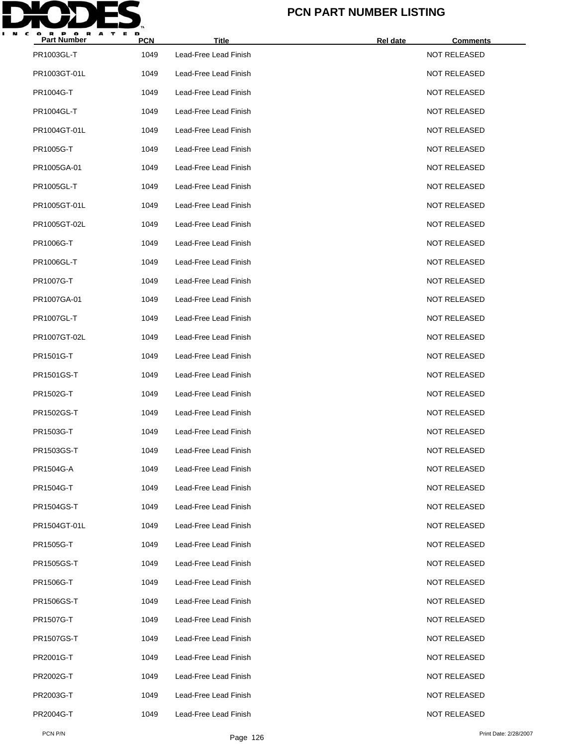

| Part Number  | <b>PCN</b> | <b>Title</b>          | Rel date | <b>Comments</b>     |
|--------------|------------|-----------------------|----------|---------------------|
| PR1003GL-T   | 1049       | Lead-Free Lead Finish |          | NOT RELEASED        |
| PR1003GT-01L | 1049       | Lead-Free Lead Finish |          | <b>NOT RELEASED</b> |
| PR1004G-T    | 1049       | Lead-Free Lead Finish |          | <b>NOT RELEASED</b> |
| PR1004GL-T   | 1049       | Lead-Free Lead Finish |          | <b>NOT RELEASED</b> |
| PR1004GT-01L | 1049       | Lead-Free Lead Finish |          | <b>NOT RELEASED</b> |
| PR1005G-T    | 1049       | Lead-Free Lead Finish |          | <b>NOT RELEASED</b> |
| PR1005GA-01  | 1049       | Lead-Free Lead Finish |          | <b>NOT RELEASED</b> |
| PR1005GL-T   | 1049       | Lead-Free Lead Finish |          | <b>NOT RELEASED</b> |
| PR1005GT-01L | 1049       | Lead-Free Lead Finish |          | <b>NOT RELEASED</b> |
| PR1005GT-02L | 1049       | Lead-Free Lead Finish |          | <b>NOT RELEASED</b> |
| PR1006G-T    | 1049       | Lead-Free Lead Finish |          | <b>NOT RELEASED</b> |
| PR1006GL-T   | 1049       | Lead-Free Lead Finish |          | <b>NOT RELEASED</b> |
| PR1007G-T    | 1049       | Lead-Free Lead Finish |          | <b>NOT RELEASED</b> |
| PR1007GA-01  | 1049       | Lead-Free Lead Finish |          | <b>NOT RELEASED</b> |
| PR1007GL-T   | 1049       | Lead-Free Lead Finish |          | <b>NOT RELEASED</b> |
| PR1007GT-02L | 1049       | Lead-Free Lead Finish |          | <b>NOT RELEASED</b> |
| PR1501G-T    | 1049       | Lead-Free Lead Finish |          | <b>NOT RELEASED</b> |
| PR1501GS-T   | 1049       | Lead-Free Lead Finish |          | <b>NOT RELEASED</b> |
| PR1502G-T    | 1049       | Lead-Free Lead Finish |          | <b>NOT RELEASED</b> |
| PR1502GS-T   | 1049       | Lead-Free Lead Finish |          | <b>NOT RELEASED</b> |
| PR1503G-T    | 1049       | Lead-Free Lead Finish |          | <b>NOT RELEASED</b> |
| PR1503GS-T   | 1049       | Lead-Free Lead Finish |          | <b>NOT RELEASED</b> |
| PR1504G-A    | 1049       | Lead-Free Lead Finish |          | <b>NOT RELEASED</b> |
| PR1504G-T    | 1049       | Lead-Free Lead Finish |          | <b>NOT RELEASED</b> |
| PR1504GS-T   | 1049       | Lead-Free Lead Finish |          | <b>NOT RELEASED</b> |
| PR1504GT-01L | 1049       | Lead-Free Lead Finish |          | NOT RELEASED        |
| PR1505G-T    | 1049       | Lead-Free Lead Finish |          | <b>NOT RELEASED</b> |
| PR1505GS-T   | 1049       | Lead-Free Lead Finish |          | <b>NOT RELEASED</b> |
| PR1506G-T    | 1049       | Lead-Free Lead Finish |          | NOT RELEASED        |
| PR1506GS-T   | 1049       | Lead-Free Lead Finish |          | <b>NOT RELEASED</b> |
| PR1507G-T    | 1049       | Lead-Free Lead Finish |          | <b>NOT RELEASED</b> |
| PR1507GS-T   | 1049       | Lead-Free Lead Finish |          | NOT RELEASED        |
| PR2001G-T    | 1049       | Lead-Free Lead Finish |          | <b>NOT RELEASED</b> |
| PR2002G-T    | 1049       | Lead-Free Lead Finish |          | NOT RELEASED        |
| PR2003G-T    | 1049       | Lead-Free Lead Finish |          | NOT RELEASED        |
| PR2004G-T    | 1049       | Lead-Free Lead Finish |          | <b>NOT RELEASED</b> |
|              |            |                       |          |                     |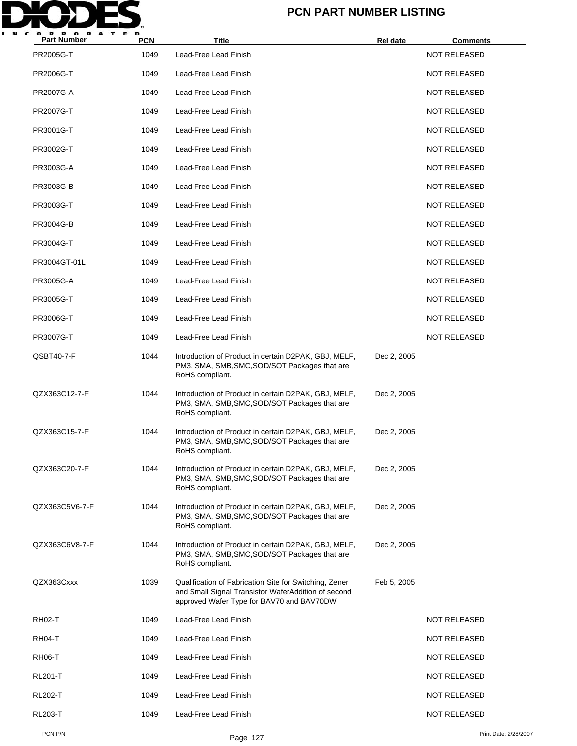

| <b>Part Number</b> | <b>PCN</b> | Title                                                                                                                                                      | Rel date    | <b>Comments</b>     |                       |
|--------------------|------------|------------------------------------------------------------------------------------------------------------------------------------------------------------|-------------|---------------------|-----------------------|
| PR2005G-T          | 1049       | Lead-Free Lead Finish                                                                                                                                      |             | <b>NOT RELEASED</b> |                       |
| PR2006G-T          | 1049       | Lead-Free Lead Finish                                                                                                                                      |             | <b>NOT RELEASED</b> |                       |
| PR2007G-A          | 1049       | Lead-Free Lead Finish                                                                                                                                      |             | <b>NOT RELEASED</b> |                       |
| PR2007G-T          | 1049       | Lead-Free Lead Finish                                                                                                                                      |             | <b>NOT RELEASED</b> |                       |
| PR3001G-T          | 1049       | Lead-Free Lead Finish                                                                                                                                      |             | <b>NOT RELEASED</b> |                       |
| PR3002G-T          | 1049       | Lead-Free Lead Finish                                                                                                                                      |             | NOT RELEASED        |                       |
| PR3003G-A          | 1049       | Lead-Free Lead Finish                                                                                                                                      |             | <b>NOT RELEASED</b> |                       |
| PR3003G-B          | 1049       | Lead-Free Lead Finish                                                                                                                                      |             | <b>NOT RELEASED</b> |                       |
| PR3003G-T          | 1049       | Lead-Free Lead Finish                                                                                                                                      |             | NOT RELEASED        |                       |
| PR3004G-B          | 1049       | Lead-Free Lead Finish                                                                                                                                      |             | <b>NOT RELEASED</b> |                       |
| PR3004G-T          | 1049       | Lead-Free Lead Finish                                                                                                                                      |             | <b>NOT RELEASED</b> |                       |
| PR3004GT-01L       | 1049       | Lead-Free Lead Finish                                                                                                                                      |             | NOT RELEASED        |                       |
| PR3005G-A          | 1049       | Lead-Free Lead Finish                                                                                                                                      |             | NOT RELEASED        |                       |
| PR3005G-T          | 1049       | Lead-Free Lead Finish                                                                                                                                      |             | <b>NOT RELEASED</b> |                       |
| PR3006G-T          | 1049       | Lead-Free Lead Finish                                                                                                                                      |             | NOT RELEASED        |                       |
| PR3007G-T          | 1049       | Lead-Free Lead Finish                                                                                                                                      |             | <b>NOT RELEASED</b> |                       |
| QSBT40-7-F         | 1044       | Introduction of Product in certain D2PAK, GBJ, MELF,<br>PM3, SMA, SMB, SMC, SOD/SOT Packages that are<br>RoHS compliant.                                   | Dec 2, 2005 |                     |                       |
| QZX363C12-7-F      | 1044       | Introduction of Product in certain D2PAK, GBJ, MELF,<br>PM3, SMA, SMB, SMC, SOD/SOT Packages that are<br>RoHS compliant.                                   | Dec 2, 2005 |                     |                       |
| QZX363C15-7-F      | 1044       | Introduction of Product in certain D2PAK, GBJ, MELF,<br>PM3, SMA, SMB, SMC, SOD/SOT Packages that are<br>RoHS compliant.                                   | Dec 2, 2005 |                     |                       |
| QZX363C20-7-F      | 1044       | Introduction of Product in certain D2PAK, GBJ, MELF,<br>PM3, SMA, SMB, SMC, SOD/SOT Packages that are<br>RoHS compliant.                                   | Dec 2, 2005 |                     |                       |
| QZX363C5V6-7-F     | 1044       | Introduction of Product in certain D2PAK, GBJ, MELF,<br>PM3, SMA, SMB, SMC, SOD/SOT Packages that are<br>RoHS compliant.                                   | Dec 2, 2005 |                     |                       |
| QZX363C6V8-7-F     | 1044       | Introduction of Product in certain D2PAK, GBJ, MELF,<br>PM3, SMA, SMB, SMC, SOD/SOT Packages that are<br>RoHS compliant.                                   | Dec 2, 2005 |                     |                       |
| QZX363Cxxx         | 1039       | Qualification of Fabrication Site for Switching, Zener<br>and Small Signal Transistor WaferAddition of second<br>approved Wafer Type for BAV70 and BAV70DW | Feb 5, 2005 |                     |                       |
| <b>RH02-T</b>      | 1049       | Lead-Free Lead Finish                                                                                                                                      |             | <b>NOT RELEASED</b> |                       |
| <b>RH04-T</b>      | 1049       | Lead-Free Lead Finish                                                                                                                                      |             | <b>NOT RELEASED</b> |                       |
| <b>RH06-T</b>      | 1049       | Lead-Free Lead Finish                                                                                                                                      |             | NOT RELEASED        |                       |
| <b>RL201-T</b>     | 1049       | Lead-Free Lead Finish                                                                                                                                      |             | <b>NOT RELEASED</b> |                       |
| <b>RL202-T</b>     | 1049       | Lead-Free Lead Finish                                                                                                                                      |             | <b>NOT RELEASED</b> |                       |
| <b>RL203-T</b>     | 1049       | Lead-Free Lead Finish                                                                                                                                      |             | NOT RELEASED        |                       |
| PCN P/N            |            | Page 127                                                                                                                                                   |             |                     | Print Date: 2/28/2007 |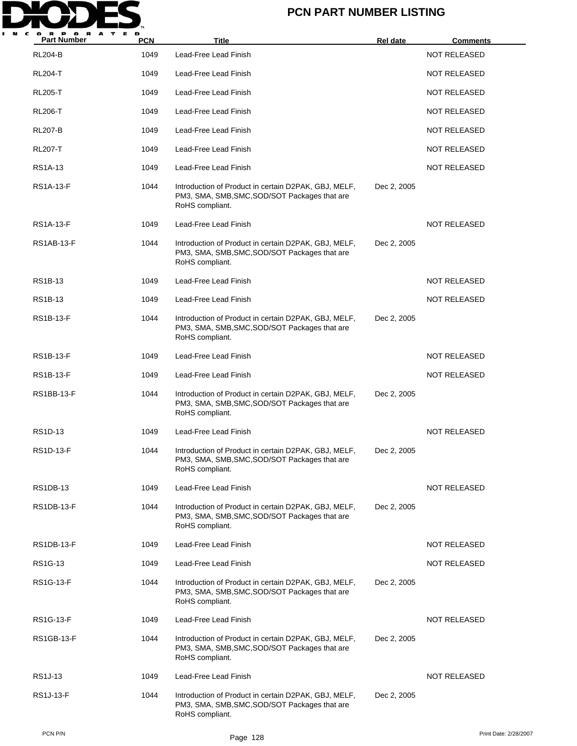

| A<br><b>Part Number</b> | <b>PCN</b> | Title                                                                                                                    | <b>Rel date</b> | <b>Comments</b>     |
|-------------------------|------------|--------------------------------------------------------------------------------------------------------------------------|-----------------|---------------------|
| <b>RL204-B</b>          | 1049       | Lead-Free Lead Finish                                                                                                    |                 | <b>NOT RELEASED</b> |
| <b>RL204-T</b>          | 1049       | Lead-Free Lead Finish                                                                                                    |                 | <b>NOT RELEASED</b> |
| <b>RL205-T</b>          | 1049       | Lead-Free Lead Finish                                                                                                    |                 | <b>NOT RELEASED</b> |
| <b>RL206-T</b>          | 1049       | Lead-Free Lead Finish                                                                                                    |                 | <b>NOT RELEASED</b> |
| <b>RL207-B</b>          | 1049       | Lead-Free Lead Finish                                                                                                    |                 | <b>NOT RELEASED</b> |
| <b>RL207-T</b>          | 1049       | Lead-Free Lead Finish                                                                                                    |                 | <b>NOT RELEASED</b> |
| <b>RS1A-13</b>          | 1049       | Lead-Free Lead Finish                                                                                                    |                 | NOT RELEASED        |
| RS1A-13-F               | 1044       | Introduction of Product in certain D2PAK, GBJ, MELF,<br>PM3, SMA, SMB, SMC, SOD/SOT Packages that are<br>RoHS compliant. | Dec 2, 2005     |                     |
| <b>RS1A-13-F</b>        | 1049       | Lead-Free Lead Finish                                                                                                    |                 | <b>NOT RELEASED</b> |
| RS1AB-13-F              | 1044       | Introduction of Product in certain D2PAK, GBJ, MELF,<br>PM3, SMA, SMB, SMC, SOD/SOT Packages that are<br>RoHS compliant. | Dec 2, 2005     |                     |
| <b>RS1B-13</b>          | 1049       | Lead-Free Lead Finish                                                                                                    |                 | NOT RELEASED        |
| RS1B-13                 | 1049       | Lead-Free Lead Finish                                                                                                    |                 | <b>NOT RELEASED</b> |
| RS1B-13-F               | 1044       | Introduction of Product in certain D2PAK, GBJ, MELF,<br>PM3, SMA, SMB, SMC, SOD/SOT Packages that are<br>RoHS compliant. | Dec 2, 2005     |                     |
| RS1B-13-F               | 1049       | Lead-Free Lead Finish                                                                                                    |                 | <b>NOT RELEASED</b> |
| RS1B-13-F               | 1049       | Lead-Free Lead Finish                                                                                                    |                 | <b>NOT RELEASED</b> |
| RS1BB-13-F              | 1044       | Introduction of Product in certain D2PAK, GBJ, MELF,<br>PM3, SMA, SMB, SMC, SOD/SOT Packages that are<br>RoHS compliant. | Dec 2, 2005     |                     |
| RS1D-13                 | 1049       | Lead-Free Lead Finish                                                                                                    |                 | <b>NOT RELEASED</b> |
| RS1D-13-F               | 1044       | Introduction of Product in certain D2PAK, GBJ, MELF,<br>PM3, SMA, SMB, SMC, SOD/SOT Packages that are<br>RoHS compliant. | Dec 2, 2005     |                     |
| <b>RS1DB-13</b>         | 1049       | Lead-Free Lead Finish                                                                                                    |                 | NOT RELEASED        |
| RS1DB-13-F              | 1044       | Introduction of Product in certain D2PAK, GBJ, MELF,<br>PM3, SMA, SMB, SMC, SOD/SOT Packages that are<br>RoHS compliant. | Dec 2, 2005     |                     |
| RS1DB-13-F              | 1049       | Lead-Free Lead Finish                                                                                                    |                 | NOT RELEASED        |
| RS1G-13                 | 1049       | Lead-Free Lead Finish                                                                                                    |                 | NOT RELEASED        |
| RS1G-13-F               | 1044       | Introduction of Product in certain D2PAK, GBJ, MELF,<br>PM3, SMA, SMB, SMC, SOD/SOT Packages that are<br>RoHS compliant. | Dec 2, 2005     |                     |
| RS1G-13-F               | 1049       | Lead-Free Lead Finish                                                                                                    |                 | NOT RELEASED        |
| <b>RS1GB-13-F</b>       | 1044       | Introduction of Product in certain D2PAK, GBJ, MELF,<br>PM3, SMA, SMB, SMC, SOD/SOT Packages that are<br>RoHS compliant. | Dec 2, 2005     |                     |
| <b>RS1J-13</b>          | 1049       | Lead-Free Lead Finish                                                                                                    |                 | NOT RELEASED        |
| RS1J-13-F               | 1044       | Introduction of Product in certain D2PAK, GBJ, MELF,<br>PM3, SMA, SMB, SMC, SOD/SOT Packages that are<br>RoHS compliant. | Dec 2, 2005     |                     |
|                         |            |                                                                                                                          |                 |                     |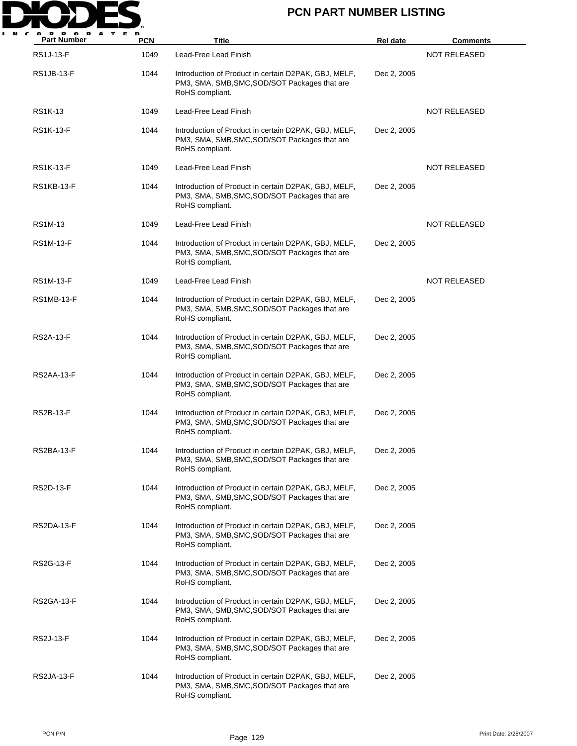

| <b>Part Number</b> | <b>PCN</b> | <b>Title</b>                                                                                                             | Rel date    | <b>Comments</b>     |
|--------------------|------------|--------------------------------------------------------------------------------------------------------------------------|-------------|---------------------|
| <b>RS1J-13-F</b>   | 1049       | Lead-Free Lead Finish                                                                                                    |             | <b>NOT RELEASED</b> |
| <b>RS1JB-13-F</b>  | 1044       | Introduction of Product in certain D2PAK, GBJ, MELF,<br>PM3, SMA, SMB, SMC, SOD/SOT Packages that are<br>RoHS compliant. | Dec 2, 2005 |                     |
| RS1K-13            | 1049       | Lead-Free Lead Finish                                                                                                    |             | <b>NOT RELEASED</b> |
| <b>RS1K-13-F</b>   | 1044       | Introduction of Product in certain D2PAK, GBJ, MELF,<br>PM3, SMA, SMB, SMC, SOD/SOT Packages that are<br>RoHS compliant. | Dec 2, 2005 |                     |
| <b>RS1K-13-F</b>   | 1049       | Lead-Free Lead Finish                                                                                                    |             | <b>NOT RELEASED</b> |
| <b>RS1KB-13-F</b>  | 1044       | Introduction of Product in certain D2PAK, GBJ, MELF,<br>PM3, SMA, SMB, SMC, SOD/SOT Packages that are<br>RoHS compliant. | Dec 2, 2005 |                     |
| RS1M-13            | 1049       | Lead-Free Lead Finish                                                                                                    |             | <b>NOT RELEASED</b> |
| RS1M-13-F          | 1044       | Introduction of Product in certain D2PAK, GBJ, MELF,<br>PM3, SMA, SMB, SMC, SOD/SOT Packages that are<br>RoHS compliant. | Dec 2, 2005 |                     |
| RS1M-13-F          | 1049       | Lead-Free Lead Finish                                                                                                    |             | <b>NOT RELEASED</b> |
| RS1MB-13-F         | 1044       | Introduction of Product in certain D2PAK, GBJ, MELF,<br>PM3, SMA, SMB, SMC, SOD/SOT Packages that are<br>RoHS compliant. | Dec 2, 2005 |                     |
| RS2A-13-F          | 1044       | Introduction of Product in certain D2PAK, GBJ, MELF,<br>PM3, SMA, SMB, SMC, SOD/SOT Packages that are<br>RoHS compliant. | Dec 2, 2005 |                     |
| RS2AA-13-F         | 1044       | Introduction of Product in certain D2PAK, GBJ, MELF,<br>PM3, SMA, SMB, SMC, SOD/SOT Packages that are<br>RoHS compliant. | Dec 2, 2005 |                     |
| <b>RS2B-13-F</b>   | 1044       | Introduction of Product in certain D2PAK, GBJ, MELF,<br>PM3, SMA, SMB, SMC, SOD/SOT Packages that are<br>RoHS compliant. | Dec 2, 2005 |                     |
| RS2BA-13-F         | 1044       | Introduction of Product in certain D2PAK, GBJ, MELF,<br>PM3, SMA, SMB, SMC, SOD/SOT Packages that are<br>RoHS compliant. | Dec 2, 2005 |                     |
| RS2D-13-F          | 1044       | Introduction of Product in certain D2PAK, GBJ, MELF,<br>PM3, SMA, SMB, SMC, SOD/SOT Packages that are<br>RoHS compliant. | Dec 2, 2005 |                     |
| RS2DA-13-F         | 1044       | Introduction of Product in certain D2PAK, GBJ, MELF,<br>PM3, SMA, SMB, SMC, SOD/SOT Packages that are<br>RoHS compliant. | Dec 2, 2005 |                     |
| RS2G-13-F          | 1044       | Introduction of Product in certain D2PAK, GBJ, MELF,<br>PM3, SMA, SMB, SMC, SOD/SOT Packages that are<br>RoHS compliant. | Dec 2, 2005 |                     |
| RS2GA-13-F         | 1044       | Introduction of Product in certain D2PAK, GBJ, MELF,<br>PM3, SMA, SMB, SMC, SOD/SOT Packages that are<br>RoHS compliant. | Dec 2, 2005 |                     |
| <b>RS2J-13-F</b>   | 1044       | Introduction of Product in certain D2PAK, GBJ, MELF,<br>PM3, SMA, SMB, SMC, SOD/SOT Packages that are<br>RoHS compliant. | Dec 2, 2005 |                     |
| RS2JA-13-F         | 1044       | Introduction of Product in certain D2PAK, GBJ, MELF,<br>PM3, SMA, SMB, SMC, SOD/SOT Packages that are<br>RoHS compliant. | Dec 2, 2005 |                     |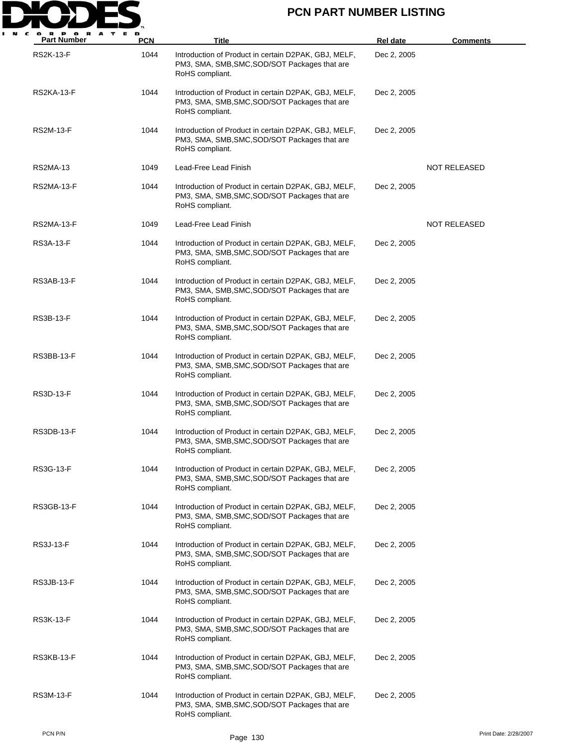

| <b>Part Number</b> | PCN  | Title                                                                                                                    | Rel date    | <b>Comments</b>       |
|--------------------|------|--------------------------------------------------------------------------------------------------------------------------|-------------|-----------------------|
| <b>RS2K-13-F</b>   | 1044 | Introduction of Product in certain D2PAK, GBJ, MELF,<br>PM3, SMA, SMB, SMC, SOD/SOT Packages that are<br>RoHS compliant. | Dec 2, 2005 |                       |
| RS2KA-13-F         | 1044 | Introduction of Product in certain D2PAK, GBJ, MELF,<br>PM3, SMA, SMB, SMC, SOD/SOT Packages that are<br>RoHS compliant. | Dec 2, 2005 |                       |
| RS2M-13-F          | 1044 | Introduction of Product in certain D2PAK, GBJ, MELF,<br>PM3, SMA, SMB, SMC, SOD/SOT Packages that are<br>RoHS compliant. | Dec 2, 2005 |                       |
| RS2MA-13           | 1049 | Lead-Free Lead Finish                                                                                                    |             | <b>NOT RELEASED</b>   |
| RS2MA-13-F         | 1044 | Introduction of Product in certain D2PAK, GBJ, MELF,<br>PM3, SMA, SMB, SMC, SOD/SOT Packages that are<br>RoHS compliant. | Dec 2, 2005 |                       |
| <b>RS2MA-13-F</b>  | 1049 | Lead-Free Lead Finish                                                                                                    |             | <b>NOT RELEASED</b>   |
| RS3A-13-F          | 1044 | Introduction of Product in certain D2PAK, GBJ, MELF,<br>PM3, SMA, SMB, SMC, SOD/SOT Packages that are<br>RoHS compliant. | Dec 2, 2005 |                       |
| RS3AB-13-F         | 1044 | Introduction of Product in certain D2PAK, GBJ, MELF,<br>PM3, SMA, SMB, SMC, SOD/SOT Packages that are<br>RoHS compliant. | Dec 2, 2005 |                       |
| RS3B-13-F          | 1044 | Introduction of Product in certain D2PAK, GBJ, MELF,<br>PM3, SMA, SMB, SMC, SOD/SOT Packages that are<br>RoHS compliant. | Dec 2, 2005 |                       |
| RS3BB-13-F         | 1044 | Introduction of Product in certain D2PAK, GBJ, MELF,<br>PM3, SMA, SMB, SMC, SOD/SOT Packages that are<br>RoHS compliant. | Dec 2, 2005 |                       |
| RS3D-13-F          | 1044 | Introduction of Product in certain D2PAK, GBJ, MELF,<br>PM3, SMA, SMB, SMC, SOD/SOT Packages that are<br>RoHS compliant. | Dec 2, 2005 |                       |
| RS3DB-13-F         | 1044 | Introduction of Product in certain D2PAK, GBJ, MELF,<br>PM3, SMA, SMB, SMC, SOD/SOT Packages that are<br>RoHS compliant. | Dec 2, 2005 |                       |
| RS3G-13-F          | 1044 | Introduction of Product in certain D2PAK, GBJ, MELF,<br>PM3, SMA, SMB, SMC, SOD/SOT Packages that are<br>RoHS compliant. | Dec 2, 2005 |                       |
| RS3GB-13-F         | 1044 | Introduction of Product in certain D2PAK, GBJ, MELF,<br>PM3, SMA, SMB, SMC, SOD/SOT Packages that are<br>RoHS compliant. | Dec 2, 2005 |                       |
| RS3J-13-F          | 1044 | Introduction of Product in certain D2PAK, GBJ, MELF,<br>PM3, SMA, SMB, SMC, SOD/SOT Packages that are<br>RoHS compliant. | Dec 2, 2005 |                       |
| RS3JB-13-F         | 1044 | Introduction of Product in certain D2PAK, GBJ, MELF,<br>PM3, SMA, SMB, SMC, SOD/SOT Packages that are<br>RoHS compliant. | Dec 2, 2005 |                       |
| RS3K-13-F          | 1044 | Introduction of Product in certain D2PAK, GBJ, MELF,<br>PM3, SMA, SMB, SMC, SOD/SOT Packages that are<br>RoHS compliant. | Dec 2, 2005 |                       |
| RS3KB-13-F         | 1044 | Introduction of Product in certain D2PAK, GBJ, MELF,<br>PM3, SMA, SMB, SMC, SOD/SOT Packages that are<br>RoHS compliant. | Dec 2, 2005 |                       |
| RS3M-13-F          | 1044 | Introduction of Product in certain D2PAK, GBJ, MELF,<br>PM3, SMA, SMB, SMC, SOD/SOT Packages that are<br>RoHS compliant. | Dec 2, 2005 |                       |
| PCN P/N            |      | Page 130                                                                                                                 |             | Print Date: 2/28/2007 |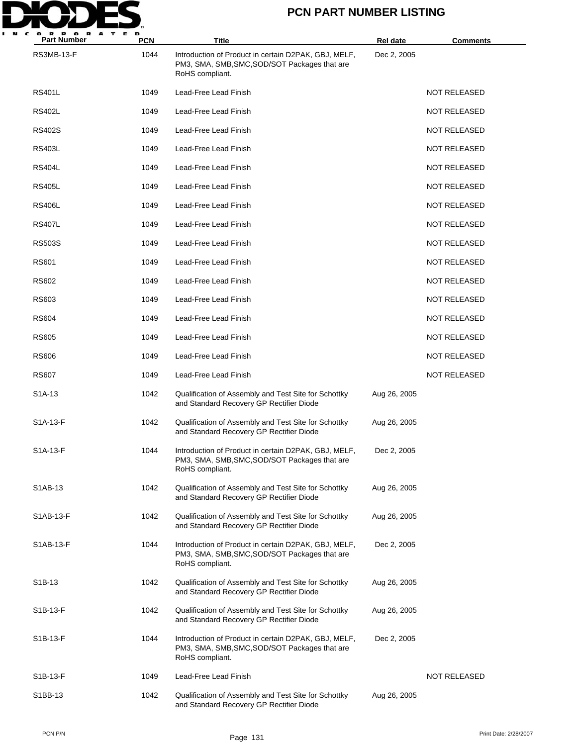

| P OR<br>A<br>т<br>Е<br>R<br><b>Part Number</b> | D<br><b>PCN</b> | <b>Title</b>                                                                                                             | <b>Rel date</b> | <b>Comments</b>     |
|------------------------------------------------|-----------------|--------------------------------------------------------------------------------------------------------------------------|-----------------|---------------------|
| RS3MB-13-F                                     | 1044            | Introduction of Product in certain D2PAK, GBJ, MELF,<br>PM3, SMA, SMB, SMC, SOD/SOT Packages that are<br>RoHS compliant. | Dec 2, 2005     |                     |
| <b>RS401L</b>                                  | 1049            | Lead-Free Lead Finish                                                                                                    |                 | <b>NOT RELEASED</b> |
| <b>RS402L</b>                                  | 1049            | Lead-Free Lead Finish                                                                                                    |                 | <b>NOT RELEASED</b> |
| RS402S                                         | 1049            | Lead-Free Lead Finish                                                                                                    |                 | <b>NOT RELEASED</b> |
| <b>RS403L</b>                                  | 1049            | Lead-Free Lead Finish                                                                                                    |                 | <b>NOT RELEASED</b> |
| <b>RS404L</b>                                  | 1049            | Lead-Free Lead Finish                                                                                                    |                 | <b>NOT RELEASED</b> |
| <b>RS405L</b>                                  | 1049            | Lead-Free Lead Finish                                                                                                    |                 | <b>NOT RELEASED</b> |
| <b>RS406L</b>                                  | 1049            | Lead-Free Lead Finish                                                                                                    |                 | <b>NOT RELEASED</b> |
| <b>RS407L</b>                                  | 1049            | Lead-Free Lead Finish                                                                                                    |                 | <b>NOT RELEASED</b> |
| <b>RS503S</b>                                  | 1049            | Lead-Free Lead Finish                                                                                                    |                 | <b>NOT RELEASED</b> |
| <b>RS601</b>                                   | 1049            | Lead-Free Lead Finish                                                                                                    |                 | <b>NOT RELEASED</b> |
| RS602                                          | 1049            | Lead-Free Lead Finish                                                                                                    |                 | <b>NOT RELEASED</b> |
| RS603                                          | 1049            | Lead-Free Lead Finish                                                                                                    |                 | <b>NOT RELEASED</b> |
| RS604                                          | 1049            | Lead-Free Lead Finish                                                                                                    |                 | <b>NOT RELEASED</b> |
| RS605                                          | 1049            | Lead-Free Lead Finish                                                                                                    |                 | <b>NOT RELEASED</b> |
| <b>RS606</b>                                   | 1049            | Lead-Free Lead Finish                                                                                                    |                 | <b>NOT RELEASED</b> |
| <b>RS607</b>                                   | 1049            | Lead-Free Lead Finish                                                                                                    |                 | <b>NOT RELEASED</b> |
| S1A-13                                         | 1042            | Qualification of Assembly and Test Site for Schottky<br>and Standard Recovery GP Rectifier Diode                         | Aug 26, 2005    |                     |
| S1A-13-F                                       | 1042            | Qualification of Assembly and Test Site for Schottky<br>and Standard Recovery GP Rectifier Diode                         | Aug 26, 2005    |                     |
| S1A-13-F                                       | 1044            | Introduction of Product in certain D2PAK, GBJ, MELF,<br>PM3, SMA, SMB, SMC, SOD/SOT Packages that are<br>RoHS compliant. | Dec 2, 2005     |                     |
| S1AB-13                                        | 1042            | Qualification of Assembly and Test Site for Schottky<br>and Standard Recovery GP Rectifier Diode                         | Aug 26, 2005    |                     |
| S1AB-13-F                                      | 1042            | Qualification of Assembly and Test Site for Schottky<br>and Standard Recovery GP Rectifier Diode                         | Aug 26, 2005    |                     |
| S1AB-13-F                                      | 1044            | Introduction of Product in certain D2PAK, GBJ, MELF,<br>PM3, SMA, SMB, SMC, SOD/SOT Packages that are<br>RoHS compliant. | Dec 2, 2005     |                     |
| S <sub>1</sub> B-13                            | 1042            | Qualification of Assembly and Test Site for Schottky<br>and Standard Recovery GP Rectifier Diode                         | Aug 26, 2005    |                     |
| S1B-13-F                                       | 1042            | Qualification of Assembly and Test Site for Schottky<br>and Standard Recovery GP Rectifier Diode                         | Aug 26, 2005    |                     |
| S1B-13-F                                       | 1044            | Introduction of Product in certain D2PAK, GBJ, MELF,<br>PM3, SMA, SMB, SMC, SOD/SOT Packages that are<br>RoHS compliant. | Dec 2, 2005     |                     |
| S1B-13-F                                       | 1049            | Lead-Free Lead Finish                                                                                                    |                 | <b>NOT RELEASED</b> |
| S1BB-13                                        | 1042            | Qualification of Assembly and Test Site for Schottky<br>and Standard Recovery GP Rectifier Diode                         | Aug 26, 2005    |                     |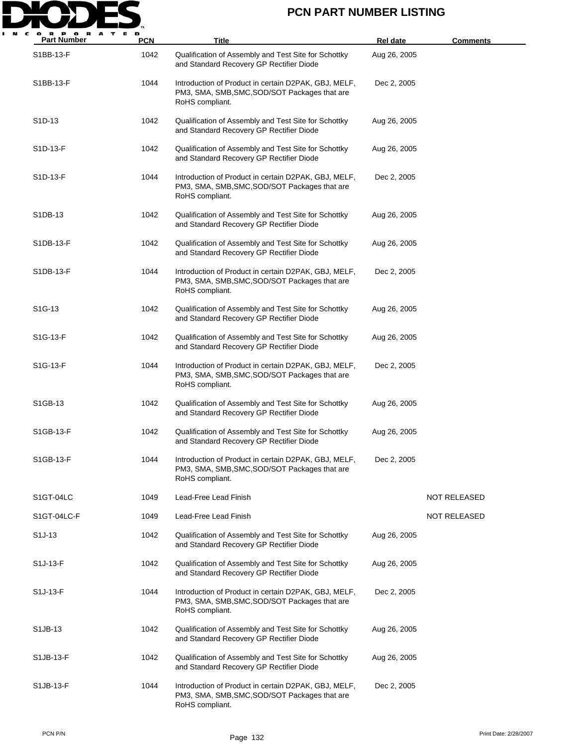

| <b>Part Number</b>    | <b>PCN</b> | <b>Title</b>                                                                                                             | <b>Rel date</b> | <b>Comments</b>     |
|-----------------------|------------|--------------------------------------------------------------------------------------------------------------------------|-----------------|---------------------|
| S1BB-13-F             | 1042       | Qualification of Assembly and Test Site for Schottky<br>and Standard Recovery GP Rectifier Diode                         | Aug 26, 2005    |                     |
| S1BB-13-F             | 1044       | Introduction of Product in certain D2PAK, GBJ, MELF,<br>PM3, SMA, SMB, SMC, SOD/SOT Packages that are<br>RoHS compliant. | Dec 2, 2005     |                     |
| S <sub>1</sub> D-13   | 1042       | Qualification of Assembly and Test Site for Schottky<br>and Standard Recovery GP Rectifier Diode                         | Aug 26, 2005    |                     |
| S1D-13-F              | 1042       | Qualification of Assembly and Test Site for Schottky<br>and Standard Recovery GP Rectifier Diode                         | Aug 26, 2005    |                     |
| S1D-13-F              | 1044       | Introduction of Product in certain D2PAK, GBJ, MELF,<br>PM3, SMA, SMB, SMC, SOD/SOT Packages that are<br>RoHS compliant. | Dec 2, 2005     |                     |
| S1DB-13               | 1042       | Qualification of Assembly and Test Site for Schottky<br>and Standard Recovery GP Rectifier Diode                         | Aug 26, 2005    |                     |
| S1DB-13-F             | 1042       | Qualification of Assembly and Test Site for Schottky<br>and Standard Recovery GP Rectifier Diode                         | Aug 26, 2005    |                     |
| S1DB-13-F             | 1044       | Introduction of Product in certain D2PAK, GBJ, MELF,<br>PM3, SMA, SMB, SMC, SOD/SOT Packages that are<br>RoHS compliant. | Dec 2, 2005     |                     |
| S <sub>1</sub> G-13   | 1042       | Qualification of Assembly and Test Site for Schottky<br>and Standard Recovery GP Rectifier Diode                         | Aug 26, 2005    |                     |
| S <sub>1</sub> G-13-F | 1042       | Qualification of Assembly and Test Site for Schottky<br>and Standard Recovery GP Rectifier Diode                         | Aug 26, 2005    |                     |
| S1G-13-F              | 1044       | Introduction of Product in certain D2PAK, GBJ, MELF,<br>PM3, SMA, SMB, SMC, SOD/SOT Packages that are<br>RoHS compliant. | Dec 2, 2005     |                     |
| S1GB-13               | 1042       | Qualification of Assembly and Test Site for Schottky<br>and Standard Recovery GP Rectifier Diode                         | Aug 26, 2005    |                     |
| S1GB-13-F             | 1042       | Qualification of Assembly and Test Site for Schottky<br>and Standard Recovery GP Rectifier Diode                         | Aug 26, 2005    |                     |
| S1GB-13-F             | 1044       | Introduction of Product in certain D2PAK, GBJ, MELF,<br>PM3, SMA, SMB, SMC, SOD/SOT Packages that are<br>RoHS compliant. | Dec 2, 2005     |                     |
| S1GT-04LC             | 1049       | Lead-Free Lead Finish                                                                                                    |                 | NOT RELEASED        |
| S1GT-04LC-F           | 1049       | Lead-Free Lead Finish                                                                                                    |                 | <b>NOT RELEASED</b> |
| S <sub>1</sub> J-13   | 1042       | Qualification of Assembly and Test Site for Schottky<br>and Standard Recovery GP Rectifier Diode                         | Aug 26, 2005    |                     |
| S1J-13-F              | 1042       | Qualification of Assembly and Test Site for Schottky<br>and Standard Recovery GP Rectifier Diode                         | Aug 26, 2005    |                     |
| S <sub>1</sub> J-13-F | 1044       | Introduction of Product in certain D2PAK, GBJ, MELF,<br>PM3, SMA, SMB, SMC, SOD/SOT Packages that are<br>RoHS compliant. | Dec 2, 2005     |                     |
| S1JB-13               | 1042       | Qualification of Assembly and Test Site for Schottky<br>and Standard Recovery GP Rectifier Diode                         | Aug 26, 2005    |                     |
| S1JB-13-F             | 1042       | Qualification of Assembly and Test Site for Schottky<br>and Standard Recovery GP Rectifier Diode                         | Aug 26, 2005    |                     |
| S1JB-13-F             | 1044       | Introduction of Product in certain D2PAK, GBJ, MELF,<br>PM3, SMA, SMB, SMC, SOD/SOT Packages that are<br>RoHS compliant. | Dec 2, 2005     |                     |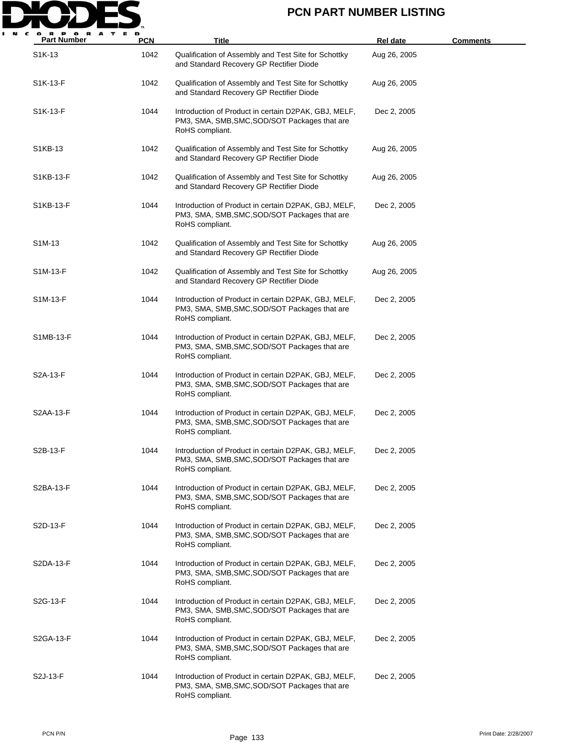

| <b>Part Number</b>    | <b>PCN</b> | Title                                                                                                                    | <b>Rel date</b> | <b>Comments</b> |
|-----------------------|------------|--------------------------------------------------------------------------------------------------------------------------|-----------------|-----------------|
| S <sub>1</sub> K-13   | 1042       | Qualification of Assembly and Test Site for Schottky<br>and Standard Recovery GP Rectifier Diode                         | Aug 26, 2005    |                 |
| S1K-13-F              | 1042       | Qualification of Assembly and Test Site for Schottky<br>and Standard Recovery GP Rectifier Diode                         | Aug 26, 2005    |                 |
| S1K-13-F              | 1044       | Introduction of Product in certain D2PAK, GBJ, MELF,<br>PM3, SMA, SMB, SMC, SOD/SOT Packages that are<br>RoHS compliant. | Dec 2, 2005     |                 |
| S1KB-13               | 1042       | Qualification of Assembly and Test Site for Schottky<br>and Standard Recovery GP Rectifier Diode                         | Aug 26, 2005    |                 |
| S1KB-13-F             | 1042       | Qualification of Assembly and Test Site for Schottky<br>and Standard Recovery GP Rectifier Diode                         | Aug 26, 2005    |                 |
| S1KB-13-F             | 1044       | Introduction of Product in certain D2PAK, GBJ, MELF,<br>PM3, SMA, SMB, SMC, SOD/SOT Packages that are<br>RoHS compliant. | Dec 2, 2005     |                 |
| S <sub>1</sub> M-13   | 1042       | Qualification of Assembly and Test Site for Schottky<br>and Standard Recovery GP Rectifier Diode                         | Aug 26, 2005    |                 |
| S1M-13-F              | 1042       | Qualification of Assembly and Test Site for Schottky<br>and Standard Recovery GP Rectifier Diode                         | Aug 26, 2005    |                 |
| S1M-13-F              | 1044       | Introduction of Product in certain D2PAK, GBJ, MELF,<br>PM3, SMA, SMB, SMC, SOD/SOT Packages that are<br>RoHS compliant. | Dec 2, 2005     |                 |
| S1MB-13-F             | 1044       | Introduction of Product in certain D2PAK, GBJ, MELF,<br>PM3, SMA, SMB, SMC, SOD/SOT Packages that are<br>RoHS compliant. | Dec 2, 2005     |                 |
| S2A-13-F              | 1044       | Introduction of Product in certain D2PAK, GBJ, MELF,<br>PM3, SMA, SMB, SMC, SOD/SOT Packages that are<br>RoHS compliant. | Dec 2, 2005     |                 |
| S2AA-13-F             | 1044       | Introduction of Product in certain D2PAK, GBJ, MELF,<br>PM3, SMA, SMB, SMC, SOD/SOT Packages that are<br>RoHS compliant. | Dec 2, 2005     |                 |
| S2B-13-F              | 1044       | Introduction of Product in certain D2PAK, GBJ, MELF,<br>PM3, SMA, SMB, SMC, SOD/SOT Packages that are<br>RoHS compliant. | Dec 2, 2005     |                 |
| S2BA-13-F             | 1044       | Introduction of Product in certain D2PAK, GBJ, MELF,<br>PM3, SMA, SMB, SMC, SOD/SOT Packages that are<br>RoHS compliant. | Dec 2, 2005     |                 |
| S2D-13-F              | 1044       | Introduction of Product in certain D2PAK, GBJ, MELF,<br>PM3, SMA, SMB, SMC, SOD/SOT Packages that are<br>RoHS compliant. | Dec 2, 2005     |                 |
| S2DA-13-F             | 1044       | Introduction of Product in certain D2PAK, GBJ, MELF,<br>PM3, SMA, SMB, SMC, SOD/SOT Packages that are<br>RoHS compliant. | Dec 2, 2005     |                 |
| S2G-13-F              | 1044       | Introduction of Product in certain D2PAK, GBJ, MELF,<br>PM3, SMA, SMB, SMC, SOD/SOT Packages that are<br>RoHS compliant. | Dec 2, 2005     |                 |
| S2GA-13-F             | 1044       | Introduction of Product in certain D2PAK, GBJ, MELF,<br>PM3, SMA, SMB, SMC, SOD/SOT Packages that are<br>RoHS compliant. | Dec 2, 2005     |                 |
| S <sub>2</sub> J-13-F | 1044       | Introduction of Product in certain D2PAK, GBJ, MELF,<br>PM3, SMA, SMB, SMC, SOD/SOT Packages that are<br>RoHS compliant. | Dec 2, 2005     |                 |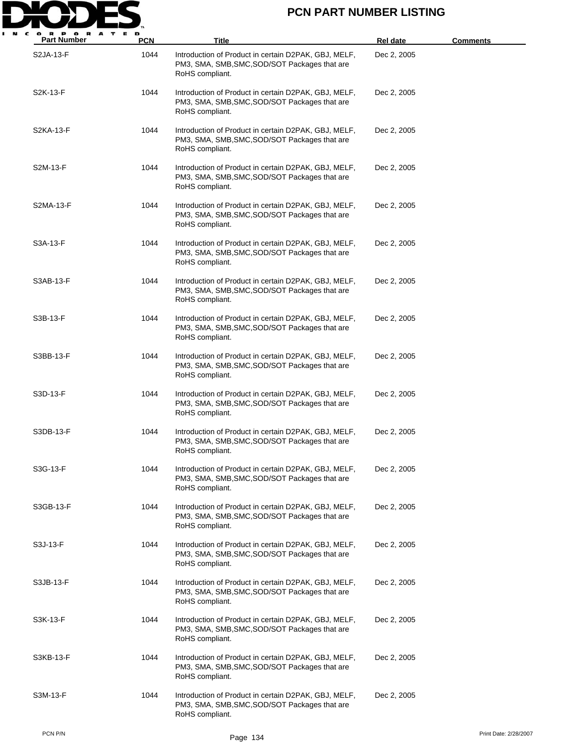

| <b>Part Number</b> | PCN  | Title                                                                                                                    | Rel date    | <b>Comments</b>       |
|--------------------|------|--------------------------------------------------------------------------------------------------------------------------|-------------|-----------------------|
| S2JA-13-F          | 1044 | Introduction of Product in certain D2PAK, GBJ, MELF,<br>PM3, SMA, SMB, SMC, SOD/SOT Packages that are<br>RoHS compliant. | Dec 2, 2005 |                       |
| S2K-13-F           | 1044 | Introduction of Product in certain D2PAK, GBJ, MELF,<br>PM3, SMA, SMB, SMC, SOD/SOT Packages that are<br>RoHS compliant. | Dec 2, 2005 |                       |
| S2KA-13-F          | 1044 | Introduction of Product in certain D2PAK, GBJ, MELF,<br>PM3, SMA, SMB, SMC, SOD/SOT Packages that are<br>RoHS compliant. | Dec 2, 2005 |                       |
| S2M-13-F           | 1044 | Introduction of Product in certain D2PAK, GBJ, MELF,<br>PM3, SMA, SMB, SMC, SOD/SOT Packages that are<br>RoHS compliant. | Dec 2, 2005 |                       |
| S2MA-13-F          | 1044 | Introduction of Product in certain D2PAK, GBJ, MELF,<br>PM3, SMA, SMB, SMC, SOD/SOT Packages that are<br>RoHS compliant. | Dec 2, 2005 |                       |
| S3A-13-F           | 1044 | Introduction of Product in certain D2PAK, GBJ, MELF,<br>PM3, SMA, SMB, SMC, SOD/SOT Packages that are<br>RoHS compliant. | Dec 2, 2005 |                       |
| S3AB-13-F          | 1044 | Introduction of Product in certain D2PAK, GBJ, MELF,<br>PM3, SMA, SMB, SMC, SOD/SOT Packages that are<br>RoHS compliant. | Dec 2, 2005 |                       |
| S3B-13-F           | 1044 | Introduction of Product in certain D2PAK, GBJ, MELF,<br>PM3, SMA, SMB, SMC, SOD/SOT Packages that are<br>RoHS compliant. | Dec 2, 2005 |                       |
| S3BB-13-F          | 1044 | Introduction of Product in certain D2PAK, GBJ, MELF,<br>PM3, SMA, SMB, SMC, SOD/SOT Packages that are<br>RoHS compliant. | Dec 2, 2005 |                       |
| S3D-13-F           | 1044 | Introduction of Product in certain D2PAK, GBJ, MELF,<br>PM3, SMA, SMB, SMC, SOD/SOT Packages that are<br>RoHS compliant. | Dec 2, 2005 |                       |
| S3DB-13-F          | 1044 | Introduction of Product in certain D2PAK, GBJ, MELF,<br>PM3, SMA, SMB, SMC, SOD/SOT Packages that are<br>RoHS compliant. | Dec 2, 2005 |                       |
| S3G-13-F           | 1044 | Introduction of Product in certain D2PAK, GBJ, MELF,<br>PM3, SMA, SMB, SMC, SOD/SOT Packages that are<br>RoHS compliant. | Dec 2, 2005 |                       |
| S3GB-13-F          | 1044 | Introduction of Product in certain D2PAK, GBJ, MELF,<br>PM3, SMA, SMB, SMC, SOD/SOT Packages that are<br>RoHS compliant. | Dec 2, 2005 |                       |
| S3J-13-F           | 1044 | Introduction of Product in certain D2PAK, GBJ, MELF,<br>PM3, SMA, SMB, SMC, SOD/SOT Packages that are<br>RoHS compliant. | Dec 2, 2005 |                       |
| S3JB-13-F          | 1044 | Introduction of Product in certain D2PAK, GBJ, MELF,<br>PM3, SMA, SMB, SMC, SOD/SOT Packages that are<br>RoHS compliant. | Dec 2, 2005 |                       |
| S3K-13-F           | 1044 | Introduction of Product in certain D2PAK, GBJ, MELF,<br>PM3, SMA, SMB, SMC, SOD/SOT Packages that are<br>RoHS compliant. | Dec 2, 2005 |                       |
| S3KB-13-F          | 1044 | Introduction of Product in certain D2PAK, GBJ, MELF,<br>PM3, SMA, SMB, SMC, SOD/SOT Packages that are<br>RoHS compliant. | Dec 2, 2005 |                       |
| S3M-13-F           | 1044 | Introduction of Product in certain D2PAK, GBJ, MELF,<br>PM3, SMA, SMB, SMC, SOD/SOT Packages that are<br>RoHS compliant. | Dec 2, 2005 |                       |
| PCN P/N            |      | Page 134                                                                                                                 |             | Print Date: 2/28/2007 |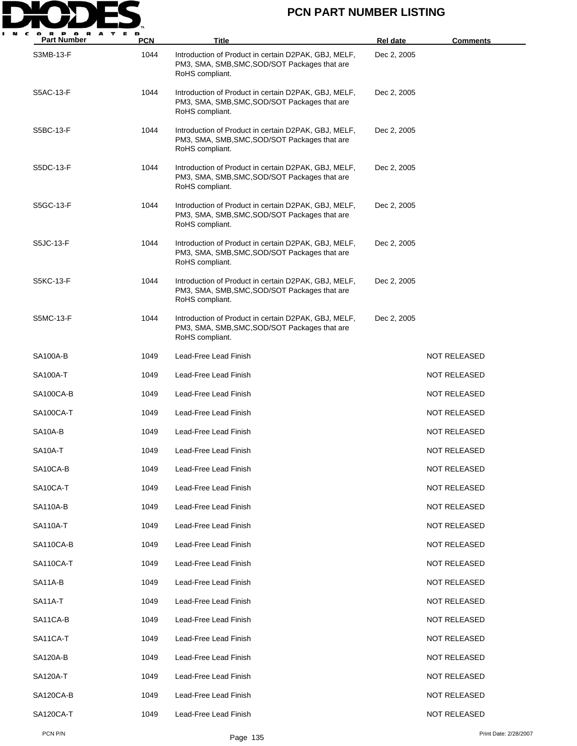

| <b>Part Number</b>   | <b>PCN</b> | Title                                                                                                                    | <b>Rel date</b> | <b>Comments</b>     |
|----------------------|------------|--------------------------------------------------------------------------------------------------------------------------|-----------------|---------------------|
| S3MB-13-F            | 1044       | Introduction of Product in certain D2PAK, GBJ, MELF,<br>PM3, SMA, SMB, SMC, SOD/SOT Packages that are<br>RoHS compliant. | Dec 2, 2005     |                     |
| S5AC-13-F            | 1044       | Introduction of Product in certain D2PAK, GBJ, MELF,<br>PM3, SMA, SMB, SMC, SOD/SOT Packages that are<br>RoHS compliant. | Dec 2, 2005     |                     |
| S5BC-13-F            | 1044       | Introduction of Product in certain D2PAK, GBJ, MELF,<br>PM3, SMA, SMB, SMC, SOD/SOT Packages that are<br>RoHS compliant. | Dec 2, 2005     |                     |
| S5DC-13-F            | 1044       | Introduction of Product in certain D2PAK, GBJ, MELF,<br>PM3, SMA, SMB, SMC, SOD/SOT Packages that are<br>RoHS compliant. | Dec 2, 2005     |                     |
| S5GC-13-F            | 1044       | Introduction of Product in certain D2PAK, GBJ, MELF,<br>PM3, SMA, SMB, SMC, SOD/SOT Packages that are<br>RoHS compliant. | Dec 2, 2005     |                     |
| S5JC-13-F            | 1044       | Introduction of Product in certain D2PAK, GBJ, MELF,<br>PM3, SMA, SMB, SMC, SOD/SOT Packages that are<br>RoHS compliant. | Dec 2, 2005     |                     |
| S5KC-13-F            | 1044       | Introduction of Product in certain D2PAK, GBJ, MELF,<br>PM3, SMA, SMB, SMC, SOD/SOT Packages that are<br>RoHS compliant. | Dec 2, 2005     |                     |
| S5MC-13-F            | 1044       | Introduction of Product in certain D2PAK, GBJ, MELF,<br>PM3, SMA, SMB, SMC, SOD/SOT Packages that are<br>RoHS compliant. | Dec 2, 2005     |                     |
| <b>SA100A-B</b>      | 1049       | Lead-Free Lead Finish                                                                                                    |                 | NOT RELEASED        |
| SA100A-T             | 1049       | Lead-Free Lead Finish                                                                                                    |                 | NOT RELEASED        |
| SA100CA-B            | 1049       | Lead-Free Lead Finish                                                                                                    |                 | NOT RELEASED        |
| SA100CA-T            | 1049       | Lead-Free Lead Finish                                                                                                    |                 | <b>NOT RELEASED</b> |
| SA10A-B              | 1049       | Lead-Free Lead Finish                                                                                                    |                 | NOT RELEASED        |
| SA <sub>10</sub> A-T | 1049       | Lead-Free Lead Finish                                                                                                    |                 | NOT RELEASED        |
| SA10CA-B             | 1049       | Lead-Free Lead Finish                                                                                                    |                 | <b>NOT RELEASED</b> |
| SA10CA-T             | 1049       | Lead-Free Lead Finish                                                                                                    |                 | <b>NOT RELEASED</b> |
| <b>SA110A-B</b>      | 1049       | Lead-Free Lead Finish                                                                                                    |                 | <b>NOT RELEASED</b> |
| <b>SA110A-T</b>      | 1049       | Lead-Free Lead Finish                                                                                                    |                 | <b>NOT RELEASED</b> |
| SA110CA-B            | 1049       | Lead-Free Lead Finish                                                                                                    |                 | <b>NOT RELEASED</b> |
| SA110CA-T            | 1049       | Lead-Free Lead Finish                                                                                                    |                 | <b>NOT RELEASED</b> |
| SA11A-B              | 1049       | Lead-Free Lead Finish                                                                                                    |                 | <b>NOT RELEASED</b> |
| <b>SA11A-T</b>       | 1049       | Lead-Free Lead Finish                                                                                                    |                 | <b>NOT RELEASED</b> |
| SA11CA-B             | 1049       | Lead-Free Lead Finish                                                                                                    |                 | <b>NOT RELEASED</b> |
| SA11CA-T             | 1049       | Lead-Free Lead Finish                                                                                                    |                 | <b>NOT RELEASED</b> |
| SA120A-B             | 1049       | Lead-Free Lead Finish                                                                                                    |                 | <b>NOT RELEASED</b> |
| SA120A-T             | 1049       | Lead-Free Lead Finish                                                                                                    |                 | <b>NOT RELEASED</b> |
| SA120CA-B            | 1049       | Lead-Free Lead Finish                                                                                                    |                 | <b>NOT RELEASED</b> |
| SA120CA-T            | 1049       | Lead-Free Lead Finish                                                                                                    |                 | <b>NOT RELEASED</b> |
|                      |            |                                                                                                                          |                 |                     |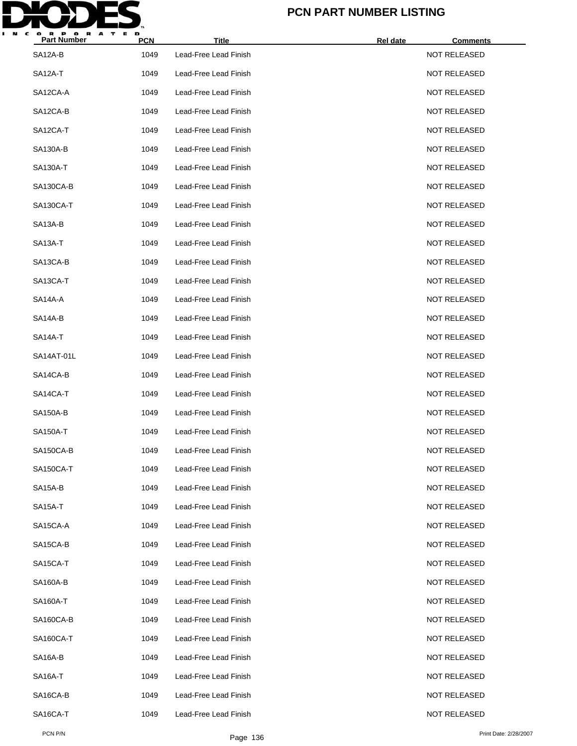

| <b>Part Number</b>    | <b>PCN</b> | <b>Title</b>          | Rel date | <b>Comments</b>     |
|-----------------------|------------|-----------------------|----------|---------------------|
| SA12A-B               | 1049       | Lead-Free Lead Finish |          | <b>NOT RELEASED</b> |
| <b>SA12A-T</b>        | 1049       | Lead-Free Lead Finish |          | <b>NOT RELEASED</b> |
| SA12CA-A              | 1049       | Lead-Free Lead Finish |          | <b>NOT RELEASED</b> |
| SA12CA-B              | 1049       | Lead-Free Lead Finish |          | <b>NOT RELEASED</b> |
| SA12CA-T              | 1049       | Lead-Free Lead Finish |          | <b>NOT RELEASED</b> |
| <b>SA130A-B</b>       | 1049       | Lead-Free Lead Finish |          | <b>NOT RELEASED</b> |
| SA130A-T              | 1049       | Lead-Free Lead Finish |          | <b>NOT RELEASED</b> |
| SA130CA-B             | 1049       | Lead-Free Lead Finish |          | <b>NOT RELEASED</b> |
| SA130CA-T             | 1049       | Lead-Free Lead Finish |          | <b>NOT RELEASED</b> |
| SA <sub>13</sub> A-B  | 1049       | Lead-Free Lead Finish |          | <b>NOT RELEASED</b> |
| SA <sub>13</sub> A-T  | 1049       | Lead-Free Lead Finish |          | <b>NOT RELEASED</b> |
| SA13CA-B              | 1049       | Lead-Free Lead Finish |          | <b>NOT RELEASED</b> |
| SA <sub>13</sub> CA-T | 1049       | Lead-Free Lead Finish |          | <b>NOT RELEASED</b> |
| SA14A-A               | 1049       | Lead-Free Lead Finish |          | <b>NOT RELEASED</b> |
| SA14A-B               | 1049       | Lead-Free Lead Finish |          | <b>NOT RELEASED</b> |
| SA14A-T               | 1049       | Lead-Free Lead Finish |          | <b>NOT RELEASED</b> |
| SA14AT-01L            | 1049       | Lead-Free Lead Finish |          | <b>NOT RELEASED</b> |
| SA14CA-B              | 1049       | Lead-Free Lead Finish |          | <b>NOT RELEASED</b> |
| SA14CA-T              | 1049       | Lead-Free Lead Finish |          | <b>NOT RELEASED</b> |
| <b>SA150A-B</b>       | 1049       | Lead-Free Lead Finish |          | <b>NOT RELEASED</b> |
| <b>SA150A-T</b>       | 1049       | Lead-Free Lead Finish |          | <b>NOT RELEASED</b> |
| SA150CA-B             | 1049       | Lead-Free Lead Finish |          | <b>NOT RELEASED</b> |
| SA150CA-T             | 1049       | Lead-Free Lead Finish |          | <b>NOT RELEASED</b> |
| SA15A-B               | 1049       | Lead-Free Lead Finish |          | <b>NOT RELEASED</b> |
| <b>SA15A-T</b>        | 1049       | Lead-Free Lead Finish |          | <b>NOT RELEASED</b> |
| SA15CA-A              | 1049       | Lead-Free Lead Finish |          | <b>NOT RELEASED</b> |
| SA15CA-B              | 1049       | Lead-Free Lead Finish |          | <b>NOT RELEASED</b> |
| SA15CA-T              | 1049       | Lead-Free Lead Finish |          | <b>NOT RELEASED</b> |
| SA160A-B              | 1049       | Lead-Free Lead Finish |          | <b>NOT RELEASED</b> |
| SA160A-T              | 1049       | Lead-Free Lead Finish |          | <b>NOT RELEASED</b> |
| SA160CA-B             | 1049       | Lead-Free Lead Finish |          | <b>NOT RELEASED</b> |
| SA160CA-T             | 1049       | Lead-Free Lead Finish |          | <b>NOT RELEASED</b> |
| SA <sub>16</sub> A-B  | 1049       | Lead-Free Lead Finish |          | <b>NOT RELEASED</b> |
| SA <sub>16</sub> A-T  | 1049       | Lead-Free Lead Finish |          | <b>NOT RELEASED</b> |
| SA16CA-B              | 1049       | Lead-Free Lead Finish |          | <b>NOT RELEASED</b> |
| SA16CA-T              | 1049       | Lead-Free Lead Finish |          | <b>NOT RELEASED</b> |
|                       |            |                       |          |                     |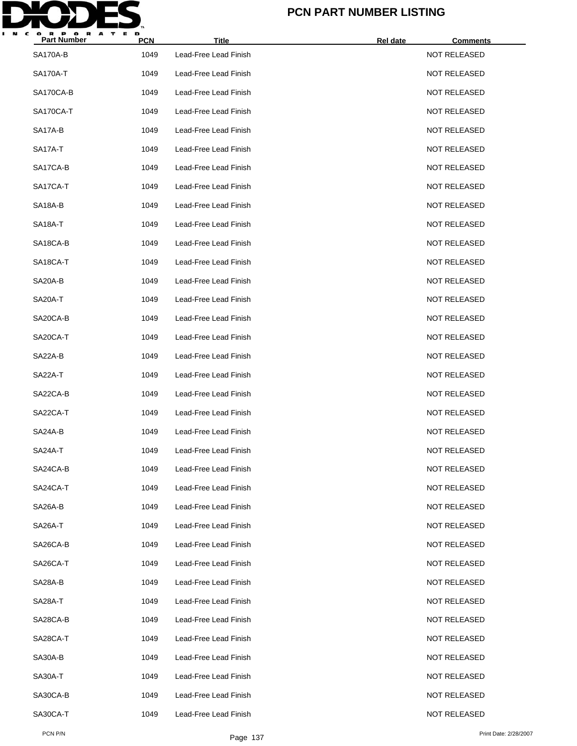

| <b>Part Number</b> | <b>PCN</b> | <b>Title</b>          | Rel date | <b>Comments</b>     |  |
|--------------------|------------|-----------------------|----------|---------------------|--|
| <b>SA170A-B</b>    | 1049       | Lead-Free Lead Finish |          | <b>NOT RELEASED</b> |  |
| <b>SA170A-T</b>    | 1049       | Lead-Free Lead Finish |          | <b>NOT RELEASED</b> |  |
| SA170CA-B          | 1049       | Lead-Free Lead Finish |          | <b>NOT RELEASED</b> |  |
| SA170CA-T          | 1049       | Lead-Free Lead Finish |          | <b>NOT RELEASED</b> |  |
| SA17A-B            | 1049       | Lead-Free Lead Finish |          | <b>NOT RELEASED</b> |  |
| SA17A-T            | 1049       | Lead-Free Lead Finish |          | <b>NOT RELEASED</b> |  |
| SA17CA-B           | 1049       | Lead-Free Lead Finish |          | <b>NOT RELEASED</b> |  |
| SA17CA-T           | 1049       | Lead-Free Lead Finish |          | <b>NOT RELEASED</b> |  |
| SA18A-B            | 1049       | Lead-Free Lead Finish |          | <b>NOT RELEASED</b> |  |
| SA18A-T            | 1049       | Lead-Free Lead Finish |          | <b>NOT RELEASED</b> |  |
| SA18CA-B           | 1049       | Lead-Free Lead Finish |          | <b>NOT RELEASED</b> |  |
| SA18CA-T           | 1049       | Lead-Free Lead Finish |          | <b>NOT RELEASED</b> |  |
| SA20A-B            | 1049       | Lead-Free Lead Finish |          | <b>NOT RELEASED</b> |  |
| SA20A-T            | 1049       | Lead-Free Lead Finish |          | <b>NOT RELEASED</b> |  |
| SA20CA-B           | 1049       | Lead-Free Lead Finish |          | <b>NOT RELEASED</b> |  |
| SA20CA-T           | 1049       | Lead-Free Lead Finish |          | <b>NOT RELEASED</b> |  |
| SA22A-B            | 1049       | Lead-Free Lead Finish |          | <b>NOT RELEASED</b> |  |
| SA22A-T            | 1049       | Lead-Free Lead Finish |          | <b>NOT RELEASED</b> |  |
| SA22CA-B           | 1049       | Lead-Free Lead Finish |          | <b>NOT RELEASED</b> |  |
| SA22CA-T           | 1049       | Lead-Free Lead Finish |          | <b>NOT RELEASED</b> |  |
| SA24A-B            | 1049       | Lead-Free Lead Finish |          | <b>NOT RELEASED</b> |  |
| SA24A-T            | 1049       | Lead-Free Lead Finish |          | <b>NOT RELEASED</b> |  |
| SA24CA-B           | 1049       | Lead-Free Lead Finish |          | <b>NOT RELEASED</b> |  |
| SA24CA-T           | 1049       | Lead-Free Lead Finish |          | <b>NOT RELEASED</b> |  |
| SA26A-B            | 1049       | Lead-Free Lead Finish |          | <b>NOT RELEASED</b> |  |
| SA26A-T            | 1049       | Lead-Free Lead Finish |          | <b>NOT RELEASED</b> |  |
| SA26CA-B           | 1049       | Lead-Free Lead Finish |          | <b>NOT RELEASED</b> |  |
| SA26CA-T           | 1049       | Lead-Free Lead Finish |          | <b>NOT RELEASED</b> |  |
| SA28A-B            | 1049       | Lead-Free Lead Finish |          | <b>NOT RELEASED</b> |  |
| SA28A-T            | 1049       | Lead-Free Lead Finish |          | <b>NOT RELEASED</b> |  |
| SA28CA-B           | 1049       | Lead-Free Lead Finish |          | <b>NOT RELEASED</b> |  |
| SA28CA-T           | 1049       | Lead-Free Lead Finish |          | <b>NOT RELEASED</b> |  |
| SA30A-B            | 1049       | Lead-Free Lead Finish |          | <b>NOT RELEASED</b> |  |
| SA30A-T            | 1049       | Lead-Free Lead Finish |          | <b>NOT RELEASED</b> |  |
| SA30CA-B           | 1049       | Lead-Free Lead Finish |          | <b>NOT RELEASED</b> |  |
| SA30CA-T           | 1049       | Lead-Free Lead Finish |          | <b>NOT RELEASED</b> |  |
|                    |            |                       |          |                     |  |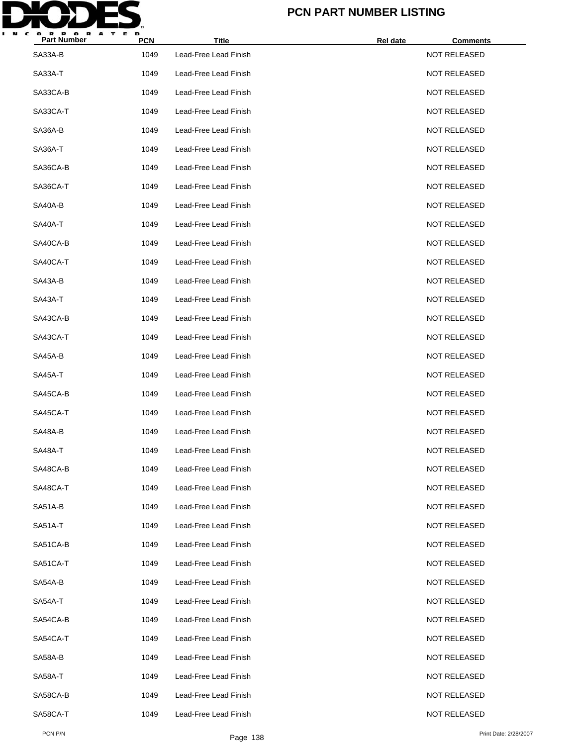

| <b>Part Number</b> | <b>PCN</b> | <b>Title</b>          | Rel date<br><b>Comments</b> |  |
|--------------------|------------|-----------------------|-----------------------------|--|
| SA33A-B            | 1049       | Lead-Free Lead Finish | <b>NOT RELEASED</b>         |  |
| SA33A-T            | 1049       | Lead-Free Lead Finish | <b>NOT RELEASED</b>         |  |
| SA33CA-B           | 1049       | Lead-Free Lead Finish | <b>NOT RELEASED</b>         |  |
| SA33CA-T           | 1049       | Lead-Free Lead Finish | <b>NOT RELEASED</b>         |  |
| SA36A-B            | 1049       | Lead-Free Lead Finish | <b>NOT RELEASED</b>         |  |
| SA36A-T            | 1049       | Lead-Free Lead Finish | <b>NOT RELEASED</b>         |  |
| SA36CA-B           | 1049       | Lead-Free Lead Finish | <b>NOT RELEASED</b>         |  |
| SA36CA-T           | 1049       | Lead-Free Lead Finish | <b>NOT RELEASED</b>         |  |
| SA40A-B            | 1049       | Lead-Free Lead Finish | <b>NOT RELEASED</b>         |  |
| SA40A-T            | 1049       | Lead-Free Lead Finish | <b>NOT RELEASED</b>         |  |
| SA40CA-B           | 1049       | Lead-Free Lead Finish | <b>NOT RELEASED</b>         |  |
| SA40CA-T           | 1049       | Lead-Free Lead Finish | <b>NOT RELEASED</b>         |  |
| SA43A-B            | 1049       | Lead-Free Lead Finish | <b>NOT RELEASED</b>         |  |
| SA43A-T            | 1049       | Lead-Free Lead Finish | <b>NOT RELEASED</b>         |  |
| SA43CA-B           | 1049       | Lead-Free Lead Finish | <b>NOT RELEASED</b>         |  |
| SA43CA-T           | 1049       | Lead-Free Lead Finish | <b>NOT RELEASED</b>         |  |
| SA45A-B            | 1049       | Lead-Free Lead Finish | <b>NOT RELEASED</b>         |  |
| SA45A-T            | 1049       | Lead-Free Lead Finish | <b>NOT RELEASED</b>         |  |
| SA45CA-B           | 1049       | Lead-Free Lead Finish | <b>NOT RELEASED</b>         |  |
| SA45CA-T           | 1049       | Lead-Free Lead Finish | <b>NOT RELEASED</b>         |  |
| SA48A-B            | 1049       | Lead-Free Lead Finish | <b>NOT RELEASED</b>         |  |
| SA48A-T            | 1049       | Lead-Free Lead Finish | <b>NOT RELEASED</b>         |  |
| SA48CA-B           | 1049       | Lead-Free Lead Finish | <b>NOT RELEASED</b>         |  |
| SA48CA-T           | 1049       | Lead-Free Lead Finish | <b>NOT RELEASED</b>         |  |
| SA51A-B            | 1049       | Lead-Free Lead Finish | <b>NOT RELEASED</b>         |  |
| SA51A-T            | 1049       | Lead-Free Lead Finish | <b>NOT RELEASED</b>         |  |
| SA51CA-B           | 1049       | Lead-Free Lead Finish | <b>NOT RELEASED</b>         |  |
| SA51CA-T           | 1049       | Lead-Free Lead Finish | <b>NOT RELEASED</b>         |  |
| SA54A-B            | 1049       | Lead-Free Lead Finish | <b>NOT RELEASED</b>         |  |
| SA54A-T            | 1049       | Lead-Free Lead Finish | <b>NOT RELEASED</b>         |  |
| SA54CA-B           | 1049       | Lead-Free Lead Finish | <b>NOT RELEASED</b>         |  |
| SA54CA-T           | 1049       | Lead-Free Lead Finish | <b>NOT RELEASED</b>         |  |
| SA58A-B            | 1049       | Lead-Free Lead Finish | <b>NOT RELEASED</b>         |  |
| SA58A-T            | 1049       | Lead-Free Lead Finish | <b>NOT RELEASED</b>         |  |
| SA58CA-B           | 1049       | Lead-Free Lead Finish | <b>NOT RELEASED</b>         |  |
| SA58CA-T           | 1049       | Lead-Free Lead Finish | <b>NOT RELEASED</b>         |  |
|                    |            |                       |                             |  |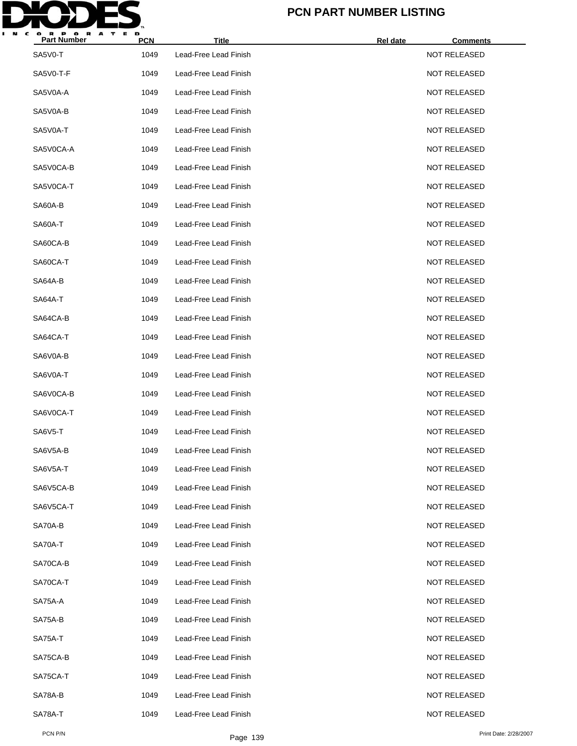

| <b>Part Number</b> | <b>PCN</b> | <b>Title</b>          | Rel date<br><b>Comments</b> |  |
|--------------------|------------|-----------------------|-----------------------------|--|
| SA5V0-T            | 1049       | Lead-Free Lead Finish | <b>NOT RELEASED</b>         |  |
| SA5V0-T-F          | 1049       | Lead-Free Lead Finish | <b>NOT RELEASED</b>         |  |
| SA5V0A-A           | 1049       | Lead-Free Lead Finish | <b>NOT RELEASED</b>         |  |
| SA5V0A-B           | 1049       | Lead-Free Lead Finish | <b>NOT RELEASED</b>         |  |
| SA5V0A-T           | 1049       | Lead-Free Lead Finish | <b>NOT RELEASED</b>         |  |
| SA5V0CA-A          | 1049       | Lead-Free Lead Finish | <b>NOT RELEASED</b>         |  |
| SA5V0CA-B          | 1049       | Lead-Free Lead Finish | <b>NOT RELEASED</b>         |  |
| SA5V0CA-T          | 1049       | Lead-Free Lead Finish | <b>NOT RELEASED</b>         |  |
| SA60A-B            | 1049       | Lead-Free Lead Finish | <b>NOT RELEASED</b>         |  |
| SA60A-T            | 1049       | Lead-Free Lead Finish | <b>NOT RELEASED</b>         |  |
| SA60CA-B           | 1049       | Lead-Free Lead Finish | <b>NOT RELEASED</b>         |  |
| SA60CA-T           | 1049       | Lead-Free Lead Finish | <b>NOT RELEASED</b>         |  |
| SA64A-B            | 1049       | Lead-Free Lead Finish | <b>NOT RELEASED</b>         |  |
| SA64A-T            | 1049       | Lead-Free Lead Finish | <b>NOT RELEASED</b>         |  |
| SA64CA-B           | 1049       | Lead-Free Lead Finish | <b>NOT RELEASED</b>         |  |
| SA64CA-T           | 1049       | Lead-Free Lead Finish | <b>NOT RELEASED</b>         |  |
| SA6V0A-B           | 1049       | Lead-Free Lead Finish | <b>NOT RELEASED</b>         |  |
| SA6V0A-T           | 1049       | Lead-Free Lead Finish | <b>NOT RELEASED</b>         |  |
| SA6V0CA-B          | 1049       | Lead-Free Lead Finish | NOT RELEASED                |  |
| SA6V0CA-T          | 1049       | Lead-Free Lead Finish | <b>NOT RELEASED</b>         |  |
| SA6V5-T            | 1049       | Lead-Free Lead Finish | <b>NOT RELEASED</b>         |  |
| SA6V5A-B           | 1049       | Lead-Free Lead Finish | <b>NOT RELEASED</b>         |  |
| SA6V5A-T           | 1049       | Lead-Free Lead Finish | <b>NOT RELEASED</b>         |  |
| SA6V5CA-B          | 1049       | Lead-Free Lead Finish | <b>NOT RELEASED</b>         |  |
| SA6V5CA-T          | 1049       | Lead-Free Lead Finish | <b>NOT RELEASED</b>         |  |
| SA70A-B            | 1049       | Lead-Free Lead Finish | <b>NOT RELEASED</b>         |  |
| SA70A-T            | 1049       | Lead-Free Lead Finish | <b>NOT RELEASED</b>         |  |
| SA70CA-B           | 1049       | Lead-Free Lead Finish | <b>NOT RELEASED</b>         |  |
| SA70CA-T           | 1049       | Lead-Free Lead Finish | NOT RELEASED                |  |
| SA75A-A            | 1049       | Lead-Free Lead Finish | <b>NOT RELEASED</b>         |  |
| SA75A-B            | 1049       | Lead-Free Lead Finish | <b>NOT RELEASED</b>         |  |
| SA75A-T            | 1049       | Lead-Free Lead Finish | NOT RELEASED                |  |
| SA75CA-B           | 1049       | Lead-Free Lead Finish | <b>NOT RELEASED</b>         |  |
| SA75CA-T           | 1049       | Lead-Free Lead Finish | NOT RELEASED                |  |
| SA78A-B            | 1049       | Lead-Free Lead Finish | NOT RELEASED                |  |
| SA78A-T            | 1049       | Lead-Free Lead Finish | <b>NOT RELEASED</b>         |  |
|                    |            |                       |                             |  |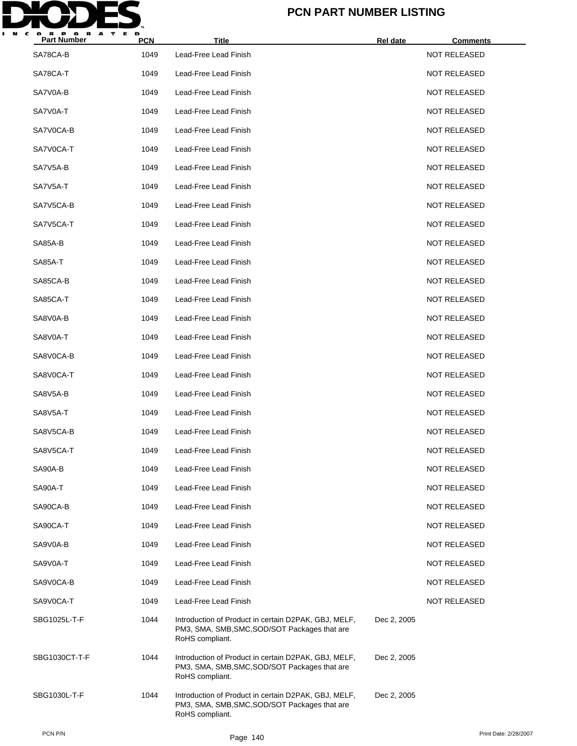

| <b>Part Number</b> | <b>PCN</b> | <b>Title</b>                                                                                                             | Rel date    | <u>Comments</u>     |
|--------------------|------------|--------------------------------------------------------------------------------------------------------------------------|-------------|---------------------|
| SA78CA-B           | 1049       | Lead-Free Lead Finish                                                                                                    |             | <b>NOT RELEASED</b> |
| SA78CA-T           | 1049       | Lead-Free Lead Finish                                                                                                    |             | <b>NOT RELEASED</b> |
| SA7V0A-B           | 1049       | Lead-Free Lead Finish                                                                                                    |             | <b>NOT RELEASED</b> |
| SA7V0A-T           | 1049       | Lead-Free Lead Finish                                                                                                    |             | <b>NOT RELEASED</b> |
| SA7V0CA-B          | 1049       | Lead-Free Lead Finish                                                                                                    |             | <b>NOT RELEASED</b> |
| SA7V0CA-T          | 1049       | Lead-Free Lead Finish                                                                                                    |             | <b>NOT RELEASED</b> |
| SA7V5A-B           | 1049       | Lead-Free Lead Finish                                                                                                    |             | <b>NOT RELEASED</b> |
| SA7V5A-T           | 1049       | Lead-Free Lead Finish                                                                                                    |             | <b>NOT RELEASED</b> |
| SA7V5CA-B          | 1049       | Lead-Free Lead Finish                                                                                                    |             | <b>NOT RELEASED</b> |
| SA7V5CA-T          | 1049       | Lead-Free Lead Finish                                                                                                    |             | <b>NOT RELEASED</b> |
| SA85A-B            | 1049       | Lead-Free Lead Finish                                                                                                    |             | <b>NOT RELEASED</b> |
| SA85A-T            | 1049       | Lead-Free Lead Finish                                                                                                    |             | <b>NOT RELEASED</b> |
| SA85CA-B           | 1049       | Lead-Free Lead Finish                                                                                                    |             | <b>NOT RELEASED</b> |
| SA85CA-T           | 1049       | Lead-Free Lead Finish                                                                                                    |             | <b>NOT RELEASED</b> |
| SA8V0A-B           | 1049       | Lead-Free Lead Finish                                                                                                    |             | <b>NOT RELEASED</b> |
| SA8V0A-T           | 1049       | Lead-Free Lead Finish                                                                                                    |             | <b>NOT RELEASED</b> |
| SA8V0CA-B          | 1049       | Lead-Free Lead Finish                                                                                                    |             | <b>NOT RELEASED</b> |
| SA8V0CA-T          | 1049       | Lead-Free Lead Finish                                                                                                    |             | <b>NOT RELEASED</b> |
| SA8V5A-B           | 1049       | Lead-Free Lead Finish                                                                                                    |             | <b>NOT RELEASED</b> |
| SA8V5A-T           | 1049       | Lead-Free Lead Finish                                                                                                    |             | <b>NOT RELEASED</b> |
| SA8V5CA-B          | 1049       | Lead-Free Lead Finish                                                                                                    |             | <b>NOT RELEASED</b> |
| SA8V5CA-T          | 1049       | Lead-Free Lead Finish                                                                                                    |             | <b>NOT RELEASED</b> |
| SA90A-B            | 1049       | Lead-Free Lead Finish                                                                                                    |             | NOT RELEASED        |
| SA90A-T            | 1049       | Lead-Free Lead Finish                                                                                                    |             | <b>NOT RELEASED</b> |
| SA90CA-B           | 1049       | Lead-Free Lead Finish                                                                                                    |             | <b>NOT RELEASED</b> |
| SA90CA-T           | 1049       | Lead-Free Lead Finish                                                                                                    |             | NOT RELEASED        |
| SA9V0A-B           | 1049       | Lead-Free Lead Finish                                                                                                    |             | <b>NOT RELEASED</b> |
| SA9V0A-T           | 1049       | Lead-Free Lead Finish                                                                                                    |             | <b>NOT RELEASED</b> |
| SA9V0CA-B          | 1049       | Lead-Free Lead Finish                                                                                                    |             | NOT RELEASED        |
| SA9V0CA-T          | 1049       | Lead-Free Lead Finish                                                                                                    |             | NOT RELEASED        |
| SBG1025L-T-F       | 1044       | Introduction of Product in certain D2PAK, GBJ, MELF,<br>PM3, SMA, SMB, SMC, SOD/SOT Packages that are<br>RoHS compliant. | Dec 2, 2005 |                     |
| SBG1030CT-T-F      | 1044       | Introduction of Product in certain D2PAK, GBJ, MELF,<br>PM3, SMA, SMB, SMC, SOD/SOT Packages that are<br>RoHS compliant. | Dec 2, 2005 |                     |
| SBG1030L-T-F       | 1044       | Introduction of Product in certain D2PAK, GBJ, MELF,<br>PM3, SMA, SMB, SMC, SOD/SOT Packages that are<br>RoHS compliant. | Dec 2, 2005 |                     |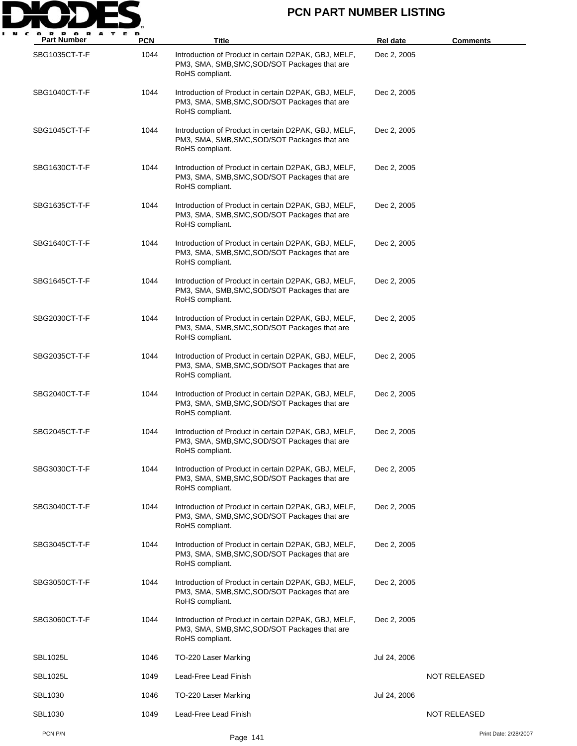

| <b>Part Number</b> | <b>PCN</b> | Title                                                                                                                    | <b>Rel date</b> | <b>Comments</b>       |
|--------------------|------------|--------------------------------------------------------------------------------------------------------------------------|-----------------|-----------------------|
| SBG1035CT-T-F      | 1044       | Introduction of Product in certain D2PAK, GBJ, MELF,<br>PM3, SMA, SMB, SMC, SOD/SOT Packages that are<br>RoHS compliant. | Dec 2, 2005     |                       |
| SBG1040CT-T-F      | 1044       | Introduction of Product in certain D2PAK, GBJ, MELF,<br>PM3, SMA, SMB, SMC, SOD/SOT Packages that are<br>RoHS compliant. | Dec 2, 2005     |                       |
| SBG1045CT-T-F      | 1044       | Introduction of Product in certain D2PAK, GBJ, MELF,<br>PM3, SMA, SMB, SMC, SOD/SOT Packages that are<br>RoHS compliant. | Dec 2, 2005     |                       |
| SBG1630CT-T-F      | 1044       | Introduction of Product in certain D2PAK, GBJ, MELF,<br>PM3, SMA, SMB, SMC, SOD/SOT Packages that are<br>RoHS compliant. | Dec 2, 2005     |                       |
| SBG1635CT-T-F      | 1044       | Introduction of Product in certain D2PAK, GBJ, MELF,<br>PM3, SMA, SMB, SMC, SOD/SOT Packages that are<br>RoHS compliant. | Dec 2, 2005     |                       |
| SBG1640CT-T-F      | 1044       | Introduction of Product in certain D2PAK, GBJ, MELF,<br>PM3, SMA, SMB, SMC, SOD/SOT Packages that are<br>RoHS compliant. | Dec 2, 2005     |                       |
| SBG1645CT-T-F      | 1044       | Introduction of Product in certain D2PAK, GBJ, MELF,<br>PM3, SMA, SMB, SMC, SOD/SOT Packages that are<br>RoHS compliant. | Dec 2, 2005     |                       |
| SBG2030CT-T-F      | 1044       | Introduction of Product in certain D2PAK, GBJ, MELF,<br>PM3, SMA, SMB, SMC, SOD/SOT Packages that are<br>RoHS compliant. | Dec 2, 2005     |                       |
| SBG2035CT-T-F      | 1044       | Introduction of Product in certain D2PAK, GBJ, MELF,<br>PM3, SMA, SMB, SMC, SOD/SOT Packages that are<br>RoHS compliant. | Dec 2, 2005     |                       |
| SBG2040CT-T-F      | 1044       | Introduction of Product in certain D2PAK, GBJ, MELF,<br>PM3, SMA, SMB, SMC, SOD/SOT Packages that are<br>RoHS compliant. | Dec 2, 2005     |                       |
| SBG2045CT-T-F      | 1044       | Introduction of Product in certain D2PAK, GBJ, MELF,<br>PM3, SMA, SMB, SMC, SOD/SOT Packages that are<br>RoHS compliant. | Dec 2, 2005     |                       |
| SBG3030CT-T-F      | 1044       | Introduction of Product in certain D2PAK, GBJ, MELF,<br>PM3, SMA, SMB, SMC, SOD/SOT Packages that are<br>RoHS compliant. | Dec 2, 2005     |                       |
| SBG3040CT-T-F      | 1044       | Introduction of Product in certain D2PAK, GBJ, MELF,<br>PM3, SMA, SMB, SMC, SOD/SOT Packages that are<br>RoHS compliant. | Dec 2, 2005     |                       |
| SBG3045CT-T-F      | 1044       | Introduction of Product in certain D2PAK, GBJ, MELF,<br>PM3, SMA, SMB, SMC, SOD/SOT Packages that are<br>RoHS compliant. | Dec 2, 2005     |                       |
| SBG3050CT-T-F      | 1044       | Introduction of Product in certain D2PAK, GBJ, MELF,<br>PM3, SMA, SMB, SMC, SOD/SOT Packages that are<br>RoHS compliant. | Dec 2, 2005     |                       |
| SBG3060CT-T-F      | 1044       | Introduction of Product in certain D2PAK, GBJ, MELF,<br>PM3, SMA, SMB, SMC, SOD/SOT Packages that are<br>RoHS compliant. | Dec 2, 2005     |                       |
| <b>SBL1025L</b>    | 1046       | TO-220 Laser Marking                                                                                                     | Jul 24, 2006    |                       |
| <b>SBL1025L</b>    | 1049       | Lead-Free Lead Finish                                                                                                    |                 | <b>NOT RELEASED</b>   |
| <b>SBL1030</b>     | 1046       | TO-220 Laser Marking                                                                                                     | Jul 24, 2006    |                       |
| <b>SBL1030</b>     | 1049       | Lead-Free Lead Finish                                                                                                    |                 | NOT RELEASED          |
| PCN P/N            |            | Page 141                                                                                                                 |                 | Print Date: 2/28/2007 |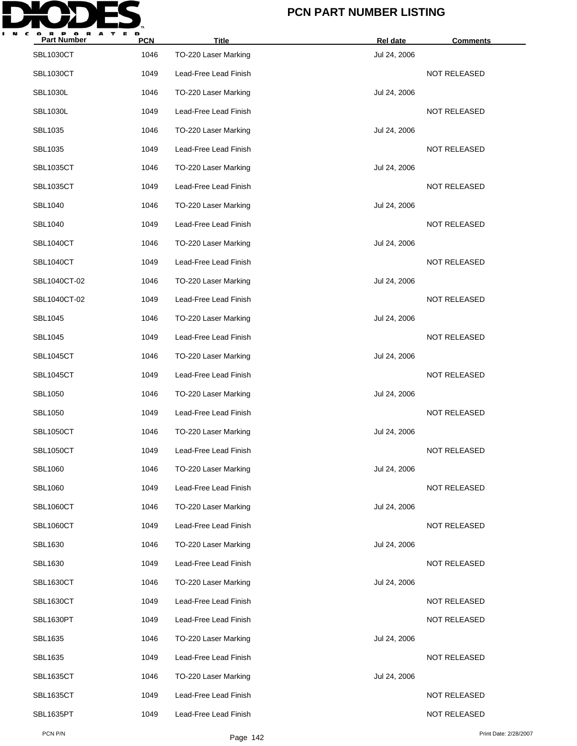

| <b>Part Number</b> | <b>PCN</b> | <b>Title</b>          | Rel date     | <b>Comments</b>     |
|--------------------|------------|-----------------------|--------------|---------------------|
| <b>SBL1030CT</b>   | 1046       | TO-220 Laser Marking  | Jul 24, 2006 |                     |
| <b>SBL1030CT</b>   | 1049       | Lead-Free Lead Finish |              | <b>NOT RELEASED</b> |
| <b>SBL1030L</b>    | 1046       | TO-220 Laser Marking  | Jul 24, 2006 |                     |
| <b>SBL1030L</b>    | 1049       | Lead-Free Lead Finish |              | <b>NOT RELEASED</b> |
| SBL1035            | 1046       | TO-220 Laser Marking  | Jul 24, 2006 |                     |
| SBL1035            | 1049       | Lead-Free Lead Finish |              | <b>NOT RELEASED</b> |
| <b>SBL1035CT</b>   | 1046       | TO-220 Laser Marking  | Jul 24, 2006 |                     |
| <b>SBL1035CT</b>   | 1049       | Lead-Free Lead Finish |              | <b>NOT RELEASED</b> |
| <b>SBL1040</b>     | 1046       | TO-220 Laser Marking  | Jul 24, 2006 |                     |
| <b>SBL1040</b>     | 1049       | Lead-Free Lead Finish |              | NOT RELEASED        |
| <b>SBL1040CT</b>   | 1046       | TO-220 Laser Marking  | Jul 24, 2006 |                     |
| <b>SBL1040CT</b>   | 1049       | Lead-Free Lead Finish |              | <b>NOT RELEASED</b> |
| SBL1040CT-02       | 1046       | TO-220 Laser Marking  | Jul 24, 2006 |                     |
| SBL1040CT-02       | 1049       | Lead-Free Lead Finish |              | <b>NOT RELEASED</b> |
| <b>SBL1045</b>     | 1046       | TO-220 Laser Marking  | Jul 24, 2006 |                     |
| SBL1045            | 1049       | Lead-Free Lead Finish |              | <b>NOT RELEASED</b> |
| <b>SBL1045CT</b>   | 1046       | TO-220 Laser Marking  | Jul 24, 2006 |                     |
| <b>SBL1045CT</b>   | 1049       | Lead-Free Lead Finish |              | <b>NOT RELEASED</b> |
| <b>SBL1050</b>     | 1046       | TO-220 Laser Marking  | Jul 24, 2006 |                     |
| <b>SBL1050</b>     | 1049       | Lead-Free Lead Finish |              | <b>NOT RELEASED</b> |
| <b>SBL1050CT</b>   | 1046       | TO-220 Laser Marking  | Jul 24, 2006 |                     |
| <b>SBL1050CT</b>   | 1049       | Lead-Free Lead Finish |              | <b>NOT RELEASED</b> |
| <b>SBL1060</b>     | 1046       | TO-220 Laser Marking  | Jul 24, 2006 |                     |
| <b>SBL1060</b>     | 1049       | Lead-Free Lead Finish |              | NOT RELEASED        |
| <b>SBL1060CT</b>   | 1046       | TO-220 Laser Marking  | Jul 24, 2006 |                     |
| <b>SBL1060CT</b>   | 1049       | Lead-Free Lead Finish |              | <b>NOT RELEASED</b> |
| SBL1630            | 1046       | TO-220 Laser Marking  | Jul 24, 2006 |                     |
| SBL1630            | 1049       | Lead-Free Lead Finish |              | NOT RELEASED        |
| <b>SBL1630CT</b>   | 1046       | TO-220 Laser Marking  | Jul 24, 2006 |                     |
| <b>SBL1630CT</b>   | 1049       | Lead-Free Lead Finish |              | NOT RELEASED        |
| SBL1630PT          | 1049       | Lead-Free Lead Finish |              | NOT RELEASED        |
| SBL1635            | 1046       | TO-220 Laser Marking  | Jul 24, 2006 |                     |
| SBL1635            | 1049       | Lead-Free Lead Finish |              | NOT RELEASED        |
| <b>SBL1635CT</b>   | 1046       | TO-220 Laser Marking  | Jul 24, 2006 |                     |
| <b>SBL1635CT</b>   | 1049       | Lead-Free Lead Finish |              | NOT RELEASED        |
| SBL1635PT          | 1049       | Lead-Free Lead Finish |              | NOT RELEASED        |
|                    |            |                       |              |                     |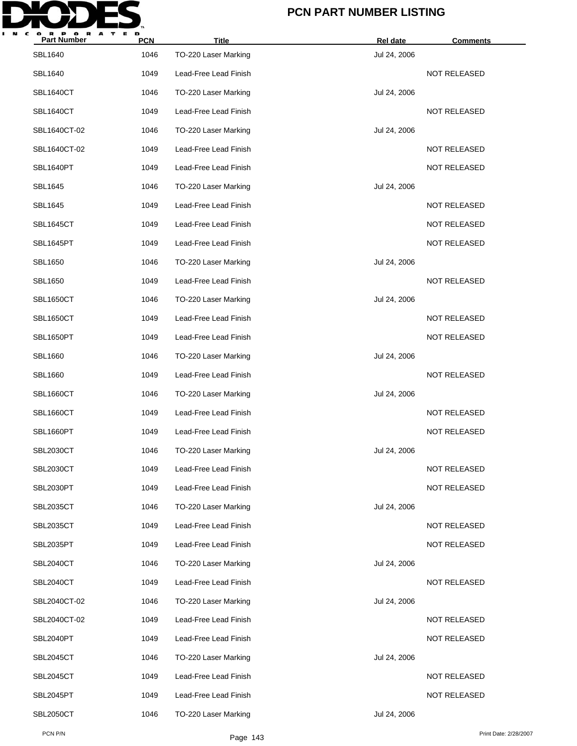

| <b>Part Number</b> | <b>PCN</b> | <b>Title</b>          | Rel date     | <b>Comments</b>     |
|--------------------|------------|-----------------------|--------------|---------------------|
| <b>SBL1640</b>     | 1046       | TO-220 Laser Marking  | Jul 24, 2006 |                     |
| <b>SBL1640</b>     | 1049       | Lead-Free Lead Finish |              | <b>NOT RELEASED</b> |
| <b>SBL1640CT</b>   | 1046       | TO-220 Laser Marking  | Jul 24, 2006 |                     |
| SBL1640CT          | 1049       | Lead-Free Lead Finish |              | NOT RELEASED        |
| SBL1640CT-02       | 1046       | TO-220 Laser Marking  | Jul 24, 2006 |                     |
| SBL1640CT-02       | 1049       | Lead-Free Lead Finish |              | <b>NOT RELEASED</b> |
| SBL1640PT          | 1049       | Lead-Free Lead Finish |              | <b>NOT RELEASED</b> |
| <b>SBL1645</b>     | 1046       | TO-220 Laser Marking  | Jul 24, 2006 |                     |
| <b>SBL1645</b>     | 1049       | Lead-Free Lead Finish |              | <b>NOT RELEASED</b> |
| <b>SBL1645CT</b>   | 1049       | Lead-Free Lead Finish |              | <b>NOT RELEASED</b> |
| SBL1645PT          | 1049       | Lead-Free Lead Finish |              | <b>NOT RELEASED</b> |
| <b>SBL1650</b>     | 1046       | TO-220 Laser Marking  | Jul 24, 2006 |                     |
| <b>SBL1650</b>     | 1049       | Lead-Free Lead Finish |              | <b>NOT RELEASED</b> |
| <b>SBL1650CT</b>   | 1046       | TO-220 Laser Marking  | Jul 24, 2006 |                     |
| <b>SBL1650CT</b>   | 1049       | Lead-Free Lead Finish |              | <b>NOT RELEASED</b> |
| SBL1650PT          | 1049       | Lead-Free Lead Finish |              | <b>NOT RELEASED</b> |
| <b>SBL1660</b>     | 1046       | TO-220 Laser Marking  | Jul 24, 2006 |                     |
| <b>SBL1660</b>     | 1049       | Lead-Free Lead Finish |              | <b>NOT RELEASED</b> |
| <b>SBL1660CT</b>   | 1046       | TO-220 Laser Marking  | Jul 24, 2006 |                     |
| <b>SBL1660CT</b>   | 1049       | Lead-Free Lead Finish |              | <b>NOT RELEASED</b> |
| SBL1660PT          | 1049       | Lead-Free Lead Finish |              | <b>NOT RELEASED</b> |
| <b>SBL2030CT</b>   | 1046       | TO-220 Laser Marking  | Jul 24, 2006 |                     |
| <b>SBL2030CT</b>   | 1049       | Lead-Free Lead Finish |              | NOT RELEASED        |
| SBL2030PT          | 1049       | Lead-Free Lead Finish |              | NOT RELEASED        |
| <b>SBL2035CT</b>   | 1046       | TO-220 Laser Marking  | Jul 24, 2006 |                     |
| <b>SBL2035CT</b>   | 1049       | Lead-Free Lead Finish |              | NOT RELEASED        |
| SBL2035PT          | 1049       | Lead-Free Lead Finish |              | NOT RELEASED        |
| <b>SBL2040CT</b>   | 1046       | TO-220 Laser Marking  | Jul 24, 2006 |                     |
| <b>SBL2040CT</b>   | 1049       | Lead-Free Lead Finish |              | NOT RELEASED        |
| SBL2040CT-02       | 1046       | TO-220 Laser Marking  | Jul 24, 2006 |                     |
| SBL2040CT-02       | 1049       | Lead-Free Lead Finish |              | <b>NOT RELEASED</b> |
| SBL2040PT          | 1049       | Lead-Free Lead Finish |              | NOT RELEASED        |
| SBL2045CT          | 1046       | TO-220 Laser Marking  | Jul 24, 2006 |                     |
| SBL2045CT          | 1049       | Lead-Free Lead Finish |              | <b>NOT RELEASED</b> |
| SBL2045PT          | 1049       | Lead-Free Lead Finish |              | NOT RELEASED        |
| <b>SBL2050CT</b>   | 1046       | TO-220 Laser Marking  | Jul 24, 2006 |                     |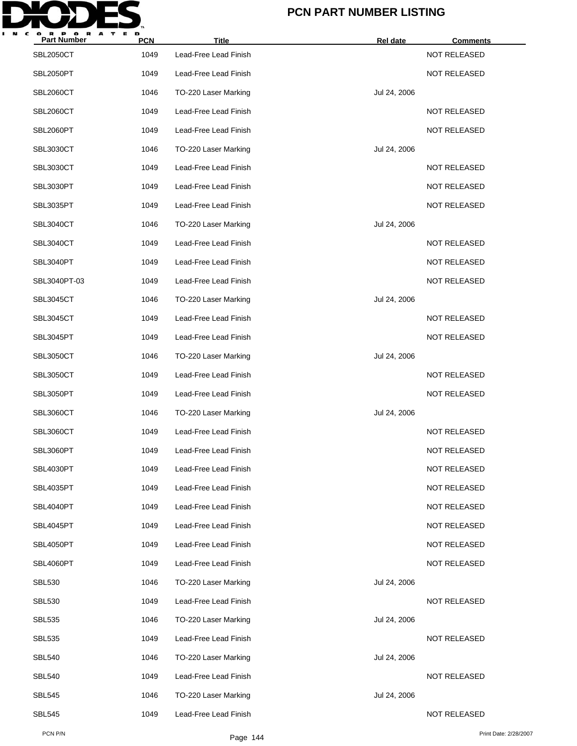

| <b>Part Number</b> | <b>PCN</b> | <b>Title</b>          | Rel date     | <b>Comments</b>     |
|--------------------|------------|-----------------------|--------------|---------------------|
| <b>SBL2050CT</b>   | 1049       | Lead-Free Lead Finish |              | NOT RELEASED        |
| SBL2050PT          | 1049       | Lead-Free Lead Finish |              | NOT RELEASED        |
| <b>SBL2060CT</b>   | 1046       | TO-220 Laser Marking  | Jul 24, 2006 |                     |
| SBL2060CT          | 1049       | Lead-Free Lead Finish |              | <b>NOT RELEASED</b> |
| SBL2060PT          | 1049       | Lead-Free Lead Finish |              | <b>NOT RELEASED</b> |
| <b>SBL3030CT</b>   | 1046       | TO-220 Laser Marking  | Jul 24, 2006 |                     |
| <b>SBL3030CT</b>   | 1049       | Lead-Free Lead Finish |              | NOT RELEASED        |
| SBL3030PT          | 1049       | Lead-Free Lead Finish |              | <b>NOT RELEASED</b> |
| <b>SBL3035PT</b>   | 1049       | Lead-Free Lead Finish |              | <b>NOT RELEASED</b> |
| <b>SBL3040CT</b>   | 1046       | TO-220 Laser Marking  | Jul 24, 2006 |                     |
| <b>SBL3040CT</b>   | 1049       | Lead-Free Lead Finish |              | <b>NOT RELEASED</b> |
| SBL3040PT          | 1049       | Lead-Free Lead Finish |              | <b>NOT RELEASED</b> |
| SBL3040PT-03       | 1049       | Lead-Free Lead Finish |              | <b>NOT RELEASED</b> |
| SBL3045CT          | 1046       | TO-220 Laser Marking  | Jul 24, 2006 |                     |
| <b>SBL3045CT</b>   | 1049       | Lead-Free Lead Finish |              | <b>NOT RELEASED</b> |
| SBL3045PT          | 1049       | Lead-Free Lead Finish |              | NOT RELEASED        |
| <b>SBL3050CT</b>   | 1046       | TO-220 Laser Marking  | Jul 24, 2006 |                     |
| <b>SBL3050CT</b>   | 1049       | Lead-Free Lead Finish |              | <b>NOT RELEASED</b> |
| SBL3050PT          | 1049       | Lead-Free Lead Finish |              | NOT RELEASED        |
| <b>SBL3060CT</b>   | 1046       | TO-220 Laser Marking  | Jul 24, 2006 |                     |
| <b>SBL3060CT</b>   | 1049       | Lead-Free Lead Finish |              | <b>NOT RELEASED</b> |
| SBL3060PT          | 1049       | Lead-Free Lead Finish |              | <b>NOT RELEASED</b> |
| SBL4030PT          | 1049       | Lead-Free Lead Finish |              | NOT RELEASED        |
| SBL4035PT          | 1049       | Lead-Free Lead Finish |              | <b>NOT RELEASED</b> |
| SBL4040PT          | 1049       | Lead-Free Lead Finish |              | NOT RELEASED        |
| SBL4045PT          | 1049       | Lead-Free Lead Finish |              | NOT RELEASED        |
| SBL4050PT          | 1049       | Lead-Free Lead Finish |              | NOT RELEASED        |
| SBL4060PT          | 1049       | Lead-Free Lead Finish |              | NOT RELEASED        |
| <b>SBL530</b>      | 1046       | TO-220 Laser Marking  | Jul 24, 2006 |                     |
| <b>SBL530</b>      | 1049       | Lead-Free Lead Finish |              | NOT RELEASED        |
| <b>SBL535</b>      | 1046       | TO-220 Laser Marking  | Jul 24, 2006 |                     |
| <b>SBL535</b>      | 1049       | Lead-Free Lead Finish |              | NOT RELEASED        |
| <b>SBL540</b>      | 1046       | TO-220 Laser Marking  | Jul 24, 2006 |                     |
| <b>SBL540</b>      | 1049       | Lead-Free Lead Finish |              | <b>NOT RELEASED</b> |
| <b>SBL545</b>      | 1046       | TO-220 Laser Marking  | Jul 24, 2006 |                     |
| <b>SBL545</b>      | 1049       | Lead-Free Lead Finish |              | NOT RELEASED        |
|                    |            |                       |              |                     |

PCN P/N Print Date: 2/28/2007<br>Page 144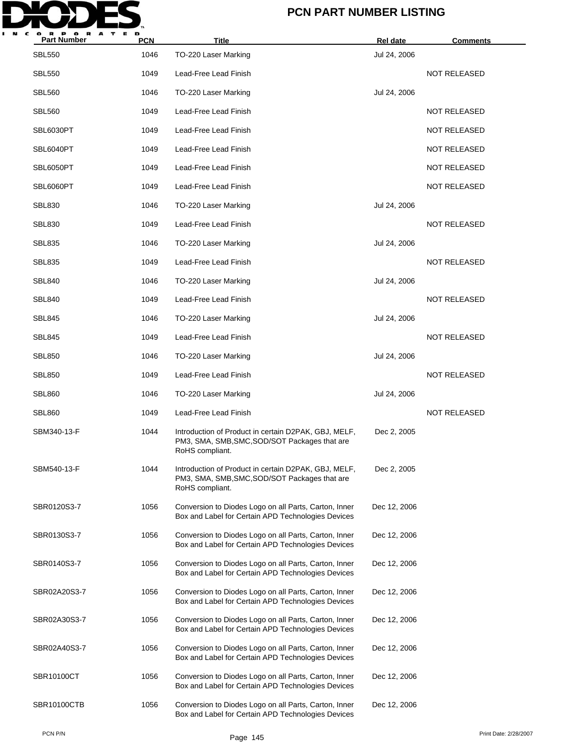

| <b>Part Number</b> | <b>PCN</b> | <b>Title</b>                                                                                                             | Rel date     | <b>Comments</b>     |
|--------------------|------------|--------------------------------------------------------------------------------------------------------------------------|--------------|---------------------|
| <b>SBL550</b>      | 1046       | TO-220 Laser Marking                                                                                                     | Jul 24, 2006 |                     |
| <b>SBL550</b>      | 1049       | Lead-Free Lead Finish                                                                                                    |              | <b>NOT RELEASED</b> |
| <b>SBL560</b>      | 1046       | TO-220 Laser Marking                                                                                                     | Jul 24, 2006 |                     |
| <b>SBL560</b>      | 1049       | Lead-Free Lead Finish                                                                                                    |              | <b>NOT RELEASED</b> |
| SBL6030PT          | 1049       | Lead-Free Lead Finish                                                                                                    |              | <b>NOT RELEASED</b> |
| SBL6040PT          | 1049       | Lead-Free Lead Finish                                                                                                    |              | <b>NOT RELEASED</b> |
| SBL6050PT          | 1049       | Lead-Free Lead Finish                                                                                                    |              | <b>NOT RELEASED</b> |
| SBL6060PT          | 1049       | Lead-Free Lead Finish                                                                                                    |              | <b>NOT RELEASED</b> |
| <b>SBL830</b>      | 1046       | TO-220 Laser Marking                                                                                                     | Jul 24, 2006 |                     |
| <b>SBL830</b>      | 1049       | Lead-Free Lead Finish                                                                                                    |              | <b>NOT RELEASED</b> |
| <b>SBL835</b>      | 1046       | TO-220 Laser Marking                                                                                                     | Jul 24, 2006 |                     |
| <b>SBL835</b>      | 1049       | Lead-Free Lead Finish                                                                                                    |              | <b>NOT RELEASED</b> |
| <b>SBL840</b>      | 1046       | TO-220 Laser Marking                                                                                                     | Jul 24, 2006 |                     |
| <b>SBL840</b>      | 1049       | Lead-Free Lead Finish                                                                                                    |              | <b>NOT RELEASED</b> |
| <b>SBL845</b>      | 1046       | TO-220 Laser Marking                                                                                                     | Jul 24, 2006 |                     |
| <b>SBL845</b>      | 1049       | Lead-Free Lead Finish                                                                                                    |              | <b>NOT RELEASED</b> |
| <b>SBL850</b>      | 1046       | TO-220 Laser Marking                                                                                                     | Jul 24, 2006 |                     |
| <b>SBL850</b>      | 1049       | Lead-Free Lead Finish                                                                                                    |              | <b>NOT RELEASED</b> |
| <b>SBL860</b>      | 1046       | TO-220 Laser Marking                                                                                                     | Jul 24, 2006 |                     |
| <b>SBL860</b>      | 1049       | Lead-Free Lead Finish                                                                                                    |              | <b>NOT RELEASED</b> |
| SBM340-13-F        | 1044       | Introduction of Product in certain D2PAK, GBJ, MELF,<br>PM3, SMA, SMB, SMC, SOD/SOT Packages that are<br>RoHS compliant. | Dec 2, 2005  |                     |
| SBM540-13-F        | 1044       | Introduction of Product in certain D2PAK, GBJ, MELF,<br>PM3, SMA, SMB, SMC, SOD/SOT Packages that are<br>RoHS compliant. | Dec 2, 2005  |                     |
| SBR0120S3-7        | 1056       | Conversion to Diodes Logo on all Parts, Carton, Inner<br>Box and Label for Certain APD Technologies Devices              | Dec 12, 2006 |                     |
| SBR0130S3-7        | 1056       | Conversion to Diodes Logo on all Parts, Carton, Inner<br>Box and Label for Certain APD Technologies Devices              | Dec 12, 2006 |                     |
| SBR0140S3-7        | 1056       | Conversion to Diodes Logo on all Parts, Carton, Inner<br>Box and Label for Certain APD Technologies Devices              | Dec 12, 2006 |                     |
| SBR02A20S3-7       | 1056       | Conversion to Diodes Logo on all Parts, Carton, Inner<br>Box and Label for Certain APD Technologies Devices              | Dec 12, 2006 |                     |
| SBR02A30S3-7       | 1056       | Conversion to Diodes Logo on all Parts, Carton, Inner<br>Box and Label for Certain APD Technologies Devices              | Dec 12, 2006 |                     |
| SBR02A40S3-7       | 1056       | Conversion to Diodes Logo on all Parts, Carton, Inner<br>Box and Label for Certain APD Technologies Devices              | Dec 12, 2006 |                     |
| SBR10100CT         | 1056       | Conversion to Diodes Logo on all Parts, Carton, Inner<br>Box and Label for Certain APD Technologies Devices              | Dec 12, 2006 |                     |
| SBR10100CTB        | 1056       | Conversion to Diodes Logo on all Parts, Carton, Inner<br>Box and Label for Certain APD Technologies Devices              | Dec 12, 2006 |                     |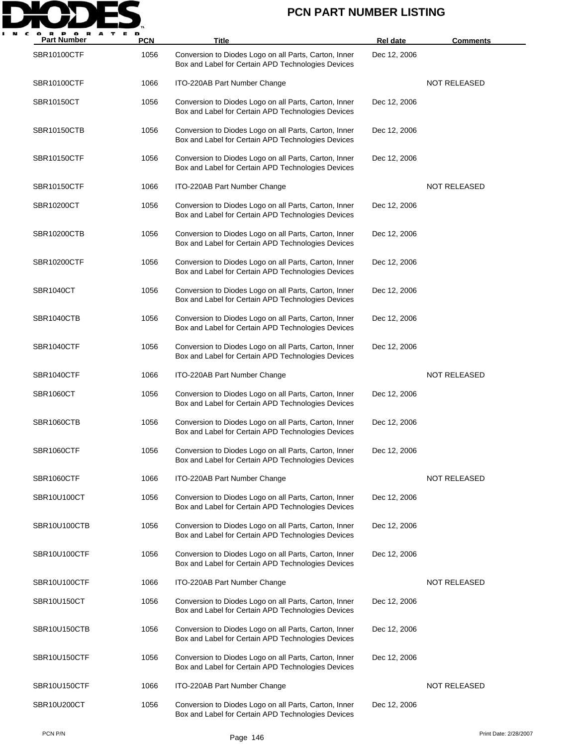

| A<br><b>Part Number</b> | <b>PCN</b> | Title                                                                                                       | <b>Rel date</b> | <b>Comments</b>     |
|-------------------------|------------|-------------------------------------------------------------------------------------------------------------|-----------------|---------------------|
| SBR10100CTF             | 1056       | Conversion to Diodes Logo on all Parts, Carton, Inner<br>Box and Label for Certain APD Technologies Devices | Dec 12, 2006    |                     |
| <b>SBR10100CTF</b>      | 1066       | ITO-220AB Part Number Change                                                                                |                 | <b>NOT RELEASED</b> |
| SBR10150CT              | 1056       | Conversion to Diodes Logo on all Parts, Carton, Inner<br>Box and Label for Certain APD Technologies Devices | Dec 12, 2006    |                     |
| SBR10150CTB             | 1056       | Conversion to Diodes Logo on all Parts, Carton, Inner<br>Box and Label for Certain APD Technologies Devices | Dec 12, 2006    |                     |
| SBR10150CTF             | 1056       | Conversion to Diodes Logo on all Parts, Carton, Inner<br>Box and Label for Certain APD Technologies Devices | Dec 12, 2006    |                     |
| SBR10150CTF             | 1066       | ITO-220AB Part Number Change                                                                                |                 | NOT RELEASED        |
| SBR10200CT              | 1056       | Conversion to Diodes Logo on all Parts, Carton, Inner<br>Box and Label for Certain APD Technologies Devices | Dec 12, 2006    |                     |
| SBR10200CTB             | 1056       | Conversion to Diodes Logo on all Parts, Carton, Inner<br>Box and Label for Certain APD Technologies Devices | Dec 12, 2006    |                     |
| SBR10200CTF             | 1056       | Conversion to Diodes Logo on all Parts, Carton, Inner<br>Box and Label for Certain APD Technologies Devices | Dec 12, 2006    |                     |
| SBR1040CT               | 1056       | Conversion to Diodes Logo on all Parts, Carton, Inner<br>Box and Label for Certain APD Technologies Devices | Dec 12, 2006    |                     |
| SBR1040CTB              | 1056       | Conversion to Diodes Logo on all Parts, Carton, Inner<br>Box and Label for Certain APD Technologies Devices | Dec 12, 2006    |                     |
| SBR1040CTF              | 1056       | Conversion to Diodes Logo on all Parts, Carton, Inner<br>Box and Label for Certain APD Technologies Devices | Dec 12, 2006    |                     |
| SBR1040CTF              | 1066       | ITO-220AB Part Number Change                                                                                |                 | <b>NOT RELEASED</b> |
| SBR1060CT               | 1056       | Conversion to Diodes Logo on all Parts, Carton, Inner<br>Box and Label for Certain APD Technologies Devices | Dec 12, 2006    |                     |
| SBR1060CTB              | 1056       | Conversion to Diodes Logo on all Parts, Carton, Inner<br>Box and Label for Certain APD Technologies Devices | Dec 12, 2006    |                     |
| SBR1060CTF              | 1056       | Conversion to Diodes Logo on all Parts, Carton, Inner<br>Box and Label for Certain APD Technologies Devices | Dec 12, 2006    |                     |
| SBR1060CTF              | 1066       | ITO-220AB Part Number Change                                                                                |                 | NOT RELEASED        |
| SBR10U100CT             | 1056       | Conversion to Diodes Logo on all Parts, Carton, Inner<br>Box and Label for Certain APD Technologies Devices | Dec 12, 2006    |                     |
| SBR10U100CTB            | 1056       | Conversion to Diodes Logo on all Parts, Carton, Inner<br>Box and Label for Certain APD Technologies Devices | Dec 12, 2006    |                     |
| SBR10U100CTF            | 1056       | Conversion to Diodes Logo on all Parts, Carton, Inner<br>Box and Label for Certain APD Technologies Devices | Dec 12, 2006    |                     |
| SBR10U100CTF            | 1066       | ITO-220AB Part Number Change                                                                                |                 | NOT RELEASED        |
| SBR10U150CT             | 1056       | Conversion to Diodes Logo on all Parts, Carton, Inner<br>Box and Label for Certain APD Technologies Devices | Dec 12, 2006    |                     |
| SBR10U150CTB            | 1056       | Conversion to Diodes Logo on all Parts, Carton, Inner<br>Box and Label for Certain APD Technologies Devices | Dec 12, 2006    |                     |
| SBR10U150CTF            | 1056       | Conversion to Diodes Logo on all Parts, Carton, Inner<br>Box and Label for Certain APD Technologies Devices | Dec 12, 2006    |                     |
| SBR10U150CTF            | 1066       | ITO-220AB Part Number Change                                                                                |                 | <b>NOT RELEASED</b> |
| SBR10U200CT             | 1056       | Conversion to Diodes Logo on all Parts, Carton, Inner<br>Box and Label for Certain APD Technologies Devices | Dec 12, 2006    |                     |
|                         |            |                                                                                                             |                 |                     |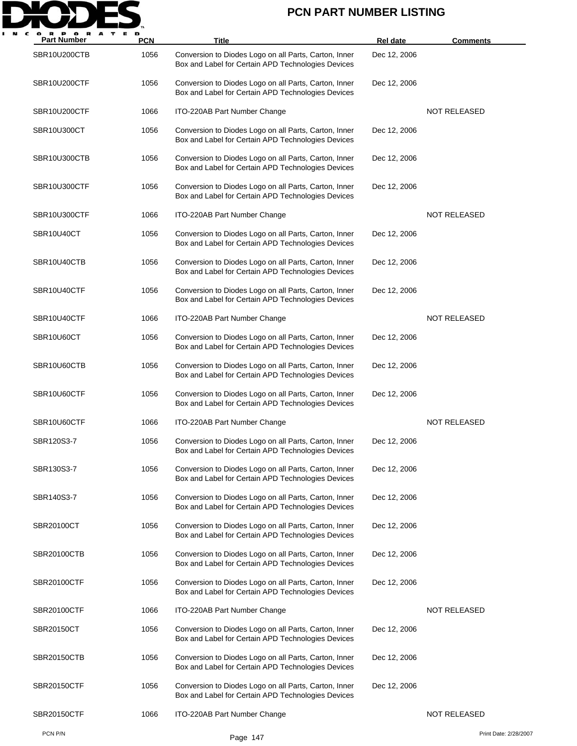

| P OR<br>A<br>т<br><b>Part Number</b> | Е D<br><b>PCN</b> | Title                                                                                                       | <b>Rel date</b> | <b>Comments</b>       |
|--------------------------------------|-------------------|-------------------------------------------------------------------------------------------------------------|-----------------|-----------------------|
| SBR10U200CTB                         | 1056              | Conversion to Diodes Logo on all Parts, Carton, Inner<br>Box and Label for Certain APD Technologies Devices | Dec 12, 2006    |                       |
| SBR10U200CTF                         | 1056              | Conversion to Diodes Logo on all Parts, Carton, Inner<br>Box and Label for Certain APD Technologies Devices | Dec 12, 2006    |                       |
| SBR10U200CTF                         | 1066              | ITO-220AB Part Number Change                                                                                |                 | NOT RELEASED          |
| SBR10U300CT                          | 1056              | Conversion to Diodes Logo on all Parts, Carton, Inner<br>Box and Label for Certain APD Technologies Devices | Dec 12, 2006    |                       |
| SBR10U300CTB                         | 1056              | Conversion to Diodes Logo on all Parts, Carton, Inner<br>Box and Label for Certain APD Technologies Devices | Dec 12, 2006    |                       |
| SBR10U300CTF                         | 1056              | Conversion to Diodes Logo on all Parts, Carton, Inner<br>Box and Label for Certain APD Technologies Devices | Dec 12, 2006    |                       |
| SBR10U300CTF                         | 1066              | ITO-220AB Part Number Change                                                                                |                 | <b>NOT RELEASED</b>   |
| SBR10U40CT                           | 1056              | Conversion to Diodes Logo on all Parts, Carton, Inner<br>Box and Label for Certain APD Technologies Devices | Dec 12, 2006    |                       |
| SBR10U40CTB                          | 1056              | Conversion to Diodes Logo on all Parts, Carton, Inner<br>Box and Label for Certain APD Technologies Devices | Dec 12, 2006    |                       |
| SBR10U40CTF                          | 1056              | Conversion to Diodes Logo on all Parts, Carton, Inner<br>Box and Label for Certain APD Technologies Devices | Dec 12, 2006    |                       |
| SBR10U40CTF                          | 1066              | ITO-220AB Part Number Change                                                                                |                 | <b>NOT RELEASED</b>   |
| SBR10U60CT                           | 1056              | Conversion to Diodes Logo on all Parts, Carton, Inner<br>Box and Label for Certain APD Technologies Devices | Dec 12, 2006    |                       |
| SBR10U60CTB                          | 1056              | Conversion to Diodes Logo on all Parts, Carton, Inner<br>Box and Label for Certain APD Technologies Devices | Dec 12, 2006    |                       |
| SBR10U60CTF                          | 1056              | Conversion to Diodes Logo on all Parts, Carton, Inner<br>Box and Label for Certain APD Technologies Devices | Dec 12, 2006    |                       |
| SBR10U60CTF                          | 1066              | ITO-220AB Part Number Change                                                                                |                 | <b>NOT RELEASED</b>   |
| SBR120S3-7                           | 1056              | Conversion to Diodes Logo on all Parts, Carton, Inner<br>Box and Label for Certain APD Technologies Devices | Dec 12, 2006    |                       |
| SBR130S3-7                           | 1056              | Conversion to Diodes Logo on all Parts, Carton, Inner<br>Box and Label for Certain APD Technologies Devices | Dec 12, 2006    |                       |
| SBR140S3-7                           | 1056              | Conversion to Diodes Logo on all Parts, Carton, Inner<br>Box and Label for Certain APD Technologies Devices | Dec 12, 2006    |                       |
| SBR20100CT                           | 1056              | Conversion to Diodes Logo on all Parts, Carton, Inner<br>Box and Label for Certain APD Technologies Devices | Dec 12, 2006    |                       |
| SBR20100CTB                          | 1056              | Conversion to Diodes Logo on all Parts, Carton, Inner<br>Box and Label for Certain APD Technologies Devices | Dec 12, 2006    |                       |
| <b>SBR20100CTF</b>                   | 1056              | Conversion to Diodes Logo on all Parts, Carton, Inner<br>Box and Label for Certain APD Technologies Devices | Dec 12, 2006    |                       |
| <b>SBR20100CTF</b>                   | 1066              | ITO-220AB Part Number Change                                                                                |                 | NOT RELEASED          |
| SBR20150CT                           | 1056              | Conversion to Diodes Logo on all Parts, Carton, Inner<br>Box and Label for Certain APD Technologies Devices | Dec 12, 2006    |                       |
| <b>SBR20150CTB</b>                   | 1056              | Conversion to Diodes Logo on all Parts, Carton, Inner<br>Box and Label for Certain APD Technologies Devices | Dec 12, 2006    |                       |
| <b>SBR20150CTF</b>                   | 1056              | Conversion to Diodes Logo on all Parts, Carton, Inner<br>Box and Label for Certain APD Technologies Devices | Dec 12, 2006    |                       |
| SBR20150CTF                          | 1066              | ITO-220AB Part Number Change                                                                                |                 | <b>NOT RELEASED</b>   |
| PCN P/N                              |                   | Page 147                                                                                                    |                 | Print Date: 2/28/2007 |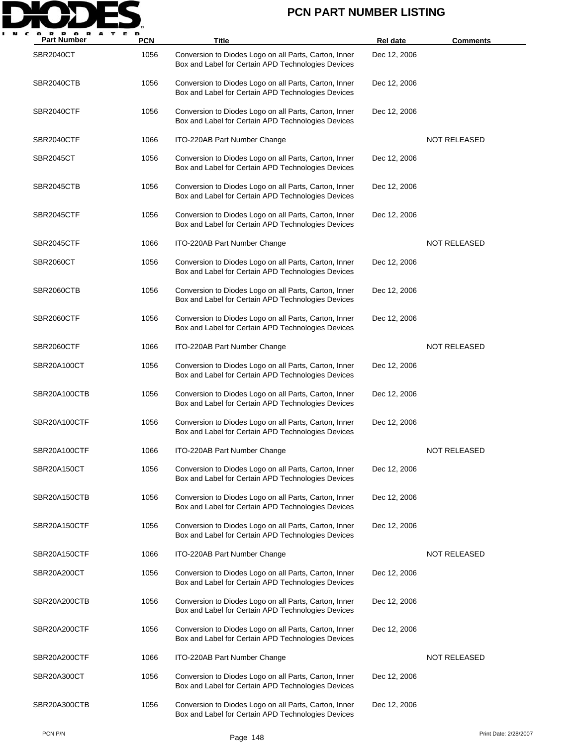

| <b>Part Number</b> | <b>PCN</b> | Title                                                                                                       | <b>Rel date</b> | <b>Comments</b>     |
|--------------------|------------|-------------------------------------------------------------------------------------------------------------|-----------------|---------------------|
| <b>SBR2040CT</b>   | 1056       | Conversion to Diodes Logo on all Parts, Carton, Inner<br>Box and Label for Certain APD Technologies Devices | Dec 12, 2006    |                     |
| SBR2040CTB         | 1056       | Conversion to Diodes Logo on all Parts, Carton, Inner<br>Box and Label for Certain APD Technologies Devices | Dec 12, 2006    |                     |
| SBR2040CTF         | 1056       | Conversion to Diodes Logo on all Parts, Carton, Inner<br>Box and Label for Certain APD Technologies Devices | Dec 12, 2006    |                     |
| SBR2040CTF         | 1066       | ITO-220AB Part Number Change                                                                                |                 | <b>NOT RELEASED</b> |
| SBR2045CT          | 1056       | Conversion to Diodes Logo on all Parts, Carton, Inner<br>Box and Label for Certain APD Technologies Devices | Dec 12, 2006    |                     |
| SBR2045CTB         | 1056       | Conversion to Diodes Logo on all Parts, Carton, Inner<br>Box and Label for Certain APD Technologies Devices | Dec 12, 2006    |                     |
| SBR2045CTF         | 1056       | Conversion to Diodes Logo on all Parts, Carton, Inner<br>Box and Label for Certain APD Technologies Devices | Dec 12, 2006    |                     |
| SBR2045CTF         | 1066       | ITO-220AB Part Number Change                                                                                |                 | NOT RELEASED        |
| <b>SBR2060CT</b>   | 1056       | Conversion to Diodes Logo on all Parts, Carton, Inner<br>Box and Label for Certain APD Technologies Devices | Dec 12, 2006    |                     |
| SBR2060CTB         | 1056       | Conversion to Diodes Logo on all Parts, Carton, Inner<br>Box and Label for Certain APD Technologies Devices | Dec 12, 2006    |                     |
| SBR2060CTF         | 1056       | Conversion to Diodes Logo on all Parts, Carton, Inner<br>Box and Label for Certain APD Technologies Devices | Dec 12, 2006    |                     |
| SBR2060CTF         | 1066       | ITO-220AB Part Number Change                                                                                |                 | NOT RELEASED        |
| SBR20A100CT        | 1056       | Conversion to Diodes Logo on all Parts, Carton, Inner<br>Box and Label for Certain APD Technologies Devices | Dec 12, 2006    |                     |
| SBR20A100CTB       | 1056       | Conversion to Diodes Logo on all Parts, Carton, Inner<br>Box and Label for Certain APD Technologies Devices | Dec 12, 2006    |                     |
| SBR20A100CTF       | 1056       | Conversion to Diodes Logo on all Parts, Carton, Inner<br>Box and Label for Certain APD Technologies Devices | Dec 12, 2006    |                     |
| SBR20A100CTF       | 1066       | ITO-220AB Part Number Change                                                                                |                 | <b>NOT RELEASED</b> |
| SBR20A150CT        | 1056       | Conversion to Diodes Logo on all Parts, Carton, Inner<br>Box and Label for Certain APD Technologies Devices | Dec 12, 2006    |                     |
| SBR20A150CTB       | 1056       | Conversion to Diodes Logo on all Parts, Carton, Inner<br>Box and Label for Certain APD Technologies Devices | Dec 12, 2006    |                     |
| SBR20A150CTF       | 1056       | Conversion to Diodes Logo on all Parts, Carton, Inner<br>Box and Label for Certain APD Technologies Devices | Dec 12, 2006    |                     |
| SBR20A150CTF       | 1066       | ITO-220AB Part Number Change                                                                                |                 | NOT RELEASED        |
| SBR20A200CT        | 1056       | Conversion to Diodes Logo on all Parts, Carton, Inner<br>Box and Label for Certain APD Technologies Devices | Dec 12, 2006    |                     |
| SBR20A200CTB       | 1056       | Conversion to Diodes Logo on all Parts, Carton, Inner<br>Box and Label for Certain APD Technologies Devices | Dec 12, 2006    |                     |
| SBR20A200CTF       | 1056       | Conversion to Diodes Logo on all Parts, Carton, Inner<br>Box and Label for Certain APD Technologies Devices | Dec 12, 2006    |                     |
| SBR20A200CTF       | 1066       | ITO-220AB Part Number Change                                                                                |                 | NOT RELEASED        |
| SBR20A300CT        | 1056       | Conversion to Diodes Logo on all Parts, Carton, Inner<br>Box and Label for Certain APD Technologies Devices | Dec 12, 2006    |                     |
| SBR20A300CTB       | 1056       | Conversion to Diodes Logo on all Parts, Carton, Inner<br>Box and Label for Certain APD Technologies Devices | Dec 12, 2006    |                     |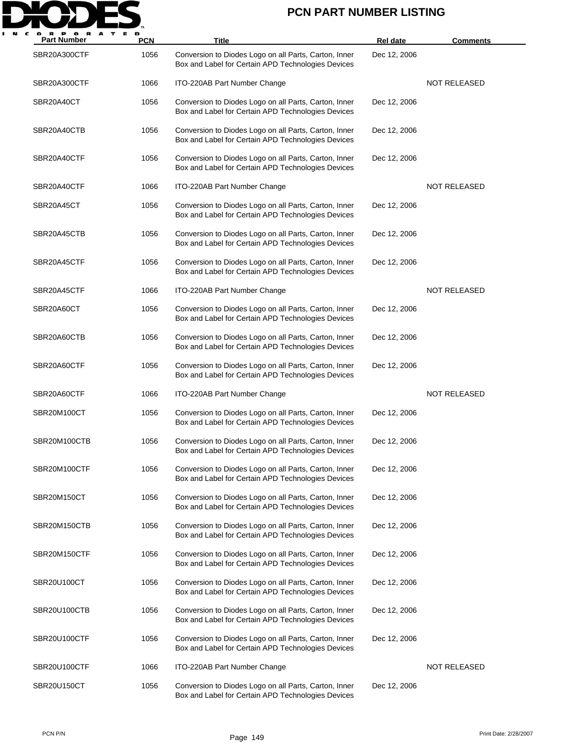

| <b>Part Number</b> | <b>PCN</b> | Title                                                                                                       | Rel date     | <b>Comments</b>     |
|--------------------|------------|-------------------------------------------------------------------------------------------------------------|--------------|---------------------|
| SBR20A300CTF       | 1056       | Conversion to Diodes Logo on all Parts, Carton, Inner<br>Box and Label for Certain APD Technologies Devices | Dec 12, 2006 |                     |
| SBR20A300CTF       | 1066       | ITO-220AB Part Number Change                                                                                |              | <b>NOT RELEASED</b> |
| SBR20A40CT         | 1056       | Conversion to Diodes Logo on all Parts, Carton, Inner<br>Box and Label for Certain APD Technologies Devices | Dec 12, 2006 |                     |
| SBR20A40CTB        | 1056       | Conversion to Diodes Logo on all Parts, Carton, Inner<br>Box and Label for Certain APD Technologies Devices | Dec 12, 2006 |                     |
| SBR20A40CTF        | 1056       | Conversion to Diodes Logo on all Parts, Carton, Inner<br>Box and Label for Certain APD Technologies Devices | Dec 12, 2006 |                     |
| SBR20A40CTF        | 1066       | ITO-220AB Part Number Change                                                                                |              | <b>NOT RELEASED</b> |
| SBR20A45CT         | 1056       | Conversion to Diodes Logo on all Parts, Carton, Inner<br>Box and Label for Certain APD Technologies Devices | Dec 12, 2006 |                     |
| SBR20A45CTB        | 1056       | Conversion to Diodes Logo on all Parts, Carton, Inner<br>Box and Label for Certain APD Technologies Devices | Dec 12, 2006 |                     |
| SBR20A45CTF        | 1056       | Conversion to Diodes Logo on all Parts, Carton, Inner<br>Box and Label for Certain APD Technologies Devices | Dec 12, 2006 |                     |
| SBR20A45CTF        | 1066       | ITO-220AB Part Number Change                                                                                |              | <b>NOT RELEASED</b> |
| SBR20A60CT         | 1056       | Conversion to Diodes Logo on all Parts, Carton, Inner<br>Box and Label for Certain APD Technologies Devices | Dec 12, 2006 |                     |
| SBR20A60CTB        | 1056       | Conversion to Diodes Logo on all Parts, Carton, Inner<br>Box and Label for Certain APD Technologies Devices | Dec 12, 2006 |                     |
| SBR20A60CTF        | 1056       | Conversion to Diodes Logo on all Parts, Carton, Inner<br>Box and Label for Certain APD Technologies Devices | Dec 12, 2006 |                     |
| SBR20A60CTF        | 1066       | ITO-220AB Part Number Change                                                                                |              | <b>NOT RELEASED</b> |
| SBR20M100CT        | 1056       | Conversion to Diodes Logo on all Parts, Carton, Inner<br>Box and Label for Certain APD Technologies Devices | Dec 12, 2006 |                     |
| SBR20M100CTB       | 1056       | Conversion to Diodes Logo on all Parts, Carton, Inner<br>Box and Label for Certain APD Technologies Devices | Dec 12, 2006 |                     |
| SBR20M100CTF       | 1056       | Conversion to Diodes Logo on all Parts, Carton, Inner<br>Box and Label for Certain APD Technologies Devices | Dec 12, 2006 |                     |
| SBR20M150CT        | 1056       | Conversion to Diodes Logo on all Parts, Carton, Inner<br>Box and Label for Certain APD Technologies Devices | Dec 12, 2006 |                     |
| SBR20M150CTB       | 1056       | Conversion to Diodes Logo on all Parts, Carton, Inner<br>Box and Label for Certain APD Technologies Devices | Dec 12, 2006 |                     |
| SBR20M150CTF       | 1056       | Conversion to Diodes Logo on all Parts, Carton, Inner<br>Box and Label for Certain APD Technologies Devices | Dec 12, 2006 |                     |
| SBR20U100CT        | 1056       | Conversion to Diodes Logo on all Parts, Carton, Inner<br>Box and Label for Certain APD Technologies Devices | Dec 12, 2006 |                     |
| SBR20U100CTB       | 1056       | Conversion to Diodes Logo on all Parts, Carton, Inner<br>Box and Label for Certain APD Technologies Devices | Dec 12, 2006 |                     |
| SBR20U100CTF       | 1056       | Conversion to Diodes Logo on all Parts, Carton, Inner<br>Box and Label for Certain APD Technologies Devices | Dec 12, 2006 |                     |
| SBR20U100CTF       | 1066       | ITO-220AB Part Number Change                                                                                |              | <b>NOT RELEASED</b> |
| SBR20U150CT        | 1056       | Conversion to Diodes Logo on all Parts, Carton, Inner<br>Box and Label for Certain APD Technologies Devices | Dec 12, 2006 |                     |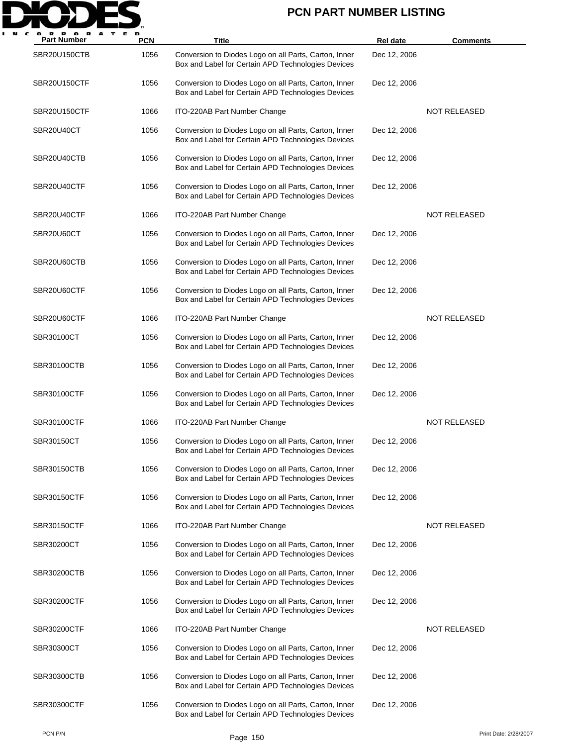

| <b>Part Number</b> | <b>PCN</b> | Title                                                                                                       | <b>Rel date</b> | <b>Comments</b>     |
|--------------------|------------|-------------------------------------------------------------------------------------------------------------|-----------------|---------------------|
| SBR20U150CTB       | 1056       | Conversion to Diodes Logo on all Parts, Carton, Inner<br>Box and Label for Certain APD Technologies Devices | Dec 12, 2006    |                     |
| SBR20U150CTF       | 1056       | Conversion to Diodes Logo on all Parts, Carton, Inner<br>Box and Label for Certain APD Technologies Devices | Dec 12, 2006    |                     |
| SBR20U150CTF       | 1066       | ITO-220AB Part Number Change                                                                                |                 | <b>NOT RELEASED</b> |
| SBR20U40CT         | 1056       | Conversion to Diodes Logo on all Parts, Carton, Inner<br>Box and Label for Certain APD Technologies Devices | Dec 12, 2006    |                     |
| SBR20U40CTB        | 1056       | Conversion to Diodes Logo on all Parts, Carton, Inner<br>Box and Label for Certain APD Technologies Devices | Dec 12, 2006    |                     |
| SBR20U40CTF        | 1056       | Conversion to Diodes Logo on all Parts, Carton, Inner<br>Box and Label for Certain APD Technologies Devices | Dec 12, 2006    |                     |
| SBR20U40CTF        | 1066       | ITO-220AB Part Number Change                                                                                |                 | NOT RELEASED        |
| SBR20U60CT         | 1056       | Conversion to Diodes Logo on all Parts, Carton, Inner<br>Box and Label for Certain APD Technologies Devices | Dec 12, 2006    |                     |
| SBR20U60CTB        | 1056       | Conversion to Diodes Logo on all Parts, Carton, Inner<br>Box and Label for Certain APD Technologies Devices | Dec 12, 2006    |                     |
| SBR20U60CTF        | 1056       | Conversion to Diodes Logo on all Parts, Carton, Inner<br>Box and Label for Certain APD Technologies Devices | Dec 12, 2006    |                     |
| SBR20U60CTF        | 1066       | ITO-220AB Part Number Change                                                                                |                 | <b>NOT RELEASED</b> |
| SBR30100CT         | 1056       | Conversion to Diodes Logo on all Parts, Carton, Inner<br>Box and Label for Certain APD Technologies Devices | Dec 12, 2006    |                     |
| SBR30100CTB        | 1056       | Conversion to Diodes Logo on all Parts, Carton, Inner<br>Box and Label for Certain APD Technologies Devices | Dec 12, 2006    |                     |
| SBR30100CTF        | 1056       | Conversion to Diodes Logo on all Parts, Carton, Inner<br>Box and Label for Certain APD Technologies Devices | Dec 12, 2006    |                     |
| SBR30100CTF        | 1066       | ITO-220AB Part Number Change                                                                                |                 | <b>NOT RELEASED</b> |
| SBR30150CT         | 1056       | Conversion to Diodes Logo on all Parts, Carton, Inner<br>Box and Label for Certain APD Technologies Devices | Dec 12, 2006    |                     |
| SBR30150CTB        | 1056       | Conversion to Diodes Logo on all Parts, Carton, Inner<br>Box and Label for Certain APD Technologies Devices | Dec 12, 2006    |                     |
| SBR30150CTF        | 1056       | Conversion to Diodes Logo on all Parts, Carton, Inner<br>Box and Label for Certain APD Technologies Devices | Dec 12, 2006    |                     |
| SBR30150CTF        | 1066       | ITO-220AB Part Number Change                                                                                |                 | <b>NOT RELEASED</b> |
| SBR30200CT         | 1056       | Conversion to Diodes Logo on all Parts, Carton, Inner<br>Box and Label for Certain APD Technologies Devices | Dec 12, 2006    |                     |
| <b>SBR30200CTB</b> | 1056       | Conversion to Diodes Logo on all Parts, Carton, Inner<br>Box and Label for Certain APD Technologies Devices | Dec 12, 2006    |                     |
| SBR30200CTF        | 1056       | Conversion to Diodes Logo on all Parts, Carton, Inner<br>Box and Label for Certain APD Technologies Devices | Dec 12, 2006    |                     |
| SBR30200CTF        | 1066       | ITO-220AB Part Number Change                                                                                |                 | NOT RELEASED        |
| SBR30300CT         | 1056       | Conversion to Diodes Logo on all Parts, Carton, Inner<br>Box and Label for Certain APD Technologies Devices | Dec 12, 2006    |                     |
| SBR30300CTB        | 1056       | Conversion to Diodes Logo on all Parts, Carton, Inner<br>Box and Label for Certain APD Technologies Devices | Dec 12, 2006    |                     |
| SBR30300CTF        | 1056       | Conversion to Diodes Logo on all Parts, Carton, Inner<br>Box and Label for Certain APD Technologies Devices | Dec 12, 2006    |                     |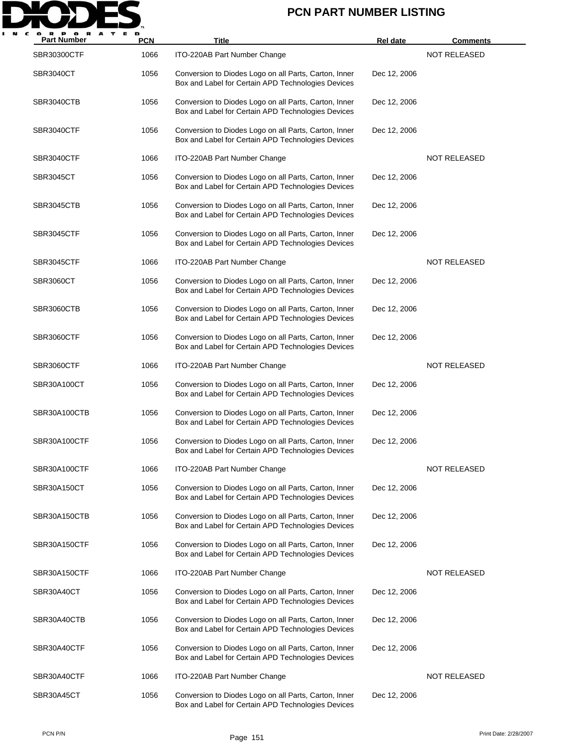

| <b>Part Number</b> | <b>PCN</b> | <b>Title</b>                                                                                                | Rel date     | <b>Comments</b>     |
|--------------------|------------|-------------------------------------------------------------------------------------------------------------|--------------|---------------------|
| <b>SBR30300CTF</b> | 1066       | ITO-220AB Part Number Change                                                                                |              | <b>NOT RELEASED</b> |
| SBR3040CT          | 1056       | Conversion to Diodes Logo on all Parts, Carton, Inner<br>Box and Label for Certain APD Technologies Devices | Dec 12, 2006 |                     |
| SBR3040CTB         | 1056       | Conversion to Diodes Logo on all Parts, Carton, Inner<br>Box and Label for Certain APD Technologies Devices | Dec 12, 2006 |                     |
| SBR3040CTF         | 1056       | Conversion to Diodes Logo on all Parts, Carton, Inner<br>Box and Label for Certain APD Technologies Devices | Dec 12, 2006 |                     |
| SBR3040CTF         | 1066       | ITO-220AB Part Number Change                                                                                |              | <b>NOT RELEASED</b> |
| SBR3045CT          | 1056       | Conversion to Diodes Logo on all Parts, Carton, Inner<br>Box and Label for Certain APD Technologies Devices | Dec 12, 2006 |                     |
| SBR3045CTB         | 1056       | Conversion to Diodes Logo on all Parts, Carton, Inner<br>Box and Label for Certain APD Technologies Devices | Dec 12, 2006 |                     |
| SBR3045CTF         | 1056       | Conversion to Diodes Logo on all Parts, Carton, Inner<br>Box and Label for Certain APD Technologies Devices | Dec 12, 2006 |                     |
| SBR3045CTF         | 1066       | ITO-220AB Part Number Change                                                                                |              | <b>NOT RELEASED</b> |
| SBR3060CT          | 1056       | Conversion to Diodes Logo on all Parts, Carton, Inner<br>Box and Label for Certain APD Technologies Devices | Dec 12, 2006 |                     |
| SBR3060CTB         | 1056       | Conversion to Diodes Logo on all Parts, Carton, Inner<br>Box and Label for Certain APD Technologies Devices | Dec 12, 2006 |                     |
| SBR3060CTF         | 1056       | Conversion to Diodes Logo on all Parts, Carton, Inner<br>Box and Label for Certain APD Technologies Devices | Dec 12, 2006 |                     |
| SBR3060CTF         | 1066       | ITO-220AB Part Number Change                                                                                |              | <b>NOT RELEASED</b> |
| SBR30A100CT        | 1056       | Conversion to Diodes Logo on all Parts, Carton, Inner<br>Box and Label for Certain APD Technologies Devices | Dec 12, 2006 |                     |
| SBR30A100CTB       | 1056       | Conversion to Diodes Logo on all Parts, Carton, Inner<br>Box and Label for Certain APD Technologies Devices | Dec 12, 2006 |                     |
| SBR30A100CTF       | 1056       | Conversion to Diodes Logo on all Parts, Carton, Inner<br>Box and Label for Certain APD Technologies Devices | Dec 12, 2006 |                     |
| SBR30A100CTF       | 1066       | ITO-220AB Part Number Change                                                                                |              | <b>NOT RELEASED</b> |
| SBR30A150CT        | 1056       | Conversion to Diodes Logo on all Parts, Carton, Inner<br>Box and Label for Certain APD Technologies Devices | Dec 12, 2006 |                     |
| SBR30A150CTB       | 1056       | Conversion to Diodes Logo on all Parts, Carton, Inner<br>Box and Label for Certain APD Technologies Devices | Dec 12, 2006 |                     |
| SBR30A150CTF       | 1056       | Conversion to Diodes Logo on all Parts, Carton, Inner<br>Box and Label for Certain APD Technologies Devices | Dec 12, 2006 |                     |
| SBR30A150CTF       | 1066       | ITO-220AB Part Number Change                                                                                |              | <b>NOT RELEASED</b> |
| SBR30A40CT         | 1056       | Conversion to Diodes Logo on all Parts, Carton, Inner<br>Box and Label for Certain APD Technologies Devices | Dec 12, 2006 |                     |
| SBR30A40CTB        | 1056       | Conversion to Diodes Logo on all Parts, Carton, Inner<br>Box and Label for Certain APD Technologies Devices | Dec 12, 2006 |                     |
| SBR30A40CTF        | 1056       | Conversion to Diodes Logo on all Parts, Carton, Inner<br>Box and Label for Certain APD Technologies Devices | Dec 12, 2006 |                     |
| SBR30A40CTF        | 1066       | ITO-220AB Part Number Change                                                                                |              | <b>NOT RELEASED</b> |
| SBR30A45CT         | 1056       | Conversion to Diodes Logo on all Parts, Carton, Inner<br>Box and Label for Certain APD Technologies Devices | Dec 12, 2006 |                     |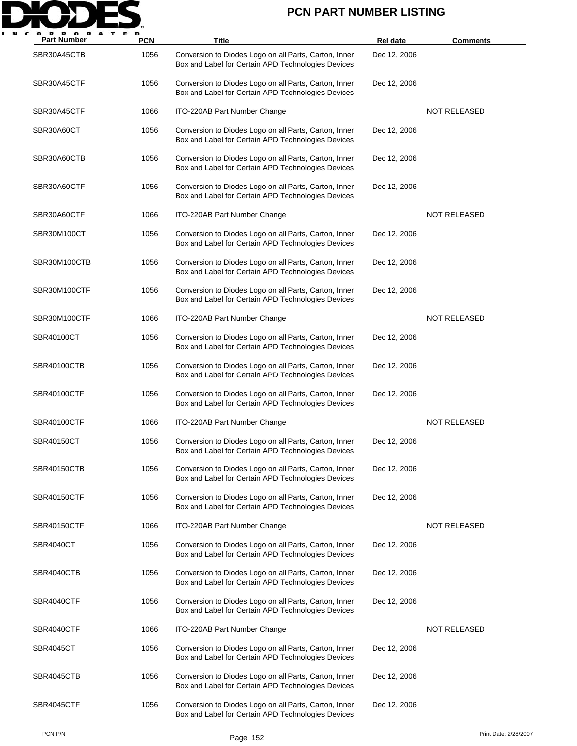

| <b>Part Number</b> | <b>PCN</b> | Title                                                                                                       | Rel date     | <b>Comments</b>     |
|--------------------|------------|-------------------------------------------------------------------------------------------------------------|--------------|---------------------|
| SBR30A45CTB        | 1056       | Conversion to Diodes Logo on all Parts, Carton, Inner<br>Box and Label for Certain APD Technologies Devices | Dec 12, 2006 |                     |
| SBR30A45CTF        | 1056       | Conversion to Diodes Logo on all Parts, Carton, Inner<br>Box and Label for Certain APD Technologies Devices | Dec 12, 2006 |                     |
| SBR30A45CTF        | 1066       | ITO-220AB Part Number Change                                                                                |              | <b>NOT RELEASED</b> |
| SBR30A60CT         | 1056       | Conversion to Diodes Logo on all Parts, Carton, Inner<br>Box and Label for Certain APD Technologies Devices | Dec 12, 2006 |                     |
| SBR30A60CTB        | 1056       | Conversion to Diodes Logo on all Parts, Carton, Inner<br>Box and Label for Certain APD Technologies Devices | Dec 12, 2006 |                     |
| SBR30A60CTF        | 1056       | Conversion to Diodes Logo on all Parts, Carton, Inner<br>Box and Label for Certain APD Technologies Devices | Dec 12, 2006 |                     |
| SBR30A60CTF        | 1066       | ITO-220AB Part Number Change                                                                                |              | <b>NOT RELEASED</b> |
| SBR30M100CT        | 1056       | Conversion to Diodes Logo on all Parts, Carton, Inner<br>Box and Label for Certain APD Technologies Devices | Dec 12, 2006 |                     |
| SBR30M100CTB       | 1056       | Conversion to Diodes Logo on all Parts, Carton, Inner<br>Box and Label for Certain APD Technologies Devices | Dec 12, 2006 |                     |
| SBR30M100CTF       | 1056       | Conversion to Diodes Logo on all Parts, Carton, Inner<br>Box and Label for Certain APD Technologies Devices | Dec 12, 2006 |                     |
| SBR30M100CTF       | 1066       | ITO-220AB Part Number Change                                                                                |              | <b>NOT RELEASED</b> |
| SBR40100CT         | 1056       | Conversion to Diodes Logo on all Parts, Carton, Inner<br>Box and Label for Certain APD Technologies Devices | Dec 12, 2006 |                     |
| <b>SBR40100CTB</b> | 1056       | Conversion to Diodes Logo on all Parts, Carton, Inner<br>Box and Label for Certain APD Technologies Devices | Dec 12, 2006 |                     |
| <b>SBR40100CTF</b> | 1056       | Conversion to Diodes Logo on all Parts, Carton, Inner<br>Box and Label for Certain APD Technologies Devices | Dec 12, 2006 |                     |
| <b>SBR40100CTF</b> | 1066       | ITO-220AB Part Number Change                                                                                |              | <b>NOT RELEASED</b> |
| SBR40150CT         | 1056       | Conversion to Diodes Logo on all Parts, Carton, Inner<br>Box and Label for Certain APD Technologies Devices | Dec 12, 2006 |                     |
| SBR40150CTB        | 1056       | Conversion to Diodes Logo on all Parts, Carton, Inner<br>Box and Label for Certain APD Technologies Devices | Dec 12, 2006 |                     |
| <b>SBR40150CTF</b> | 1056       | Conversion to Diodes Logo on all Parts, Carton, Inner<br>Box and Label for Certain APD Technologies Devices | Dec 12, 2006 |                     |
| <b>SBR40150CTF</b> | 1066       | ITO-220AB Part Number Change                                                                                |              | <b>NOT RELEASED</b> |
| SBR4040CT          | 1056       | Conversion to Diodes Logo on all Parts, Carton, Inner<br>Box and Label for Certain APD Technologies Devices | Dec 12, 2006 |                     |
| SBR4040CTB         | 1056       | Conversion to Diodes Logo on all Parts, Carton, Inner<br>Box and Label for Certain APD Technologies Devices | Dec 12, 2006 |                     |
| SBR4040CTF         | 1056       | Conversion to Diodes Logo on all Parts, Carton, Inner<br>Box and Label for Certain APD Technologies Devices | Dec 12, 2006 |                     |
| SBR4040CTF         | 1066       | ITO-220AB Part Number Change                                                                                |              | NOT RELEASED        |
| SBR4045CT          | 1056       | Conversion to Diodes Logo on all Parts, Carton, Inner<br>Box and Label for Certain APD Technologies Devices | Dec 12, 2006 |                     |
| SBR4045CTB         | 1056       | Conversion to Diodes Logo on all Parts, Carton, Inner<br>Box and Label for Certain APD Technologies Devices | Dec 12, 2006 |                     |
| SBR4045CTF         | 1056       | Conversion to Diodes Logo on all Parts, Carton, Inner<br>Box and Label for Certain APD Technologies Devices | Dec 12, 2006 |                     |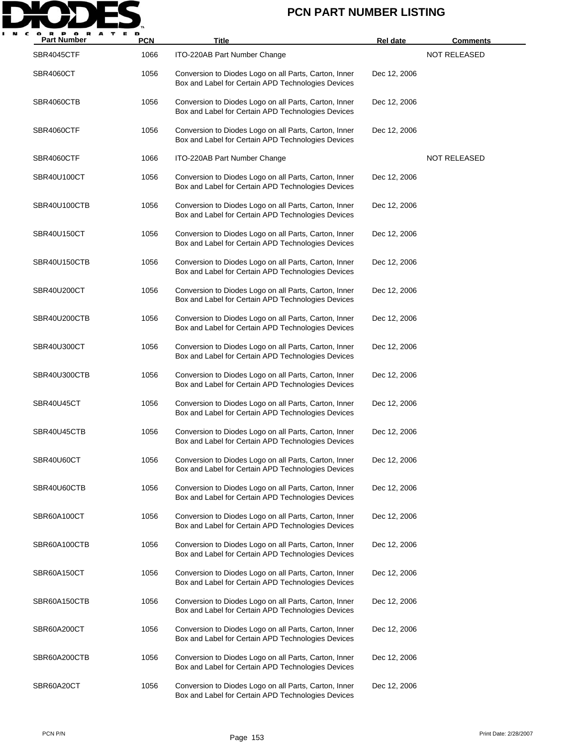

| <b>Part Number</b> | <b>PCN</b> | Title                                                                                                       | <b>Rel date</b> | <u>Comments</u>     |
|--------------------|------------|-------------------------------------------------------------------------------------------------------------|-----------------|---------------------|
| SBR4045CTF         | 1066       | ITO-220AB Part Number Change                                                                                |                 | <b>NOT RELEASED</b> |
| SBR4060CT          | 1056       | Conversion to Diodes Logo on all Parts, Carton, Inner<br>Box and Label for Certain APD Technologies Devices | Dec 12, 2006    |                     |
| SBR4060CTB         | 1056       | Conversion to Diodes Logo on all Parts, Carton, Inner<br>Box and Label for Certain APD Technologies Devices | Dec 12, 2006    |                     |
| SBR4060CTF         | 1056       | Conversion to Diodes Logo on all Parts, Carton, Inner<br>Box and Label for Certain APD Technologies Devices | Dec 12, 2006    |                     |
| SBR4060CTF         | 1066       | ITO-220AB Part Number Change                                                                                |                 | <b>NOT RELEASED</b> |
| SBR40U100CT        | 1056       | Conversion to Diodes Logo on all Parts, Carton, Inner<br>Box and Label for Certain APD Technologies Devices | Dec 12, 2006    |                     |
| SBR40U100CTB       | 1056       | Conversion to Diodes Logo on all Parts, Carton, Inner<br>Box and Label for Certain APD Technologies Devices | Dec 12, 2006    |                     |
| SBR40U150CT        | 1056       | Conversion to Diodes Logo on all Parts, Carton, Inner<br>Box and Label for Certain APD Technologies Devices | Dec 12, 2006    |                     |
| SBR40U150CTB       | 1056       | Conversion to Diodes Logo on all Parts, Carton, Inner<br>Box and Label for Certain APD Technologies Devices | Dec 12, 2006    |                     |
| SBR40U200CT        | 1056       | Conversion to Diodes Logo on all Parts, Carton, Inner<br>Box and Label for Certain APD Technologies Devices | Dec 12, 2006    |                     |
| SBR40U200CTB       | 1056       | Conversion to Diodes Logo on all Parts, Carton, Inner<br>Box and Label for Certain APD Technologies Devices | Dec 12, 2006    |                     |
| SBR40U300CT        | 1056       | Conversion to Diodes Logo on all Parts, Carton, Inner<br>Box and Label for Certain APD Technologies Devices | Dec 12, 2006    |                     |
| SBR40U300CTB       | 1056       | Conversion to Diodes Logo on all Parts, Carton, Inner<br>Box and Label for Certain APD Technologies Devices | Dec 12, 2006    |                     |
| SBR40U45CT         | 1056       | Conversion to Diodes Logo on all Parts, Carton, Inner<br>Box and Label for Certain APD Technologies Devices | Dec 12, 2006    |                     |
| SBR40U45CTB        | 1056       | Conversion to Diodes Logo on all Parts, Carton, Inner<br>Box and Label for Certain APD Technologies Devices | Dec 12, 2006    |                     |
| SBR40U60CT         | 1056       | Conversion to Diodes Logo on all Parts, Carton, Inner<br>Box and Label for Certain APD Technologies Devices | Dec 12, 2006    |                     |
| SBR40U60CTB        | 1056       | Conversion to Diodes Logo on all Parts, Carton, Inner<br>Box and Label for Certain APD Technologies Devices | Dec 12, 2006    |                     |
| SBR60A100CT        | 1056       | Conversion to Diodes Logo on all Parts, Carton, Inner<br>Box and Label for Certain APD Technologies Devices | Dec 12, 2006    |                     |
| SBR60A100CTB       | 1056       | Conversion to Diodes Logo on all Parts, Carton, Inner<br>Box and Label for Certain APD Technologies Devices | Dec 12, 2006    |                     |
| SBR60A150CT        | 1056       | Conversion to Diodes Logo on all Parts, Carton, Inner<br>Box and Label for Certain APD Technologies Devices | Dec 12, 2006    |                     |
| SBR60A150CTB       | 1056       | Conversion to Diodes Logo on all Parts, Carton, Inner<br>Box and Label for Certain APD Technologies Devices | Dec 12, 2006    |                     |
| SBR60A200CT        | 1056       | Conversion to Diodes Logo on all Parts, Carton, Inner<br>Box and Label for Certain APD Technologies Devices | Dec 12, 2006    |                     |
| SBR60A200CTB       | 1056       | Conversion to Diodes Logo on all Parts, Carton, Inner<br>Box and Label for Certain APD Technologies Devices | Dec 12, 2006    |                     |
| SBR60A20CT         | 1056       | Conversion to Diodes Logo on all Parts, Carton, Inner<br>Box and Label for Certain APD Technologies Devices | Dec 12, 2006    |                     |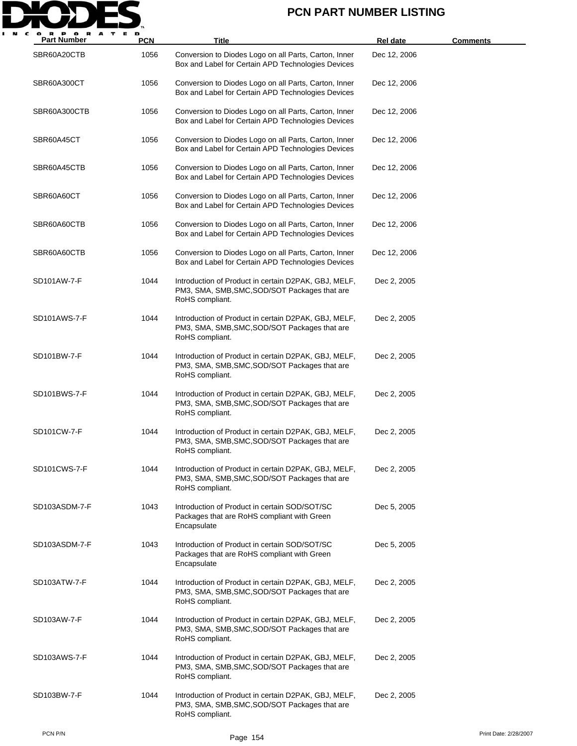

| <b>Part Number</b> | <b>PCN</b> | Title                                                                                                                    | <b>Rel date</b> | <b>Comments</b> |
|--------------------|------------|--------------------------------------------------------------------------------------------------------------------------|-----------------|-----------------|
| SBR60A20CTB        | 1056       | Conversion to Diodes Logo on all Parts, Carton, Inner<br>Box and Label for Certain APD Technologies Devices              | Dec 12, 2006    |                 |
| SBR60A300CT        | 1056       | Conversion to Diodes Logo on all Parts, Carton, Inner<br>Box and Label for Certain APD Technologies Devices              | Dec 12, 2006    |                 |
| SBR60A300CTB       | 1056       | Conversion to Diodes Logo on all Parts, Carton, Inner<br>Box and Label for Certain APD Technologies Devices              | Dec 12, 2006    |                 |
| SBR60A45CT         | 1056       | Conversion to Diodes Logo on all Parts, Carton, Inner<br>Box and Label for Certain APD Technologies Devices              | Dec 12, 2006    |                 |
| SBR60A45CTB        | 1056       | Conversion to Diodes Logo on all Parts, Carton, Inner<br>Box and Label for Certain APD Technologies Devices              | Dec 12, 2006    |                 |
| SBR60A60CT         | 1056       | Conversion to Diodes Logo on all Parts, Carton, Inner<br>Box and Label for Certain APD Technologies Devices              | Dec 12, 2006    |                 |
| SBR60A60CTB        | 1056       | Conversion to Diodes Logo on all Parts, Carton, Inner<br>Box and Label for Certain APD Technologies Devices              | Dec 12, 2006    |                 |
| SBR60A60CTB        | 1056       | Conversion to Diodes Logo on all Parts, Carton, Inner<br>Box and Label for Certain APD Technologies Devices              | Dec 12, 2006    |                 |
| SD101AW-7-F        | 1044       | Introduction of Product in certain D2PAK, GBJ, MELF,<br>PM3, SMA, SMB, SMC, SOD/SOT Packages that are<br>RoHS compliant. | Dec 2, 2005     |                 |
| SD101AWS-7-F       | 1044       | Introduction of Product in certain D2PAK, GBJ, MELF,<br>PM3, SMA, SMB, SMC, SOD/SOT Packages that are<br>RoHS compliant. | Dec 2, 2005     |                 |
| SD101BW-7-F        | 1044       | Introduction of Product in certain D2PAK, GBJ, MELF,<br>PM3, SMA, SMB, SMC, SOD/SOT Packages that are<br>RoHS compliant. | Dec 2, 2005     |                 |
| SD101BWS-7-F       | 1044       | Introduction of Product in certain D2PAK, GBJ, MELF,<br>PM3, SMA, SMB, SMC, SOD/SOT Packages that are<br>RoHS compliant. | Dec 2, 2005     |                 |
| SD101CW-7-F        | 1044       | Introduction of Product in certain D2PAK, GBJ, MELF,<br>PM3, SMA, SMB, SMC, SOD/SOT Packages that are<br>RoHS compliant. | Dec 2, 2005     |                 |
| SD101CWS-7-F       | 1044       | Introduction of Product in certain D2PAK, GBJ, MELF,<br>PM3, SMA, SMB, SMC, SOD/SOT Packages that are<br>RoHS compliant. | Dec 2, 2005     |                 |
| SD103ASDM-7-F      | 1043       | Introduction of Product in certain SOD/SOT/SC<br>Packages that are RoHS compliant with Green<br>Encapsulate              | Dec 5, 2005     |                 |
| SD103ASDM-7-F      | 1043       | Introduction of Product in certain SOD/SOT/SC<br>Packages that are RoHS compliant with Green<br>Encapsulate              | Dec 5, 2005     |                 |
| SD103ATW-7-F       | 1044       | Introduction of Product in certain D2PAK, GBJ, MELF,<br>PM3, SMA, SMB, SMC, SOD/SOT Packages that are<br>RoHS compliant. | Dec 2, 2005     |                 |
| SD103AW-7-F        | 1044       | Introduction of Product in certain D2PAK, GBJ, MELF,<br>PM3, SMA, SMB, SMC, SOD/SOT Packages that are<br>RoHS compliant. | Dec 2, 2005     |                 |
| SD103AWS-7-F       | 1044       | Introduction of Product in certain D2PAK, GBJ, MELF,<br>PM3, SMA, SMB, SMC, SOD/SOT Packages that are<br>RoHS compliant. | Dec 2, 2005     |                 |
| SD103BW-7-F        | 1044       | Introduction of Product in certain D2PAK, GBJ, MELF,<br>PM3, SMA, SMB, SMC, SOD/SOT Packages that are<br>RoHS compliant. | Dec 2, 2005     |                 |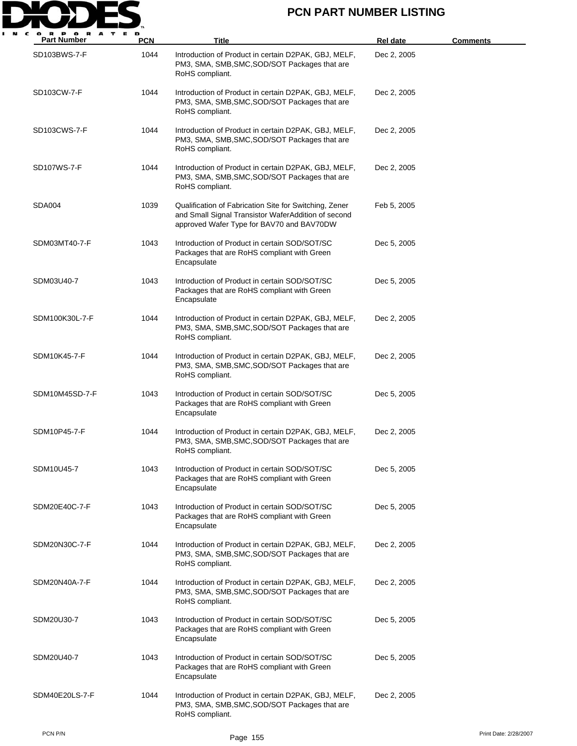

| <b>Part Number</b> | <b>PCN</b> | Title                                                                                                                                                      | Rel date    | <b>Comments</b> |
|--------------------|------------|------------------------------------------------------------------------------------------------------------------------------------------------------------|-------------|-----------------|
| SD103BWS-7-F       | 1044       | Introduction of Product in certain D2PAK, GBJ, MELF,<br>PM3, SMA, SMB, SMC, SOD/SOT Packages that are<br>RoHS compliant.                                   | Dec 2, 2005 |                 |
| SD103CW-7-F        | 1044       | Introduction of Product in certain D2PAK, GBJ, MELF,<br>PM3, SMA, SMB, SMC, SOD/SOT Packages that are<br>RoHS compliant.                                   | Dec 2, 2005 |                 |
| SD103CWS-7-F       | 1044       | Introduction of Product in certain D2PAK, GBJ, MELF,<br>PM3, SMA, SMB, SMC, SOD/SOT Packages that are<br>RoHS compliant.                                   | Dec 2, 2005 |                 |
| SD107WS-7-F        | 1044       | Introduction of Product in certain D2PAK, GBJ, MELF,<br>PM3, SMA, SMB, SMC, SOD/SOT Packages that are<br>RoHS compliant.                                   | Dec 2, 2005 |                 |
| SDA004             | 1039       | Qualification of Fabrication Site for Switching, Zener<br>and Small Signal Transistor WaferAddition of second<br>approved Wafer Type for BAV70 and BAV70DW | Feb 5, 2005 |                 |
| SDM03MT40-7-F      | 1043       | Introduction of Product in certain SOD/SOT/SC<br>Packages that are RoHS compliant with Green<br>Encapsulate                                                | Dec 5, 2005 |                 |
| SDM03U40-7         | 1043       | Introduction of Product in certain SOD/SOT/SC<br>Packages that are RoHS compliant with Green<br>Encapsulate                                                | Dec 5, 2005 |                 |
| SDM100K30L-7-F     | 1044       | Introduction of Product in certain D2PAK, GBJ, MELF,<br>PM3, SMA, SMB, SMC, SOD/SOT Packages that are<br>RoHS compliant.                                   | Dec 2, 2005 |                 |
| SDM10K45-7-F       | 1044       | Introduction of Product in certain D2PAK, GBJ, MELF,<br>PM3, SMA, SMB, SMC, SOD/SOT Packages that are<br>RoHS compliant.                                   | Dec 2, 2005 |                 |
| SDM10M45SD-7-F     | 1043       | Introduction of Product in certain SOD/SOT/SC<br>Packages that are RoHS compliant with Green<br>Encapsulate                                                | Dec 5, 2005 |                 |
| SDM10P45-7-F       | 1044       | Introduction of Product in certain D2PAK, GBJ, MELF,<br>PM3, SMA, SMB, SMC, SOD/SOT Packages that are<br>RoHS compliant.                                   | Dec 2, 2005 |                 |
| SDM10U45-7         | 1043       | Introduction of Product in certain SOD/SOT/SC<br>Packages that are RoHS compliant with Green<br>Encapsulate                                                | Dec 5, 2005 |                 |
| SDM20E40C-7-F      | 1043       | Introduction of Product in certain SOD/SOT/SC<br>Packages that are RoHS compliant with Green<br>Encapsulate                                                | Dec 5, 2005 |                 |
| SDM20N30C-7-F      | 1044       | Introduction of Product in certain D2PAK, GBJ, MELF,<br>PM3, SMA, SMB, SMC, SOD/SOT Packages that are<br>RoHS compliant.                                   | Dec 2, 2005 |                 |
| SDM20N40A-7-F      | 1044       | Introduction of Product in certain D2PAK, GBJ, MELF,<br>PM3, SMA, SMB, SMC, SOD/SOT Packages that are<br>RoHS compliant.                                   | Dec 2, 2005 |                 |
| SDM20U30-7         | 1043       | Introduction of Product in certain SOD/SOT/SC<br>Packages that are RoHS compliant with Green<br>Encapsulate                                                | Dec 5, 2005 |                 |
| SDM20U40-7         | 1043       | Introduction of Product in certain SOD/SOT/SC<br>Packages that are RoHS compliant with Green<br>Encapsulate                                                | Dec 5, 2005 |                 |
| SDM40E20LS-7-F     | 1044       | Introduction of Product in certain D2PAK, GBJ, MELF,<br>PM3, SMA, SMB, SMC, SOD/SOT Packages that are<br>RoHS compliant.                                   | Dec 2, 2005 |                 |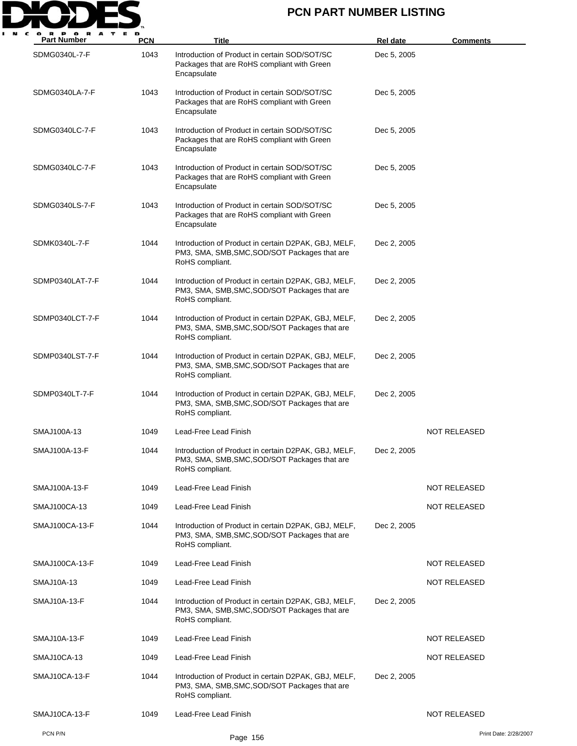

| o<br>P OR<br>A<br>т<br><b>Part Number</b> | Е D<br><b>PCN</b> | Title                                                                                                                    | <b>Rel date</b> | <b>Comments</b>       |
|-------------------------------------------|-------------------|--------------------------------------------------------------------------------------------------------------------------|-----------------|-----------------------|
| SDMG0340L-7-F                             | 1043              | Introduction of Product in certain SOD/SOT/SC<br>Packages that are RoHS compliant with Green<br>Encapsulate              | Dec 5, 2005     |                       |
| SDMG0340LA-7-F                            | 1043              | Introduction of Product in certain SOD/SOT/SC<br>Packages that are RoHS compliant with Green<br>Encapsulate              | Dec 5, 2005     |                       |
| SDMG0340LC-7-F                            | 1043              | Introduction of Product in certain SOD/SOT/SC<br>Packages that are RoHS compliant with Green<br>Encapsulate              | Dec 5, 2005     |                       |
| SDMG0340LC-7-F                            | 1043              | Introduction of Product in certain SOD/SOT/SC<br>Packages that are RoHS compliant with Green<br>Encapsulate              | Dec 5, 2005     |                       |
| SDMG0340LS-7-F                            | 1043              | Introduction of Product in certain SOD/SOT/SC<br>Packages that are RoHS compliant with Green<br>Encapsulate              | Dec 5, 2005     |                       |
| SDMK0340L-7-F                             | 1044              | Introduction of Product in certain D2PAK, GBJ, MELF,<br>PM3, SMA, SMB, SMC, SOD/SOT Packages that are<br>RoHS compliant. | Dec 2, 2005     |                       |
| SDMP0340LAT-7-F                           | 1044              | Introduction of Product in certain D2PAK, GBJ, MELF,<br>PM3, SMA, SMB, SMC, SOD/SOT Packages that are<br>RoHS compliant. | Dec 2, 2005     |                       |
| SDMP0340LCT-7-F                           | 1044              | Introduction of Product in certain D2PAK, GBJ, MELF,<br>PM3, SMA, SMB, SMC, SOD/SOT Packages that are<br>RoHS compliant. | Dec 2, 2005     |                       |
| SDMP0340LST-7-F                           | 1044              | Introduction of Product in certain D2PAK, GBJ, MELF,<br>PM3, SMA, SMB, SMC, SOD/SOT Packages that are<br>RoHS compliant. | Dec 2, 2005     |                       |
| SDMP0340LT-7-F                            | 1044              | Introduction of Product in certain D2PAK, GBJ, MELF,<br>PM3, SMA, SMB, SMC, SOD/SOT Packages that are<br>RoHS compliant. | Dec 2, 2005     |                       |
| SMAJ100A-13                               | 1049              | Lead-Free Lead Finish                                                                                                    |                 | NOT RELEASED          |
| SMAJ100A-13-F                             | 1044              | Introduction of Product in certain D2PAK, GBJ, MELF,<br>PM3, SMA, SMB, SMC, SOD/SOT Packages that are<br>RoHS compliant. | Dec 2, 2005     |                       |
| SMAJ100A-13-F                             | 1049              | Lead-Free Lead Finish                                                                                                    |                 | NOT RELEASED          |
| SMAJ100CA-13                              | 1049              | Lead-Free Lead Finish                                                                                                    |                 | <b>NOT RELEASED</b>   |
| SMAJ100CA-13-F                            | 1044              | Introduction of Product in certain D2PAK, GBJ, MELF,<br>PM3, SMA, SMB, SMC, SOD/SOT Packages that are<br>RoHS compliant. | Dec 2, 2005     |                       |
| SMAJ100CA-13-F                            | 1049              | Lead-Free Lead Finish                                                                                                    |                 | <b>NOT RELEASED</b>   |
| <b>SMAJ10A-13</b>                         | 1049              | Lead-Free Lead Finish                                                                                                    |                 | <b>NOT RELEASED</b>   |
| SMAJ10A-13-F                              | 1044              | Introduction of Product in certain D2PAK, GBJ, MELF,<br>PM3, SMA, SMB, SMC, SOD/SOT Packages that are<br>RoHS compliant. | Dec 2, 2005     |                       |
| SMAJ10A-13-F                              | 1049              | Lead-Free Lead Finish                                                                                                    |                 | <b>NOT RELEASED</b>   |
| SMAJ10CA-13                               | 1049              | Lead-Free Lead Finish                                                                                                    |                 | <b>NOT RELEASED</b>   |
| SMAJ10CA-13-F                             | 1044              | Introduction of Product in certain D2PAK, GBJ, MELF,<br>PM3, SMA, SMB, SMC, SOD/SOT Packages that are<br>RoHS compliant. | Dec 2, 2005     |                       |
| SMAJ10CA-13-F                             | 1049              | Lead-Free Lead Finish                                                                                                    |                 | <b>NOT RELEASED</b>   |
| PCN P/N                                   |                   | Page 156                                                                                                                 |                 | Print Date: 2/28/2007 |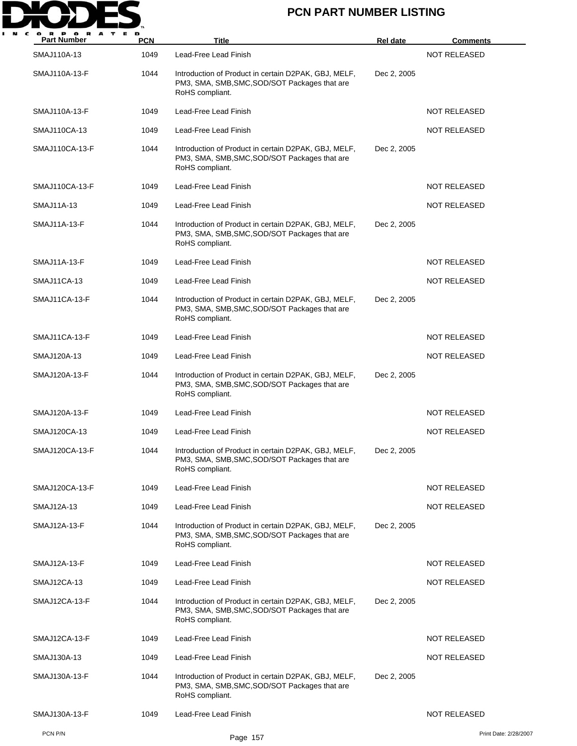

| o r<br>A<br><b>Part Number</b> | PCN  | Title                                                                                                                    | <b>Rel date</b> | <b>Comments</b>       |
|--------------------------------|------|--------------------------------------------------------------------------------------------------------------------------|-----------------|-----------------------|
| SMAJ110A-13                    | 1049 | Lead-Free Lead Finish                                                                                                    |                 | <b>NOT RELEASED</b>   |
| SMAJ110A-13-F                  | 1044 | Introduction of Product in certain D2PAK, GBJ, MELF,<br>PM3, SMA, SMB, SMC, SOD/SOT Packages that are<br>RoHS compliant. | Dec 2, 2005     |                       |
| SMAJ110A-13-F                  | 1049 | Lead-Free Lead Finish                                                                                                    |                 | <b>NOT RELEASED</b>   |
| SMAJ110CA-13                   | 1049 | Lead-Free Lead Finish                                                                                                    |                 | NOT RELEASED          |
| SMAJ110CA-13-F                 | 1044 | Introduction of Product in certain D2PAK, GBJ, MELF,<br>PM3, SMA, SMB, SMC, SOD/SOT Packages that are<br>RoHS compliant. | Dec 2, 2005     |                       |
| SMAJ110CA-13-F                 | 1049 | Lead-Free Lead Finish                                                                                                    |                 | <b>NOT RELEASED</b>   |
| SMAJ11A-13                     | 1049 | Lead-Free Lead Finish                                                                                                    |                 | <b>NOT RELEASED</b>   |
| SMAJ11A-13-F                   | 1044 | Introduction of Product in certain D2PAK, GBJ, MELF,<br>PM3, SMA, SMB, SMC, SOD/SOT Packages that are<br>RoHS compliant. | Dec 2, 2005     |                       |
| SMAJ11A-13-F                   | 1049 | Lead-Free Lead Finish                                                                                                    |                 | <b>NOT RELEASED</b>   |
| SMAJ11CA-13                    | 1049 | Lead-Free Lead Finish                                                                                                    |                 | <b>NOT RELEASED</b>   |
| SMAJ11CA-13-F                  | 1044 | Introduction of Product in certain D2PAK, GBJ, MELF,<br>PM3, SMA, SMB, SMC, SOD/SOT Packages that are<br>RoHS compliant. | Dec 2, 2005     |                       |
| SMAJ11CA-13-F                  | 1049 | Lead-Free Lead Finish                                                                                                    |                 | NOT RELEASED          |
| SMAJ120A-13                    | 1049 | Lead-Free Lead Finish                                                                                                    |                 | NOT RELEASED          |
| SMAJ120A-13-F                  | 1044 | Introduction of Product in certain D2PAK, GBJ, MELF,<br>PM3, SMA, SMB, SMC, SOD/SOT Packages that are<br>RoHS compliant. | Dec 2, 2005     |                       |
| SMAJ120A-13-F                  | 1049 | Lead-Free Lead Finish                                                                                                    |                 | <b>NOT RELEASED</b>   |
| SMAJ120CA-13                   | 1049 | Lead-Free Lead Finish                                                                                                    |                 | <b>NOT RELEASED</b>   |
| SMAJ120CA-13-F                 | 1044 | Introduction of Product in certain D2PAK, GBJ, MELF,<br>PM3, SMA, SMB, SMC, SOD/SOT Packages that are<br>RoHS compliant. | Dec 2, 2005     |                       |
| SMAJ120CA-13-F                 | 1049 | Lead-Free Lead Finish                                                                                                    |                 | <b>NOT RELEASED</b>   |
| SMAJ12A-13                     | 1049 | Lead-Free Lead Finish                                                                                                    |                 | <b>NOT RELEASED</b>   |
| SMAJ12A-13-F                   | 1044 | Introduction of Product in certain D2PAK, GBJ, MELF,<br>PM3, SMA, SMB, SMC, SOD/SOT Packages that are<br>RoHS compliant. | Dec 2, 2005     |                       |
| SMAJ12A-13-F                   | 1049 | Lead-Free Lead Finish                                                                                                    |                 | <b>NOT RELEASED</b>   |
| SMAJ12CA-13                    | 1049 | Lead-Free Lead Finish                                                                                                    |                 | <b>NOT RELEASED</b>   |
| SMAJ12CA-13-F                  | 1044 | Introduction of Product in certain D2PAK, GBJ, MELF,<br>PM3, SMA, SMB, SMC, SOD/SOT Packages that are<br>RoHS compliant. | Dec 2, 2005     |                       |
| SMAJ12CA-13-F                  | 1049 | Lead-Free Lead Finish                                                                                                    |                 | <b>NOT RELEASED</b>   |
| SMAJ130A-13                    | 1049 | Lead-Free Lead Finish                                                                                                    |                 | <b>NOT RELEASED</b>   |
| SMAJ130A-13-F                  | 1044 | Introduction of Product in certain D2PAK, GBJ, MELF,<br>PM3, SMA, SMB, SMC, SOD/SOT Packages that are<br>RoHS compliant. | Dec 2, 2005     |                       |
| SMAJ130A-13-F                  | 1049 | Lead-Free Lead Finish                                                                                                    |                 | <b>NOT RELEASED</b>   |
| PCN P/N                        |      | Page 157                                                                                                                 |                 | Print Date: 2/28/2007 |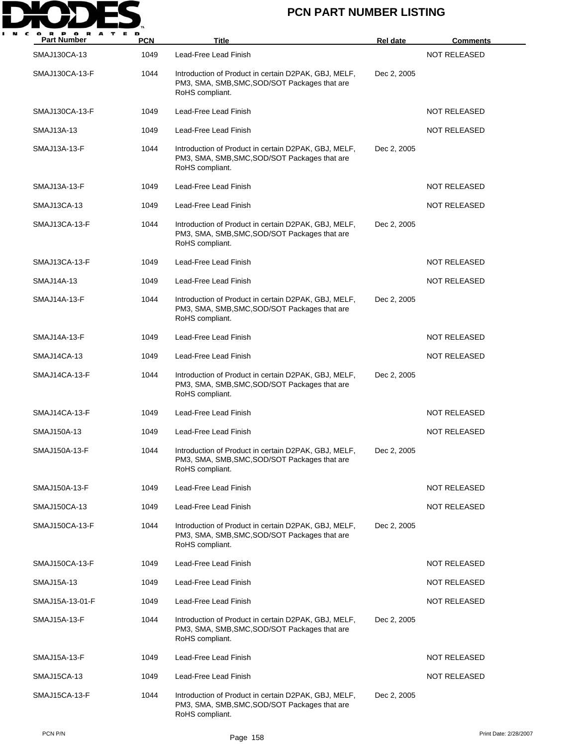

| A<br><b>Part Number</b> | <b>PCN</b> | <b>Title</b>                                                                                                             | <b>Rel date</b> | <b>Comments</b>     |
|-------------------------|------------|--------------------------------------------------------------------------------------------------------------------------|-----------------|---------------------|
| SMAJ130CA-13            | 1049       | Lead-Free Lead Finish                                                                                                    |                 | <b>NOT RELEASED</b> |
| SMAJ130CA-13-F          | 1044       | Introduction of Product in certain D2PAK, GBJ, MELF,<br>PM3, SMA, SMB, SMC, SOD/SOT Packages that are<br>RoHS compliant. | Dec 2, 2005     |                     |
| SMAJ130CA-13-F          | 1049       | Lead-Free Lead Finish                                                                                                    |                 | <b>NOT RELEASED</b> |
| SMAJ13A-13              | 1049       | Lead-Free Lead Finish                                                                                                    |                 | <b>NOT RELEASED</b> |
| SMAJ13A-13-F            | 1044       | Introduction of Product in certain D2PAK, GBJ, MELF,<br>PM3, SMA, SMB, SMC, SOD/SOT Packages that are<br>RoHS compliant. | Dec 2, 2005     |                     |
| SMAJ13A-13-F            | 1049       | Lead-Free Lead Finish                                                                                                    |                 | NOT RELEASED        |
| SMAJ13CA-13             | 1049       | Lead-Free Lead Finish                                                                                                    |                 | <b>NOT RELEASED</b> |
| SMAJ13CA-13-F           | 1044       | Introduction of Product in certain D2PAK, GBJ, MELF,<br>PM3, SMA, SMB, SMC, SOD/SOT Packages that are<br>RoHS compliant. | Dec 2, 2005     |                     |
| SMAJ13CA-13-F           | 1049       | Lead-Free Lead Finish                                                                                                    |                 | <b>NOT RELEASED</b> |
| SMAJ14A-13              | 1049       | Lead-Free Lead Finish                                                                                                    |                 | <b>NOT RELEASED</b> |
| SMAJ14A-13-F            | 1044       | Introduction of Product in certain D2PAK, GBJ, MELF,<br>PM3, SMA, SMB, SMC, SOD/SOT Packages that are<br>RoHS compliant. | Dec 2, 2005     |                     |
| SMAJ14A-13-F            | 1049       | Lead-Free Lead Finish                                                                                                    |                 | <b>NOT RELEASED</b> |
| SMAJ14CA-13             | 1049       | Lead-Free Lead Finish                                                                                                    |                 | NOT RELEASED        |
| SMAJ14CA-13-F           | 1044       | Introduction of Product in certain D2PAK, GBJ, MELF,<br>PM3, SMA, SMB, SMC, SOD/SOT Packages that are<br>RoHS compliant. | Dec 2, 2005     |                     |
| SMAJ14CA-13-F           | 1049       | Lead-Free Lead Finish                                                                                                    |                 | NOT RELEASED        |
| SMAJ150A-13             | 1049       | Lead-Free Lead Finish                                                                                                    |                 | <b>NOT RELEASED</b> |
| SMAJ150A-13-F           | 1044       | Introduction of Product in certain D2PAK, GBJ, MELF,<br>PM3, SMA, SMB, SMC, SOD/SOT Packages that are<br>RoHS compliant. | Dec 2, 2005     |                     |
| SMAJ150A-13-F           | 1049       | Lead-Free Lead Finish                                                                                                    |                 | NOT RELEASED        |
| SMAJ150CA-13            | 1049       | Lead-Free Lead Finish                                                                                                    |                 | <b>NOT RELEASED</b> |
| SMAJ150CA-13-F          | 1044       | Introduction of Product in certain D2PAK, GBJ, MELF,<br>PM3, SMA, SMB, SMC, SOD/SOT Packages that are<br>RoHS compliant. | Dec 2, 2005     |                     |
| SMAJ150CA-13-F          | 1049       | Lead-Free Lead Finish                                                                                                    |                 | <b>NOT RELEASED</b> |
| SMAJ15A-13              | 1049       | Lead-Free Lead Finish                                                                                                    |                 | <b>NOT RELEASED</b> |
| SMAJ15A-13-01-F         | 1049       | Lead-Free Lead Finish                                                                                                    |                 | NOT RELEASED        |
| SMAJ15A-13-F            | 1044       | Introduction of Product in certain D2PAK, GBJ, MELF,<br>PM3, SMA, SMB, SMC, SOD/SOT Packages that are<br>RoHS compliant. | Dec 2, 2005     |                     |
| SMAJ15A-13-F            | 1049       | Lead-Free Lead Finish                                                                                                    |                 | NOT RELEASED        |
| <b>SMAJ15CA-13</b>      | 1049       | Lead-Free Lead Finish                                                                                                    |                 | <b>NOT RELEASED</b> |
| SMAJ15CA-13-F           | 1044       | Introduction of Product in certain D2PAK, GBJ, MELF,<br>PM3, SMA, SMB, SMC, SOD/SOT Packages that are<br>RoHS compliant. | Dec 2, 2005     |                     |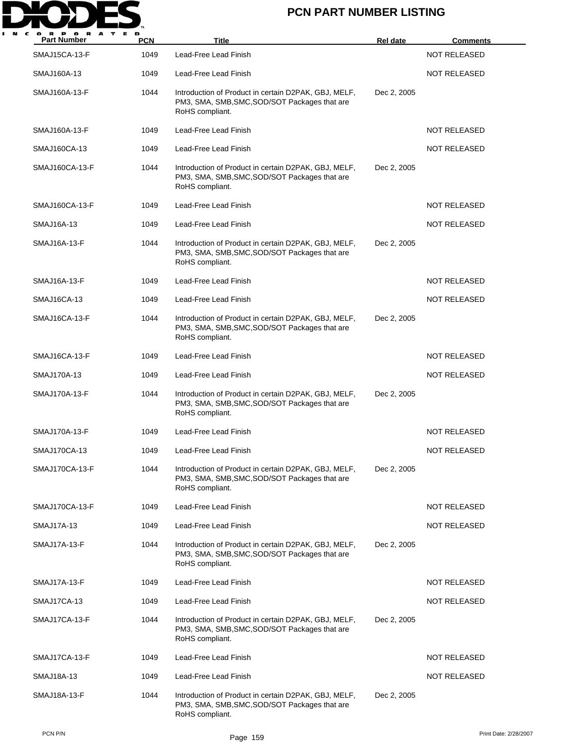

| <b>Part Number</b>   | <b>PCN</b> | Title                                                                                                                    | <b>Rel date</b> | <b>Comments</b>     |
|----------------------|------------|--------------------------------------------------------------------------------------------------------------------------|-----------------|---------------------|
| <b>SMAJ15CA-13-F</b> | 1049       | Lead-Free Lead Finish                                                                                                    |                 | <b>NOT RELEASED</b> |
| SMAJ160A-13          | 1049       | Lead-Free Lead Finish                                                                                                    |                 | NOT RELEASED        |
| SMAJ160A-13-F        | 1044       | Introduction of Product in certain D2PAK, GBJ, MELF,<br>PM3, SMA, SMB, SMC, SOD/SOT Packages that are<br>RoHS compliant. | Dec 2, 2005     |                     |
| SMAJ160A-13-F        | 1049       | Lead-Free Lead Finish                                                                                                    |                 | <b>NOT RELEASED</b> |
| SMAJ160CA-13         | 1049       | Lead-Free Lead Finish                                                                                                    |                 | <b>NOT RELEASED</b> |
| SMAJ160CA-13-F       | 1044       | Introduction of Product in certain D2PAK, GBJ, MELF,<br>PM3, SMA, SMB, SMC, SOD/SOT Packages that are<br>RoHS compliant. | Dec 2, 2005     |                     |
| SMAJ160CA-13-F       | 1049       | Lead-Free Lead Finish                                                                                                    |                 | <b>NOT RELEASED</b> |
| SMAJ16A-13           | 1049       | Lead-Free Lead Finish                                                                                                    |                 | <b>NOT RELEASED</b> |
| SMAJ16A-13-F         | 1044       | Introduction of Product in certain D2PAK, GBJ, MELF,<br>PM3, SMA, SMB, SMC, SOD/SOT Packages that are<br>RoHS compliant. | Dec 2, 2005     |                     |
| SMAJ16A-13-F         | 1049       | Lead-Free Lead Finish                                                                                                    |                 | <b>NOT RELEASED</b> |
| SMAJ16CA-13          | 1049       | Lead-Free Lead Finish                                                                                                    |                 | <b>NOT RELEASED</b> |
| SMAJ16CA-13-F        | 1044       | Introduction of Product in certain D2PAK, GBJ, MELF,<br>PM3, SMA, SMB, SMC, SOD/SOT Packages that are<br>RoHS compliant. | Dec 2, 2005     |                     |
| SMAJ16CA-13-F        | 1049       | Lead-Free Lead Finish                                                                                                    |                 | <b>NOT RELEASED</b> |
| SMAJ170A-13          | 1049       | Lead-Free Lead Finish                                                                                                    |                 | <b>NOT RELEASED</b> |
| SMAJ170A-13-F        | 1044       | Introduction of Product in certain D2PAK, GBJ, MELF,<br>PM3, SMA, SMB, SMC, SOD/SOT Packages that are<br>RoHS compliant. | Dec 2, 2005     |                     |
| SMAJ170A-13-F        | 1049       | Lead-Free Lead Finish                                                                                                    |                 | <b>NOT RELEASED</b> |
| SMAJ170CA-13         | 1049       | Lead-Free Lead Finish                                                                                                    |                 | NOT RELEASED        |
| SMAJ170CA-13-F       | 1044       | Introduction of Product in certain D2PAK, GBJ, MELF,<br>PM3, SMA, SMB, SMC, SOD/SOT Packages that are<br>RoHS compliant. | Dec 2, 2005     |                     |
| SMAJ170CA-13-F       | 1049       | Lead-Free Lead Finish                                                                                                    |                 | <b>NOT RELEASED</b> |
| SMAJ17A-13           | 1049       | Lead-Free Lead Finish                                                                                                    |                 | <b>NOT RELEASED</b> |
| SMAJ17A-13-F         | 1044       | Introduction of Product in certain D2PAK, GBJ, MELF,<br>PM3, SMA, SMB, SMC, SOD/SOT Packages that are<br>RoHS compliant. | Dec 2, 2005     |                     |
| SMAJ17A-13-F         | 1049       | Lead-Free Lead Finish                                                                                                    |                 | NOT RELEASED        |
| SMAJ17CA-13          | 1049       | Lead-Free Lead Finish                                                                                                    |                 | NOT RELEASED        |
| SMAJ17CA-13-F        | 1044       | Introduction of Product in certain D2PAK, GBJ, MELF,<br>PM3, SMA, SMB, SMC, SOD/SOT Packages that are<br>RoHS compliant. | Dec 2, 2005     |                     |
| SMAJ17CA-13-F        | 1049       | Lead-Free Lead Finish                                                                                                    |                 | NOT RELEASED        |
| SMAJ18A-13           | 1049       | Lead-Free Lead Finish                                                                                                    |                 | <b>NOT RELEASED</b> |
| SMAJ18A-13-F         | 1044       | Introduction of Product in certain D2PAK, GBJ, MELF,<br>PM3, SMA, SMB, SMC, SOD/SOT Packages that are<br>RoHS compliant. | Dec 2, 2005     |                     |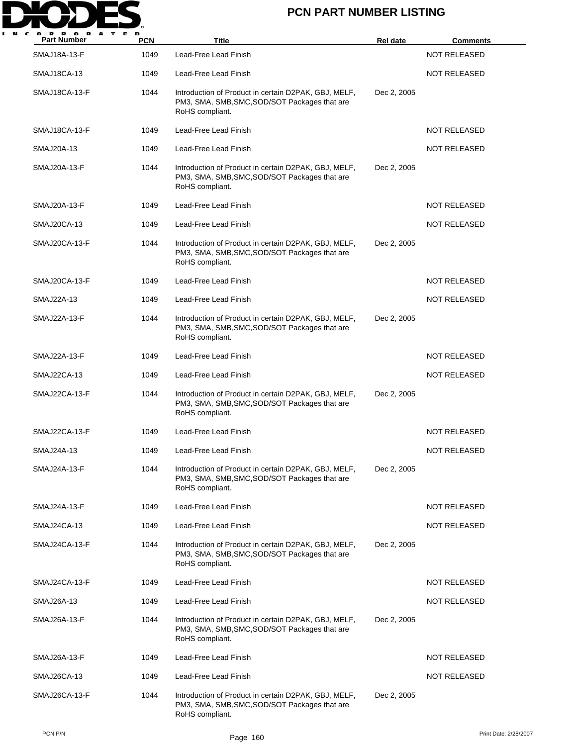

| A<br><b>Part Number</b> | <b>PCN</b> | <b>Title</b>                                                                                                             | <b>Rel date</b> | <b>Comments</b>     |
|-------------------------|------------|--------------------------------------------------------------------------------------------------------------------------|-----------------|---------------------|
| SMAJ18A-13-F            | 1049       | Lead-Free Lead Finish                                                                                                    |                 | <b>NOT RELEASED</b> |
| <b>SMAJ18CA-13</b>      | 1049       | Lead-Free Lead Finish                                                                                                    |                 | NOT RELEASED        |
| SMAJ18CA-13-F           | 1044       | Introduction of Product in certain D2PAK, GBJ, MELF,<br>PM3, SMA, SMB, SMC, SOD/SOT Packages that are<br>RoHS compliant. | Dec 2, 2005     |                     |
| SMAJ18CA-13-F           | 1049       | Lead-Free Lead Finish                                                                                                    |                 | NOT RELEASED        |
| SMAJ20A-13              | 1049       | Lead-Free Lead Finish                                                                                                    |                 | <b>NOT RELEASED</b> |
| SMAJ20A-13-F            | 1044       | Introduction of Product in certain D2PAK, GBJ, MELF,<br>PM3, SMA, SMB, SMC, SOD/SOT Packages that are<br>RoHS compliant. | Dec 2, 2005     |                     |
| SMAJ20A-13-F            | 1049       | Lead-Free Lead Finish                                                                                                    |                 | <b>NOT RELEASED</b> |
| SMAJ20CA-13             | 1049       | Lead-Free Lead Finish                                                                                                    |                 | <b>NOT RELEASED</b> |
| SMAJ20CA-13-F           | 1044       | Introduction of Product in certain D2PAK, GBJ, MELF,<br>PM3, SMA, SMB, SMC, SOD/SOT Packages that are<br>RoHS compliant. | Dec 2, 2005     |                     |
| SMAJ20CA-13-F           | 1049       | Lead-Free Lead Finish                                                                                                    |                 | <b>NOT RELEASED</b> |
| SMAJ22A-13              | 1049       | Lead-Free Lead Finish                                                                                                    |                 | <b>NOT RELEASED</b> |
| SMAJ22A-13-F            | 1044       | Introduction of Product in certain D2PAK, GBJ, MELF,<br>PM3, SMA, SMB, SMC, SOD/SOT Packages that are<br>RoHS compliant. | Dec 2, 2005     |                     |
| SMAJ22A-13-F            | 1049       | Lead-Free Lead Finish                                                                                                    |                 | NOT RELEASED        |
| SMAJ22CA-13             | 1049       | Lead-Free Lead Finish                                                                                                    |                 | <b>NOT RELEASED</b> |
| SMAJ22CA-13-F           | 1044       | Introduction of Product in certain D2PAK, GBJ, MELF,<br>PM3, SMA, SMB, SMC, SOD/SOT Packages that are<br>RoHS compliant. | Dec 2, 2005     |                     |
| SMAJ22CA-13-F           | 1049       | Lead-Free Lead Finish                                                                                                    |                 | <b>NOT RELEASED</b> |
| SMAJ24A-13              | 1049       | Lead-Free Lead Finish                                                                                                    |                 | NOT RELEASED        |
| SMAJ24A-13-F            | 1044       | Introduction of Product in certain D2PAK, GBJ, MELF,<br>PM3, SMA, SMB, SMC, SOD/SOT Packages that are<br>RoHS compliant. | Dec 2, 2005     |                     |
| SMAJ24A-13-F            | 1049       | Lead-Free Lead Finish                                                                                                    |                 | <b>NOT RELEASED</b> |
| SMAJ24CA-13             | 1049       | Lead-Free Lead Finish                                                                                                    |                 | <b>NOT RELEASED</b> |
| SMAJ24CA-13-F           | 1044       | Introduction of Product in certain D2PAK, GBJ, MELF,<br>PM3, SMA, SMB, SMC, SOD/SOT Packages that are<br>RoHS compliant. | Dec 2, 2005     |                     |
| SMAJ24CA-13-F           | 1049       | Lead-Free Lead Finish                                                                                                    |                 | NOT RELEASED        |
| SMAJ26A-13              | 1049       | Lead-Free Lead Finish                                                                                                    |                 | NOT RELEASED        |
| SMAJ26A-13-F            | 1044       | Introduction of Product in certain D2PAK, GBJ, MELF,<br>PM3, SMA, SMB, SMC, SOD/SOT Packages that are<br>RoHS compliant. | Dec 2, 2005     |                     |
| SMAJ26A-13-F            | 1049       | Lead-Free Lead Finish                                                                                                    |                 | NOT RELEASED        |
| SMAJ26CA-13             | 1049       | Lead-Free Lead Finish                                                                                                    |                 | <b>NOT RELEASED</b> |
| SMAJ26CA-13-F           | 1044       | Introduction of Product in certain D2PAK, GBJ, MELF,<br>PM3, SMA, SMB, SMC, SOD/SOT Packages that are<br>RoHS compliant. | Dec 2, 2005     |                     |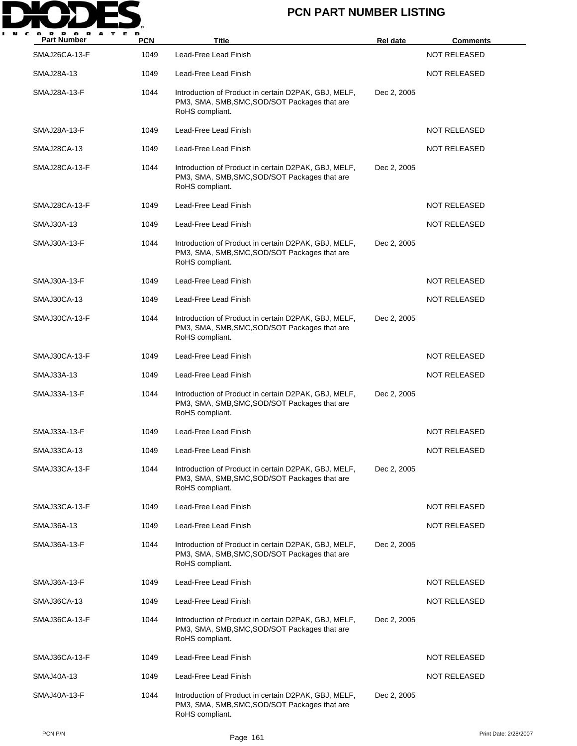

| <b>Part Number</b> | <b>PCN</b> | <b>Title</b>                                                                                                             | <b>Rel date</b> | <u>Comments</u>     |
|--------------------|------------|--------------------------------------------------------------------------------------------------------------------------|-----------------|---------------------|
| SMAJ26CA-13-F      | 1049       | Lead-Free Lead Finish                                                                                                    |                 | <b>NOT RELEASED</b> |
| <b>SMAJ28A-13</b>  | 1049       | Lead-Free Lead Finish                                                                                                    |                 | <b>NOT RELEASED</b> |
| SMAJ28A-13-F       | 1044       | Introduction of Product in certain D2PAK, GBJ, MELF,<br>PM3, SMA, SMB, SMC, SOD/SOT Packages that are<br>RoHS compliant. | Dec 2, 2005     |                     |
| SMAJ28A-13-F       | 1049       | Lead-Free Lead Finish                                                                                                    |                 | <b>NOT RELEASED</b> |
| SMAJ28CA-13        | 1049       | Lead-Free Lead Finish                                                                                                    |                 | <b>NOT RELEASED</b> |
| SMAJ28CA-13-F      | 1044       | Introduction of Product in certain D2PAK, GBJ, MELF,<br>PM3, SMA, SMB, SMC, SOD/SOT Packages that are<br>RoHS compliant. | Dec 2, 2005     |                     |
| SMAJ28CA-13-F      | 1049       | Lead-Free Lead Finish                                                                                                    |                 | <b>NOT RELEASED</b> |
| <b>SMAJ30A-13</b>  | 1049       | Lead-Free Lead Finish                                                                                                    |                 | <b>NOT RELEASED</b> |
| SMAJ30A-13-F       | 1044       | Introduction of Product in certain D2PAK, GBJ, MELF,<br>PM3, SMA, SMB, SMC, SOD/SOT Packages that are<br>RoHS compliant. | Dec 2, 2005     |                     |
| SMAJ30A-13-F       | 1049       | Lead-Free Lead Finish                                                                                                    |                 | NOT RELEASED        |
| SMAJ30CA-13        | 1049       | Lead-Free Lead Finish                                                                                                    |                 | <b>NOT RELEASED</b> |
| SMAJ30CA-13-F      | 1044       | Introduction of Product in certain D2PAK, GBJ, MELF,<br>PM3, SMA, SMB, SMC, SOD/SOT Packages that are<br>RoHS compliant. | Dec 2, 2005     |                     |
| SMAJ30CA-13-F      | 1049       | Lead-Free Lead Finish                                                                                                    |                 | <b>NOT RELEASED</b> |
| SMAJ33A-13         | 1049       | Lead-Free Lead Finish                                                                                                    |                 | <b>NOT RELEASED</b> |
| SMAJ33A-13-F       | 1044       | Introduction of Product in certain D2PAK, GBJ, MELF,<br>PM3, SMA, SMB, SMC, SOD/SOT Packages that are<br>RoHS compliant. | Dec 2, 2005     |                     |
| SMAJ33A-13-F       | 1049       | Lead-Free Lead Finish                                                                                                    |                 | <b>NOT RELEASED</b> |
| SMAJ33CA-13        | 1049       | Lead-Free Lead Finish                                                                                                    |                 | NOT RELEASED        |
| SMAJ33CA-13-F      | 1044       | Introduction of Product in certain D2PAK, GBJ, MELF,<br>PM3, SMA, SMB, SMC, SOD/SOT Packages that are<br>RoHS compliant. | Dec 2, 2005     |                     |
| SMAJ33CA-13-F      | 1049       | Lead-Free Lead Finish                                                                                                    |                 | <b>NOT RELEASED</b> |
| SMAJ36A-13         | 1049       | Lead-Free Lead Finish                                                                                                    |                 | <b>NOT RELEASED</b> |
| SMAJ36A-13-F       | 1044       | Introduction of Product in certain D2PAK, GBJ, MELF,<br>PM3, SMA, SMB, SMC, SOD/SOT Packages that are<br>RoHS compliant. | Dec 2, 2005     |                     |
| SMAJ36A-13-F       | 1049       | Lead-Free Lead Finish                                                                                                    |                 | NOT RELEASED        |
| SMAJ36CA-13        | 1049       | Lead-Free Lead Finish                                                                                                    |                 | NOT RELEASED        |
| SMAJ36CA-13-F      | 1044       | Introduction of Product in certain D2PAK, GBJ, MELF,<br>PM3, SMA, SMB, SMC, SOD/SOT Packages that are<br>RoHS compliant. | Dec 2, 2005     |                     |
| SMAJ36CA-13-F      | 1049       | Lead-Free Lead Finish                                                                                                    |                 | NOT RELEASED        |
| SMAJ40A-13         | 1049       | Lead-Free Lead Finish                                                                                                    |                 | <b>NOT RELEASED</b> |
| SMAJ40A-13-F       | 1044       | Introduction of Product in certain D2PAK, GBJ, MELF,<br>PM3, SMA, SMB, SMC, SOD/SOT Packages that are<br>RoHS compliant. | Dec 2, 2005     |                     |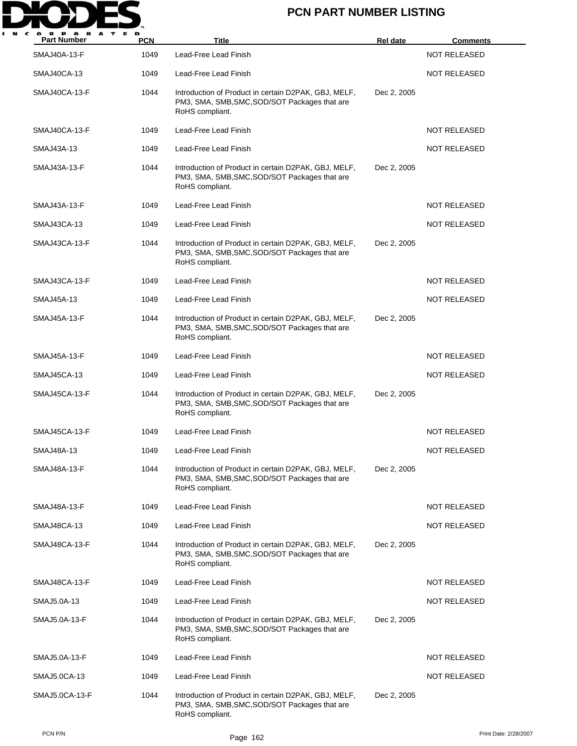

| <b>Part Number</b>  | <b>PCN</b> | <b>Title</b>                                                                                                             | Rel date    | <b>Comments</b>     |
|---------------------|------------|--------------------------------------------------------------------------------------------------------------------------|-------------|---------------------|
| <b>SMAJ40A-13-F</b> | 1049       | Lead-Free Lead Finish                                                                                                    |             | <b>NOT RELEASED</b> |
| SMAJ40CA-13         | 1049       | Lead-Free Lead Finish                                                                                                    |             | <b>NOT RELEASED</b> |
| SMAJ40CA-13-F       | 1044       | Introduction of Product in certain D2PAK, GBJ, MELF,<br>PM3, SMA, SMB, SMC, SOD/SOT Packages that are<br>RoHS compliant. | Dec 2, 2005 |                     |
| SMAJ40CA-13-F       | 1049       | Lead-Free Lead Finish                                                                                                    |             | <b>NOT RELEASED</b> |
| SMAJ43A-13          | 1049       | Lead-Free Lead Finish                                                                                                    |             | <b>NOT RELEASED</b> |
| SMAJ43A-13-F        | 1044       | Introduction of Product in certain D2PAK, GBJ, MELF,<br>PM3, SMA, SMB, SMC, SOD/SOT Packages that are<br>RoHS compliant. | Dec 2, 2005 |                     |
| SMAJ43A-13-F        | 1049       | Lead-Free Lead Finish                                                                                                    |             | <b>NOT RELEASED</b> |
| SMAJ43CA-13         | 1049       | Lead-Free Lead Finish                                                                                                    |             | <b>NOT RELEASED</b> |
| SMAJ43CA-13-F       | 1044       | Introduction of Product in certain D2PAK, GBJ, MELF,<br>PM3, SMA, SMB, SMC, SOD/SOT Packages that are<br>RoHS compliant. | Dec 2, 2005 |                     |
| SMAJ43CA-13-F       | 1049       | Lead-Free Lead Finish                                                                                                    |             | <b>NOT RELEASED</b> |
| <b>SMAJ45A-13</b>   | 1049       | Lead-Free Lead Finish                                                                                                    |             | <b>NOT RELEASED</b> |
| SMAJ45A-13-F        | 1044       | Introduction of Product in certain D2PAK, GBJ, MELF,<br>PM3, SMA, SMB, SMC, SOD/SOT Packages that are<br>RoHS compliant. | Dec 2, 2005 |                     |
| SMAJ45A-13-F        | 1049       | Lead-Free Lead Finish                                                                                                    |             | <b>NOT RELEASED</b> |
| SMAJ45CA-13         | 1049       | Lead-Free Lead Finish                                                                                                    |             | <b>NOT RELEASED</b> |
| SMAJ45CA-13-F       | 1044       | Introduction of Product in certain D2PAK, GBJ, MELF,<br>PM3, SMA, SMB, SMC, SOD/SOT Packages that are<br>RoHS compliant. | Dec 2, 2005 |                     |
| SMAJ45CA-13-F       | 1049       | Lead-Free Lead Finish                                                                                                    |             | <b>NOT RELEASED</b> |
| SMAJ48A-13          | 1049       | Lead-Free Lead Finish                                                                                                    |             | NOT RELEASED        |
| SMAJ48A-13-F        | 1044       | Introduction of Product in certain D2PAK, GBJ, MELF,<br>PM3, SMA, SMB, SMC, SOD/SOT Packages that are<br>RoHS compliant. | Dec 2, 2005 |                     |
| SMAJ48A-13-F        | 1049       | Lead-Free Lead Finish                                                                                                    |             | <b>NOT RELEASED</b> |
| SMAJ48CA-13         | 1049       | Lead-Free Lead Finish                                                                                                    |             | <b>NOT RELEASED</b> |
| SMAJ48CA-13-F       | 1044       | Introduction of Product in certain D2PAK, GBJ, MELF,<br>PM3, SMA, SMB, SMC, SOD/SOT Packages that are<br>RoHS compliant. | Dec 2, 2005 |                     |
| SMAJ48CA-13-F       | 1049       | Lead-Free Lead Finish                                                                                                    |             | <b>NOT RELEASED</b> |
| SMAJ5.0A-13         | 1049       | Lead-Free Lead Finish                                                                                                    |             | NOT RELEASED        |
| SMAJ5.0A-13-F       | 1044       | Introduction of Product in certain D2PAK, GBJ, MELF,<br>PM3, SMA, SMB, SMC, SOD/SOT Packages that are<br>RoHS compliant. | Dec 2, 2005 |                     |
| SMAJ5.0A-13-F       | 1049       | Lead-Free Lead Finish                                                                                                    |             | NOT RELEASED        |
| SMAJ5.0CA-13        | 1049       | Lead-Free Lead Finish                                                                                                    |             | <b>NOT RELEASED</b> |
| SMAJ5.0CA-13-F      | 1044       | Introduction of Product in certain D2PAK, GBJ, MELF,<br>PM3, SMA, SMB, SMC, SOD/SOT Packages that are<br>RoHS compliant. | Dec 2, 2005 |                     |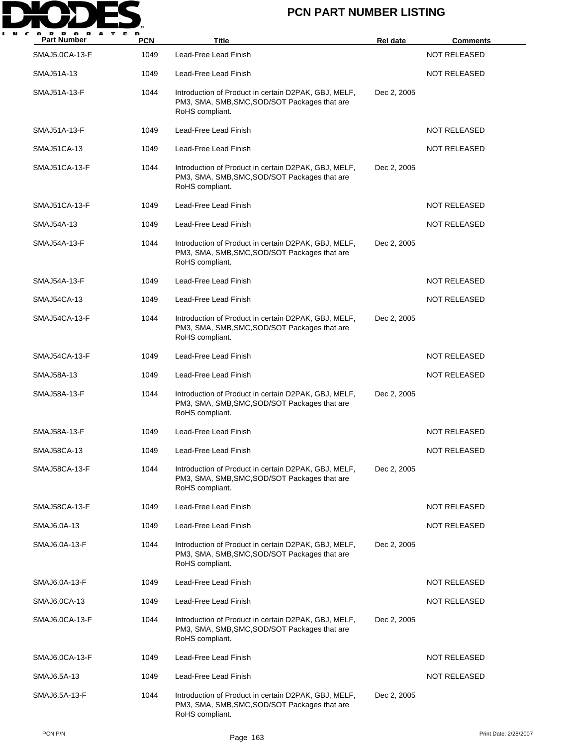

| <b>Part Number</b> | <b>PCN</b> | <b>Title</b>                                                                                                             | <b>Rel date</b> | <u>Comments</u>     |
|--------------------|------------|--------------------------------------------------------------------------------------------------------------------------|-----------------|---------------------|
| SMAJ5.0CA-13-F     | 1049       | Lead-Free Lead Finish                                                                                                    |                 | <b>NOT RELEASED</b> |
| <b>SMAJ51A-13</b>  | 1049       | Lead-Free Lead Finish                                                                                                    |                 | <b>NOT RELEASED</b> |
| SMAJ51A-13-F       | 1044       | Introduction of Product in certain D2PAK, GBJ, MELF,<br>PM3, SMA, SMB, SMC, SOD/SOT Packages that are<br>RoHS compliant. | Dec 2, 2005     |                     |
| SMAJ51A-13-F       | 1049       | Lead-Free Lead Finish                                                                                                    |                 | <b>NOT RELEASED</b> |
| SMAJ51CA-13        | 1049       | Lead-Free Lead Finish                                                                                                    |                 | <b>NOT RELEASED</b> |
| SMAJ51CA-13-F      | 1044       | Introduction of Product in certain D2PAK, GBJ, MELF,<br>PM3, SMA, SMB, SMC, SOD/SOT Packages that are<br>RoHS compliant. | Dec 2, 2005     |                     |
| SMAJ51CA-13-F      | 1049       | Lead-Free Lead Finish                                                                                                    |                 | <b>NOT RELEASED</b> |
| SMAJ54A-13         | 1049       | Lead-Free Lead Finish                                                                                                    |                 | <b>NOT RELEASED</b> |
| SMAJ54A-13-F       | 1044       | Introduction of Product in certain D2PAK, GBJ, MELF,<br>PM3, SMA, SMB, SMC, SOD/SOT Packages that are<br>RoHS compliant. | Dec 2, 2005     |                     |
| SMAJ54A-13-F       | 1049       | Lead-Free Lead Finish                                                                                                    |                 | <b>NOT RELEASED</b> |
| SMAJ54CA-13        | 1049       | Lead-Free Lead Finish                                                                                                    |                 | <b>NOT RELEASED</b> |
| SMAJ54CA-13-F      | 1044       | Introduction of Product in certain D2PAK, GBJ, MELF,<br>PM3, SMA, SMB, SMC, SOD/SOT Packages that are<br>RoHS compliant. | Dec 2, 2005     |                     |
| SMAJ54CA-13-F      | 1049       | Lead-Free Lead Finish                                                                                                    |                 | <b>NOT RELEASED</b> |
| <b>SMAJ58A-13</b>  | 1049       | Lead-Free Lead Finish                                                                                                    |                 | <b>NOT RELEASED</b> |
| SMAJ58A-13-F       | 1044       | Introduction of Product in certain D2PAK, GBJ, MELF,<br>PM3, SMA, SMB, SMC, SOD/SOT Packages that are<br>RoHS compliant. | Dec 2, 2005     |                     |
| SMAJ58A-13-F       | 1049       | Lead-Free Lead Finish                                                                                                    |                 | <b>NOT RELEASED</b> |
| <b>SMAJ58CA-13</b> | 1049       | Lead-Free Lead Finish                                                                                                    |                 | NOT RELEASED        |
| SMAJ58CA-13-F      | 1044       | Introduction of Product in certain D2PAK, GBJ, MELF,<br>PM3, SMA, SMB, SMC, SOD/SOT Packages that are<br>RoHS compliant. | Dec 2, 2005     |                     |
| SMAJ58CA-13-F      | 1049       | Lead-Free Lead Finish                                                                                                    |                 | <b>NOT RELEASED</b> |
| SMAJ6.0A-13        | 1049       | Lead-Free Lead Finish                                                                                                    |                 | <b>NOT RELEASED</b> |
| SMAJ6.0A-13-F      | 1044       | Introduction of Product in certain D2PAK, GBJ, MELF,<br>PM3, SMA, SMB, SMC, SOD/SOT Packages that are<br>RoHS compliant. | Dec 2, 2005     |                     |
| SMAJ6.0A-13-F      | 1049       | Lead-Free Lead Finish                                                                                                    |                 | <b>NOT RELEASED</b> |
| SMAJ6.0CA-13       | 1049       | Lead-Free Lead Finish                                                                                                    |                 | NOT RELEASED        |
| SMAJ6.0CA-13-F     | 1044       | Introduction of Product in certain D2PAK, GBJ, MELF,<br>PM3, SMA, SMB, SMC, SOD/SOT Packages that are<br>RoHS compliant. | Dec 2, 2005     |                     |
| SMAJ6.0CA-13-F     | 1049       | Lead-Free Lead Finish                                                                                                    |                 | NOT RELEASED        |
| SMAJ6.5A-13        | 1049       | Lead-Free Lead Finish                                                                                                    |                 | <b>NOT RELEASED</b> |
| SMAJ6.5A-13-F      | 1044       | Introduction of Product in certain D2PAK, GBJ, MELF,<br>PM3, SMA, SMB, SMC, SOD/SOT Packages that are<br>RoHS compliant. | Dec 2, 2005     |                     |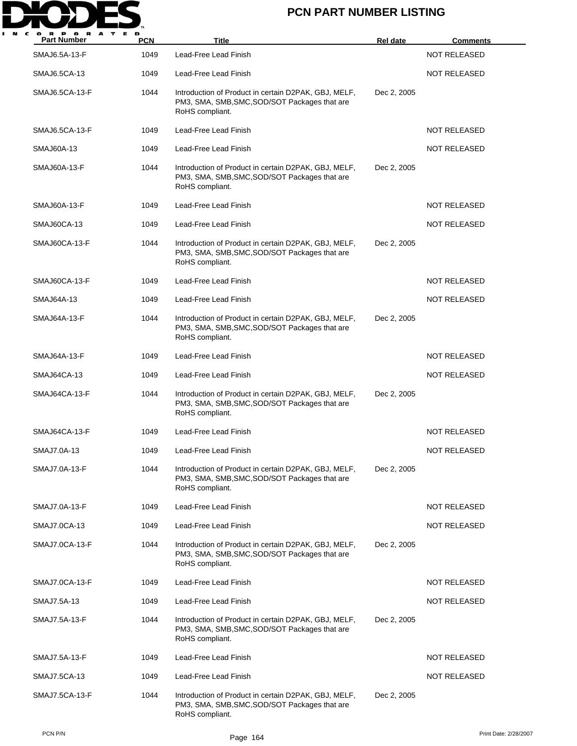

| <b>Part Number</b> | <b>PCN</b> | Title                                                                                                                    | <b>Rel date</b> | <u>Comments</u>     |
|--------------------|------------|--------------------------------------------------------------------------------------------------------------------------|-----------------|---------------------|
| SMAJ6.5A-13-F      | 1049       | Lead-Free Lead Finish                                                                                                    |                 | <b>NOT RELEASED</b> |
| SMAJ6.5CA-13       | 1049       | Lead-Free Lead Finish                                                                                                    |                 | NOT RELEASED        |
| SMAJ6.5CA-13-F     | 1044       | Introduction of Product in certain D2PAK, GBJ, MELF,<br>PM3, SMA, SMB, SMC, SOD/SOT Packages that are<br>RoHS compliant. | Dec 2, 2005     |                     |
| SMAJ6.5CA-13-F     | 1049       | Lead-Free Lead Finish                                                                                                    |                 | <b>NOT RELEASED</b> |
| <b>SMAJ60A-13</b>  | 1049       | Lead-Free Lead Finish                                                                                                    |                 | <b>NOT RELEASED</b> |
| SMAJ60A-13-F       | 1044       | Introduction of Product in certain D2PAK, GBJ, MELF,<br>PM3, SMA, SMB, SMC, SOD/SOT Packages that are<br>RoHS compliant. | Dec 2, 2005     |                     |
| SMAJ60A-13-F       | 1049       | Lead-Free Lead Finish                                                                                                    |                 | <b>NOT RELEASED</b> |
| SMAJ60CA-13        | 1049       | Lead-Free Lead Finish                                                                                                    |                 | <b>NOT RELEASED</b> |
| SMAJ60CA-13-F      | 1044       | Introduction of Product in certain D2PAK, GBJ, MELF,<br>PM3, SMA, SMB, SMC, SOD/SOT Packages that are<br>RoHS compliant. | Dec 2, 2005     |                     |
| SMAJ60CA-13-F      | 1049       | Lead-Free Lead Finish                                                                                                    |                 | <b>NOT RELEASED</b> |
| SMAJ64A-13         | 1049       | Lead-Free Lead Finish                                                                                                    |                 | <b>NOT RELEASED</b> |
| SMAJ64A-13-F       | 1044       | Introduction of Product in certain D2PAK, GBJ, MELF,<br>PM3, SMA, SMB, SMC, SOD/SOT Packages that are<br>RoHS compliant. | Dec 2, 2005     |                     |
| SMAJ64A-13-F       | 1049       | Lead-Free Lead Finish                                                                                                    |                 | NOT RELEASED        |
| SMAJ64CA-13        | 1049       | Lead-Free Lead Finish                                                                                                    |                 | <b>NOT RELEASED</b> |
| SMAJ64CA-13-F      | 1044       | Introduction of Product in certain D2PAK, GBJ, MELF,<br>PM3, SMA, SMB, SMC, SOD/SOT Packages that are<br>RoHS compliant. | Dec 2, 2005     |                     |
| SMAJ64CA-13-F      | 1049       | Lead-Free Lead Finish                                                                                                    |                 | <b>NOT RELEASED</b> |
| SMAJ7.0A-13        | 1049       | Lead-Free Lead Finish                                                                                                    |                 | <b>NOT RELEASED</b> |
| SMAJ7.0A-13-F      | 1044       | Introduction of Product in certain D2PAK, GBJ, MELF,<br>PM3, SMA, SMB, SMC, SOD/SOT Packages that are<br>RoHS compliant. | Dec 2, 2005     |                     |
| SMAJ7.0A-13-F      | 1049       | Lead-Free Lead Finish                                                                                                    |                 | NOT RELEASED        |
| SMAJ7.0CA-13       | 1049       | Lead-Free Lead Finish                                                                                                    |                 | <b>NOT RELEASED</b> |
| SMAJ7.0CA-13-F     | 1044       | Introduction of Product in certain D2PAK, GBJ, MELF,<br>PM3, SMA, SMB, SMC, SOD/SOT Packages that are<br>RoHS compliant. | Dec 2, 2005     |                     |
| SMAJ7.0CA-13-F     | 1049       | Lead-Free Lead Finish                                                                                                    |                 | NOT RELEASED        |
| SMAJ7.5A-13        | 1049       | Lead-Free Lead Finish                                                                                                    |                 | NOT RELEASED        |
| SMAJ7.5A-13-F      | 1044       | Introduction of Product in certain D2PAK, GBJ, MELF,<br>PM3, SMA, SMB, SMC, SOD/SOT Packages that are<br>RoHS compliant. | Dec 2, 2005     |                     |
| SMAJ7.5A-13-F      | 1049       | Lead-Free Lead Finish                                                                                                    |                 | NOT RELEASED        |
| SMAJ7.5CA-13       | 1049       | Lead-Free Lead Finish                                                                                                    |                 | <b>NOT RELEASED</b> |
| SMAJ7.5CA-13-F     | 1044       | Introduction of Product in certain D2PAK, GBJ, MELF,<br>PM3, SMA, SMB, SMC, SOD/SOT Packages that are<br>RoHS compliant. | Dec 2, 2005     |                     |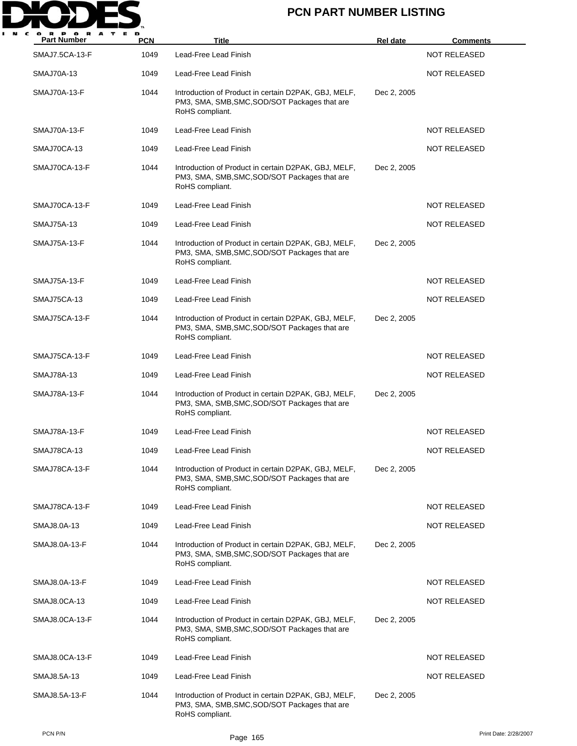

| <b>Part Number</b>  | <b>PCN</b> | <b>Title</b>                                                                                                             | <b>Rel date</b> | <u>Comments</u>     |
|---------------------|------------|--------------------------------------------------------------------------------------------------------------------------|-----------------|---------------------|
| SMAJ7.5CA-13-F      | 1049       | Lead-Free Lead Finish                                                                                                    |                 | <b>NOT RELEASED</b> |
| <b>SMAJ70A-13</b>   | 1049       | Lead-Free Lead Finish                                                                                                    |                 | <b>NOT RELEASED</b> |
| <b>SMAJ70A-13-F</b> | 1044       | Introduction of Product in certain D2PAK, GBJ, MELF,<br>PM3, SMA, SMB, SMC, SOD/SOT Packages that are<br>RoHS compliant. | Dec 2, 2005     |                     |
| <b>SMAJ70A-13-F</b> | 1049       | Lead-Free Lead Finish                                                                                                    |                 | <b>NOT RELEASED</b> |
| SMAJ70CA-13         | 1049       | Lead-Free Lead Finish                                                                                                    |                 | <b>NOT RELEASED</b> |
| SMAJ70CA-13-F       | 1044       | Introduction of Product in certain D2PAK, GBJ, MELF,<br>PM3, SMA, SMB, SMC, SOD/SOT Packages that are<br>RoHS compliant. | Dec 2, 2005     |                     |
| SMAJ70CA-13-F       | 1049       | Lead-Free Lead Finish                                                                                                    |                 | <b>NOT RELEASED</b> |
| SMAJ75A-13          | 1049       | Lead-Free Lead Finish                                                                                                    |                 | <b>NOT RELEASED</b> |
| <b>SMAJ75A-13-F</b> | 1044       | Introduction of Product in certain D2PAK, GBJ, MELF,<br>PM3, SMA, SMB, SMC, SOD/SOT Packages that are<br>RoHS compliant. | Dec 2, 2005     |                     |
| SMAJ75A-13-F        | 1049       | Lead-Free Lead Finish                                                                                                    |                 | NOT RELEASED        |
| SMAJ75CA-13         | 1049       | Lead-Free Lead Finish                                                                                                    |                 | <b>NOT RELEASED</b> |
| SMAJ75CA-13-F       | 1044       | Introduction of Product in certain D2PAK, GBJ, MELF,<br>PM3, SMA, SMB, SMC, SOD/SOT Packages that are<br>RoHS compliant. | Dec 2, 2005     |                     |
| SMAJ75CA-13-F       | 1049       | Lead-Free Lead Finish                                                                                                    |                 | <b>NOT RELEASED</b> |
| <b>SMAJ78A-13</b>   | 1049       | Lead-Free Lead Finish                                                                                                    |                 | <b>NOT RELEASED</b> |
| SMAJ78A-13-F        | 1044       | Introduction of Product in certain D2PAK, GBJ, MELF,<br>PM3, SMA, SMB, SMC, SOD/SOT Packages that are<br>RoHS compliant. | Dec 2, 2005     |                     |
| <b>SMAJ78A-13-F</b> | 1049       | Lead-Free Lead Finish                                                                                                    |                 | <b>NOT RELEASED</b> |
| SMAJ78CA-13         | 1049       | Lead-Free Lead Finish                                                                                                    |                 | NOT RELEASED        |
| SMAJ78CA-13-F       | 1044       | Introduction of Product in certain D2PAK, GBJ, MELF,<br>PM3, SMA, SMB, SMC, SOD/SOT Packages that are<br>RoHS compliant. | Dec 2, 2005     |                     |
| SMAJ78CA-13-F       | 1049       | Lead-Free Lead Finish                                                                                                    |                 | <b>NOT RELEASED</b> |
| SMAJ8.0A-13         | 1049       | Lead-Free Lead Finish                                                                                                    |                 | <b>NOT RELEASED</b> |
| SMAJ8.0A-13-F       | 1044       | Introduction of Product in certain D2PAK, GBJ, MELF,<br>PM3, SMA, SMB, SMC, SOD/SOT Packages that are<br>RoHS compliant. | Dec 2, 2005     |                     |
| SMAJ8.0A-13-F       | 1049       | Lead-Free Lead Finish                                                                                                    |                 | NOT RELEASED        |
| SMAJ8.0CA-13        | 1049       | Lead-Free Lead Finish                                                                                                    |                 | NOT RELEASED        |
| SMAJ8.0CA-13-F      | 1044       | Introduction of Product in certain D2PAK, GBJ, MELF,<br>PM3, SMA, SMB, SMC, SOD/SOT Packages that are<br>RoHS compliant. | Dec 2, 2005     |                     |
| SMAJ8.0CA-13-F      | 1049       | Lead-Free Lead Finish                                                                                                    |                 | NOT RELEASED        |
| SMAJ8.5A-13         | 1049       | Lead-Free Lead Finish                                                                                                    |                 | <b>NOT RELEASED</b> |
| SMAJ8.5A-13-F       | 1044       | Introduction of Product in certain D2PAK, GBJ, MELF,<br>PM3, SMA, SMB, SMC, SOD/SOT Packages that are<br>RoHS compliant. | Dec 2, 2005     |                     |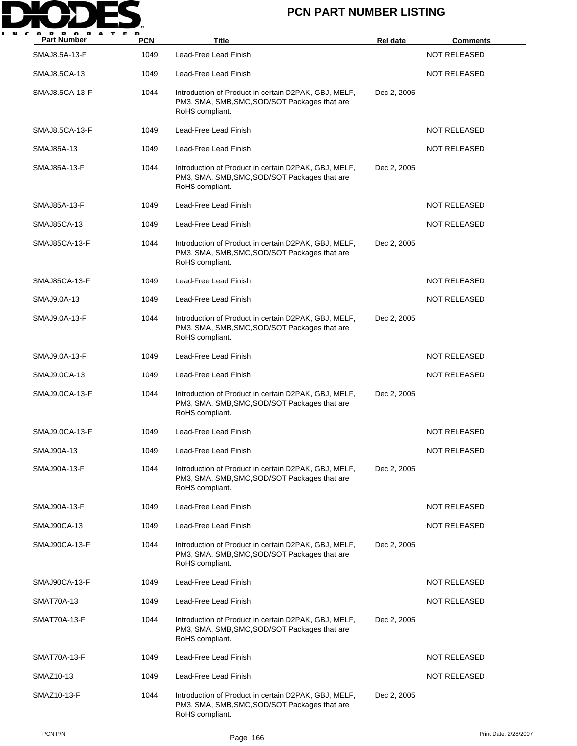

| <b>Part Number</b>   | <b>PCN</b> | <b>Title</b>                                                                                                             | <b>Rel date</b> | <u>Comments</u>     |
|----------------------|------------|--------------------------------------------------------------------------------------------------------------------------|-----------------|---------------------|
| SMAJ8.5A-13-F        | 1049       | Lead-Free Lead Finish                                                                                                    |                 | <b>NOT RELEASED</b> |
| SMAJ8.5CA-13         | 1049       | Lead-Free Lead Finish                                                                                                    |                 | <b>NOT RELEASED</b> |
| SMAJ8.5CA-13-F       | 1044       | Introduction of Product in certain D2PAK, GBJ, MELF,<br>PM3, SMA, SMB, SMC, SOD/SOT Packages that are<br>RoHS compliant. | Dec 2, 2005     |                     |
| SMAJ8.5CA-13-F       | 1049       | Lead-Free Lead Finish                                                                                                    |                 | <b>NOT RELEASED</b> |
| <b>SMAJ85A-13</b>    | 1049       | Lead-Free Lead Finish                                                                                                    |                 | <b>NOT RELEASED</b> |
| SMAJ85A-13-F         | 1044       | Introduction of Product in certain D2PAK, GBJ, MELF,<br>PM3, SMA, SMB, SMC, SOD/SOT Packages that are<br>RoHS compliant. | Dec 2, 2005     |                     |
| SMAJ85A-13-F         | 1049       | Lead-Free Lead Finish                                                                                                    |                 | <b>NOT RELEASED</b> |
| SMAJ85CA-13          | 1049       | Lead-Free Lead Finish                                                                                                    |                 | <b>NOT RELEASED</b> |
| <b>SMAJ85CA-13-F</b> | 1044       | Introduction of Product in certain D2PAK, GBJ, MELF,<br>PM3, SMA, SMB, SMC, SOD/SOT Packages that are<br>RoHS compliant. | Dec 2, 2005     |                     |
| SMAJ85CA-13-F        | 1049       | Lead-Free Lead Finish                                                                                                    |                 | NOT RELEASED        |
| SMAJ9.0A-13          | 1049       | Lead-Free Lead Finish                                                                                                    |                 | <b>NOT RELEASED</b> |
| SMAJ9.0A-13-F        | 1044       | Introduction of Product in certain D2PAK, GBJ, MELF,<br>PM3, SMA, SMB, SMC, SOD/SOT Packages that are<br>RoHS compliant. | Dec 2, 2005     |                     |
| SMAJ9.0A-13-F        | 1049       | Lead-Free Lead Finish                                                                                                    |                 | <b>NOT RELEASED</b> |
| SMAJ9.0CA-13         | 1049       | Lead-Free Lead Finish                                                                                                    |                 | <b>NOT RELEASED</b> |
| SMAJ9.0CA-13-F       | 1044       | Introduction of Product in certain D2PAK, GBJ, MELF,<br>PM3, SMA, SMB, SMC, SOD/SOT Packages that are<br>RoHS compliant. | Dec 2, 2005     |                     |
| SMAJ9.0CA-13-F       | 1049       | Lead-Free Lead Finish                                                                                                    |                 | <b>NOT RELEASED</b> |
| SMAJ90A-13           | 1049       | Lead-Free Lead Finish                                                                                                    |                 | NOT RELEASED        |
| SMAJ90A-13-F         | 1044       | Introduction of Product in certain D2PAK, GBJ, MELF,<br>PM3, SMA, SMB, SMC, SOD/SOT Packages that are<br>RoHS compliant. | Dec 2, 2005     |                     |
| SMAJ90A-13-F         | 1049       | Lead-Free Lead Finish                                                                                                    |                 | <b>NOT RELEASED</b> |
| SMAJ90CA-13          | 1049       | Lead-Free Lead Finish                                                                                                    |                 | <b>NOT RELEASED</b> |
| SMAJ90CA-13-F        | 1044       | Introduction of Product in certain D2PAK, GBJ, MELF,<br>PM3, SMA, SMB, SMC, SOD/SOT Packages that are<br>RoHS compliant. | Dec 2, 2005     |                     |
| SMAJ90CA-13-F        | 1049       | Lead-Free Lead Finish                                                                                                    |                 | NOT RELEASED        |
| SMAT70A-13           | 1049       | Lead-Free Lead Finish                                                                                                    |                 | NOT RELEASED        |
| SMAT70A-13-F         | 1044       | Introduction of Product in certain D2PAK, GBJ, MELF,<br>PM3, SMA, SMB, SMC, SOD/SOT Packages that are<br>RoHS compliant. | Dec 2, 2005     |                     |
| SMAT70A-13-F         | 1049       | Lead-Free Lead Finish                                                                                                    |                 | NOT RELEASED        |
| SMAZ10-13            | 1049       | Lead-Free Lead Finish                                                                                                    |                 | <b>NOT RELEASED</b> |
| SMAZ10-13-F          | 1044       | Introduction of Product in certain D2PAK, GBJ, MELF,<br>PM3, SMA, SMB, SMC, SOD/SOT Packages that are<br>RoHS compliant. | Dec 2, 2005     |                     |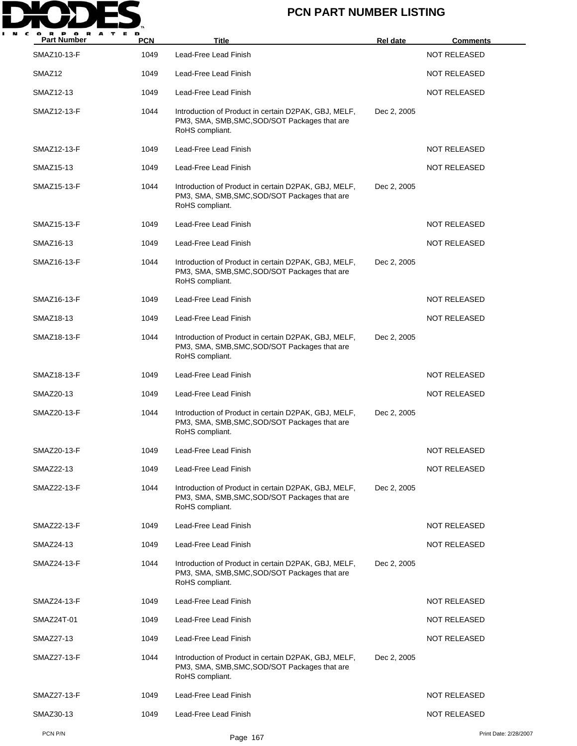

| R P O R<br>A<br><b>Part Number</b> | <b>PCN</b> | <b>Title</b>                                                                                                             | Rel date    | <b>Comments</b>     |                       |
|------------------------------------|------------|--------------------------------------------------------------------------------------------------------------------------|-------------|---------------------|-----------------------|
| SMAZ10-13-F                        | 1049       | Lead-Free Lead Finish                                                                                                    |             | <b>NOT RELEASED</b> |                       |
| SMAZ <sub>12</sub>                 | 1049       | Lead-Free Lead Finish                                                                                                    |             | <b>NOT RELEASED</b> |                       |
| SMAZ12-13                          | 1049       | Lead-Free Lead Finish                                                                                                    |             | <b>NOT RELEASED</b> |                       |
| SMAZ12-13-F                        | 1044       | Introduction of Product in certain D2PAK, GBJ, MELF,<br>PM3, SMA, SMB, SMC, SOD/SOT Packages that are<br>RoHS compliant. | Dec 2, 2005 |                     |                       |
| SMAZ12-13-F                        | 1049       | Lead-Free Lead Finish                                                                                                    |             | <b>NOT RELEASED</b> |                       |
| SMAZ15-13                          | 1049       | Lead-Free Lead Finish                                                                                                    |             | <b>NOT RELEASED</b> |                       |
| SMAZ15-13-F                        | 1044       | Introduction of Product in certain D2PAK, GBJ, MELF,<br>PM3, SMA, SMB, SMC, SOD/SOT Packages that are<br>RoHS compliant. | Dec 2, 2005 |                     |                       |
| SMAZ15-13-F                        | 1049       | Lead-Free Lead Finish                                                                                                    |             | <b>NOT RELEASED</b> |                       |
| SMAZ16-13                          | 1049       | Lead-Free Lead Finish                                                                                                    |             | <b>NOT RELEASED</b> |                       |
| SMAZ16-13-F                        | 1044       | Introduction of Product in certain D2PAK, GBJ, MELF,<br>PM3, SMA, SMB, SMC, SOD/SOT Packages that are<br>RoHS compliant. | Dec 2, 2005 |                     |                       |
| SMAZ16-13-F                        | 1049       | Lead-Free Lead Finish                                                                                                    |             | <b>NOT RELEASED</b> |                       |
| SMAZ18-13                          | 1049       | Lead-Free Lead Finish                                                                                                    |             | <b>NOT RELEASED</b> |                       |
| SMAZ18-13-F                        | 1044       | Introduction of Product in certain D2PAK, GBJ, MELF,<br>PM3, SMA, SMB, SMC, SOD/SOT Packages that are<br>RoHS compliant. | Dec 2, 2005 |                     |                       |
| SMAZ18-13-F                        | 1049       | Lead-Free Lead Finish                                                                                                    |             | <b>NOT RELEASED</b> |                       |
| SMAZ20-13                          | 1049       | Lead-Free Lead Finish                                                                                                    |             | <b>NOT RELEASED</b> |                       |
| SMAZ20-13-F                        | 1044       | Introduction of Product in certain D2PAK, GBJ, MELF,<br>PM3, SMA, SMB, SMC, SOD/SOT Packages that are<br>RoHS compliant. | Dec 2, 2005 |                     |                       |
| SMAZ20-13-F                        | 1049       | Lead-Free Lead Finish                                                                                                    |             | <b>NOT RELEASED</b> |                       |
| SMAZ22-13                          | 1049       | Lead-Free Lead Finish                                                                                                    |             | NOT RELEASED        |                       |
| SMAZ22-13-F                        | 1044       | Introduction of Product in certain D2PAK, GBJ, MELF,<br>PM3, SMA, SMB, SMC, SOD/SOT Packages that are<br>RoHS compliant. | Dec 2, 2005 |                     |                       |
| SMAZ22-13-F                        | 1049       | Lead-Free Lead Finish                                                                                                    |             | <b>NOT RELEASED</b> |                       |
| SMAZ24-13                          | 1049       | Lead-Free Lead Finish                                                                                                    |             | <b>NOT RELEASED</b> |                       |
| SMAZ24-13-F                        | 1044       | Introduction of Product in certain D2PAK, GBJ, MELF,<br>PM3, SMA, SMB, SMC, SOD/SOT Packages that are<br>RoHS compliant. | Dec 2, 2005 |                     |                       |
| SMAZ24-13-F                        | 1049       | Lead-Free Lead Finish                                                                                                    |             | <b>NOT RELEASED</b> |                       |
| SMAZ24T-01                         | 1049       | Lead-Free Lead Finish                                                                                                    |             | <b>NOT RELEASED</b> |                       |
| SMAZ27-13                          | 1049       | Lead-Free Lead Finish                                                                                                    |             | <b>NOT RELEASED</b> |                       |
| SMAZ27-13-F                        | 1044       | Introduction of Product in certain D2PAK, GBJ, MELF,<br>PM3, SMA, SMB, SMC, SOD/SOT Packages that are<br>RoHS compliant. | Dec 2, 2005 |                     |                       |
| SMAZ27-13-F                        | 1049       | Lead-Free Lead Finish                                                                                                    |             | <b>NOT RELEASED</b> |                       |
| SMAZ30-13                          | 1049       | Lead-Free Lead Finish                                                                                                    |             | <b>NOT RELEASED</b> |                       |
| PCN P/N                            |            | Page 167                                                                                                                 |             |                     | Print Date: 2/28/2007 |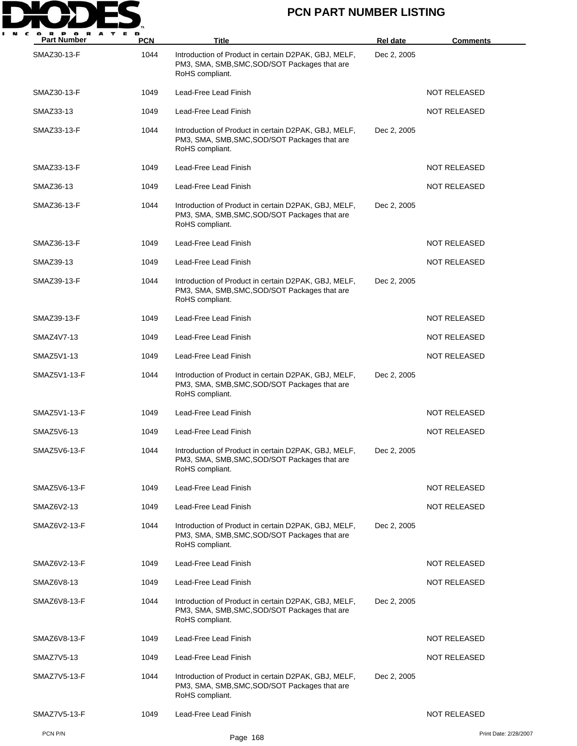

| <b>Part Number</b> | <b>PCN</b> | Title                                                                                                                    | Rel date    | <b>Comments</b>       |
|--------------------|------------|--------------------------------------------------------------------------------------------------------------------------|-------------|-----------------------|
| SMAZ30-13-F        | 1044       | Introduction of Product in certain D2PAK, GBJ, MELF,<br>PM3, SMA, SMB, SMC, SOD/SOT Packages that are<br>RoHS compliant. | Dec 2, 2005 |                       |
| SMAZ30-13-F        | 1049       | Lead-Free Lead Finish                                                                                                    |             | <b>NOT RELEASED</b>   |
| SMAZ33-13          | 1049       | Lead-Free Lead Finish                                                                                                    |             | <b>NOT RELEASED</b>   |
| SMAZ33-13-F        | 1044       | Introduction of Product in certain D2PAK, GBJ, MELF,<br>PM3, SMA, SMB, SMC, SOD/SOT Packages that are<br>RoHS compliant. | Dec 2, 2005 |                       |
| SMAZ33-13-F        | 1049       | Lead-Free Lead Finish                                                                                                    |             | <b>NOT RELEASED</b>   |
| SMAZ36-13          | 1049       | Lead-Free Lead Finish                                                                                                    |             | NOT RELEASED          |
| SMAZ36-13-F        | 1044       | Introduction of Product in certain D2PAK, GBJ, MELF,<br>PM3, SMA, SMB, SMC, SOD/SOT Packages that are<br>RoHS compliant. | Dec 2, 2005 |                       |
| SMAZ36-13-F        | 1049       | Lead-Free Lead Finish                                                                                                    |             | <b>NOT RELEASED</b>   |
| SMAZ39-13          | 1049       | Lead-Free Lead Finish                                                                                                    |             | <b>NOT RELEASED</b>   |
| SMAZ39-13-F        | 1044       | Introduction of Product in certain D2PAK, GBJ, MELF,<br>PM3, SMA, SMB, SMC, SOD/SOT Packages that are<br>RoHS compliant. | Dec 2, 2005 |                       |
| SMAZ39-13-F        | 1049       | Lead-Free Lead Finish                                                                                                    |             | <b>NOT RELEASED</b>   |
| SMAZ4V7-13         | 1049       | Lead-Free Lead Finish                                                                                                    |             | <b>NOT RELEASED</b>   |
| SMAZ5V1-13         | 1049       | Lead-Free Lead Finish                                                                                                    |             | <b>NOT RELEASED</b>   |
| SMAZ5V1-13-F       | 1044       | Introduction of Product in certain D2PAK, GBJ, MELF,<br>PM3, SMA, SMB, SMC, SOD/SOT Packages that are<br>RoHS compliant. | Dec 2, 2005 |                       |
| SMAZ5V1-13-F       | 1049       | Lead-Free Lead Finish                                                                                                    |             | <b>NOT RELEASED</b>   |
| SMAZ5V6-13         | 1049       | Lead-Free Lead Finish                                                                                                    |             | <b>NOT RELEASED</b>   |
| SMAZ5V6-13-F       | 1044       | Introduction of Product in certain D2PAK, GBJ, MELF,<br>PM3, SMA, SMB, SMC, SOD/SOT Packages that are<br>RoHS compliant. | Dec 2, 2005 |                       |
| SMAZ5V6-13-F       | 1049       | Lead-Free Lead Finish                                                                                                    |             | <b>NOT RELEASED</b>   |
| SMAZ6V2-13         | 1049       | Lead-Free Lead Finish                                                                                                    |             | <b>NOT RELEASED</b>   |
| SMAZ6V2-13-F       | 1044       | Introduction of Product in certain D2PAK, GBJ, MELF,<br>PM3, SMA, SMB, SMC, SOD/SOT Packages that are<br>RoHS compliant. | Dec 2, 2005 |                       |
| SMAZ6V2-13-F       | 1049       | Lead-Free Lead Finish                                                                                                    |             | <b>NOT RELEASED</b>   |
| SMAZ6V8-13         | 1049       | Lead-Free Lead Finish                                                                                                    |             | <b>NOT RELEASED</b>   |
| SMAZ6V8-13-F       | 1044       | Introduction of Product in certain D2PAK, GBJ, MELF,<br>PM3, SMA, SMB, SMC, SOD/SOT Packages that are<br>RoHS compliant. | Dec 2, 2005 |                       |
| SMAZ6V8-13-F       | 1049       | Lead-Free Lead Finish                                                                                                    |             | <b>NOT RELEASED</b>   |
| SMAZ7V5-13         | 1049       | Lead-Free Lead Finish                                                                                                    |             | NOT RELEASED          |
| SMAZ7V5-13-F       | 1044       | Introduction of Product in certain D2PAK, GBJ, MELF,<br>PM3, SMA, SMB, SMC, SOD/SOT Packages that are<br>RoHS compliant. | Dec 2, 2005 |                       |
| SMAZ7V5-13-F       | 1049       | Lead-Free Lead Finish                                                                                                    |             | <b>NOT RELEASED</b>   |
| PCN P/N            |            | Page 168                                                                                                                 |             | Print Date: 2/28/2007 |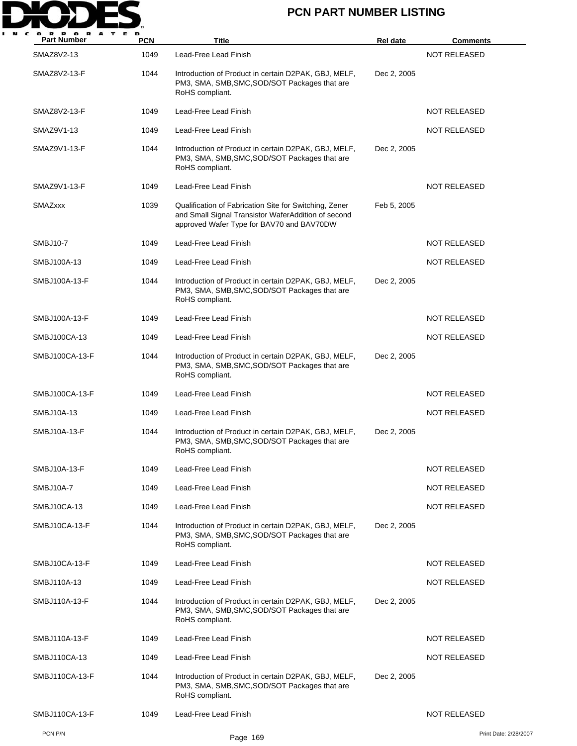

| <b>Part Number</b> | <b>PCN</b> | Title                                                                                                                                                      | Rel date    | <b>Comments</b>       |
|--------------------|------------|------------------------------------------------------------------------------------------------------------------------------------------------------------|-------------|-----------------------|
| SMAZ8V2-13         | 1049       | Lead-Free Lead Finish                                                                                                                                      |             | <b>NOT RELEASED</b>   |
| SMAZ8V2-13-F       | 1044       | Introduction of Product in certain D2PAK, GBJ, MELF,<br>PM3, SMA, SMB, SMC, SOD/SOT Packages that are<br>RoHS compliant.                                   | Dec 2, 2005 |                       |
| SMAZ8V2-13-F       | 1049       | Lead-Free Lead Finish                                                                                                                                      |             | <b>NOT RELEASED</b>   |
| SMAZ9V1-13         | 1049       | Lead-Free Lead Finish                                                                                                                                      |             | NOT RELEASED          |
| SMAZ9V1-13-F       | 1044       | Introduction of Product in certain D2PAK, GBJ, MELF,<br>PM3, SMA, SMB, SMC, SOD/SOT Packages that are<br>RoHS compliant.                                   | Dec 2, 2005 |                       |
| SMAZ9V1-13-F       | 1049       | Lead-Free Lead Finish                                                                                                                                      |             | NOT RELEASED          |
| <b>SMAZxxx</b>     | 1039       | Qualification of Fabrication Site for Switching, Zener<br>and Small Signal Transistor WaferAddition of second<br>approved Wafer Type for BAV70 and BAV70DW | Feb 5, 2005 |                       |
| SMBJ10-7           | 1049       | Lead-Free Lead Finish                                                                                                                                      |             | <b>NOT RELEASED</b>   |
| SMBJ100A-13        | 1049       | Lead-Free Lead Finish                                                                                                                                      |             | <b>NOT RELEASED</b>   |
| SMBJ100A-13-F      | 1044       | Introduction of Product in certain D2PAK, GBJ, MELF,<br>PM3, SMA, SMB, SMC, SOD/SOT Packages that are<br>RoHS compliant.                                   | Dec 2, 2005 |                       |
| SMBJ100A-13-F      | 1049       | Lead-Free Lead Finish                                                                                                                                      |             | <b>NOT RELEASED</b>   |
| SMBJ100CA-13       | 1049       | Lead-Free Lead Finish                                                                                                                                      |             | <b>NOT RELEASED</b>   |
| SMBJ100CA-13-F     | 1044       | Introduction of Product in certain D2PAK, GBJ, MELF,<br>PM3, SMA, SMB, SMC, SOD/SOT Packages that are<br>RoHS compliant.                                   | Dec 2, 2005 |                       |
| SMBJ100CA-13-F     | 1049       | Lead-Free Lead Finish                                                                                                                                      |             | <b>NOT RELEASED</b>   |
| SMBJ10A-13         | 1049       | Lead-Free Lead Finish                                                                                                                                      |             | <b>NOT RELEASED</b>   |
| SMBJ10A-13-F       | 1044       | Introduction of Product in certain D2PAK, GBJ, MELF,<br>PM3, SMA, SMB, SMC, SOD/SOT Packages that are<br>RoHS compliant.                                   | Dec 2, 2005 |                       |
| SMBJ10A-13-F       | 1049       | Lead-Free Lead Finish                                                                                                                                      |             | <b>NOT RELEASED</b>   |
| SMBJ10A-7          | 1049       | Lead-Free Lead Finish                                                                                                                                      |             | <b>NOT RELEASED</b>   |
| SMBJ10CA-13        | 1049       | Lead-Free Lead Finish                                                                                                                                      |             | <b>NOT RELEASED</b>   |
| SMBJ10CA-13-F      | 1044       | Introduction of Product in certain D2PAK, GBJ, MELF,<br>PM3, SMA, SMB, SMC, SOD/SOT Packages that are<br>RoHS compliant.                                   | Dec 2, 2005 |                       |
| SMBJ10CA-13-F      | 1049       | Lead-Free Lead Finish                                                                                                                                      |             | <b>NOT RELEASED</b>   |
| SMBJ110A-13        | 1049       | Lead-Free Lead Finish                                                                                                                                      |             | NOT RELEASED          |
| SMBJ110A-13-F      | 1044       | Introduction of Product in certain D2PAK, GBJ, MELF,<br>PM3, SMA, SMB, SMC, SOD/SOT Packages that are<br>RoHS compliant.                                   | Dec 2, 2005 |                       |
| SMBJ110A-13-F      | 1049       | Lead-Free Lead Finish                                                                                                                                      |             | <b>NOT RELEASED</b>   |
| SMBJ110CA-13       | 1049       | Lead-Free Lead Finish                                                                                                                                      |             | NOT RELEASED          |
| SMBJ110CA-13-F     | 1044       | Introduction of Product in certain D2PAK, GBJ, MELF,<br>PM3, SMA, SMB, SMC, SOD/SOT Packages that are<br>RoHS compliant.                                   | Dec 2, 2005 |                       |
| SMBJ110CA-13-F     | 1049       | Lead-Free Lead Finish                                                                                                                                      |             | <b>NOT RELEASED</b>   |
| PCN P/N            |            | Page 169                                                                                                                                                   |             | Print Date: 2/28/2007 |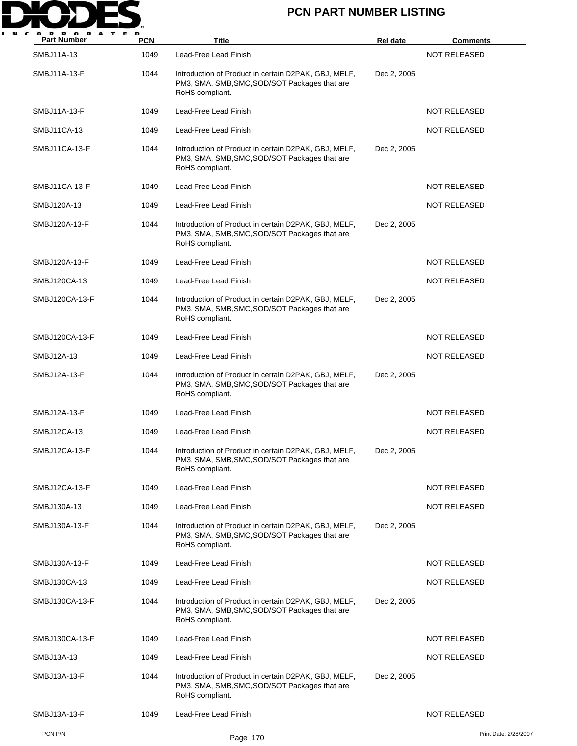

| <b>Part Number</b> | <b>PCN</b> | Title                                                                                                                    | <b>Rel date</b> | <b>Comments</b>       |
|--------------------|------------|--------------------------------------------------------------------------------------------------------------------------|-----------------|-----------------------|
| SMBJ11A-13         | 1049       | Lead-Free Lead Finish                                                                                                    |                 | <b>NOT RELEASED</b>   |
| SMBJ11A-13-F       | 1044       | Introduction of Product in certain D2PAK, GBJ, MELF,<br>PM3, SMA, SMB, SMC, SOD/SOT Packages that are<br>RoHS compliant. | Dec 2, 2005     |                       |
| SMBJ11A-13-F       | 1049       | Lead-Free Lead Finish                                                                                                    |                 | <b>NOT RELEASED</b>   |
| SMBJ11CA-13        | 1049       | Lead-Free Lead Finish                                                                                                    |                 | <b>NOT RELEASED</b>   |
| SMBJ11CA-13-F      | 1044       | Introduction of Product in certain D2PAK, GBJ, MELF,<br>PM3, SMA, SMB, SMC, SOD/SOT Packages that are<br>RoHS compliant. | Dec 2, 2005     |                       |
| SMBJ11CA-13-F      | 1049       | Lead-Free Lead Finish                                                                                                    |                 | <b>NOT RELEASED</b>   |
| SMBJ120A-13        | 1049       | Lead-Free Lead Finish                                                                                                    |                 | NOT RELEASED          |
| SMBJ120A-13-F      | 1044       | Introduction of Product in certain D2PAK, GBJ, MELF,<br>PM3, SMA, SMB, SMC, SOD/SOT Packages that are<br>RoHS compliant. | Dec 2, 2005     |                       |
| SMBJ120A-13-F      | 1049       | Lead-Free Lead Finish                                                                                                    |                 | NOT RELEASED          |
| SMBJ120CA-13       | 1049       | Lead-Free Lead Finish                                                                                                    |                 | <b>NOT RELEASED</b>   |
| SMBJ120CA-13-F     | 1044       | Introduction of Product in certain D2PAK, GBJ, MELF,<br>PM3, SMA, SMB, SMC, SOD/SOT Packages that are<br>RoHS compliant. | Dec 2, 2005     |                       |
| SMBJ120CA-13-F     | 1049       | Lead-Free Lead Finish                                                                                                    |                 | <b>NOT RELEASED</b>   |
| SMBJ12A-13         | 1049       | Lead-Free Lead Finish                                                                                                    |                 | <b>NOT RELEASED</b>   |
| SMBJ12A-13-F       | 1044       | Introduction of Product in certain D2PAK, GBJ, MELF,<br>PM3, SMA, SMB, SMC, SOD/SOT Packages that are<br>RoHS compliant. | Dec 2, 2005     |                       |
| SMBJ12A-13-F       | 1049       | Lead-Free Lead Finish                                                                                                    |                 | <b>NOT RELEASED</b>   |
| SMBJ12CA-13        | 1049       | Lead-Free Lead Finish                                                                                                    |                 | NOT RELEASED          |
| SMBJ12CA-13-F      | 1044       | Introduction of Product in certain D2PAK, GBJ, MELF,<br>PM3, SMA, SMB, SMC, SOD/SOT Packages that are<br>RoHS compliant. | Dec 2, 2005     |                       |
| SMBJ12CA-13-F      | 1049       | Lead-Free Lead Finish                                                                                                    |                 | <b>NOT RELEASED</b>   |
| SMBJ130A-13        | 1049       | Lead-Free Lead Finish                                                                                                    |                 | <b>NOT RELEASED</b>   |
| SMBJ130A-13-F      | 1044       | Introduction of Product in certain D2PAK, GBJ, MELF,<br>PM3, SMA, SMB, SMC, SOD/SOT Packages that are<br>RoHS compliant. | Dec 2, 2005     |                       |
| SMBJ130A-13-F      | 1049       | Lead-Free Lead Finish                                                                                                    |                 | <b>NOT RELEASED</b>   |
| SMBJ130CA-13       | 1049       | Lead-Free Lead Finish                                                                                                    |                 | <b>NOT RELEASED</b>   |
| SMBJ130CA-13-F     | 1044       | Introduction of Product in certain D2PAK, GBJ, MELF,<br>PM3, SMA, SMB, SMC, SOD/SOT Packages that are<br>RoHS compliant. | Dec 2, 2005     |                       |
| SMBJ130CA-13-F     | 1049       | Lead-Free Lead Finish                                                                                                    |                 | <b>NOT RELEASED</b>   |
| SMBJ13A-13         | 1049       | Lead-Free Lead Finish                                                                                                    |                 | NOT RELEASED          |
| SMBJ13A-13-F       | 1044       | Introduction of Product in certain D2PAK, GBJ, MELF,<br>PM3, SMA, SMB, SMC, SOD/SOT Packages that are<br>RoHS compliant. | Dec 2, 2005     |                       |
| SMBJ13A-13-F       | 1049       | Lead-Free Lead Finish                                                                                                    |                 | NOT RELEASED          |
| PCN P/N            |            | Page 170                                                                                                                 |                 | Print Date: 2/28/2007 |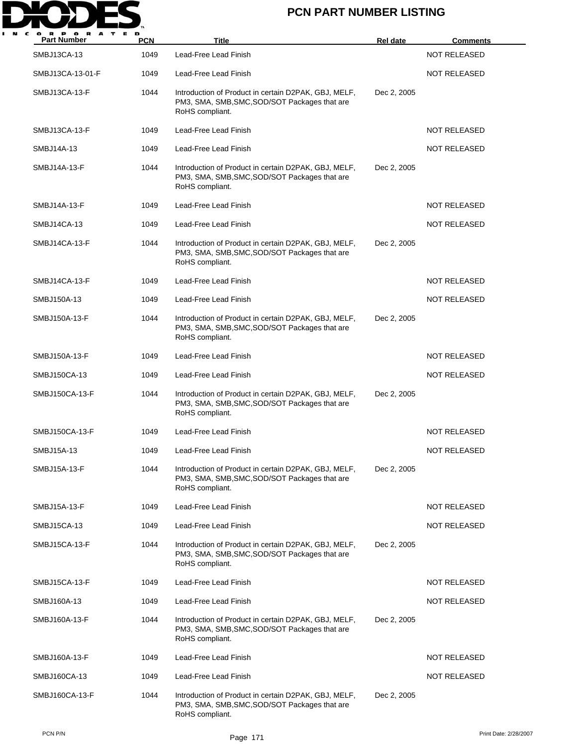

| <b>Part Number</b> | <b>PCN</b> | <b>Title</b>                                                                                                             | <b>Rel date</b> | <u>Comments</u>     |
|--------------------|------------|--------------------------------------------------------------------------------------------------------------------------|-----------------|---------------------|
| SMBJ13CA-13        | 1049       | Lead-Free Lead Finish                                                                                                    |                 | <b>NOT RELEASED</b> |
| SMBJ13CA-13-01-F   | 1049       | Lead-Free Lead Finish                                                                                                    |                 | <b>NOT RELEASED</b> |
| SMBJ13CA-13-F      | 1044       | Introduction of Product in certain D2PAK, GBJ, MELF,<br>PM3, SMA, SMB, SMC, SOD/SOT Packages that are<br>RoHS compliant. | Dec 2, 2005     |                     |
| SMBJ13CA-13-F      | 1049       | Lead-Free Lead Finish                                                                                                    |                 | <b>NOT RELEASED</b> |
| SMBJ14A-13         | 1049       | Lead-Free Lead Finish                                                                                                    |                 | <b>NOT RELEASED</b> |
| SMBJ14A-13-F       | 1044       | Introduction of Product in certain D2PAK, GBJ, MELF,<br>PM3, SMA, SMB, SMC, SOD/SOT Packages that are<br>RoHS compliant. | Dec 2, 2005     |                     |
| SMBJ14A-13-F       | 1049       | Lead-Free Lead Finish                                                                                                    |                 | NOT RELEASED        |
| SMBJ14CA-13        | 1049       | Lead-Free Lead Finish                                                                                                    |                 | <b>NOT RELEASED</b> |
| SMBJ14CA-13-F      | 1044       | Introduction of Product in certain D2PAK, GBJ, MELF,<br>PM3, SMA, SMB, SMC, SOD/SOT Packages that are<br>RoHS compliant. | Dec 2, 2005     |                     |
| SMBJ14CA-13-F      | 1049       | Lead-Free Lead Finish                                                                                                    |                 | NOT RELEASED        |
| SMBJ150A-13        | 1049       | Lead-Free Lead Finish                                                                                                    |                 | <b>NOT RELEASED</b> |
| SMBJ150A-13-F      | 1044       | Introduction of Product in certain D2PAK, GBJ, MELF,<br>PM3, SMA, SMB, SMC, SOD/SOT Packages that are<br>RoHS compliant. | Dec 2, 2005     |                     |
| SMBJ150A-13-F      | 1049       | Lead-Free Lead Finish                                                                                                    |                 | <b>NOT RELEASED</b> |
| SMBJ150CA-13       | 1049       | Lead-Free Lead Finish                                                                                                    |                 | <b>NOT RELEASED</b> |
| SMBJ150CA-13-F     | 1044       | Introduction of Product in certain D2PAK, GBJ, MELF,<br>PM3, SMA, SMB, SMC, SOD/SOT Packages that are<br>RoHS compliant. | Dec 2, 2005     |                     |
| SMBJ150CA-13-F     | 1049       | Lead-Free Lead Finish                                                                                                    |                 | <b>NOT RELEASED</b> |
| SMBJ15A-13         | 1049       | Lead-Free Lead Finish                                                                                                    |                 | NOT RELEASED        |
| SMBJ15A-13-F       | 1044       | Introduction of Product in certain D2PAK, GBJ, MELF,<br>PM3, SMA, SMB, SMC, SOD/SOT Packages that are<br>RoHS compliant. | Dec 2, 2005     |                     |
| SMBJ15A-13-F       | 1049       | Lead-Free Lead Finish                                                                                                    |                 | <b>NOT RELEASED</b> |
| SMBJ15CA-13        | 1049       | Lead-Free Lead Finish                                                                                                    |                 | <b>NOT RELEASED</b> |
| SMBJ15CA-13-F      | 1044       | Introduction of Product in certain D2PAK, GBJ, MELF,<br>PM3, SMA, SMB, SMC, SOD/SOT Packages that are<br>RoHS compliant. | Dec 2, 2005     |                     |
| SMBJ15CA-13-F      | 1049       | Lead-Free Lead Finish                                                                                                    |                 | NOT RELEASED        |
| SMBJ160A-13        | 1049       | Lead-Free Lead Finish                                                                                                    |                 | NOT RELEASED        |
| SMBJ160A-13-F      | 1044       | Introduction of Product in certain D2PAK, GBJ, MELF,<br>PM3, SMA, SMB, SMC, SOD/SOT Packages that are<br>RoHS compliant. | Dec 2, 2005     |                     |
| SMBJ160A-13-F      | 1049       | Lead-Free Lead Finish                                                                                                    |                 | NOT RELEASED        |
| SMBJ160CA-13       | 1049       | Lead-Free Lead Finish                                                                                                    |                 | <b>NOT RELEASED</b> |
| SMBJ160CA-13-F     | 1044       | Introduction of Product in certain D2PAK, GBJ, MELF,<br>PM3, SMA, SMB, SMC, SOD/SOT Packages that are<br>RoHS compliant. | Dec 2, 2005     |                     |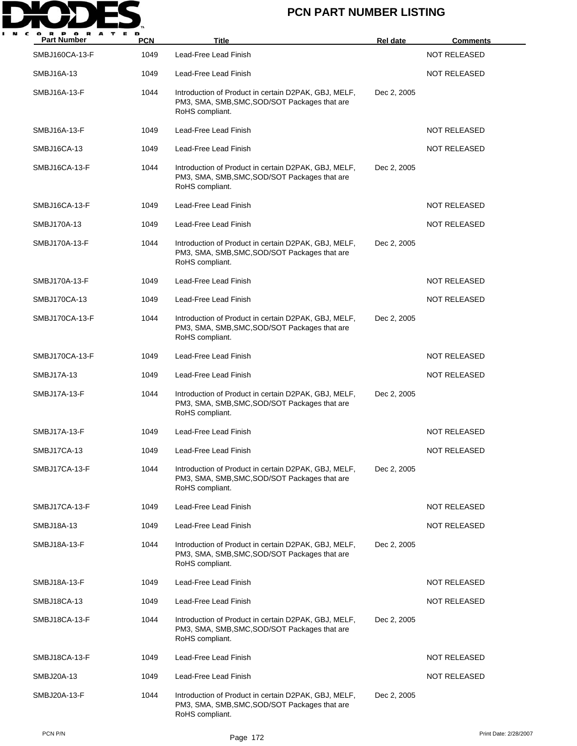

| <b>Part Number</b> | <b>PCN</b> | <b>Title</b>                                                                                                             | <b>Rel date</b> | <b>Comments</b>     |
|--------------------|------------|--------------------------------------------------------------------------------------------------------------------------|-----------------|---------------------|
| SMBJ160CA-13-F     | 1049       | Lead-Free Lead Finish                                                                                                    |                 | <b>NOT RELEASED</b> |
| SMBJ16A-13         | 1049       | Lead-Free Lead Finish                                                                                                    |                 | <b>NOT RELEASED</b> |
| SMBJ16A-13-F       | 1044       | Introduction of Product in certain D2PAK, GBJ, MELF,<br>PM3, SMA, SMB, SMC, SOD/SOT Packages that are<br>RoHS compliant. | Dec 2, 2005     |                     |
| SMBJ16A-13-F       | 1049       | Lead-Free Lead Finish                                                                                                    |                 | <b>NOT RELEASED</b> |
| SMBJ16CA-13        | 1049       | Lead-Free Lead Finish                                                                                                    |                 | <b>NOT RELEASED</b> |
| SMBJ16CA-13-F      | 1044       | Introduction of Product in certain D2PAK, GBJ, MELF,<br>PM3, SMA, SMB, SMC, SOD/SOT Packages that are<br>RoHS compliant. | Dec 2, 2005     |                     |
| SMBJ16CA-13-F      | 1049       | Lead-Free Lead Finish                                                                                                    |                 | <b>NOT RELEASED</b> |
| SMBJ170A-13        | 1049       | Lead-Free Lead Finish                                                                                                    |                 | <b>NOT RELEASED</b> |
| SMBJ170A-13-F      | 1044       | Introduction of Product in certain D2PAK, GBJ, MELF,<br>PM3, SMA, SMB, SMC, SOD/SOT Packages that are<br>RoHS compliant. | Dec 2, 2005     |                     |
| SMBJ170A-13-F      | 1049       | Lead-Free Lead Finish                                                                                                    |                 | <b>NOT RELEASED</b> |
| SMBJ170CA-13       | 1049       | Lead-Free Lead Finish                                                                                                    |                 | <b>NOT RELEASED</b> |
| SMBJ170CA-13-F     | 1044       | Introduction of Product in certain D2PAK, GBJ, MELF,<br>PM3, SMA, SMB, SMC, SOD/SOT Packages that are<br>RoHS compliant. | Dec 2, 2005     |                     |
| SMBJ170CA-13-F     | 1049       | Lead-Free Lead Finish                                                                                                    |                 | NOT RELEASED        |
| SMBJ17A-13         | 1049       | Lead-Free Lead Finish                                                                                                    |                 | <b>NOT RELEASED</b> |
| SMBJ17A-13-F       | 1044       | Introduction of Product in certain D2PAK, GBJ, MELF,<br>PM3, SMA, SMB, SMC, SOD/SOT Packages that are<br>RoHS compliant. | Dec 2, 2005     |                     |
| SMBJ17A-13-F       | 1049       | Lead-Free Lead Finish                                                                                                    |                 | <b>NOT RELEASED</b> |
| SMBJ17CA-13        | 1049       | Lead-Free Lead Finish                                                                                                    |                 | <b>NOT RELEASED</b> |
| SMBJ17CA-13-F      | 1044       | Introduction of Product in certain D2PAK, GBJ, MELF,<br>PM3, SMA, SMB, SMC, SOD/SOT Packages that are<br>RoHS compliant. | Dec 2, 2005     |                     |
| SMBJ17CA-13-F      | 1049       | Lead-Free Lead Finish                                                                                                    |                 | <b>NOT RELEASED</b> |
| SMBJ18A-13         | 1049       | Lead-Free Lead Finish                                                                                                    |                 | <b>NOT RELEASED</b> |
| SMBJ18A-13-F       | 1044       | Introduction of Product in certain D2PAK, GBJ, MELF,<br>PM3, SMA, SMB, SMC, SOD/SOT Packages that are<br>RoHS compliant. | Dec 2, 2005     |                     |
| SMBJ18A-13-F       | 1049       | Lead-Free Lead Finish                                                                                                    |                 | NOT RELEASED        |
| SMBJ18CA-13        | 1049       | Lead-Free Lead Finish                                                                                                    |                 | <b>NOT RELEASED</b> |
| SMBJ18CA-13-F      | 1044       | Introduction of Product in certain D2PAK, GBJ, MELF,<br>PM3, SMA, SMB, SMC, SOD/SOT Packages that are<br>RoHS compliant. | Dec 2, 2005     |                     |
| SMBJ18CA-13-F      | 1049       | Lead-Free Lead Finish                                                                                                    |                 | <b>NOT RELEASED</b> |
| SMBJ20A-13         | 1049       | Lead-Free Lead Finish                                                                                                    |                 | <b>NOT RELEASED</b> |
| SMBJ20A-13-F       | 1044       | Introduction of Product in certain D2PAK, GBJ, MELF,<br>PM3, SMA, SMB, SMC, SOD/SOT Packages that are<br>RoHS compliant. | Dec 2, 2005     |                     |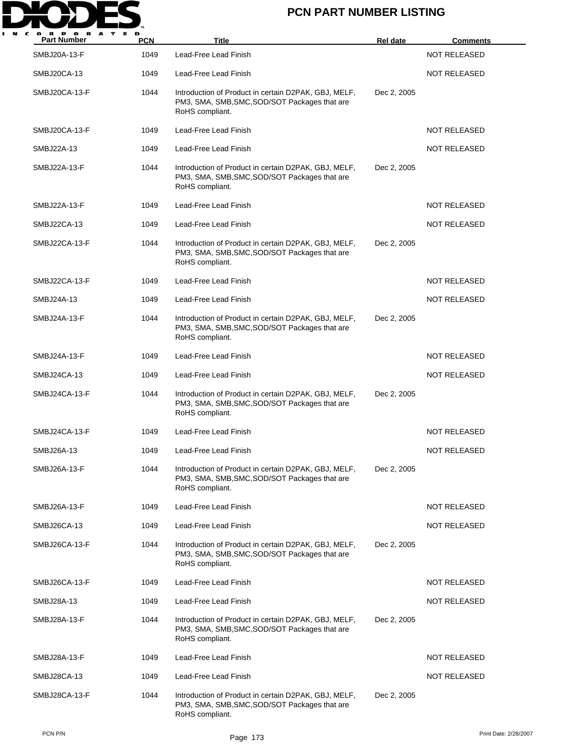

| <b>Part Number</b> | <b>PCN</b> | <b>Title</b>                                                                                                             | <b>Rel date</b> | <b>Comments</b>     |
|--------------------|------------|--------------------------------------------------------------------------------------------------------------------------|-----------------|---------------------|
| SMBJ20A-13-F       | 1049       | Lead-Free Lead Finish                                                                                                    |                 | <b>NOT RELEASED</b> |
| SMBJ20CA-13        | 1049       | Lead-Free Lead Finish                                                                                                    |                 | <b>NOT RELEASED</b> |
| SMBJ20CA-13-F      | 1044       | Introduction of Product in certain D2PAK, GBJ, MELF,<br>PM3, SMA, SMB, SMC, SOD/SOT Packages that are<br>RoHS compliant. | Dec 2, 2005     |                     |
| SMBJ20CA-13-F      | 1049       | Lead-Free Lead Finish                                                                                                    |                 | <b>NOT RELEASED</b> |
| SMBJ22A-13         | 1049       | Lead-Free Lead Finish                                                                                                    |                 | NOT RELEASED        |
| SMBJ22A-13-F       | 1044       | Introduction of Product in certain D2PAK, GBJ, MELF,<br>PM3, SMA, SMB, SMC, SOD/SOT Packages that are<br>RoHS compliant. | Dec 2, 2005     |                     |
| SMBJ22A-13-F       | 1049       | Lead-Free Lead Finish                                                                                                    |                 | NOT RELEASED        |
| SMBJ22CA-13        | 1049       | Lead-Free Lead Finish                                                                                                    |                 | <b>NOT RELEASED</b> |
| SMBJ22CA-13-F      | 1044       | Introduction of Product in certain D2PAK, GBJ, MELF,<br>PM3, SMA, SMB, SMC, SOD/SOT Packages that are<br>RoHS compliant. | Dec 2, 2005     |                     |
| SMBJ22CA-13-F      | 1049       | Lead-Free Lead Finish                                                                                                    |                 | <b>NOT RELEASED</b> |
| SMBJ24A-13         | 1049       | Lead-Free Lead Finish                                                                                                    |                 | <b>NOT RELEASED</b> |
| SMBJ24A-13-F       | 1044       | Introduction of Product in certain D2PAK, GBJ, MELF,<br>PM3, SMA, SMB, SMC, SOD/SOT Packages that are<br>RoHS compliant. | Dec 2, 2005     |                     |
| SMBJ24A-13-F       | 1049       | Lead-Free Lead Finish                                                                                                    |                 | <b>NOT RELEASED</b> |
| SMBJ24CA-13        | 1049       | Lead-Free Lead Finish                                                                                                    |                 | <b>NOT RELEASED</b> |
| SMBJ24CA-13-F      | 1044       | Introduction of Product in certain D2PAK, GBJ, MELF,<br>PM3, SMA, SMB, SMC, SOD/SOT Packages that are<br>RoHS compliant. | Dec 2, 2005     |                     |
| SMBJ24CA-13-F      | 1049       | Lead-Free Lead Finish                                                                                                    |                 | <b>NOT RELEASED</b> |
| SMBJ26A-13         | 1049       | Lead-Free Lead Finish                                                                                                    |                 | NOT RELEASED        |
| SMBJ26A-13-F       | 1044       | Introduction of Product in certain D2PAK, GBJ, MELF,<br>PM3, SMA, SMB, SMC, SOD/SOT Packages that are<br>RoHS compliant. | Dec 2, 2005     |                     |
| SMBJ26A-13-F       | 1049       | Lead-Free Lead Finish                                                                                                    |                 | <b>NOT RELEASED</b> |
| SMBJ26CA-13        | 1049       | Lead-Free Lead Finish                                                                                                    |                 | <b>NOT RELEASED</b> |
| SMBJ26CA-13-F      | 1044       | Introduction of Product in certain D2PAK, GBJ, MELF,<br>PM3, SMA, SMB, SMC, SOD/SOT Packages that are<br>RoHS compliant. | Dec 2, 2005     |                     |
| SMBJ26CA-13-F      | 1049       | Lead-Free Lead Finish                                                                                                    |                 | NOT RELEASED        |
| SMBJ28A-13         | 1049       | Lead-Free Lead Finish                                                                                                    |                 | NOT RELEASED        |
| SMBJ28A-13-F       | 1044       | Introduction of Product in certain D2PAK, GBJ, MELF,<br>PM3, SMA, SMB, SMC, SOD/SOT Packages that are<br>RoHS compliant. | Dec 2, 2005     |                     |
| SMBJ28A-13-F       | 1049       | Lead-Free Lead Finish                                                                                                    |                 | NOT RELEASED        |
| SMBJ28CA-13        | 1049       | Lead-Free Lead Finish                                                                                                    |                 | <b>NOT RELEASED</b> |
| SMBJ28CA-13-F      | 1044       | Introduction of Product in certain D2PAK, GBJ, MELF,<br>PM3, SMA, SMB, SMC, SOD/SOT Packages that are<br>RoHS compliant. | Dec 2, 2005     |                     |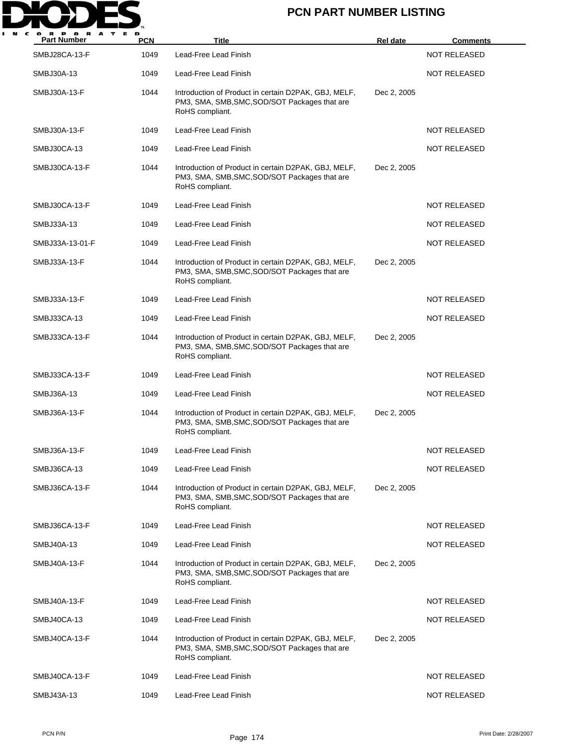

| <b>Part Number</b> | <b>PCN</b> | <b>Title</b>                                                                                                             | <b>Rel date</b> | <b>Comments</b>     |
|--------------------|------------|--------------------------------------------------------------------------------------------------------------------------|-----------------|---------------------|
| SMBJ28CA-13-F      | 1049       | Lead-Free Lead Finish                                                                                                    |                 | <b>NOT RELEASED</b> |
| SMBJ30A-13         | 1049       | Lead-Free Lead Finish                                                                                                    |                 | <b>NOT RELEASED</b> |
| SMBJ30A-13-F       | 1044       | Introduction of Product in certain D2PAK, GBJ, MELF,<br>PM3, SMA, SMB, SMC, SOD/SOT Packages that are<br>RoHS compliant. | Dec 2, 2005     |                     |
| SMBJ30A-13-F       | 1049       | Lead-Free Lead Finish                                                                                                    |                 | NOT RELEASED        |
| SMBJ30CA-13        | 1049       | Lead-Free Lead Finish                                                                                                    |                 | <b>NOT RELEASED</b> |
| SMBJ30CA-13-F      | 1044       | Introduction of Product in certain D2PAK, GBJ, MELF,<br>PM3, SMA, SMB, SMC, SOD/SOT Packages that are<br>RoHS compliant. | Dec 2, 2005     |                     |
| SMBJ30CA-13-F      | 1049       | Lead-Free Lead Finish                                                                                                    |                 | <b>NOT RELEASED</b> |
| SMBJ33A-13         | 1049       | Lead-Free Lead Finish                                                                                                    |                 | <b>NOT RELEASED</b> |
| SMBJ33A-13-01-F    | 1049       | Lead-Free Lead Finish                                                                                                    |                 | NOT RELEASED        |
| SMBJ33A-13-F       | 1044       | Introduction of Product in certain D2PAK, GBJ, MELF,<br>PM3, SMA, SMB, SMC, SOD/SOT Packages that are<br>RoHS compliant. | Dec 2, 2005     |                     |
| SMBJ33A-13-F       | 1049       | Lead-Free Lead Finish                                                                                                    |                 | <b>NOT RELEASED</b> |
| SMBJ33CA-13        | 1049       | Lead-Free Lead Finish                                                                                                    |                 | <b>NOT RELEASED</b> |
| SMBJ33CA-13-F      | 1044       | Introduction of Product in certain D2PAK, GBJ, MELF,<br>PM3, SMA, SMB, SMC, SOD/SOT Packages that are<br>RoHS compliant. | Dec 2, 2005     |                     |
| SMBJ33CA-13-F      | 1049       | Lead-Free Lead Finish                                                                                                    |                 | <b>NOT RELEASED</b> |
| SMBJ36A-13         | 1049       | Lead-Free Lead Finish                                                                                                    |                 | <b>NOT RELEASED</b> |
| SMBJ36A-13-F       | 1044       | Introduction of Product in certain D2PAK, GBJ, MELF,<br>PM3, SMA, SMB, SMC, SOD/SOT Packages that are<br>RoHS compliant. | Dec 2, 2005     |                     |
| SMBJ36A-13-F       | 1049       | Lead-Free Lead Finish                                                                                                    |                 | <b>NOT RELEASED</b> |
| SMBJ36CA-13        | 1049       | Lead-Free Lead Finish                                                                                                    |                 | <b>NOT RELEASED</b> |
| SMBJ36CA-13-F      | 1044       | Introduction of Product in certain D2PAK, GBJ, MELF,<br>PM3, SMA, SMB, SMC, SOD/SOT Packages that are<br>RoHS compliant. | Dec 2, 2005     |                     |
| SMBJ36CA-13-F      | 1049       | Lead-Free Lead Finish                                                                                                    |                 | NOT RELEASED        |
| SMBJ40A-13         | 1049       | Lead-Free Lead Finish                                                                                                    |                 | NOT RELEASED        |
| SMBJ40A-13-F       | 1044       | Introduction of Product in certain D2PAK, GBJ, MELF,<br>PM3, SMA, SMB, SMC, SOD/SOT Packages that are<br>RoHS compliant. | Dec 2, 2005     |                     |
| SMBJ40A-13-F       | 1049       | Lead-Free Lead Finish                                                                                                    |                 | NOT RELEASED        |
| SMBJ40CA-13        | 1049       | Lead-Free Lead Finish                                                                                                    |                 | <b>NOT RELEASED</b> |
| SMBJ40CA-13-F      | 1044       | Introduction of Product in certain D2PAK, GBJ, MELF,<br>PM3, SMA, SMB, SMC, SOD/SOT Packages that are<br>RoHS compliant. | Dec 2, 2005     |                     |
| SMBJ40CA-13-F      | 1049       | Lead-Free Lead Finish                                                                                                    |                 | <b>NOT RELEASED</b> |
| SMBJ43A-13         | 1049       | Lead-Free Lead Finish                                                                                                    |                 | <b>NOT RELEASED</b> |
|                    |            |                                                                                                                          |                 |                     |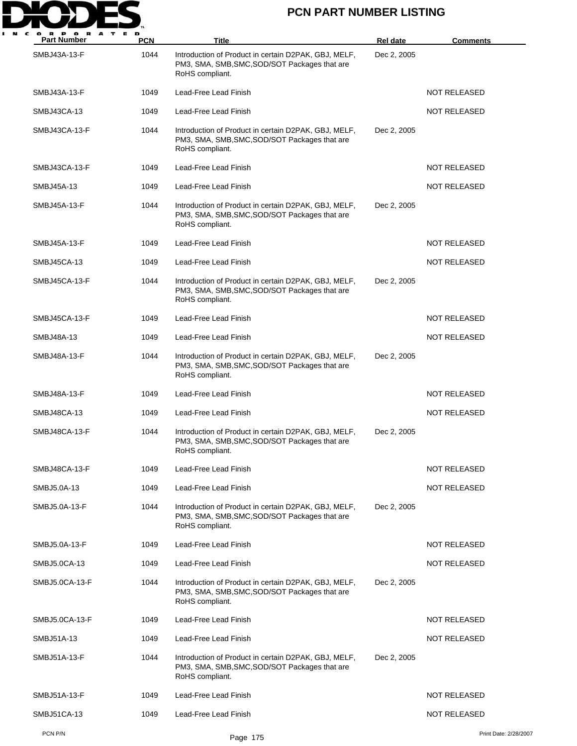

| <b>Part Number</b> | <b>PCN</b> | <b>Title</b>                                                                                                             | Rel date    | <b>Comments</b>       |
|--------------------|------------|--------------------------------------------------------------------------------------------------------------------------|-------------|-----------------------|
| SMBJ43A-13-F       | 1044       | Introduction of Product in certain D2PAK, GBJ, MELF,<br>PM3, SMA, SMB, SMC, SOD/SOT Packages that are<br>RoHS compliant. | Dec 2, 2005 |                       |
| SMBJ43A-13-F       | 1049       | Lead-Free Lead Finish                                                                                                    |             | <b>NOT RELEASED</b>   |
| SMBJ43CA-13        | 1049       | Lead-Free Lead Finish                                                                                                    |             | <b>NOT RELEASED</b>   |
| SMBJ43CA-13-F      | 1044       | Introduction of Product in certain D2PAK, GBJ, MELF,<br>PM3, SMA, SMB, SMC, SOD/SOT Packages that are<br>RoHS compliant. | Dec 2, 2005 |                       |
| SMBJ43CA-13-F      | 1049       | Lead-Free Lead Finish                                                                                                    |             | <b>NOT RELEASED</b>   |
| SMBJ45A-13         | 1049       | Lead-Free Lead Finish                                                                                                    |             | NOT RELEASED          |
| SMBJ45A-13-F       | 1044       | Introduction of Product in certain D2PAK, GBJ, MELF,<br>PM3, SMA, SMB, SMC, SOD/SOT Packages that are<br>RoHS compliant. | Dec 2, 2005 |                       |
| SMBJ45A-13-F       | 1049       | Lead-Free Lead Finish                                                                                                    |             | <b>NOT RELEASED</b>   |
| SMBJ45CA-13        | 1049       | Lead-Free Lead Finish                                                                                                    |             | <b>NOT RELEASED</b>   |
| SMBJ45CA-13-F      | 1044       | Introduction of Product in certain D2PAK, GBJ, MELF,<br>PM3, SMA, SMB, SMC, SOD/SOT Packages that are<br>RoHS compliant. | Dec 2, 2005 |                       |
| SMBJ45CA-13-F      | 1049       | Lead-Free Lead Finish                                                                                                    |             | <b>NOT RELEASED</b>   |
| SMBJ48A-13         | 1049       | Lead-Free Lead Finish                                                                                                    |             | <b>NOT RELEASED</b>   |
| SMBJ48A-13-F       | 1044       | Introduction of Product in certain D2PAK, GBJ, MELF,<br>PM3, SMA, SMB, SMC, SOD/SOT Packages that are<br>RoHS compliant. | Dec 2, 2005 |                       |
| SMBJ48A-13-F       | 1049       | Lead-Free Lead Finish                                                                                                    |             | <b>NOT RELEASED</b>   |
| SMBJ48CA-13        | 1049       | Lead-Free Lead Finish                                                                                                    |             | <b>NOT RELEASED</b>   |
| SMBJ48CA-13-F      | 1044       | Introduction of Product in certain D2PAK, GBJ, MELF,<br>PM3, SMA, SMB, SMC, SOD/SOT Packages that are<br>RoHS compliant. | Dec 2, 2005 |                       |
| SMBJ48CA-13-F      | 1049       | Lead-Free Lead Finish                                                                                                    |             | <b>NOT RELEASED</b>   |
| SMBJ5.0A-13        | 1049       | Lead-Free Lead Finish                                                                                                    |             | NOT RELEASED          |
| SMBJ5.0A-13-F      | 1044       | Introduction of Product in certain D2PAK, GBJ, MELF,<br>PM3, SMA, SMB, SMC, SOD/SOT Packages that are<br>RoHS compliant. | Dec 2, 2005 |                       |
| SMBJ5.0A-13-F      | 1049       | Lead-Free Lead Finish                                                                                                    |             | NOT RELEASED          |
| SMBJ5.0CA-13       | 1049       | Lead-Free Lead Finish                                                                                                    |             | <b>NOT RELEASED</b>   |
| SMBJ5.0CA-13-F     | 1044       | Introduction of Product in certain D2PAK, GBJ, MELF,<br>PM3, SMA, SMB, SMC, SOD/SOT Packages that are<br>RoHS compliant. | Dec 2, 2005 |                       |
| SMBJ5.0CA-13-F     | 1049       | Lead-Free Lead Finish                                                                                                    |             | <b>NOT RELEASED</b>   |
| SMBJ51A-13         | 1049       | Lead-Free Lead Finish                                                                                                    |             | <b>NOT RELEASED</b>   |
| SMBJ51A-13-F       | 1044       | Introduction of Product in certain D2PAK, GBJ, MELF,<br>PM3, SMA, SMB, SMC, SOD/SOT Packages that are<br>RoHS compliant. | Dec 2, 2005 |                       |
| SMBJ51A-13-F       | 1049       | Lead-Free Lead Finish                                                                                                    |             | <b>NOT RELEASED</b>   |
| SMBJ51CA-13        | 1049       | Lead-Free Lead Finish                                                                                                    |             | <b>NOT RELEASED</b>   |
| PCN P/N            |            | Page 175                                                                                                                 |             | Print Date: 2/28/2007 |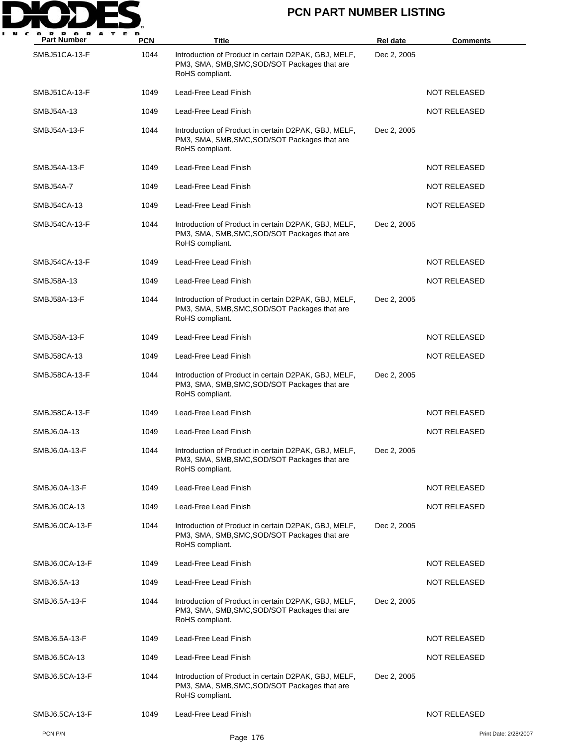

| <b>Part Number</b>   | PCN  | Title                                                                                                                    | Rel date    | <b>Comments</b>       |
|----------------------|------|--------------------------------------------------------------------------------------------------------------------------|-------------|-----------------------|
| SMBJ51CA-13-F        | 1044 | Introduction of Product in certain D2PAK, GBJ, MELF,<br>PM3, SMA, SMB, SMC, SOD/SOT Packages that are<br>RoHS compliant. | Dec 2, 2005 |                       |
| SMBJ51CA-13-F        | 1049 | Lead-Free Lead Finish                                                                                                    |             | <b>NOT RELEASED</b>   |
| SMBJ54A-13           | 1049 | Lead-Free Lead Finish                                                                                                    |             | <b>NOT RELEASED</b>   |
| SMBJ54A-13-F         | 1044 | Introduction of Product in certain D2PAK, GBJ, MELF,<br>PM3, SMA, SMB, SMC, SOD/SOT Packages that are<br>RoHS compliant. | Dec 2, 2005 |                       |
| SMBJ54A-13-F         | 1049 | Lead-Free Lead Finish                                                                                                    |             | <b>NOT RELEASED</b>   |
| SMBJ54A-7            | 1049 | Lead-Free Lead Finish                                                                                                    |             | <b>NOT RELEASED</b>   |
| SMBJ54CA-13          | 1049 | Lead-Free Lead Finish                                                                                                    |             | <b>NOT RELEASED</b>   |
| SMBJ54CA-13-F        | 1044 | Introduction of Product in certain D2PAK, GBJ, MELF,<br>PM3, SMA, SMB, SMC, SOD/SOT Packages that are<br>RoHS compliant. | Dec 2, 2005 |                       |
| SMBJ54CA-13-F        | 1049 | Lead-Free Lead Finish                                                                                                    |             | <b>NOT RELEASED</b>   |
| SMBJ58A-13           | 1049 | Lead-Free Lead Finish                                                                                                    |             | <b>NOT RELEASED</b>   |
| SMBJ58A-13-F         | 1044 | Introduction of Product in certain D2PAK, GBJ, MELF,<br>PM3, SMA, SMB, SMC, SOD/SOT Packages that are<br>RoHS compliant. | Dec 2, 2005 |                       |
| SMBJ58A-13-F         | 1049 | Lead-Free Lead Finish                                                                                                    |             | <b>NOT RELEASED</b>   |
| SMBJ58CA-13          | 1049 | Lead-Free Lead Finish                                                                                                    |             | <b>NOT RELEASED</b>   |
| SMBJ58CA-13-F        | 1044 | Introduction of Product in certain D2PAK, GBJ, MELF,<br>PM3, SMA, SMB, SMC, SOD/SOT Packages that are<br>RoHS compliant. | Dec 2, 2005 |                       |
| <b>SMBJ58CA-13-F</b> | 1049 | Lead-Free Lead Finish                                                                                                    |             | NOT RELEASED          |
| SMBJ6.0A-13          | 1049 | Lead-Free Lead Finish                                                                                                    |             | <b>NOT RELEASED</b>   |
| SMBJ6.0A-13-F        | 1044 | Introduction of Product in certain D2PAK, GBJ, MELF,<br>PM3, SMA, SMB, SMC, SOD/SOT Packages that are<br>RoHS compliant. | Dec 2, 2005 |                       |
| SMBJ6.0A-13-F        | 1049 | Lead-Free Lead Finish                                                                                                    |             | NOT RELEASED          |
| SMBJ6.0CA-13         | 1049 | Lead-Free Lead Finish                                                                                                    |             | <b>NOT RELEASED</b>   |
| SMBJ6.0CA-13-F       | 1044 | Introduction of Product in certain D2PAK, GBJ, MELF,<br>PM3, SMA, SMB, SMC, SOD/SOT Packages that are<br>RoHS compliant. | Dec 2, 2005 |                       |
| SMBJ6.0CA-13-F       | 1049 | Lead-Free Lead Finish                                                                                                    |             | <b>NOT RELEASED</b>   |
| SMBJ6.5A-13          | 1049 | Lead-Free Lead Finish                                                                                                    |             | <b>NOT RELEASED</b>   |
| SMBJ6.5A-13-F        | 1044 | Introduction of Product in certain D2PAK, GBJ, MELF,<br>PM3, SMA, SMB, SMC, SOD/SOT Packages that are<br>RoHS compliant. | Dec 2, 2005 |                       |
| SMBJ6.5A-13-F        | 1049 | Lead-Free Lead Finish                                                                                                    |             | <b>NOT RELEASED</b>   |
| SMBJ6.5CA-13         | 1049 | Lead-Free Lead Finish                                                                                                    |             | NOT RELEASED          |
| SMBJ6.5CA-13-F       | 1044 | Introduction of Product in certain D2PAK, GBJ, MELF,<br>PM3, SMA, SMB, SMC, SOD/SOT Packages that are<br>RoHS compliant. | Dec 2, 2005 |                       |
| SMBJ6.5CA-13-F       | 1049 | Lead-Free Lead Finish                                                                                                    |             | NOT RELEASED          |
| PCN P/N              |      | Page 176                                                                                                                 |             | Print Date: 2/28/2007 |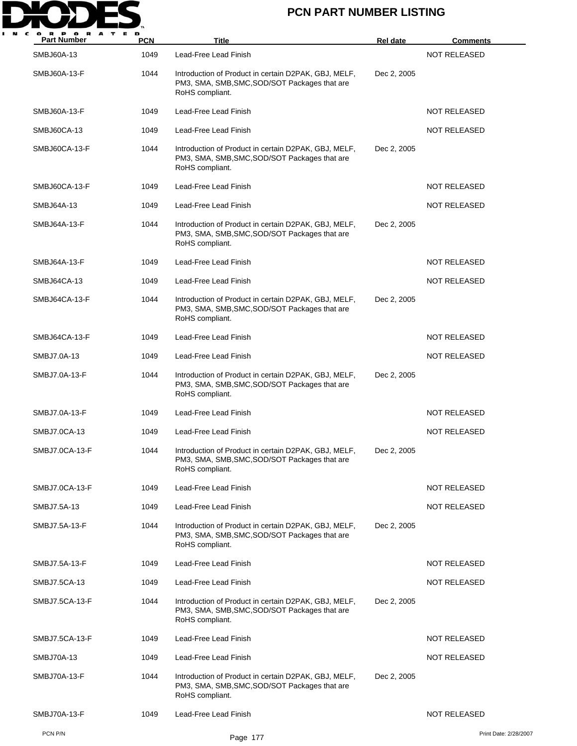

| <b>Part Number</b> | <b>PCN</b> | Title                                                                                                                    | Rel date    | <b>Comments</b>       |
|--------------------|------------|--------------------------------------------------------------------------------------------------------------------------|-------------|-----------------------|
| <b>SMBJ60A-13</b>  | 1049       | Lead-Free Lead Finish                                                                                                    |             | <b>NOT RELEASED</b>   |
| SMBJ60A-13-F       | 1044       | Introduction of Product in certain D2PAK, GBJ, MELF,<br>PM3, SMA, SMB, SMC, SOD/SOT Packages that are<br>RoHS compliant. | Dec 2, 2005 |                       |
| SMBJ60A-13-F       | 1049       | Lead-Free Lead Finish                                                                                                    |             | <b>NOT RELEASED</b>   |
| SMBJ60CA-13        | 1049       | Lead-Free Lead Finish                                                                                                    |             | NOT RELEASED          |
| SMBJ60CA-13-F      | 1044       | Introduction of Product in certain D2PAK, GBJ, MELF,<br>PM3, SMA, SMB, SMC, SOD/SOT Packages that are<br>RoHS compliant. | Dec 2, 2005 |                       |
| SMBJ60CA-13-F      | 1049       | Lead-Free Lead Finish                                                                                                    |             | <b>NOT RELEASED</b>   |
| SMBJ64A-13         | 1049       | Lead-Free Lead Finish                                                                                                    |             | <b>NOT RELEASED</b>   |
| SMBJ64A-13-F       | 1044       | Introduction of Product in certain D2PAK, GBJ, MELF,<br>PM3, SMA, SMB, SMC, SOD/SOT Packages that are<br>RoHS compliant. | Dec 2, 2005 |                       |
| SMBJ64A-13-F       | 1049       | Lead-Free Lead Finish                                                                                                    |             | <b>NOT RELEASED</b>   |
| SMBJ64CA-13        | 1049       | Lead-Free Lead Finish                                                                                                    |             | <b>NOT RELEASED</b>   |
| SMBJ64CA-13-F      | 1044       | Introduction of Product in certain D2PAK, GBJ, MELF,<br>PM3, SMA, SMB, SMC, SOD/SOT Packages that are<br>RoHS compliant. | Dec 2, 2005 |                       |
| SMBJ64CA-13-F      | 1049       | Lead-Free Lead Finish                                                                                                    |             | <b>NOT RELEASED</b>   |
| SMBJ7.0A-13        | 1049       | Lead-Free Lead Finish                                                                                                    |             | <b>NOT RELEASED</b>   |
| SMBJ7.0A-13-F      | 1044       | Introduction of Product in certain D2PAK, GBJ, MELF,<br>PM3, SMA, SMB, SMC, SOD/SOT Packages that are<br>RoHS compliant. | Dec 2, 2005 |                       |
| SMBJ7.0A-13-F      | 1049       | Lead-Free Lead Finish                                                                                                    |             | <b>NOT RELEASED</b>   |
| SMBJ7.0CA-13       | 1049       | Lead-Free Lead Finish                                                                                                    |             | <b>NOT RELEASED</b>   |
| SMBJ7.0CA-13-F     | 1044       | Introduction of Product in certain D2PAK, GBJ, MELF,<br>PM3, SMA, SMB, SMC, SOD/SOT Packages that are<br>RoHS compliant. | Dec 2, 2005 |                       |
| SMBJ7.0CA-13-F     | 1049       | Lead-Free Lead Finish                                                                                                    |             | <b>NOT RELEASED</b>   |
| SMBJ7.5A-13        | 1049       | Lead-Free Lead Finish                                                                                                    |             | <b>NOT RELEASED</b>   |
| SMBJ7.5A-13-F      | 1044       | Introduction of Product in certain D2PAK, GBJ, MELF,<br>PM3, SMA, SMB, SMC, SOD/SOT Packages that are<br>RoHS compliant. | Dec 2, 2005 |                       |
| SMBJ7.5A-13-F      | 1049       | Lead-Free Lead Finish                                                                                                    |             | <b>NOT RELEASED</b>   |
| SMBJ7.5CA-13       | 1049       | Lead-Free Lead Finish                                                                                                    |             | <b>NOT RELEASED</b>   |
| SMBJ7.5CA-13-F     | 1044       | Introduction of Product in certain D2PAK, GBJ, MELF,<br>PM3, SMA, SMB, SMC, SOD/SOT Packages that are<br>RoHS compliant. | Dec 2, 2005 |                       |
| SMBJ7.5CA-13-F     | 1049       | Lead-Free Lead Finish                                                                                                    |             | <b>NOT RELEASED</b>   |
| SMBJ70A-13         | 1049       | Lead-Free Lead Finish                                                                                                    |             | NOT RELEASED          |
| SMBJ70A-13-F       | 1044       | Introduction of Product in certain D2PAK, GBJ, MELF,<br>PM3, SMA, SMB, SMC, SOD/SOT Packages that are<br>RoHS compliant. | Dec 2, 2005 |                       |
| SMBJ70A-13-F       | 1049       | Lead-Free Lead Finish                                                                                                    |             | <b>NOT RELEASED</b>   |
| PCN P/N            |            | Page 177                                                                                                                 |             | Print Date: 2/28/2007 |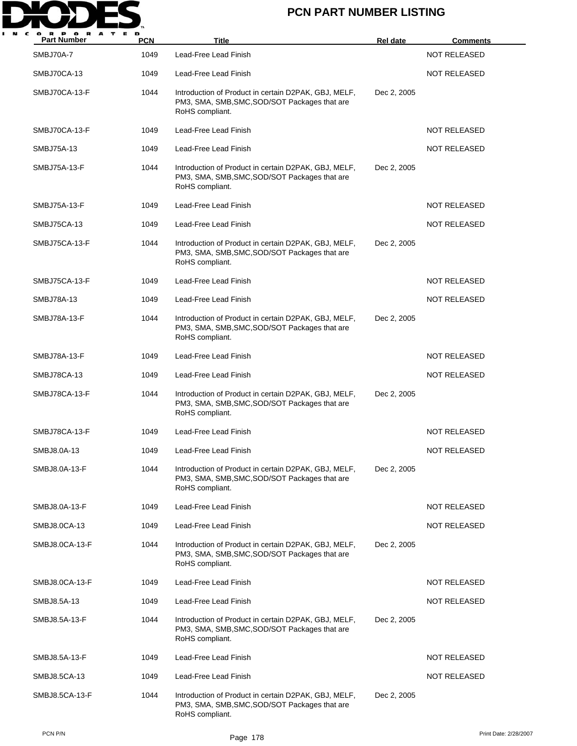

| <b>Part Number</b> | <b>PCN</b> | Title                                                                                                                    | <b>Rel date</b> | <b>Comments</b>     |
|--------------------|------------|--------------------------------------------------------------------------------------------------------------------------|-----------------|---------------------|
| SMBJ70A-7          | 1049       | Lead-Free Lead Finish                                                                                                    |                 | <b>NOT RELEASED</b> |
| SMBJ70CA-13        | 1049       | Lead-Free Lead Finish                                                                                                    |                 | <b>NOT RELEASED</b> |
| SMBJ70CA-13-F      | 1044       | Introduction of Product in certain D2PAK, GBJ, MELF,<br>PM3, SMA, SMB, SMC, SOD/SOT Packages that are<br>RoHS compliant. | Dec 2, 2005     |                     |
| SMBJ70CA-13-F      | 1049       | Lead-Free Lead Finish                                                                                                    |                 | <b>NOT RELEASED</b> |
| SMBJ75A-13         | 1049       | Lead-Free Lead Finish                                                                                                    |                 | <b>NOT RELEASED</b> |
| SMBJ75A-13-F       | 1044       | Introduction of Product in certain D2PAK, GBJ, MELF,<br>PM3, SMA, SMB, SMC, SOD/SOT Packages that are<br>RoHS compliant. | Dec 2, 2005     |                     |
| SMBJ75A-13-F       | 1049       | Lead-Free Lead Finish                                                                                                    |                 | <b>NOT RELEASED</b> |
| SMBJ75CA-13        | 1049       | Lead-Free Lead Finish                                                                                                    |                 | <b>NOT RELEASED</b> |
| SMBJ75CA-13-F      | 1044       | Introduction of Product in certain D2PAK, GBJ, MELF,<br>PM3, SMA, SMB, SMC, SOD/SOT Packages that are<br>RoHS compliant. | Dec 2, 2005     |                     |
| SMBJ75CA-13-F      | 1049       | Lead-Free Lead Finish                                                                                                    |                 | <b>NOT RELEASED</b> |
| SMBJ78A-13         | 1049       | Lead-Free Lead Finish                                                                                                    |                 | <b>NOT RELEASED</b> |
| SMBJ78A-13-F       | 1044       | Introduction of Product in certain D2PAK, GBJ, MELF,<br>PM3, SMA, SMB, SMC, SOD/SOT Packages that are<br>RoHS compliant. | Dec 2, 2005     |                     |
| SMBJ78A-13-F       | 1049       | Lead-Free Lead Finish                                                                                                    |                 | <b>NOT RELEASED</b> |
| SMBJ78CA-13        | 1049       | Lead-Free Lead Finish                                                                                                    |                 | <b>NOT RELEASED</b> |
| SMBJ78CA-13-F      | 1044       | Introduction of Product in certain D2PAK, GBJ, MELF,<br>PM3, SMA, SMB, SMC, SOD/SOT Packages that are<br>RoHS compliant. | Dec 2, 2005     |                     |
| SMBJ78CA-13-F      | 1049       | Lead-Free Lead Finish                                                                                                    |                 | <b>NOT RELEASED</b> |
| SMBJ8.0A-13        | 1049       | Lead-Free Lead Finish                                                                                                    |                 | <b>NOT RELEASED</b> |
| SMBJ8.0A-13-F      | 1044       | Introduction of Product in certain D2PAK, GBJ, MELF,<br>PM3, SMA, SMB, SMC, SOD/SOT Packages that are<br>RoHS compliant. | Dec 2, 2005     |                     |
| SMBJ8.0A-13-F      | 1049       | Lead-Free Lead Finish                                                                                                    |                 | <b>NOT RELEASED</b> |
| SMBJ8.0CA-13       | 1049       | Lead-Free Lead Finish                                                                                                    |                 | <b>NOT RELEASED</b> |
| SMBJ8.0CA-13-F     | 1044       | Introduction of Product in certain D2PAK, GBJ, MELF,<br>PM3, SMA, SMB, SMC, SOD/SOT Packages that are<br>RoHS compliant. | Dec 2, 2005     |                     |
| SMBJ8.0CA-13-F     | 1049       | Lead-Free Lead Finish                                                                                                    |                 | NOT RELEASED        |
| SMBJ8.5A-13        | 1049       | Lead-Free Lead Finish                                                                                                    |                 | <b>NOT RELEASED</b> |
| SMBJ8.5A-13-F      | 1044       | Introduction of Product in certain D2PAK, GBJ, MELF,<br>PM3, SMA, SMB, SMC, SOD/SOT Packages that are<br>RoHS compliant. | Dec 2, 2005     |                     |
| SMBJ8.5A-13-F      | 1049       | Lead-Free Lead Finish                                                                                                    |                 | <b>NOT RELEASED</b> |
| SMBJ8.5CA-13       | 1049       | Lead-Free Lead Finish                                                                                                    |                 | <b>NOT RELEASED</b> |
| SMBJ8.5CA-13-F     | 1044       | Introduction of Product in certain D2PAK, GBJ, MELF,<br>PM3, SMA, SMB, SMC, SOD/SOT Packages that are<br>RoHS compliant. | Dec 2, 2005     |                     |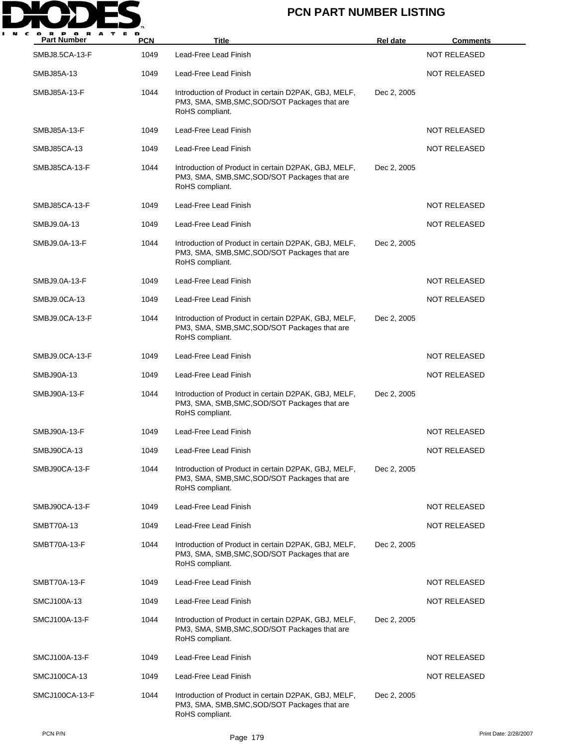

| <b>Part Number</b> | <b>PCN</b> | Title                                                                                                                    | <b>Rel date</b> | <u>Comments</u>     |
|--------------------|------------|--------------------------------------------------------------------------------------------------------------------------|-----------------|---------------------|
| SMBJ8.5CA-13-F     | 1049       | Lead-Free Lead Finish                                                                                                    |                 | <b>NOT RELEASED</b> |
| SMBJ85A-13         | 1049       | Lead-Free Lead Finish                                                                                                    |                 | NOT RELEASED        |
| SMBJ85A-13-F       | 1044       | Introduction of Product in certain D2PAK, GBJ, MELF,<br>PM3, SMA, SMB, SMC, SOD/SOT Packages that are<br>RoHS compliant. | Dec 2, 2005     |                     |
| SMBJ85A-13-F       | 1049       | Lead-Free Lead Finish                                                                                                    |                 | NOT RELEASED        |
| SMBJ85CA-13        | 1049       | Lead-Free Lead Finish                                                                                                    |                 | <b>NOT RELEASED</b> |
| SMBJ85CA-13-F      | 1044       | Introduction of Product in certain D2PAK, GBJ, MELF,<br>PM3, SMA, SMB, SMC, SOD/SOT Packages that are<br>RoHS compliant. | Dec 2, 2005     |                     |
| SMBJ85CA-13-F      | 1049       | Lead-Free Lead Finish                                                                                                    |                 | <b>NOT RELEASED</b> |
| SMBJ9.0A-13        | 1049       | Lead-Free Lead Finish                                                                                                    |                 | NOT RELEASED        |
| SMBJ9.0A-13-F      | 1044       | Introduction of Product in certain D2PAK, GBJ, MELF,<br>PM3, SMA, SMB, SMC, SOD/SOT Packages that are<br>RoHS compliant. | Dec 2, 2005     |                     |
| SMBJ9.0A-13-F      | 1049       | Lead-Free Lead Finish                                                                                                    |                 | NOT RELEASED        |
| SMBJ9.0CA-13       | 1049       | Lead-Free Lead Finish                                                                                                    |                 | <b>NOT RELEASED</b> |
| SMBJ9.0CA-13-F     | 1044       | Introduction of Product in certain D2PAK, GBJ, MELF,<br>PM3, SMA, SMB, SMC, SOD/SOT Packages that are<br>RoHS compliant. | Dec 2, 2005     |                     |
| SMBJ9.0CA-13-F     | 1049       | Lead-Free Lead Finish                                                                                                    |                 | NOT RELEASED        |
| SMBJ90A-13         | 1049       | Lead-Free Lead Finish                                                                                                    |                 | <b>NOT RELEASED</b> |
| SMBJ90A-13-F       | 1044       | Introduction of Product in certain D2PAK, GBJ, MELF,<br>PM3, SMA, SMB, SMC, SOD/SOT Packages that are<br>RoHS compliant. | Dec 2, 2005     |                     |
| SMBJ90A-13-F       | 1049       | Lead-Free Lead Finish                                                                                                    |                 | <b>NOT RELEASED</b> |
| SMBJ90CA-13        | 1049       | Lead-Free Lead Finish                                                                                                    |                 | NOT RELEASED        |
| SMBJ90CA-13-F      | 1044       | Introduction of Product in certain D2PAK, GBJ, MELF,<br>PM3, SMA, SMB, SMC, SOD/SOT Packages that are<br>RoHS compliant. | Dec 2, 2005     |                     |
| SMBJ90CA-13-F      | 1049       | Lead-Free Lead Finish                                                                                                    |                 | <b>NOT RELEASED</b> |
| <b>SMBT70A-13</b>  | 1049       | Lead-Free Lead Finish                                                                                                    |                 | NOT RELEASED        |
| SMBT70A-13-F       | 1044       | Introduction of Product in certain D2PAK, GBJ, MELF,<br>PM3, SMA, SMB, SMC, SOD/SOT Packages that are<br>RoHS compliant. | Dec 2, 2005     |                     |
| SMBT70A-13-F       | 1049       | Lead-Free Lead Finish                                                                                                    |                 | NOT RELEASED        |
| SMCJ100A-13        | 1049       | Lead-Free Lead Finish                                                                                                    |                 | NOT RELEASED        |
| SMCJ100A-13-F      | 1044       | Introduction of Product in certain D2PAK, GBJ, MELF,<br>PM3, SMA, SMB, SMC, SOD/SOT Packages that are<br>RoHS compliant. | Dec 2, 2005     |                     |
| SMCJ100A-13-F      | 1049       | Lead-Free Lead Finish                                                                                                    |                 | NOT RELEASED        |
| SMCJ100CA-13       | 1049       | Lead-Free Lead Finish                                                                                                    |                 | <b>NOT RELEASED</b> |
| SMCJ100CA-13-F     | 1044       | Introduction of Product in certain D2PAK, GBJ, MELF,<br>PM3, SMA, SMB, SMC, SOD/SOT Packages that are<br>RoHS compliant. | Dec 2, 2005     |                     |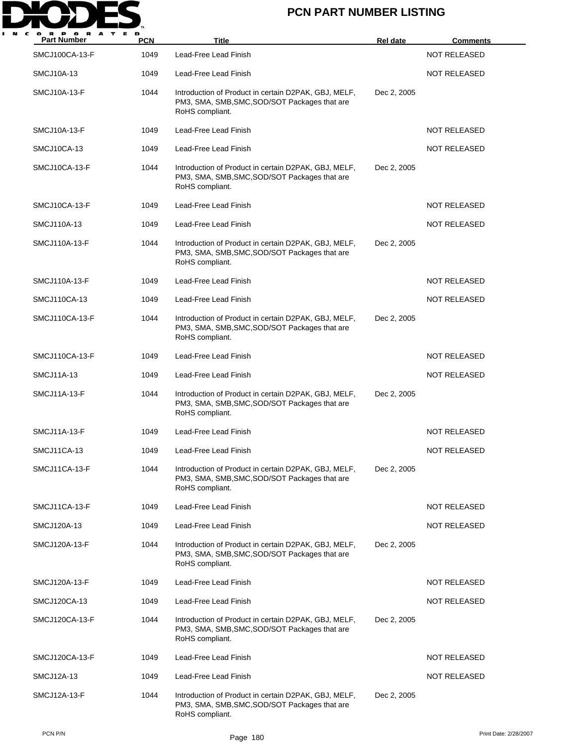

| <b>Part Number</b>  | <b>PCN</b> | <b>Title</b>                                                                                                             | <b>Rel date</b> | <b>Comments</b>     |
|---------------------|------------|--------------------------------------------------------------------------------------------------------------------------|-----------------|---------------------|
| SMCJ100CA-13-F      | 1049       | Lead-Free Lead Finish                                                                                                    |                 | <b>NOT RELEASED</b> |
| SMCJ10A-13          | 1049       | Lead-Free Lead Finish                                                                                                    |                 | <b>NOT RELEASED</b> |
| <b>SMCJ10A-13-F</b> | 1044       | Introduction of Product in certain D2PAK, GBJ, MELF,<br>PM3, SMA, SMB, SMC, SOD/SOT Packages that are<br>RoHS compliant. | Dec 2, 2005     |                     |
| <b>SMCJ10A-13-F</b> | 1049       | Lead-Free Lead Finish                                                                                                    |                 | <b>NOT RELEASED</b> |
| SMCJ10CA-13         | 1049       | Lead-Free Lead Finish                                                                                                    |                 | <b>NOT RELEASED</b> |
| SMCJ10CA-13-F       | 1044       | Introduction of Product in certain D2PAK, GBJ, MELF,<br>PM3, SMA, SMB, SMC, SOD/SOT Packages that are<br>RoHS compliant. | Dec 2, 2005     |                     |
| SMCJ10CA-13-F       | 1049       | Lead-Free Lead Finish                                                                                                    |                 | <b>NOT RELEASED</b> |
| SMCJ110A-13         | 1049       | Lead-Free Lead Finish                                                                                                    |                 | <b>NOT RELEASED</b> |
| SMCJ110A-13-F       | 1044       | Introduction of Product in certain D2PAK, GBJ, MELF,<br>PM3, SMA, SMB, SMC, SOD/SOT Packages that are<br>RoHS compliant. | Dec 2, 2005     |                     |
| SMCJ110A-13-F       | 1049       | Lead-Free Lead Finish                                                                                                    |                 | <b>NOT RELEASED</b> |
| SMCJ110CA-13        | 1049       | Lead-Free Lead Finish                                                                                                    |                 | <b>NOT RELEASED</b> |
| SMCJ110CA-13-F      | 1044       | Introduction of Product in certain D2PAK, GBJ, MELF,<br>PM3, SMA, SMB, SMC, SOD/SOT Packages that are<br>RoHS compliant. | Dec 2, 2005     |                     |
| SMCJ110CA-13-F      | 1049       | Lead-Free Lead Finish                                                                                                    |                 | <b>NOT RELEASED</b> |
| SMCJ11A-13          | 1049       | Lead-Free Lead Finish                                                                                                    |                 | <b>NOT RELEASED</b> |
| <b>SMCJ11A-13-F</b> | 1044       | Introduction of Product in certain D2PAK, GBJ, MELF,<br>PM3, SMA, SMB, SMC, SOD/SOT Packages that are<br>RoHS compliant. | Dec 2, 2005     |                     |
| <b>SMCJ11A-13-F</b> | 1049       | Lead-Free Lead Finish                                                                                                    |                 | <b>NOT RELEASED</b> |
| SMCJ11CA-13         | 1049       | Lead-Free Lead Finish                                                                                                    |                 | <b>NOT RELEASED</b> |
| SMCJ11CA-13-F       | 1044       | Introduction of Product in certain D2PAK, GBJ, MELF,<br>PM3, SMA, SMB, SMC, SOD/SOT Packages that are<br>RoHS compliant. | Dec 2, 2005     |                     |
| SMCJ11CA-13-F       | 1049       | Lead-Free Lead Finish                                                                                                    |                 | <b>NOT RELEASED</b> |
| SMCJ120A-13         | 1049       | Lead-Free Lead Finish                                                                                                    |                 | <b>NOT RELEASED</b> |
| SMCJ120A-13-F       | 1044       | Introduction of Product in certain D2PAK, GBJ, MELF,<br>PM3, SMA, SMB, SMC, SOD/SOT Packages that are<br>RoHS compliant. | Dec 2, 2005     |                     |
| SMCJ120A-13-F       | 1049       | Lead-Free Lead Finish                                                                                                    |                 | <b>NOT RELEASED</b> |
| SMCJ120CA-13        | 1049       | Lead-Free Lead Finish                                                                                                    |                 | NOT RELEASED        |
| SMCJ120CA-13-F      | 1044       | Introduction of Product in certain D2PAK, GBJ, MELF,<br>PM3, SMA, SMB, SMC, SOD/SOT Packages that are<br>RoHS compliant. | Dec 2, 2005     |                     |
| SMCJ120CA-13-F      | 1049       | Lead-Free Lead Finish                                                                                                    |                 | NOT RELEASED        |
| SMCJ12A-13          | 1049       | Lead-Free Lead Finish                                                                                                    |                 | <b>NOT RELEASED</b> |
| SMCJ12A-13-F        | 1044       | Introduction of Product in certain D2PAK, GBJ, MELF,<br>PM3, SMA, SMB, SMC, SOD/SOT Packages that are<br>RoHS compliant. | Dec 2, 2005     |                     |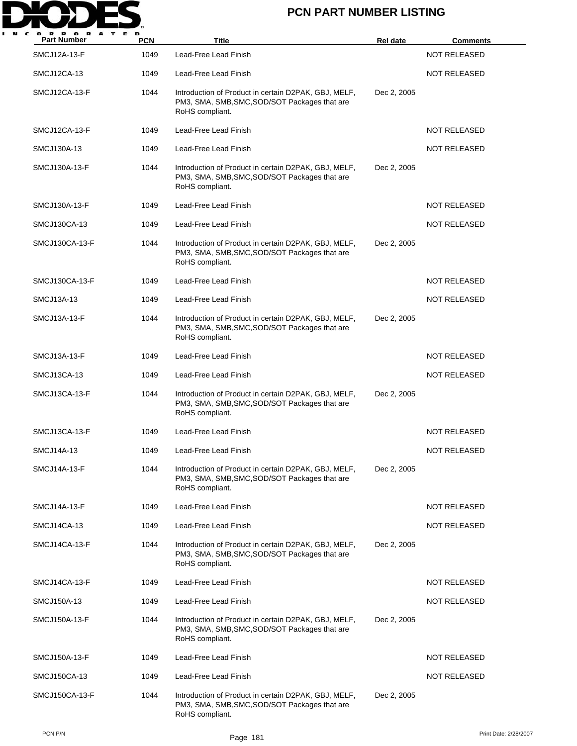

| <b>Part Number</b>  | <b>PCN</b> | Title                                                                                                                    | <b>Rel date</b> | <b>Comments</b>     |
|---------------------|------------|--------------------------------------------------------------------------------------------------------------------------|-----------------|---------------------|
| <b>SMCJ12A-13-F</b> | 1049       | Lead-Free Lead Finish                                                                                                    |                 | <b>NOT RELEASED</b> |
| SMCJ12CA-13         | 1049       | Lead-Free Lead Finish                                                                                                    |                 | <b>NOT RELEASED</b> |
| SMCJ12CA-13-F       | 1044       | Introduction of Product in certain D2PAK, GBJ, MELF,<br>PM3, SMA, SMB, SMC, SOD/SOT Packages that are<br>RoHS compliant. | Dec 2, 2005     |                     |
| SMCJ12CA-13-F       | 1049       | Lead-Free Lead Finish                                                                                                    |                 | <b>NOT RELEASED</b> |
| SMCJ130A-13         | 1049       | Lead-Free Lead Finish                                                                                                    |                 | <b>NOT RELEASED</b> |
| SMCJ130A-13-F       | 1044       | Introduction of Product in certain D2PAK, GBJ, MELF,<br>PM3, SMA, SMB, SMC, SOD/SOT Packages that are<br>RoHS compliant. | Dec 2, 2005     |                     |
| SMCJ130A-13-F       | 1049       | Lead-Free Lead Finish                                                                                                    |                 | <b>NOT RELEASED</b> |
| SMCJ130CA-13        | 1049       | Lead-Free Lead Finish                                                                                                    |                 | <b>NOT RELEASED</b> |
| SMCJ130CA-13-F      | 1044       | Introduction of Product in certain D2PAK, GBJ, MELF,<br>PM3, SMA, SMB, SMC, SOD/SOT Packages that are<br>RoHS compliant. | Dec 2, 2005     |                     |
| SMCJ130CA-13-F      | 1049       | Lead-Free Lead Finish                                                                                                    |                 | <b>NOT RELEASED</b> |
| SMCJ13A-13          | 1049       | Lead-Free Lead Finish                                                                                                    |                 | <b>NOT RELEASED</b> |
| SMCJ13A-13-F        | 1044       | Introduction of Product in certain D2PAK, GBJ, MELF,<br>PM3, SMA, SMB, SMC, SOD/SOT Packages that are<br>RoHS compliant. | Dec 2, 2005     |                     |
| SMCJ13A-13-F        | 1049       | Lead-Free Lead Finish                                                                                                    |                 | <b>NOT RELEASED</b> |
| SMCJ13CA-13         | 1049       | Lead-Free Lead Finish                                                                                                    |                 | <b>NOT RELEASED</b> |
| SMCJ13CA-13-F       | 1044       | Introduction of Product in certain D2PAK, GBJ, MELF,<br>PM3, SMA, SMB, SMC, SOD/SOT Packages that are<br>RoHS compliant. | Dec 2, 2005     |                     |
| SMCJ13CA-13-F       | 1049       | Lead-Free Lead Finish                                                                                                    |                 | <b>NOT RELEASED</b> |
| SMCJ14A-13          | 1049       | Lead-Free Lead Finish                                                                                                    |                 | <b>NOT RELEASED</b> |
| SMCJ14A-13-F        | 1044       | Introduction of Product in certain D2PAK, GBJ, MELF,<br>PM3, SMA, SMB, SMC, SOD/SOT Packages that are<br>RoHS compliant. | Dec 2, 2005     |                     |
| SMCJ14A-13-F        | 1049       | Lead-Free Lead Finish                                                                                                    |                 | <b>NOT RELEASED</b> |
| SMCJ14CA-13         | 1049       | Lead-Free Lead Finish                                                                                                    |                 | <b>NOT RELEASED</b> |
| SMCJ14CA-13-F       | 1044       | Introduction of Product in certain D2PAK, GBJ, MELF,<br>PM3, SMA, SMB, SMC, SOD/SOT Packages that are<br>RoHS compliant. | Dec 2, 2005     |                     |
| SMCJ14CA-13-F       | 1049       | Lead-Free Lead Finish                                                                                                    |                 | NOT RELEASED        |
| SMCJ150A-13         | 1049       | Lead-Free Lead Finish                                                                                                    |                 | <b>NOT RELEASED</b> |
| SMCJ150A-13-F       | 1044       | Introduction of Product in certain D2PAK, GBJ, MELF,<br>PM3, SMA, SMB, SMC, SOD/SOT Packages that are<br>RoHS compliant. | Dec 2, 2005     |                     |
| SMCJ150A-13-F       | 1049       | Lead-Free Lead Finish                                                                                                    |                 | <b>NOT RELEASED</b> |
| SMCJ150CA-13        | 1049       | Lead-Free Lead Finish                                                                                                    |                 | <b>NOT RELEASED</b> |
| SMCJ150CA-13-F      | 1044       | Introduction of Product in certain D2PAK, GBJ, MELF,<br>PM3, SMA, SMB, SMC, SOD/SOT Packages that are<br>RoHS compliant. | Dec 2, 2005     |                     |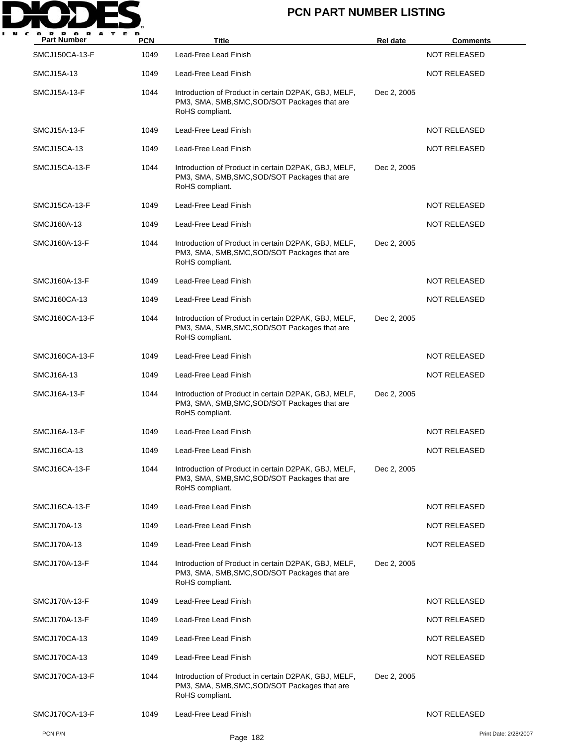

| <b>Part Number</b>  | <b>PCN</b> | Title                                                                                                                    | <b>Rel date</b> | <b>Comments</b>       |
|---------------------|------------|--------------------------------------------------------------------------------------------------------------------------|-----------------|-----------------------|
| SMCJ150CA-13-F      | 1049       | Lead-Free Lead Finish                                                                                                    |                 | <b>NOT RELEASED</b>   |
| SMCJ15A-13          | 1049       | Lead-Free Lead Finish                                                                                                    |                 | <b>NOT RELEASED</b>   |
| <b>SMCJ15A-13-F</b> | 1044       | Introduction of Product in certain D2PAK, GBJ, MELF,<br>PM3, SMA, SMB, SMC, SOD/SOT Packages that are<br>RoHS compliant. | Dec 2, 2005     |                       |
| SMCJ15A-13-F        | 1049       | Lead-Free Lead Finish                                                                                                    |                 | <b>NOT RELEASED</b>   |
| SMCJ15CA-13         | 1049       | Lead-Free Lead Finish                                                                                                    |                 | <b>NOT RELEASED</b>   |
| SMCJ15CA-13-F       | 1044       | Introduction of Product in certain D2PAK, GBJ, MELF,<br>PM3, SMA, SMB, SMC, SOD/SOT Packages that are<br>RoHS compliant. | Dec 2, 2005     |                       |
| SMCJ15CA-13-F       | 1049       | Lead-Free Lead Finish                                                                                                    |                 | NOT RELEASED          |
| SMCJ160A-13         | 1049       | Lead-Free Lead Finish                                                                                                    |                 | <b>NOT RELEASED</b>   |
| SMCJ160A-13-F       | 1044       | Introduction of Product in certain D2PAK, GBJ, MELF,<br>PM3, SMA, SMB, SMC, SOD/SOT Packages that are<br>RoHS compliant. | Dec 2, 2005     |                       |
| SMCJ160A-13-F       | 1049       | Lead-Free Lead Finish                                                                                                    |                 | <b>NOT RELEASED</b>   |
| SMCJ160CA-13        | 1049       | Lead-Free Lead Finish                                                                                                    |                 | <b>NOT RELEASED</b>   |
| SMCJ160CA-13-F      | 1044       | Introduction of Product in certain D2PAK, GBJ, MELF,<br>PM3, SMA, SMB, SMC, SOD/SOT Packages that are<br>RoHS compliant. | Dec 2, 2005     |                       |
| SMCJ160CA-13-F      | 1049       | Lead-Free Lead Finish                                                                                                    |                 | <b>NOT RELEASED</b>   |
| SMCJ16A-13          | 1049       | Lead-Free Lead Finish                                                                                                    |                 | <b>NOT RELEASED</b>   |
| SMCJ16A-13-F        | 1044       | Introduction of Product in certain D2PAK, GBJ, MELF,<br>PM3, SMA, SMB, SMC, SOD/SOT Packages that are<br>RoHS compliant. | Dec 2, 2005     |                       |
| <b>SMCJ16A-13-F</b> | 1049       | Lead-Free Lead Finish                                                                                                    |                 | <b>NOT RELEASED</b>   |
| SMCJ16CA-13         | 1049       | Lead-Free Lead Finish                                                                                                    |                 | <b>NOT RELEASED</b>   |
| SMCJ16CA-13-F       | 1044       | Introduction of Product in certain D2PAK, GBJ, MELF,<br>PM3, SMA, SMB, SMC, SOD/SOT Packages that are<br>RoHS compliant. | Dec 2, 2005     |                       |
| SMCJ16CA-13-F       | 1049       | Lead-Free Lead Finish                                                                                                    |                 | <b>NOT RELEASED</b>   |
| SMCJ170A-13         | 1049       | Lead-Free Lead Finish                                                                                                    |                 | <b>NOT RELEASED</b>   |
| SMCJ170A-13         | 1049       | Lead-Free Lead Finish                                                                                                    |                 | <b>NOT RELEASED</b>   |
| SMCJ170A-13-F       | 1044       | Introduction of Product in certain D2PAK, GBJ, MELF,<br>PM3, SMA, SMB, SMC, SOD/SOT Packages that are<br>RoHS compliant. | Dec 2, 2005     |                       |
| SMCJ170A-13-F       | 1049       | Lead-Free Lead Finish                                                                                                    |                 | <b>NOT RELEASED</b>   |
| SMCJ170A-13-F       | 1049       | Lead-Free Lead Finish                                                                                                    |                 | <b>NOT RELEASED</b>   |
| SMCJ170CA-13        | 1049       | Lead-Free Lead Finish                                                                                                    |                 | <b>NOT RELEASED</b>   |
| SMCJ170CA-13        | 1049       | Lead-Free Lead Finish                                                                                                    |                 | <b>NOT RELEASED</b>   |
| SMCJ170CA-13-F      | 1044       | Introduction of Product in certain D2PAK, GBJ, MELF,<br>PM3, SMA, SMB, SMC, SOD/SOT Packages that are<br>RoHS compliant. | Dec 2, 2005     |                       |
| SMCJ170CA-13-F      | 1049       | Lead-Free Lead Finish                                                                                                    |                 | <b>NOT RELEASED</b>   |
| PCN P/N             |            | Page 182                                                                                                                 |                 | Print Date: 2/28/2007 |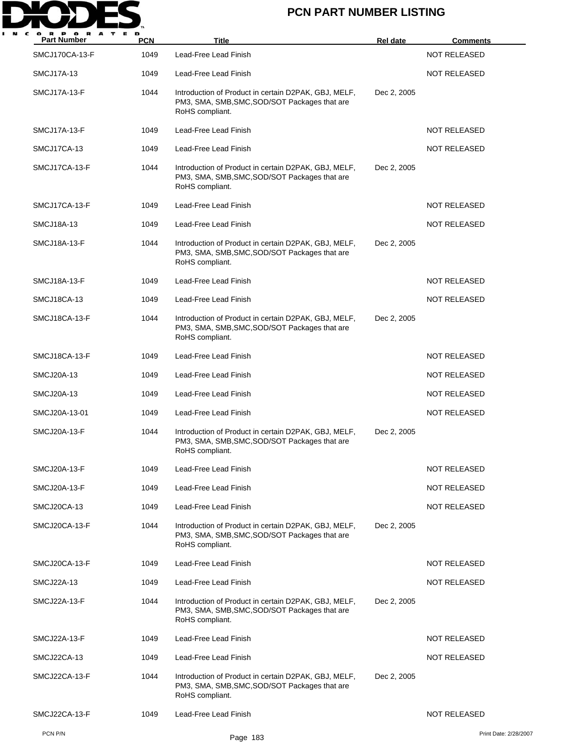

| P O R<br>A<br><b>Part Number</b> | <b>PCN</b> | Title                                                                                                                    | <b>Rel date</b> | <b>Comments</b>       |
|----------------------------------|------------|--------------------------------------------------------------------------------------------------------------------------|-----------------|-----------------------|
| SMCJ170CA-13-F                   | 1049       | Lead-Free Lead Finish                                                                                                    |                 | <b>NOT RELEASED</b>   |
| SMCJ17A-13                       | 1049       | Lead-Free Lead Finish                                                                                                    |                 | <b>NOT RELEASED</b>   |
| SMCJ17A-13-F                     | 1044       | Introduction of Product in certain D2PAK, GBJ, MELF,<br>PM3, SMA, SMB, SMC, SOD/SOT Packages that are<br>RoHS compliant. | Dec 2, 2005     |                       |
| SMCJ17A-13-F                     | 1049       | Lead-Free Lead Finish                                                                                                    |                 | <b>NOT RELEASED</b>   |
| SMCJ17CA-13                      | 1049       | Lead-Free Lead Finish                                                                                                    |                 | <b>NOT RELEASED</b>   |
| SMCJ17CA-13-F                    | 1044       | Introduction of Product in certain D2PAK, GBJ, MELF,<br>PM3, SMA, SMB, SMC, SOD/SOT Packages that are<br>RoHS compliant. | Dec 2, 2005     |                       |
| SMCJ17CA-13-F                    | 1049       | Lead-Free Lead Finish                                                                                                    |                 | <b>NOT RELEASED</b>   |
| <b>SMCJ18A-13</b>                | 1049       | Lead-Free Lead Finish                                                                                                    |                 | <b>NOT RELEASED</b>   |
| SMCJ18A-13-F                     | 1044       | Introduction of Product in certain D2PAK, GBJ, MELF,<br>PM3, SMA, SMB, SMC, SOD/SOT Packages that are<br>RoHS compliant. | Dec 2, 2005     |                       |
| SMCJ18A-13-F                     | 1049       | Lead-Free Lead Finish                                                                                                    |                 | NOT RELEASED          |
| SMCJ18CA-13                      | 1049       | Lead-Free Lead Finish                                                                                                    |                 | <b>NOT RELEASED</b>   |
| SMCJ18CA-13-F                    | 1044       | Introduction of Product in certain D2PAK, GBJ, MELF,<br>PM3, SMA, SMB, SMC, SOD/SOT Packages that are<br>RoHS compliant. | Dec 2, 2005     |                       |
| SMCJ18CA-13-F                    | 1049       | Lead-Free Lead Finish                                                                                                    |                 | <b>NOT RELEASED</b>   |
| <b>SMCJ20A-13</b>                | 1049       | Lead-Free Lead Finish                                                                                                    |                 | <b>NOT RELEASED</b>   |
| SMCJ20A-13                       | 1049       | Lead-Free Lead Finish                                                                                                    |                 | NOT RELEASED          |
| SMCJ20A-13-01                    | 1049       | Lead-Free Lead Finish                                                                                                    |                 | <b>NOT RELEASED</b>   |
| SMCJ20A-13-F                     | 1044       | Introduction of Product in certain D2PAK, GBJ, MELF,<br>PM3, SMA, SMB, SMC, SOD/SOT Packages that are<br>RoHS compliant. | Dec 2, 2005     |                       |
| SMCJ20A-13-F                     | 1049       | Lead-Free Lead Finish                                                                                                    |                 | NOT RELEASED          |
| SMCJ20A-13-F                     | 1049       | Lead-Free Lead Finish                                                                                                    |                 | <b>NOT RELEASED</b>   |
| SMCJ20CA-13                      | 1049       | Lead-Free Lead Finish                                                                                                    |                 | <b>NOT RELEASED</b>   |
| SMCJ20CA-13-F                    | 1044       | Introduction of Product in certain D2PAK, GBJ, MELF,<br>PM3, SMA, SMB, SMC, SOD/SOT Packages that are<br>RoHS compliant. | Dec 2, 2005     |                       |
| SMCJ20CA-13-F                    | 1049       | Lead-Free Lead Finish                                                                                                    |                 | <b>NOT RELEASED</b>   |
| <b>SMCJ22A-13</b>                | 1049       | Lead-Free Lead Finish                                                                                                    |                 | <b>NOT RELEASED</b>   |
| SMCJ22A-13-F                     | 1044       | Introduction of Product in certain D2PAK, GBJ, MELF,<br>PM3, SMA, SMB, SMC, SOD/SOT Packages that are<br>RoHS compliant. | Dec 2, 2005     |                       |
| SMCJ22A-13-F                     | 1049       | Lead-Free Lead Finish                                                                                                    |                 | <b>NOT RELEASED</b>   |
| SMCJ22CA-13                      | 1049       | Lead-Free Lead Finish                                                                                                    |                 | <b>NOT RELEASED</b>   |
| SMCJ22CA-13-F                    | 1044       | Introduction of Product in certain D2PAK, GBJ, MELF,<br>PM3, SMA, SMB, SMC, SOD/SOT Packages that are<br>RoHS compliant. | Dec 2, 2005     |                       |
| SMCJ22CA-13-F                    | 1049       | Lead-Free Lead Finish                                                                                                    |                 | <b>NOT RELEASED</b>   |
| PCN P/N                          |            | Page 183                                                                                                                 |                 | Print Date: 2/28/2007 |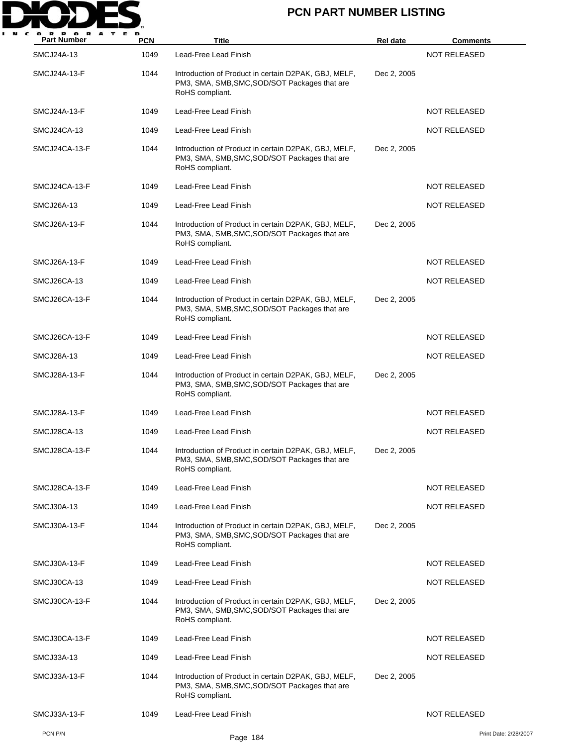

| <b>Part Number</b>  | <b>PCN</b> | Title                                                                                                                    | <b>Rel date</b> | <b>Comments</b>       |
|---------------------|------------|--------------------------------------------------------------------------------------------------------------------------|-----------------|-----------------------|
| SMCJ24A-13          | 1049       | Lead-Free Lead Finish                                                                                                    |                 | <b>NOT RELEASED</b>   |
| SMCJ24A-13-F        | 1044       | Introduction of Product in certain D2PAK, GBJ, MELF,<br>PM3, SMA, SMB, SMC, SOD/SOT Packages that are<br>RoHS compliant. | Dec 2, 2005     |                       |
| SMCJ24A-13-F        | 1049       | Lead-Free Lead Finish                                                                                                    |                 | <b>NOT RELEASED</b>   |
| SMCJ24CA-13         | 1049       | Lead-Free Lead Finish                                                                                                    |                 | <b>NOT RELEASED</b>   |
| SMCJ24CA-13-F       | 1044       | Introduction of Product in certain D2PAK, GBJ, MELF,<br>PM3, SMA, SMB, SMC, SOD/SOT Packages that are<br>RoHS compliant. | Dec 2, 2005     |                       |
| SMCJ24CA-13-F       | 1049       | Lead-Free Lead Finish                                                                                                    |                 | <b>NOT RELEASED</b>   |
| <b>SMCJ26A-13</b>   | 1049       | Lead-Free Lead Finish                                                                                                    |                 | NOT RELEASED          |
| SMCJ26A-13-F        | 1044       | Introduction of Product in certain D2PAK, GBJ, MELF,<br>PM3, SMA, SMB, SMC, SOD/SOT Packages that are<br>RoHS compliant. | Dec 2, 2005     |                       |
| SMCJ26A-13-F        | 1049       | Lead-Free Lead Finish                                                                                                    |                 | NOT RELEASED          |
| SMCJ26CA-13         | 1049       | Lead-Free Lead Finish                                                                                                    |                 | <b>NOT RELEASED</b>   |
| SMCJ26CA-13-F       | 1044       | Introduction of Product in certain D2PAK, GBJ, MELF,<br>PM3, SMA, SMB, SMC, SOD/SOT Packages that are<br>RoHS compliant. | Dec 2, 2005     |                       |
| SMCJ26CA-13-F       | 1049       | Lead-Free Lead Finish                                                                                                    |                 | <b>NOT RELEASED</b>   |
| <b>SMCJ28A-13</b>   | 1049       | Lead-Free Lead Finish                                                                                                    |                 | <b>NOT RELEASED</b>   |
| SMCJ28A-13-F        | 1044       | Introduction of Product in certain D2PAK, GBJ, MELF,<br>PM3, SMA, SMB, SMC, SOD/SOT Packages that are<br>RoHS compliant. | Dec 2, 2005     |                       |
| SMCJ28A-13-F        | 1049       | Lead-Free Lead Finish                                                                                                    |                 | <b>NOT RELEASED</b>   |
| SMCJ28CA-13         | 1049       | Lead-Free Lead Finish                                                                                                    |                 | NOT RELEASED          |
| SMCJ28CA-13-F       | 1044       | Introduction of Product in certain D2PAK, GBJ, MELF,<br>PM3, SMA, SMB, SMC, SOD/SOT Packages that are<br>RoHS compliant. | Dec 2, 2005     |                       |
| SMCJ28CA-13-F       | 1049       | Lead-Free Lead Finish                                                                                                    |                 | <b>NOT RELEASED</b>   |
| SMCJ30A-13          | 1049       | Lead-Free Lead Finish                                                                                                    |                 | <b>NOT RELEASED</b>   |
| SMCJ30A-13-F        | 1044       | Introduction of Product in certain D2PAK, GBJ, MELF,<br>PM3, SMA, SMB, SMC, SOD/SOT Packages that are<br>RoHS compliant. | Dec 2, 2005     |                       |
| <b>SMCJ30A-13-F</b> | 1049       | Lead-Free Lead Finish                                                                                                    |                 | <b>NOT RELEASED</b>   |
| SMCJ30CA-13         | 1049       | Lead-Free Lead Finish                                                                                                    |                 | <b>NOT RELEASED</b>   |
| SMCJ30CA-13-F       | 1044       | Introduction of Product in certain D2PAK, GBJ, MELF,<br>PM3, SMA, SMB, SMC, SOD/SOT Packages that are<br>RoHS compliant. | Dec 2, 2005     |                       |
| SMCJ30CA-13-F       | 1049       | Lead-Free Lead Finish                                                                                                    |                 | <b>NOT RELEASED</b>   |
| SMCJ33A-13          | 1049       | Lead-Free Lead Finish                                                                                                    |                 | NOT RELEASED          |
| SMCJ33A-13-F        | 1044       | Introduction of Product in certain D2PAK, GBJ, MELF,<br>PM3, SMA, SMB, SMC, SOD/SOT Packages that are<br>RoHS compliant. | Dec 2, 2005     |                       |
| SMCJ33A-13-F        | 1049       | Lead-Free Lead Finish                                                                                                    |                 | NOT RELEASED          |
| PCN P/N             |            | Page 184                                                                                                                 |                 | Print Date: 2/28/2007 |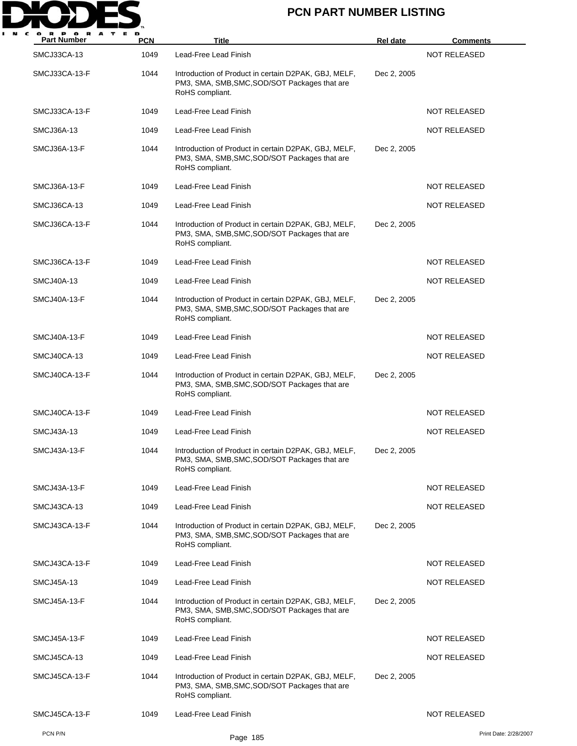

| <b>Part Number</b> | <b>PCN</b> | Title                                                                                                                    | <b>Rel date</b> | <b>Comments</b>       |
|--------------------|------------|--------------------------------------------------------------------------------------------------------------------------|-----------------|-----------------------|
| SMCJ33CA-13        | 1049       | Lead-Free Lead Finish                                                                                                    |                 | <b>NOT RELEASED</b>   |
| SMCJ33CA-13-F      | 1044       | Introduction of Product in certain D2PAK, GBJ, MELF,<br>PM3, SMA, SMB, SMC, SOD/SOT Packages that are<br>RoHS compliant. | Dec 2, 2005     |                       |
| SMCJ33CA-13-F      | 1049       | Lead-Free Lead Finish                                                                                                    |                 | <b>NOT RELEASED</b>   |
| SMCJ36A-13         | 1049       | Lead-Free Lead Finish                                                                                                    |                 | <b>NOT RELEASED</b>   |
| SMCJ36A-13-F       | 1044       | Introduction of Product in certain D2PAK, GBJ, MELF,<br>PM3, SMA, SMB, SMC, SOD/SOT Packages that are<br>RoHS compliant. | Dec 2, 2005     |                       |
| SMCJ36A-13-F       | 1049       | Lead-Free Lead Finish                                                                                                    |                 | <b>NOT RELEASED</b>   |
| SMCJ36CA-13        | 1049       | Lead-Free Lead Finish                                                                                                    |                 | NOT RELEASED          |
| SMCJ36CA-13-F      | 1044       | Introduction of Product in certain D2PAK, GBJ, MELF,<br>PM3, SMA, SMB, SMC, SOD/SOT Packages that are<br>RoHS compliant. | Dec 2, 2005     |                       |
| SMCJ36CA-13-F      | 1049       | Lead-Free Lead Finish                                                                                                    |                 | NOT RELEASED          |
| SMCJ40A-13         | 1049       | Lead-Free Lead Finish                                                                                                    |                 | <b>NOT RELEASED</b>   |
| SMCJ40A-13-F       | 1044       | Introduction of Product in certain D2PAK, GBJ, MELF,<br>PM3, SMA, SMB, SMC, SOD/SOT Packages that are<br>RoHS compliant. | Dec 2, 2005     |                       |
| SMCJ40A-13-F       | 1049       | Lead-Free Lead Finish                                                                                                    |                 | <b>NOT RELEASED</b>   |
| SMCJ40CA-13        | 1049       | Lead-Free Lead Finish                                                                                                    |                 | <b>NOT RELEASED</b>   |
| SMCJ40CA-13-F      | 1044       | Introduction of Product in certain D2PAK, GBJ, MELF,<br>PM3, SMA, SMB, SMC, SOD/SOT Packages that are<br>RoHS compliant. | Dec 2, 2005     |                       |
| SMCJ40CA-13-F      | 1049       | Lead-Free Lead Finish                                                                                                    |                 | <b>NOT RELEASED</b>   |
| SMCJ43A-13         | 1049       | Lead-Free Lead Finish                                                                                                    |                 | NOT RELEASED          |
| SMCJ43A-13-F       | 1044       | Introduction of Product in certain D2PAK, GBJ, MELF,<br>PM3, SMA, SMB, SMC, SOD/SOT Packages that are<br>RoHS compliant. | Dec 2, 2005     |                       |
| SMCJ43A-13-F       | 1049       | Lead-Free Lead Finish                                                                                                    |                 | <b>NOT RELEASED</b>   |
| SMCJ43CA-13        | 1049       | Lead-Free Lead Finish                                                                                                    |                 | <b>NOT RELEASED</b>   |
| SMCJ43CA-13-F      | 1044       | Introduction of Product in certain D2PAK, GBJ, MELF,<br>PM3, SMA, SMB, SMC, SOD/SOT Packages that are<br>RoHS compliant. | Dec 2, 2005     |                       |
| SMCJ43CA-13-F      | 1049       | Lead-Free Lead Finish                                                                                                    |                 | <b>NOT RELEASED</b>   |
| SMCJ45A-13         | 1049       | Lead-Free Lead Finish                                                                                                    |                 | <b>NOT RELEASED</b>   |
| SMCJ45A-13-F       | 1044       | Introduction of Product in certain D2PAK, GBJ, MELF,<br>PM3, SMA, SMB, SMC, SOD/SOT Packages that are<br>RoHS compliant. | Dec 2, 2005     |                       |
| SMCJ45A-13-F       | 1049       | Lead-Free Lead Finish                                                                                                    |                 | <b>NOT RELEASED</b>   |
| SMCJ45CA-13        | 1049       | Lead-Free Lead Finish                                                                                                    |                 | NOT RELEASED          |
| SMCJ45CA-13-F      | 1044       | Introduction of Product in certain D2PAK, GBJ, MELF,<br>PM3, SMA, SMB, SMC, SOD/SOT Packages that are<br>RoHS compliant. | Dec 2, 2005     |                       |
| SMCJ45CA-13-F      | 1049       | Lead-Free Lead Finish                                                                                                    |                 | NOT RELEASED          |
| PCN P/N            |            | Page 185                                                                                                                 |                 | Print Date: 2/28/2007 |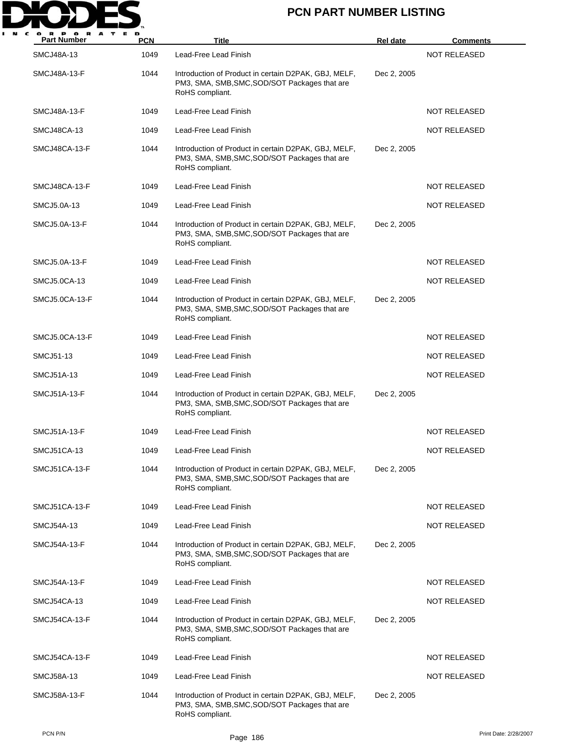

| <b>Part Number</b>  | <b>PCN</b> | <b>Title</b>                                                                                                             | <b>Rel date</b> | <b>Comments</b>     |
|---------------------|------------|--------------------------------------------------------------------------------------------------------------------------|-----------------|---------------------|
| <b>SMCJ48A-13</b>   | 1049       | Lead-Free Lead Finish                                                                                                    |                 | <b>NOT RELEASED</b> |
| SMCJ48A-13-F        | 1044       | Introduction of Product in certain D2PAK, GBJ, MELF,<br>PM3, SMA, SMB, SMC, SOD/SOT Packages that are<br>RoHS compliant. | Dec 2, 2005     |                     |
| SMCJ48A-13-F        | 1049       | Lead-Free Lead Finish                                                                                                    |                 | <b>NOT RELEASED</b> |
| SMCJ48CA-13         | 1049       | Lead-Free Lead Finish                                                                                                    |                 | <b>NOT RELEASED</b> |
| SMCJ48CA-13-F       | 1044       | Introduction of Product in certain D2PAK, GBJ, MELF,<br>PM3, SMA, SMB, SMC, SOD/SOT Packages that are<br>RoHS compliant. | Dec 2, 2005     |                     |
| SMCJ48CA-13-F       | 1049       | Lead-Free Lead Finish                                                                                                    |                 | <b>NOT RELEASED</b> |
| SMCJ5.0A-13         | 1049       | Lead-Free Lead Finish                                                                                                    |                 | NOT RELEASED        |
| SMCJ5.0A-13-F       | 1044       | Introduction of Product in certain D2PAK, GBJ, MELF,<br>PM3, SMA, SMB, SMC, SOD/SOT Packages that are<br>RoHS compliant. | Dec 2, 2005     |                     |
| SMCJ5.0A-13-F       | 1049       | Lead-Free Lead Finish                                                                                                    |                 | <b>NOT RELEASED</b> |
| SMCJ5.0CA-13        | 1049       | Lead-Free Lead Finish                                                                                                    |                 | <b>NOT RELEASED</b> |
| SMCJ5.0CA-13-F      | 1044       | Introduction of Product in certain D2PAK, GBJ, MELF,<br>PM3, SMA, SMB, SMC, SOD/SOT Packages that are<br>RoHS compliant. | Dec 2, 2005     |                     |
| SMCJ5.0CA-13-F      | 1049       | Lead-Free Lead Finish                                                                                                    |                 | <b>NOT RELEASED</b> |
| SMCJ51-13           | 1049       | Lead-Free Lead Finish                                                                                                    |                 | <b>NOT RELEASED</b> |
| SMCJ51A-13          | 1049       | Lead-Free Lead Finish                                                                                                    |                 | <b>NOT RELEASED</b> |
| <b>SMCJ51A-13-F</b> | 1044       | Introduction of Product in certain D2PAK, GBJ, MELF,<br>PM3, SMA, SMB, SMC, SOD/SOT Packages that are<br>RoHS compliant. | Dec 2, 2005     |                     |
| SMCJ51A-13-F        | 1049       | Lead-Free Lead Finish                                                                                                    |                 | <b>NOT RELEASED</b> |
| SMCJ51CA-13         | 1049       | Lead-Free Lead Finish                                                                                                    |                 | NOT RELEASED        |
| SMCJ51CA-13-F       | 1044       | Introduction of Product in certain D2PAK, GBJ, MELF,<br>PM3, SMA, SMB, SMC, SOD/SOT Packages that are<br>RoHS compliant. | Dec 2, 2005     |                     |
| SMCJ51CA-13-F       | 1049       | Lead-Free Lead Finish                                                                                                    |                 | <b>NOT RELEASED</b> |
| SMCJ54A-13          | 1049       | Lead-Free Lead Finish                                                                                                    |                 | <b>NOT RELEASED</b> |
| SMCJ54A-13-F        | 1044       | Introduction of Product in certain D2PAK, GBJ, MELF,<br>PM3, SMA, SMB, SMC, SOD/SOT Packages that are<br>RoHS compliant. | Dec 2, 2005     |                     |
| <b>SMCJ54A-13-F</b> | 1049       | Lead-Free Lead Finish                                                                                                    |                 | NOT RELEASED        |
| SMCJ54CA-13         | 1049       | Lead-Free Lead Finish                                                                                                    |                 | NOT RELEASED        |
| SMCJ54CA-13-F       | 1044       | Introduction of Product in certain D2PAK, GBJ, MELF,<br>PM3, SMA, SMB, SMC, SOD/SOT Packages that are<br>RoHS compliant. | Dec 2, 2005     |                     |
| SMCJ54CA-13-F       | 1049       | Lead-Free Lead Finish                                                                                                    |                 | NOT RELEASED        |
| <b>SMCJ58A-13</b>   | 1049       | Lead-Free Lead Finish                                                                                                    |                 | <b>NOT RELEASED</b> |
| SMCJ58A-13-F        | 1044       | Introduction of Product in certain D2PAK, GBJ, MELF,<br>PM3, SMA, SMB, SMC, SOD/SOT Packages that are<br>RoHS compliant. | Dec 2, 2005     |                     |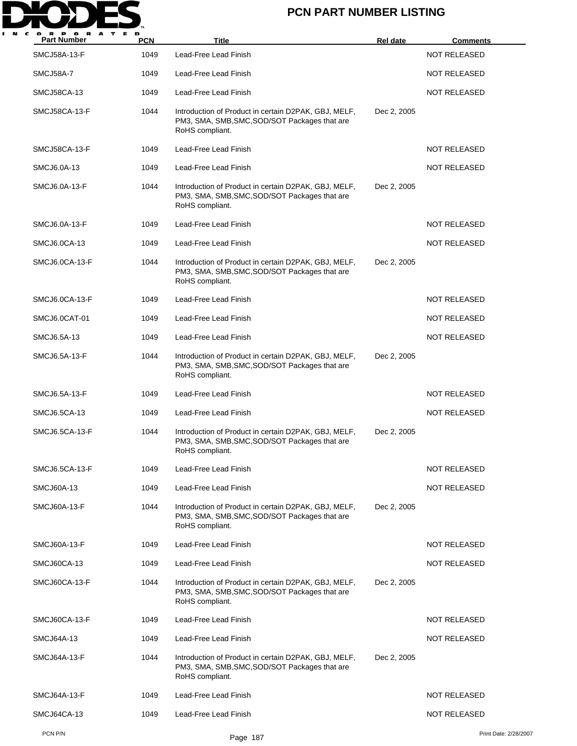

| <b>Part Number</b>  | <b>PCN</b> | Title                                                                                                                    | <b>Rel date</b> | <b>Comments</b>       |
|---------------------|------------|--------------------------------------------------------------------------------------------------------------------------|-----------------|-----------------------|
| <b>SMCJ58A-13-F</b> | 1049       | Lead-Free Lead Finish                                                                                                    |                 | <b>NOT RELEASED</b>   |
| SMCJ58A-7           | 1049       | Lead-Free Lead Finish                                                                                                    |                 | <b>NOT RELEASED</b>   |
| <b>SMCJ58CA-13</b>  | 1049       | Lead-Free Lead Finish                                                                                                    |                 | <b>NOT RELEASED</b>   |
| SMCJ58CA-13-F       | 1044       | Introduction of Product in certain D2PAK, GBJ, MELF,<br>PM3, SMA, SMB, SMC, SOD/SOT Packages that are<br>RoHS compliant. | Dec 2, 2005     |                       |
| SMCJ58CA-13-F       | 1049       | Lead-Free Lead Finish                                                                                                    |                 | <b>NOT RELEASED</b>   |
| SMCJ6.0A-13         | 1049       | Lead-Free Lead Finish                                                                                                    |                 | <b>NOT RELEASED</b>   |
| SMCJ6.0A-13-F       | 1044       | Introduction of Product in certain D2PAK, GBJ, MELF,<br>PM3, SMA, SMB, SMC, SOD/SOT Packages that are<br>RoHS compliant. | Dec 2, 2005     |                       |
| SMCJ6.0A-13-F       | 1049       | Lead-Free Lead Finish                                                                                                    |                 | <b>NOT RELEASED</b>   |
| SMCJ6.0CA-13        | 1049       | Lead-Free Lead Finish                                                                                                    |                 | <b>NOT RELEASED</b>   |
| SMCJ6.0CA-13-F      | 1044       | Introduction of Product in certain D2PAK, GBJ, MELF,<br>PM3, SMA, SMB, SMC, SOD/SOT Packages that are<br>RoHS compliant. | Dec 2, 2005     |                       |
| SMCJ6.0CA-13-F      | 1049       | Lead-Free Lead Finish                                                                                                    |                 | <b>NOT RELEASED</b>   |
| SMCJ6.0CAT-01       | 1049       | Lead-Free Lead Finish                                                                                                    |                 | <b>NOT RELEASED</b>   |
| SMCJ6.5A-13         | 1049       | Lead-Free Lead Finish                                                                                                    |                 | <b>NOT RELEASED</b>   |
| SMCJ6.5A-13-F       | 1044       | Introduction of Product in certain D2PAK, GBJ, MELF,<br>PM3, SMA, SMB, SMC, SOD/SOT Packages that are<br>RoHS compliant. | Dec 2, 2005     |                       |
| SMCJ6.5A-13-F       | 1049       | Lead-Free Lead Finish                                                                                                    |                 | <b>NOT RELEASED</b>   |
| SMCJ6.5CA-13        | 1049       | Lead-Free Lead Finish                                                                                                    |                 | <b>NOT RELEASED</b>   |
| SMCJ6.5CA-13-F      | 1044       | Introduction of Product in certain D2PAK, GBJ, MELF,<br>PM3, SMA, SMB, SMC, SOD/SOT Packages that are<br>RoHS compliant. | Dec 2, 2005     |                       |
| SMCJ6.5CA-13-F      | 1049       | Lead-Free Lead Finish                                                                                                    |                 | <b>NOT RELEASED</b>   |
| <b>SMCJ60A-13</b>   | 1049       | Lead-Free Lead Finish                                                                                                    |                 | NOT RELEASED          |
| <b>SMCJ60A-13-F</b> | 1044       | Introduction of Product in certain D2PAK, GBJ, MELF,<br>PM3, SMA, SMB, SMC, SOD/SOT Packages that are<br>RoHS compliant. | Dec 2, 2005     |                       |
| <b>SMCJ60A-13-F</b> | 1049       | Lead-Free Lead Finish                                                                                                    |                 | NOT RELEASED          |
| SMCJ60CA-13         | 1049       | Lead-Free Lead Finish                                                                                                    |                 | <b>NOT RELEASED</b>   |
| SMCJ60CA-13-F       | 1044       | Introduction of Product in certain D2PAK, GBJ, MELF,<br>PM3, SMA, SMB, SMC, SOD/SOT Packages that are<br>RoHS compliant. | Dec 2, 2005     |                       |
| SMCJ60CA-13-F       | 1049       | Lead-Free Lead Finish                                                                                                    |                 | <b>NOT RELEASED</b>   |
| SMCJ64A-13          | 1049       | Lead-Free Lead Finish                                                                                                    |                 | <b>NOT RELEASED</b>   |
| SMCJ64A-13-F        | 1044       | Introduction of Product in certain D2PAK, GBJ, MELF,<br>PM3, SMA, SMB, SMC, SOD/SOT Packages that are<br>RoHS compliant. | Dec 2, 2005     |                       |
| SMCJ64A-13-F        | 1049       | Lead-Free Lead Finish                                                                                                    |                 | <b>NOT RELEASED</b>   |
| SMCJ64CA-13         | 1049       | Lead-Free Lead Finish                                                                                                    |                 | <b>NOT RELEASED</b>   |
| PCN P/N             |            | Page 187                                                                                                                 |                 | Print Date: 2/28/2007 |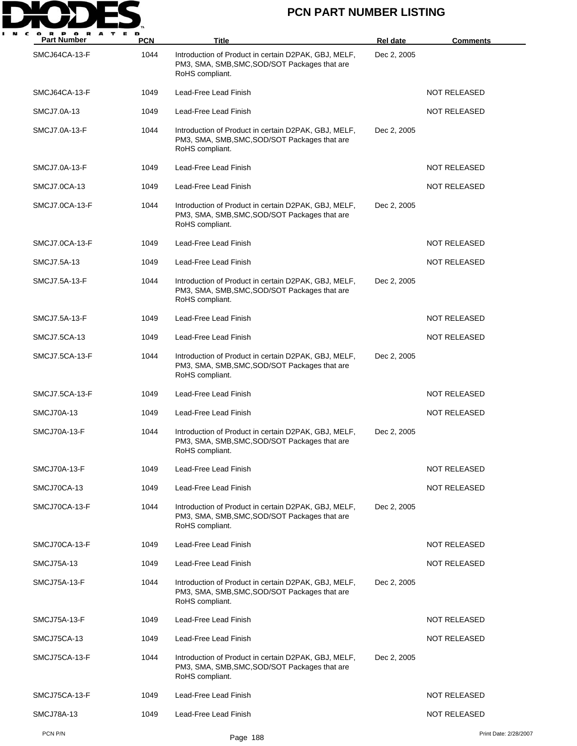

| <b>Part Number</b>  | PCN  | Title                                                                                                                    | Rel date    | <b>Comments</b>       |
|---------------------|------|--------------------------------------------------------------------------------------------------------------------------|-------------|-----------------------|
| SMCJ64CA-13-F       | 1044 | Introduction of Product in certain D2PAK, GBJ, MELF,<br>PM3, SMA, SMB, SMC, SOD/SOT Packages that are<br>RoHS compliant. | Dec 2, 2005 |                       |
| SMCJ64CA-13-F       | 1049 | Lead-Free Lead Finish                                                                                                    |             | <b>NOT RELEASED</b>   |
| SMCJ7.0A-13         | 1049 | Lead-Free Lead Finish                                                                                                    |             | <b>NOT RELEASED</b>   |
| SMCJ7.0A-13-F       | 1044 | Introduction of Product in certain D2PAK, GBJ, MELF,<br>PM3, SMA, SMB, SMC, SOD/SOT Packages that are<br>RoHS compliant. | Dec 2, 2005 |                       |
| SMCJ7.0A-13-F       | 1049 | Lead-Free Lead Finish                                                                                                    |             | <b>NOT RELEASED</b>   |
| SMCJ7.0CA-13        | 1049 | Lead-Free Lead Finish                                                                                                    |             | NOT RELEASED          |
| SMCJ7.0CA-13-F      | 1044 | Introduction of Product in certain D2PAK, GBJ, MELF,<br>PM3, SMA, SMB, SMC, SOD/SOT Packages that are<br>RoHS compliant. | Dec 2, 2005 |                       |
| SMCJ7.0CA-13-F      | 1049 | Lead-Free Lead Finish                                                                                                    |             | <b>NOT RELEASED</b>   |
| SMCJ7.5A-13         | 1049 | Lead-Free Lead Finish                                                                                                    |             | <b>NOT RELEASED</b>   |
| SMCJ7.5A-13-F       | 1044 | Introduction of Product in certain D2PAK, GBJ, MELF,<br>PM3, SMA, SMB, SMC, SOD/SOT Packages that are<br>RoHS compliant. | Dec 2, 2005 |                       |
| SMCJ7.5A-13-F       | 1049 | Lead-Free Lead Finish                                                                                                    |             | <b>NOT RELEASED</b>   |
| SMCJ7.5CA-13        | 1049 | Lead-Free Lead Finish                                                                                                    |             | <b>NOT RELEASED</b>   |
| SMCJ7.5CA-13-F      | 1044 | Introduction of Product in certain D2PAK, GBJ, MELF,<br>PM3, SMA, SMB, SMC, SOD/SOT Packages that are<br>RoHS compliant. | Dec 2, 2005 |                       |
| SMCJ7.5CA-13-F      | 1049 | Lead-Free Lead Finish                                                                                                    |             | <b>NOT RELEASED</b>   |
| SMCJ70A-13          | 1049 | Lead-Free Lead Finish                                                                                                    |             | NOT RELEASED          |
| SMCJ70A-13-F        | 1044 | Introduction of Product in certain D2PAK, GBJ, MELF,<br>PM3, SMA, SMB, SMC, SOD/SOT Packages that are<br>RoHS compliant. | Dec 2, 2005 |                       |
| SMCJ70A-13-F        | 1049 | Lead-Free Lead Finish                                                                                                    |             | <b>NOT RELEASED</b>   |
| SMCJ70CA-13         | 1049 | Lead-Free Lead Finish                                                                                                    |             | <b>NOT RELEASED</b>   |
| SMCJ70CA-13-F       | 1044 | Introduction of Product in certain D2PAK, GBJ, MELF,<br>PM3, SMA, SMB, SMC, SOD/SOT Packages that are<br>RoHS compliant. | Dec 2, 2005 |                       |
| SMCJ70CA-13-F       | 1049 | Lead-Free Lead Finish                                                                                                    |             | NOT RELEASED          |
| <b>SMCJ75A-13</b>   | 1049 | Lead-Free Lead Finish                                                                                                    |             | <b>NOT RELEASED</b>   |
| <b>SMCJ75A-13-F</b> | 1044 | Introduction of Product in certain D2PAK, GBJ, MELF,<br>PM3, SMA, SMB, SMC, SOD/SOT Packages that are<br>RoHS compliant. | Dec 2, 2005 |                       |
| <b>SMCJ75A-13-F</b> | 1049 | Lead-Free Lead Finish                                                                                                    |             | <b>NOT RELEASED</b>   |
| SMCJ75CA-13         | 1049 | Lead-Free Lead Finish                                                                                                    |             | <b>NOT RELEASED</b>   |
| SMCJ75CA-13-F       | 1044 | Introduction of Product in certain D2PAK, GBJ, MELF,<br>PM3, SMA, SMB, SMC, SOD/SOT Packages that are<br>RoHS compliant. | Dec 2, 2005 |                       |
| SMCJ75CA-13-F       | 1049 | Lead-Free Lead Finish                                                                                                    |             | <b>NOT RELEASED</b>   |
| SMCJ78A-13          | 1049 | Lead-Free Lead Finish                                                                                                    |             | <b>NOT RELEASED</b>   |
| PCN P/N             |      | Page 188                                                                                                                 |             | Print Date: 2/28/2007 |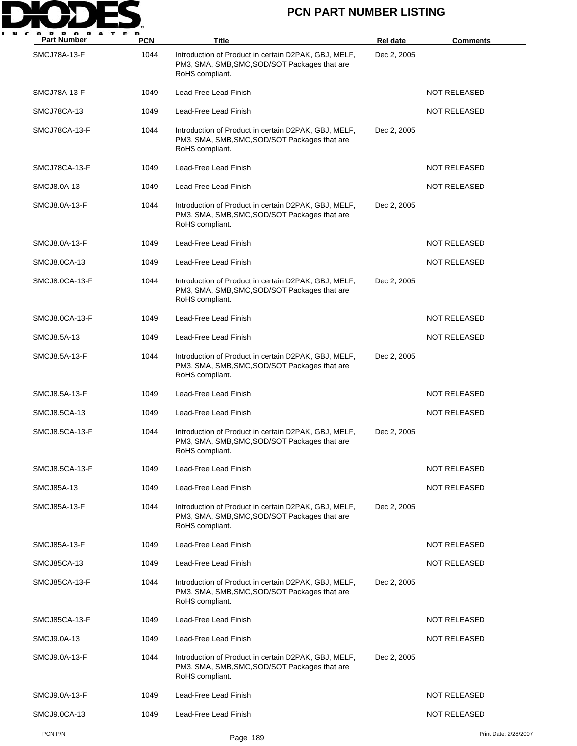

| <b>Part Number</b>  | <b>PCN</b> | Title                                                                                                                    | Rel date    | <b>Comments</b>       |
|---------------------|------------|--------------------------------------------------------------------------------------------------------------------------|-------------|-----------------------|
| <b>SMCJ78A-13-F</b> | 1044       | Introduction of Product in certain D2PAK, GBJ, MELF,<br>PM3, SMA, SMB, SMC, SOD/SOT Packages that are<br>RoHS compliant. | Dec 2, 2005 |                       |
| <b>SMCJ78A-13-F</b> | 1049       | Lead-Free Lead Finish                                                                                                    |             | <b>NOT RELEASED</b>   |
| SMCJ78CA-13         | 1049       | Lead-Free Lead Finish                                                                                                    |             | <b>NOT RELEASED</b>   |
| SMCJ78CA-13-F       | 1044       | Introduction of Product in certain D2PAK, GBJ, MELF,<br>PM3, SMA, SMB, SMC, SOD/SOT Packages that are<br>RoHS compliant. | Dec 2, 2005 |                       |
| SMCJ78CA-13-F       | 1049       | Lead-Free Lead Finish                                                                                                    |             | <b>NOT RELEASED</b>   |
| SMCJ8.0A-13         | 1049       | Lead-Free Lead Finish                                                                                                    |             | <b>NOT RELEASED</b>   |
| SMCJ8.0A-13-F       | 1044       | Introduction of Product in certain D2PAK, GBJ, MELF,<br>PM3, SMA, SMB, SMC, SOD/SOT Packages that are<br>RoHS compliant. | Dec 2, 2005 |                       |
| SMCJ8.0A-13-F       | 1049       | Lead-Free Lead Finish                                                                                                    |             | NOT RELEASED          |
| SMCJ8.0CA-13        | 1049       | Lead-Free Lead Finish                                                                                                    |             | <b>NOT RELEASED</b>   |
| SMCJ8.0CA-13-F      | 1044       | Introduction of Product in certain D2PAK, GBJ, MELF,<br>PM3, SMA, SMB, SMC, SOD/SOT Packages that are<br>RoHS compliant. | Dec 2, 2005 |                       |
| SMCJ8.0CA-13-F      | 1049       | Lead-Free Lead Finish                                                                                                    |             | <b>NOT RELEASED</b>   |
| SMCJ8.5A-13         | 1049       | Lead-Free Lead Finish                                                                                                    |             | <b>NOT RELEASED</b>   |
| SMCJ8.5A-13-F       | 1044       | Introduction of Product in certain D2PAK, GBJ, MELF,<br>PM3, SMA, SMB, SMC, SOD/SOT Packages that are<br>RoHS compliant. | Dec 2, 2005 |                       |
| SMCJ8.5A-13-F       | 1049       | Lead-Free Lead Finish                                                                                                    |             | <b>NOT RELEASED</b>   |
| SMCJ8.5CA-13        | 1049       | Lead-Free Lead Finish                                                                                                    |             | <b>NOT RELEASED</b>   |
| SMCJ8.5CA-13-F      | 1044       | Introduction of Product in certain D2PAK, GBJ, MELF,<br>PM3, SMA, SMB, SMC, SOD/SOT Packages that are<br>RoHS compliant. | Dec 2, 2005 |                       |
| SMCJ8.5CA-13-F      | 1049       | Lead-Free Lead Finish                                                                                                    |             | <b>NOT RELEASED</b>   |
| SMCJ85A-13          | 1049       | Lead-Free Lead Finish                                                                                                    |             | NOT RELEASED          |
| SMCJ85A-13-F        | 1044       | Introduction of Product in certain D2PAK, GBJ, MELF,<br>PM3, SMA, SMB, SMC, SOD/SOT Packages that are<br>RoHS compliant. | Dec 2, 2005 |                       |
| SMCJ85A-13-F        | 1049       | Lead-Free Lead Finish                                                                                                    |             | <b>NOT RELEASED</b>   |
| SMCJ85CA-13         | 1049       | Lead-Free Lead Finish                                                                                                    |             | <b>NOT RELEASED</b>   |
| SMCJ85CA-13-F       | 1044       | Introduction of Product in certain D2PAK, GBJ, MELF,<br>PM3, SMA, SMB, SMC, SOD/SOT Packages that are<br>RoHS compliant. | Dec 2, 2005 |                       |
| SMCJ85CA-13-F       | 1049       | Lead-Free Lead Finish                                                                                                    |             | <b>NOT RELEASED</b>   |
| SMCJ9.0A-13         | 1049       | Lead-Free Lead Finish                                                                                                    |             | <b>NOT RELEASED</b>   |
| SMCJ9.0A-13-F       | 1044       | Introduction of Product in certain D2PAK, GBJ, MELF,<br>PM3, SMA, SMB, SMC, SOD/SOT Packages that are<br>RoHS compliant. | Dec 2, 2005 |                       |
| SMCJ9.0A-13-F       | 1049       | Lead-Free Lead Finish                                                                                                    |             | <b>NOT RELEASED</b>   |
| SMCJ9.0CA-13        | 1049       | Lead-Free Lead Finish                                                                                                    |             | <b>NOT RELEASED</b>   |
| PCN P/N             |            | Page 189                                                                                                                 |             | Print Date: 2/28/2007 |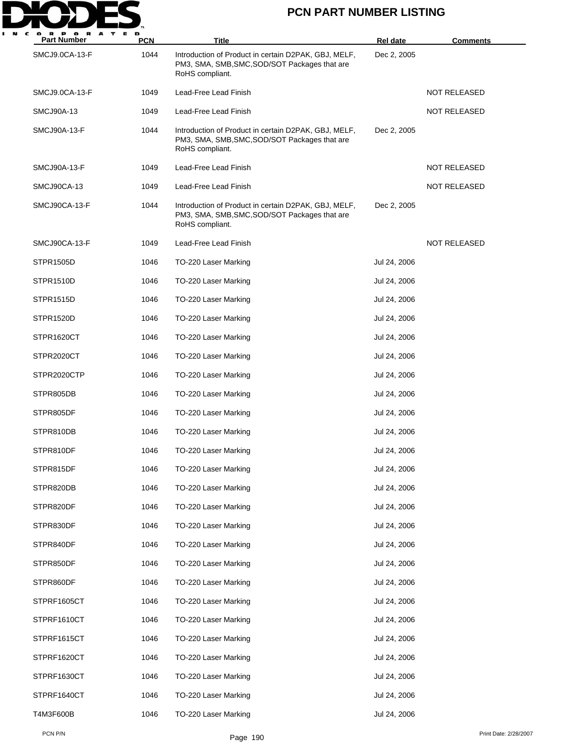

| <b>Part Number</b> | <b>PCN</b> | Title                                                                                                                    | Rel date     | <b>Comments</b>     |
|--------------------|------------|--------------------------------------------------------------------------------------------------------------------------|--------------|---------------------|
| SMCJ9.0CA-13-F     | 1044       | Introduction of Product in certain D2PAK, GBJ, MELF,<br>PM3, SMA, SMB, SMC, SOD/SOT Packages that are<br>RoHS compliant. | Dec 2, 2005  |                     |
| SMCJ9.0CA-13-F     | 1049       | Lead-Free Lead Finish                                                                                                    |              | NOT RELEASED        |
| <b>SMCJ90A-13</b>  | 1049       | Lead-Free Lead Finish                                                                                                    |              | NOT RELEASED        |
| SMCJ90A-13-F       | 1044       | Introduction of Product in certain D2PAK, GBJ, MELF,<br>PM3, SMA, SMB, SMC, SOD/SOT Packages that are<br>RoHS compliant. | Dec 2, 2005  |                     |
| SMCJ90A-13-F       | 1049       | Lead-Free Lead Finish                                                                                                    |              | <b>NOT RELEASED</b> |
| SMCJ90CA-13        | 1049       | Lead-Free Lead Finish                                                                                                    |              | NOT RELEASED        |
| SMCJ90CA-13-F      | 1044       | Introduction of Product in certain D2PAK, GBJ, MELF,<br>PM3, SMA, SMB, SMC, SOD/SOT Packages that are<br>RoHS compliant. | Dec 2, 2005  |                     |
| SMCJ90CA-13-F      | 1049       | Lead-Free Lead Finish                                                                                                    |              | <b>NOT RELEASED</b> |
| <b>STPR1505D</b>   | 1046       | TO-220 Laser Marking                                                                                                     | Jul 24, 2006 |                     |
| STPR1510D          | 1046       | TO-220 Laser Marking                                                                                                     | Jul 24, 2006 |                     |
| <b>STPR1515D</b>   | 1046       | TO-220 Laser Marking                                                                                                     | Jul 24, 2006 |                     |
| STPR1520D          | 1046       | TO-220 Laser Marking                                                                                                     | Jul 24, 2006 |                     |
| STPR1620CT         | 1046       | TO-220 Laser Marking                                                                                                     | Jul 24, 2006 |                     |
| STPR2020CT         | 1046       | TO-220 Laser Marking                                                                                                     | Jul 24, 2006 |                     |
| STPR2020CTP        | 1046       | TO-220 Laser Marking                                                                                                     | Jul 24, 2006 |                     |
| STPR805DB          | 1046       | TO-220 Laser Marking                                                                                                     | Jul 24, 2006 |                     |
| STPR805DF          | 1046       | TO-220 Laser Marking                                                                                                     | Jul 24, 2006 |                     |
| STPR810DB          | 1046       | TO-220 Laser Marking                                                                                                     | Jul 24, 2006 |                     |
| STPR810DF          | 1046       | TO-220 Laser Marking                                                                                                     | Jul 24, 2006 |                     |
| STPR815DF          | 1046       | TO-220 Laser Marking                                                                                                     | Jul 24, 2006 |                     |
| STPR820DB          | 1046       | TO-220 Laser Marking                                                                                                     | Jul 24, 2006 |                     |
| STPR820DF          | 1046       | TO-220 Laser Marking                                                                                                     | Jul 24, 2006 |                     |
| STPR830DF          | 1046       | TO-220 Laser Marking                                                                                                     | Jul 24, 2006 |                     |
| STPR840DF          | 1046       | TO-220 Laser Marking                                                                                                     | Jul 24, 2006 |                     |
| STPR850DF          | 1046       | TO-220 Laser Marking                                                                                                     | Jul 24, 2006 |                     |
| STPR860DF          | 1046       | TO-220 Laser Marking                                                                                                     | Jul 24, 2006 |                     |
| STPRF1605CT        | 1046       | TO-220 Laser Marking                                                                                                     | Jul 24, 2006 |                     |
| STPRF1610CT        | 1046       | TO-220 Laser Marking                                                                                                     | Jul 24, 2006 |                     |
| STPRF1615CT        | 1046       | TO-220 Laser Marking                                                                                                     | Jul 24, 2006 |                     |
| STPRF1620CT        | 1046       | TO-220 Laser Marking                                                                                                     | Jul 24, 2006 |                     |
| STPRF1630CT        | 1046       | TO-220 Laser Marking                                                                                                     | Jul 24, 2006 |                     |
| STPRF1640CT        | 1046       | TO-220 Laser Marking                                                                                                     | Jul 24, 2006 |                     |
| T4M3F600B          | 1046       | TO-220 Laser Marking                                                                                                     | Jul 24, 2006 |                     |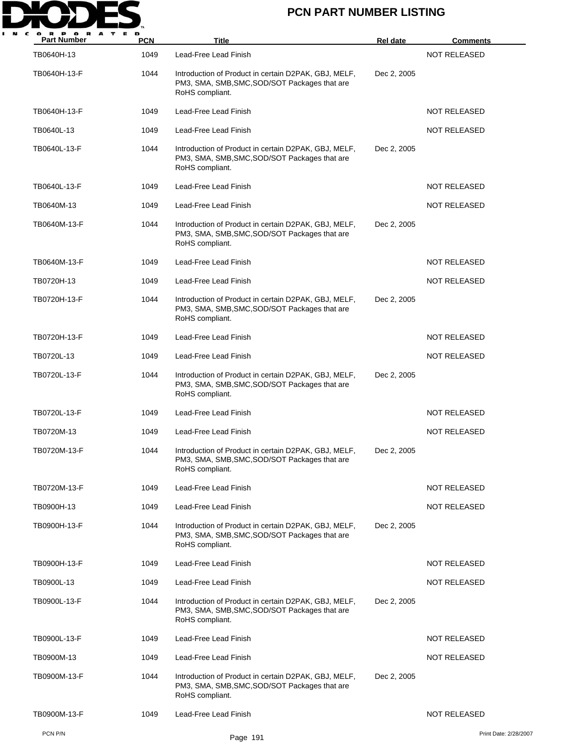

| P O R<br>A<br><b>Part Number</b> | <b>PCN</b> | Title                                                                                                                    | <b>Rel date</b> | <b>Comments</b>       |
|----------------------------------|------------|--------------------------------------------------------------------------------------------------------------------------|-----------------|-----------------------|
| TB0640H-13                       | 1049       | Lead-Free Lead Finish                                                                                                    |                 | <b>NOT RELEASED</b>   |
| TB0640H-13-F                     | 1044       | Introduction of Product in certain D2PAK, GBJ, MELF,<br>PM3, SMA, SMB, SMC, SOD/SOT Packages that are<br>RoHS compliant. | Dec 2, 2005     |                       |
| TB0640H-13-F                     | 1049       | Lead-Free Lead Finish                                                                                                    |                 | <b>NOT RELEASED</b>   |
| TB0640L-13                       | 1049       | Lead-Free Lead Finish                                                                                                    |                 | NOT RELEASED          |
| TB0640L-13-F                     | 1044       | Introduction of Product in certain D2PAK, GBJ, MELF,<br>PM3, SMA, SMB, SMC, SOD/SOT Packages that are<br>RoHS compliant. | Dec 2, 2005     |                       |
| TB0640L-13-F                     | 1049       | Lead-Free Lead Finish                                                                                                    |                 | NOT RELEASED          |
| TB0640M-13                       | 1049       | Lead-Free Lead Finish                                                                                                    |                 | NOT RELEASED          |
| TB0640M-13-F                     | 1044       | Introduction of Product in certain D2PAK, GBJ, MELF,<br>PM3, SMA, SMB, SMC, SOD/SOT Packages that are<br>RoHS compliant. | Dec 2, 2005     |                       |
| TB0640M-13-F                     | 1049       | Lead-Free Lead Finish                                                                                                    |                 | <b>NOT RELEASED</b>   |
| TB0720H-13                       | 1049       | Lead-Free Lead Finish                                                                                                    |                 | NOT RELEASED          |
| TB0720H-13-F                     | 1044       | Introduction of Product in certain D2PAK, GBJ, MELF,<br>PM3, SMA, SMB, SMC, SOD/SOT Packages that are<br>RoHS compliant. | Dec 2, 2005     |                       |
| TB0720H-13-F                     | 1049       | Lead-Free Lead Finish                                                                                                    |                 | NOT RELEASED          |
| TB0720L-13                       | 1049       | Lead-Free Lead Finish                                                                                                    |                 | <b>NOT RELEASED</b>   |
| TB0720L-13-F                     | 1044       | Introduction of Product in certain D2PAK, GBJ, MELF,<br>PM3, SMA, SMB, SMC, SOD/SOT Packages that are<br>RoHS compliant. | Dec 2, 2005     |                       |
| TB0720L-13-F                     | 1049       | Lead-Free Lead Finish                                                                                                    |                 | <b>NOT RELEASED</b>   |
| TB0720M-13                       | 1049       | Lead-Free Lead Finish                                                                                                    |                 | <b>NOT RELEASED</b>   |
| TB0720M-13-F                     | 1044       | Introduction of Product in certain D2PAK, GBJ, MELF,<br>PM3, SMA, SMB, SMC, SOD/SOT Packages that are<br>RoHS compliant. | Dec 2, 2005     |                       |
| TB0720M-13-F                     | 1049       | Lead-Free Lead Finish                                                                                                    |                 | <b>NOT RELEASED</b>   |
| TB0900H-13                       | 1049       | Lead-Free Lead Finish                                                                                                    |                 | <b>NOT RELEASED</b>   |
| TB0900H-13-F                     | 1044       | Introduction of Product in certain D2PAK, GBJ, MELF,<br>PM3, SMA, SMB, SMC, SOD/SOT Packages that are<br>RoHS compliant. | Dec 2, 2005     |                       |
| TB0900H-13-F                     | 1049       | Lead-Free Lead Finish                                                                                                    |                 | <b>NOT RELEASED</b>   |
| TB0900L-13                       | 1049       | Lead-Free Lead Finish                                                                                                    |                 | <b>NOT RELEASED</b>   |
| TB0900L-13-F                     | 1044       | Introduction of Product in certain D2PAK, GBJ, MELF,<br>PM3, SMA, SMB, SMC, SOD/SOT Packages that are<br>RoHS compliant. | Dec 2, 2005     |                       |
| TB0900L-13-F                     | 1049       | Lead-Free Lead Finish                                                                                                    |                 | <b>NOT RELEASED</b>   |
| TB0900M-13                       | 1049       | Lead-Free Lead Finish                                                                                                    |                 | <b>NOT RELEASED</b>   |
| TB0900M-13-F                     | 1044       | Introduction of Product in certain D2PAK, GBJ, MELF,<br>PM3, SMA, SMB, SMC, SOD/SOT Packages that are<br>RoHS compliant. | Dec 2, 2005     |                       |
| TB0900M-13-F                     | 1049       | Lead-Free Lead Finish                                                                                                    |                 | <b>NOT RELEASED</b>   |
| PCN P/N                          |            | Page 191                                                                                                                 |                 | Print Date: 2/28/2007 |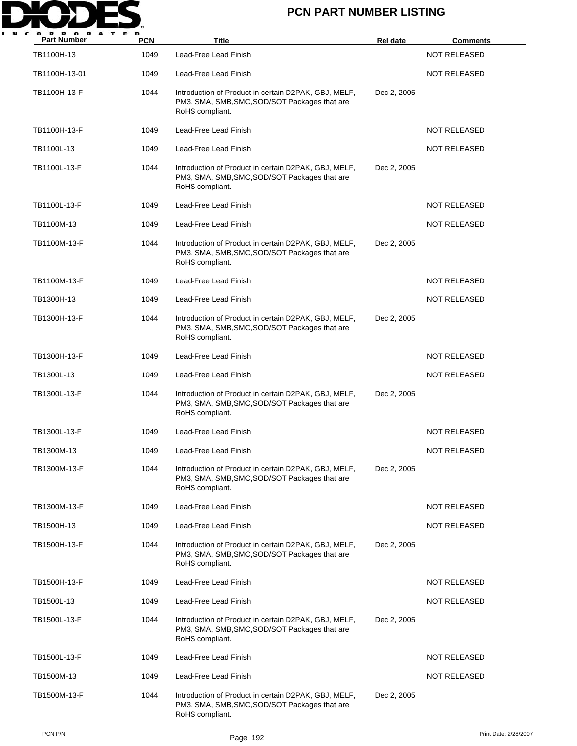

| <b>Part Number</b> | <b>PCN</b> | <b>Title</b>                                                                                                             | <b>Rel date</b> | Comments            |
|--------------------|------------|--------------------------------------------------------------------------------------------------------------------------|-----------------|---------------------|
| TB1100H-13         | 1049       | Lead-Free Lead Finish                                                                                                    |                 | <b>NOT RELEASED</b> |
| TB1100H-13-01      | 1049       | Lead-Free Lead Finish                                                                                                    |                 | <b>NOT RELEASED</b> |
| TB1100H-13-F       | 1044       | Introduction of Product in certain D2PAK, GBJ, MELF,<br>PM3, SMA, SMB, SMC, SOD/SOT Packages that are<br>RoHS compliant. | Dec 2, 2005     |                     |
| TB1100H-13-F       | 1049       | Lead-Free Lead Finish                                                                                                    |                 | <b>NOT RELEASED</b> |
| TB1100L-13         | 1049       | Lead-Free Lead Finish                                                                                                    |                 | <b>NOT RELEASED</b> |
| TB1100L-13-F       | 1044       | Introduction of Product in certain D2PAK, GBJ, MELF,<br>PM3, SMA, SMB, SMC, SOD/SOT Packages that are<br>RoHS compliant. | Dec 2, 2005     |                     |
| TB1100L-13-F       | 1049       | Lead-Free Lead Finish                                                                                                    |                 | <b>NOT RELEASED</b> |
| TB1100M-13         | 1049       | Lead-Free Lead Finish                                                                                                    |                 | <b>NOT RELEASED</b> |
| TB1100M-13-F       | 1044       | Introduction of Product in certain D2PAK, GBJ, MELF,<br>PM3, SMA, SMB, SMC, SOD/SOT Packages that are<br>RoHS compliant. | Dec 2, 2005     |                     |
| TB1100M-13-F       | 1049       | Lead-Free Lead Finish                                                                                                    |                 | NOT RELEASED        |
| TB1300H-13         | 1049       | Lead-Free Lead Finish                                                                                                    |                 | <b>NOT RELEASED</b> |
| TB1300H-13-F       | 1044       | Introduction of Product in certain D2PAK, GBJ, MELF,<br>PM3, SMA, SMB, SMC, SOD/SOT Packages that are<br>RoHS compliant. | Dec 2, 2005     |                     |
| TB1300H-13-F       | 1049       | Lead-Free Lead Finish                                                                                                    |                 | <b>NOT RELEASED</b> |
| TB1300L-13         | 1049       | Lead-Free Lead Finish                                                                                                    |                 | <b>NOT RELEASED</b> |
| TB1300L-13-F       | 1044       | Introduction of Product in certain D2PAK, GBJ, MELF,<br>PM3, SMA, SMB, SMC, SOD/SOT Packages that are<br>RoHS compliant. | Dec 2, 2005     |                     |
| TB1300L-13-F       | 1049       | Lead-Free Lead Finish                                                                                                    |                 | <b>NOT RELEASED</b> |
| TB1300M-13         | 1049       | Lead-Free Lead Finish                                                                                                    |                 | NOT RELEASED        |
| TB1300M-13-F       | 1044       | Introduction of Product in certain D2PAK, GBJ, MELF,<br>PM3, SMA, SMB, SMC, SOD/SOT Packages that are<br>RoHS compliant. | Dec 2, 2005     |                     |
| TB1300M-13-F       | 1049       | Lead-Free Lead Finish                                                                                                    |                 | <b>NOT RELEASED</b> |
| TB1500H-13         | 1049       | Lead-Free Lead Finish                                                                                                    |                 | <b>NOT RELEASED</b> |
| TB1500H-13-F       | 1044       | Introduction of Product in certain D2PAK, GBJ, MELF,<br>PM3, SMA, SMB, SMC, SOD/SOT Packages that are<br>RoHS compliant. | Dec 2, 2005     |                     |
| TB1500H-13-F       | 1049       | Lead-Free Lead Finish                                                                                                    |                 | <b>NOT RELEASED</b> |
| TB1500L-13         | 1049       | Lead-Free Lead Finish                                                                                                    |                 | NOT RELEASED        |
| TB1500L-13-F       | 1044       | Introduction of Product in certain D2PAK, GBJ, MELF,<br>PM3, SMA, SMB, SMC, SOD/SOT Packages that are<br>RoHS compliant. | Dec 2, 2005     |                     |
| TB1500L-13-F       | 1049       | Lead-Free Lead Finish                                                                                                    |                 | NOT RELEASED        |
| TB1500M-13         | 1049       | Lead-Free Lead Finish                                                                                                    |                 | <b>NOT RELEASED</b> |
| TB1500M-13-F       | 1044       | Introduction of Product in certain D2PAK, GBJ, MELF,<br>PM3, SMA, SMB, SMC, SOD/SOT Packages that are<br>RoHS compliant. | Dec 2, 2005     |                     |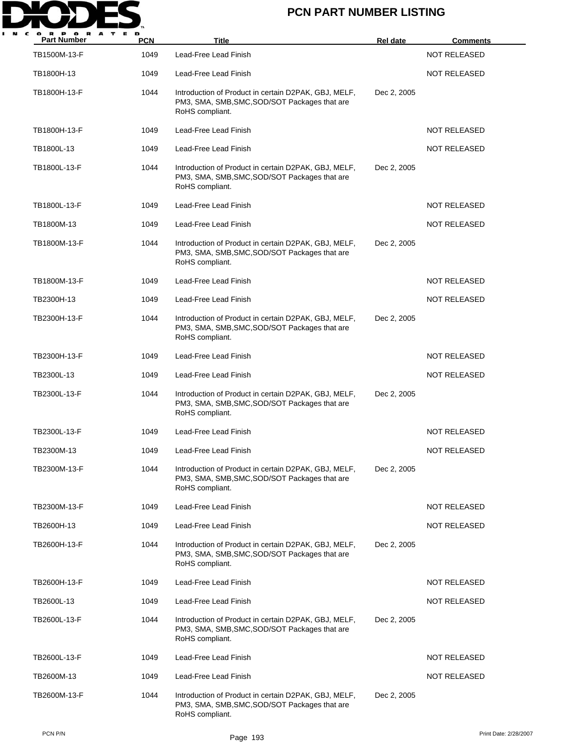

| <b>Part Number</b> | <b>PCN</b> | <b>Title</b>                                                                                                             | <b>Rel date</b> | <b>Comments</b>     |
|--------------------|------------|--------------------------------------------------------------------------------------------------------------------------|-----------------|---------------------|
| TB1500M-13-F       | 1049       | Lead-Free Lead Finish                                                                                                    |                 | <b>NOT RELEASED</b> |
| TB1800H-13         | 1049       | Lead-Free Lead Finish                                                                                                    |                 | <b>NOT RELEASED</b> |
| TB1800H-13-F       | 1044       | Introduction of Product in certain D2PAK, GBJ, MELF,<br>PM3, SMA, SMB, SMC, SOD/SOT Packages that are<br>RoHS compliant. | Dec 2, 2005     |                     |
| TB1800H-13-F       | 1049       | Lead-Free Lead Finish                                                                                                    |                 | <b>NOT RELEASED</b> |
| TB1800L-13         | 1049       | Lead-Free Lead Finish                                                                                                    |                 | <b>NOT RELEASED</b> |
| TB1800L-13-F       | 1044       | Introduction of Product in certain D2PAK, GBJ, MELF,<br>PM3, SMA, SMB, SMC, SOD/SOT Packages that are<br>RoHS compliant. | Dec 2, 2005     |                     |
| TB1800L-13-F       | 1049       | Lead-Free Lead Finish                                                                                                    |                 | <b>NOT RELEASED</b> |
| TB1800M-13         | 1049       | Lead-Free Lead Finish                                                                                                    |                 | <b>NOT RELEASED</b> |
| TB1800M-13-F       | 1044       | Introduction of Product in certain D2PAK, GBJ, MELF,<br>PM3, SMA, SMB, SMC, SOD/SOT Packages that are<br>RoHS compliant. | Dec 2, 2005     |                     |
| TB1800M-13-F       | 1049       | Lead-Free Lead Finish                                                                                                    |                 | <b>NOT RELEASED</b> |
| TB2300H-13         | 1049       | Lead-Free Lead Finish                                                                                                    |                 | <b>NOT RELEASED</b> |
| TB2300H-13-F       | 1044       | Introduction of Product in certain D2PAK, GBJ, MELF,<br>PM3, SMA, SMB, SMC, SOD/SOT Packages that are<br>RoHS compliant. | Dec 2, 2005     |                     |
| TB2300H-13-F       | 1049       | Lead-Free Lead Finish                                                                                                    |                 | <b>NOT RELEASED</b> |
| TB2300L-13         | 1049       | Lead-Free Lead Finish                                                                                                    |                 | <b>NOT RELEASED</b> |
| TB2300L-13-F       | 1044       | Introduction of Product in certain D2PAK, GBJ, MELF,<br>PM3, SMA, SMB, SMC, SOD/SOT Packages that are<br>RoHS compliant. | Dec 2, 2005     |                     |
| TB2300L-13-F       | 1049       | Lead-Free Lead Finish                                                                                                    |                 | <b>NOT RELEASED</b> |
| TB2300M-13         | 1049       | Lead-Free Lead Finish                                                                                                    |                 | NOT RELEASED        |
| TB2300M-13-F       | 1044       | Introduction of Product in certain D2PAK, GBJ, MELF,<br>PM3, SMA, SMB, SMC, SOD/SOT Packages that are<br>RoHS compliant. | Dec 2, 2005     |                     |
| TB2300M-13-F       | 1049       | Lead-Free Lead Finish                                                                                                    |                 | <b>NOT RELEASED</b> |
| TB2600H-13         | 1049       | Lead-Free Lead Finish                                                                                                    |                 | <b>NOT RELEASED</b> |
| TB2600H-13-F       | 1044       | Introduction of Product in certain D2PAK, GBJ, MELF,<br>PM3, SMA, SMB, SMC, SOD/SOT Packages that are<br>RoHS compliant. | Dec 2, 2005     |                     |
| TB2600H-13-F       | 1049       | Lead-Free Lead Finish                                                                                                    |                 | <b>NOT RELEASED</b> |
| TB2600L-13         | 1049       | Lead-Free Lead Finish                                                                                                    |                 | NOT RELEASED        |
| TB2600L-13-F       | 1044       | Introduction of Product in certain D2PAK, GBJ, MELF,<br>PM3, SMA, SMB, SMC, SOD/SOT Packages that are<br>RoHS compliant. | Dec 2, 2005     |                     |
| TB2600L-13-F       | 1049       | Lead-Free Lead Finish                                                                                                    |                 | NOT RELEASED        |
| TB2600M-13         | 1049       | Lead-Free Lead Finish                                                                                                    |                 | <b>NOT RELEASED</b> |
| TB2600M-13-F       | 1044       | Introduction of Product in certain D2PAK, GBJ, MELF,<br>PM3, SMA, SMB, SMC, SOD/SOT Packages that are<br>RoHS compliant. | Dec 2, 2005     |                     |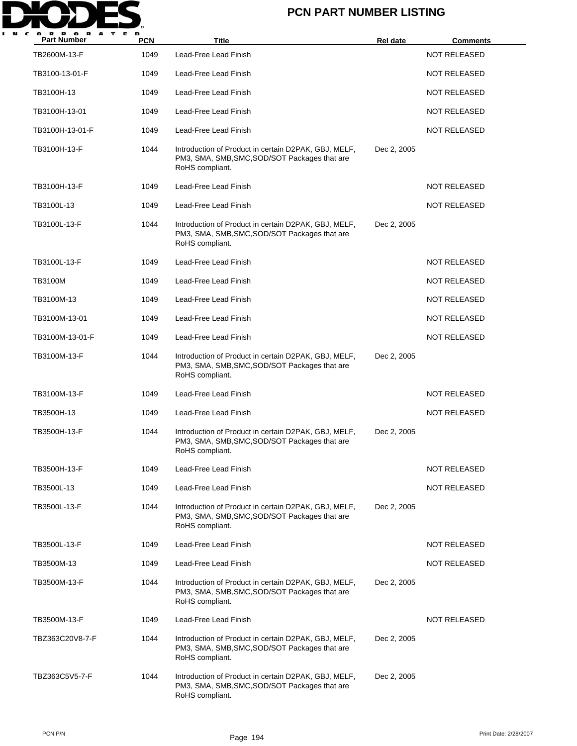

| P O R A<br><b>Part Number</b> | <b>PCN</b> | <b>Title</b>                                                                                                             | Rel date    | <b>Comments</b>     |
|-------------------------------|------------|--------------------------------------------------------------------------------------------------------------------------|-------------|---------------------|
| TB2600M-13-F                  | 1049       | Lead-Free Lead Finish                                                                                                    |             | <b>NOT RELEASED</b> |
| TB3100-13-01-F                | 1049       | Lead-Free Lead Finish                                                                                                    |             | <b>NOT RELEASED</b> |
| TB3100H-13                    | 1049       | Lead-Free Lead Finish                                                                                                    |             | <b>NOT RELEASED</b> |
| TB3100H-13-01                 | 1049       | Lead-Free Lead Finish                                                                                                    |             | <b>NOT RELEASED</b> |
| TB3100H-13-01-F               | 1049       | Lead-Free Lead Finish                                                                                                    |             | <b>NOT RELEASED</b> |
| TB3100H-13-F                  | 1044       | Introduction of Product in certain D2PAK, GBJ, MELF,<br>PM3, SMA, SMB, SMC, SOD/SOT Packages that are<br>RoHS compliant. | Dec 2, 2005 |                     |
| TB3100H-13-F                  | 1049       | Lead-Free Lead Finish                                                                                                    |             | <b>NOT RELEASED</b> |
| TB3100L-13                    | 1049       | Lead-Free Lead Finish                                                                                                    |             | <b>NOT RELEASED</b> |
| TB3100L-13-F                  | 1044       | Introduction of Product in certain D2PAK, GBJ, MELF,<br>PM3, SMA, SMB, SMC, SOD/SOT Packages that are<br>RoHS compliant. | Dec 2, 2005 |                     |
| TB3100L-13-F                  | 1049       | Lead-Free Lead Finish                                                                                                    |             | <b>NOT RELEASED</b> |
| <b>TB3100M</b>                | 1049       | Lead-Free Lead Finish                                                                                                    |             | <b>NOT RELEASED</b> |
| TB3100M-13                    | 1049       | Lead-Free Lead Finish                                                                                                    |             | <b>NOT RELEASED</b> |
| TB3100M-13-01                 | 1049       | Lead-Free Lead Finish                                                                                                    |             | <b>NOT RELEASED</b> |
| TB3100M-13-01-F               | 1049       | Lead-Free Lead Finish                                                                                                    |             | <b>NOT RELEASED</b> |
| TB3100M-13-F                  | 1044       | Introduction of Product in certain D2PAK, GBJ, MELF,<br>PM3, SMA, SMB, SMC, SOD/SOT Packages that are<br>RoHS compliant. | Dec 2, 2005 |                     |
| TB3100M-13-F                  | 1049       | Lead-Free Lead Finish                                                                                                    |             | NOT RELEASED        |
| TB3500H-13                    | 1049       | Lead-Free Lead Finish                                                                                                    |             | <b>NOT RELEASED</b> |
| TB3500H-13-F                  | 1044       | Introduction of Product in certain D2PAK, GBJ, MELF,<br>PM3, SMA, SMB, SMC, SOD/SOT Packages that are<br>RoHS compliant. | Dec 2, 2005 |                     |
| TB3500H-13-F                  | 1049       | Lead-Free Lead Finish                                                                                                    |             | NOT RELEASED        |
| TB3500L-13                    | 1049       | Lead-Free Lead Finish                                                                                                    |             | <b>NOT RELEASED</b> |
| TB3500L-13-F                  | 1044       | Introduction of Product in certain D2PAK, GBJ, MELF,<br>PM3, SMA, SMB, SMC, SOD/SOT Packages that are<br>RoHS compliant. | Dec 2, 2005 |                     |
| TB3500L-13-F                  | 1049       | Lead-Free Lead Finish                                                                                                    |             | NOT RELEASED        |
| TB3500M-13                    | 1049       | Lead-Free Lead Finish                                                                                                    |             | NOT RELEASED        |
| TB3500M-13-F                  | 1044       | Introduction of Product in certain D2PAK, GBJ, MELF,<br>PM3, SMA, SMB, SMC, SOD/SOT Packages that are<br>RoHS compliant. | Dec 2, 2005 |                     |
| TB3500M-13-F                  | 1049       | Lead-Free Lead Finish                                                                                                    |             | NOT RELEASED        |
| TBZ363C20V8-7-F               | 1044       | Introduction of Product in certain D2PAK, GBJ, MELF,<br>PM3, SMA, SMB, SMC, SOD/SOT Packages that are<br>RoHS compliant. | Dec 2, 2005 |                     |
| TBZ363C5V5-7-F                | 1044       | Introduction of Product in certain D2PAK, GBJ, MELF,<br>PM3, SMA, SMB, SMC, SOD/SOT Packages that are<br>RoHS compliant. | Dec 2, 2005 |                     |